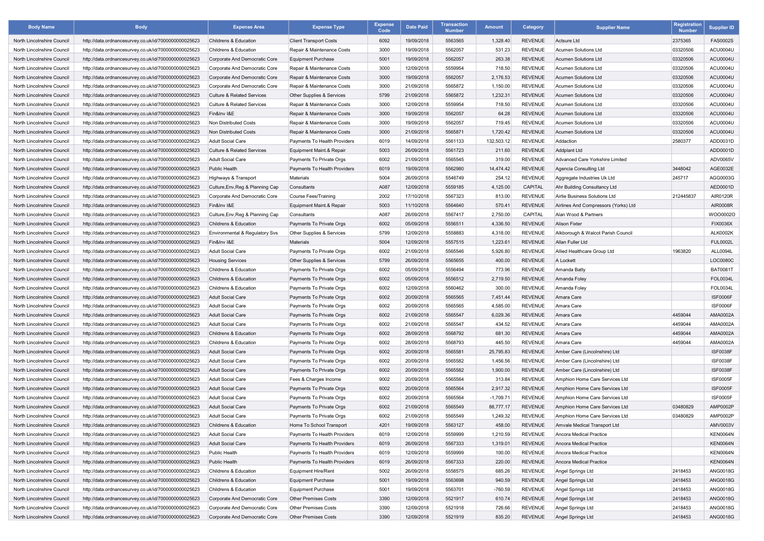| <b>Body Name</b>           | <b>Body</b>                                                                                                  | <b>Expense Area</b>                   | <b>Expense Type</b>           | <b>Expense</b><br>Code | <b>Date Paid</b>         | <b>Transaction</b><br><b>Number</b> | <b>Amount</b> | <b>Category</b>                  | <b>Supplier Name</b>                 | Registration<br><b>Number</b> | <b>Supplier ID</b> |
|----------------------------|--------------------------------------------------------------------------------------------------------------|---------------------------------------|-------------------------------|------------------------|--------------------------|-------------------------------------|---------------|----------------------------------|--------------------------------------|-------------------------------|--------------------|
| North Lincolnshire Council | http://data.ordnancesurvey.co.uk/id/7000000000025623                                                         | Childrens & Education                 | <b>Client Transport Costs</b> | 6092                   | 19/09/2018               | 5563565                             | 1,328.40      | <b>REVENUE</b>                   | Actsure Ltd                          | 2375365                       | FAS0002S           |
| North Lincolnshire Council | http://data.ordnancesurvey.co.uk/id/7000000000025623                                                         | Childrens & Education                 | Repair & Maintenance Costs    | 3000                   | 19/09/2018               | 5562057                             | 531.23        | <b>REVENUE</b>                   | <b>Acumen Solutions Ltd</b>          | 03320506                      | ACU0004U           |
| North Lincolnshire Council | http://data.ordnancesurvey.co.uk/id/7000000000025623                                                         | Corporate And Democratic Core         | <b>Equipment Purchase</b>     | 5001                   | 19/09/2018               | 5562057                             | 263.38        | <b>REVENUE</b>                   | Acumen Solutions Ltd                 | 03320506                      | <b>ACU0004U</b>    |
| North Lincolnshire Council | http://data.ordnancesurvey.co.uk/id/7000000000025623                                                         | Corporate And Democratic Core         | Repair & Maintenance Costs    | 3000                   | 12/09/2018               | 5559954                             | 718.50        | <b>REVENUE</b>                   | Acumen Solutions Ltd                 | 03320506                      | <b>ACU0004U</b>    |
| North Lincolnshire Council | http://data.ordnancesurvey.co.uk/id/7000000000025623                                                         | Corporate And Democratic Core         | Repair & Maintenance Costs    | 3000                   | 19/09/2018               | 5562057                             | 2,176.53      | <b>REVENUE</b>                   | Acumen Solutions Ltd                 | 03320506                      | <b>ACU0004U</b>    |
| North Lincolnshire Council | http://data.ordnancesurvey.co.uk/id/7000000000025623                                                         | Corporate And Democratic Core         | Repair & Maintenance Costs    | 3000                   | 21/09/2018               | 5565872                             | 1,150.00      | <b>REVENUE</b>                   | Acumen Solutions Ltd                 | 03320506                      | <b>ACU0004U</b>    |
| North Lincolnshire Council | http://data.ordnancesurvey.co.uk/id/7000000000025623                                                         | <b>Culture &amp; Related Services</b> | Other Supplies & Services     | 5799                   | 21/09/2018               | 5565872                             | 1,232.31      | <b>REVENUE</b>                   | <b>Acumen Solutions Ltd</b>          | 03320506                      | <b>ACU0004U</b>    |
| North Lincolnshire Council | http://data.ordnancesurvey.co.uk/id/7000000000025623                                                         | <b>Culture &amp; Related Services</b> | Repair & Maintenance Costs    | 3000                   | 12/09/2018               | 5559954                             | 718.50        | <b>REVENUE</b>                   | Acumen Solutions Ltd                 | 03320506                      | <b>ACU0004U</b>    |
| North Lincolnshire Council | http://data.ordnancesurvey.co.uk/id/7000000000025623                                                         | Fin&Inv I&E                           | Repair & Maintenance Costs    | 3000                   | 19/09/2018               | 5562057                             | 64.28         | <b>REVENUE</b>                   | <b>Acumen Solutions Ltd</b>          | 03320506                      | <b>ACU0004U</b>    |
| North Lincolnshire Council | http://data.ordnancesurvey.co.uk/id/7000000000025623                                                         | <b>Non Distributed Costs</b>          | Repair & Maintenance Costs    | 3000                   | 19/09/2018               | 5562057                             | 719.45        | <b>REVENUE</b>                   | Acumen Solutions Ltd                 | 03320506                      | ACU0004U           |
| North Lincolnshire Council | http://data.ordnancesurvey.co.uk/id/7000000000025623                                                         | Non Distributed Costs                 | Repair & Maintenance Costs    | 3000                   | 21/09/2018               | 5565871                             | 1,720.42      | <b>REVENUE</b>                   | Acumen Solutions Ltd                 | 03320506                      | <b>ACU0004U</b>    |
| North Lincolnshire Council | http://data.ordnancesurvey.co.uk/id/7000000000025623                                                         | <b>Adult Social Care</b>              | Payments To Health Providers  | 6019                   | 14/09/2018               | 5561133                             | 132,503.12    | <b>REVENUE</b>                   | Addaction                            | 2580377                       | ADD0031D           |
| North Lincolnshire Council | http://data.ordnancesurvey.co.uk/id/7000000000025623                                                         | <b>Culture &amp; Related Services</b> | Equipment Maint.& Repair      | 5003                   | 26/09/2018               | 5561723                             | 211.60        | <b>REVENUE</b>                   | Addplant Ltd                         |                               | ADD0001D           |
| North Lincolnshire Council | http://data.ordnancesurvey.co.uk/id/7000000000025623                                                         | <b>Adult Social Care</b>              | Payments To Private Orgs      | 6002                   | 21/09/2018               | 5565545                             | 319.00        | <b>REVENUE</b>                   | Advanced Care Yorkshire Limited      |                               | ADV0065V           |
| North Lincolnshire Council | http://data.ordnancesurvey.co.uk/id/7000000000025623                                                         | Public Health                         | Payments To Health Providers  | 6019                   | 19/09/2018               | 5562980                             | 14,474.42     | <b>REVENUE</b>                   | <b>Agencia Consulting Ltd</b>        | 3448042                       | AGE0032E           |
| North Lincolnshire Council | http://data.ordnancesurvey.co.uk/id/7000000000025623                                                         | Highways & Transport                  | Materials                     | 5004                   | 26/09/2018               | 5546749                             | 254.12        | <b>REVENUE</b>                   | Aggregate Industries Uk Ltd          | 245717                        | AGG0003G           |
| North Lincolnshire Counci  | http://data.ordnancesurvey.co.uk/id/7000000000025623                                                         | Culture, Env, Reg & Planning Cap      | Consultants                   | A087                   | 12/09/2018               | 5559185                             | 4,125.00      | <b>CAPITAL</b>                   | Ahr Building Consultancy Ltd         |                               | AED0001D           |
| North Lincolnshire Council | http://data.ordnancesurvey.co.uk/id/7000000000025623                                                         | Corporate And Democratic Core         | Course Fees/Training          | 2002                   | 17/10/2018               | 5567323                             | 813.00        | <b>REVENUE</b>                   | Airlie Business Solutions Ltd        | 212445837                     | AIR0120R           |
| North Lincolnshire Council | http://data.ordnancesurvey.co.uk/id/7000000000025623                                                         | Fin&Inv I&E                           | Equipment Maint.& Repair      | 5003                   | 11/10/2018               | 5564640                             | 570.41        | <b>REVENUE</b>                   | Airlines And Compressors (Yorks) Ltd |                               | AIR0008R           |
| North Lincolnshire Council | http://data.ordnancesurvey.co.uk/id/7000000000025623                                                         | Culture, Env, Reg & Planning Cap      | Consultants                   | A087                   | 26/09/2018               | 5567417                             | 2,750.00      | CAPITAL                          | Alan Wood & Partners                 |                               | WOO0002O           |
| North Lincolnshire Council | http://data.ordnancesurvey.co.uk/id/7000000000025623                                                         | Childrens & Education                 | Payments To Private Orgs      | 6002                   | 05/09/2018               | 5556511                             | 4,336.50      | <b>REVENUE</b>                   | <b>Alison Fixter</b>                 |                               | <b>FIX0036X</b>    |
| North Lincolnshire Council | http://data.ordnancesurvey.co.uk/id/7000000000025623                                                         | Environmental & Regulatory Svs        | Other Supplies & Services     | 5799                   | 12/09/2018               | 5558883                             | 4,318.00      | <b>REVENUE</b>                   | Alkborough & Walcot Parish Council   |                               | <b>ALK0002K</b>    |
| North Lincolnshire Council | http://data.ordnancesurvey.co.uk/id/7000000000025623                                                         | Fin&Inv I&E                           | Materials                     | 5004                   | 12/09/2018               | 5557515                             | 1,223.61      | <b>REVENUE</b>                   | Allan Fuller Ltd                     |                               | <b>FUL0002L</b>    |
| North Lincolnshire Council | http://data.ordnancesurvey.co.uk/id/7000000000025623                                                         | <b>Adult Social Care</b>              | Payments To Private Orgs      | 6002                   | 21/09/2018               | 5565546                             | 5,926.80      | <b>REVENUE</b>                   | Allied Healthcare Group Ltd          | 1963820                       | ALL0094L           |
| North Lincolnshire Council |                                                                                                              | <b>Housing Services</b>               |                               | 5799                   | 26/09/2018               | 5565655                             | 400.00        | <b>REVENUE</b>                   | A Lockett                            |                               | LOC0080C           |
| North Lincolnshire Council | http://data.ordnancesurvey.co.uk/id/7000000000025623<br>http://data.ordnancesurvey.co.uk/id/7000000000025623 | Childrens & Education                 | Other Supplies & Services     | 6002                   | 05/09/2018               | 5556494                             | 773.96        | <b>REVENUE</b>                   |                                      |                               | <b>BAT0081T</b>    |
|                            | http://data.ordnancesurvey.co.uk/id/7000000000025623                                                         |                                       | Payments To Private Orgs      |                        |                          | 5556512                             |               |                                  | Amanda Batty                         |                               | <b>FOL0034L</b>    |
| North Lincolnshire Council |                                                                                                              | Childrens & Education                 | Payments To Private Orgs      | 6002<br>6002           | 05/09/2018<br>12/09/2018 | 5560462                             | 2,719.50      | <b>REVENUE</b><br><b>REVENUE</b> | Amanda Foley                         |                               | FOL0034L           |
| North Lincolnshire Council | http://data.ordnancesurvey.co.uk/id/7000000000025623                                                         | Childrens & Education                 | Payments To Private Orgs      |                        | 20/09/2018               | 5565565                             | 300.00        | <b>REVENUE</b>                   | Amanda Foley                         |                               | ISF0006F           |
| North Lincolnshire Council | http://data.ordnancesurvey.co.uk/id/7000000000025623                                                         | <b>Adult Social Care</b>              | Payments To Private Orgs      | 6002                   |                          |                                     | 7,451.44      |                                  | Amara Care                           |                               |                    |
| North Lincolnshire Council | http://data.ordnancesurvey.co.uk/id/7000000000025623                                                         | <b>Adult Social Care</b>              | Payments To Private Orgs      | 6002                   | 20/09/2018               | 5565565                             | 4,585.00      | <b>REVENUE</b>                   | Amara Care                           |                               | <b>ISF0006F</b>    |
| North Lincolnshire Counci  | http://data.ordnancesurvey.co.uk/id/7000000000025623                                                         | <b>Adult Social Care</b>              | Payments To Private Orgs      | 6002                   | 21/09/2018               | 5565547                             | 6,029.36      | <b>REVENUE</b>                   | Amara Care                           | 4459044                       | AMA0002A           |
| North Lincolnshire Council | http://data.ordnancesurvey.co.uk/id/7000000000025623                                                         | <b>Adult Social Care</b>              | Payments To Private Orgs      | 6002                   | 21/09/2018               | 5565547                             | 434.52        | <b>REVENUE</b>                   | Amara Care                           | 4459044                       | AMA0002A           |
| North Lincolnshire Council | http://data.ordnancesurvey.co.uk/id/7000000000025623                                                         | Childrens & Education                 | Payments To Private Orgs      | 6002                   | 28/09/2018               | 5568792                             | 681.30        | <b>REVENUE</b>                   | Amara Care                           | 4459044                       | AMA0002A           |
| North Lincolnshire Council | http://data.ordnancesurvey.co.uk/id/7000000000025623                                                         | Childrens & Education                 | Payments To Private Orgs      | 6002                   | 28/09/2018               | 5568793                             | 445.50        | <b>REVENUE</b>                   | Amara Care                           | 4459044                       | AMA0002A           |
| North Lincolnshire Council | http://data.ordnancesurvey.co.uk/id/7000000000025623                                                         | <b>Adult Social Care</b>              | Payments To Private Orgs      | 6002                   | 20/09/2018               | 5565581                             | 25,795.83     | <b>REVENUE</b>                   | Amber Care (Lincolnshire) Ltd        |                               | <b>ISF0038F</b>    |
| North Lincolnshire Council | http://data.ordnancesurvey.co.uk/id/7000000000025623                                                         | <b>Adult Social Care</b>              | Payments To Private Orgs      | 6002                   | 20/09/2018               | 5565582                             | 1,456.56      | <b>REVENUE</b>                   | Amber Care (Lincolnshire) Ltd        |                               | <b>ISF0038F</b>    |
| North Lincolnshire Council | http://data.ordnancesurvey.co.uk/id/7000000000025623                                                         | <b>Adult Social Care</b>              | Payments To Private Orgs      | 6002                   | 20/09/2018               | 5565582                             | 1,900.00      | <b>REVENUE</b>                   | Amber Care (Lincolnshire) Ltd        |                               | <b>ISF0038F</b>    |
| North Lincolnshire Council | http://data.ordnancesurvey.co.uk/id/7000000000025623                                                         | <b>Adult Social Care</b>              | Fees & Charges Income         | 9002                   | 20/09/2018               | 5565564                             | 313.84        | <b>REVENUE</b>                   | Amphion Home Care Services Ltd       |                               | <b>ISF0005F</b>    |
| North Lincolnshire Council | http://data.ordnancesurvey.co.uk/id/7000000000025623                                                         | <b>Adult Social Care</b>              | Payments To Private Orgs      | 6002                   | 20/09/2018               | 5565564                             | 2,917.32      | <b>REVENUE</b>                   | Amphion Home Care Services Ltd       |                               | <b>ISF0005F</b>    |
| North Lincolnshire Council | http://data.ordnancesurvey.co.uk/id/7000000000025623                                                         | <b>Adult Social Care</b>              | Payments To Private Orgs      | 6002                   | 20/09/2018               | 5565564                             | $-1,709.71$   | <b>REVENUE</b>                   | Amphion Home Care Services Ltd       |                               | <b>ISF0005F</b>    |
| North Lincolnshire Council | http://data.ordnancesurvey.co.uk/id/7000000000025623                                                         | <b>Adult Social Care</b>              | Payments To Private Orgs      | 6002                   | 21/09/2018               | 5565549                             | 88,777.17     | <b>REVENUE</b>                   | Amphion Home Care Services Ltd       | 03480829                      | AMP0002P           |
| North Lincolnshire Council | http://data.ordnancesurvey.co.uk/id/7000000000025623                                                         | <b>Adult Social Care</b>              | Payments To Private Orgs      | 6002                   | 21/09/2018               | 5565549                             | 1,249.32      | <b>REVENUE</b>                   | Amphion Home Care Services Ltd       | 03480829                      | AMP0002P           |
| North Lincolnshire Council | http://data.ordnancesurvey.co.uk/id/7000000000025623                                                         | Childrens & Education                 | Home To School Transport      | 4201                   | 19/09/2018               | 5563127                             | 458.00        | <b>REVENUE</b>                   | Amvale Medical Transport Ltd         |                               | AMV0003V           |
| North Lincolnshire Council | http://data.ordnancesurvey.co.uk/id/7000000000025623                                                         | <b>Adult Social Care</b>              | Payments To Health Providers  | 6019                   | 12/09/2018               | 5559999                             | 1,210.59      | <b>REVENUE</b>                   | Ancora Medical Practice              |                               | KEN0064N           |
| North Lincolnshire Council | http://data.ordnancesurvey.co.uk/id/7000000000025623                                                         | <b>Adult Social Care</b>              | Payments To Health Providers  | 6019                   | 26/09/2018               | 5567333                             | 1,319.01      | <b>REVENUE</b>                   | Ancora Medical Practice              |                               | <b>KEN0064N</b>    |
| North Lincolnshire Council | http://data.ordnancesurvey.co.uk/id/7000000000025623                                                         | Public Health                         | Payments To Health Providers  | 6019                   | 12/09/2018               | 5559999                             | 100.00        | <b>REVENUE</b>                   | Ancora Medical Practice              |                               | KEN0064N           |
| North Lincolnshire Council | http://data.ordnancesurvey.co.uk/id/7000000000025623                                                         | Public Health                         | Payments To Health Providers  | 6019                   | 26/09/2018               | 5567333                             | 220.00        | <b>REVENUE</b>                   | Ancora Medical Practice              |                               | <b>KEN0064N</b>    |
| North Lincolnshire Council | http://data.ordnancesurvey.co.uk/id/7000000000025623                                                         | Childrens & Education                 | Equipment Hire/Rent           | 5002                   | 26/09/2018               | 5558575                             | 685.26        | <b>REVENUE</b>                   | Angel Springs Ltd                    | 2418453                       | ANG0018G           |
| North Lincolnshire Council | http://data.ordnancesurvey.co.uk/id/7000000000025623                                                         | Childrens & Education                 | <b>Equipment Purchase</b>     | 5001                   | 19/09/2018               | 5563698                             | 940.59        | <b>REVENUE</b>                   | Angel Springs Ltd                    | 2418453                       | <b>ANG0018G</b>    |
| North Lincolnshire Council | http://data.ordnancesurvey.co.uk/id/7000000000025623                                                         | Childrens & Education                 | <b>Equipment Purchase</b>     | 5001                   | 19/09/2018               | 5563701                             | $-760.59$     | <b>REVENUE</b>                   | Angel Springs Ltd                    | 2418453                       | ANG0018G           |
| North Lincolnshire Council | http://data.ordnancesurvey.co.uk/id/7000000000025623                                                         | Corporate And Democratic Core         | <b>Other Premises Costs</b>   | 3390                   | 12/09/2018               | 5521917                             | 610.74        | <b>REVENUE</b>                   | Angel Springs Ltd                    | 2418453                       | <b>ANG0018G</b>    |
| North Lincolnshire Council | http://data.ordnancesurvey.co.uk/id/7000000000025623                                                         | Corporate And Democratic Core         | <b>Other Premises Costs</b>   | 3390                   | 12/09/2018               | 5521918                             | 726.66        | <b>REVENUE</b>                   | Angel Springs Ltd                    | 2418453                       | ANG0018G           |
| North Lincolnshire Council | http://data.ordnancesurvey.co.uk/id/7000000000025623                                                         | Corporate And Democratic Core         | <b>Other Premises Costs</b>   | 3390                   | 12/09/2018               | 5521919                             | 835.20        | REVENUE                          | Angel Springs Ltd                    | 2418453                       | <b>ANG0018G</b>    |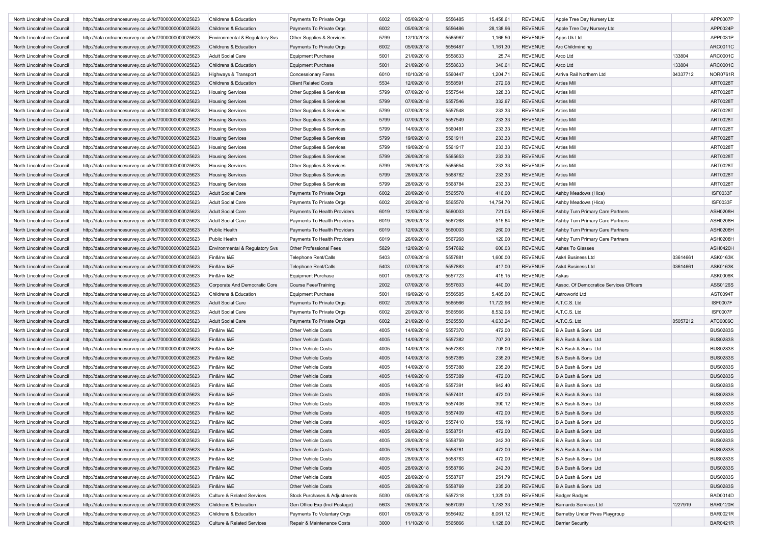| North Lincolnshire Council | http://data.ordnancesurvey.co.uk/id/7000000000025623 | Childrens & Education                 | Payments To Private Orgs       | 6002 | 05/09/2018 | 5556485 | 15,458.61 | REVENUE        | Apple Tree Day Nursery Ltd              |          | APP0007P        |
|----------------------------|------------------------------------------------------|---------------------------------------|--------------------------------|------|------------|---------|-----------|----------------|-----------------------------------------|----------|-----------------|
| North Lincolnshire Council | http://data.ordnancesurvey.co.uk/id/7000000000025623 | Childrens & Education                 | Payments To Private Orgs       | 6002 | 05/09/2018 | 5556486 | 28,138.96 | <b>REVENUE</b> | Apple Tree Day Nursery Ltd              |          | APP0024P        |
| North Lincolnshire Council | http://data.ordnancesurvey.co.uk/id/7000000000025623 | Environmental & Regulatory Svs        | Other Supplies & Services      | 5799 | 12/10/2018 | 5565967 | 1,166.50  | <b>REVENUE</b> | Apps Uk Ltd.                            |          | APP0031P        |
| North Lincolnshire Council | http://data.ordnancesurvey.co.uk/id/7000000000025623 | Childrens & Education                 | Payments To Private Orgs       | 6002 | 05/09/2018 | 5556487 | 1,161.30  | <b>REVENUE</b> | Arc Childminding                        |          | ARC0011C        |
| North Lincolnshire Council | http://data.ordnancesurvey.co.uk/id/7000000000025623 | <b>Adult Social Care</b>              | <b>Equipment Purchase</b>      | 5001 | 21/09/2018 | 5558633 | 25.74     | <b>REVENUE</b> | Arco Ltd                                | 133804   | ARC0001C        |
| North Lincolnshire Council | http://data.ordnancesurvey.co.uk/id/7000000000025623 | Childrens & Education                 | <b>Equipment Purchase</b>      | 5001 | 21/09/2018 | 5558633 | 340.61    | <b>REVENUE</b> | Arco Ltd                                | 133804   | ARC0001C        |
| North Lincolnshire Council | http://data.ordnancesurvey.co.uk/id/7000000000025623 | Highways & Transport                  | <b>Concessionary Fares</b>     | 6010 | 10/10/2018 | 5560447 | 1,204.71  | <b>REVENUE</b> | Arriva Rail Northern Ltd                | 04337712 | <b>NOR0761R</b> |
| North Lincolnshire Council | http://data.ordnancesurvey.co.uk/id/7000000000025623 | Childrens & Education                 | <b>Client Related Costs</b>    | 5534 | 12/09/2018 | 5558591 | 272.08    | <b>REVENUE</b> | <b>Arties Mil</b>                       |          | <b>ART0028T</b> |
| North Lincolnshire Council | http://data.ordnancesurvey.co.uk/id/7000000000025623 | <b>Housing Services</b>               | Other Supplies & Services      | 5799 | 07/09/2018 | 5557544 | 328.33    | <b>REVENUE</b> | <b>Arties Mil</b>                       |          | ART0028T        |
| North Lincolnshire Council | http://data.ordnancesurvey.co.uk/id/7000000000025623 | <b>Housing Services</b>               | Other Supplies & Services      | 5799 | 07/09/2018 | 5557546 | 332.67    | <b>REVENUE</b> | <b>Arties Mil</b>                       |          | ART0028T        |
| North Lincolnshire Council | http://data.ordnancesurvey.co.uk/id/7000000000025623 | <b>Housing Services</b>               | Other Supplies & Services      | 5799 | 07/09/2018 | 5557548 | 233.33    | <b>REVENUE</b> | <b>Arties Mill</b>                      |          | <b>ART0028T</b> |
| North Lincolnshire Council | http://data.ordnancesurvey.co.uk/id/7000000000025623 | <b>Housing Services</b>               | Other Supplies & Services      | 5799 | 07/09/2018 | 5557549 | 233.33    | <b>REVENUE</b> | <b>Arties Mill</b>                      |          | <b>ART0028T</b> |
| North Lincolnshire Council | http://data.ordnancesurvey.co.uk/id/7000000000025623 | <b>Housing Services</b>               | Other Supplies & Services      | 5799 | 14/09/2018 | 5560481 | 233.33    | <b>REVENUE</b> | <b>Arties Mil</b>                       |          | <b>ART0028T</b> |
| North Lincolnshire Council | http://data.ordnancesurvey.co.uk/id/7000000000025623 | <b>Housing Services</b>               | Other Supplies & Services      | 5799 | 19/09/2018 | 5561911 | 233.33    | <b>REVENUE</b> | <b>Arties Mill</b>                      |          | <b>ART0028T</b> |
| North Lincolnshire Council | http://data.ordnancesurvey.co.uk/id/7000000000025623 | <b>Housing Services</b>               | Other Supplies & Services      | 5799 | 19/09/2018 | 5561917 | 233.33    | <b>REVENUE</b> | <b>Arties Mil</b>                       |          | ART0028T        |
|                            |                                                      |                                       |                                |      | 26/09/2018 | 5565653 |           | <b>REVENUE</b> |                                         |          |                 |
| North Lincolnshire Council | http://data.ordnancesurvey.co.uk/id/7000000000025623 | <b>Housing Services</b>               | Other Supplies & Services      | 5799 |            |         | 233.33    |                | <b>Arties Mil</b>                       |          | ART0028T        |
| North Lincolnshire Council | http://data.ordnancesurvey.co.uk/id/7000000000025623 | <b>Housing Services</b>               | Other Supplies & Services      | 5799 | 26/09/2018 | 5565654 | 233.33    | <b>REVENUE</b> | <b>Arties Mil</b>                       |          | <b>ART0028T</b> |
| North Lincolnshire Council | http://data.ordnancesurvey.co.uk/id/7000000000025623 | <b>Housing Services</b>               | Other Supplies & Services      | 5799 | 28/09/2018 | 5568782 | 233.33    | <b>REVENUE</b> | <b>Arties Mill</b>                      |          | <b>ART0028T</b> |
| North Lincolnshire Council | http://data.ordnancesurvey.co.uk/id/7000000000025623 | <b>Housing Services</b>               | Other Supplies & Services      | 5799 | 28/09/2018 | 5568784 | 233.33    | <b>REVENUE</b> | <b>Arties Mill</b>                      |          | <b>ART0028T</b> |
| North Lincolnshire Council | http://data.ordnancesurvey.co.uk/id/7000000000025623 | <b>Adult Social Care</b>              | Payments To Private Orgs       | 6002 | 20/09/2018 | 5565578 | 416.00    | <b>REVENUE</b> | Ashby Meadows (Hica)                    |          | <b>ISF0033F</b> |
| North Lincolnshire Council | http://data.ordnancesurvey.co.uk/id/7000000000025623 | <b>Adult Social Care</b>              | Payments To Private Orgs       | 6002 | 20/09/2018 | 5565578 | 14,754.70 | <b>REVENUE</b> | Ashby Meadows (Hica)                    |          | <b>ISF0033F</b> |
| North Lincolnshire Council | http://data.ordnancesurvey.co.uk/id/7000000000025623 | <b>Adult Social Care</b>              | Payments To Health Providers   | 6019 | 12/09/2018 | 5560003 | 721.05    | <b>REVENUE</b> | Ashby Turn Primary Care Partners        |          | ASH0208H        |
| North Lincolnshire Council | http://data.ordnancesurvey.co.uk/id/7000000000025623 | <b>Adult Social Care</b>              | Payments To Health Providers   | 6019 | 26/09/2018 | 5567268 | 515.64    | <b>REVENUE</b> | Ashby Turn Primary Care Partners        |          | ASH0208H        |
| North Lincolnshire Council | http://data.ordnancesurvey.co.uk/id/7000000000025623 | Public Health                         | Payments To Health Providers   | 6019 | 12/09/2018 | 5560003 | 260.00    | <b>REVENUE</b> | Ashby Turn Primary Care Partners        |          | ASH0208H        |
| North Lincolnshire Council | http://data.ordnancesurvey.co.uk/id/7000000000025623 | Public Health                         | Payments To Health Providers   | 6019 | 26/09/2018 | 5567268 | 120.00    | <b>REVENUE</b> | Ashby Turn Primary Care Partners        |          | ASH0208H        |
| North Lincolnshire Council | http://data.ordnancesurvey.co.uk/id/7000000000025623 | Environmental & Regulatory Svs        | <b>Other Professional Fees</b> | 5829 | 12/09/2018 | 5547692 | 600.03    | <b>REVENUE</b> | Ashes To Glasses                        |          | ASH0420H        |
| North Lincolnshire Council | http://data.ordnancesurvey.co.uk/id/7000000000025623 | Fin&Inv I&E                           | <b>Telephone Rent/Calls</b>    | 5403 | 07/09/2018 | 5557881 | 1,600.00  | <b>REVENUE</b> | Ask4 Business Ltd                       | 0361466  | <b>ASK0163K</b> |
| North Lincolnshire Council | http://data.ordnancesurvey.co.uk/id/7000000000025623 | Fin&Inv I&E                           | <b>Telephone Rent/Calls</b>    | 5403 | 07/09/2018 | 5557883 | 417.00    | <b>REVENUE</b> | Ask4 Business Ltd                       | 03614661 | <b>ASK0163K</b> |
| North Lincolnshire Council | http://data.ordnancesurvey.co.uk/id/7000000000025623 | Fin&Inv I&E                           | <b>Equipment Purchase</b>      | 5001 | 05/09/2018 | 5557723 | 415.15    | <b>REVENUE</b> | Askas                                   |          | <b>ASK0006K</b> |
| North Lincolnshire Council | http://data.ordnancesurvey.co.uk/id/7000000000025623 | Corporate And Democratic Core         | <b>Course Fees/Training</b>    | 2002 | 07/09/2018 | 5557603 | 440.00    | <b>REVENUE</b> | Assoc. Of Democratice Services Officers |          | ASS0126S        |
| North Lincolnshire Council | http://data.ordnancesurvey.co.uk/id/7000000000025623 | Childrens & Education                 | <b>Equipment Purchase</b>      | 5001 | 19/09/2018 | 5556585 | 5,485.00  | <b>REVENUE</b> | Astroworld Ltd                          |          | AST0094T        |
| North Lincolnshire Council | http://data.ordnancesurvey.co.uk/id/7000000000025623 | <b>Adult Social Care</b>              | Payments To Private Orgs       | 6002 | 20/09/2018 | 5565566 | 11,722.96 | <b>REVENUE</b> | A.T.C.S. Ltd                            |          | <b>ISF0007F</b> |
| North Lincolnshire Council | http://data.ordnancesurvey.co.uk/id/7000000000025623 | <b>Adult Social Care</b>              | Payments To Private Orgs       | 6002 | 20/09/2018 | 5565566 | 8,532.08  | <b>REVENUE</b> | A.T.C.S. Ltd                            |          | <b>ISF0007F</b> |
| North Lincolnshire Council | http://data.ordnancesurvey.co.uk/id/7000000000025623 | <b>Adult Social Care</b>              | Payments To Private Orgs       | 6002 | 21/09/2018 | 5565550 | 4,633.24  | <b>REVENUE</b> | A.T.C.S. Ltd                            | 05057212 | ATC0006C        |
| North Lincolnshire Council |                                                      | Fin&Inv I&E                           | Other Vehicle Costs            | 4005 | 14/09/2018 | 5557370 | 472.00    | <b>REVENUE</b> | B A Bush & Sons Ltd                     |          | <b>BUS0283S</b> |
|                            | http://data.ordnancesurvey.co.uk/id/7000000000025623 |                                       |                                |      |            |         |           |                |                                         |          |                 |
| North Lincolnshire Council | http://data.ordnancesurvey.co.uk/id/7000000000025623 | Fin&Inv I&E                           | Other Vehicle Costs            | 4005 | 14/09/2018 | 5557382 | 707.20    | <b>REVENUE</b> | B A Bush & Sons Ltd                     |          | <b>BUS0283S</b> |
| North Lincolnshire Council | http://data.ordnancesurvey.co.uk/id/7000000000025623 | Fin&Inv I&E                           | Other Vehicle Costs            | 4005 | 14/09/2018 | 5557383 | 708.00    | <b>REVENUE</b> | B A Bush & Sons Ltd                     |          | <b>BUS0283S</b> |
| North Lincolnshire Council | http://data.ordnancesurvey.co.uk/id/7000000000025623 | Fin&Inv I&E                           | <b>Other Vehicle Costs</b>     | 4005 | 14/09/2018 | 5557385 | 235.20    | <b>REVENUE</b> | B A Bush & Sons Ltd                     |          | <b>BUS0283S</b> |
| North Lincolnshire Council | http://data.ordnancesurvey.co.uk/id/7000000000025623 | Fin&Inv I&E                           | <b>Other Vehicle Costs</b>     | 4005 | 14/09/2018 | 5557388 | 235.20    | <b>REVENUE</b> | B A Bush & Sons Ltd                     |          | <b>BUS0283S</b> |
| North Lincolnshire Council | http://data.ordnancesurvey.co.uk/id/7000000000025623 | Fin&Inv I&E                           | <b>Other Vehicle Costs</b>     | 4005 | 14/09/2018 | 5557389 | 472.00    | <b>REVENUE</b> | B A Bush & Sons Ltd                     |          | <b>BUS0283S</b> |
| North Lincolnshire Council | http://data.ordnancesurvey.co.uk/id/7000000000025623 | Fin&Inv I&E                           | <b>Other Vehicle Costs</b>     | 4005 | 14/09/2018 | 5557391 | 942.40    | <b>REVENUE</b> | B A Bush & Sons Ltd                     |          | <b>BUS0283S</b> |
| North Lincolnshire Council | http://data.ordnancesurvey.co.uk/id/7000000000025623 | Fin&Inv I&E                           | <b>Other Vehicle Costs</b>     | 4005 | 19/09/2018 | 5557401 | 472.00    | <b>REVENUE</b> | B A Bush & Sons Ltd                     |          | <b>BUS0283S</b> |
| North Lincolnshire Council | http://data.ordnancesurvey.co.uk/id/7000000000025623 | Fin&Inv I&E                           | Other Vehicle Costs            | 4005 | 19/09/2018 | 5557406 | 390.12    | <b>REVENUE</b> | B A Bush & Sons Ltd                     |          | <b>BUS0283S</b> |
| North Lincolnshire Council | http://data.ordnancesurvey.co.uk/id/7000000000025623 | Fin&Inv I&E                           | <b>Other Vehicle Costs</b>     | 4005 | 19/09/2018 | 5557409 | 472.00    | <b>REVENUE</b> | B A Bush & Sons Ltd                     |          | <b>BUS0283S</b> |
| North Lincolnshire Council | http://data.ordnancesurvey.co.uk/id/7000000000025623 | Fin&Inv I&E                           | Other Vehicle Costs            | 4005 | 19/09/2018 | 5557410 | 559.19    | REVENUE        | B A Bush & Sons Ltd                     |          | <b>BUS0283S</b> |
| North Lincolnshire Council | http://data.ordnancesurvey.co.uk/id/7000000000025623 | Fin&Inv I&E                           | <b>Other Vehicle Costs</b>     | 4005 | 28/09/2018 | 5558751 | 472.00    | <b>REVENUE</b> | B A Bush & Sons Ltd                     |          | <b>BUS0283S</b> |
| North Lincolnshire Council | http://data.ordnancesurvey.co.uk/id/7000000000025623 | Fin&Inv I&E                           | Other Vehicle Costs            | 4005 | 28/09/2018 | 5558759 | 242.30    | <b>REVENUE</b> | B A Bush & Sons Ltd                     |          | <b>BUS0283S</b> |
| North Lincolnshire Council | http://data.ordnancesurvey.co.uk/id/7000000000025623 | Fin&Inv I&E                           | <b>Other Vehicle Costs</b>     | 4005 | 28/09/2018 | 5558761 | 472.00    | <b>REVENUE</b> | B A Bush & Sons Ltd                     |          | <b>BUS0283S</b> |
| North Lincolnshire Council | http://data.ordnancesurvey.co.uk/id/7000000000025623 | Fin&Inv I&E                           | Other Vehicle Costs            | 4005 | 28/09/2018 | 5558763 | 472.00    | REVENUE        | B A Bush & Sons Ltd                     |          | <b>BUS0283S</b> |
| North Lincolnshire Council | http://data.ordnancesurvey.co.uk/id/7000000000025623 | Fin&Inv I&E                           | Other Vehicle Costs            | 4005 | 28/09/2018 | 5558766 | 242.30    | <b>REVENUE</b> | B A Bush & Sons Ltd                     |          | <b>BUS0283S</b> |
| North Lincolnshire Council | http://data.ordnancesurvey.co.uk/id/7000000000025623 | Fin&Inv I&E                           | Other Vehicle Costs            | 4005 | 28/09/2018 | 5558767 | 251.79    | REVENUE        | B A Bush & Sons Ltd                     |          | <b>BUS0283S</b> |
| North Lincolnshire Council | http://data.ordnancesurvey.co.uk/id/7000000000025623 | Fin&Inv I&E                           | Other Vehicle Costs            | 4005 | 28/09/2018 | 5558769 | 235.20    | <b>REVENUE</b> | B A Bush & Sons Ltd                     |          | <b>BUS0283S</b> |
| North Lincolnshire Council | http://data.ordnancesurvey.co.uk/id/7000000000025623 | <b>Culture &amp; Related Services</b> | Stock Purchases & Adjustments  | 5030 | 05/09/2018 | 5557318 | 1,325.00  | REVENUE        | <b>Badger Badges</b>                    |          | <b>BAD0014D</b> |
| North Lincolnshire Council | http://data.ordnancesurvey.co.uk/id/7000000000025623 | Childrens & Education                 | Gen Office Exp (Incl Postage)  | 5603 | 26/09/2018 | 5567039 | 1,783.33  | REVENUE        | Barnardo Services Ltd                   | 1227919  | <b>BAR0120R</b> |
| North Lincolnshire Council | http://data.ordnancesurvey.co.uk/id/7000000000025623 | Childrens & Education                 | Payments To Voluntary Orgs     | 6001 | 05/09/2018 | 5556492 | 8,061.12  | <b>REVENUE</b> | <b>Barnetby Under Fives Playgroup</b>   |          | BAR0021R        |
|                            |                                                      |                                       | Repair & Maintenance Costs     |      |            |         |           |                |                                         |          |                 |
| North Lincolnshire Council | http://data.ordnancesurvey.co.uk/id/7000000000025623 | <b>Culture &amp; Related Services</b> |                                | 3000 | 11/10/2018 | 5565866 | 1,128.00  | REVENUE        | <b>Barrier Security</b>                 |          | <b>BAR0421R</b> |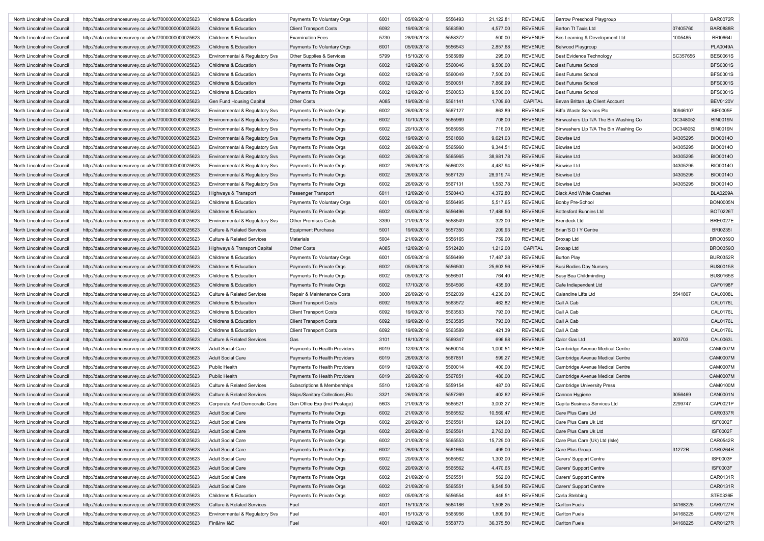| North Lincolnshire Council | http://data.ordnancesurvey.co.uk/id/7000000000025623 | Childrens & Education                 | Payments To Voluntary Orgs      | 6001 | 05/09/2018 | 5556493 | 21,122.81 | <b>REVENUE</b> | <b>Barrow Preschool Playgroup</b>     |          | <b>BAR0072R</b> |
|----------------------------|------------------------------------------------------|---------------------------------------|---------------------------------|------|------------|---------|-----------|----------------|---------------------------------------|----------|-----------------|
| North Lincolnshire Council | http://data.ordnancesurvey.co.uk/id/7000000000025623 | Childrens & Education                 | <b>Client Transport Costs</b>   | 6092 | 19/09/2018 | 5563590 | 4,577.00  | <b>REVENUE</b> | <b>Barton Tt Taxis Ltd</b>            | 07405760 | <b>BAR0888R</b> |
| North Lincolnshire Council | http://data.ordnancesurvey.co.uk/id/7000000000025623 | Childrens & Education                 | <b>Examination Fees</b>         | 5730 | 28/09/2018 | 5558372 | 500.00    | <b>REVENUE</b> | Bcs Learning & Development Ltd        | 1005485  | <b>BRI06641</b> |
| North Lincolnshire Council | http://data.ordnancesurvey.co.uk/id/7000000000025623 | Childrens & Education                 | Payments To Voluntary Orgs      | 6001 | 05/09/2018 | 5556543 | 2,857.68  | <b>REVENUE</b> | <b>Belwood Playgroup</b>              |          | <b>PLA0049A</b> |
| North Lincolnshire Council | http://data.ordnancesurvey.co.uk/id/7000000000025623 | Environmental & Regulatory Svs        | Other Supplies & Services       | 5799 | 15/10/2018 | 5565989 | 295.00    | <b>REVENUE</b> | <b>Best Evidence Technology</b>       | SC357656 | <b>BES0061S</b> |
| North Lincolnshire Council | http://data.ordnancesurvey.co.uk/id/7000000000025623 | Childrens & Education                 | Payments To Private Orgs        | 6002 | 12/09/2018 | 5560046 | 9,500.00  | <b>REVENUE</b> | <b>Best Futures School</b>            |          | <b>BFS0001S</b> |
| North Lincolnshire Council | http://data.ordnancesurvey.co.uk/id/7000000000025623 | Childrens & Education                 | Payments To Private Orgs        | 6002 | 12/09/2018 | 5560049 | 7,500.00  | <b>REVENUE</b> | <b>Best Futures School</b>            |          | <b>BFS0001S</b> |
| North Lincolnshire Council | http://data.ordnancesurvey.co.uk/id/7000000000025623 | Childrens & Education                 | Payments To Private Orgs        | 6002 | 12/09/2018 | 5560051 | 7,866.99  | <b>REVENUE</b> | <b>Best Futures School</b>            |          | <b>BFS0001S</b> |
| North Lincolnshire Council | http://data.ordnancesurvey.co.uk/id/7000000000025623 | Childrens & Education                 | Payments To Private Orgs        | 6002 | 12/09/2018 | 5560053 | 9,500.00  | <b>REVENUE</b> | <b>Best Futures School</b>            |          | <b>BFS0001S</b> |
| North Lincolnshire Council | http://data.ordnancesurvey.co.uk/id/7000000000025623 | Gen Fund Housing Capital              | Other Costs                     | A085 | 19/09/2018 | 5561141 | 1,709.60  | CAPITAL        | Bevan Brittan Llp Client Account      |          | <b>BEV0120V</b> |
| North Lincolnshire Council | http://data.ordnancesurvey.co.uk/id/7000000000025623 | Environmental & Regulatory Svs        | Payments To Private Orgs        | 6002 | 26/09/2018 | 5567127 | 863.89    | <b>REVENUE</b> | Biffa Waste Services Plc              | 00946107 | <b>BIF0005F</b> |
| North Lincolnshire Council | http://data.ordnancesurvey.co.uk/id/7000000000025623 | Environmental & Regulatory Svs        | Payments To Private Orgs        | 6002 | 10/10/2018 | 5565969 | 708.00    | <b>REVENUE</b> | Binwashers Llp T/A The Bin Washing Co | OC348052 | <b>BIN0019N</b> |
| North Lincolnshire Council | http://data.ordnancesurvey.co.uk/id/7000000000025623 | Environmental & Regulatory Svs        | Payments To Private Orgs        | 6002 | 20/10/2018 | 5565958 | 716.00    | <b>REVENUE</b> | Binwashers Llp T/A The Bin Washing Co | OC348052 | <b>BIN0019N</b> |
| North Lincolnshire Council | http://data.ordnancesurvey.co.uk/id/7000000000025623 | Environmental & Regulatory Svs        | Payments To Private Orgs        | 6002 | 19/09/2018 | 5561868 | 9,621.03  | <b>REVENUE</b> | <b>Biowise Ltd</b>                    | 04305295 | <b>BIO0014O</b> |
| North Lincolnshire Council | http://data.ordnancesurvey.co.uk/id/7000000000025623 | Environmental & Regulatory Svs        | Payments To Private Orgs        | 6002 | 26/09/2018 | 5565960 | 9,344.51  | <b>REVENUE</b> | <b>Biowise Ltd</b>                    | 04305295 | <b>BIO0014O</b> |
| North Lincolnshire Council | http://data.ordnancesurvey.co.uk/id/7000000000025623 | Environmental & Regulatory Svs        | Payments To Private Orgs        | 6002 | 26/09/2018 | 5565965 | 38,981.78 | <b>REVENUE</b> | <b>Biowise Ltd</b>                    | 04305295 | <b>BIO0014O</b> |
| North Lincolnshire Council | http://data.ordnancesurvey.co.uk/id/7000000000025623 | Environmental & Regulatory Svs        | Payments To Private Orgs        | 6002 | 26/09/2018 | 5566023 | 4,487.94  | <b>REVENUE</b> | <b>Biowise Ltd</b>                    | 04305295 | <b>BIO0014O</b> |
| North Lincolnshire Council | http://data.ordnancesurvey.co.uk/id/7000000000025623 | Environmental & Regulatory Svs        | Payments To Private Orgs        | 6002 | 26/09/2018 | 5567129 | 28,919.74 | <b>REVENUE</b> | <b>Biowise Ltd</b>                    | 04305295 | <b>BIO0014O</b> |
| North Lincolnshire Council | http://data.ordnancesurvey.co.uk/id/7000000000025623 | Environmental & Regulatory Svs        | Payments To Private Orgs        | 6002 | 26/09/2018 | 5567131 | 1,583.78  | <b>REVENUE</b> | <b>Biowise Ltd</b>                    | 04305295 | <b>BIO0014O</b> |
| North Lincolnshire Council | http://data.ordnancesurvey.co.uk/id/7000000000025623 | Highways & Transport                  | Passenger Transport             | 6011 | 12/09/2018 | 5560443 | 4,372.80  | <b>REVENUE</b> | <b>Black And White Coaches</b>        |          | <b>BLA0209A</b> |
| North Lincolnshire Council | http://data.ordnancesurvey.co.uk/id/7000000000025623 | Childrens & Education                 | Payments To Voluntary Orgs      | 6001 | 05/09/2018 | 5556495 | 5,517.65  | <b>REVENUE</b> | <b>Bonby Pre-School</b>               |          | <b>BON0005N</b> |
| North Lincolnshire Council | http://data.ordnancesurvey.co.uk/id/7000000000025623 | Childrens & Education                 | Payments To Private Orgs        | 6002 | 05/09/2018 | 5556496 | 17,486.50 | <b>REVENUE</b> | <b>Bottesford Bunnies Ltd</b>         |          | <b>BOT0226T</b> |
| North Lincolnshire Council | http://data.ordnancesurvey.co.uk/id/7000000000025623 | Environmental & Regulatory Svs        | Other Premises Costs            | 3390 | 21/09/2018 | 5558549 | 323.00    | <b>REVENUE</b> | <b>Brendeck Ltd</b>                   |          | <b>BRE0027E</b> |
| North Lincolnshire Council | http://data.ordnancesurvey.co.uk/id/7000000000025623 | <b>Culture &amp; Related Services</b> | <b>Equipment Purchase</b>       | 5001 | 19/09/2018 | 5557350 | 209.93    | <b>REVENUE</b> | Brian'S D I Y Centre                  |          | <b>BRI0235I</b> |
| North Lincolnshire Council | http://data.ordnancesurvey.co.uk/id/7000000000025623 | <b>Culture &amp; Related Services</b> | Materials                       | 5004 | 21/09/2018 | 5556165 | 759.00    | <b>REVENUE</b> | Broxap Ltd                            |          | <b>BRO0359O</b> |
| North Lincolnshire Council | http://data.ordnancesurvey.co.uk/id/7000000000025623 | Highways & Transport Capital          | <b>Other Costs</b>              | A085 | 12/09/2018 | 5512420 | 1,212.00  | CAPITAL        | <b>Broxap Ltd</b>                     |          | <b>BRO0359O</b> |
|                            |                                                      |                                       |                                 |      | 05/09/2018 | 5556499 |           | <b>REVENUE</b> |                                       |          |                 |
| North Lincolnshire Council | http://data.ordnancesurvey.co.uk/id/7000000000025623 | Childrens & Education                 | Payments To Voluntary Orgs      | 6001 |            |         | 17,487.28 |                | <b>Burton Play</b>                    |          | <b>BUR0352R</b> |
| North Lincolnshire Council | http://data.ordnancesurvey.co.uk/id/7000000000025623 | Childrens & Education                 | Payments To Private Orgs        | 6002 | 05/09/2018 | 5556500 | 25,603.56 | <b>REVENUE</b> | <b>Busi Bodies Day Nursery</b>        |          | <b>BUS0015S</b> |
| North Lincolnshire Council | http://data.ordnancesurvey.co.uk/id/7000000000025623 | Childrens & Education                 | Payments To Private Orgs        | 6002 | 05/09/2018 | 5556501 | 764.40    | <b>REVENUE</b> | <b>Busy Bea Childminding</b>          |          | <b>BUS0165S</b> |
| North Lincolnshire Council | http://data.ordnancesurvey.co.uk/id/7000000000025623 | Childrens & Education                 | Payments To Private Orgs        | 6002 | 17/10/2018 | 5564506 | 435.90    | <b>REVENUE</b> | Cafe Indiependent Ltd                 |          | <b>CAF0198F</b> |
| North Lincolnshire Council | http://data.ordnancesurvey.co.uk/id/7000000000025623 | <b>Culture &amp; Related Services</b> | Repair & Maintenance Costs      | 3000 | 26/09/2018 | 5562039 | 4,230.00  | <b>REVENUE</b> | Calandine Lifts Ltd                   | 5541807  | <b>CAL0008L</b> |
| North Lincolnshire Council | http://data.ordnancesurvey.co.uk/id/7000000000025623 | Childrens & Education                 | <b>Client Transport Costs</b>   | 6092 | 19/09/2018 | 5563572 | 462.82    | <b>REVENUE</b> | Call A Cab                            |          | <b>CAL0176L</b> |
| North Lincolnshire Council | http://data.ordnancesurvey.co.uk/id/7000000000025623 | Childrens & Education                 | <b>Client Transport Costs</b>   | 6092 | 19/09/2018 | 5563583 | 793.00    | <b>REVENUE</b> | Call A Cab                            |          | CAL0176L        |
| North Lincolnshire Council | http://data.ordnancesurvey.co.uk/id/7000000000025623 | Childrens & Education                 | <b>Client Transport Costs</b>   | 6092 | 19/09/2018 | 5563585 | 793.00    | <b>REVENUE</b> | Call A Cab                            |          | <b>CAL0176L</b> |
| North Lincolnshire Council | http://data.ordnancesurvey.co.uk/id/7000000000025623 | Childrens & Education                 | <b>Client Transport Costs</b>   | 6092 | 19/09/2018 | 5563589 | 421.39    | <b>REVENUE</b> | Call A Cab                            |          | <b>CAL0176L</b> |
| North Lincolnshire Council | http://data.ordnancesurvey.co.uk/id/7000000000025623 | <b>Culture &amp; Related Services</b> | Gas                             | 3101 | 18/10/2018 | 5569347 | 696.68    | <b>REVENUE</b> | Calor Gas Ltd                         | 303703   | CAL0063L        |
| North Lincolnshire Council | http://data.ordnancesurvey.co.uk/id/7000000000025623 | <b>Adult Social Care</b>              | Payments To Health Providers    | 6019 | 12/09/2018 | 5560014 | 1,000.51  | <b>REVENUE</b> | Cambridge Avenue Medical Centre       |          | <b>CAM0007M</b> |
| North Lincolnshire Council | http://data.ordnancesurvey.co.uk/id/7000000000025623 | <b>Adult Social Care</b>              | Payments To Health Providers    | 6019 | 26/09/2018 | 5567851 | 599.27    | <b>REVENUE</b> | Cambridge Avenue Medical Centre       |          | <b>CAM0007M</b> |
| North Lincolnshire Council | http://data.ordnancesurvey.co.uk/id/7000000000025623 | Public Health                         | Payments To Health Providers    | 6019 | 12/09/2018 | 5560014 | 400.00    | <b>REVENUE</b> | Cambridge Avenue Medical Centre       |          | <b>CAM0007M</b> |
| North Lincolnshire Council | http://data.ordnancesurvey.co.uk/id/7000000000025623 | <b>Public Health</b>                  | Payments To Health Providers    | 6019 | 26/09/2018 | 5567851 | 480.00    | <b>REVENUE</b> | Cambridge Avenue Medical Centre       |          | <b>CAM0007M</b> |
| North Lincolnshire Council | http://data.ordnancesurvey.co.uk/id/7000000000025623 | <b>Culture &amp; Related Services</b> | Subscriptions & Memberships     | 5510 | 12/09/2018 | 5559154 | 487.00    | <b>REVENUE</b> | <b>Cambridge University Press</b>     |          | <b>CAM0100M</b> |
| North Lincolnshire Council | http://data.ordnancesurvey.co.uk/id/7000000000025623 | <b>Culture &amp; Related Services</b> | Skips/Sanitary Collections, Etc | 3321 | 26/09/2018 | 5557269 | 402.62    | <b>REVENUE</b> | Cannon Hygiene                        | 3056469  | CAN0001N        |
| North Lincolnshire Council | http://data.ordnancesurvey.co.uk/id/7000000000025623 | Corporate And Democratic Core         | Gen Office Exp (Incl Postage)   | 5603 | 21/09/2018 | 5565521 | 3,003.27  | <b>REVENUE</b> | Capita Business Services Ltd          | 2299747  | CAP0021P        |
| North Lincolnshire Council | http://data.ordnancesurvey.co.uk/id/7000000000025623 | <b>Adult Social Care</b>              | Payments To Private Orgs        | 6002 | 21/09/2018 | 5565552 | 10,569.47 | <b>REVENUE</b> | Care Plus Care Ltd                    |          | CAR0337R        |
| North Lincolnshire Council | http://data.ordnancesurvey.co.uk/id/7000000000025623 | <b>Adult Social Care</b>              | Payments To Private Orgs        | 6002 | 20/09/2018 | 5565561 | 924.00    | REVENUE        | Care Plus Care Uk Ltd                 |          | <b>ISF0002F</b> |
| North Lincolnshire Council | http://data.ordnancesurvey.co.uk/id/7000000000025623 | <b>Adult Social Care</b>              | Payments To Private Orgs        | 6002 | 20/09/2018 | 5565561 | 2,763.00  | REVENUE        | Care Plus Care Uk Ltd                 |          | <b>ISF0002F</b> |
| North Lincolnshire Council | http://data.ordnancesurvey.co.uk/id/7000000000025623 | <b>Adult Social Care</b>              | Payments To Private Orgs        | 6002 | 21/09/2018 | 5565553 | 15,729.00 | <b>REVENUE</b> | Care Plus Care (Uk) Ltd (Isle)        |          | CAR0542R        |
| North Lincolnshire Council | http://data.ordnancesurvey.co.uk/id/7000000000025623 | <b>Adult Social Care</b>              | Payments To Private Orgs        | 6002 | 26/09/2018 | 5561664 | 495.00    | <b>REVENUE</b> | Care Plus Group                       | 31272R   | CAR0264R        |
| North Lincolnshire Council | http://data.ordnancesurvey.co.uk/id/7000000000025623 | <b>Adult Social Care</b>              | Payments To Private Orgs        | 6002 | 20/09/2018 | 5565562 | 1,303.00  | <b>REVENUE</b> | Carers' Support Centre                |          | <b>ISF0003F</b> |
| North Lincolnshire Council | http://data.ordnancesurvey.co.uk/id/7000000000025623 | <b>Adult Social Care</b>              | Payments To Private Orgs        | 6002 | 20/09/2018 | 5565562 | 4,470.65  | <b>REVENUE</b> | Carers' Support Centre                |          | <b>ISF0003F</b> |
| North Lincolnshire Council | http://data.ordnancesurvey.co.uk/id/7000000000025623 | Adult Social Care                     | Payments To Private Orgs        | 6002 | 21/09/2018 | 5565551 | 562.00    | <b>REVENUE</b> | Carers' Support Centre                |          | CAR0131R        |
| North Lincolnshire Council | http://data.ordnancesurvey.co.uk/id/7000000000025623 | <b>Adult Social Care</b>              | Payments To Private Orgs        | 6002 | 21/09/2018 | 5565551 | 9,548.50  | <b>REVENUE</b> | Carers' Support Centre                |          | CAR0131R        |
| North Lincolnshire Council | http://data.ordnancesurvey.co.uk/id/7000000000025623 | Childrens & Education                 | Payments To Private Orgs        | 6002 | 05/09/2018 | 5556554 | 446.51    | <b>REVENUE</b> | Carla Stebbing                        |          | STE0336E        |
| North Lincolnshire Council | http://data.ordnancesurvey.co.uk/id/7000000000025623 | <b>Culture &amp; Related Services</b> | Fuel                            | 4001 | 15/10/2018 | 5564186 | 1,508.25  | <b>REVENUE</b> | <b>Carlton Fuels</b>                  | 04168225 | CAR0127R        |
| North Lincolnshire Council | http://data.ordnancesurvey.co.uk/id/7000000000025623 | Environmental & Regulatory Svs        | Fuel                            | 4001 | 15/10/2018 | 5565956 | 1,809.90  | <b>REVENUE</b> | <b>Carlton Fuels</b>                  | 04168225 | CAR0127R        |
| North Lincolnshire Council | http://data.ordnancesurvey.co.uk/id/7000000000025623 | Fin&Inv I&E                           | Fuel                            | 4001 | 12/09/2018 | 5558773 | 36,375.50 | REVENUE        | <b>Carlton Fuels</b>                  | 04168225 | CAR0127R        |
|                            |                                                      |                                       |                                 |      |            |         |           |                |                                       |          |                 |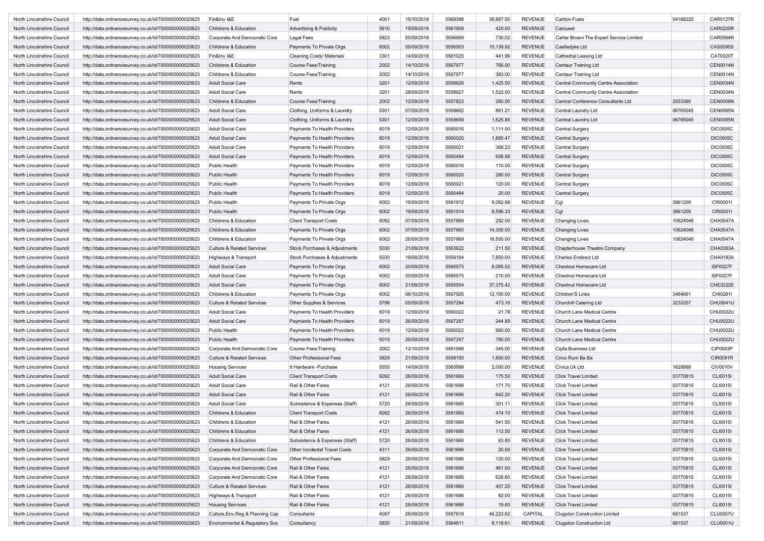| North Lincolnshire Council | http://data.ordnancesurvey.co.uk/id/7000000000025623 | Fin&Inv I&E                                      | Fuel                               | 4001 | 15/10/2018 | 5569398 | 36,887.55 | <b>REVENUE</b> | <b>Carlton Fuels</b>                    | 04168225 | CAR0127R        |
|----------------------------|------------------------------------------------------|--------------------------------------------------|------------------------------------|------|------------|---------|-----------|----------------|-----------------------------------------|----------|-----------------|
| North Lincolnshire Council | http://data.ordnancesurvey.co.uk/id/7000000000025623 | Childrens & Education                            | <b>Advertising &amp; Publicity</b> | 5610 | 19/09/2018 | 5561909 | 420.00    | <b>REVENUE</b> | Carousel                                |          | <b>CAR0220R</b> |
| North Lincolnshire Council | http://data.ordnancesurvey.co.uk/id/7000000000025623 | Corporate And Democratic Core                    | <b>Legal Fees</b>                  | 5823 | 05/09/2018 | 5556589 | 730.02    | <b>REVENUE</b> | Carter Brown The Expert Service Limited |          | CAR0564R        |
| North Lincolnshire Council | http://data.ordnancesurvey.co.uk/id/7000000000025623 | Childrens & Education                            | Payments To Private Orgs           | 6002 | 05/09/2018 | 5556503 | 10,139.92 | <b>REVENUE</b> | Castledyke Ltd                          |          | CAS0095S        |
| North Lincolnshire Council |                                                      | Fin&Inv I&E                                      |                                    | 3301 | 14/09/2018 | 5561025 |           | <b>REVENUE</b> |                                         |          | CAT0020T        |
|                            | http://data.ordnancesurvey.co.uk/id/7000000000025623 |                                                  | <b>Cleaning Costs/ Materials</b>   |      |            |         | 441.99    |                | Cathedral Leasing Ltd                   |          |                 |
| North Lincolnshire Council | http://data.ordnancesurvey.co.uk/id/7000000000025623 | Childrens & Education                            | <b>Course Fees/Training</b>        | 2002 | 14/10/2018 | 5567977 | 766.00    | <b>REVENUE</b> | <b>Centaur Training Ltd</b>             |          | <b>CEN0014N</b> |
| North Lincolnshire Council | http://data.ordnancesurvey.co.uk/id/7000000000025623 | Childrens & Education                            | <b>Course Fees/Training</b>        | 2002 | 14/10/2018 | 5567977 | 383.00    | <b>REVENUE</b> | Centaur Training Ltd                    |          | <b>CEN0014N</b> |
| North Lincolnshire Council | http://data.ordnancesurvey.co.uk/id/7000000000025623 | <b>Adult Social Care</b>                         | Rents                              | 3201 | 12/09/2018 | 5558626 | 1,425.50  | <b>REVENUE</b> | Central Community Centre Association    |          | <b>CEN0034N</b> |
| North Lincolnshire Council | http://data.ordnancesurvey.co.uk/id/7000000000025623 | <b>Adult Social Care</b>                         | Rents                              | 3201 | 28/09/2018 | 5558627 | 1,522.50  | <b>REVENUE</b> | Central Community Centre Association    |          | <b>CEN0034N</b> |
| North Lincolnshire Council | http://data.ordnancesurvey.co.uk/id/7000000000025623 | Childrens & Education                            | <b>Course Fees/Training</b>        | 2002 | 12/09/2018 | 5557822 | 260.00    | <b>REVENUE</b> | Central Conference Consultants Ltd      | 2933380  | <b>CEN0006N</b> |
| North Lincolnshire Council | http://data.ordnancesurvey.co.uk/id/7000000000025623 | <b>Adult Social Care</b>                         | Clothing, Uniforms & Laundry       | 5301 | 07/09/2018 | 5558662 | 861.21    | <b>REVENUE</b> | Central Laundry Ltd                     | 06765045 | <b>CEN0085N</b> |
| North Lincolnshire Council | http://data.ordnancesurvey.co.uk/id/7000000000025623 | <b>Adult Social Care</b>                         | Clothing, Uniforms & Laundry       | 5301 | 12/09/2018 | 5558659 | 1,625.85  | <b>REVENUE</b> | Central Laundry Ltd                     | 06765045 | <b>CEN0085N</b> |
| North Lincolnshire Council | http://data.ordnancesurvey.co.uk/id/7000000000025623 | <b>Adult Social Care</b>                         | Payments To Health Providers       | 6019 | 12/09/2018 | 5560016 | 1,111.50  | REVENUE        | <b>Central Surgery</b>                  |          | <b>DIC0005C</b> |
| North Lincolnshire Council | http://data.ordnancesurvey.co.uk/id/7000000000025623 | <b>Adult Social Care</b>                         | Payments To Health Providers       | 6019 | 12/09/2018 | 5560020 | 1,885.47  | <b>REVENUE</b> | <b>Central Surgery</b>                  |          | <b>DIC0005C</b> |
| North Lincolnshire Council | http://data.ordnancesurvey.co.uk/id/7000000000025623 | <b>Adult Social Care</b>                         | Payments To Health Providers       | 6019 | 12/09/2018 | 5560021 | 368.23    | <b>REVENUE</b> | Central Surgery                         |          | <b>DIC0005C</b> |
| North Lincolnshire Council | http://data.ordnancesurvey.co.uk/id/7000000000025623 | <b>Adult Social Care</b>                         | Payments To Health Providers       | 6019 | 12/09/2018 | 5560494 | 658.98    | <b>REVENUE</b> | <b>Central Surgery</b>                  |          | <b>DIC0005C</b> |
| North Lincolnshire Council | http://data.ordnancesurvey.co.uk/id/7000000000025623 | <b>Public Health</b>                             | Payments To Health Providers       | 6019 | 12/09/2018 | 5560016 | 110.00    | REVENUE        | Central Surgery                         |          | <b>DIC0005C</b> |
| North Lincolnshire Council | http://data.ordnancesurvey.co.uk/id/7000000000025623 | Public Health                                    | Payments To Health Providers       | 6019 | 12/09/2018 | 5560020 | 280.00    | <b>REVENUE</b> | <b>Central Surgery</b>                  |          | <b>DIC0005C</b> |
| North Lincolnshire Council | http://data.ordnancesurvey.co.uk/id/7000000000025623 | Public Health                                    | Payments To Health Providers       | 6019 | 12/09/2018 | 5560021 | 120.00    | <b>REVENUE</b> | Central Surgery                         |          | <b>DIC0005C</b> |
| North Lincolnshire Council | http://data.ordnancesurvey.co.uk/id/7000000000025623 | Public Health                                    | Payments To Health Providers       | 6019 | 12/09/2018 | 5560494 | 20.00     | <b>REVENUE</b> | <b>Central Surgery</b>                  |          | <b>DIC0005C</b> |
| North Lincolnshire Council | http://data.ordnancesurvey.co.uk/id/7000000000025623 | Public Health                                    | Payments To Private Orgs           | 6002 | 19/09/2018 | 5561912 | 9,082.99  | <b>REVENUE</b> | Cgl                                     | 3861209  | CRI0001I        |
| North Lincolnshire Council | http://data.ordnancesurvey.co.uk/id/7000000000025623 | Public Health                                    | Payments To Private Orgs           | 6002 | 19/09/2018 | 5561914 | 8,596.33  | <b>REVENUE</b> | Cgl                                     | 3861209  | CRI0001I        |
| North Lincolnshire Council | http://data.ordnancesurvey.co.uk/id/7000000000025623 | Childrens & Education                            | <b>Client Transport Costs</b>      | 6092 | 07/09/2018 | 5557868 | 292.00    | <b>REVENUE</b> | <b>Changing Lives</b>                   | 10624046 | CHA0547A        |
| North Lincolnshire Council | http://data.ordnancesurvey.co.uk/id/7000000000025623 | <b>Childrens &amp; Education</b>                 | Payments To Private Orgs           | 6002 | 07/09/2018 | 5557865 | 14,300.00 | <b>REVENUE</b> | <b>Changing Lives</b>                   | 10624046 | <b>CHA0547A</b> |
| North Lincolnshire Council | http://data.ordnancesurvey.co.uk/id/7000000000025623 | Childrens & Education                            | Payments To Private Orgs           | 6002 | 26/09/2018 | 5557869 | 16,500.00 | <b>REVENUE</b> | <b>Changing Lives</b>                   | 10624046 | CHA0547A        |
| North Lincolnshire Council | http://data.ordnancesurvey.co.uk/id/7000000000025623 | <b>Culture &amp; Related Services</b>            | Stock Purchases & Adjustments      | 5030 | 21/09/2018 | 5563622 | 211.50    | <b>REVENUE</b> | Chapterhouse Theatre Company            |          | CHA0363A        |
| North Lincolnshire Council | http://data.ordnancesurvey.co.uk/id/7000000000025623 |                                                  | Stock Purchases & Adjustments      | 5030 | 19/09/2018 | 5556164 | 7,850.00  | <b>REVENUE</b> | <b>Charles Endirect Ltd</b>             |          | CHA0183A        |
| North Lincolnshire Council | http://data.ordnancesurvey.co.uk/id/7000000000025623 | Highways & Transport<br><b>Adult Social Care</b> |                                    | 6002 | 20/09/2018 | 5565575 | 8,085.52  | REVENUE        | Chestnut Homecare Ltd                   |          | <b>ISF0027F</b> |
|                            |                                                      |                                                  | Payments To Private Orgs           |      |            |         |           |                |                                         |          |                 |
| North Lincolnshire Council | http://data.ordnancesurvey.co.uk/id/7000000000025623 | <b>Adult Social Care</b>                         | Payments To Private Orgs           | 6002 | 20/09/2018 | 5565575 | 210.00    | <b>REVENUE</b> | Chestnut Homecare Ltd                   |          | <b>ISF0027F</b> |
| North Lincolnshire Council | http://data.ordnancesurvey.co.uk/id/7000000000025623 | <b>Adult Social Care</b>                         | Payments To Private Orgs           | 6002 | 21/09/2018 | 5565554 | 37,375.42 | <b>REVENUE</b> | Chestnut Homecare Ltd                   |          | CHE0222E        |
| North Lincolnshire Council | http://data.ordnancesurvey.co.uk/id/7000000000025623 | Childrens & Education                            | Payments To Private Orgs           | 6002 | 06/10/2018 | 5567925 | 12,100.00 | REVENUE        | Children'S Links                        | 3484661  | CHI0281I        |
| North Lincolnshire Council | http://data.ordnancesurvey.co.uk/id/7000000000025623 | <b>Culture &amp; Related Services</b>            | Other Supplies & Services          | 5799 | 05/09/2018 | 5557284 | 473.16    | <b>REVENUE</b> | Churchill Catering Ltd                  | 3233257  | CHU0041U        |
| North Lincolnshire Council | http://data.ordnancesurvey.co.uk/id/7000000000025623 | <b>Adult Social Care</b>                         | Payments To Health Providers       | 6019 | 12/09/2018 | 5560022 | 21.78     | <b>REVENUE</b> | Church Lane Medical Centre              |          | CHU0022U        |
| North Lincolnshire Council | http://data.ordnancesurvey.co.uk/id/7000000000025623 | <b>Adult Social Care</b>                         | Payments To Health Providers       | 6019 | 26/09/2018 | 5567297 | 244.89    | <b>REVENUE</b> | Church Lane Medical Centre              |          | CHU0022U        |
| North Lincolnshire Council | http://data.ordnancesurvey.co.uk/id/7000000000025623 | Public Health                                    | Payments To Health Providers       | 6019 | 12/09/2018 | 5560022 | 960.00    | REVENUE        | Church Lane Medical Centre              |          | CHU0022U        |
| North Lincolnshire Council | http://data.ordnancesurvey.co.uk/id/7000000000025623 | Public Health                                    | Payments To Health Providers       | 6019 | 26/09/2018 | 5567297 | 780.00    | <b>REVENUE</b> | Church Lane Medical Centre              |          | CHU0022U        |
| North Lincolnshire Council | http://data.ordnancesurvey.co.uk/id/7000000000025623 | Corporate And Democratic Core                    | <b>Course Fees/Training</b>        | 2002 | 12/10/2018 | 5561588 | 345.00    | <b>REVENUE</b> | Cipfa Business Ltd                      |          | CIP0003P        |
| North Lincolnshire Council | http://data.ordnancesurvey.co.uk/id/7000000000025623 | <b>Culture &amp; Related Services</b>            | Other Professional Fees            | 5829 | 21/09/2018 | 5559150 | 1,800.00  | <b>REVENUE</b> | Circo Rum Ba Ba                         |          | CIR0091R        |
| North Lincolnshire Council | http://data.ordnancesurvey.co.uk/id/7000000000025623 | <b>Housing Services</b>                          | It Hardware - Purchase             | 5050 | 14/09/2018 | 5560999 | 2,000.00  | <b>REVENUE</b> | Civica Uk Ltd                           | 1628868  | <b>CIV0010V</b> |
| North Lincolnshire Council | http://data.ordnancesurvey.co.uk/id/7000000000025623 | <b>Adult Social Care</b>                         | <b>Client Transport Costs</b>      | 6092 | 26/09/2018 | 5561666 | 175.50    | <b>REVENUE</b> | <b>Click Travel Limited</b>             | 03770815 | <b>CLI0015I</b> |
| North Lincolnshire Council | http://data.ordnancesurvey.co.uk/id/7000000000025623 | <b>Adult Social Care</b>                         | Rail & Other Fares                 | 4121 | 26/09/2018 | 5561666 | 171.70    | <b>REVENUE</b> | <b>Click Travel Limited</b>             | 03770815 | CLI0015I        |
| North Lincolnshire Council | http://data.ordnancesurvey.co.uk/id/7000000000025623 | <b>Adult Social Care</b>                         | Rail & Other Fares                 | 4121 | 26/09/2018 | 5561666 | 642.20    | <b>REVENUE</b> | <b>Click Travel Limited</b>             | 03770815 | CLI0015I        |
| North Lincolnshire Council | http://data.ordnancesurvey.co.uk/id/7000000000025623 | <b>Adult Social Care</b>                         | Subsistence & Expenses (Staff)     | 5720 | 26/09/2018 | 5561666 | 301.11    | <b>REVENUE</b> | <b>Click Travel Limited</b>             | 03770815 | <b>CLI0015I</b> |
| North Lincolnshire Council | http://data.ordnancesurvey.co.uk/id/7000000000025623 | Childrens & Education                            | <b>Client Transport Costs</b>      | 6092 | 26/09/2018 | 5561666 | 474.10    | <b>REVENUE</b> | <b>Click Travel Limited</b>             | 03770815 | CLI0015I        |
| North Lincolnshire Council | http://data.ordnancesurvey.co.uk/id/7000000000025623 | Childrens & Education                            | Rail & Other Fares                 | 4121 | 26/09/2018 | 5561666 | 541.50    | REVENUE        | Click Travel Limited                    | 03770815 | CLI0015I        |
| North Lincolnshire Council | http://data.ordnancesurvey.co.uk/id/7000000000025623 | Childrens & Education                            | Rail & Other Fares                 | 4121 | 26/09/2018 | 5561666 | 112.50    | <b>REVENUE</b> | <b>Click Travel Limited</b>             | 03770815 | CLI0015I        |
| North Lincolnshire Council | http://data.ordnancesurvey.co.uk/id/7000000000025623 | Childrens & Education                            | Subsistence & Expenses (Staff)     | 5720 | 26/09/2018 | 5561666 | 63.80     | <b>REVENUE</b> | <b>Click Travel Limited</b>             | 03770815 | CLI0015I        |
| North Lincolnshire Council | http://data.ordnancesurvey.co.uk/id/7000000000025623 | Corporate And Democratic Core                    | Other Incidental Travel Costs      | 4311 | 26/09/2018 | 5561666 | 20.50     | <b>REVENUE</b> | <b>Click Travel Limited</b>             | 03770815 | <b>CLI0015I</b> |
| North Lincolnshire Council | http://data.ordnancesurvey.co.uk/id/7000000000025623 | Corporate And Democratic Core                    | Other Professional Fees            | 5829 | 26/09/2018 | 5561666 | 120.00    | <b>REVENUE</b> | <b>Click Travel Limited</b>             | 03770815 | CLI0015I        |
| North Lincolnshire Council | http://data.ordnancesurvey.co.uk/id/7000000000025623 | Corporate And Democratic Core                    | Rail & Other Fares                 | 4121 | 26/09/2018 | 5561666 | 461.00    | <b>REVENUE</b> | <b>Click Travel Limited</b>             | 03770815 | <b>CLI0015I</b> |
| North Lincolnshire Council | http://data.ordnancesurvey.co.uk/id/7000000000025623 | Corporate And Democratic Core                    | Rail & Other Fares                 | 4121 | 26/09/2018 | 5561666 | 628.60    | <b>REVENUE</b> | <b>Click Travel Limited</b>             | 03770815 | CLI0015I        |
|                            |                                                      |                                                  |                                    |      |            |         |           | <b>REVENUE</b> |                                         | 03770815 |                 |
| North Lincolnshire Council | http://data.ordnancesurvey.co.uk/id/7000000000025623 | <b>Culture &amp; Related Services</b>            | Rail & Other Fares                 | 4121 | 26/09/2018 | 5561666 | 407.20    |                | <b>Click Travel Limited</b>             |          | CLI0015I        |
| North Lincolnshire Council | http://data.ordnancesurvey.co.uk/id/7000000000025623 | Highways & Transport                             | Rail & Other Fares                 | 4121 | 26/09/2018 | 5561666 | 82.00     | <b>REVENUE</b> | <b>Click Travel Limited</b>             | 03770815 | CLI0015I        |
| North Lincolnshire Council | http://data.ordnancesurvey.co.uk/id/7000000000025623 | <b>Housing Services</b>                          | Rail & Other Fares                 | 4121 | 26/09/2018 | 5561666 | 19.60     | <b>REVENUE</b> | <b>Click Travel Limited</b>             | 03770815 | CLI0015I        |
| North Lincolnshire Council | http://data.ordnancesurvey.co.uk/id/7000000000025623 | Culture, Env, Reg & Planning Cap                 | Consultants                        | A087 | 26/09/2018 | 5567818 | 48,223.62 | CAPITAL        | <b>Clugston Construction Limited</b>    | 681537   | <b>CLU0007U</b> |
| North Lincolnshire Council | http://data.ordnancesurvey.co.uk/id/7000000000025623 | Environmental & Regulatory Svs                   | Consultancy                        | 5830 | 21/09/2018 | 5564611 | 8,118.61  | REVENUE        | <b>Clugston Construction Ltd</b>        | 681537   | <b>CLU0001U</b> |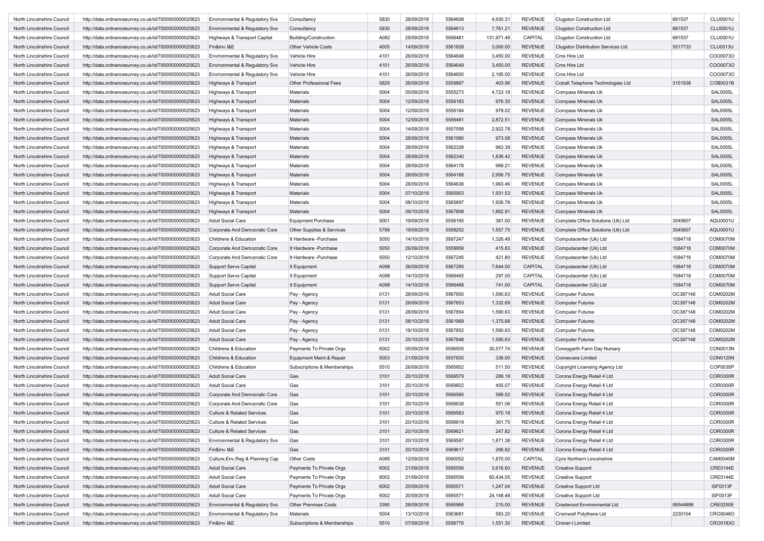| North Lincolnshire Council | http://data.ordnancesurvey.co.uk/id/7000000000025623 | <b>Environmental &amp; Regulatory Svs</b> | Consultancy                 | 5830 | 28/09/2018 | 5564608 | 4,930.31   | <b>REVENUE</b> | <b>Clugston Construction Ltd</b>          | 681537   | <b>CLU0001U</b> |
|----------------------------|------------------------------------------------------|-------------------------------------------|-----------------------------|------|------------|---------|------------|----------------|-------------------------------------------|----------|-----------------|
| North Lincolnshire Council | http://data.ordnancesurvey.co.uk/id/7000000000025623 | Environmental & Regulatory Svs            | Consultancy                 | 5830 | 28/09/2018 | 5564613 | 7,761.21   | <b>REVENUE</b> | <b>Clugston Construction Ltd</b>          | 681537   | <b>CLU0001U</b> |
| North Lincolnshire Council | http://data.ordnancesurvey.co.uk/id/7000000000025623 | Highways & Transport Capital              | Building/Construction       | A082 | 28/09/2018 | 5569481 | 131,971.48 | CAPITAL        | <b>Clugston Construction Ltd</b>          | 681537   | CLU0001U        |
| North Lincolnshire Council | http://data.ordnancesurvey.co.uk/id/7000000000025623 | Fin&Inv I&E                               | Other Vehicle Costs         | 4005 | 14/09/2018 | 5561828 | 3,000.00   | <b>REVENUE</b> | <b>Clugston Distribution Services Ltd</b> | 5517733  | <b>CLU0013U</b> |
| North Lincolnshire Council | http://data.ordnancesurvey.co.uk/id/7000000000025623 | Environmental & Regulatory Svs            | Vehicle Hire                | 4101 | 26/09/2018 | 5564648 | 3,450.00   | <b>REVENUE</b> | Cms Hire Ltd                              |          | CO000730        |
| North Lincolnshire Council | http://data.ordnancesurvey.co.uk/id/7000000000025623 | Environmental & Regulatory Svs            | Vehicle Hire                | 4101 | 26/09/2018 | 5564649 | 3,450.00   | <b>REVENUE</b> | Cms Hire Ltd                              |          | CO000730        |
| North Lincolnshire Council | http://data.ordnancesurvey.co.uk/id/7000000000025623 | Environmental & Regulatory Svs            | Vehicle Hire                | 4101 | 26/09/2018 | 5564650 | 2,185.00   | <b>REVENUE</b> | Cms Hire Ltd                              |          | CO000730        |
| North Lincolnshire Council | http://data.ordnancesurvey.co.uk/id/7000000000025623 | Highways & Transport                      | Other Professional Fees     | 5829 | 26/09/2018 | 5559867 | 403.96     | <b>REVENUE</b> | Cobalt Telephone Technologies Ltd         | 3151938  | COB0031B        |
| North Lincolnshire Council | http://data.ordnancesurvey.co.uk/id/7000000000025623 | Highways & Transport                      | Materials                   | 5004 | 05/09/2018 | 5555273 | 4,723.18   | <b>REVENUE</b> | Compass Minerals Uk                       |          | <b>SAL0055L</b> |
| North Lincolnshire Council | http://data.ordnancesurvey.co.uk/id/7000000000025623 | Highways & Transport                      | Materials                   | 5004 | 12/09/2018 | 5556183 | 976.30     | <b>REVENUE</b> | Compass Minerals Uk                       |          | SAL0055L        |
| North Lincolnshire Council | http://data.ordnancesurvey.co.uk/id/7000000000025623 | Highways & Transport                      | Materials                   | 5004 | 12/09/2018 | 5556184 | 979.02     | <b>REVENUE</b> | Compass Minerals Uk                       |          | <b>SAL0055L</b> |
| North Lincolnshire Council | http://data.ordnancesurvey.co.uk/id/7000000000025623 | Highways & Transport                      | Materials                   | 5004 | 12/09/2018 | 5556481 | 2,872.51   | <b>REVENUE</b> | Compass Minerals Uk                       |          | <b>SAL0055L</b> |
| North Lincolnshire Council | http://data.ordnancesurvey.co.uk/id/7000000000025623 | Highways & Transport                      | Materials                   | 5004 | 14/09/2018 | 5557599 | 2,922.78   | <b>REVENUE</b> | Compass Minerals Uk                       |          | <b>SAL0055L</b> |
| North Lincolnshire Council | http://data.ordnancesurvey.co.uk/id/7000000000025623 | Highways & Transport                      | Materials                   | 5004 | 28/09/2018 | 5561980 | 973.58     | <b>REVENUE</b> | Compass Minerals Uk                       |          | <b>SAL0055L</b> |
| North Lincolnshire Council | http://data.ordnancesurvey.co.uk/id/7000000000025623 | Highways & Transport                      | Materials                   | 5004 | 28/09/2018 | 5562328 | 963.39     | <b>REVENUE</b> | Compass Minerals Uk                       |          | SAL0055L        |
| North Lincolnshire Council | http://data.ordnancesurvey.co.uk/id/7000000000025623 | Highways & Transport                      | Materials                   | 5004 | 28/09/2018 | 5562340 | 1,836.42   | <b>REVENUE</b> | Compass Minerals Uk                       |          | <b>SAL0055L</b> |
| North Lincolnshire Council | http://data.ordnancesurvey.co.uk/id/7000000000025623 | Highways & Transport                      | Materials                   | 5004 | 28/09/2018 | 5564178 | 989.21     | <b>REVENUE</b> | Compass Minerals Uk                       |          | SAL0055L        |
| North Lincolnshire Council | http://data.ordnancesurvey.co.uk/id/7000000000025623 | Highways & Transport                      | Materials                   | 5004 | 28/09/2018 | 5564188 | 2,956.75   | <b>REVENUE</b> | Compass Minerals Uk                       |          | <b>SAL0055L</b> |
|                            |                                                      |                                           | Materials                   | 5004 |            | 5564636 |            | <b>REVENUE</b> |                                           |          | <b>SAL0055L</b> |
| North Lincolnshire Council | http://data.ordnancesurvey.co.uk/id/7000000000025623 | Highways & Transport                      |                             |      | 28/09/2018 | 5565903 | 1,963.46   |                | Compass Minerals Uk                       |          |                 |
| North Lincolnshire Council | http://data.ordnancesurvey.co.uk/id/7000000000025623 | Highways & Transport                      | <b>Materials</b>            | 5004 | 07/10/2018 |         | 1,931.53   | <b>REVENUE</b> | <b>Compass Minerals Uk</b>                |          | <b>SAL0055L</b> |
| North Lincolnshire Council | http://data.ordnancesurvey.co.uk/id/7000000000025623 | Highways & Transport                      | Materials                   | 5004 | 08/10/2018 | 5565897 | 1,926.78   | <b>REVENUE</b> | Compass Minerals Uk                       |          | <b>SAL0055L</b> |
| North Lincolnshire Council | http://data.ordnancesurvey.co.uk/id/7000000000025623 | Highways & Transport                      | Materials                   | 5004 | 09/10/2018 | 5567808 | 1,862.91   | <b>REVENUE</b> | Compass Minerals Uk                       |          | <b>SAL0055L</b> |
| North Lincolnshire Council | http://data.ordnancesurvey.co.uk/id/7000000000025623 | <b>Adult Social Care</b>                  | <b>Equipment Purchase</b>   | 5001 | 19/09/2018 | 5558195 | 381.00     | <b>REVENUE</b> | Complete Office Solutions (Uk) Ltd        | 3045607  | AQU0001U        |
| North Lincolnshire Council | http://data.ordnancesurvey.co.uk/id/7000000000025623 | Corporate And Democratic Core             | Other Supplies & Services   | 5799 | 19/09/2018 | 5558202 | 1,557.75   | <b>REVENUE</b> | Complete Office Solutions (Uk) Ltd        | 3045607  | AQU0001U        |
| North Lincolnshire Council | http://data.ordnancesurvey.co.uk/id/7000000000025623 | Childrens & Education                     | It Hardware - Purchase      | 5050 | 14/10/2018 | 5567247 | 1,326.48   | <b>REVENUE</b> | Computacenter (Uk) Ltd                    | 1584718  | <b>COM0070M</b> |
| North Lincolnshire Council | http://data.ordnancesurvey.co.uk/id/7000000000025623 | Corporate And Democratic Core             | It Hardware - Purchase      | 5050 | 26/09/2018 | 5559958 | 415.83     | <b>REVENUE</b> | Computacenter (Uk) Ltd                    | 1584718  | <b>COM0070M</b> |
| North Lincolnshire Council | http://data.ordnancesurvey.co.uk/id/7000000000025623 | Corporate And Democratic Core             | It Hardware -Purchase       | 5050 | 12/10/2018 | 5567245 | 421.80     | <b>REVENUE</b> | Computacenter (Uk) Ltd                    | 1584718  | COM0070M        |
| North Lincolnshire Council | http://data.ordnancesurvey.co.uk/id/7000000000025623 | <b>Support Servs Capital</b>              | It Equipment                | A098 | 26/09/2018 | 5567265 | 7,644.00   | <b>CAPITAL</b> | Computacenter (Uk) Ltd                    | 1584718  | <b>COM0070M</b> |
| North Lincolnshire Council | http://data.ordnancesurvey.co.uk/id/7000000000025623 | <b>Support Servs Capital</b>              | It Equipment                | A098 | 14/10/2018 | 5566465 | 297.00     | CAPITAL        | Computacenter (Uk) Ltd                    | 1584718  | <b>COM0070M</b> |
| North Lincolnshire Council | http://data.ordnancesurvey.co.uk/id/7000000000025623 | <b>Support Servs Capital</b>              | It Equipment                | A098 | 14/10/2018 | 5566468 | 741.00     | CAPITAL        | Computacenter (Uk) Ltd                    | 1584718  | <b>COM0070M</b> |
| North Lincolnshire Council | http://data.ordnancesurvey.co.uk/id/7000000000025623 | Adult Social Care                         | Pay - Agency                | 0131 | 28/09/2018 | 5567850 | 1,590.63   | <b>REVENUE</b> | <b>Computer Futures</b>                   | OC387148 | <b>COM0202M</b> |
| North Lincolnshire Council | http://data.ordnancesurvey.co.uk/id/7000000000025623 | Adult Social Care                         | Pay - Agency                | 0131 | 28/09/2018 | 5567853 | 1,332.69   | <b>REVENUE</b> | <b>Computer Futures</b>                   | OC387148 | COM0202M        |
| North Lincolnshire Council | http://data.ordnancesurvey.co.uk/id/7000000000025623 | Adult Social Care                         | Pay - Agency                | 0131 | 28/09/2018 | 5567854 | 1,590.63   | <b>REVENUE</b> | <b>Computer Futures</b>                   | OC387148 | COM0202M        |
| North Lincolnshire Council | http://data.ordnancesurvey.co.uk/id/7000000000025623 | <b>Adult Social Care</b>                  | Pay - Agency                | 0131 | 08/10/2018 | 5561969 | 1,375.68   | <b>REVENUE</b> | <b>Computer Futures</b>                   | OC387148 | COM0202M        |
| North Lincolnshire Council | http://data.ordnancesurvey.co.uk/id/7000000000025623 | Adult Social Care                         | Pay - Agency                | 0131 | 18/10/2018 | 5567852 | 1,590.63   | <b>REVENUE</b> | <b>Computer Futures</b>                   | OC387148 | COM0202M        |
| North Lincolnshire Council | http://data.ordnancesurvey.co.uk/id/7000000000025623 | Adult Social Care                         | Pay - Agency                | 0131 | 25/10/2018 | 5567848 | 1,590.63   | <b>REVENUE</b> | <b>Computer Futures</b>                   | OC387148 | COM0202M        |
| North Lincolnshire Council | http://data.ordnancesurvey.co.uk/id/7000000000025623 | Childrens & Education                     | Payments To Private Orgs    | 6002 | 05/09/2018 | 5556505 | 30,577.74  | <b>REVENUE</b> | Coneygarth Farm Day Nursery               |          | <b>CON0013N</b> |
| North Lincolnshire Council | http://data.ordnancesurvey.co.uk/id/7000000000025623 | Childrens & Education                     | Equipment Maint.& Repair    | 5003 | 21/09/2018 | 5557830 | 336.00     | <b>REVENUE</b> | <b>Connevans Limited</b>                  |          | <b>CON0120N</b> |
| North Lincolnshire Council | http://data.ordnancesurvey.co.uk/id/7000000000025623 | Childrens & Education                     | Subscriptions & Memberships | 5510 | 26/09/2018 | 5565652 | 511.50     | <b>REVENUE</b> | Copyright Licensing Agency Ltd            |          | COP0035P        |
| North Lincolnshire Council | http://data.ordnancesurvey.co.uk/id/7000000000025623 | <b>Adult Social Care</b>                  | Gas                         | 3101 | 20/10/2018 | 5569579 | 289.18     | <b>REVENUE</b> | Corona Energy Retail 4 Ltd                |          | <b>COR0300R</b> |
| North Lincolnshire Council | http://data.ordnancesurvey.co.uk/id/7000000000025623 | Adult Social Care                         | Gas                         | 3101 | 20/10/2018 | 5569602 | 455.07     | <b>REVENUE</b> | Corona Energy Retail 4 Ltd                |          | <b>COR0300R</b> |
| North Lincolnshire Council | http://data.ordnancesurvey.co.uk/id/7000000000025623 | Corporate And Democratic Core             | Gas                         | 3101 | 20/10/2018 | 5569585 | 588.52     | <b>REVENUE</b> | Corona Energy Retail 4 Ltd                |          | <b>COR0300R</b> |
| North Lincolnshire Council | http://data.ordnancesurvey.co.uk/id/7000000000025623 | Corporate And Democratic Core             | Gas                         | 3101 | 20/10/2018 | 5569638 | 551.06     | <b>REVENUE</b> | Corona Energy Retail 4 Ltd                |          | <b>COR0300R</b> |
| North Lincolnshire Council | http://data.ordnancesurvey.co.uk/id/7000000000025623 | <b>Culture &amp; Related Services</b>     | Gas                         | 3101 | 20/10/2018 | 5569583 | 970.18     | <b>REVENUE</b> | Corona Energy Retail 4 Ltd                |          | <b>COR0300R</b> |
| North Lincolnshire Council | http://data.ordnancesurvey.co.uk/id/7000000000025623 | <b>Culture &amp; Related Services</b>     | Gas                         | 3101 | 20/10/2018 | 5569619 | 361.75     | REVENUE        | Corona Energy Retail 4 Ltd                |          | COR0300R        |
| North Lincolnshire Council | http://data.ordnancesurvey.co.uk/id/7000000000025623 | <b>Culture &amp; Related Services</b>     | Gas                         | 3101 | 20/10/2018 | 5569621 | 247.82     | <b>REVENUE</b> | Corona Energy Retail 4 Ltd                |          | <b>COR0300R</b> |
| North Lincolnshire Council | http://data.ordnancesurvey.co.uk/id/7000000000025623 | Environmental & Regulatory Svs            | Gas                         | 3101 | 20/10/2018 | 5569587 | 1,871.38   | <b>REVENUE</b> | Corona Energy Retail 4 Ltd                |          | COR0300R        |
| North Lincolnshire Council | http://data.ordnancesurvey.co.uk/id/7000000000025623 | Fin&Inv I&E                               | Gas                         | 3101 | 20/10/2018 | 5569617 | 266.92     | <b>REVENUE</b> | Corona Energy Retail 4 Ltd                |          | <b>COR0300R</b> |
| North Lincolnshire Council | http://data.ordnancesurvey.co.uk/id/7000000000025623 | Culture, Env, Reg & Planning Cap          | Other Costs                 | A085 | 12/09/2018 | 5560052 | 1,870.00   | CAPITAL        | <b>Cpre Northern Lincolnshire</b>         |          | <b>CAM0040M</b> |
| North Lincolnshire Council | http://data.ordnancesurvey.co.uk/id/7000000000025623 | <b>Adult Social Care</b>                  | Payments To Private Orgs    | 6002 | 21/09/2018 | 5565556 | 3,616.60   | <b>REVENUE</b> | <b>Creative Support</b>                   |          | CRE0144E        |
|                            | http://data.ordnancesurvey.co.uk/id/7000000000025623 | <b>Adult Social Care</b>                  |                             | 6002 | 21/09/2018 | 5565556 |            | <b>REVENUE</b> |                                           |          |                 |
| North Lincolnshire Council |                                                      |                                           | Payments To Private Orgs    |      |            |         | 60,434.05  |                | <b>Creative Support</b>                   |          | <b>CRE0144E</b> |
| North Lincolnshire Council | http://data.ordnancesurvey.co.uk/id/7000000000025623 | <b>Adult Social Care</b>                  | Payments To Private Orgs    | 6002 | 20/09/2018 | 5565571 | 1,247.04   | <b>REVENUE</b> | Creative Support Ltd                      |          | ISF0013F        |
| North Lincolnshire Council | http://data.ordnancesurvey.co.uk/id/7000000000025623 | Adult Social Care                         | Payments To Private Orgs    | 6002 | 20/09/2018 | 5565571 | 24,148.48  | <b>REVENUE</b> | Creative Support Ltd                      |          | <b>ISF0013F</b> |
| North Lincolnshire Council | http://data.ordnancesurvey.co.uk/id/7000000000025623 | Environmental & Regulatory Svs            | Other Premises Costs        | 3390 | 26/09/2018 | 5565966 | 215.00     | <b>REVENUE</b> | Crestwood Environmental Ltd               | 06544898 | <b>CRE0250E</b> |
| North Lincolnshire Council | http://data.ordnancesurvey.co.uk/id/7000000000025623 | Environmental & Regulatory Svs            | Materials                   | 5004 | 13/10/2018 | 5563681 | 583.20     | <b>REVENUE</b> | Cromwell Polythene Ltd                    | 2230104  | CRO0048O        |
| North Lincolnshire Council | http://data.ordnancesurvey.co.uk/id/7000000000025623 | Fin&Inv I&E                               | Subscriptions & Memberships | 5510 | 07/09/2018 | 5558776 | 1,551.30   | REVENUE        | Croner-I Limited                          |          | CRO0183O        |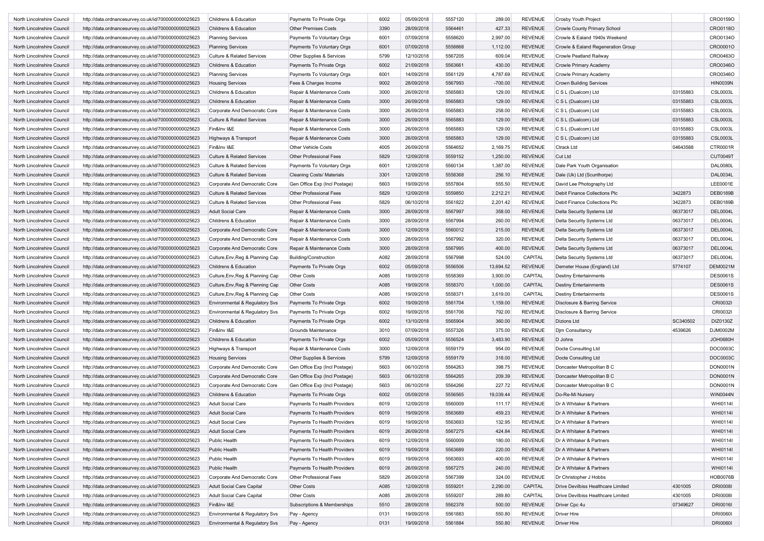| North Lincolnshire Council | http://data.ordnancesurvey.co.uk/id/7000000000025623 | <b>Childrens &amp; Education</b>      | Payments To Private Orgs         | 6002 | 05/09/2018 | 5557120 | 289.00    | <b>REVENUE</b> | Crosby Youth Project                |          | CRO0159O        |
|----------------------------|------------------------------------------------------|---------------------------------------|----------------------------------|------|------------|---------|-----------|----------------|-------------------------------------|----------|-----------------|
| North Lincolnshire Council | http://data.ordnancesurvey.co.uk/id/7000000000025623 | Childrens & Education                 | <b>Other Premises Costs</b>      | 3390 | 28/09/2018 | 5564461 | 427.33    | <b>REVENUE</b> | <b>Crowle County Primary School</b> |          | CRO0118O        |
| North Lincolnshire Council | http://data.ordnancesurvey.co.uk/id/7000000000025623 | <b>Planning Services</b>              | Payments To Voluntary Orgs       | 6001 | 07/09/2018 | 5558620 | 2,997.00  | <b>REVENUE</b> | Crowle & Ealand 1940s Weekend       |          | CRO0134O        |
| North Lincolnshire Council | http://data.ordnancesurvey.co.uk/id/7000000000025623 | <b>Planning Services</b>              | Payments To Voluntary Orgs       | 6001 | 07/09/2018 | 5558868 | 1,112.00  | <b>REVENUE</b> | Crowle & Ealand Regeneration Group  |          | CRO0001O        |
| North Lincolnshire Council | http://data.ordnancesurvey.co.uk/id/7000000000025623 | <b>Culture &amp; Related Services</b> | Other Supplies & Services        | 5799 | 12/10/2018 | 5567205 | 609.04    | <b>REVENUE</b> | <b>Crowle Peatland Railway</b>      |          | CRO0463O        |
| North Lincolnshire Council | http://data.ordnancesurvey.co.uk/id/7000000000025623 | Childrens & Education                 | Payments To Private Orgs         | 6002 | 21/09/2018 | 5563661 | 430.00    | <b>REVENUE</b> | Crowle Primary Academy              |          | CRO0346O        |
| North Lincolnshire Council | http://data.ordnancesurvey.co.uk/id/7000000000025623 | <b>Planning Services</b>              | Payments To Voluntary Orgs       | 6001 | 14/09/2018 | 5561129 | 4,787.69  | <b>REVENUE</b> | Crowle Primary Academy              |          | CR00346O        |
| North Lincolnshire Council | http://data.ordnancesurvey.co.uk/id/7000000000025623 | <b>Housing Services</b>               | Fees & Charges Income            | 9002 | 28/09/2018 | 5567993 | $-700.00$ | <b>REVENUE</b> | <b>Crown Building Services</b>      |          | <b>HIN0039N</b> |
| North Lincolnshire Council |                                                      |                                       | Repair & Maintenance Costs       | 3000 | 26/09/2018 | 5565883 | 129.00    | <b>REVENUE</b> |                                     | 03155883 | <b>CSL0003L</b> |
|                            | http://data.ordnancesurvey.co.uk/id/7000000000025623 | Childrens & Education                 |                                  |      |            |         |           |                | C S L (Dualcom) Ltd                 |          |                 |
| North Lincolnshire Council | http://data.ordnancesurvey.co.uk/id/7000000000025623 | Childrens & Education                 | Repair & Maintenance Costs       | 3000 | 26/09/2018 | 5565883 | 129.00    | <b>REVENUE</b> | C S L (Dualcom) Ltd                 | 03155883 | <b>CSL0003L</b> |
| North Lincolnshire Council | http://data.ordnancesurvey.co.uk/id/7000000000025623 | Corporate And Democratic Core         | Repair & Maintenance Costs       | 3000 | 26/09/2018 | 5565883 | 258.00    | <b>REVENUE</b> | C S L (Dualcom) Ltd                 | 03155883 | <b>CSL0003L</b> |
| North Lincolnshire Council | http://data.ordnancesurvey.co.uk/id/7000000000025623 | <b>Culture &amp; Related Services</b> | Repair & Maintenance Costs       | 3000 | 26/09/2018 | 5565883 | 129.00    | <b>REVENUE</b> | C S L (Dualcom) Ltd                 | 03155883 | <b>CSL0003L</b> |
| North Lincolnshire Council | http://data.ordnancesurvey.co.uk/id/7000000000025623 | Fin&Inv I&E                           | Repair & Maintenance Costs       | 3000 | 26/09/2018 | 5565883 | 129.00    | <b>REVENUE</b> | C S L (Dualcom) Ltd                 | 03155883 | <b>CSL0003L</b> |
| North Lincolnshire Council | http://data.ordnancesurvey.co.uk/id/7000000000025623 | Highways & Transport                  | Repair & Maintenance Costs       | 3000 | 26/09/2018 | 5565883 | 129.00    | <b>REVENUE</b> | C S L (Dualcom) Ltd                 | 03155883 | <b>CSL0003L</b> |
| North Lincolnshire Council | http://data.ordnancesurvey.co.uk/id/7000000000025623 | Fin&Inv I&E                           | Other Vehicle Costs              | 4005 | 26/09/2018 | 5564652 | 2,169.75  | <b>REVENUE</b> | <b>Ctrack Ltd</b>                   | 04643588 | CTR0001R        |
| North Lincolnshire Council | http://data.ordnancesurvey.co.uk/id/7000000000025623 | <b>Culture &amp; Related Services</b> | Other Professional Fees          | 5829 | 12/09/2018 | 5559152 | 1,250.00  | <b>REVENUE</b> | Cut Ltd                             |          | <b>CUT0049T</b> |
| North Lincolnshire Council | http://data.ordnancesurvey.co.uk/id/7000000000025623 | <b>Culture &amp; Related Services</b> | Payments To Voluntary Orgs       | 6001 | 12/09/2018 | 5560134 | 1,387.00  | <b>REVENUE</b> | Dale Park Youth Organisation        |          | <b>DAL0080L</b> |
| North Lincolnshire Council | http://data.ordnancesurvey.co.uk/id/7000000000025623 | <b>Culture &amp; Related Services</b> | <b>Cleaning Costs/ Materials</b> | 3301 | 12/09/2018 | 5558368 | 256.10    | <b>REVENUE</b> | Dale (Uk) Ltd (Scunthorpe)          |          | <b>DAL0034L</b> |
| North Lincolnshire Council | http://data.ordnancesurvey.co.uk/id/7000000000025623 | Corporate And Democratic Core         | Gen Office Exp (Incl Postage)    | 5603 | 19/09/2018 | 5557804 | 555.50    | <b>REVENUE</b> | David Lee Photography Ltd           |          | LEE0001E        |
| North Lincolnshire Council | http://data.ordnancesurvey.co.uk/id/7000000000025623 | <b>Culture &amp; Related Services</b> | Other Professional Fees          | 5829 | 12/09/2018 | 5559850 | 2,212.21  | <b>REVENUE</b> | Debit Finance Collections Plc       | 3422873  | DEB0189B        |
| North Lincolnshire Council | http://data.ordnancesurvey.co.uk/id/7000000000025623 | <b>Culture &amp; Related Services</b> | Other Professional Fees          | 5829 | 06/10/2018 | 5561822 | 2,201.42  | <b>REVENUE</b> | Debit Finance Collections Plc       | 3422873  | DEB0189B        |
| North Lincolnshire Council | http://data.ordnancesurvey.co.uk/id/7000000000025623 | Adult Social Care                     | Repair & Maintenance Costs       | 3000 | 28/09/2018 | 5567997 | 358.00    | <b>REVENUE</b> | Delta Security Systems Ltd          | 06373017 | <b>DEL0004L</b> |
| North Lincolnshire Council | http://data.ordnancesurvey.co.uk/id/7000000000025623 | Childrens & Education                 | Repair & Maintenance Costs       | 3000 | 28/09/2018 | 5567994 | 260.00    | <b>REVENUE</b> | Delta Security Systems Ltd          | 06373017 | DEL0004L        |
| North Lincolnshire Council | http://data.ordnancesurvey.co.uk/id/7000000000025623 | Corporate And Democratic Core         | Repair & Maintenance Costs       | 3000 | 12/09/2018 | 5560012 | 215.00    | <b>REVENUE</b> | Delta Security Systems Ltd          | 06373017 | <b>DEL0004L</b> |
| North Lincolnshire Council | http://data.ordnancesurvey.co.uk/id/7000000000025623 | Corporate And Democratic Core         | Repair & Maintenance Costs       | 3000 | 28/09/2018 | 5567992 | 320.00    | <b>REVENUE</b> | Delta Security Systems Ltd          | 06373017 | <b>DEL0004L</b> |
| North Lincolnshire Council | http://data.ordnancesurvey.co.uk/id/7000000000025623 | Corporate And Democratic Core         | Repair & Maintenance Costs       | 3000 | 28/09/2018 | 5567995 | 400.00    | <b>REVENUE</b> | Delta Security Systems Ltd          | 06373017 | <b>DEL0004L</b> |
| North Lincolnshire Council | http://data.ordnancesurvey.co.uk/id/7000000000025623 | Culture, Env, Reg & Planning Cap      | <b>Building/Construction</b>     | A082 | 28/09/2018 | 5567998 | 524.00    | CAPITAL        | Delta Security Systems Ltd          | 06373017 | <b>DEL0004L</b> |
| North Lincolnshire Council | http://data.ordnancesurvey.co.uk/id/7000000000025623 | Childrens & Education                 | Payments To Private Orgs         | 6002 | 05/09/2018 | 5556506 | 13,694.52 | <b>REVENUE</b> | Demeter House (England) Ltd         | 5774107  | DEM0021M        |
| North Lincolnshire Council | http://data.ordnancesurvey.co.uk/id/7000000000025623 | Culture, Env, Reg & Planning Cap      | <b>Other Costs</b>               | A085 | 19/09/2018 | 5558369 | 3,900.00  | CAPITAL        | <b>Destiny Entertainments</b>       |          | <b>DES0061S</b> |
| North Lincolnshire Council | http://data.ordnancesurvey.co.uk/id/7000000000025623 | Culture, Env, Reg & Planning Cap      | <b>Other Costs</b>               | A085 | 19/09/2018 | 5558370 | 1,000.00  | CAPITAL        | <b>Destiny Entertainments</b>       |          | <b>DES0061S</b> |
| North Lincolnshire Council | http://data.ordnancesurvey.co.uk/id/7000000000025623 | Culture, Env, Reg & Planning Cap      | <b>Other Costs</b>               | A085 | 19/09/2018 | 5558371 | 3,619.00  | CAPITAL        | <b>Destiny Entertainments</b>       |          | <b>DES0061S</b> |
| North Lincolnshire Council | http://data.ordnancesurvey.co.uk/id/7000000000025623 | Environmental & Regulatory Svs        | Payments To Private Orgs         | 6002 | 19/09/2018 | 5561704 | 1,159.00  | <b>REVENUE</b> | Disclosure & Barring Service        |          | CRI0032I        |
| North Lincolnshire Council | http://data.ordnancesurvey.co.uk/id/7000000000025623 | Environmental & Regulatory Svs        | Payments To Private Orgs         | 6002 | 19/09/2018 | 5561706 | 792.00    | <b>REVENUE</b> | Disclosure & Barring Service        |          | CRI0032I        |
| North Lincolnshire Council | http://data.ordnancesurvey.co.uk/id/7000000000025623 | Childrens & Education                 | Payments To Private Orgs         | 6002 | 13/10/2018 | 5565904 | 360.00    | <b>REVENUE</b> | <b>Dizions Ltd</b>                  | SC340502 | DIZ0130Z        |
| North Lincolnshire Council | http://data.ordnancesurvey.co.uk/id/7000000000025623 | Fin&Inv I&E                           | <b>Grounds Maintenance</b>       | 3010 | 07/09/2018 | 5557326 | 375.00    | <b>REVENUE</b> | Djm Consultancy                     | 4539626  | DJM0002M        |
| North Lincolnshire Council | http://data.ordnancesurvey.co.uk/id/7000000000025623 | Childrens & Education                 | Payments To Private Orgs         | 6002 | 05/09/2018 | 5556524 | 3,483.90  | <b>REVENUE</b> | D Johns                             |          | <b>JOH0680H</b> |
| North Lincolnshire Council | http://data.ordnancesurvey.co.uk/id/7000000000025623 | Highways & Transport                  | Repair & Maintenance Costs       | 3000 | 12/09/2018 | 5559179 | 954.00    | <b>REVENUE</b> | Docte Consulting Ltd                |          | DOC0003C        |
| North Lincolnshire Council | http://data.ordnancesurvey.co.uk/id/7000000000025623 | <b>Housing Services</b>               | Other Supplies & Services        | 5799 | 12/09/2018 | 5559179 | 318.00    | <b>REVENUE</b> | Docte Consulting Ltd                |          | DOC0003C        |
| North Lincolnshire Council | http://data.ordnancesurvey.co.uk/id/7000000000025623 | Corporate And Democratic Core         | Gen Office Exp (Incl Postage)    | 5603 | 06/10/2018 | 5564263 | 398.75    | <b>REVENUE</b> | Doncaster Metropolitan B C          |          | DON0001N        |
| North Lincolnshire Council | http://data.ordnancesurvey.co.uk/id/7000000000025623 | Corporate And Democratic Core         | Gen Office Exp (Incl Postage)    | 5603 | 06/10/2018 | 5564265 | 209.39    | <b>REVENUE</b> | Doncaster Metropolitan B C          |          | DON0001N        |
| North Lincolnshire Council | http://data.ordnancesurvey.co.uk/id/7000000000025623 | Corporate And Democratic Core         | Gen Office Exp (Incl Postage)    | 5603 | 06/10/2018 | 5564266 | 227.72    | <b>REVENUE</b> | Doncaster Metropolitan B C          |          | DON0001N        |
| North Lincolnshire Council | http://data.ordnancesurvey.co.uk/id/7000000000025623 | Childrens & Education                 | Payments To Private Orgs         | 6002 | 05/09/2018 | 5556565 | 19,039.44 | <b>REVENUE</b> | Do-Re-Mi Nursery                    |          | <b>WIN0044N</b> |
| North Lincolnshire Council |                                                      | <b>Adult Social Care</b>              | Payments To Health Providers     | 6019 | 12/09/2018 | 5560009 | 111.17    | REVENUE        | Dr A Whitaker & Partners            |          | <b>WHI0114I</b> |
| North Lincolnshire Council | http://data.ordnancesurvey.co.uk/id/7000000000025623 |                                       |                                  |      |            | 5563689 | 459.23    |                |                                     |          | WHI0114I        |
|                            | http://data.ordnancesurvey.co.uk/id/7000000000025623 | Adult Social Care                     | Payments To Health Providers     | 6019 | 19/09/2018 |         |           | <b>REVENUE</b> | Dr A Whitaker & Partners            |          |                 |
| North Lincolnshire Council | http://data.ordnancesurvey.co.uk/id/7000000000025623 | <b>Adult Social Care</b>              | Payments To Health Providers     | 6019 | 19/09/2018 | 5563693 | 132.95    | REVENUE        | Dr A Whitaker & Partners            |          | WHI0114I        |
| North Lincolnshire Council | http://data.ordnancesurvey.co.uk/id/7000000000025623 | <b>Adult Social Care</b>              | Payments To Health Providers     | 6019 | 26/09/2018 | 5567275 | 424.84    | <b>REVENUE</b> | Dr A Whitaker & Partners            |          | WHI0114I        |
| North Lincolnshire Council | http://data.ordnancesurvey.co.uk/id/7000000000025623 | Public Health                         | Payments To Health Providers     | 6019 | 12/09/2018 | 5560009 | 180.00    | <b>REVENUE</b> | Dr A Whitaker & Partners            |          | WHI0114I        |
| North Lincolnshire Council | http://data.ordnancesurvey.co.uk/id/7000000000025623 | Public Health                         | Payments To Health Providers     | 6019 | 19/09/2018 | 5563689 | 220.00    | <b>REVENUE</b> | Dr A Whitaker & Partners            |          | WHI0114I        |
| North Lincolnshire Council | http://data.ordnancesurvey.co.uk/id/7000000000025623 | Public Health                         | Payments To Health Providers     | 6019 | 19/09/2018 | 5563693 | 400.00    | <b>REVENUE</b> | Dr A Whitaker & Partners            |          | WHI0114I        |
| North Lincolnshire Council | http://data.ordnancesurvey.co.uk/id/7000000000025623 | Public Health                         | Payments To Health Providers     | 6019 | 26/09/2018 | 5567275 | 240.00    | <b>REVENUE</b> | Dr A Whitaker & Partners            |          | WHI0114I        |
| North Lincolnshire Council | http://data.ordnancesurvey.co.uk/id/7000000000025623 | Corporate And Democratic Core         | Other Professional Fees          | 5829 | 26/09/2018 | 5567399 | 324.00    | <b>REVENUE</b> | Dr Christopher J Hobbs              |          | <b>HOB0076B</b> |
| North Lincolnshire Council | http://data.ordnancesurvey.co.uk/id/7000000000025623 | <b>Adult Social Care Capital</b>      | Other Costs                      | A085 | 12/09/2018 | 5559201 | 2,290.00  | CAPITAL        | Drive Devilbiss Healthcare Limited  | 4301005  | <b>DRI0008I</b> |
| North Lincolnshire Council | http://data.ordnancesurvey.co.uk/id/7000000000025623 | <b>Adult Social Care Capital</b>      | Other Costs                      | A085 | 28/09/2018 | 5559207 | 289.80    | CAPITAL        | Drive Devilbiss Healthcare Limited  | 4301005  | <b>DRI0008I</b> |
| North Lincolnshire Council | http://data.ordnancesurvey.co.uk/id/7000000000025623 | Fin&Inv I&E                           | Subscriptions & Memberships      | 5510 | 28/09/2018 | 5562378 | 500.00    | <b>REVENUE</b> | Driver Cpc 4u                       | 07349627 | DRI0016I        |
| North Lincolnshire Council | http://data.ordnancesurvey.co.uk/id/7000000000025623 | Environmental & Regulatory Svs        | Pay - Agency                     | 0131 | 19/09/2018 | 5561883 | 550.80    | <b>REVENUE</b> | <b>Driver Hire</b>                  |          | <b>DRI00601</b> |
| North Lincolnshire Council | http://data.ordnancesurvey.co.uk/id/7000000000025623 | Environmental & Regulatory Svs        | Pay - Agency                     | 0131 | 19/09/2018 | 5561884 | 550.80    | REVENUE        | <b>Driver Hire</b>                  |          | <b>DRI00601</b> |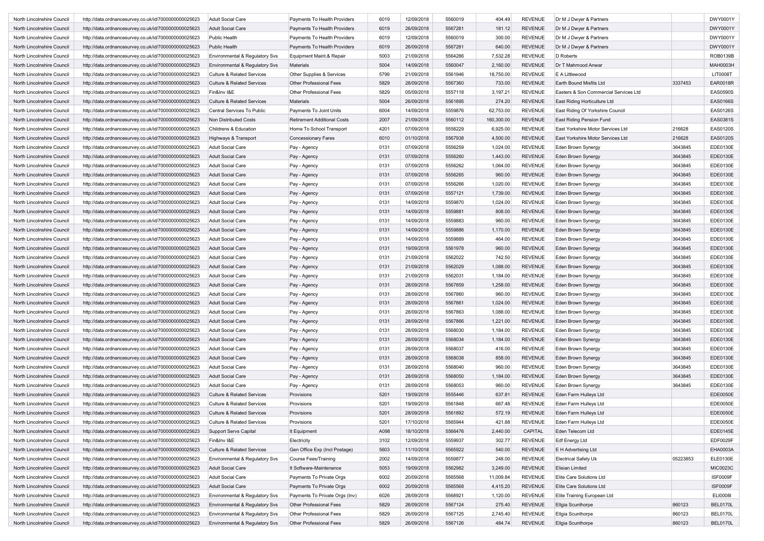| North Lincolnshire Council | http://data.ordnancesurvey.co.uk/id/7000000000025623 | <b>Adult Social Care</b>              | Payments To Health Providers       | 6019 | 12/09/2018 | 5560019 | 404.49     | <b>REVENUE</b> | Dr M J Dwyer & Partners               |          | DWY0001Y        |
|----------------------------|------------------------------------------------------|---------------------------------------|------------------------------------|------|------------|---------|------------|----------------|---------------------------------------|----------|-----------------|
| North Lincolnshire Council | http://data.ordnancesurvey.co.uk/id/7000000000025623 | <b>Adult Social Care</b>              | Payments To Health Providers       | 6019 | 26/09/2018 | 5567281 | 181.12     | <b>REVENUE</b> | Dr M J Dwyer & Partners               |          | DWY0001Y        |
| North Lincolnshire Council | http://data.ordnancesurvey.co.uk/id/7000000000025623 | Public Health                         | Payments To Health Providers       | 6019 | 12/09/2018 | 5560019 | 300.00     | <b>REVENUE</b> | Dr M J Dwyer & Partners               |          | DWY0001Y        |
| North Lincolnshire Council | http://data.ordnancesurvey.co.uk/id/7000000000025623 | Public Health                         | Payments To Health Providers       | 6019 | 26/09/2018 | 5567281 | 640.00     | <b>REVENUE</b> | Dr M J Dwyer & Partners               |          | DWY0001Y        |
| North Lincolnshire Council | http://data.ordnancesurvey.co.uk/id/7000000000025623 | Environmental & Regulatory Svs        | Equipment Maint.& Repair           | 5003 | 21/09/2018 | 5564286 | 7,532.28   | <b>REVENUE</b> | D Roberts                             |          | ROB0139B        |
| North Lincolnshire Council | http://data.ordnancesurvey.co.uk/id/7000000000025623 | Environmental & Regulatory Svs        | Materials                          | 5004 | 14/09/2018 | 5560047 | 2,160.00   | <b>REVENUE</b> | Dr T Mahmood Anwar                    |          | <b>MAH0003H</b> |
| North Lincolnshire Council | http://data.ordnancesurvey.co.uk/id/7000000000025623 | Culture & Related Services            | Other Supplies & Services          | 5799 | 21/09/2018 | 5561946 | 18,750.00  | <b>REVENUE</b> | E A Littlewood                        |          | <b>LIT0008T</b> |
| North Lincolnshire Council | http://data.ordnancesurvey.co.uk/id/7000000000025623 | <b>Culture &amp; Related Services</b> | Other Professional Fees            | 5829 | 28/09/2018 | 5567360 | 733.00     | <b>REVENUE</b> | Earth Bound Misfits Ltd               | 3337453  | EAR0018R        |
| North Lincolnshire Council | http://data.ordnancesurvey.co.uk/id/7000000000025623 | Fin&Inv I&E                           | <b>Other Professional Fees</b>     | 5829 | 05/09/2018 | 5557118 | 3,197.21   | <b>REVENUE</b> | Easters & Son Commercial Services Ltd |          | <b>EAS0590S</b> |
| North Lincolnshire Council | http://data.ordnancesurvey.co.uk/id/7000000000025623 | <b>Culture &amp; Related Services</b> | Materials                          | 5004 | 26/09/2018 | 5561895 | 274.20     | <b>REVENUE</b> | East Riding Horticulture Ltd          |          | <b>EAS0166S</b> |
|                            |                                                      |                                       |                                    | 6004 |            |         |            |                |                                       |          |                 |
| North Lincolnshire Council | http://data.ordnancesurvey.co.uk/id/7000000000025623 | Central Services To Public            | Payments To Joint Units            |      | 14/09/2018 | 5559876 | 62,753.00  | <b>REVENUE</b> | East Riding Of Yorkshire Council      |          | <b>EAS0126S</b> |
| North Lincolnshire Council | http://data.ordnancesurvey.co.uk/id/7000000000025623 | Non Distributed Costs                 | <b>Retirement Additional Costs</b> | 2007 | 21/09/2018 | 5560112 | 160,300.00 | <b>REVENUE</b> | East Riding Pension Fund              |          | EAS0381S        |
| North Lincolnshire Council | http://data.ordnancesurvey.co.uk/id/7000000000025623 | Childrens & Education                 | Home To School Transport           | 4201 | 07/09/2018 | 5558229 | 6,925.00   | <b>REVENUE</b> | East Yorkshire Motor Services Ltd     | 216628   | <b>EAS0120S</b> |
| North Lincolnshire Council | http://data.ordnancesurvey.co.uk/id/7000000000025623 | Highways & Transport                  | <b>Concessionary Fares</b>         | 6010 | 01/10/2018 | 5567938 | 4,500.00   | <b>REVENUE</b> | East Yorkshire Motor Services Ltd     | 216628   | <b>EAS0120S</b> |
| North Lincolnshire Council | http://data.ordnancesurvey.co.uk/id/7000000000025623 | <b>Adult Social Care</b>              | Pay - Agency                       | 0131 | 07/09/2018 | 5556259 | 1,024.00   | <b>REVENUE</b> | Eden Brown Synergy                    | 3643845  | EDE0130E        |
| North Lincolnshire Council | http://data.ordnancesurvey.co.uk/id/7000000000025623 | <b>Adult Social Care</b>              | Pay - Agency                       | 0131 | 07/09/2018 | 5556260 | 1,443.00   | <b>REVENUE</b> | Eden Brown Synergy                    | 3643845  | EDE0130E        |
| North Lincolnshire Council | http://data.ordnancesurvey.co.uk/id/7000000000025623 | <b>Adult Social Care</b>              | Pay - Agency                       | 0131 | 07/09/2018 | 5556262 | 1,064.00   | <b>REVENUE</b> | Eden Brown Synergy                    | 3643845  | EDE0130E        |
| North Lincolnshire Council | http://data.ordnancesurvey.co.uk/id/7000000000025623 | <b>Adult Social Care</b>              | Pay - Agency                       | 0131 | 07/09/2018 | 5556265 | 960.00     | <b>REVENUE</b> | Eden Brown Synergy                    | 3643845  | EDE0130E        |
| North Lincolnshire Council | http://data.ordnancesurvey.co.uk/id/7000000000025623 | Adult Social Care                     | Pay - Agency                       | 0131 | 07/09/2018 | 5556266 | 1,020.00   | <b>REVENUE</b> | Eden Brown Synergy                    | 3643845  | EDE0130E        |
| North Lincolnshire Council | http://data.ordnancesurvey.co.uk/id/7000000000025623 | Adult Social Care                     | Pay - Agency                       | 0131 | 07/09/2018 | 5557121 | 1,739.00   | <b>REVENUE</b> | <b>Eden Brown Synergy</b>             | 3643845  | EDE0130E        |
| North Lincolnshire Council | http://data.ordnancesurvey.co.uk/id/7000000000025623 | <b>Adult Social Care</b>              | Pay - Agency                       | 0131 | 14/09/2018 | 5559870 | 1,024.00   | <b>REVENUE</b> | Eden Brown Synergy                    | 3643845  | EDE0130E        |
| North Lincolnshire Council | http://data.ordnancesurvey.co.uk/id/7000000000025623 | <b>Adult Social Care</b>              | Pay - Agency                       | 0131 | 14/09/2018 | 5559881 | 808.00     | <b>REVENUE</b> | Eden Brown Synergy                    | 3643845  | EDE0130E        |
| North Lincolnshire Council | http://data.ordnancesurvey.co.uk/id/7000000000025623 | <b>Adult Social Care</b>              | Pay - Agency                       | 0131 | 14/09/2018 | 5559883 | 960.00     | <b>REVENUE</b> | <b>Eden Brown Synergy</b>             | 3643845  | EDE0130E        |
| North Lincolnshire Council | http://data.ordnancesurvey.co.uk/id/7000000000025623 | <b>Adult Social Care</b>              | Pay - Agency                       | 0131 | 14/09/2018 | 5559886 | 1,170.00   | <b>REVENUE</b> | Eden Brown Synergy                    | 3643845  | EDE0130E        |
| North Lincolnshire Council | http://data.ordnancesurvey.co.uk/id/7000000000025623 | <b>Adult Social Care</b>              | Pay - Agency                       | 0131 | 14/09/2018 | 5559889 | 464.00     | <b>REVENUE</b> | Eden Brown Synergy                    | 3643845  | EDE0130E        |
| North Lincolnshire Council | http://data.ordnancesurvey.co.uk/id/7000000000025623 | <b>Adult Social Care</b>              | Pay - Agency                       | 0131 | 19/09/2018 | 5561978 | 960.00     | <b>REVENUE</b> | Eden Brown Synergy                    | 3643845  | EDE0130E        |
| North Lincolnshire Council | http://data.ordnancesurvey.co.uk/id/7000000000025623 | <b>Adult Social Care</b>              | Pay - Agency                       | 0131 | 21/09/2018 | 5562022 | 742.50     | <b>REVENUE</b> | Eden Brown Synergy                    | 3643845  | EDE0130E        |
| North Lincolnshire Council | http://data.ordnancesurvey.co.uk/id/7000000000025623 | <b>Adult Social Care</b>              | Pay - Agency                       | 0131 | 21/09/2018 | 5562029 | 1,088.00   | <b>REVENUE</b> | <b>Eden Brown Synergy</b>             | 3643845  | EDE0130E        |
| North Lincolnshire Council | http://data.ordnancesurvey.co.uk/id/7000000000025623 | <b>Adult Social Care</b>              | Pay - Agency                       | 0131 | 21/09/2018 | 5562031 | 1,184.00   | <b>REVENUE</b> | Eden Brown Synergy                    | 3643845  | EDE0130E        |
| North Lincolnshire Council | http://data.ordnancesurvey.co.uk/id/7000000000025623 | <b>Adult Social Care</b>              |                                    | 0131 | 28/09/2018 | 5567859 | 1,258.00   | <b>REVENUE</b> | Eden Brown Synergy                    | 3643845  | EDE0130E        |
| North Lincolnshire Council |                                                      | <b>Adult Social Care</b>              | Pay - Agency                       | 0131 | 28/09/2018 | 5567860 | 960.00     | <b>REVENUE</b> |                                       | 3643845  | EDE0130E        |
|                            | http://data.ordnancesurvey.co.uk/id/7000000000025623 |                                       | Pay - Agency                       |      |            |         |            |                | Eden Brown Synergy                    |          |                 |
| North Lincolnshire Council | http://data.ordnancesurvey.co.uk/id/7000000000025623 | <b>Adult Social Care</b>              | Pay - Agency                       | 0131 | 28/09/2018 | 5567861 | 1,024.00   | <b>REVENUE</b> | Eden Brown Synergy                    | 3643845  | EDE0130E        |
| North Lincolnshire Council | http://data.ordnancesurvey.co.uk/id/7000000000025623 | <b>Adult Social Care</b>              | Pay - Agency                       | 0131 | 28/09/2018 | 5567863 | 1,088.00   | <b>REVENUE</b> | Eden Brown Synergy                    | 3643845  | EDE0130E        |
| North Lincolnshire Council | http://data.ordnancesurvey.co.uk/id/7000000000025623 | <b>Adult Social Care</b>              | Pay - Agency                       | 0131 | 28/09/2018 | 5567866 | 1,221.00   | <b>REVENUE</b> | Eden Brown Synergy                    | 3643845  | EDE0130E        |
| North Lincolnshire Council | http://data.ordnancesurvey.co.uk/id/7000000000025623 | <b>Adult Social Care</b>              | Pay - Agency                       | 0131 | 28/09/2018 | 5568030 | 1,184.00   | <b>REVENUE</b> | Eden Brown Synergy                    | 3643845  | EDE0130E        |
| North Lincolnshire Council | http://data.ordnancesurvey.co.uk/id/7000000000025623 | <b>Adult Social Care</b>              | Pay - Agency                       | 0131 | 28/09/2018 | 5568034 | 1,184.00   | <b>REVENUE</b> | Eden Brown Synergy                    | 3643845  | EDE0130E        |
| North Lincolnshire Council | http://data.ordnancesurvey.co.uk/id/7000000000025623 | <b>Adult Social Care</b>              | Pay - Agency                       | 0131 | 28/09/2018 | 5568037 | 416.00     | <b>REVENUE</b> | Eden Brown Synergy                    | 3643845  | EDE0130E        |
| North Lincolnshire Council | http://data.ordnancesurvey.co.uk/id/7000000000025623 | <b>Adult Social Care</b>              | Pay - Agency                       | 0131 | 28/09/2018 | 5568038 | 858.00     | <b>REVENUE</b> | Eden Brown Synergy                    | 3643845  | EDE0130E        |
| North Lincolnshire Council | http://data.ordnancesurvey.co.uk/id/7000000000025623 | <b>Adult Social Care</b>              | Pay - Agency                       | 0131 | 28/09/2018 | 5568040 | 960.00     | <b>REVENUE</b> | Eden Brown Synergy                    | 3643845  | EDE0130E        |
| North Lincolnshire Council | http://data.ordnancesurvey.co.uk/id/7000000000025623 | <b>Adult Social Care</b>              | Pay - Agency                       | 0131 | 28/09/2018 | 5568050 | 1,184.00   | <b>REVENUE</b> | Eden Brown Synergy                    | 3643845  | EDE0130E        |
| North Lincolnshire Council | http://data.ordnancesurvey.co.uk/id/7000000000025623 | <b>Adult Social Care</b>              | Pay - Agency                       | 0131 | 28/09/2018 | 5568053 | 960.00     | <b>REVENUE</b> | Eden Brown Synergy                    | 3643845  | EDE0130E        |
| North Lincolnshire Council | http://data.ordnancesurvey.co.uk/id/7000000000025623 | <b>Culture &amp; Related Services</b> | Provisions                         | 5201 | 19/09/2018 | 5555446 | 637.81     | <b>REVENUE</b> | Eden Farm Hulleys Ltd                 |          | EDE0050E        |
| North Lincolnshire Council | http://data.ordnancesurvey.co.uk/id/7000000000025623 | <b>Culture &amp; Related Services</b> | Provisions                         | 5201 | 19/09/2018 | 5561848 | 667.48     | <b>REVENUE</b> | Eden Farm Hulleys Ltd                 |          | EDE0050E        |
| North Lincolnshire Council | http://data.ordnancesurvey.co.uk/id/7000000000025623 | <b>Culture &amp; Related Services</b> | Provisions                         | 5201 | 28/09/2018 | 5561892 | 572.19     | <b>REVENUE</b> | Eden Farm Hulleys Ltd                 |          | EDE0050E        |
| North Lincolnshire Council | http://data.ordnancesurvey.co.uk/id/7000000000025623 | <b>Culture &amp; Related Services</b> | Provisions                         | 5201 | 17/10/2018 | 5565944 | 421.88     | REVENUE        | Eden Farm Hulleys Ltd                 |          | EDE0050E        |
| North Lincolnshire Council | http://data.ordnancesurvey.co.uk/id/7000000000025623 | Support Servs Capital                 | It Equipment                       | A098 | 18/10/2018 | 5566476 | 2,440.00   | CAPITAL        | Eden Telecom Ltd                      |          | EDE0145E        |
| North Lincolnshire Council | http://data.ordnancesurvey.co.uk/id/7000000000025623 | Fin&Inv I&E                           | Electricity                        | 3102 | 12/09/2018 | 5559937 | 302.77     | <b>REVENUE</b> | Edf Energy Ltd                        |          | EDF0029F        |
| North Lincolnshire Council | http://data.ordnancesurvey.co.uk/id/7000000000025623 | <b>Culture &amp; Related Services</b> | Gen Office Exp (Incl Postage)      | 5603 | 11/10/2018 | 5565922 | 540.00     | <b>REVENUE</b> | E H Advertising Ltd                   |          | EHA0003A        |
| North Lincolnshire Council | http://data.ordnancesurvey.co.uk/id/7000000000025623 | Environmental & Regulatory Svs        | Course Fees/Training               | 2002 | 14/09/2018 | 5559877 | 248.00     | <b>REVENUE</b> | <b>Electrical Safety Uk</b>           | 05223853 | ELE0130E        |
| North Lincolnshire Council | http://data.ordnancesurvey.co.uk/id/7000000000025623 | Adult Social Care                     | It Software-Maintenance            | 5053 | 19/09/2018 | 5562982 | 3,249.00   | <b>REVENUE</b> | <b>Elisian Limited</b>                |          | MIC0023C        |
| North Lincolnshire Council | http://data.ordnancesurvey.co.uk/id/7000000000025623 | <b>Adult Social Care</b>              | Payments To Private Orgs           | 6002 | 20/09/2018 | 5565568 | 11,009.84  | <b>REVENUE</b> | Elite Care Solutions Ltd              |          | <b>ISF0009F</b> |
| North Lincolnshire Council |                                                      | <b>Adult Social Care</b>              |                                    |      | 20/09/2018 | 5565568 |            | <b>REVENUE</b> | Elite Care Solutions Ltd              |          | <b>ISF0009F</b> |
|                            | http://data.ordnancesurvey.co.uk/id/7000000000025623 |                                       | Payments To Private Orgs           | 6002 |            |         | 4,415.20   |                |                                       |          |                 |
| North Lincolnshire Council | http://data.ordnancesurvey.co.uk/id/7000000000025623 | Environmental & Regulatory Svs        | Payments To Private Orgs (Inv)     | 6026 | 28/09/2018 | 5568921 | 1,120.00   | <b>REVENUE</b> | Elite Training European Ltd           |          | <b>ELI0008I</b> |
| North Lincolnshire Council | http://data.ordnancesurvey.co.uk/id/7000000000025623 | Environmental & Regulatory Svs        | Other Professional Fees            | 5829 | 26/09/2018 | 5567124 | 275.40     | <b>REVENUE</b> | Ellgia Scunthorpe                     | 860123   | <b>BEL0170L</b> |
| North Lincolnshire Council | http://data.ordnancesurvey.co.uk/id/7000000000025623 | Environmental & Regulatory Svs        | Other Professional Fees            | 5829 | 26/09/2018 | 5567125 | 2,745.40   | <b>REVENUE</b> | Ellgia Scunthorpe                     | 860123   | <b>BEL0170L</b> |
| North Lincolnshire Council | http://data.ordnancesurvey.co.uk/id/7000000000025623 | Environmental & Regulatory Svs        | Other Professional Fees            | 5829 | 26/09/2018 | 5567126 | 484.74     | REVENUE        | Ellgia Scunthorpe                     | 860123   | <b>BEL0170L</b> |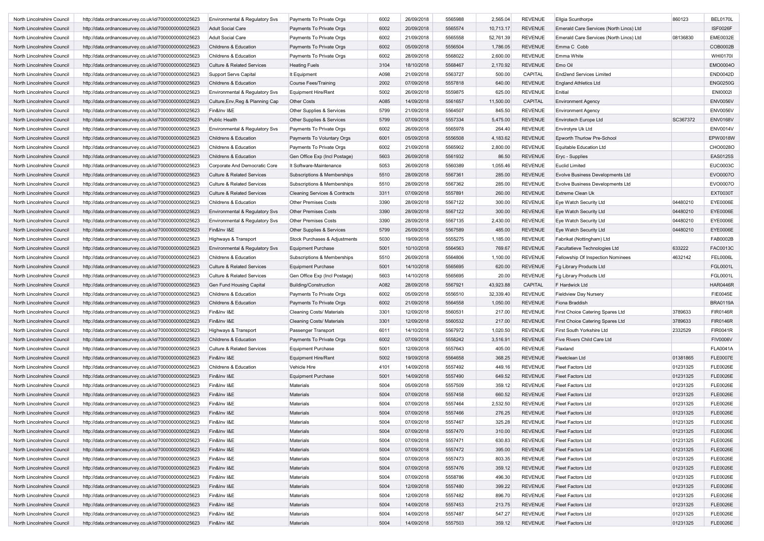| North Lincolnshire Council | http://data.ordnancesurvey.co.uk/id/7000000000025623 | Environmental & Regulatory Svs        | Payments To Private Orgs                 | 6002 | 26/09/2018 | 5565988 | 2,565.04  | <b>REVENUE</b> | Ellgia Scunthorpe                       | 860123   | <b>BEL0170L</b> |
|----------------------------|------------------------------------------------------|---------------------------------------|------------------------------------------|------|------------|---------|-----------|----------------|-----------------------------------------|----------|-----------------|
| North Lincolnshire Council | http://data.ordnancesurvey.co.uk/id/7000000000025623 | <b>Adult Social Care</b>              | Payments To Private Orgs                 | 6002 | 20/09/2018 | 5565574 | 10,713.17 | <b>REVENUE</b> | Emerald Care Services (North Lincs) Ltd |          | <b>ISF0026F</b> |
| North Lincolnshire Council | http://data.ordnancesurvey.co.uk/id/7000000000025623 | <b>Adult Social Care</b>              | Payments To Private Orgs                 | 6002 | 21/09/2018 | 5565558 | 52,761.39 | <b>REVENUE</b> | Emerald Care Services (North Lincs) Ltd | 08136830 | <b>EME0032E</b> |
| North Lincolnshire Council | http://data.ordnancesurvey.co.uk/id/7000000000025623 | Childrens & Education                 | Payments To Private Orgs                 | 6002 | 05/09/2018 | 5556504 | 1,786.05  | <b>REVENUE</b> | Emma C Cobb                             |          | COB0002B        |
| North Lincolnshire Council | http://data.ordnancesurvey.co.uk/id/7000000000025623 | Childrens & Education                 | Payments To Private Orgs                 | 6002 | 28/09/2018 | 5568022 | 2,600.00  | <b>REVENUE</b> | Emma White                              |          | WHI0170I        |
| North Lincolnshire Council | http://data.ordnancesurvey.co.uk/id/7000000000025623 | <b>Culture &amp; Related Services</b> | <b>Heating Fuels</b>                     | 3104 | 18/10/2018 | 5568467 | 2,170.92  | <b>REVENUE</b> | Emo Oil                                 |          | EMO0004O        |
| North Lincolnshire Council |                                                      |                                       |                                          |      |            |         |           |                | <b>End2end Services Limited</b>         |          |                 |
|                            | http://data.ordnancesurvey.co.uk/id/7000000000025623 | <b>Support Servs Capital</b>          | It Equipment                             | A098 | 21/09/2018 | 5563727 | 500.00    | CAPITAL        |                                         |          | END0042D        |
| North Lincolnshire Council | http://data.ordnancesurvey.co.uk/id/7000000000025623 | Childrens & Education                 | <b>Course Fees/Training</b>              | 2002 | 07/09/2018 | 5557818 | 640.00    | <b>REVENUE</b> | <b>England Athletics Ltd</b>            |          | <b>ENG0250G</b> |
| North Lincolnshire Council | http://data.ordnancesurvey.co.uk/id/7000000000025623 | Environmental & Regulatory Svs        | <b>Equipment Hire/Rent</b>               | 5002 | 26/09/2018 | 5559875 | 625.00    | <b>REVENUE</b> | Enitial                                 |          | <b>ENI0002I</b> |
| North Lincolnshire Council | http://data.ordnancesurvey.co.uk/id/7000000000025623 | Culture, Env, Reg & Planning Cap      | <b>Other Costs</b>                       | A085 | 14/09/2018 | 5561657 | 11,500.00 | CAPITAL        | <b>Environment Agency</b>               |          | <b>ENV0056V</b> |
| North Lincolnshire Council | http://data.ordnancesurvey.co.uk/id/7000000000025623 | Fin&Inv I&E                           | Other Supplies & Services                | 5799 | 21/09/2018 | 5564507 | 845.50    | <b>REVENUE</b> | <b>Environment Agency</b>               |          | <b>ENV0056V</b> |
| North Lincolnshire Council | http://data.ordnancesurvey.co.uk/id/7000000000025623 | Public Health                         | Other Supplies & Services                | 5799 | 07/09/2018 | 5557334 | 5,475.00  | <b>REVENUE</b> | Envirotech Europe Ltd                   | SC367372 | <b>ENV0168V</b> |
| North Lincolnshire Council | http://data.ordnancesurvey.co.uk/id/7000000000025623 | Environmental & Regulatory Svs        | Payments To Private Orgs                 | 6002 | 26/09/2018 | 5565978 | 264.40    | REVENUE        | Envirotyre Uk Ltd                       |          | <b>ENV0014V</b> |
| North Lincolnshire Council | http://data.ordnancesurvey.co.uk/id/7000000000025623 | Childrens & Education                 | Payments To Voluntary Orgs               | 6001 | 05/09/2018 | 5556508 | 4,183.62  | <b>REVENUE</b> | Epworth Thurlow Pre-School              |          | EPW0018W        |
| North Lincolnshire Council | http://data.ordnancesurvey.co.uk/id/7000000000025623 | Childrens & Education                 | Payments To Private Orgs                 | 6002 | 21/09/2018 | 5565902 | 2,800.00  | <b>REVENUE</b> | Equitable Education Ltd                 |          | CHO0028O        |
| North Lincolnshire Council | http://data.ordnancesurvey.co.uk/id/7000000000025623 | Childrens & Education                 | Gen Office Exp (Incl Postage)            | 5603 | 26/09/2018 | 5561932 | 86.50     | <b>REVENUE</b> | Eryc - Supplies                         |          | EAS0125S        |
| North Lincolnshire Council | http://data.ordnancesurvey.co.uk/id/7000000000025623 | Corporate And Democratic Core         | It Software-Maintenance                  | 5053 | 26/09/2018 | 5560389 | 1,055.46  | <b>REVENUE</b> | <b>Euclid Limited</b>                   |          | <b>EUC0003C</b> |
| North Lincolnshire Council | http://data.ordnancesurvey.co.uk/id/7000000000025623 | <b>Culture &amp; Related Services</b> | Subscriptions & Memberships              | 5510 | 28/09/2018 | 5567361 | 285.00    | <b>REVENUE</b> | Evolve Business Developments Ltd        |          | EVO0007O        |
| North Lincolnshire Council | http://data.ordnancesurvey.co.uk/id/7000000000025623 | <b>Culture &amp; Related Services</b> | Subscriptions & Memberships              | 5510 | 28/09/2018 | 5567362 | 285.00    | <b>REVENUE</b> | Evolve Business Developments Ltd        |          | EVO0007O        |
| North Lincolnshire Council | http://data.ordnancesurvey.co.uk/id/7000000000025623 | <b>Culture &amp; Related Services</b> | <b>Cleaning Services &amp; Contracts</b> | 3311 | 07/09/2018 | 5557891 | 260.00    | <b>REVENUE</b> | <b>Extreme Clean Uk</b>                 |          | <b>EXT0030T</b> |
| North Lincolnshire Council | http://data.ordnancesurvey.co.uk/id/7000000000025623 | Childrens & Education                 | <b>Other Premises Costs</b>              | 3390 | 28/09/2018 | 5567122 | 300.00    | <b>REVENUE</b> | Eye Watch Security Ltd                  | 04480210 | EYE0006E        |
| North Lincolnshire Council | http://data.ordnancesurvey.co.uk/id/7000000000025623 | Environmental & Regulatory Svs        | <b>Other Premises Costs</b>              | 3390 | 28/09/2018 | 5567122 | 300.00    | <b>REVENUE</b> | Eye Watch Security Ltd                  | 04480210 | EYE0006E        |
| North Lincolnshire Council | http://data.ordnancesurvey.co.uk/id/7000000000025623 | Environmental & Regulatory Svs        | Other Premises Costs                     | 3390 | 28/09/2018 | 5567135 | 2,430.00  | <b>REVENUE</b> | Eye Watch Security Ltd                  | 04480210 | EYE0006E        |
|                            |                                                      |                                       |                                          |      |            |         |           |                |                                         |          |                 |
| North Lincolnshire Council | http://data.ordnancesurvey.co.uk/id/7000000000025623 | Fin&Inv I&E                           | Other Supplies & Services                | 5799 | 26/09/2018 | 5567589 | 485.00    | <b>REVENUE</b> | Eye Watch Security Ltd                  | 04480210 | EYE0006E        |
| North Lincolnshire Council | http://data.ordnancesurvey.co.uk/id/7000000000025623 | Highways & Transport                  | Stock Purchases & Adjustments            | 5030 | 19/09/2018 | 5555275 | 1,185.00  | <b>REVENUE</b> | Fabrikat (Nottingham) Ltd               |          | FAB0002B        |
| North Lincolnshire Council | http://data.ordnancesurvey.co.uk/id/7000000000025623 | Environmental & Regulatory Svs        | <b>Equipment Purchase</b>                | 5001 | 10/10/2018 | 5564563 | 769.67    | <b>REVENUE</b> | Facultatieve Technologies Ltd           | 633222   | FAC0013C        |
| North Lincolnshire Council | http://data.ordnancesurvey.co.uk/id/7000000000025623 | Childrens & Education                 | Subscriptions & Memberships              | 5510 | 26/09/2018 | 5564806 | 1,100.00  | <b>REVENUE</b> | Fellowship Of Inspection Nominees       | 4632142  | <b>FEL0006L</b> |
| North Lincolnshire Council | http://data.ordnancesurvey.co.uk/id/7000000000025623 | <b>Culture &amp; Related Services</b> | Equipment Purchase                       | 5001 | 14/10/2018 | 5565695 | 620.00    | <b>REVENUE</b> | Fg Library Products Ltd                 |          | FGL0001L        |
| North Lincolnshire Council | http://data.ordnancesurvey.co.uk/id/7000000000025623 | <b>Culture &amp; Related Services</b> | Gen Office Exp (Incl Postage)            | 5603 | 14/10/2018 | 5565695 | 20.00     | REVENUE        | Fg Library Products Ltd                 |          | FGL0001L        |
| North Lincolnshire Council | http://data.ordnancesurvey.co.uk/id/7000000000025623 | Gen Fund Housing Capital              | <b>Building/Construction</b>             | A082 | 28/09/2018 | 5567921 | 43,923.88 | CAPITAL        | F Hardwick Ltd                          |          | <b>HAR0446R</b> |
| North Lincolnshire Council | http://data.ordnancesurvey.co.uk/id/7000000000025623 | Childrens & Education                 | Payments To Private Orgs                 | 6002 | 05/09/2018 | 5556510 | 32,339.40 | <b>REVENUE</b> | <b>Fieldview Day Nursery</b>            |          | <b>FIE0045E</b> |
| North Lincolnshire Council | http://data.ordnancesurvey.co.uk/id/7000000000025623 | Childrens & Education                 | Payments To Private Orgs                 | 6002 | 21/09/2018 | 5564558 | 1,050.00  | <b>REVENUE</b> | Fiona Braddish                          |          | <b>BRA0119A</b> |
| North Lincolnshire Council | http://data.ordnancesurvey.co.uk/id/7000000000025623 | Fin&Inv I&E                           | <b>Cleaning Costs/ Materials</b>         | 3301 | 12/09/2018 | 5560531 | 217.00    | <b>REVENUE</b> | First Choice Catering Spares Ltd        | 3789633  | <b>FIR0146R</b> |
| North Lincolnshire Council | http://data.ordnancesurvey.co.uk/id/7000000000025623 | Fin&Inv I&E                           | <b>Cleaning Costs/ Materials</b>         | 3301 | 12/09/2018 | 5560532 | 217.00    | <b>REVENUE</b> | <b>First Choice Catering Spares Ltd</b> | 3789633  | <b>FIR0146R</b> |
| North Lincolnshire Council | http://data.ordnancesurvey.co.uk/id/7000000000025623 | Highways & Transport                  | Passenger Transport                      | 6011 | 14/10/2018 | 5567972 | 1,020.50  | REVENUE        | First South Yorkshire Ltd               | 2332529  | <b>FIR0041R</b> |
| North Lincolnshire Council | http://data.ordnancesurvey.co.uk/id/7000000000025623 | Childrens & Education                 | Payments To Private Orgs                 | 6002 | 07/09/2018 | 5558242 | 3,516.91  | <b>REVENUE</b> | Five Rivers Child Care Ltd              |          | <b>FIV0006V</b> |
| North Lincolnshire Council | http://data.ordnancesurvey.co.uk/id/7000000000025623 | <b>Culture &amp; Related Services</b> | <b>Equipment Purchase</b>                | 5001 | 12/09/2018 | 5557643 | 405.00    | <b>REVENUE</b> | Flaxland                                |          | <b>FLA0041A</b> |
| North Lincolnshire Council | http://data.ordnancesurvey.co.uk/id/7000000000025623 | Fin&Inv I&E                           | <b>Equipment Hire/Rent</b>               | 5002 | 19/09/2018 | 5564658 | 368.25    | <b>REVENUE</b> | Fleetclean Ltd                          | 01381865 | <b>FLE0007E</b> |
| North Lincolnshire Council | http://data.ordnancesurvey.co.uk/id/7000000000025623 | Childrens & Education                 | Vehicle Hire                             | 4101 | 14/09/2018 | 5557492 | 449.16    | <b>REVENUE</b> | Fleet Factors Ltd                       | 01231325 | <b>FLE0026E</b> |
| North Lincolnshire Council | http://data.ordnancesurvey.co.uk/id/7000000000025623 | Fin&Inv I&E                           | <b>Equipment Purchase</b>                | 5001 | 14/09/2018 | 5557490 | 649.52    | <b>REVENUE</b> | <b>Fleet Factors Ltd</b>                | 01231325 | <b>FLE0026E</b> |
| North Lincolnshire Council | http://data.ordnancesurvey.co.uk/id/7000000000025623 | Fin&Inv I&E                           | Materials                                | 5004 | 05/09/2018 | 5557509 | 359.12    | <b>REVENUE</b> | <b>Fleet Factors Ltd</b>                | 01231325 | <b>FLE0026E</b> |
| North Lincolnshire Council | http://data.ordnancesurvey.co.uk/id/7000000000025623 | Fin&Inv I&E                           | Materials                                | 5004 | 07/09/2018 | 5557458 | 660.52    | <b>REVENUE</b> | <b>Fleet Factors Ltd</b>                | 01231325 | <b>FLE0026E</b> |
| North Lincolnshire Council |                                                      | Fin&Inv I&E                           | Materials                                | 5004 | 07/09/2018 | 5557464 | 2,532.50  | REVENUE        | <b>Fleet Factors Ltd</b>                | 01231325 | <b>FLE0026E</b> |
|                            | http://data.ordnancesurvey.co.uk/id/7000000000025623 |                                       |                                          |      |            |         |           |                |                                         |          |                 |
| North Lincolnshire Council | http://data.ordnancesurvey.co.uk/id/7000000000025623 | Fin&Inv I&E                           | Materials                                | 5004 | 07/09/2018 | 5557466 | 276.25    | <b>REVENUE</b> | <b>Fleet Factors Ltd</b>                | 01231325 | <b>FLE0026E</b> |
| North Lincolnshire Counci  | http://data.ordnancesurvey.co.uk/id/7000000000025623 | Fin&Inv I&E                           | Materials                                | 5004 | 07/09/2018 | 5557467 | 325.28    | REVENUE        | Fleet Factors Ltd                       | 01231325 | <b>FLE0026E</b> |
| North Lincolnshire Council | http://data.ordnancesurvey.co.uk/id/7000000000025623 | Fin&Inv I&E                           | Materials                                | 5004 | 07/09/2018 | 5557470 | 310.00    | <b>REVENUE</b> | Fleet Factors Ltd                       | 01231325 | <b>FLE0026E</b> |
| North Lincolnshire Council | http://data.ordnancesurvey.co.uk/id/7000000000025623 | Fin&Inv I&E                           | Materials                                | 5004 | 07/09/2018 | 5557471 | 630.83    | <b>REVENUE</b> | <b>Fleet Factors Ltd</b>                | 01231325 | <b>FLE0026E</b> |
| North Lincolnshire Council | http://data.ordnancesurvey.co.uk/id/7000000000025623 | Fin&Inv I&E                           | Materials                                | 5004 | 07/09/2018 | 5557472 | 395.00    | <b>REVENUE</b> | Fleet Factors Ltd                       | 01231325 | <b>FLE0026E</b> |
| North Lincolnshire Council | http://data.ordnancesurvey.co.uk/id/7000000000025623 | Fin&Inv I&E                           | Materials                                | 5004 | 07/09/2018 | 5557473 | 803.35    | <b>REVENUE</b> | Fleet Factors Ltd                       | 01231325 | <b>FLE0026E</b> |
| North Lincolnshire Council | http://data.ordnancesurvey.co.uk/id/7000000000025623 | Fin&Inv I&E                           | Materials                                | 5004 | 07/09/2018 | 5557476 | 359.12    | <b>REVENUE</b> | Fleet Factors Ltd                       | 01231325 | <b>FLE0026E</b> |
| North Lincolnshire Council | http://data.ordnancesurvey.co.uk/id/7000000000025623 | Fin&Inv I&E                           | Materials                                | 5004 | 07/09/2018 | 5558786 | 496.30    | <b>REVENUE</b> | Fleet Factors Ltd                       | 01231325 | <b>FLE0026E</b> |
| North Lincolnshire Council | http://data.ordnancesurvey.co.uk/id/7000000000025623 | Fin&Inv I&E                           | Materials                                | 5004 | 12/09/2018 | 5557480 | 399.22    | <b>REVENUE</b> | <b>Fleet Factors Ltd</b>                | 01231325 | <b>FLE0026E</b> |
| North Lincolnshire Council | http://data.ordnancesurvey.co.uk/id/7000000000025623 | Fin&Inv I&E                           | Materials                                | 5004 | 12/09/2018 | 5557482 | 896.70    | <b>REVENUE</b> | Fleet Factors Ltd                       | 01231325 | <b>FLE0026E</b> |
| North Lincolnshire Council | http://data.ordnancesurvey.co.uk/id/7000000000025623 | Fin&Inv I&E                           | Materials                                | 5004 | 14/09/2018 | 5557453 | 213.75    | <b>REVENUE</b> | <b>Fleet Factors Ltd</b>                | 01231325 | <b>FLE0026E</b> |
| North Lincolnshire Council | http://data.ordnancesurvey.co.uk/id/7000000000025623 | Fin&Inv I&E                           | Materials                                | 5004 | 14/09/2018 | 5557487 | 547.27    | <b>REVENUE</b> | Fleet Factors Ltd                       | 01231325 | <b>FLE0026E</b> |
| North Lincolnshire Council | http://data.ordnancesurvey.co.uk/id/7000000000025623 | Fin&Inv I&E                           | Materials                                | 5004 | 14/09/2018 | 5557503 | 359.12    | REVENUE        | Fleet Factors Ltd                       | 01231325 | <b>FLE0026E</b> |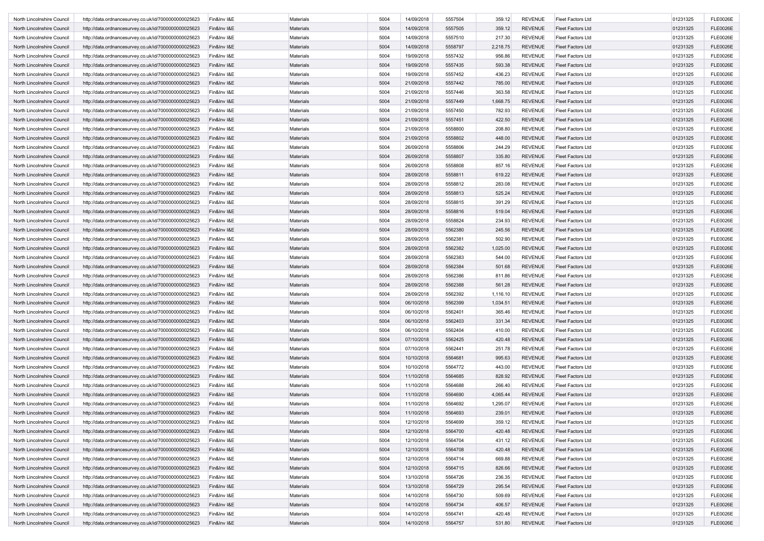| North Lincolnshire Council | http://data.ordnancesurvey.co.uk/id/7000000000025623 | Fin&Inv I&E | Materials        | 5004 | 14/09/2018 | 5557504 | 359.12   | <b>REVENUE</b> | <b>Fleet Factors Ltd</b> | 01231325 | <b>FLE0026E</b> |
|----------------------------|------------------------------------------------------|-------------|------------------|------|------------|---------|----------|----------------|--------------------------|----------|-----------------|
| North Lincolnshire Council | http://data.ordnancesurvey.co.uk/id/7000000000025623 | Fin&Inv I&E | <b>Materials</b> | 5004 | 14/09/2018 | 5557505 | 359.12   | <b>REVENUE</b> | <b>Fleet Factors Ltd</b> | 01231325 | <b>FLE0026E</b> |
| North Lincolnshire Council | http://data.ordnancesurvey.co.uk/id/7000000000025623 | Fin&Inv I&E | Materials        | 5004 | 14/09/2018 | 5557510 | 217.30   | REVENUE        | <b>Fleet Factors Ltd</b> | 01231325 | <b>FLE0026E</b> |
| North Lincolnshire Council | http://data.ordnancesurvey.co.uk/id/7000000000025623 | Fin&Inv I&E | Materials        | 5004 | 14/09/2018 | 5558797 | 2,218.75 | <b>REVENUE</b> | <b>Fleet Factors Ltd</b> | 01231325 | <b>FLE0026E</b> |
| North Lincolnshire Council | http://data.ordnancesurvey.co.uk/id/7000000000025623 | Fin&Inv I&E | Materials        | 5004 | 19/09/2018 | 5557432 | 956.86   | <b>REVENUE</b> | <b>Fleet Factors Ltd</b> | 01231325 | <b>FLE0026E</b> |
| North Lincolnshire Council | http://data.ordnancesurvey.co.uk/id/7000000000025623 | Fin&Inv I&E | Materials        | 5004 | 19/09/2018 | 5557435 | 593.38   | <b>REVENUE</b> | <b>Fleet Factors Ltd</b> | 01231325 | <b>FLE0026E</b> |
| North Lincolnshire Council | http://data.ordnancesurvey.co.uk/id/7000000000025623 | Fin&Inv I&E | Materials        | 5004 | 19/09/2018 | 5557452 | 436.23   | <b>REVENUE</b> | <b>Fleet Factors Ltd</b> | 01231325 | <b>FLE0026E</b> |
| North Lincolnshire Council | http://data.ordnancesurvey.co.uk/id/7000000000025623 | Fin&Inv I&E | Materials        | 5004 | 21/09/2018 | 5557442 | 785.00   | <b>REVENUE</b> | <b>Fleet Factors Ltd</b> | 01231325 | <b>FLE0026E</b> |
| North Lincolnshire Council | http://data.ordnancesurvey.co.uk/id/7000000000025623 | Fin&Inv I&E | Materials        | 5004 | 21/09/2018 | 5557446 | 363.58   | <b>REVENUE</b> | <b>Fleet Factors Ltd</b> | 01231325 | <b>FLE0026E</b> |
| North Lincolnshire Council | http://data.ordnancesurvey.co.uk/id/7000000000025623 | Fin&Inv I&E | Materials        | 5004 | 21/09/2018 | 5557449 | 1,668.75 | REVENUE        | <b>Fleet Factors Ltd</b> | 01231325 | <b>FLE0026E</b> |
| North Lincolnshire Council | http://data.ordnancesurvey.co.uk/id/7000000000025623 | Fin&Inv I&E | Materials        | 5004 | 21/09/2018 | 5557450 | 782.93   | <b>REVENUE</b> | <b>Fleet Factors Ltd</b> | 01231325 | <b>FLE0026E</b> |
| North Lincolnshire Council |                                                      | Fin&Inv I&E | Materials        | 5004 | 21/09/2018 | 5557451 | 422.50   | <b>REVENUE</b> | <b>Fleet Factors Ltd</b> | 01231325 | <b>FLE0026E</b> |
| North Lincolnshire Council | http://data.ordnancesurvey.co.uk/id/7000000000025623 |             |                  |      |            |         |          |                |                          |          |                 |
|                            | http://data.ordnancesurvey.co.uk/id/7000000000025623 | Fin&Inv I&E | Materials        | 5004 | 21/09/2018 | 5558800 | 208.80   | REVENUE        | <b>Fleet Factors Ltd</b> | 01231325 | <b>FLE0026E</b> |
| North Lincolnshire Council | http://data.ordnancesurvey.co.uk/id/7000000000025623 | Fin&Inv I&E | Materials        | 5004 | 21/09/2018 | 5558802 | 448.00   | <b>REVENUE</b> | <b>Fleet Factors Ltd</b> | 01231325 | <b>FLE0026E</b> |
| North Lincolnshire Council | http://data.ordnancesurvey.co.uk/id/7000000000025623 | Fin&Inv I&E | Materials        | 5004 | 26/09/2018 | 5558806 | 244.29   | <b>REVENUE</b> | <b>Fleet Factors Ltd</b> | 01231325 | <b>FLE0026E</b> |
| North Lincolnshire Council | http://data.ordnancesurvey.co.uk/id/7000000000025623 | Fin&Inv I&E | Materials        | 5004 | 26/09/2018 | 5558807 | 335.80   | REVENUE        | <b>Fleet Factors Ltd</b> | 01231325 | <b>FLE0026E</b> |
| North Lincolnshire Council | http://data.ordnancesurvey.co.uk/id/7000000000025623 | Fin&Inv I&E | Materials        | 5004 | 26/09/2018 | 5558808 | 857.16   | REVENUE        | <b>Fleet Factors Ltd</b> | 01231325 | <b>FLE0026E</b> |
| North Lincolnshire Council | http://data.ordnancesurvey.co.uk/id/7000000000025623 | Fin&Inv I&E | Materials        | 5004 | 28/09/2018 | 5558811 | 619.22   | <b>REVENUE</b> | <b>Fleet Factors Ltd</b> | 01231325 | <b>FLE0026E</b> |
| North Lincolnshire Council | http://data.ordnancesurvey.co.uk/id/7000000000025623 | Fin&Inv I&E | Materials        | 5004 | 28/09/2018 | 5558812 | 283.08   | <b>REVENUE</b> | <b>Fleet Factors Ltd</b> | 01231325 | <b>FLE0026E</b> |
| North Lincolnshire Council | http://data.ordnancesurvey.co.uk/id/7000000000025623 | Fin&Inv I&E | <b>Materials</b> | 5004 | 28/09/2018 | 5558813 | 525.24   | <b>REVENUE</b> | <b>Fleet Factors Ltd</b> | 01231325 | <b>FLE0026E</b> |
| North Lincolnshire Council | http://data.ordnancesurvey.co.uk/id/7000000000025623 | Fin&Inv I&E | Materials        | 5004 | 28/09/2018 | 5558815 | 391.29   | REVENUE        | <b>Fleet Factors Ltd</b> | 01231325 | <b>FLE0026E</b> |
| North Lincolnshire Council | http://data.ordnancesurvey.co.uk/id/7000000000025623 | Fin&Inv I&E | Materials        | 5004 | 28/09/2018 | 5558816 | 519.04   | <b>REVENUE</b> | <b>Fleet Factors Ltd</b> | 01231325 | <b>FLE0026E</b> |
| North Lincolnshire Council | http://data.ordnancesurvey.co.uk/id/7000000000025623 | Fin&Inv I&E | Materials        | 5004 | 28/09/2018 | 5558824 | 234.93   | <b>REVENUE</b> | <b>Fleet Factors Ltd</b> | 01231325 | <b>FLE0026E</b> |
| North Lincolnshire Council | http://data.ordnancesurvey.co.uk/id/7000000000025623 | Fin&Inv I&E | Materials        | 5004 | 28/09/2018 | 5562380 | 245.56   | REVENUE        | <b>Fleet Factors Ltd</b> | 01231325 | <b>FLE0026E</b> |
| North Lincolnshire Council | http://data.ordnancesurvey.co.uk/id/7000000000025623 | Fin&Inv I&E | Materials        | 5004 | 28/09/2018 | 5562381 | 502.90   | <b>REVENUE</b> | <b>Fleet Factors Ltd</b> | 01231325 | <b>FLE0026E</b> |
| North Lincolnshire Council | http://data.ordnancesurvey.co.uk/id/7000000000025623 | Fin&Inv I&E | Materials        | 5004 | 28/09/2018 | 5562382 | 1,025.00 | <b>REVENUE</b> | <b>Fleet Factors Ltd</b> | 01231325 | <b>FLE0026E</b> |
| North Lincolnshire Council | http://data.ordnancesurvey.co.uk/id/7000000000025623 | Fin&Inv I&E | Materials        | 5004 | 28/09/2018 | 5562383 | 544.00   | <b>REVENUE</b> | <b>Fleet Factors Ltd</b> | 01231325 | <b>FLE0026E</b> |
| North Lincolnshire Council | http://data.ordnancesurvey.co.uk/id/7000000000025623 | Fin&Inv I&E | Materials        | 5004 | 28/09/2018 | 5562384 | 501.68   | REVENUE        | <b>Fleet Factors Ltd</b> | 01231325 | <b>FLE0026E</b> |
|                            |                                                      | Fin&Inv I&E |                  | 5004 | 28/09/2018 | 5562386 |          | <b>REVENUE</b> |                          |          | <b>FLE0026E</b> |
| North Lincolnshire Council | http://data.ordnancesurvey.co.uk/id/7000000000025623 |             | Materials        |      |            |         | 811.86   |                | <b>Fleet Factors Ltd</b> | 01231325 |                 |
| North Lincolnshire Council | http://data.ordnancesurvey.co.uk/id/7000000000025623 | Fin&Inv I&E | Materials        | 5004 | 28/09/2018 | 5562388 | 561.28   | <b>REVENUE</b> | <b>Fleet Factors Ltd</b> | 01231325 | <b>FLE0026E</b> |
| North Lincolnshire Council | http://data.ordnancesurvey.co.uk/id/7000000000025623 | Fin&Inv I&E | Materials        | 5004 | 28/09/2018 | 5562392 | 1,116.10 | REVENUE        | <b>Fleet Factors Ltd</b> | 01231325 | <b>FLE0026E</b> |
| North Lincolnshire Council | http://data.ordnancesurvey.co.uk/id/7000000000025623 | Fin&Inv I&E | Materials        | 5004 | 06/10/2018 | 5562399 | 1,034.51 | <b>REVENUE</b> | <b>Fleet Factors Ltd</b> | 01231325 | <b>FLE0026E</b> |
| North Lincolnshire Council | http://data.ordnancesurvey.co.uk/id/7000000000025623 | Fin&Inv I&E | Materials        | 5004 | 06/10/2018 | 5562401 | 365.46   | <b>REVENUE</b> | <b>Fleet Factors Ltd</b> | 01231325 | <b>FLE0026E</b> |
| North Lincolnshire Council | http://data.ordnancesurvey.co.uk/id/7000000000025623 | Fin&Inv I&E | Materials        | 5004 | 06/10/2018 | 5562403 | 331.34   | <b>REVENUE</b> | <b>Fleet Factors Ltd</b> | 01231325 | <b>FLE0026E</b> |
| North Lincolnshire Council | http://data.ordnancesurvey.co.uk/id/7000000000025623 | Fin&Inv I&E | Materials        | 5004 | 06/10/2018 | 5562404 | 410.00   | REVENUE        | <b>Fleet Factors Ltd</b> | 01231325 | <b>FLE0026E</b> |
| North Lincolnshire Council | http://data.ordnancesurvey.co.uk/id/7000000000025623 | Fin&Inv I&E | Materials        | 5004 | 07/10/2018 | 5562425 | 420.48   | <b>REVENUE</b> | <b>Fleet Factors Ltd</b> | 01231325 | <b>FLE0026E</b> |
| North Lincolnshire Council | http://data.ordnancesurvey.co.uk/id/7000000000025623 | Fin&Inv I&E | Materials        | 5004 | 07/10/2018 | 5562441 | 251.78   | <b>REVENUE</b> | <b>Fleet Factors Ltd</b> | 01231325 | <b>FLE0026E</b> |
| North Lincolnshire Council | http://data.ordnancesurvey.co.uk/id/7000000000025623 | Fin&Inv I&E | Materials        | 5004 | 10/10/2018 | 5564681 | 995.63   | REVENUE        | <b>Fleet Factors Ltd</b> | 01231325 | <b>FLE0026E</b> |
| North Lincolnshire Council | http://data.ordnancesurvey.co.uk/id/7000000000025623 | Fin&Inv I&E | Materials        | 5004 | 10/10/2018 | 5564772 | 443.00   | REVENUE        | <b>Fleet Factors Ltd</b> | 01231325 | <b>FLE0026E</b> |
| North Lincolnshire Council | http://data.ordnancesurvey.co.uk/id/7000000000025623 | Fin&Inv I&E | Materials        | 5004 | 11/10/2018 | 5564685 | 828.92   | <b>REVENUE</b> | <b>Fleet Factors Ltd</b> | 01231325 | <b>FLE0026E</b> |
| North Lincolnshire Council | http://data.ordnancesurvey.co.uk/id/7000000000025623 | Fin&Inv I&E | Materials        | 5004 | 11/10/2018 | 5564688 | 266.40   | REVENUE        | <b>Fleet Factors Ltd</b> | 01231325 | <b>FLE0026E</b> |
| North Lincolnshire Council | http://data.ordnancesurvey.co.uk/id/7000000000025623 | Fin&Inv I&E | Materials        | 5004 | 11/10/2018 | 5564690 | 4,065.44 | REVENUE        | <b>Fleet Factors Ltd</b> | 01231325 | <b>FLE0026E</b> |
| North Lincolnshire Council | http://data.ordnancesurvey.co.uk/id/7000000000025623 | Fin&Inv I&E | Materials        | 5004 | 11/10/2018 | 5564692 | 1,295.07 | <b>REVENUE</b> | <b>Fleet Factors Ltd</b> | 01231325 | <b>FLE0026E</b> |
| North Lincolnshire Council | http://data.ordnancesurvey.co.uk/id/7000000000025623 | Fin&Inv I&E | Materials        | 5004 | 11/10/2018 | 5564693 | 239.01   | <b>REVENUE</b> | <b>Fleet Factors Ltd</b> | 01231325 | <b>FLE0026E</b> |
| North Lincolnshire Council | http://data.ordnancesurvey.co.uk/id/7000000000025623 | Fin&Inv I&E | Materials        | 5004 | 12/10/2018 | 5564699 | 359.12   | REVENUE        | <b>Fleet Factors Ltd</b> | 01231325 | FLE0026E        |
| North Lincolnshire Council | http://data.ordnancesurvey.co.uk/id/7000000000025623 | Fin&Inv I&E | Materials        | 5004 | 12/10/2018 | 5564700 | 420.48   | REVENUE        | <b>Fleet Factors Ltd</b> | 01231325 | <b>FLE0026E</b> |
| North Lincolnshire Council | http://data.ordnancesurvey.co.uk/id/7000000000025623 | Fin&Inv I&E | Materials        | 5004 | 12/10/2018 | 5564704 | 431.12   | <b>REVENUE</b> | <b>Fleet Factors Ltd</b> | 01231325 | <b>FLE0026E</b> |
|                            |                                                      |             |                  |      |            |         |          |                |                          |          |                 |
| North Lincolnshire Council | http://data.ordnancesurvey.co.uk/id/7000000000025623 | Fin&Inv I&E | Materials        | 5004 | 12/10/2018 | 5564708 | 420.48   | <b>REVENUE</b> | Fleet Factors Ltd        | 01231325 | <b>FLE0026E</b> |
| North Lincolnshire Council | http://data.ordnancesurvey.co.uk/id/7000000000025623 | Fin&Inv I&E | Materials        | 5004 | 12/10/2018 | 5564714 | 669.88   | <b>REVENUE</b> | Fleet Factors Ltd        | 01231325 | <b>FLE0026E</b> |
| North Lincolnshire Council | http://data.ordnancesurvey.co.uk/id/7000000000025623 | Fin&Inv I&E | Materials        | 5004 | 12/10/2018 | 5564715 | 826.66   | <b>REVENUE</b> | Fleet Factors Ltd        | 01231325 | <b>FLE0026E</b> |
| North Lincolnshire Council | http://data.ordnancesurvey.co.uk/id/7000000000025623 | Fin&Inv I&E | Materials        | 5004 | 13/10/2018 | 5564726 | 236.35   | <b>REVENUE</b> | Fleet Factors Ltd        | 01231325 | <b>FLE0026E</b> |
| North Lincolnshire Council | http://data.ordnancesurvey.co.uk/id/7000000000025623 | Fin&Inv I&E | Materials        | 5004 | 13/10/2018 | 5564729 | 295.54   | <b>REVENUE</b> | Fleet Factors Ltd        | 01231325 | <b>FLE0026E</b> |
| North Lincolnshire Council | http://data.ordnancesurvey.co.uk/id/7000000000025623 | Fin&Inv I&E | Materials        | 5004 | 14/10/2018 | 5564730 | 509.69   | <b>REVENUE</b> | Fleet Factors Ltd        | 01231325 | <b>FLE0026E</b> |
| North Lincolnshire Council | http://data.ordnancesurvey.co.uk/id/7000000000025623 | Fin&Inv I&E | Materials        | 5004 | 14/10/2018 | 5564734 | 406.57   | <b>REVENUE</b> | Fleet Factors Ltd        | 01231325 | <b>FLE0026E</b> |
| North Lincolnshire Council | http://data.ordnancesurvey.co.uk/id/7000000000025623 | Fin&Inv I&E | Materials        | 5004 | 14/10/2018 | 5564741 | 420.48   | <b>REVENUE</b> | Fleet Factors Ltd        | 01231325 | <b>FLE0026E</b> |
| North Lincolnshire Council | http://data.ordnancesurvey.co.uk/id/7000000000025623 | Fin&Inv I&E | Materials        | 5004 | 14/10/2018 | 5564757 | 531.80   | REVENUE        | Fleet Factors Ltd        | 01231325 | <b>FLE0026E</b> |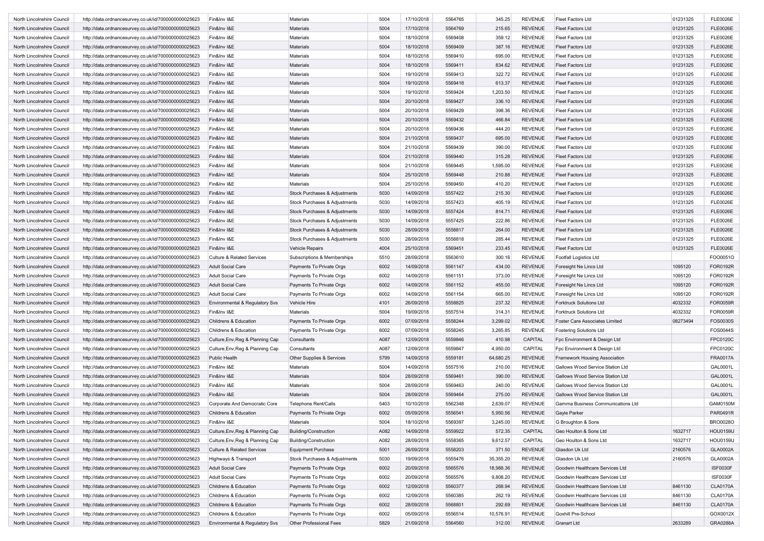| North Lincolnshire Council | http://data.ordnancesurvey.co.uk/id/7000000000025623 | Fin&Inv I&E                           | Materials                     | 5004 | 17/10/2018 | 5564765 | 345.25    | <b>REVENUE</b> | <b>Fleet Factors Ltd</b>          | 01231325 | <b>FLE0026E</b> |
|----------------------------|------------------------------------------------------|---------------------------------------|-------------------------------|------|------------|---------|-----------|----------------|-----------------------------------|----------|-----------------|
| North Lincolnshire Council | http://data.ordnancesurvey.co.uk/id/7000000000025623 | Fin&Inv I&E                           | <b>Materials</b>              | 5004 | 17/10/2018 | 5564769 | 215.65    | <b>REVENUE</b> | <b>Fleet Factors Ltd</b>          | 01231325 | <b>FLE0026E</b> |
| North Lincolnshire Council | http://data.ordnancesurvey.co.uk/id/7000000000025623 | Fin&Inv I&E                           | Materials                     | 5004 | 18/10/2018 | 5569408 | 359.12    | <b>REVENUE</b> | <b>Fleet Factors Ltd</b>          | 01231325 | <b>FLE0026E</b> |
| North Lincolnshire Council | http://data.ordnancesurvey.co.uk/id/7000000000025623 | Fin&Inv I&E                           | Materials                     | 5004 | 18/10/2018 | 5569409 | 387.16    | <b>REVENUE</b> | <b>Fleet Factors Ltd</b>          | 01231325 | <b>FLE0026E</b> |
| North Lincolnshire Council | http://data.ordnancesurvey.co.uk/id/7000000000025623 | Fin&Inv I&E                           | Materials                     | 5004 | 18/10/2018 | 5569410 | 695.00    | <b>REVENUE</b> | <b>Fleet Factors Ltd</b>          | 01231325 | <b>FLE0026E</b> |
| North Lincolnshire Council | http://data.ordnancesurvey.co.uk/id/7000000000025623 | Fin&Inv I&E                           | Materials                     | 5004 | 18/10/2018 | 5569411 | 834.62    | <b>REVENUE</b> | <b>Fleet Factors Ltd</b>          | 01231325 | <b>FLE0026E</b> |
| North Lincolnshire Council | http://data.ordnancesurvey.co.uk/id/7000000000025623 | Fin&Inv I&E                           | Materials                     | 5004 | 19/10/2018 | 5569413 | 322.72    | <b>REVENUE</b> | <b>Fleet Factors Ltd</b>          | 01231325 | <b>FLE0026E</b> |
| North Lincolnshire Council | http://data.ordnancesurvey.co.uk/id/7000000000025623 | Fin&Inv I&E                           | Materials                     | 5004 | 19/10/2018 | 5569418 | 613.37    | <b>REVENUE</b> | <b>Fleet Factors Ltd</b>          | 01231325 | <b>FLE0026E</b> |
| North Lincolnshire Council | http://data.ordnancesurvey.co.uk/id/7000000000025623 | Fin&Inv I&E                           | Materials                     | 5004 | 19/10/2018 | 5569424 | 1,203.50  | <b>REVENUE</b> | <b>Fleet Factors Ltd</b>          | 01231325 | <b>FLE0026E</b> |
| North Lincolnshire Council | http://data.ordnancesurvey.co.uk/id/7000000000025623 | Fin&Inv I&E                           | Materials                     | 5004 | 20/10/2018 | 5569427 | 336.10    | <b>REVENUE</b> | <b>Fleet Factors Ltd</b>          | 01231325 | <b>FLE0026E</b> |
|                            |                                                      |                                       |                               | 5004 | 20/10/2018 | 5569429 | 398.36    | <b>REVENUE</b> |                                   | 01231325 | <b>FLE0026E</b> |
| North Lincolnshire Council | http://data.ordnancesurvey.co.uk/id/7000000000025623 | Fin&Inv I&E                           | Materials                     |      |            |         |           |                | <b>Fleet Factors Ltd</b>          |          |                 |
| North Lincolnshire Council | http://data.ordnancesurvey.co.uk/id/7000000000025623 | Fin&Inv I&E                           | Materials                     | 5004 | 20/10/2018 | 5569432 | 466.84    | <b>REVENUE</b> | <b>Fleet Factors Ltd</b>          | 01231325 | <b>FLE0026E</b> |
| North Lincolnshire Council | http://data.ordnancesurvey.co.uk/id/7000000000025623 | Fin&Inv I&E                           | Materials                     | 5004 | 20/10/2018 | 5569436 | 444.20    | <b>REVENUE</b> | <b>Fleet Factors Ltd</b>          | 01231325 | <b>FLE0026E</b> |
| North Lincolnshire Council | http://data.ordnancesurvey.co.uk/id/7000000000025623 | Fin&Inv I&E                           | Materials                     | 5004 | 21/10/2018 | 5569437 | 695.00    | <b>REVENUE</b> | <b>Fleet Factors Ltd</b>          | 01231325 | <b>FLE0026E</b> |
| North Lincolnshire Council | http://data.ordnancesurvey.co.uk/id/7000000000025623 | Fin&Inv I&E                           | Materials                     | 5004 | 21/10/2018 | 5569439 | 390.00    | <b>REVENUE</b> | <b>Fleet Factors Ltd</b>          | 01231325 | <b>FLE0026E</b> |
| North Lincolnshire Council | http://data.ordnancesurvey.co.uk/id/7000000000025623 | Fin&Inv I&E                           | Materials                     | 5004 | 21/10/2018 | 5569440 | 315.28    | <b>REVENUE</b> | <b>Fleet Factors Ltd</b>          | 01231325 | <b>FLE0026E</b> |
| North Lincolnshire Council | http://data.ordnancesurvey.co.uk/id/7000000000025623 | Fin&Inv I&E                           | Materials                     | 5004 | 21/10/2018 | 5569445 | 1,595.00  | <b>REVENUE</b> | <b>Fleet Factors Ltd</b>          | 01231325 | <b>FLE0026E</b> |
| North Lincolnshire Council | http://data.ordnancesurvey.co.uk/id/7000000000025623 | Fin&Inv I&E                           | Materials                     | 5004 | 25/10/2018 | 5569448 | 210.88    | <b>REVENUE</b> | <b>Fleet Factors Ltd</b>          | 01231325 | <b>FLE0026E</b> |
| North Lincolnshire Council | http://data.ordnancesurvey.co.uk/id/7000000000025623 | Fin&Inv I&E                           | Materials                     | 5004 | 25/10/2018 | 5569450 | 410.20    | <b>REVENUE</b> | <b>Fleet Factors Ltd</b>          | 01231325 | <b>FLE0026E</b> |
| North Lincolnshire Council | http://data.ordnancesurvey.co.uk/id/7000000000025623 | Fin&Inv I&E                           | Stock Purchases & Adjustments | 5030 | 14/09/2018 | 5557422 | 215.30    | <b>REVENUE</b> | <b>Fleet Factors Ltd</b>          | 01231325 | <b>FLE0026E</b> |
| North Lincolnshire Council | http://data.ordnancesurvey.co.uk/id/7000000000025623 | Fin&Inv I&E                           | Stock Purchases & Adjustments | 5030 | 14/09/2018 | 5557423 | 405.19    | <b>REVENUE</b> | <b>Fleet Factors Ltd</b>          | 01231325 | <b>FLE0026E</b> |
| North Lincolnshire Council | http://data.ordnancesurvey.co.uk/id/7000000000025623 | Fin&Inv I&E                           | Stock Purchases & Adjustments | 5030 | 14/09/2018 | 5557424 | 814.71    | <b>REVENUE</b> | <b>Fleet Factors Ltd</b>          | 01231325 | <b>FLE0026E</b> |
| North Lincolnshire Council | http://data.ordnancesurvey.co.uk/id/7000000000025623 | Fin&Inv I&E                           | Stock Purchases & Adjustments | 5030 | 14/09/2018 | 5557425 | 222.86    | <b>REVENUE</b> | <b>Fleet Factors Ltd</b>          | 01231325 | <b>FLE0026E</b> |
| North Lincolnshire Council | http://data.ordnancesurvey.co.uk/id/7000000000025623 | Fin&Inv I&E                           | Stock Purchases & Adjustments | 5030 | 28/09/2018 | 5558817 | 264.00    | <b>REVENUE</b> | <b>Fleet Factors Ltd</b>          | 01231325 | <b>FLE0026E</b> |
| North Lincolnshire Council | http://data.ordnancesurvey.co.uk/id/7000000000025623 | Fin&Inv I&E                           | Stock Purchases & Adjustments | 5030 | 28/09/2018 | 5558818 | 285.44    | <b>REVENUE</b> | <b>Fleet Factors Ltd</b>          | 01231325 | <b>FLE0026E</b> |
| North Lincolnshire Council | http://data.ordnancesurvey.co.uk/id/7000000000025623 | Fin&Inv I&E                           | <b>Vehicle Repairs</b>        | 4004 | 25/10/2018 | 5569451 | 233.45    | <b>REVENUE</b> | <b>Fleet Factors Ltd</b>          | 01231325 | <b>FLE0026E</b> |
| North Lincolnshire Council | http://data.ordnancesurvey.co.uk/id/7000000000025623 | <b>Culture &amp; Related Services</b> | Subscriptions & Memberships   | 5510 | 28/09/2018 | 5563610 | 300.16    | <b>REVENUE</b> | <b>Footfall Logistics Ltd</b>     |          | FOO0051O        |
| North Lincolnshire Council | http://data.ordnancesurvey.co.uk/id/7000000000025623 | <b>Adult Social Care</b>              | Payments To Private Orgs      | 6002 | 14/09/2018 | 5561147 | 434.00    | <b>REVENUE</b> | Foresight Ne Lincs Ltd            | 1095120  | FOR0192R        |
| North Lincolnshire Council | http://data.ordnancesurvey.co.uk/id/7000000000025623 | <b>Adult Social Care</b>              | Payments To Private Orgs      | 6002 | 14/09/2018 | 5561151 | 373.00    | <b>REVENUE</b> | Foresight Ne Lincs Ltd            | 1095120  | FOR0192R        |
| North Lincolnshire Council | http://data.ordnancesurvey.co.uk/id/7000000000025623 | <b>Adult Social Care</b>              | Payments To Private Orgs      | 6002 | 14/09/2018 | 5561152 | 455.00    | <b>REVENUE</b> | Foresight Ne Lincs Ltd            | 1095120  | FOR0192R        |
| North Lincolnshire Council | http://data.ordnancesurvey.co.uk/id/7000000000025623 | Adult Social Care                     | Payments To Private Orgs      | 6002 | 14/09/2018 | 5561154 | 665.00    | <b>REVENUE</b> | Foresight Ne Lincs Ltd            | 1095120  | FOR0192R        |
| North Lincolnshire Council |                                                      |                                       | Vehicle Hire                  | 4101 | 26/09/2018 | 5558825 | 237.32    | <b>REVENUE</b> | <b>Forktruck Solutions Ltd</b>    | 4032332  | FOR0059R        |
|                            | http://data.ordnancesurvey.co.uk/id/7000000000025623 | Environmental & Regulatory Svs        |                               |      |            |         |           |                |                                   |          |                 |
| North Lincolnshire Council | http://data.ordnancesurvey.co.uk/id/7000000000025623 | Fin&Inv I&E                           | <b>Materials</b>              | 5004 | 19/09/2018 | 5557514 | 314.31    | <b>REVENUE</b> | <b>Forktruck Solutions Ltd</b>    | 4032332  | FOR0059R        |
| North Lincolnshire Council | http://data.ordnancesurvey.co.uk/id/7000000000025623 | Childrens & Education                 | Payments To Private Orgs      | 6002 | 07/09/2018 | 5558244 | 3,299.02  | <b>REVENUE</b> | Foster Care Associates Limited    | 08273494 | FOS0030S        |
| North Lincolnshire Council | http://data.ordnancesurvey.co.uk/id/7000000000025623 | Childrens & Education                 | Payments To Private Orgs      | 6002 | 07/09/2018 | 5558245 | 3,265.85  | <b>REVENUE</b> | <b>Fostering Solutions Ltd</b>    |          | FOS0044S        |
| North Lincolnshire Council | http://data.ordnancesurvey.co.uk/id/7000000000025623 | Culture, Env, Reg & Planning Cap      | Consultants                   | A087 | 12/09/2018 | 5559846 | 410.98    | CAPITAL        | Fpc Environment & Design Ltd      |          | FPC0120C        |
| North Lincolnshire Council | http://data.ordnancesurvey.co.uk/id/7000000000025623 | Culture, Env, Reg & Planning Cap      | Consultants                   | A087 | 12/09/2018 | 5559847 | 4,950.00  | <b>CAPITAL</b> | Fpc Environment & Design Ltd      |          | FPC0120C        |
| North Lincolnshire Council | http://data.ordnancesurvey.co.uk/id/7000000000025623 | Public Health                         | Other Supplies & Services     | 5799 | 14/09/2018 | 5559181 | 64,680.25 | <b>REVENUE</b> | Framework Housing Association     |          | <b>FRA0017A</b> |
| North Lincolnshire Council | http://data.ordnancesurvey.co.uk/id/7000000000025623 | Fin&Inv I&E                           | Materials                     | 5004 | 14/09/2018 | 5557516 | 210.00    | <b>REVENUE</b> | Gallows Wood Service Station Ltd  |          | GAL0001L        |
| North Lincolnshire Council | http://data.ordnancesurvey.co.uk/id/7000000000025623 | Fin&Inv I&E                           | <b>Materials</b>              | 5004 | 28/09/2018 | 5569461 | 390.00    | <b>REVENUE</b> | Gallows Wood Service Station Ltd  |          | GAL0001L        |
| North Lincolnshire Council | http://data.ordnancesurvey.co.uk/id/7000000000025623 | Fin&Inv I&E                           | Materials                     | 5004 | 28/09/2018 | 5569463 | 240.00    | <b>REVENUE</b> | Gallows Wood Service Station Ltd  |          | GAL0001L        |
| North Lincolnshire Council | http://data.ordnancesurvey.co.uk/id/7000000000025623 | Fin&Inv I&E                           | Materials                     | 5004 | 28/09/2018 | 5569464 | 275.00    | <b>REVENUE</b> | Gallows Wood Service Station Ltd  |          | GAL0001L        |
| North Lincolnshire Council | http://data.ordnancesurvey.co.uk/id/7000000000025623 | Corporate And Democratic Core         | <b>Telephone Rent/Calls</b>   | 5403 | 10/10/2018 | 5562348 | 2,639.07  | <b>REVENUE</b> | Gamma Business Communications Ltd |          | GAM0150M        |
| North Lincolnshire Council | http://data.ordnancesurvey.co.uk/id/7000000000025623 | Childrens & Education                 | Payments To Private Orgs      | 6002 | 05/09/2018 | 5556541 | 5,950.56  | <b>REVENUE</b> | Gayle Parker                      |          | PAR0491R        |
| North Lincolnshire Council | http://data.ordnancesurvey.co.uk/id/7000000000025623 | Fin&Inv I&E                           | Materials                     | 5004 | 18/10/2018 | 5569397 | 3,245.00  | REVENUE        | G Broughton & Sons                |          | BRO0028O        |
| North Lincolnshire Council | http://data.ordnancesurvey.co.uk/id/7000000000025623 | Culture, Env, Reg & Planning Cap      | <b>Building/Construction</b>  | A082 | 14/09/2018 | 5559922 | 572.35    | CAPITAL        | Geo Houlton & Sons Ltd            | 1632717  | <b>HOU0159U</b> |
| North Lincolnshire Council | http://data.ordnancesurvey.co.uk/id/7000000000025623 | Culture, Env, Reg & Planning Cap      | Building/Construction         | A082 | 28/09/2018 | 5558365 | 9,612.57  | CAPITAL        | Geo Houlton & Sons Ltd            | 1632717  | <b>HOU0159U</b> |
| North Lincolnshire Council | http://data.ordnancesurvey.co.uk/id/7000000000025623 | <b>Culture &amp; Related Services</b> | Equipment Purchase            | 5001 | 26/09/2018 | 5558203 | 371.50    | <b>REVENUE</b> | Glasdon Uk Ltd                    | 2160576  | GLA0002A        |
| North Lincolnshire Council | http://data.ordnancesurvey.co.uk/id/7000000000025623 | Highways & Transport                  | Stock Purchases & Adjustments | 5030 | 19/09/2018 | 5555476 | 35,355.20 | <b>REVENUE</b> | Glasdon Uk Ltd                    | 2160576  | GLA0002A        |
| North Lincolnshire Council | http://data.ordnancesurvey.co.uk/id/7000000000025623 | Adult Social Care                     | Payments To Private Orgs      | 6002 | 20/09/2018 | 5565576 | 18,988.36 | <b>REVENUE</b> | Goodwin Healthcare Services Ltd   |          | <b>ISF0030F</b> |
| North Lincolnshire Council | http://data.ordnancesurvey.co.uk/id/7000000000025623 | <b>Adult Social Care</b>              | Payments To Private Orgs      | 6002 | 20/09/2018 | 5565576 | 9,808.20  | <b>REVENUE</b> | Goodwin Healthcare Services Ltd   |          | <b>ISF0030F</b> |
| North Lincolnshire Council | http://data.ordnancesurvey.co.uk/id/7000000000025623 | Childrens & Education                 | Payments To Private Orgs      | 6002 | 12/09/2018 | 5560377 | 268.94    | <b>REVENUE</b> | Goodwin Healthcare Services Ltd   | 8461130  | <b>CLA0170A</b> |
| North Lincolnshire Council | http://data.ordnancesurvey.co.uk/id/7000000000025623 | Childrens & Education                 | Payments To Private Orgs      | 6002 | 12/09/2018 | 5560385 | 262.19    | <b>REVENUE</b> | Goodwin Healthcare Services Ltd   | 8461130  | <b>CLA0170A</b> |
|                            |                                                      |                                       |                               |      |            |         |           |                |                                   |          |                 |
| North Lincolnshire Council | http://data.ordnancesurvey.co.uk/id/7000000000025623 | Childrens & Education                 | Payments To Private Orgs      | 6002 | 28/09/2018 | 5568801 | 292.69    | <b>REVENUE</b> | Goodwin Healthcare Services Ltd   | 8461130  | <b>CLA0170A</b> |
| North Lincolnshire Council | http://data.ordnancesurvey.co.uk/id/7000000000025623 | Childrens & Education                 | Payments To Private Orgs      | 6002 | 05/09/2018 | 5556514 | 10,576.91 | <b>REVENUE</b> | Goxhill Pre-School                |          | GOX0012X        |
| North Lincolnshire Council | http://data.ordnancesurvey.co.uk/id/7000000000025623 | Environmental & Regulatory Svs        | Other Professional Fees       | 5829 | 21/09/2018 | 5564560 | 312.00    | REVENUE        | <b>Granart Ltd</b>                | 2633289  | GRA0288A        |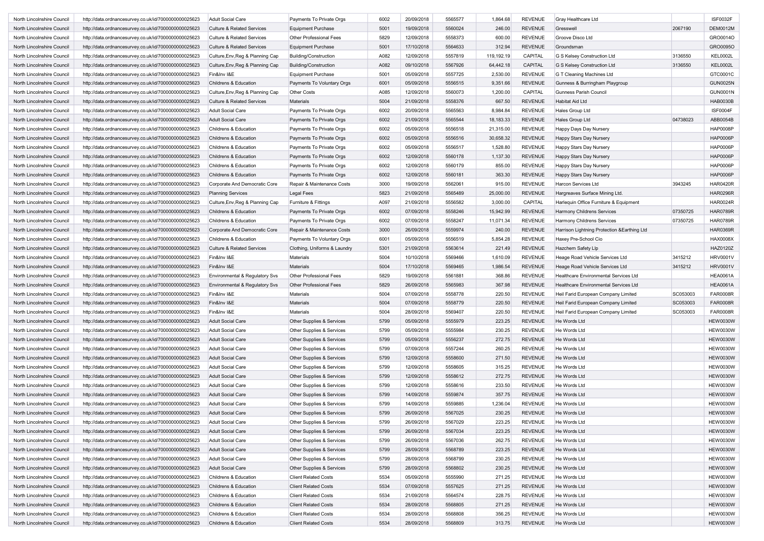| North Lincolnshire Council | http://data.ordnancesurvey.co.uk/id/7000000000025623 | <b>Adult Social Care</b>              | Payments To Private Orgs                  | 6002 | 20/09/2018 | 5565577 | 1,864.68   | <b>REVENUE</b> | <b>Gray Healthcare Ltd</b>                   |          | <b>ISF0032F</b> |
|----------------------------|------------------------------------------------------|---------------------------------------|-------------------------------------------|------|------------|---------|------------|----------------|----------------------------------------------|----------|-----------------|
| North Lincolnshire Council | http://data.ordnancesurvey.co.uk/id/7000000000025623 | <b>Culture &amp; Related Services</b> | <b>Equipment Purchase</b>                 | 5001 | 19/09/2018 | 5560024 | 246.00     | <b>REVENUE</b> | Gresswell                                    | 2067190  | <b>DEM0012M</b> |
| North Lincolnshire Council | http://data.ordnancesurvey.co.uk/id/7000000000025623 | <b>Culture &amp; Related Services</b> | Other Professional Fees                   | 5829 | 12/09/2018 | 5558373 | 600.00     | <b>REVENUE</b> | Groove Disco Ltd                             |          | GRO0014O        |
| North Lincolnshire Council | http://data.ordnancesurvey.co.uk/id/7000000000025623 | <b>Culture &amp; Related Services</b> | <b>Equipment Purchase</b>                 | 5001 | 17/10/2018 | 5564633 | 312.94     | <b>REVENUE</b> | Groundsman                                   |          | GRO0095O        |
| North Lincolnshire Council | http://data.ordnancesurvey.co.uk/id/7000000000025623 | Culture, Env, Reg & Planning Cap      | <b>Building/Construction</b>              | A082 | 12/09/2018 | 5557819 | 119,192.19 | CAPITAL        | G S Kelsey Construction Ltd                  | 3136550  | <b>KEL0002L</b> |
| North Lincolnshire Council | http://data.ordnancesurvey.co.uk/id/7000000000025623 | Culture, Env, Reg & Planning Cap      | <b>Building/Construction</b>              | A082 | 09/10/2018 | 5567926 | 64,442.18  | <b>CAPITAL</b> | <b>G S Kelsey Construction Ltd</b>           | 3136550  | <b>KEL0002L</b> |
| North Lincolnshire Council | http://data.ordnancesurvey.co.uk/id/7000000000025623 | Fin&Inv I&E                           | <b>Equipment Purchase</b>                 | 5001 | 05/09/2018 | 5557725 | 2,530.00   | <b>REVENUE</b> | G T Cleaning Machines Ltd                    |          | GTC0001C        |
| North Lincolnshire Council | http://data.ordnancesurvey.co.uk/id/7000000000025623 | Childrens & Education                 | Payments To Voluntary Orgs                | 6001 | 05/09/2018 | 5556515 | 9,351.66   | <b>REVENUE</b> | Gunness & Burringham Playgroup               |          | <b>GUN0025N</b> |
| North Lincolnshire Council | http://data.ordnancesurvey.co.uk/id/7000000000025623 | Culture, Env, Reg & Planning Cap      | <b>Other Costs</b>                        | A085 | 12/09/2018 | 5560073 | 1,200.00   | CAPITAL        | Gunness Parish Council                       |          | <b>GUN0001N</b> |
| North Lincolnshire Council | http://data.ordnancesurvey.co.uk/id/7000000000025623 | <b>Culture &amp; Related Services</b> | Materials                                 | 5004 | 21/09/2018 | 5558376 | 667.50     | <b>REVENUE</b> | Habitat Aid Ltd                              |          | <b>HAB0030B</b> |
| North Lincolnshire Council | http://data.ordnancesurvey.co.uk/id/7000000000025623 | <b>Adult Social Care</b>              | Payments To Private Orgs                  | 6002 | 20/09/2018 | 5565563 | 8,984.84   | <b>REVENUE</b> | Hales Group Ltd                              |          | <b>ISF0004F</b> |
|                            |                                                      |                                       |                                           |      |            |         |            |                |                                              |          |                 |
| North Lincolnshire Council | http://data.ordnancesurvey.co.uk/id/7000000000025623 | <b>Adult Social Care</b>              | Payments To Private Orgs                  | 6002 | 21/09/2018 | 5565544 | 18,183.33  | <b>REVENUE</b> | Hales Group Ltd                              | 04738023 | ABB0054B        |
| North Lincolnshire Council | http://data.ordnancesurvey.co.uk/id/7000000000025623 | Childrens & Education                 | Payments To Private Orgs                  | 6002 | 05/09/2018 | 5556518 | 21,315.00  | <b>REVENUE</b> | Happy Days Day Nursery                       |          | <b>HAP0008P</b> |
| North Lincolnshire Council | http://data.ordnancesurvey.co.uk/id/7000000000025623 | Childrens & Education                 | Payments To Private Orgs                  | 6002 | 05/09/2018 | 5556516 | 30,658.32  | <b>REVENUE</b> | Happy Stars Day Nursery                      |          | <b>HAP0006P</b> |
| North Lincolnshire Council | http://data.ordnancesurvey.co.uk/id/7000000000025623 | Childrens & Education                 | Payments To Private Orgs                  | 6002 | 05/09/2018 | 5556517 | 1,528.80   | <b>REVENUE</b> | Happy Stars Day Nursery                      |          | <b>HAP0006P</b> |
| North Lincolnshire Council | http://data.ordnancesurvey.co.uk/id/7000000000025623 | Childrens & Education                 | Payments To Private Orgs                  | 6002 | 12/09/2018 | 5560178 | 1,137.30   | <b>REVENUE</b> | Happy Stars Day Nursery                      |          | <b>HAP0006P</b> |
| North Lincolnshire Council | http://data.ordnancesurvey.co.uk/id/7000000000025623 | Childrens & Education                 | Payments To Private Orgs                  | 6002 | 12/09/2018 | 5560179 | 855.00     | <b>REVENUE</b> | Happy Stars Day Nursery                      |          | <b>HAP0006P</b> |
| North Lincolnshire Council | http://data.ordnancesurvey.co.uk/id/7000000000025623 | <b>Childrens &amp; Education</b>      | Payments To Private Orgs                  | 6002 | 12/09/2018 | 5560181 | 363.30     | <b>REVENUE</b> | Happy Stars Day Nursery                      |          | <b>HAP0006P</b> |
| North Lincolnshire Council | http://data.ordnancesurvey.co.uk/id/7000000000025623 | Corporate And Democratic Core         | Repair & Maintenance Costs                | 3000 | 19/09/2018 | 5562061 | 915.00     | <b>REVENUE</b> | Harcon Services Ltd                          | 3943245  | <b>HAR0420R</b> |
| North Lincolnshire Council | http://data.ordnancesurvey.co.uk/id/7000000000025623 | <b>Planning Services</b>              | <b>Legal Fees</b>                         | 5823 | 21/09/2018 | 5565489 | 25,000.00  | <b>REVENUE</b> | Hargreaves Surface Mining Ltd.               |          | <b>HAR0296R</b> |
| North Lincolnshire Council | http://data.ordnancesurvey.co.uk/id/7000000000025623 | Culture, Env, Reg & Planning Cap      | Furniture & Fittings                      | A097 | 21/09/2018 | 5556582 | 3,000.00   | CAPITAL        | Harlequin Office Furniture & Equipment       |          | <b>HAR0024R</b> |
| North Lincolnshire Council | http://data.ordnancesurvey.co.uk/id/7000000000025623 | Childrens & Education                 | Payments To Private Orgs                  | 6002 | 07/09/2018 | 5558246 | 15,942.99  | <b>REVENUE</b> | Harmony Childrens Services                   | 07350725 | <b>HAR0789R</b> |
| North Lincolnshire Council | http://data.ordnancesurvey.co.uk/id/7000000000025623 | Childrens & Education                 | Payments To Private Orgs                  | 6002 | 07/09/2018 | 5558247 | 11,071.34  | <b>REVENUE</b> | Harmony Childrens Services                   | 07350725 | <b>HAR0789R</b> |
| North Lincolnshire Council | http://data.ordnancesurvey.co.uk/id/7000000000025623 | Corporate And Democratic Core         | Repair & Maintenance Costs                | 3000 | 26/09/2018 | 5559974 | 240.00     | <b>REVENUE</b> | Harrison Lightning Protection & Earthing Ltd |          | <b>HAR0369R</b> |
| North Lincolnshire Council | http://data.ordnancesurvey.co.uk/id/7000000000025623 | Childrens & Education                 | Payments To Voluntary Orgs                | 6001 | 05/09/2018 | 5556519 | 5,854.28   | <b>REVENUE</b> | Haxey Pre-School Cio                         |          | <b>HAX0008X</b> |
| North Lincolnshire Council | http://data.ordnancesurvey.co.uk/id/7000000000025623 | <b>Culture &amp; Related Services</b> |                                           | 5301 | 21/09/2018 | 5563614 | 221.49     | <b>REVENUE</b> | Hazchem Safety Llp                           |          | HAZ0120Z        |
|                            |                                                      |                                       | Clothing, Uniforms & Laundry<br>Materials |      | 10/10/2018 |         |            | <b>REVENUE</b> |                                              | 3415212  | <b>HRV0001V</b> |
| North Lincolnshire Council | http://data.ordnancesurvey.co.uk/id/7000000000025623 | Fin&Inv I&E                           |                                           | 5004 |            | 5569466 | 1,610.09   |                | Heage Road Vehicle Services Ltd              |          |                 |
| North Lincolnshire Council | http://data.ordnancesurvey.co.uk/id/7000000000025623 | Fin&Inv I&E                           | Materials                                 | 5004 | 17/10/2018 | 5569465 | 1,986.54   | <b>REVENUE</b> | Heage Road Vehicle Services Ltd              | 3415212  | <b>HRV0001V</b> |
| North Lincolnshire Council | http://data.ordnancesurvey.co.uk/id/7000000000025623 | Environmental & Regulatory Svs        | Other Professional Fees                   | 5829 | 19/09/2018 | 5561881 | 368.86     | <b>REVENUE</b> | <b>Healthcare Environmental Services Ltd</b> |          | <b>HEA0061A</b> |
| North Lincolnshire Council | http://data.ordnancesurvey.co.uk/id/7000000000025623 | Environmental & Regulatory Svs        | Other Professional Fees                   | 5829 | 26/09/2018 | 5565983 | 367.98     | <b>REVENUE</b> | Healthcare Environmental Services Ltd        |          | <b>HEA0061A</b> |
| North Lincolnshire Council | http://data.ordnancesurvey.co.uk/id/7000000000025623 | Fin&Inv I&E                           | Materials                                 | 5004 | 07/09/2018 | 5558778 | 220.50     | <b>REVENUE</b> | Heil Farid European Company Limited          | SC053003 | <b>FAR0008R</b> |
| North Lincolnshire Council | http://data.ordnancesurvey.co.uk/id/7000000000025623 | Fin&Inv I&E                           | Materials                                 | 5004 | 07/09/2018 | 5558779 | 220.50     | <b>REVENUE</b> | Heil Farid European Company Limited          | SC053003 | <b>FAR0008R</b> |
| North Lincolnshire Council | http://data.ordnancesurvey.co.uk/id/7000000000025623 | Fin&Inv I&E                           | Materials                                 | 5004 | 28/09/2018 | 5569407 | 220.50     | <b>REVENUE</b> | Heil Farid European Company Limited          | SC053003 | <b>FAR0008R</b> |
| North Lincolnshire Council | http://data.ordnancesurvey.co.uk/id/7000000000025623 | <b>Adult Social Care</b>              | Other Supplies & Services                 | 5799 | 05/09/2018 | 5555979 | 223.25     | <b>REVENUE</b> | He Words Ltd                                 |          | <b>HEW0030W</b> |
| North Lincolnshire Council | http://data.ordnancesurvey.co.uk/id/7000000000025623 | <b>Adult Social Care</b>              | Other Supplies & Services                 | 5799 | 05/09/2018 | 5555984 | 230.25     | <b>REVENUE</b> | He Words Ltd                                 |          | HEW0030W        |
| North Lincolnshire Council | http://data.ordnancesurvey.co.uk/id/7000000000025623 | <b>Adult Social Care</b>              | Other Supplies & Services                 | 5799 | 05/09/2018 | 5556237 | 272.75     | <b>REVENUE</b> | He Words Ltd                                 |          | <b>HEW0030W</b> |
| North Lincolnshire Council | http://data.ordnancesurvey.co.uk/id/7000000000025623 | <b>Adult Social Care</b>              | Other Supplies & Services                 | 5799 | 07/09/2018 | 5557244 | 260.25     | <b>REVENUE</b> | He Words Ltd                                 |          | <b>HEW0030W</b> |
| North Lincolnshire Council | http://data.ordnancesurvey.co.uk/id/7000000000025623 | <b>Adult Social Care</b>              | Other Supplies & Services                 | 5799 | 12/09/2018 | 5558600 | 271.50     | <b>REVENUE</b> | He Words Ltd                                 |          | HEW0030W        |
| North Lincolnshire Council | http://data.ordnancesurvey.co.uk/id/7000000000025623 | <b>Adult Social Care</b>              | Other Supplies & Services                 | 5799 | 12/09/2018 | 5558605 | 315.25     | <b>REVENUE</b> | He Words Ltd                                 |          | <b>HEW0030W</b> |
| North Lincolnshire Council | http://data.ordnancesurvey.co.uk/id/7000000000025623 | <b>Adult Social Care</b>              | Other Supplies & Services                 | 5799 | 12/09/2018 | 5558612 | 272.75     | <b>REVENUE</b> | He Words Ltd                                 |          | <b>HEW0030W</b> |
| North Lincolnshire Council | http://data.ordnancesurvey.co.uk/id/7000000000025623 | <b>Adult Social Care</b>              | Other Supplies & Services                 | 5799 | 12/09/2018 | 5558616 | 233.50     | <b>REVENUE</b> | He Words Ltd                                 |          | <b>HEW0030W</b> |
| North Lincolnshire Council | http://data.ordnancesurvey.co.uk/id/7000000000025623 | <b>Adult Social Care</b>              | Other Supplies & Services                 | 5799 | 14/09/2018 | 5559874 | 357.75     | <b>REVENUE</b> | He Words Ltd                                 |          | <b>HEW0030W</b> |
| North Lincolnshire Council | http://data.ordnancesurvey.co.uk/id/7000000000025623 | <b>Adult Social Care</b>              | Other Supplies & Services                 | 5799 | 14/09/2018 | 5559885 | 1,236.04   | <b>REVENUE</b> | He Words Ltd                                 |          | <b>HEW0030W</b> |
| North Lincolnshire Council | http://data.ordnancesurvey.co.uk/id/7000000000025623 | <b>Adult Social Care</b>              | Other Supplies & Services                 | 5799 | 26/09/2018 | 5567025 | 230.25     | <b>REVENUE</b> | He Words Ltd                                 |          | HEW0030W        |
| North Lincolnshire Council | http://data.ordnancesurvey.co.uk/id/7000000000025623 | <b>Adult Social Care</b>              | Other Supplies & Services                 | 5799 | 26/09/2018 | 5567029 | 223.25     | REVENUE        | He Words Ltd                                 |          | <b>HEW0030W</b> |
| North Lincolnshire Council |                                                      |                                       |                                           |      |            |         |            |                | He Words Ltd                                 |          | <b>HEW0030W</b> |
|                            | http://data.ordnancesurvey.co.uk/id/7000000000025623 | <b>Adult Social Care</b>              | Other Supplies & Services                 | 5799 | 26/09/2018 | 5567034 | 223.25     | REVENUE        |                                              |          |                 |
| North Lincolnshire Council | http://data.ordnancesurvey.co.uk/id/7000000000025623 | <b>Adult Social Care</b>              | Other Supplies & Services                 | 5799 | 26/09/2018 | 5567036 | 262.75     | <b>REVENUE</b> | He Words Ltd                                 |          | HEW0030W        |
| North Lincolnshire Council | http://data.ordnancesurvey.co.uk/id/7000000000025623 | Adult Social Care                     | Other Supplies & Services                 | 5799 | 28/09/2018 | 5568789 | 223.25     | <b>REVENUE</b> | He Words Ltd                                 |          | <b>HEW0030W</b> |
| North Lincolnshire Council | http://data.ordnancesurvey.co.uk/id/7000000000025623 | <b>Adult Social Care</b>              | Other Supplies & Services                 | 5799 | 28/09/2018 | 5568799 | 230.25     | <b>REVENUE</b> | He Words Ltd                                 |          | <b>HEW0030W</b> |
| North Lincolnshire Council | http://data.ordnancesurvey.co.uk/id/7000000000025623 | <b>Adult Social Care</b>              | Other Supplies & Services                 | 5799 | 28/09/2018 | 5568802 | 230.25     | <b>REVENUE</b> | He Words Ltd                                 |          | <b>HEW0030W</b> |
| North Lincolnshire Council | http://data.ordnancesurvey.co.uk/id/7000000000025623 | Childrens & Education                 | <b>Client Related Costs</b>               | 5534 | 05/09/2018 | 5555990 | 271.25     | <b>REVENUE</b> | He Words Ltd                                 |          | HEW0030W        |
| North Lincolnshire Council | http://data.ordnancesurvey.co.uk/id/7000000000025623 | Childrens & Education                 | <b>Client Related Costs</b>               | 5534 | 07/09/2018 | 5557625 | 271.25     | <b>REVENUE</b> | He Words Ltd                                 |          | <b>HEW0030W</b> |
| North Lincolnshire Council | http://data.ordnancesurvey.co.uk/id/7000000000025623 | Childrens & Education                 | <b>Client Related Costs</b>               | 5534 | 21/09/2018 | 5564574 | 228.75     | <b>REVENUE</b> | He Words Ltd                                 |          | <b>HEW0030W</b> |
| North Lincolnshire Council | http://data.ordnancesurvey.co.uk/id/7000000000025623 | Childrens & Education                 | <b>Client Related Costs</b>               | 5534 | 28/09/2018 | 5568805 | 271.25     | <b>REVENUE</b> | He Words Ltd                                 |          | <b>HEW0030W</b> |
| North Lincolnshire Council | http://data.ordnancesurvey.co.uk/id/7000000000025623 | Childrens & Education                 | <b>Client Related Costs</b>               | 5534 | 28/09/2018 | 5568808 | 356.25     | <b>REVENUE</b> | He Words Ltd                                 |          | <b>HEW0030W</b> |
| North Lincolnshire Council | http://data.ordnancesurvey.co.uk/id/7000000000025623 | Childrens & Education                 | <b>Client Related Costs</b>               | 5534 | 28/09/2018 | 5568809 | 313.75     | <b>REVENUE</b> | He Words Ltd                                 |          | <b>HEW0030W</b> |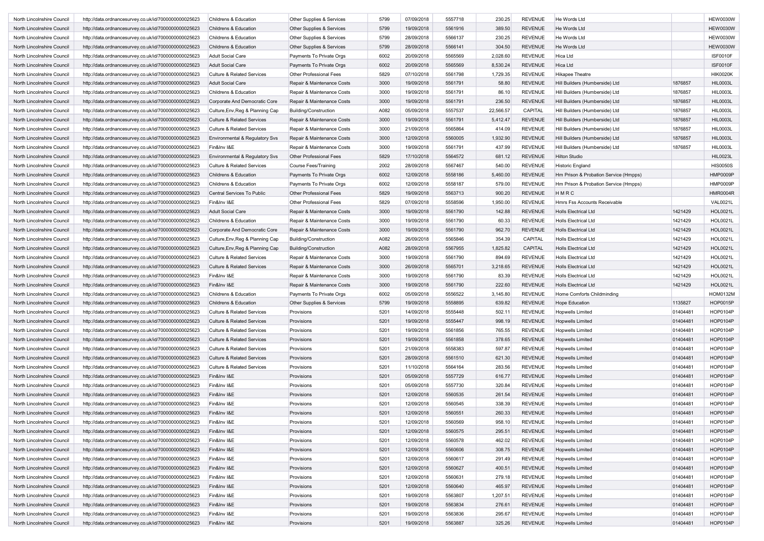| North Lincolnshire Council | http://data.ordnancesurvey.co.uk/id/7000000000025623 | Childrens & Education                 | Other Supplies & Services      | 5799 | 07/09/2018 | 5557718 | 230.25    | <b>REVENUE</b> | He Words Ltd                          |          | <b>HEW0030W</b> |
|----------------------------|------------------------------------------------------|---------------------------------------|--------------------------------|------|------------|---------|-----------|----------------|---------------------------------------|----------|-----------------|
| North Lincolnshire Council | http://data.ordnancesurvey.co.uk/id/7000000000025623 | <b>Childrens &amp; Education</b>      | Other Supplies & Services      | 5799 | 19/09/2018 | 5561916 | 389.50    | <b>REVENUE</b> | He Words Ltd                          |          | <b>HEW0030W</b> |
|                            |                                                      |                                       |                                |      |            |         |           | <b>REVENUE</b> |                                       |          | <b>HEW0030W</b> |
| North Lincolnshire Council | http://data.ordnancesurvey.co.uk/id/7000000000025623 | Childrens & Education                 | Other Supplies & Services      | 5799 | 28/09/2018 | 5566137 | 230.25    |                | He Words Ltd                          |          |                 |
| North Lincolnshire Council | http://data.ordnancesurvey.co.uk/id/7000000000025623 | Childrens & Education                 | Other Supplies & Services      | 5799 | 28/09/2018 | 5566141 | 304.50    | <b>REVENUE</b> | He Words Ltd                          |          | <b>HEW0030W</b> |
| North Lincolnshire Council | http://data.ordnancesurvey.co.uk/id/7000000000025623 | <b>Adult Social Care</b>              | Payments To Private Orgs       | 6002 | 20/09/2018 | 5565569 | 2,028.60  | <b>REVENUE</b> | <b>Hica Ltd</b>                       |          | ISF0010F        |
| North Lincolnshire Council | http://data.ordnancesurvey.co.uk/id/7000000000025623 | <b>Adult Social Care</b>              | Payments To Private Orgs       | 6002 | 20/09/2018 | 5565569 | 8,530.24  | <b>REVENUE</b> | Hica Ltd                              |          | <b>ISF0010F</b> |
| North Lincolnshire Council | http://data.ordnancesurvey.co.uk/id/7000000000025623 | <b>Culture &amp; Related Services</b> | <b>Other Professional Fees</b> | 5829 | 07/10/2018 | 5561798 | 1,729.35  | <b>REVENUE</b> | Hikapee Theatre                       |          | <b>HIK0020K</b> |
| North Lincolnshire Council | http://data.ordnancesurvey.co.uk/id/7000000000025623 | <b>Adult Social Care</b>              | Repair & Maintenance Costs     | 3000 | 19/09/2018 | 5561791 | 58.80     | <b>REVENUE</b> | Hill Builders (Humberside) Ltd        | 1876857  | <b>HIL0003L</b> |
| North Lincolnshire Council | http://data.ordnancesurvey.co.uk/id/7000000000025623 | Childrens & Education                 | Repair & Maintenance Costs     | 3000 | 19/09/2018 | 5561791 | 86.10     | <b>REVENUE</b> | Hill Builders (Humberside) Ltd        | 1876857  | <b>HIL0003L</b> |
| North Lincolnshire Council | http://data.ordnancesurvey.co.uk/id/7000000000025623 | Corporate And Democratic Core         | Repair & Maintenance Costs     | 3000 | 19/09/2018 | 5561791 | 236.50    | <b>REVENUE</b> | Hill Builders (Humberside) Ltd        | 1876857  | <b>HIL0003L</b> |
| North Lincolnshire Council | http://data.ordnancesurvey.co.uk/id/7000000000025623 | Culture, Env, Reg & Planning Cap      | Building/Construction          | A082 | 05/09/2018 | 5557537 | 22,566.57 | CAPITAL        | Hill Builders (Humberside) Ltd        | 1876857  | <b>HIL0003L</b> |
| North Lincolnshire Council | http://data.ordnancesurvey.co.uk/id/7000000000025623 | <b>Culture &amp; Related Services</b> | Repair & Maintenance Costs     | 3000 | 19/09/2018 | 5561791 | 5,412.47  | <b>REVENUE</b> | Hill Builders (Humberside) Ltd        | 1876857  | <b>HIL0003L</b> |
| North Lincolnshire Council | http://data.ordnancesurvey.co.uk/id/7000000000025623 | <b>Culture &amp; Related Services</b> | Repair & Maintenance Costs     | 3000 | 21/09/2018 | 5565864 | 414.09    | <b>REVENUE</b> | Hill Builders (Humberside) Ltd        | 1876857  | <b>HIL0003L</b> |
| North Lincolnshire Council | http://data.ordnancesurvey.co.uk/id/7000000000025623 | Environmental & Regulatory Svs        | Repair & Maintenance Costs     | 3000 | 12/09/2018 | 5560005 | 1,932.90  | <b>REVENUE</b> | Hill Builders (Humberside) Ltd        | 1876857  | HIL0003L        |
|                            |                                                      | Fin&Inv I&E                           |                                | 3000 | 19/09/2018 | 5561791 | 437.99    | <b>REVENUE</b> |                                       | 1876857  | HIL0003L        |
| North Lincolnshire Council | http://data.ordnancesurvey.co.uk/id/7000000000025623 |                                       | Repair & Maintenance Costs     |      |            |         |           |                | Hill Builders (Humberside) Ltd        |          |                 |
| North Lincolnshire Council | http://data.ordnancesurvey.co.uk/id/7000000000025623 | Environmental & Regulatory Svs        | Other Professional Fees        | 5829 | 17/10/2018 | 5564572 | 681.12    | <b>REVENUE</b> | <b>Hilton Studio</b>                  |          | <b>HIL0023L</b> |
| North Lincolnshire Council | http://data.ordnancesurvey.co.uk/id/7000000000025623 | <b>Culture &amp; Related Services</b> | <b>Course Fees/Training</b>    | 2002 | 28/09/2018 | 5567467 | 540.00    | <b>REVENUE</b> | <b>Historic England</b>               |          | <b>HIS0050S</b> |
| North Lincolnshire Council | http://data.ordnancesurvey.co.uk/id/7000000000025623 | <b>Childrens &amp; Education</b>      | Payments To Private Orgs       | 6002 | 12/09/2018 | 5558186 | 5,460.00  | <b>REVENUE</b> | Hm Prison & Probation Service (Hmpps) |          | <b>HMP0009P</b> |
| North Lincolnshire Council | http://data.ordnancesurvey.co.uk/id/7000000000025623 | <b>Childrens &amp; Education</b>      | Payments To Private Orgs       | 6002 | 12/09/2018 | 5558187 | 579.00    | <b>REVENUE</b> | Hm Prison & Probation Service (Hmpps) |          | <b>HMP0009P</b> |
| North Lincolnshire Council | http://data.ordnancesurvey.co.uk/id/7000000000025623 | Central Services To Public            | Other Professional Fees        | 5829 | 19/09/2018 | 5563713 | 900.20    | <b>REVENUE</b> | HMRC                                  |          | <b>HMR0004R</b> |
| North Lincolnshire Council | http://data.ordnancesurvey.co.uk/id/7000000000025623 | Fin&Inv I&E                           | Other Professional Fees        | 5829 | 07/09/2018 | 5558596 | 1,950.00  | <b>REVENUE</b> | Hmrs Fss Accounts Receivable          |          | <b>VAL0021L</b> |
| North Lincolnshire Council | http://data.ordnancesurvey.co.uk/id/7000000000025623 | <b>Adult Social Care</b>              | Repair & Maintenance Costs     | 3000 | 19/09/2018 | 5561790 | 142.88    | <b>REVENUE</b> | <b>Holls Electrical Ltd</b>           | 1421429  | HOL0021L        |
| North Lincolnshire Council | http://data.ordnancesurvey.co.uk/id/7000000000025623 | Childrens & Education                 | Repair & Maintenance Costs     | 3000 | 19/09/2018 | 5561790 | 60.33     | <b>REVENUE</b> | <b>Holls Electrical Ltd</b>           | 1421429  | <b>HOL0021L</b> |
| North Lincolnshire Council | http://data.ordnancesurvey.co.uk/id/7000000000025623 | Corporate And Democratic Core         | Repair & Maintenance Costs     | 3000 | 19/09/2018 | 5561790 | 962.70    | <b>REVENUE</b> | <b>Holls Electrical Ltd</b>           | 1421429  | <b>HOL0021L</b> |
| North Lincolnshire Council | http://data.ordnancesurvey.co.uk/id/7000000000025623 | Culture, Env, Reg & Planning Cap      | Building/Construction          | A082 | 26/09/2018 | 5565846 | 354.39    | CAPITAL        | <b>Holls Electrical Ltd</b>           | 1421429  | <b>HOL0021L</b> |
| North Lincolnshire Council | http://data.ordnancesurvey.co.uk/id/7000000000025623 | Culture, Env, Reg & Planning Cap      | Building/Construction          | A082 | 28/09/2018 | 5567955 | 1,825.82  | CAPITAL        | <b>Holls Electrical Ltd</b>           | 1421429  | HOL0021L        |
| North Lincolnshire Council | http://data.ordnancesurvey.co.uk/id/7000000000025623 | <b>Culture &amp; Related Services</b> | Repair & Maintenance Costs     | 3000 | 19/09/2018 | 5561790 | 894.69    | <b>REVENUE</b> | <b>Holls Electrical Ltd</b>           | 1421429  | <b>HOL0021L</b> |
| North Lincolnshire Council | http://data.ordnancesurvey.co.uk/id/7000000000025623 | <b>Culture &amp; Related Services</b> | Repair & Maintenance Costs     | 3000 | 26/09/2018 | 5565701 | 3,218.65  | <b>REVENUE</b> | <b>Holls Electrical Ltd</b>           | 1421429  | <b>HOL0021L</b> |
| North Lincolnshire Council | http://data.ordnancesurvey.co.uk/id/7000000000025623 | Fin&Inv I&E                           | Repair & Maintenance Costs     | 3000 | 19/09/2018 | 5561790 | 83.39     | <b>REVENUE</b> | <b>Holls Electrical Ltd</b>           | 1421429  | HOL0021L        |
| North Lincolnshire Council | http://data.ordnancesurvey.co.uk/id/7000000000025623 | Fin&Inv I&E                           | Repair & Maintenance Costs     | 3000 | 19/09/2018 | 5561790 | 222.60    | <b>REVENUE</b> | <b>Holls Electrical Ltd</b>           | 1421429  | <b>HOL0021L</b> |
| North Lincolnshire Council |                                                      | Childrens & Education                 |                                | 6002 | 05/09/2018 | 5556522 | 3,145.80  | <b>REVENUE</b> | Home Comforts Childminding            |          | <b>HOM0132M</b> |
|                            | http://data.ordnancesurvey.co.uk/id/7000000000025623 |                                       | Payments To Private Orgs       |      |            |         |           |                |                                       |          |                 |
| North Lincolnshire Council | http://data.ordnancesurvey.co.uk/id/7000000000025623 | Childrens & Education                 | Other Supplies & Services      | 5799 | 19/09/2018 | 5558895 | 639.82    | <b>REVENUE</b> | <b>Hope Education</b>                 | 1135827  | HOP0015P        |
| North Lincolnshire Council | http://data.ordnancesurvey.co.uk/id/7000000000025623 | <b>Culture &amp; Related Services</b> | Provisions                     | 5201 | 14/09/2018 | 5555448 | 502.11    | <b>REVENUE</b> | <b>Hopwells Limited</b>               | 01404481 | HOP0104P        |
| North Lincolnshire Council | http://data.ordnancesurvey.co.uk/id/7000000000025623 | <b>Culture &amp; Related Services</b> | Provisions                     | 5201 | 19/09/2018 | 5555447 | 998.19    | <b>REVENUE</b> | Hopwells Limited                      | 01404481 | HOP0104P        |
| North Lincolnshire Council | http://data.ordnancesurvey.co.uk/id/7000000000025623 | <b>Culture &amp; Related Services</b> | Provisions                     | 5201 | 19/09/2018 | 5561856 | 765.55    | <b>REVENUE</b> | Hopwells Limited                      | 01404481 | HOP0104P        |
| North Lincolnshire Council | http://data.ordnancesurvey.co.uk/id/7000000000025623 | <b>Culture &amp; Related Services</b> | Provisions                     | 5201 | 19/09/2018 | 5561858 | 378.65    | <b>REVENUE</b> | <b>Hopwells Limited</b>               | 01404481 | HOP0104P        |
| North Lincolnshire Council | http://data.ordnancesurvey.co.uk/id/7000000000025623 | <b>Culture &amp; Related Services</b> | Provisions                     | 5201 | 21/09/2018 | 5558383 | 597.87    | <b>REVENUE</b> | <b>Hopwells Limited</b>               | 01404481 | HOP0104P        |
| North Lincolnshire Council | http://data.ordnancesurvey.co.uk/id/7000000000025623 | <b>Culture &amp; Related Services</b> | Provisions                     | 5201 | 28/09/2018 | 5561510 | 621.30    | <b>REVENUE</b> | <b>Hopwells Limited</b>               | 01404481 | HOP0104P        |
| North Lincolnshire Council | http://data.ordnancesurvey.co.uk/id/7000000000025623 | <b>Culture &amp; Related Services</b> | Provisions                     | 5201 | 11/10/2018 | 5564164 | 283.56    | <b>REVENUE</b> | <b>Hopwells Limited</b>               | 01404481 | <b>HOP0104P</b> |
| North Lincolnshire Council | http://data.ordnancesurvey.co.uk/id/7000000000025623 | Fin&Inv I&E                           | Provisions                     | 5201 | 05/09/2018 | 5557729 | 616.77    | <b>REVENUE</b> | <b>Hopwells Limited</b>               | 01404481 | HOP0104P        |
| North Lincolnshire Council | http://data.ordnancesurvey.co.uk/id/7000000000025623 | Fin&Inv I&E                           | Provisions                     | 5201 | 05/09/2018 | 5557730 | 320.84    | <b>REVENUE</b> | <b>Hopwells Limited</b>               | 01404481 | HOP0104P        |
| North Lincolnshire Council | http://data.ordnancesurvey.co.uk/id/7000000000025623 | Fin&Inv I&E                           | Provisions                     | 5201 | 12/09/2018 | 5560535 | 261.54    | <b>REVENUE</b> | <b>Hopwells Limited</b>               | 01404481 | HOP0104P        |
| North Lincolnshire Council | http://data.ordnancesurvey.co.uk/id/7000000000025623 | Fin&Inv I&E                           | Provisions                     | 5201 | 12/09/2018 | 5560545 | 338.39    | <b>REVENUE</b> | <b>Hopwells Limited</b>               | 01404481 | HOP0104P        |
| North Lincolnshire Council | http://data.ordnancesurvey.co.uk/id/7000000000025623 | Fin&Inv I&E                           | Provisions                     | 5201 | 12/09/2018 | 5560551 | 260.33    | <b>REVENUE</b> | <b>Hopwells Limited</b>               | 01404481 | HOP0104P        |
| North Lincolnshire Council | http://data.ordnancesurvey.co.uk/id/7000000000025623 | Fin&Inv I&E                           | Provisions                     | 5201 | 12/09/2018 | 5560569 | 958.10    | REVENUE        | <b>Hopwells Limited</b>               | 01404481 | HOP0104P        |
|                            |                                                      |                                       |                                |      |            |         |           |                |                                       |          |                 |
| North Lincolnshire Council | http://data.ordnancesurvey.co.uk/id/7000000000025623 | Fin&Inv I&E                           | Provisions                     | 5201 | 12/09/2018 | 5560575 | 295.51    | REVENUE        | <b>Hopwells Limited</b>               | 01404481 | HOP0104P        |
| North Lincolnshire Council | http://data.ordnancesurvey.co.uk/id/7000000000025623 | Fin&Inv I&E                           | Provisions                     | 5201 | 12/09/2018 | 5560578 | 462.02    | <b>REVENUE</b> | <b>Hopwells Limited</b>               | 01404481 | HOP0104P        |
| North Lincolnshire Council | http://data.ordnancesurvey.co.uk/id/7000000000025623 | Fin&Inv I&E                           | Provisions                     | 5201 | 12/09/2018 | 5560606 | 308.75    | <b>REVENUE</b> | <b>Hopwells Limited</b>               | 01404481 | HOP0104P        |
| North Lincolnshire Council | http://data.ordnancesurvey.co.uk/id/7000000000025623 | Fin&Inv I&E                           | Provisions                     | 5201 | 12/09/2018 | 5560617 | 291.49    | <b>REVENUE</b> | <b>Hopwells Limited</b>               | 01404481 | HOP0104P        |
| North Lincolnshire Council | http://data.ordnancesurvey.co.uk/id/7000000000025623 | Fin&Inv I&E                           | Provisions                     | 5201 | 12/09/2018 | 5560627 | 400.51    | <b>REVENUE</b> | <b>Hopwells Limited</b>               | 01404481 | HOP0104P        |
| North Lincolnshire Council | http://data.ordnancesurvey.co.uk/id/7000000000025623 | Fin&Inv I&E                           | Provisions                     | 5201 | 12/09/2018 | 5560631 | 279.18    | <b>REVENUE</b> | <b>Hopwells Limited</b>               | 01404481 | HOP0104P        |
| North Lincolnshire Council | http://data.ordnancesurvey.co.uk/id/7000000000025623 | Fin&Inv I&E                           | Provisions                     | 5201 | 12/09/2018 | 5560640 | 465.97    | <b>REVENUE</b> | <b>Hopwells Limited</b>               | 01404481 | HOP0104P        |
| North Lincolnshire Council | http://data.ordnancesurvey.co.uk/id/7000000000025623 | Fin&Inv I&E                           | Provisions                     | 5201 | 19/09/2018 | 5563807 | 1,207.51  | <b>REVENUE</b> | Hopwells Limited                      | 01404481 | HOP0104P        |
| North Lincolnshire Council | http://data.ordnancesurvey.co.uk/id/7000000000025623 | Fin&Inv I&E                           | Provisions                     | 5201 | 19/09/2018 | 5563834 | 276.61    | <b>REVENUE</b> | <b>Hopwells Limited</b>               | 01404481 | HOP0104P        |
| North Lincolnshire Council | http://data.ordnancesurvey.co.uk/id/7000000000025623 | Fin&Inv I&E                           | Provisions                     | 5201 | 19/09/2018 | 5563836 | 295.67    | <b>REVENUE</b> | Hopwells Limited                      | 01404481 | HOP0104P        |
| North Lincolnshire Council | http://data.ordnancesurvey.co.uk/id/7000000000025623 | Fin&Inv I&E                           | Provisions                     | 5201 | 19/09/2018 | 5563887 | 325.26    | REVENUE        | <b>Hopwells Limited</b>               | 01404481 | HOP0104P        |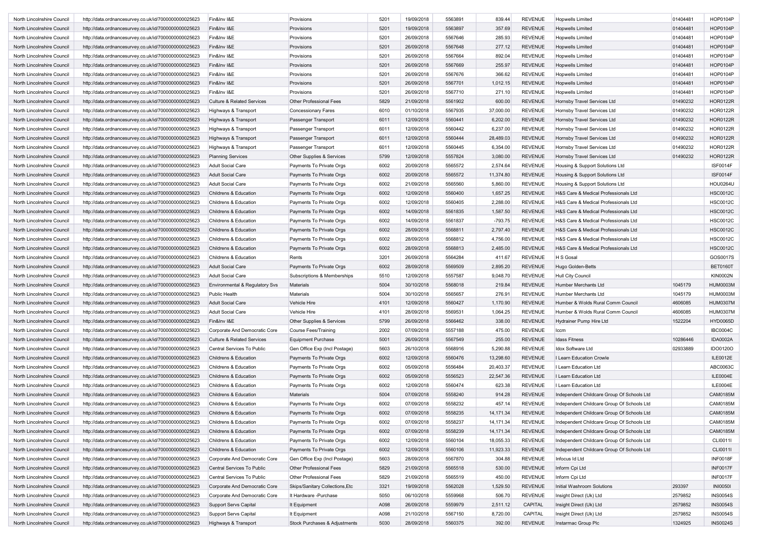| North Lincolnshire Council | http://data.ordnancesurvey.co.uk/id/7000000000025623 | Fin&Inv I&E                           | Provisions                      | 5201 | 19/09/2018 | 5563891            | 839.44           | <b>REVENUE</b>                   | <b>Hopwells Limited</b>                    | 01404481 | HOP0104P        |
|----------------------------|------------------------------------------------------|---------------------------------------|---------------------------------|------|------------|--------------------|------------------|----------------------------------|--------------------------------------------|----------|-----------------|
| North Lincolnshire Council | http://data.ordnancesurvey.co.uk/id/7000000000025623 | Fin&Inv I&E                           | Provisions                      | 5201 | 19/09/2018 | 5563897            | 357.69           | <b>REVENUE</b>                   | <b>Hopwells Limited</b>                    | 01404481 | HOP0104P        |
| North Lincolnshire Council |                                                      |                                       |                                 | 5201 |            |                    |                  |                                  |                                            | 01404481 | HOP0104P        |
|                            | http://data.ordnancesurvey.co.uk/id/7000000000025623 | Fin&Inv I&E                           | Provisions                      |      | 26/09/2018 | 5567646<br>5567648 | 285.93<br>277.12 | <b>REVENUE</b><br><b>REVENUE</b> | <b>Hopwells Limited</b>                    |          | HOP0104P        |
| North Lincolnshire Council | http://data.ordnancesurvey.co.uk/id/7000000000025623 | Fin&Inv I&E                           | Provisions                      | 5201 | 26/09/2018 |                    |                  |                                  | <b>Hopwells Limited</b>                    | 01404481 |                 |
| North Lincolnshire Council | http://data.ordnancesurvey.co.uk/id/7000000000025623 | Fin&Inv I&E                           | Provisions                      | 5201 | 26/09/2018 | 5567664            | 892.04           | <b>REVENUE</b>                   | <b>Hopwells Limited</b>                    | 01404481 | HOP0104P        |
| North Lincolnshire Council | http://data.ordnancesurvey.co.uk/id/7000000000025623 | Fin&Inv I&E                           | Provisions                      | 5201 | 26/09/2018 | 5567669            | 255.97           | <b>REVENUE</b>                   | <b>Hopwells Limited</b>                    | 01404481 | <b>HOP0104P</b> |
| North Lincolnshire Council | http://data.ordnancesurvey.co.uk/id/7000000000025623 | Fin&Inv I&E                           | Provisions                      | 5201 | 26/09/2018 | 5567676            | 366.62           | <b>REVENUE</b>                   | <b>Hopwells Limited</b>                    | 01404481 | <b>HOP0104P</b> |
| North Lincolnshire Council | http://data.ordnancesurvey.co.uk/id/7000000000025623 | Fin&Inv I&E                           | Provisions                      | 5201 | 26/09/2018 | 5567701            | 1,012.15         | <b>REVENUE</b>                   | <b>Hopwells Limited</b>                    | 01404481 | HOP0104P        |
| North Lincolnshire Council | http://data.ordnancesurvey.co.uk/id/7000000000025623 | Fin&Inv I&E                           | Provisions                      | 5201 | 26/09/2018 | 5567710            | 271.10           | <b>REVENUE</b>                   | <b>Hopwells Limited</b>                    | 01404481 | HOP0104P        |
| North Lincolnshire Council | http://data.ordnancesurvey.co.uk/id/7000000000025623 | <b>Culture &amp; Related Services</b> | Other Professional Fees         | 5829 | 21/09/2018 | 5561902            | 600.00           | <b>REVENUE</b>                   | Hornsby Travel Services Ltd                | 01490232 | <b>HOR0122R</b> |
| North Lincolnshire Council | http://data.ordnancesurvey.co.uk/id/7000000000025623 | Highways & Transport                  | <b>Concessionary Fares</b>      | 6010 | 01/10/2018 | 5567935            | 37,000.00        | <b>REVENUE</b>                   | Hornsby Travel Services Ltd                | 01490232 | <b>HOR0122R</b> |
| North Lincolnshire Council | http://data.ordnancesurvey.co.uk/id/7000000000025623 | Highways & Transport                  | Passenger Transport             | 6011 | 12/09/2018 | 5560441            | 6,202.00         | <b>REVENUE</b>                   | Hornsby Travel Services Ltd                | 01490232 | <b>HOR0122R</b> |
| North Lincolnshire Council | http://data.ordnancesurvey.co.uk/id/7000000000025623 | Highways & Transport                  | Passenger Transport             | 6011 | 12/09/2018 | 5560442            | 6,237.00         | <b>REVENUE</b>                   | Hornsby Travel Services Ltd                | 01490232 | <b>HOR0122R</b> |
| North Lincolnshire Council | http://data.ordnancesurvey.co.uk/id/7000000000025623 | Highways & Transport                  | Passenger Transport             | 6011 | 12/09/2018 | 5560444            | 28,489.03        | <b>REVENUE</b>                   | Hornsby Travel Services Ltd                | 01490232 | <b>HOR0122R</b> |
| North Lincolnshire Council | http://data.ordnancesurvey.co.uk/id/7000000000025623 | Highways & Transport                  | Passenger Transport             | 6011 | 12/09/2018 | 5560445            | 6,354.00         | <b>REVENUE</b>                   | Hornsby Travel Services Ltd                | 01490232 | HOR0122R        |
| North Lincolnshire Council | http://data.ordnancesurvey.co.uk/id/7000000000025623 | <b>Planning Services</b>              | Other Supplies & Services       | 5799 | 12/09/2018 | 5557824            | 3,080.00         | <b>REVENUE</b>                   | Hornsby Travel Services Ltd                | 01490232 | <b>HOR0122R</b> |
| North Lincolnshire Council | http://data.ordnancesurvey.co.uk/id/7000000000025623 | <b>Adult Social Care</b>              | Payments To Private Orgs        | 6002 | 20/09/2018 | 5565572            | 2,574.64         | <b>REVENUE</b>                   | Housing & Support Solutions Ltd            |          | ISF0014F        |
| North Lincolnshire Council | http://data.ordnancesurvey.co.uk/id/7000000000025623 | <b>Adult Social Care</b>              | Payments To Private Orgs        | 6002 | 20/09/2018 | 5565572            | 11,374.80        | <b>REVENUE</b>                   | Housing & Support Solutions Ltd            |          | <b>ISF0014F</b> |
| North Lincolnshire Council | http://data.ordnancesurvey.co.uk/id/7000000000025623 | Adult Social Care                     | Payments To Private Orgs        | 6002 | 21/09/2018 | 5565560            | 5,860.00         | <b>REVENUE</b>                   | Housing & Support Solutions Ltd            |          | <b>HOU0264U</b> |
| North Lincolnshire Council | http://data.ordnancesurvey.co.uk/id/7000000000025623 | Childrens & Education                 | Payments To Private Orgs        | 6002 | 12/09/2018 | 5560400            | 1,657.25         | <b>REVENUE</b>                   | H&S Care & Medical Professionals Ltd       |          | <b>HSC0012C</b> |
| North Lincolnshire Council | http://data.ordnancesurvey.co.uk/id/7000000000025623 | Childrens & Education                 | Payments To Private Orgs        | 6002 | 12/09/2018 | 5560405            | 2,288.00         | <b>REVENUE</b>                   | H&S Care & Medical Professionals Ltd       |          | <b>HSC0012C</b> |
| North Lincolnshire Council |                                                      | Childrens & Education                 |                                 | 6002 | 14/09/2018 | 5561835            | 1,587.50         | <b>REVENUE</b>                   | H&S Care & Medical Professionals Ltd       |          | <b>HSC0012C</b> |
|                            | http://data.ordnancesurvey.co.uk/id/7000000000025623 |                                       | Payments To Private Orgs        |      |            |                    |                  |                                  |                                            |          |                 |
| North Lincolnshire Council | http://data.ordnancesurvey.co.uk/id/7000000000025623 | Childrens & Education                 | Payments To Private Orgs        | 6002 | 14/09/2018 | 5561837            | $-793.75$        | <b>REVENUE</b>                   | H&S Care & Medical Professionals Ltd       |          | <b>HSC0012C</b> |
| North Lincolnshire Council | http://data.ordnancesurvey.co.uk/id/7000000000025623 | Childrens & Education                 | Payments To Private Orgs        | 6002 | 28/09/2018 | 5568811            | 2,797.40         | <b>REVENUE</b>                   | H&S Care & Medical Professionals Ltd       |          | <b>HSC0012C</b> |
| North Lincolnshire Council | http://data.ordnancesurvey.co.uk/id/7000000000025623 | Childrens & Education                 | Payments To Private Orgs        | 6002 | 28/09/2018 | 5568812            | 4,756.00         | <b>REVENUE</b>                   | H&S Care & Medical Professionals Ltd       |          | <b>HSC0012C</b> |
| North Lincolnshire Council | http://data.ordnancesurvey.co.uk/id/7000000000025623 | Childrens & Education                 | Payments To Private Orgs        | 6002 | 28/09/2018 | 5568813            | 2,485.00         | <b>REVENUE</b>                   | H&S Care & Medical Professionals Ltd       |          | <b>HSC0012C</b> |
| North Lincolnshire Council | http://data.ordnancesurvey.co.uk/id/7000000000025623 | Childrens & Education                 | Rents                           | 3201 | 26/09/2018 | 5564284            | 411.67           | <b>REVENUE</b>                   | H S Gosal                                  |          | GOS0017S        |
| North Lincolnshire Council | http://data.ordnancesurvey.co.uk/id/7000000000025623 | <b>Adult Social Care</b>              | Payments To Private Orgs        | 6002 | 28/09/2018 | 5569509            | 2,895.20         | <b>REVENUE</b>                   | Hugo Golden-Betts                          |          | <b>BET0160T</b> |
| North Lincolnshire Council | http://data.ordnancesurvey.co.uk/id/7000000000025623 | <b>Adult Social Care</b>              | Subscriptions & Memberships     | 5510 | 12/09/2018 | 5557587            | 9,048.70         | <b>REVENUE</b>                   | <b>Hull City Council</b>                   |          | <b>KIN0002N</b> |
| North Lincolnshire Council | http://data.ordnancesurvey.co.uk/id/7000000000025623 | Environmental & Regulatory Svs        | Materials                       | 5004 | 30/10/2018 | 5568018            | 219.84           | <b>REVENUE</b>                   | Humber Merchants Ltd                       | 1045179  | <b>HUM0003M</b> |
| North Lincolnshire Council | http://data.ordnancesurvey.co.uk/id/7000000000025623 | Public Health                         | <b>Materials</b>                | 5004 | 30/10/2018 | 5565657            | 276.91           | <b>REVENUE</b>                   | Humber Merchants Ltd                       | 1045179  | <b>HUM0003M</b> |
| North Lincolnshire Council | http://data.ordnancesurvey.co.uk/id/7000000000025623 | <b>Adult Social Care</b>              | Vehicle Hire                    | 4101 | 12/09/2018 | 5560427            | 1,170.90         | <b>REVENUE</b>                   | Humber & Wolds Rural Comm Council          | 4606085  | <b>HUM0307M</b> |
| North Lincolnshire Council | http://data.ordnancesurvey.co.uk/id/7000000000025623 | Adult Social Care                     | Vehicle Hire                    | 4101 | 28/09/2018 | 5569531            | 1,064.25         | <b>REVENUE</b>                   | Humber & Wolds Rural Comm Council          | 4606085  | <b>HUM0307M</b> |
| North Lincolnshire Council | http://data.ordnancesurvey.co.uk/id/7000000000025623 | Fin&Inv I&E                           | Other Supplies & Services       | 5799 | 26/09/2018 | 5566462            | 338.00           | <b>REVENUE</b>                   | Hydrainer Pump Hire Ltd                    | 1522204  | HYD0065D        |
| North Lincolnshire Council | http://data.ordnancesurvey.co.uk/id/7000000000025623 | Corporate And Democratic Core         | <b>Course Fees/Training</b>     | 2002 | 07/09/2018 | 5557188            | 475.00           | <b>REVENUE</b>                   | Iccm                                       |          | <b>IBC0004C</b> |
| North Lincolnshire Council | http://data.ordnancesurvey.co.uk/id/7000000000025623 | <b>Culture &amp; Related Services</b> | <b>Equipment Purchase</b>       | 5001 | 26/09/2018 | 5567549            | 255.00           | <b>REVENUE</b>                   | <b>Idass Fitness</b>                       | 10286446 | <b>IDA0002A</b> |
| North Lincolnshire Council | http://data.ordnancesurvey.co.uk/id/7000000000025623 | Central Services To Public            | Gen Office Exp (Incl Postage)   | 5603 | 26/10/2018 | 5568916            | 5,290.88         | <b>REVENUE</b>                   | Idox Software Ltd                          | 02933889 | IDO0120O        |
| North Lincolnshire Council | http://data.ordnancesurvey.co.uk/id/7000000000025623 | Childrens & Education                 | Payments To Private Orgs        | 6002 | 12/09/2018 | 5560476            | 13,298.60        | <b>REVENUE</b>                   | I Learn Education Crowle                   |          | ILE0012E        |
| North Lincolnshire Council | http://data.ordnancesurvey.co.uk/id/7000000000025623 | Childrens & Education                 | Payments To Private Orgs        | 6002 | 05/09/2018 | 5556484            | 20,403.37        | <b>REVENUE</b>                   | I Learn Education Ltd                      |          | ABC0063C        |
| North Lincolnshire Council | http://data.ordnancesurvey.co.uk/id/7000000000025623 | Childrens & Education                 | Payments To Private Orgs        | 6002 | 05/09/2018 | 5556523            | 22,547.36        | <b>REVENUE</b>                   | I Learn Education Ltd                      |          | ILE0004E        |
| North Lincolnshire Council | http://data.ordnancesurvey.co.uk/id/7000000000025623 | Childrens & Education                 | Payments To Private Orgs        | 6002 | 12/09/2018 | 5560474            | 623.38           | <b>REVENUE</b>                   | I Learn Education Ltd                      |          | ILE0004E        |
| North Lincolnshire Council | http://data.ordnancesurvey.co.uk/id/7000000000025623 | Childrens & Education                 | Materials                       | 5004 | 07/09/2018 | 5558240            | 914.28           | <b>REVENUE</b>                   | Independent Childcare Group Of Schools Ltd |          | CAM0185M        |
| North Lincolnshire Council |                                                      |                                       |                                 |      |            |                    |                  |                                  |                                            |          |                 |
|                            | http://data.ordnancesurvey.co.uk/id/7000000000025623 | Childrens & Education                 | Payments To Private Orgs        | 6002 | 07/09/2018 | 5558232            | 457.14           | REVENUE                          | Independent Childcare Group Of Schools Ltd |          | <b>CAM0185M</b> |
| North Lincolnshire Council | http://data.ordnancesurvey.co.uk/id/7000000000025623 | Childrens & Education                 | Payments To Private Orgs        | 6002 | 07/09/2018 | 5558235            | 14, 171.34       | <b>REVENUE</b>                   | Independent Childcare Group Of Schools Ltd |          | CAM0185M        |
| North Lincolnshire Council | http://data.ordnancesurvey.co.uk/id/7000000000025623 | Childrens & Education                 | Payments To Private Orgs        | 6002 | 07/09/2018 | 5558237            | 14,171.34        | REVENUE                          | Independent Childcare Group Of Schools Ltd |          | CAM0185M        |
| North Lincolnshire Council | http://data.ordnancesurvey.co.uk/id/7000000000025623 | Childrens & Education                 | Payments To Private Orgs        | 6002 | 07/09/2018 | 5558239            | 14,171.34        | <b>REVENUE</b>                   | Independent Childcare Group Of Schools Ltd |          | CAM0185M        |
| North Lincolnshire Council | http://data.ordnancesurvey.co.uk/id/7000000000025623 | Childrens & Education                 | Payments To Private Orgs        | 6002 | 12/09/2018 | 5560104            | 18,055.33        | <b>REVENUE</b>                   | Independent Childcare Group Of Schools Ltd |          | CLI0011I        |
| North Lincolnshire Council | http://data.ordnancesurvey.co.uk/id/7000000000025623 | Childrens & Education                 | Payments To Private Orgs        | 6002 | 12/09/2018 | 5560106            | 11,923.33        | <b>REVENUE</b>                   | Independent Childcare Group Of Schools Ltd |          | CLI0011I        |
| North Lincolnshire Council | http://data.ordnancesurvey.co.uk/id/7000000000025623 | Corporate And Democratic Core         | Gen Office Exp (Incl Postage)   | 5603 | 28/09/2018 | 5567870            | 304.88           | <b>REVENUE</b>                   | Infocus Id Ltd                             |          | INF0018F        |
| North Lincolnshire Council | http://data.ordnancesurvey.co.uk/id/7000000000025623 | Central Services To Public            | Other Professional Fees         | 5829 | 21/09/2018 | 5565518            | 530.00           | <b>REVENUE</b>                   | Inform Cpi Ltd                             |          | <b>INF0017F</b> |
| North Lincolnshire Council | http://data.ordnancesurvey.co.uk/id/7000000000025623 | Central Services To Public            | Other Professional Fees         | 5829 | 21/09/2018 | 5565519            | 450.00           | <b>REVENUE</b>                   | Inform Cpi Ltd                             |          | <b>INF0017F</b> |
| North Lincolnshire Council | http://data.ordnancesurvey.co.uk/id/7000000000025623 | Corporate And Democratic Core         | Skips/Sanitary Collections, Etc | 3321 | 19/09/2018 | 5562028            | 1,529.50         | <b>REVENUE</b>                   | Initial Washroom Solutions                 | 293397   | <b>INI00501</b> |
| North Lincolnshire Council | http://data.ordnancesurvey.co.uk/id/7000000000025623 | Corporate And Democratic Core         | It Hardware -Purchase           | 5050 | 06/10/2018 | 5559968            | 506.70           | <b>REVENUE</b>                   | Insight Direct (Uk) Ltd                    | 2579852  | <b>INS0054S</b> |
| North Lincolnshire Council | http://data.ordnancesurvey.co.uk/id/7000000000025623 | <b>Support Servs Capital</b>          | It Equipment                    | A098 | 26/09/2018 | 5559979            | 2,511.12         | CAPITAL                          | Insight Direct (Uk) Ltd                    | 2579852  | <b>INS0054S</b> |
| North Lincolnshire Council | http://data.ordnancesurvey.co.uk/id/7000000000025623 | <b>Support Servs Capital</b>          | It Equipment                    | A098 | 21/10/2018 | 5567150            | 8,720.00         | CAPITAL                          | Insight Direct (Uk) Ltd                    | 2579852  | <b>INS0054S</b> |
| North Lincolnshire Council | http://data.ordnancesurvey.co.uk/id/7000000000025623 | Highways & Transport                  | Stock Purchases & Adjustments   | 5030 | 28/09/2018 | 5560375            | 392.00           | <b>REVENUE</b>                   | Instarmac Group Plc                        | 1324925  | <b>INS0024S</b> |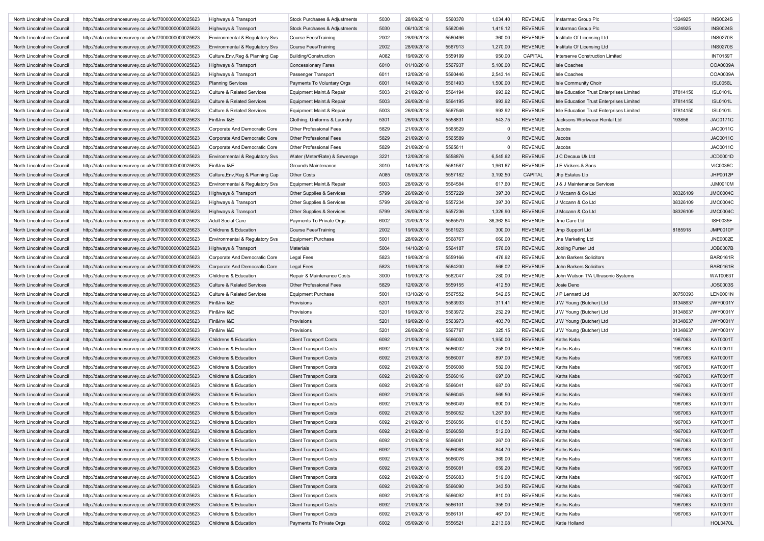| North Lincolnshire Council                               | http://data.ordnancesurvey.co.uk/id/7000000000025623 | Highways & Transport                         | Stock Purchases & Adjustments | 5030         | 28/09/2018               | 5560378            | 1,034.40           | <b>REVENUE</b>                   | Instarmac Group Plc                      | 1324925  | <b>INS0024S</b> |
|----------------------------------------------------------|------------------------------------------------------|----------------------------------------------|-------------------------------|--------------|--------------------------|--------------------|--------------------|----------------------------------|------------------------------------------|----------|-----------------|
| North Lincolnshire Council                               | http://data.ordnancesurvey.co.uk/id/7000000000025623 | Highways & Transport                         | Stock Purchases & Adjustments | 5030         | 06/10/2018               | 5562046            | 1,419.12           | <b>REVENUE</b>                   | Instarmac Group Plc                      | 1324925  | <b>INS0024S</b> |
| North Lincolnshire Council                               | http://data.ordnancesurvey.co.uk/id/7000000000025623 | Environmental & Regulatory Svs               | <b>Course Fees/Training</b>   | 2002         | 28/09/2018               | 5560496            | 360.00             | <b>REVENUE</b>                   | Institute Of Licensing Ltd               |          | <b>INS0270S</b> |
| North Lincolnshire Council                               | http://data.ordnancesurvey.co.uk/id/7000000000025623 | <b>Environmental &amp; Regulatory Svs</b>    | <b>Course Fees/Training</b>   | 2002         | 28/09/2018               | 5567913            | 1,270.00           | <b>REVENUE</b>                   | Institute Of Licensing Ltd               |          | <b>INS0270S</b> |
| North Lincolnshire Council                               | http://data.ordnancesurvey.co.uk/id/7000000000025623 | Culture, Env, Reg & Planning Cap             | <b>Building/Construction</b>  | A082         | 19/09/2018               | 5559199            | 950.00             | CAPITAL                          | Interserve Construction Limited          |          | <b>INT0159T</b> |
| North Lincolnshire Council                               | http://data.ordnancesurvey.co.uk/id/7000000000025623 | Highways & Transport                         | <b>Concessionary Fares</b>    | 6010         | 01/10/2018               | 5567937            | 5,100.00           | <b>REVENUE</b>                   | <b>Isle Coaches</b>                      |          | COA0039A        |
| North Lincolnshire Council                               | http://data.ordnancesurvey.co.uk/id/7000000000025623 | Highways & Transport                         | Passenger Transport           | 6011         | 12/09/2018               | 5560446            | 2,543.14           | <b>REVENUE</b>                   | <b>Isle Coaches</b>                      |          | COA0039A        |
| North Lincolnshire Council                               | http://data.ordnancesurvey.co.uk/id/7000000000025623 | <b>Planning Services</b>                     | Payments To Voluntary Orgs    | 6001         | 14/09/2018               | 5561493            | 1,500.00           | <b>REVENUE</b>                   | Isle Community Choir                     |          | <b>ISL0056L</b> |
| North Lincolnshire Council                               | http://data.ordnancesurvey.co.uk/id/7000000000025623 | <b>Culture &amp; Related Services</b>        | Equipment Maint.& Repair      | 5003         | 21/09/2018               | 5564194            | 993.92             | <b>REVENUE</b>                   | Isle Education Trust Enterprises Limited | 07814150 | <b>ISL0101L</b> |
| North Lincolnshire Council                               | http://data.ordnancesurvey.co.uk/id/7000000000025623 | <b>Culture &amp; Related Services</b>        | Equipment Maint.& Repair      | 5003         | 26/09/2018               | 5564195            | 993.92             | <b>REVENUE</b>                   | Isle Education Trust Enterprises Limited | 07814150 | <b>ISL0101L</b> |
|                                                          |                                                      |                                              | Equipment Maint.& Repair      | 5003         | 26/09/2018               | 5567546            | 993.92             | <b>REVENUE</b>                   |                                          | 07814150 | <b>ISL0101L</b> |
| North Lincolnshire Council                               | http://data.ordnancesurvey.co.uk/id/7000000000025623 | <b>Culture &amp; Related Services</b>        |                               |              |                          |                    |                    |                                  | Isle Education Trust Enterprises Limited |          |                 |
| North Lincolnshire Council                               | http://data.ordnancesurvey.co.uk/id/7000000000025623 | Fin&Inv I&E<br>Corporate And Democratic Core | Clothing, Uniforms & Laundry  | 5301<br>5829 | 26/09/2018<br>21/09/2018 | 5558831<br>5565529 | 543.75<br>$\Omega$ | <b>REVENUE</b><br><b>REVENUE</b> | Jacksons Workwear Rental Ltd             | 193856   | <b>JAC0171C</b> |
| North Lincolnshire Council                               | http://data.ordnancesurvey.co.uk/id/7000000000025623 |                                              | Other Professional Fees       |              |                          |                    |                    |                                  | Jacobs                                   |          | JAC0011C        |
| North Lincolnshire Council                               | http://data.ordnancesurvey.co.uk/id/7000000000025623 | Corporate And Democratic Core                | Other Professional Fees       | 5829         | 21/09/2018               | 5565589            | $\Omega$           | <b>REVENUE</b>                   | Jacobs                                   |          | JAC0011C        |
| North Lincolnshire Council                               | http://data.ordnancesurvey.co.uk/id/7000000000025623 | Corporate And Democratic Core                | Other Professional Fees       | 5829         | 21/09/2018               | 5565611            | $\Omega$           | <b>REVENUE</b>                   | Jacobs                                   |          | JAC0011C        |
| North Lincolnshire Council                               | http://data.ordnancesurvey.co.uk/id/7000000000025623 | Environmental & Regulatory Svs               | Water (Meter/Rate) & Sewerage | 3221         | 12/09/2018               | 5558876            | 6,545.62           | REVENUE                          | J C Decaux Uk Ltd                        |          | JCD0001D        |
| North Lincolnshire Council                               | http://data.ordnancesurvey.co.uk/id/7000000000025623 | Fin&Inv I&E                                  | Grounds Maintenance           | 3010         | 14/09/2018               | 5561587            | 1,961.67           | <b>REVENUE</b>                   | J E Vickers & Sons                       |          | <b>VIC0036C</b> |
| North Lincolnshire Council                               | http://data.ordnancesurvey.co.uk/id/7000000000025623 | Culture, Env, Reg & Planning Cap             | Other Costs                   | A085         | 05/09/2018               | 5557182            | 3,192.50           | CAPITAL                          | Jhp Estates Llp                          |          | JHP0012P        |
| North Lincolnshire Council                               | http://data.ordnancesurvey.co.uk/id/7000000000025623 | Environmental & Regulatory Svs               | Equipment Maint.& Repair      | 5003         | 28/09/2018               | 5564584            | 617.60             | <b>REVENUE</b>                   | J & J Maintenance Services               |          | JJM0010M        |
| North Lincolnshire Council                               | http://data.ordnancesurvey.co.uk/id/7000000000025623 | Highways & Transport                         | Other Supplies & Services     | 5799         | 26/09/2018               | 5557229            | 397.30             | <b>REVENUE</b>                   | J Mccann & Co Ltd                        | 08326109 | <b>JMC0004C</b> |
| North Lincolnshire Council                               | http://data.ordnancesurvey.co.uk/id/7000000000025623 | Highways & Transport                         | Other Supplies & Services     | 5799         | 26/09/2018               | 5557234            | 397.30             | <b>REVENUE</b>                   | J Mccann & Co Ltd                        | 08326109 | <b>JMC0004C</b> |
| North Lincolnshire Council                               | http://data.ordnancesurvey.co.uk/id/7000000000025623 | Highways & Transport                         | Other Supplies & Services     | 5799         | 26/09/2018               | 5557236            | 1,326.90           | <b>REVENUE</b>                   | J Mccann & Co Ltd                        | 08326109 | <b>JMC0004C</b> |
| North Lincolnshire Council                               | http://data.ordnancesurvey.co.uk/id/7000000000025623 | <b>Adult Social Care</b>                     | Payments To Private Orgs      | 6002         | 20/09/2018               | 5565579            | 36,362.64          | <b>REVENUE</b>                   | Jme Care Ltd                             |          | <b>ISF0035F</b> |
| North Lincolnshire Council                               | http://data.ordnancesurvey.co.uk/id/7000000000025623 | Childrens & Education                        | <b>Course Fees/Training</b>   | 2002         | 19/09/2018               | 5561923            | 300.00             | <b>REVENUE</b>                   | Jmp Support Ltd                          | 8185918  | <b>JMP0010P</b> |
| North Lincolnshire Council                               | http://data.ordnancesurvey.co.uk/id/7000000000025623 | Environmental & Regulatory Svs               | <b>Equipment Purchase</b>     | 5001         | 28/09/2018               | 5568767            | 660.00             | <b>REVENUE</b>                   | Jne Marketing Ltd                        |          | JNE0002E        |
| North Lincolnshire Council                               | http://data.ordnancesurvey.co.uk/id/7000000000025623 | Highways & Transport                         | <b>Materials</b>              | 5004         | 14/10/2018               | 5564187            | 576.00             | <b>REVENUE</b>                   | Jobling Purser Ltd                       |          | JOB0007B        |
| North Lincolnshire Council                               | http://data.ordnancesurvey.co.uk/id/7000000000025623 | Corporate And Democratic Core                | <b>Legal Fees</b>             | 5823         | 19/09/2018               | 5559166            | 476.92             | <b>REVENUE</b>                   | <b>John Barkers Solicitors</b>           |          | <b>BAR0161R</b> |
| North Lincolnshire Council                               | http://data.ordnancesurvey.co.uk/id/7000000000025623 | Corporate And Democratic Core                | Legal Fees                    | 5823         | 19/09/2018               | 5564200            | 566.02             | <b>REVENUE</b>                   | John Barkers Solicitors                  |          | <b>BAR0161R</b> |
| North Lincolnshire Council                               | http://data.ordnancesurvey.co.uk/id/7000000000025623 | Childrens & Education                        | Repair & Maintenance Costs    | 3000         | 19/09/2018               | 5562047            | 280.00             | <b>REVENUE</b>                   | John Watson T/A Ultrasonic Systems       |          | WAT0063T        |
| North Lincolnshire Council                               | http://data.ordnancesurvey.co.uk/id/7000000000025623 | <b>Culture &amp; Related Services</b>        | Other Professional Fees       | 5829         | 12/09/2018               | 5559155            | 412.50             | <b>REVENUE</b>                   | Josie Deno                               |          | JOS0003S        |
| North Lincolnshire Council                               | http://data.ordnancesurvey.co.uk/id/7000000000025623 | <b>Culture &amp; Related Services</b>        | <b>Equipment Purchase</b>     | 5001         | 13/10/2018               | 5567552            | 542.65             | <b>REVENUE</b>                   | J P Lennard Ltd                          | 00750393 | <b>LEN0001N</b> |
| North Lincolnshire Council                               | http://data.ordnancesurvey.co.uk/id/7000000000025623 | Fin&Inv I&E                                  | Provisions                    | 5201         | 19/09/2018               | 5563933            | 311.41             | <b>REVENUE</b>                   | J W Young (Butcher) Ltd                  | 01348637 | <b>JWY0001Y</b> |
| North Lincolnshire Council                               | http://data.ordnancesurvey.co.uk/id/7000000000025623 | Fin&Inv I&E                                  | Provisions                    | 5201         | 19/09/2018               | 5563972            | 252.29             | <b>REVENUE</b>                   | J W Young (Butcher) Ltd                  | 01348637 | JWY0001Y        |
| North Lincolnshire Council                               | http://data.ordnancesurvey.co.uk/id/7000000000025623 | Fin&Inv I&E                                  | Provisions                    | 5201         | 19/09/2018               | 5563973            | 403.70             | <b>REVENUE</b>                   | J W Young (Butcher) Ltd                  | 01348637 | <b>JWY0001Y</b> |
| North Lincolnshire Council                               | http://data.ordnancesurvey.co.uk/id/7000000000025623 | Fin&Inv I&E                                  | Provisions                    | 5201         | 26/09/2018               | 5567767            | 325.15             | <b>REVENUE</b>                   | J W Young (Butcher) Ltd                  | 01348637 | <b>JWY0001Y</b> |
| North Lincolnshire Council                               | http://data.ordnancesurvey.co.uk/id/7000000000025623 | Childrens & Education                        | <b>Client Transport Costs</b> | 6092         | 21/09/2018               | 5566000            | 1,950.00           | <b>REVENUE</b>                   | <b>Kaths Kabs</b>                        | 1967063  | <b>KAT0001T</b> |
| North Lincolnshire Council                               | http://data.ordnancesurvey.co.uk/id/7000000000025623 | Childrens & Education                        | <b>Client Transport Costs</b> | 6092         | 21/09/2018               | 5566002            | 258.00             | <b>REVENUE</b>                   | Kaths Kabs                               | 1967063  | <b>KAT0001T</b> |
| North Lincolnshire Council                               | http://data.ordnancesurvey.co.uk/id/7000000000025623 | Childrens & Education                        | <b>Client Transport Costs</b> | 6092         | 21/09/2018               | 5566007            | 897.00             | <b>REVENUE</b>                   | <b>Kaths Kabs</b>                        | 1967063  | <b>KAT0001T</b> |
| North Lincolnshire Council                               | http://data.ordnancesurvey.co.uk/id/7000000000025623 | Childrens & Education                        | <b>Client Transport Costs</b> | 6092         | 21/09/2018               | 5566008            | 582.00             | <b>REVENUE</b>                   | Kaths Kabs                               | 1967063  | <b>KAT0001T</b> |
| North Lincolnshire Council                               | http://data.ordnancesurvey.co.uk/id/7000000000025623 | Childrens & Education                        | <b>Client Transport Costs</b> | 6092         | 21/09/2018               | 5566016            | 697.00             | <b>REVENUE</b>                   | <b>Kaths Kabs</b>                        | 1967063  | <b>KAT0001T</b> |
| North Lincolnshire Council                               | http://data.ordnancesurvey.co.uk/id/7000000000025623 | Childrens & Education                        | <b>Client Transport Costs</b> | 6092         | 21/09/2018               | 5566041            | 687.00             | REVENUE                          | Kaths Kabs                               | 1967063  | <b>KAT0001T</b> |
| North Lincolnshire Council                               | http://data.ordnancesurvey.co.uk/id/7000000000025623 | Childrens & Education                        | <b>Client Transport Costs</b> | 6092         | 21/09/2018               | 5566045            | 569.50             | <b>REVENUE</b>                   | <b>Kaths Kabs</b>                        | 1967063  | <b>KAT0001T</b> |
| North Lincolnshire Council                               | http://data.ordnancesurvey.co.uk/id/7000000000025623 | Childrens & Education                        | <b>Client Transport Costs</b> | 6092         | 21/09/2018               | 5566049            | 600.00             | <b>REVENUE</b>                   | Kaths Kabs                               | 1967063  | KAT0001T        |
| North Lincolnshire Council                               | http://data.ordnancesurvey.co.uk/id/7000000000025623 | Childrens & Education                        | <b>Client Transport Costs</b> | 6092         | 21/09/2018               | 5566052            | 1,267.90           | <b>REVENUE</b>                   | <b>Kaths Kabs</b>                        | 1967063  | KAT0001T        |
| North Lincolnshire Council                               | http://data.ordnancesurvey.co.uk/id/7000000000025623 | Childrens & Education                        | <b>Client Transport Costs</b> | 6092         | 21/09/2018               | 5566056            | 616.50             | REVENUE                          | <b>Kaths Kabs</b>                        | 1967063  | KAT0001T        |
| North Lincolnshire Council                               | http://data.ordnancesurvey.co.uk/id/7000000000025623 | Childrens & Education                        | <b>Client Transport Costs</b> | 6092         | 21/09/2018               | 5566058            | 512.00             | <b>REVENUE</b>                   | Kaths Kabs                               | 1967063  | <b>KAT0001T</b> |
| North Lincolnshire Council                               | http://data.ordnancesurvey.co.uk/id/7000000000025623 | Childrens & Education                        | <b>Client Transport Costs</b> | 6092         | 21/09/2018               | 5566061            | 267.00             | <b>REVENUE</b>                   | Kaths Kabs                               | 1967063  | KAT0001T        |
| North Lincolnshire Council                               | http://data.ordnancesurvey.co.uk/id/7000000000025623 | Childrens & Education                        | <b>Client Transport Costs</b> | 6092         | 21/09/2018               | 5566068            | 844.70             | <b>REVENUE</b>                   | Kaths Kabs                               | 1967063  | KAT0001T        |
| North Lincolnshire Council                               | http://data.ordnancesurvey.co.uk/id/7000000000025623 | Childrens & Education                        | <b>Client Transport Costs</b> | 6092         | 21/09/2018               | 5566076            | 369.00             | <b>REVENUE</b>                   | <b>Kaths Kabs</b>                        | 1967063  | <b>KAT0001T</b> |
| North Lincolnshire Council                               | http://data.ordnancesurvey.co.uk/id/7000000000025623 | Childrens & Education                        | <b>Client Transport Costs</b> | 6092         | 21/09/2018               | 5566081            | 659.20             | <b>REVENUE</b>                   | Kaths Kabs                               | 1967063  | KAT0001T        |
| North Lincolnshire Council                               | http://data.ordnancesurvey.co.uk/id/7000000000025623 | Childrens & Education                        | <b>Client Transport Costs</b> | 6092         | 21/09/2018               | 5566083            | 519.00             | <b>REVENUE</b>                   | Kaths Kabs                               | 1967063  | KAT0001T        |
| North Lincolnshire Council                               | http://data.ordnancesurvey.co.uk/id/7000000000025623 | Childrens & Education                        | <b>Client Transport Costs</b> | 6092         | 21/09/2018               | 5566090            | 343.50             | <b>REVENUE</b>                   | Kaths Kabs                               | 1967063  | <b>KAT0001T</b> |
| North Lincolnshire Council                               | http://data.ordnancesurvey.co.uk/id/7000000000025623 | Childrens & Education                        | <b>Client Transport Costs</b> | 6092         | 21/09/2018               | 5566092            | 810.00             | <b>REVENUE</b>                   | Kaths Kabs                               | 1967063  | KAT0001T        |
|                                                          |                                                      |                                              |                               | 6092         | 21/09/2018               | 5566101            | 355.00             | <b>REVENUE</b>                   | Kaths Kabs                               | 1967063  | KAT0001T        |
| North Lincolnshire Council<br>North Lincolnshire Council | http://data.ordnancesurvey.co.uk/id/7000000000025623 | Childrens & Education                        | <b>Client Transport Costs</b> |              |                          |                    |                    |                                  |                                          |          |                 |
|                                                          | http://data.ordnancesurvey.co.uk/id/7000000000025623 | Childrens & Education                        | <b>Client Transport Costs</b> | 6092         | 21/09/2018               | 5566131            | 467.00             | <b>REVENUE</b>                   | Kaths Kabs                               | 1967063  | KAT0001T        |
| North Lincolnshire Council                               | http://data.ordnancesurvey.co.uk/id/7000000000025623 | Childrens & Education                        | Payments To Private Orgs      | 6002         | 05/09/2018               | 5556521            | 2,213.08           | <b>REVENUE</b>                   | Katie Holland                            |          | <b>HOL0470L</b> |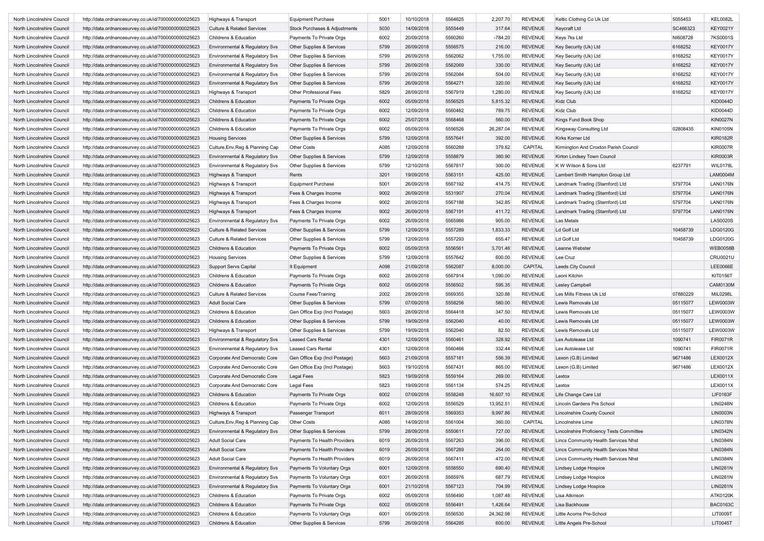| North Lincolnshire Council | http://data.ordnancesurvey.co.uk/id/7000000000025623 | Highways & Transport                  | <b>Equipment Purchase</b>     | 5001 | 10/10/2018 | 5564625 | 2,207.70  | <b>REVENUE</b> | Keltic Clothing Co Uk Ltd                | 5055453  | <b>KEL0082L</b> |
|----------------------------|------------------------------------------------------|---------------------------------------|-------------------------------|------|------------|---------|-----------|----------------|------------------------------------------|----------|-----------------|
| North Lincolnshire Council | http://data.ordnancesurvey.co.uk/id/7000000000025623 | <b>Culture &amp; Related Services</b> | Stock Purchases & Adjustments | 5030 | 14/09/2018 | 5555449 | 317.64    | <b>REVENUE</b> | Keycraft Ltd                             | SC466323 | <b>KEY0021Y</b> |
| North Lincolnshire Council | http://data.ordnancesurvey.co.uk/id/7000000000025623 | Childrens & Education                 | Payments To Private Orgs      | 6002 | 20/09/2018 | 5560260 | $-784.20$ | <b>REVENUE</b> | Keys 7ks Ltd                             | NI608728 | 7KS0001S        |
| North Lincolnshire Council | http://data.ordnancesurvey.co.uk/id/7000000000025623 | Environmental & Regulatory Svs        | Other Supplies & Services     | 5799 | 26/09/2018 | 5556575 | 216.00    | <b>REVENUE</b> | Key Security (Uk) Ltd                    | 6168252  | <b>KEY0017Y</b> |
| North Lincolnshire Council | http://data.ordnancesurvey.co.uk/id/7000000000025623 | Environmental & Regulatory Svs        | Other Supplies & Services     | 5799 | 26/09/2018 | 5562062 | 1,755.00  | <b>REVENUE</b> | Key Security (Uk) Ltd                    | 6168252  | <b>KEY0017Y</b> |
| North Lincolnshire Council | http://data.ordnancesurvey.co.uk/id/7000000000025623 | Environmental & Regulatory Svs        | Other Supplies & Services     | 5799 | 26/09/2018 | 5562069 | 330.00    | <b>REVENUE</b> | Key Security (Uk) Ltd                    | 6168252  | <b>KEY0017Y</b> |
| North Lincolnshire Council | http://data.ordnancesurvey.co.uk/id/7000000000025623 | Environmental & Regulatory Svs        | Other Supplies & Services     | 5799 | 26/09/2018 | 5562084 | 504.00    | <b>REVENUE</b> |                                          | 6168252  | <b>KEY0017Y</b> |
|                            |                                                      |                                       |                               | 5799 | 26/09/2018 | 5564271 |           | <b>REVENUE</b> | Key Security (Uk) Ltd                    |          | <b>KEY0017Y</b> |
| North Lincolnshire Council | http://data.ordnancesurvey.co.uk/id/7000000000025623 | Environmental & Regulatory Svs        | Other Supplies & Services     |      |            |         | 320.00    |                | Key Security (Uk) Ltd                    | 6168252  |                 |
| North Lincolnshire Council | http://data.ordnancesurvey.co.uk/id/7000000000025623 | Highways & Transport                  | Other Professional Fees       | 5829 | 28/09/2018 | 5567919 | 1,280.00  | <b>REVENUE</b> | Key Security (Uk) Ltd                    | 6168252  | <b>KEY0017Y</b> |
| North Lincolnshire Council | http://data.ordnancesurvey.co.uk/id/7000000000025623 | Childrens & Education                 | Payments To Private Orgs      | 6002 | 05/09/2018 | 5556525 | 5,815.32  | <b>REVENUE</b> | Kidz Club                                |          | <b>KID0044D</b> |
| North Lincolnshire Council | http://data.ordnancesurvey.co.uk/id/7000000000025623 | Childrens & Education                 | Payments To Private Orgs      | 6002 | 12/09/2018 | 5560482 | 789.75    | <b>REVENUE</b> | Kidz Club                                |          | <b>KID0044D</b> |
| North Lincolnshire Council | http://data.ordnancesurvey.co.uk/id/7000000000025623 | Childrens & Education                 | Payments To Private Orgs      | 6002 | 25/07/2018 | 5568468 | 560.00    | <b>REVENUE</b> | Kings Fund Book Shop                     |          | <b>KIN0027N</b> |
| North Lincolnshire Council | http://data.ordnancesurvey.co.uk/id/7000000000025623 | Childrens & Education                 | Payments To Private Orgs      | 6002 | 05/09/2018 | 5556526 | 26,287.04 | <b>REVENUE</b> | Kingsway Consulting Ltd                  | 02808435 | <b>KIN0105N</b> |
| North Lincolnshire Council | http://data.ordnancesurvey.co.uk/id/7000000000025623 | <b>Housing Services</b>               | Other Supplies & Services     | 5799 | 12/09/2018 | 5557641 | 392.00    | <b>REVENUE</b> | Kirks Korner Ltd                         |          | <b>KIR0182R</b> |
| North Lincolnshire Council | http://data.ordnancesurvey.co.uk/id/7000000000025623 | Culture, Env, Reg & Planning Cap      | <b>Other Costs</b>            | A085 | 12/09/2018 | 5560288 | 379.82    | CAPITAL        | Kirmington And Croxton Parish Council    |          | <b>KIR0007R</b> |
| North Lincolnshire Council | http://data.ordnancesurvey.co.uk/id/7000000000025623 | Environmental & Regulatory Svs        | Other Supplies & Services     | 5799 | 12/09/2018 | 5558879 | 360.90    | <b>REVENUE</b> | Kirton Lindsey Town Council              |          | <b>KIR0003R</b> |
| North Lincolnshire Council | http://data.ordnancesurvey.co.uk/id/7000000000025623 | Environmental & Regulatory Svs        | Other Supplies & Services     | 5799 | 12/10/2018 | 5567817 | 300.00    | <b>REVENUE</b> | K W Wilson & Sons Ltd                    | 6237791  | WIL0178L        |
| North Lincolnshire Council | http://data.ordnancesurvey.co.uk/id/7000000000025623 | Highways & Transport                  | Rents                         | 3201 | 19/09/2018 | 5563151 | 425.00    | <b>REVENUE</b> | Lambert Smith Hampton Group Ltd          |          | LAM0004M        |
| North Lincolnshire Council | http://data.ordnancesurvey.co.uk/id/7000000000025623 | Highways & Transport                  | <b>Equipment Purchase</b>     | 5001 | 26/09/2018 | 5567192 | 414.75    | <b>REVENUE</b> | Landmark Trading (Stamford) Ltd          | 5797704  | <b>LAN0176N</b> |
| North Lincolnshire Council | http://data.ordnancesurvey.co.uk/id/7000000000025623 | Highways & Transport                  | Fees & Charges Income         | 9002 | 26/09/2018 | 5531907 | 270.04    | <b>REVENUE</b> | Landmark Trading (Stamford) Ltd          | 5797704  | <b>LAN0176N</b> |
| North Lincolnshire Council | http://data.ordnancesurvey.co.uk/id/7000000000025623 | Highways & Transport                  | Fees & Charges Income         | 9002 | 26/09/2018 | 5567188 | 342.85    | <b>REVENUE</b> | Landmark Trading (Stamford) Ltd          | 5797704  | <b>LAN0176N</b> |
| North Lincolnshire Council | http://data.ordnancesurvey.co.uk/id/7000000000025623 | Highways & Transport                  | Fees & Charges Income         | 9002 | 26/09/2018 | 5567191 | 411.72    | <b>REVENUE</b> | Landmark Trading (Stamford) Ltd          | 5797704  | <b>LAN0176N</b> |
| North Lincolnshire Council | http://data.ordnancesurvey.co.uk/id/7000000000025623 | Environmental & Regulatory Svs        | Payments To Private Orgs      | 6002 | 26/09/2018 | 5565986 | 905.00    | <b>REVENUE</b> | Las Metals                               |          | <b>LAS0020S</b> |
| North Lincolnshire Council | http://data.ordnancesurvey.co.uk/id/7000000000025623 | <b>Culture &amp; Related Services</b> | Other Supplies & Services     | 5799 | 12/09/2018 | 5557289 | 1,833.33  | <b>REVENUE</b> | Ld Golf Ltd                              | 10458739 | LDG0120G        |
| North Lincolnshire Council | http://data.ordnancesurvey.co.uk/id/7000000000025623 | <b>Culture &amp; Related Services</b> | Other Supplies & Services     | 5799 | 12/09/2018 | 5557293 | 655.47    | <b>REVENUE</b> | Ld Golf Ltd                              | 10458739 | LDG0120G        |
| North Lincolnshire Council | http://data.ordnancesurvey.co.uk/id/7000000000025623 | Childrens & Education                 | Payments To Private Orgs      | 6002 | 05/09/2018 | 5556561 | 3,701.46  | <b>REVENUE</b> | Leanne Webster                           |          | <b>WEB0058B</b> |
| North Lincolnshire Council | http://data.ordnancesurvey.co.uk/id/7000000000025623 | <b>Housing Services</b>               | Other Supplies & Services     | 5799 | 12/09/2018 | 5557642 | 600.00    | <b>REVENUE</b> | Lee Cruz                                 |          | CRU0021U        |
| North Lincolnshire Council | http://data.ordnancesurvey.co.uk/id/7000000000025623 | <b>Support Servs Capital</b>          | It Equipment                  | A098 | 21/09/2018 | 5562087 | 8,000.00  | CAPITAL        | Leeds City Council                       |          | <b>LEE0066E</b> |
| North Lincolnshire Council | http://data.ordnancesurvey.co.uk/id/7000000000025623 | Childrens & Education                 | Payments To Private Orgs      | 6002 | 28/09/2018 | 5567914 | 1,090.00  | <b>REVENUE</b> | Leoni Kitchin                            |          | KIT0156T        |
| North Lincolnshire Council | http://data.ordnancesurvey.co.uk/id/7000000000025623 | Childrens & Education                 | Payments To Private Orgs      | 6002 | 05/09/2018 | 5556502 | 595.35    | <b>REVENUE</b> | <b>Lesley Campbell</b>                   |          | CAM0130M        |
| North Lincolnshire Council | http://data.ordnancesurvey.co.uk/id/7000000000025623 | <b>Culture &amp; Related Services</b> | <b>Course Fees/Training</b>   | 2002 | 28/09/2018 | 5569355 | 320.88    | <b>REVENUE</b> | Les Mills Fitness Uk Ltd                 | 07880229 | MIL0298L        |
| North Lincolnshire Council | http://data.ordnancesurvey.co.uk/id/7000000000025623 | <b>Adult Social Care</b>              |                               | 5799 | 07/09/2018 | 5558256 | 560.00    | <b>REVENUE</b> | Lewis Removals Ltd                       | 05115077 | LEW0003W        |
|                            |                                                      | Childrens & Education                 | Other Supplies & Services     | 5603 | 28/09/2018 | 5564418 | 347.50    | <b>REVENUE</b> | Lewis Removals Ltd                       |          | LEW0003W        |
| North Lincolnshire Council | http://data.ordnancesurvey.co.uk/id/7000000000025623 |                                       | Gen Office Exp (Incl Postage) |      |            |         |           |                |                                          | 05115077 |                 |
| North Lincolnshire Council | http://data.ordnancesurvey.co.uk/id/7000000000025623 | Childrens & Education                 | Other Supplies & Services     | 5799 | 19/09/2018 | 5562040 | 40.00     | <b>REVENUE</b> | Lewis Removals Ltd                       | 05115077 | <b>LEW0003W</b> |
| North Lincolnshire Council | http://data.ordnancesurvey.co.uk/id/7000000000025623 | Highways & Transport                  | Other Supplies & Services     | 5799 | 19/09/2018 | 5562040 | 82.50     | <b>REVENUE</b> | Lewis Removals Ltd                       | 05115077 | LEW0003W        |
| North Lincolnshire Council | http://data.ordnancesurvey.co.uk/id/7000000000025623 | Environmental & Regulatory Svs        | <b>Leased Cars Rental</b>     | 4301 | 12/09/2018 | 5560461 | 328.92    | <b>REVENUE</b> | Lex Autolease Ltd                        | 1090741  | <b>FIR0071R</b> |
| North Lincolnshire Council | http://data.ordnancesurvey.co.uk/id/7000000000025623 | Environmental & Regulatory Svs        | <b>Leased Cars Rental</b>     | 4301 | 12/09/2018 | 5560466 | 332.44    | <b>REVENUE</b> | Lex Autolease Ltd                        | 1090741  | <b>FIR0071R</b> |
| North Lincolnshire Council | http://data.ordnancesurvey.co.uk/id/7000000000025623 | Corporate And Democratic Core         | Gen Office Exp (Incl Postage) | 5603 | 21/09/2018 | 5557181 | 556.39    | <b>REVENUE</b> | Lexon (G.B) Limited                      | 9671486  | LEX0012X        |
| North Lincolnshire Council | http://data.ordnancesurvey.co.uk/id/7000000000025623 | Corporate And Democratic Core         | Gen Office Exp (Incl Postage) | 5603 | 19/10/2018 | 5567431 | 865.00    | <b>REVENUE</b> | Lexon (G.B) Limited                      | 9671486  | LEX0012X        |
| North Lincolnshire Council | http://data.ordnancesurvey.co.uk/id/7000000000025623 | Corporate And Democratic Core         | Legal Fees                    | 5823 | 19/09/2018 | 5559164 | 269.00    | <b>REVENUE</b> | Lextox                                   |          | LEX0011X        |
| North Lincolnshire Council | http://data.ordnancesurvey.co.uk/id/7000000000025623 | Corporate And Democratic Core         | Legal Fees                    | 5823 | 19/09/2018 | 5561134 | 574.25    | <b>REVENUE</b> | Lextox                                   |          | LEX0011X        |
| North Lincolnshire Council | http://data.ordnancesurvey.co.uk/id/7000000000025623 | Childrens & Education                 | Payments To Private Orgs      | 6002 | 07/09/2018 | 5558248 | 16,607.10 | <b>REVENUE</b> | Life Change Care Ltd                     |          | <b>LIF0163F</b> |
| North Lincolnshire Council | http://data.ordnancesurvey.co.uk/id/7000000000025623 | Childrens & Education                 | Payments To Private Orgs      | 6002 | 12/09/2018 | 5556529 | 13,952.51 | REVENUE        | Lincoln Gardens Pre School               |          | <b>LIN0248N</b> |
| North Lincolnshire Council | http://data.ordnancesurvey.co.uk/id/7000000000025623 | Highways & Transport                  | Passenger Transport           | 6011 | 28/09/2018 | 5569353 | 9,997.86  | <b>REVENUE</b> | Lincolnshire County Council              |          | <b>LIN0003N</b> |
| North Lincolnshire Counci  | http://data.ordnancesurvey.co.uk/id/7000000000025623 | Culture, Env, Reg & Planning Cap      | Other Costs                   | A085 | 14/09/2018 | 5561004 | 360.00    | CAPITAL        | Lincolnshire Lime                        |          | <b>LIN0378N</b> |
| North Lincolnshire Council | http://data.ordnancesurvey.co.uk/id/7000000000025623 | Environmental & Regulatory Svs        | Other Supplies & Services     | 5799 | 28/09/2018 | 5550611 | 727.00    | <b>REVENUE</b> | Lincolnshire Proficiency Tests Committee |          | <b>LIN0342N</b> |
| North Lincolnshire Council | http://data.ordnancesurvey.co.uk/id/7000000000025623 | <b>Adult Social Care</b>              | Payments To Health Providers  | 6019 | 26/09/2018 | 5567263 | 396.00    | <b>REVENUE</b> | Lincs Community Health Services Nhst     |          | <b>LIN0384N</b> |
| North Lincolnshire Council | http://data.ordnancesurvey.co.uk/id/7000000000025623 | <b>Adult Social Care</b>              | Payments To Health Providers  | 6019 | 26/09/2018 | 5567289 | 264.00    | <b>REVENUE</b> | Lincs Community Health Services Nhst     |          | LIN0384N        |
| North Lincolnshire Council | http://data.ordnancesurvey.co.uk/id/7000000000025623 | <b>Adult Social Care</b>              | Payments To Health Providers  | 6019 | 26/09/2018 | 5567411 | 472.00    | <b>REVENUE</b> | Lincs Community Health Services Nhst     |          | <b>LIN0384N</b> |
| North Lincolnshire Council | http://data.ordnancesurvey.co.uk/id/7000000000025623 | Environmental & Regulatory Svs        | Payments To Voluntary Orgs    | 6001 | 12/09/2018 | 5558550 | 690.40    | <b>REVENUE</b> | Lindsey Lodge Hospice                    |          | LIN0261N        |
| North Lincolnshire Council | http://data.ordnancesurvey.co.uk/id/7000000000025623 | Environmental & Regulatory Svs        | Payments To Voluntary Orgs    | 6001 | 26/09/2018 | 5565976 | 687.79    | <b>REVENUE</b> | Lindsey Lodge Hospice                    |          | LIN0261N        |
| North Lincolnshire Council | http://data.ordnancesurvey.co.uk/id/7000000000025623 | Environmental & Regulatory Svs        | Payments To Voluntary Orgs    | 6001 | 21/10/2018 | 5567123 | 704.99    | <b>REVENUE</b> | Lindsey Lodge Hospice                    |          | LIN0261N        |
| North Lincolnshire Council | http://data.ordnancesurvey.co.uk/id/7000000000025623 | Childrens & Education                 | Payments To Private Orgs      | 6002 | 05/09/2018 | 5556490 | 1,087.48  | <b>REVENUE</b> | Lisa Atkinson                            |          | ATK0120K        |
| North Lincolnshire Council | http://data.ordnancesurvey.co.uk/id/7000000000025623 | Childrens & Education                 | Payments To Private Orgs      | 6002 | 05/09/2018 | 5556491 | 1,426.64  | <b>REVENUE</b> | Lisa Backhouse                           |          | <b>BAC0163C</b> |
| North Lincolnshire Council | http://data.ordnancesurvey.co.uk/id/7000000000025623 | Childrens & Education                 | Payments To Voluntary Orgs    | 6001 | 05/09/2018 | 5556530 | 24,362.98 | <b>REVENUE</b> | Little Acorns Pre-School                 |          | LIT0009T        |
| North Lincolnshire Council | http://data.ordnancesurvey.co.uk/id/7000000000025623 | Childrens & Education                 | Other Supplies & Services     | 5799 | 26/09/2018 | 5564285 | 600.00    | <b>REVENUE</b> | Little Angels Pre-School                 |          | LIT0045T        |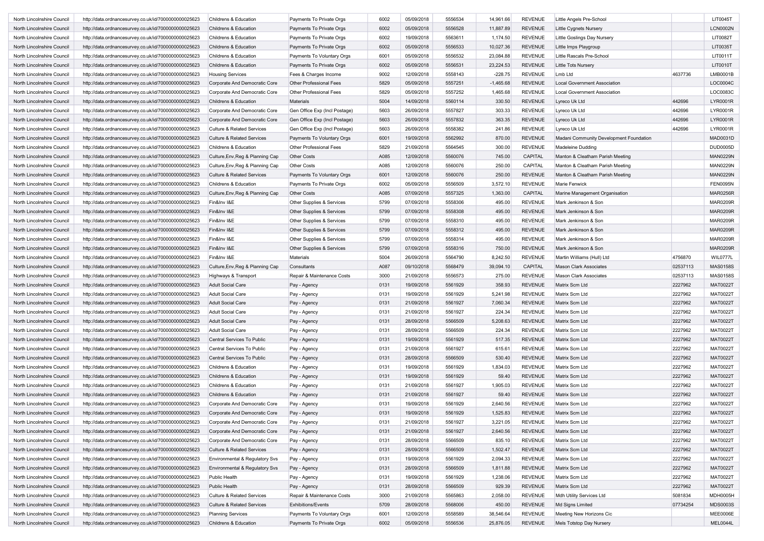| North Lincolnshire Council | http://data.ordnancesurvey.co.uk/id/7000000000025623 | Childrens & Education                 | Payments To Private Orgs       | 6002 | 05/09/2018 | 5556534 | 14,961.66   | <b>REVENUE</b> | Little Angels Pre-School                |          | LIT0045T        |
|----------------------------|------------------------------------------------------|---------------------------------------|--------------------------------|------|------------|---------|-------------|----------------|-----------------------------------------|----------|-----------------|
| North Lincolnshire Council | http://data.ordnancesurvey.co.uk/id/7000000000025623 | Childrens & Education                 | Payments To Private Orgs       | 6002 | 05/09/2018 | 5556528 | 11,887.89   | <b>REVENUE</b> | <b>Little Cygnets Nursery</b>           |          | <b>LCN0002N</b> |
| North Lincolnshire Council | http://data.ordnancesurvey.co.uk/id/7000000000025623 | Childrens & Education                 | Payments To Private Orgs       | 6002 | 19/09/2018 | 5563611 | 1,174.50    | <b>REVENUE</b> | Little Goslings Day Nursery             |          | LIT0082T        |
| North Lincolnshire Council | http://data.ordnancesurvey.co.uk/id/7000000000025623 | Childrens & Education                 | Payments To Private Orgs       | 6002 | 05/09/2018 | 5556533 | 10,027.36   | <b>REVENUE</b> | Little Imps Playgroup                   |          | LIT0035T        |
| North Lincolnshire Council | http://data.ordnancesurvey.co.uk/id/7000000000025623 | Childrens & Education                 | Payments To Voluntary Orgs     | 6001 | 05/09/2018 | 5556532 | 23,084.88   | <b>REVENUE</b> | Little Rascals Pre-School               |          | LIT0011T        |
| North Lincolnshire Council | http://data.ordnancesurvey.co.uk/id/7000000000025623 | Childrens & Education                 | Payments To Private Orgs       | 6002 | 05/09/2018 | 5556531 | 23,224.53   | <b>REVENUE</b> | Little Tots Nurserv                     |          | LIT0010T        |
| North Lincolnshire Council | http://data.ordnancesurvey.co.uk/id/7000000000025623 | <b>Housing Services</b>               | Fees & Charges Income          | 9002 | 12/09/2018 | 5558143 | $-228.75$   | <b>REVENUE</b> | Lmb Ltd                                 | 4637736  | LMB0001B        |
| North Lincolnshire Council | http://data.ordnancesurvey.co.uk/id/7000000000025623 | Corporate And Democratic Core         | <b>Other Professional Fees</b> | 5829 | 05/09/2018 | 5557251 | $-1,465.68$ | <b>REVENUE</b> | <b>Local Government Association</b>     |          | LOC0004C        |
| North Lincolnshire Council | http://data.ordnancesurvey.co.uk/id/7000000000025623 | Corporate And Democratic Core         | Other Professional Fees        | 5829 | 05/09/2018 | 5557252 | 1,465.68    | <b>REVENUE</b> | <b>Local Government Association</b>     |          | LOC0083C        |
| North Lincolnshire Council | http://data.ordnancesurvey.co.uk/id/7000000000025623 | Childrens & Education                 | <b>Materials</b>               | 5004 | 14/09/2018 | 5560114 | 330.50      | <b>REVENUE</b> | Lyreco Uk Ltd                           | 442696   | LYR0001R        |
| North Lincolnshire Council | http://data.ordnancesurvey.co.uk/id/7000000000025623 | Corporate And Democratic Core         | Gen Office Exp (Incl Postage)  | 5603 | 26/09/2018 | 5557827 | 303.33      | REVENUE        | Lyreco Uk Ltd                           | 442696   | LYR0001R        |
| North Lincolnshire Council | http://data.ordnancesurvey.co.uk/id/7000000000025623 | Corporate And Democratic Core         | Gen Office Exp (Incl Postage)  | 5603 | 26/09/2018 | 5557832 | 363.35      | <b>REVENUE</b> | Lyreco Uk Ltd                           | 442696   | LYR0001R        |
| North Lincolnshire Council | http://data.ordnancesurvey.co.uk/id/7000000000025623 | <b>Culture &amp; Related Services</b> | Gen Office Exp (Incl Postage)  | 5603 | 26/09/2018 | 5558382 | 241.86      | <b>REVENUE</b> | Lyreco Uk Ltd                           | 442696   | LYR0001R        |
| North Lincolnshire Council |                                                      | <b>Culture &amp; Related Services</b> |                                | 6001 | 19/09/2018 | 5562992 | 870.00      | <b>REVENUE</b> | Madani Community Development Foundation |          | MAD0031D        |
|                            | http://data.ordnancesurvey.co.uk/id/7000000000025623 |                                       | Payments To Voluntary Orgs     |      |            | 5564545 |             | <b>REVENUE</b> | Madeleine Dudding                       |          | DUD0005D        |
| North Lincolnshire Council | http://data.ordnancesurvey.co.uk/id/7000000000025623 | Childrens & Education                 | Other Professional Fees        | 5829 | 21/09/2018 |         | 300.00      |                |                                         |          |                 |
| North Lincolnshire Council | http://data.ordnancesurvey.co.uk/id/7000000000025623 | Culture, Env, Reg & Planning Cap      | <b>Other Costs</b>             | A085 | 12/09/2018 | 5560076 | 745.00      | CAPITAL        | Manton & Cleatham Parish Meeting        |          | <b>MAN0229N</b> |
| North Lincolnshire Council | http://data.ordnancesurvey.co.uk/id/7000000000025623 | Culture, Env, Reg & Planning Cap      | <b>Other Costs</b>             | A085 | 12/09/2018 | 5560076 | 250.00      | CAPITAL        | Manton & Cleatham Parish Meeting        |          | <b>MAN0229N</b> |
| North Lincolnshire Council | http://data.ordnancesurvey.co.uk/id/7000000000025623 | <b>Culture &amp; Related Services</b> | Payments To Voluntary Orgs     | 6001 | 12/09/2018 | 5560076 | 250.00      | <b>REVENUE</b> | Manton & Cleatham Parish Meeting        |          | <b>MAN0229N</b> |
| North Lincolnshire Council | http://data.ordnancesurvey.co.uk/id/7000000000025623 | Childrens & Education                 | Payments To Private Orgs       | 6002 | 05/09/2018 | 5556509 | 3,572.10    | <b>REVENUE</b> | Marie Fenwick                           |          | <b>FEN0095N</b> |
| North Lincolnshire Council | http://data.ordnancesurvey.co.uk/id/7000000000025623 | Culture, Env, Reg & Planning Cap      | Other Costs                    | A085 | 07/09/2018 | 5557325 | 1,363.00    | CAPITAL        | Marine Management Organisation          |          | <b>MAR0256R</b> |
| North Lincolnshire Council | http://data.ordnancesurvey.co.uk/id/7000000000025623 | Fin&Inv I&E                           | Other Supplies & Services      | 5799 | 07/09/2018 | 5558306 | 495.00      | <b>REVENUE</b> | Mark Jenkinson & Son                    |          | <b>MAR0209R</b> |
| North Lincolnshire Council | http://data.ordnancesurvey.co.uk/id/7000000000025623 | Fin&Inv I&E                           | Other Supplies & Services      | 5799 | 07/09/2018 | 5558308 | 495.00      | <b>REVENUE</b> | Mark Jenkinson & Son                    |          | <b>MAR0209R</b> |
| North Lincolnshire Council | http://data.ordnancesurvey.co.uk/id/7000000000025623 | Fin&Inv I&E                           | Other Supplies & Services      | 5799 | 07/09/2018 | 5558310 | 495.00      | <b>REVENUE</b> | Mark Jenkinson & Son                    |          | MAR0209R        |
| North Lincolnshire Council | http://data.ordnancesurvey.co.uk/id/7000000000025623 | Fin&Inv I&E                           | Other Supplies & Services      | 5799 | 07/09/2018 | 5558312 | 495.00      | <b>REVENUE</b> | Mark Jenkinson & Son                    |          | <b>MAR0209R</b> |
| North Lincolnshire Council | http://data.ordnancesurvey.co.uk/id/7000000000025623 | Fin&Inv I&E                           | Other Supplies & Services      | 5799 | 07/09/2018 | 5558314 | 495.00      | <b>REVENUE</b> | Mark Jenkinson & Son                    |          | <b>MAR0209R</b> |
| North Lincolnshire Council | http://data.ordnancesurvey.co.uk/id/7000000000025623 | Fin&Inv I&E                           | Other Supplies & Services      | 5799 | 07/09/2018 | 5558316 | 750.00      | <b>REVENUE</b> | Mark Jenkinson & Son                    |          | <b>MAR0209R</b> |
| North Lincolnshire Council | http://data.ordnancesurvey.co.uk/id/7000000000025623 | Fin&Inv I&E                           | <b>Materials</b>               | 5004 | 26/09/2018 | 5564790 | 8,242.50    | <b>REVENUE</b> | Martin Williams (Hull) Ltd              | 4756870  | WIL0777L        |
| North Lincolnshire Council | http://data.ordnancesurvey.co.uk/id/7000000000025623 | Culture, Env, Reg & Planning Cap      | Consultants                    | A087 | 09/10/2018 | 5568479 | 39,094.10   | CAPITAL        | <b>Mason Clark Associates</b>           | 02537113 | <b>MAS0158S</b> |
| North Lincolnshire Council | http://data.ordnancesurvey.co.uk/id/7000000000025623 | Highways & Transport                  | Repair & Maintenance Costs     | 3000 | 21/09/2018 | 5556573 | 275.00      | <b>REVENUE</b> | <b>Mason Clark Associates</b>           | 02537113 | MAS0158S        |
| North Lincolnshire Council | http://data.ordnancesurvey.co.uk/id/7000000000025623 | <b>Adult Social Care</b>              | Pay - Agency                   | 0131 | 19/09/2018 | 5561929 | 358.93      | <b>REVENUE</b> | Matrix Scm Ltd                          | 2227962  | <b>MAT0022T</b> |
| North Lincolnshire Council | http://data.ordnancesurvey.co.uk/id/7000000000025623 | <b>Adult Social Care</b>              | Pay - Agency                   | 0131 | 19/09/2018 | 5561929 | 5,241.98    | <b>REVENUE</b> | Matrix Scm Ltd                          | 2227962  | <b>MAT0022T</b> |
| North Lincolnshire Council | http://data.ordnancesurvey.co.uk/id/7000000000025623 | <b>Adult Social Care</b>              | Pay - Agency                   | 0131 | 21/09/2018 | 5561927 | 7,060.34    | <b>REVENUE</b> | Matrix Scm Ltd                          | 2227962  | <b>MAT0022T</b> |
| North Lincolnshire Council | http://data.ordnancesurvey.co.uk/id/7000000000025623 | <b>Adult Social Care</b>              | Pay - Agency                   | 0131 | 21/09/2018 | 5561927 | 224.34      | <b>REVENUE</b> | Matrix Scm Ltd                          | 2227962  | MAT0022T        |
| North Lincolnshire Council | http://data.ordnancesurvey.co.uk/id/7000000000025623 | <b>Adult Social Care</b>              | Pay - Agency                   | 0131 | 28/09/2018 | 5566509 | 5,208.63    | <b>REVENUE</b> | Matrix Scm Ltd                          | 2227962  | <b>MAT0022T</b> |
| North Lincolnshire Council | http://data.ordnancesurvey.co.uk/id/7000000000025623 | <b>Adult Social Care</b>              | Pay - Agency                   | 0131 | 28/09/2018 | 5566509 | 224.34      | <b>REVENUE</b> | Matrix Scm Ltd                          | 2227962  | <b>MAT0022T</b> |
| North Lincolnshire Council | http://data.ordnancesurvey.co.uk/id/7000000000025623 | Central Services To Public            | Pay - Agency                   | 0131 | 19/09/2018 | 5561929 | 517.35      | <b>REVENUE</b> | Matrix Scm Ltd                          | 2227962  | <b>MAT0022T</b> |
| North Lincolnshire Council | http://data.ordnancesurvey.co.uk/id/7000000000025623 | Central Services To Public            | Pay - Agency                   | 0131 | 21/09/2018 | 5561927 | 615.61      | <b>REVENUE</b> | Matrix Scm Ltd                          | 2227962  | <b>MAT0022T</b> |
| North Lincolnshire Council | http://data.ordnancesurvey.co.uk/id/7000000000025623 | Central Services To Public            | Pay - Agency                   | 0131 | 28/09/2018 | 5566509 | 530.40      | <b>REVENUE</b> | Matrix Scm Ltd                          | 2227962  | <b>MAT0022T</b> |
| North Lincolnshire Council | http://data.ordnancesurvey.co.uk/id/7000000000025623 | Childrens & Education                 | Pay - Agency                   | 0131 | 19/09/2018 | 5561929 | 1,834.03    | <b>REVENUE</b> | Matrix Scm Ltd                          | 2227962  | <b>MAT0022T</b> |
| North Lincolnshire Council | http://data.ordnancesurvey.co.uk/id/7000000000025623 | Childrens & Education                 | Pay - Agency                   | 0131 | 19/09/2018 | 5561929 | 59.40       | <b>REVENUE</b> | Matrix Scm Ltd                          | 2227962  | <b>MAT0022T</b> |
| North Lincolnshire Council | http://data.ordnancesurvey.co.uk/id/7000000000025623 | Childrens & Education                 | Pay - Agency                   | 0131 | 21/09/2018 | 5561927 | 1,905.03    | <b>REVENUE</b> | Matrix Scm Ltd                          | 2227962  | <b>MAT0022T</b> |
| North Lincolnshire Council | http://data.ordnancesurvey.co.uk/id/7000000000025623 | Childrens & Education                 | Pay - Agency                   | 0131 | 21/09/2018 | 5561927 | 59.40       | <b>REVENUE</b> | Matrix Scm Ltd                          | 2227962  | <b>MAT0022T</b> |
| North Lincolnshire Council | http://data.ordnancesurvey.co.uk/id/7000000000025623 | Corporate And Democratic Core         | Pay - Agency                   | 0131 | 19/09/2018 | 5561929 | 2,640.56    | REVENUE        | Matrix Scm Ltd                          | 2227962  | <b>MAT0022T</b> |
| North Lincolnshire Council | http://data.ordnancesurvey.co.uk/id/7000000000025623 | Corporate And Democratic Core         | Pay - Agency                   | 0131 | 19/09/2018 | 5561929 | 1,525.83    | <b>REVENUE</b> | Matrix Scm Ltd                          | 2227962  | <b>MAT0022T</b> |
| North Lincolnshire Counci  | http://data.ordnancesurvey.co.uk/id/7000000000025623 | Corporate And Democratic Core         | Pay - Agency                   | 0131 | 21/09/2018 | 5561927 | 3,221.05    | REVENUE        | Matrix Scm Ltd                          | 2227962  | MAT0022T        |
| North Lincolnshire Council | http://data.ordnancesurvey.co.uk/id/7000000000025623 | Corporate And Democratic Core         | Pay - Agency                   | 0131 | 21/09/2018 | 5561927 | 2,640.56    | <b>REVENUE</b> | Matrix Scm Ltd                          | 2227962  | MAT0022T        |
| North Lincolnshire Council | http://data.ordnancesurvey.co.uk/id/7000000000025623 | Corporate And Democratic Core         | Pay - Agency                   | 0131 | 28/09/2018 | 5566509 | 835.10      | <b>REVENUE</b> | Matrix Scm Ltd                          | 2227962  | <b>MAT0022T</b> |
| North Lincolnshire Council | http://data.ordnancesurvey.co.uk/id/7000000000025623 | <b>Culture &amp; Related Services</b> | Pay - Agency                   | 0131 | 28/09/2018 | 5566509 | 1,502.47    | <b>REVENUE</b> | Matrix Scm Ltd                          | 2227962  | <b>MAT0022T</b> |
| North Lincolnshire Council | http://data.ordnancesurvey.co.uk/id/7000000000025623 | Environmental & Regulatory Svs        | Pay - Agency                   | 0131 | 19/09/2018 | 5561929 | 2,094.33    | <b>REVENUE</b> | Matrix Scm Ltd                          | 2227962  | <b>MAT0022T</b> |
| North Lincolnshire Council | http://data.ordnancesurvey.co.uk/id/7000000000025623 | Environmental & Regulatory Svs        |                                | 0131 | 28/09/2018 | 5566509 | 1,811.88    | <b>REVENUE</b> | Matrix Scm Ltd                          | 2227962  | <b>MAT0022T</b> |
|                            | http://data.ordnancesurvey.co.uk/id/7000000000025623 |                                       | Pay - Agency                   |      |            |         |             |                |                                         |          | <b>MAT0022T</b> |
| North Lincolnshire Council |                                                      | Public Health                         | Pay - Agency                   | 0131 | 19/09/2018 | 5561929 | 1,238.06    | <b>REVENUE</b> | Matrix Scm Ltd                          | 2227962  |                 |
| North Lincolnshire Council | http://data.ordnancesurvey.co.uk/id/7000000000025623 | Public Health                         | Pay - Agency                   | 0131 | 28/09/2018 | 5566509 | 929.39      | <b>REVENUE</b> | Matrix Scm Ltd                          | 2227962  | <b>MAT0022T</b> |
| North Lincolnshire Council | http://data.ordnancesurvey.co.uk/id/7000000000025623 | Culture & Related Services            | Repair & Maintenance Costs     | 3000 | 21/09/2018 | 5565863 | 2,058.00    | <b>REVENUE</b> | Mdh Utility Services Ltd                | 5081834  | <b>MDH0005H</b> |
| North Lincolnshire Council | http://data.ordnancesurvey.co.uk/id/7000000000025623 | <b>Culture &amp; Related Services</b> | <b>Exhibitions/Events</b>      | 5709 | 28/09/2018 | 5568006 | 450.00      | <b>REVENUE</b> | Md Signs Limited                        | 07734254 | MDS0003S        |
| North Lincolnshire Council | http://data.ordnancesurvey.co.uk/id/7000000000025623 | <b>Planning Services</b>              | Payments To Voluntary Orgs     | 6001 | 12/09/2018 | 5558589 | 38,546.64   | <b>REVENUE</b> | Meeting New Horizons Cic                |          | MEE0006E        |
| North Lincolnshire Council | http://data.ordnancesurvey.co.uk/id/7000000000025623 | Childrens & Education                 | Payments To Private Orgs       | 6002 | 05/09/2018 | 5556536 | 25,876.05   | <b>REVENUE</b> | Mels Totstop Day Nursery                |          | MEL0044L        |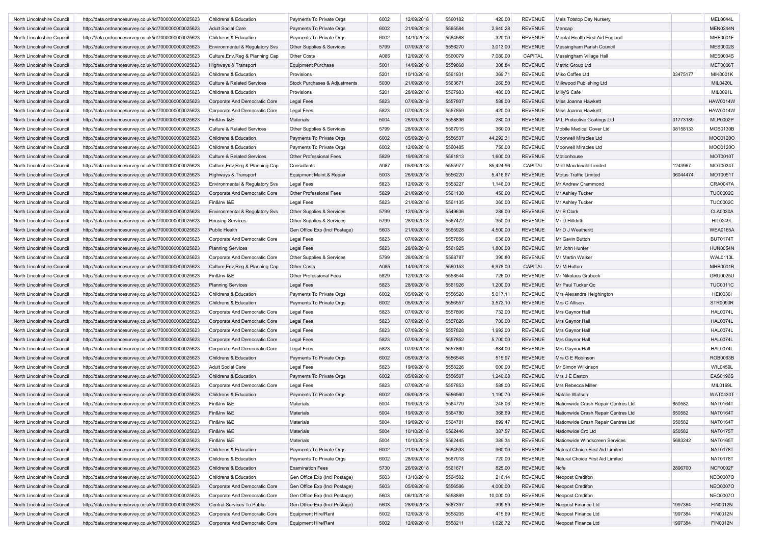| North Lincolnshire Council                               | http://data.ordnancesurvey.co.uk/id/7000000000025623                                                         | Childrens & Education                          | Payments To Private Orgs                             | 6002         | 12/09/2018               | 5560182 | 420.00           | <b>REVENUE</b> | Mels Totstop Day Nursery                                |          | MEL0044L        |
|----------------------------------------------------------|--------------------------------------------------------------------------------------------------------------|------------------------------------------------|------------------------------------------------------|--------------|--------------------------|---------|------------------|----------------|---------------------------------------------------------|----------|-----------------|
| North Lincolnshire Council                               | http://data.ordnancesurvey.co.uk/id/7000000000025623                                                         | <b>Adult Social Care</b>                       | Payments To Private Orgs                             | 6002         | 21/09/2018               | 5565584 | 2,940.28         | <b>REVENUE</b> | Mencap                                                  |          | MEN0244N        |
| North Lincolnshire Council                               | http://data.ordnancesurvey.co.uk/id/7000000000025623                                                         | Childrens & Education                          | Payments To Private Orgs                             | 6002         | 14/10/2018               | 5564588 | 320.00           | <b>REVENUE</b> | Mental Health First Aid England                         |          | MHF0001F        |
| North Lincolnshire Council                               | http://data.ordnancesurvey.co.uk/id/7000000000025623                                                         | Environmental & Regulatory Svs                 | Other Supplies & Services                            | 5799         | 07/09/2018               | 5556270 | 3,013.00         | <b>REVENUE</b> | Messingham Parish Council                               |          | <b>MES0002S</b> |
| North Lincolnshire Council                               | http://data.ordnancesurvey.co.uk/id/7000000000025623                                                         | Culture, Env, Reg & Planning Cap               | Other Costs                                          | A085         | 12/09/2018               | 5560079 | 7,080.00         | CAPITAL        | Messingham Village Hall                                 |          | <b>MES0004S</b> |
| North Lincolnshire Council                               | http://data.ordnancesurvey.co.uk/id/7000000000025623                                                         | Highways & Transport                           | <b>Equipment Purchase</b>                            | 5001         | 14/09/2018               | 5559868 | 308.84           | <b>REVENUE</b> | Metric Group Ltd                                        |          | <b>MET0006T</b> |
| North Lincolnshire Council                               | http://data.ordnancesurvey.co.uk/id/7000000000025623                                                         | Childrens & Education                          | Provisions                                           | 5201         | 10/10/2018               | 5561931 | 369.71           | <b>REVENUE</b> | Miko Coffee Ltd                                         | 03475177 | <b>MIK0001K</b> |
| North Lincolnshire Council                               | http://data.ordnancesurvey.co.uk/id/7000000000025623                                                         | <b>Culture &amp; Related Services</b>          | Stock Purchases & Adjustments                        | 5030         | 21/09/2018               | 5563671 | 260.50           | <b>REVENUE</b> | Milkwood Publishing Ltd                                 |          | MIL0420L        |
| North Lincolnshire Council                               | http://data.ordnancesurvey.co.uk/id/7000000000025623                                                         | Childrens & Education                          | Provisions                                           | 5201         | 28/09/2018               | 5567983 | 480.00           | <b>REVENUE</b> | Milly'S Cafe                                            |          | MIL0091L        |
| North Lincolnshire Council                               | http://data.ordnancesurvey.co.uk/id/7000000000025623                                                         | Corporate And Democratic Core                  | Legal Fees                                           | 5823         | 07/09/2018               | 5557807 | 588.00           | <b>REVENUE</b> | Miss Joanna Hawkett                                     |          | <b>HAW0014W</b> |
| North Lincolnshire Council                               | http://data.ordnancesurvey.co.uk/id/7000000000025623                                                         | Corporate And Democratic Core                  | Legal Fees                                           | 5823         | 07/09/2018               | 5557859 | 420.00           | <b>REVENUE</b> | Miss Joanna Hawkett                                     |          | <b>HAW0014W</b> |
| North Lincolnshire Council                               |                                                                                                              | Fin&Inv I&E                                    | Materials                                            | 5004         | 26/09/2018               | 5558836 | 280.00           | <b>REVENUE</b> |                                                         | 01773189 | <b>MLP0002P</b> |
| North Lincolnshire Council                               | http://data.ordnancesurvey.co.uk/id/7000000000025623<br>http://data.ordnancesurvey.co.uk/id/7000000000025623 | <b>Culture &amp; Related Services</b>          | Other Supplies & Services                            | 5799         | 28/09/2018               | 5567915 | 360.00           | <b>REVENUE</b> | M L Protective Coatings Ltd<br>Mobile Medical Cover Ltd | 08158133 | MOB0130B        |
| North Lincolnshire Council                               |                                                                                                              | <b>Childrens &amp; Education</b>               | Payments To Private Orgs                             | 6002         | 05/09/2018               | 5556537 | 44,292.31        | <b>REVENUE</b> | Moorwell Miracles Ltd                                   |          | MOO0120O        |
|                                                          | http://data.ordnancesurvey.co.uk/id/7000000000025623                                                         |                                                |                                                      |              |                          |         |                  |                |                                                         |          |                 |
| North Lincolnshire Council                               | http://data.ordnancesurvey.co.uk/id/7000000000025623                                                         | Childrens & Education                          | Payments To Private Orgs                             | 6002         | 12/09/2018               | 5560485 | 750.00           | <b>REVENUE</b> | Moorwell Miracles Ltd                                   |          | MOO0120O        |
| North Lincolnshire Council                               | http://data.ordnancesurvey.co.uk/id/7000000000025623                                                         | <b>Culture &amp; Related Services</b>          | Other Professional Fees                              | 5829         | 19/09/2018               | 5561813 | 1,600.00         | <b>REVENUE</b> | Motionhouse                                             |          | MOT0010T        |
| North Lincolnshire Council                               | http://data.ordnancesurvey.co.uk/id/7000000000025623                                                         | Culture, Env, Reg & Planning Cap               | Consultants                                          | A087         | 05/09/2018               | 5555977 | 85,424.96        | CAPITAL        | Mott Macdonald Limited                                  | 1243967  | MOT0034T        |
| North Lincolnshire Council                               | http://data.ordnancesurvey.co.uk/id/7000000000025623                                                         | Highways & Transport                           | Equipment Maint.& Repair                             | 5003         | 26/09/2018               | 5556220 | 5,416.67         | <b>REVENUE</b> | <b>Motus Traffic Limited</b>                            | 06044474 | MOT0051T        |
| North Lincolnshire Council                               | http://data.ordnancesurvey.co.uk/id/7000000000025623                                                         | Environmental & Regulatory Svs                 | Legal Fees                                           | 5823         | 12/09/2018               | 5558227 | 1,146.00         | <b>REVENUE</b> | Mr Andrew Crammond                                      |          | <b>CRA0047A</b> |
| North Lincolnshire Council                               | http://data.ordnancesurvey.co.uk/id/7000000000025623                                                         | Corporate And Democratic Core                  | Other Professional Fees                              | 5829         | 21/09/2018               | 5561138 | 450.00           | <b>REVENUE</b> | Mr Ashley Tucker                                        |          | <b>TUC0002C</b> |
| North Lincolnshire Council                               | http://data.ordnancesurvey.co.uk/id/7000000000025623                                                         | Fin&Inv I&E                                    | Legal Fees                                           | 5823         | 21/09/2018               | 5561135 | 360.00           | <b>REVENUE</b> | Mr Ashley Tucker                                        |          | <b>TUC0002C</b> |
| North Lincolnshire Council                               | http://data.ordnancesurvey.co.uk/id/7000000000025623                                                         | Environmental & Regulatory Svs                 | Other Supplies & Services                            | 5799         | 12/09/2018               | 5549636 | 286.00           | <b>REVENUE</b> | Mr B Clark                                              |          | <b>CLA0030A</b> |
| North Lincolnshire Council                               | http://data.ordnancesurvey.co.uk/id/7000000000025623                                                         | <b>Housing Services</b>                        | Other Supplies & Services                            | 5799         | 28/09/2018               | 5567472 | 350.00           | <b>REVENUE</b> | Mr D Hilldrith                                          |          | <b>HIL0249L</b> |
| North Lincolnshire Council                               | http://data.ordnancesurvey.co.uk/id/7000000000025623                                                         | Public Health                                  | Gen Office Exp (Incl Postage)                        | 5603         | 21/09/2018               | 5565928 | 4,500.00         | <b>REVENUE</b> | Mr D J Weatheritt                                       |          | <b>WEA0165A</b> |
| North Lincolnshire Council                               | http://data.ordnancesurvey.co.uk/id/7000000000025623                                                         | Corporate And Democratic Core                  | Legal Fees                                           | 5823         | 07/09/2018               | 5557856 | 636.00           | <b>REVENUE</b> | Mr Gavin Button                                         |          | <b>BUT0174T</b> |
| North Lincolnshire Council                               | http://data.ordnancesurvey.co.uk/id/7000000000025623                                                         | <b>Planning Services</b>                       | Legal Fees                                           | 5823         | 28/09/2018               | 5561925 | 1,800.00         | <b>REVENUE</b> | Mr John Hunter                                          |          | <b>HUN0054N</b> |
| North Lincolnshire Council                               | http://data.ordnancesurvey.co.uk/id/7000000000025623                                                         | Corporate And Democratic Core                  | Other Supplies & Services                            | 5799         | 28/09/2018               | 5568787 | 390.80           | <b>REVENUE</b> | Mr Martin Walker                                        |          | WAL0113L        |
| North Lincolnshire Council                               | http://data.ordnancesurvey.co.uk/id/7000000000025623                                                         | Culture, Env, Reg & Planning Cap               | Other Costs                                          | A085         | 14/09/2018               | 5560153 | 6,978.00         | CAPITAL        | Mr M Hutton                                             |          | MHB0001B        |
| North Lincolnshire Council                               | http://data.ordnancesurvey.co.uk/id/7000000000025623                                                         | Fin&Inv I&E                                    | Other Professional Fees                              | 5829         | 12/09/2018               | 5558544 | 726.00           | <b>REVENUE</b> | Mr Nikolaus Grubeck                                     |          | <b>GRU0025U</b> |
| North Lincolnshire Council                               | http://data.ordnancesurvey.co.uk/id/7000000000025623                                                         | <b>Planning Services</b>                       | <b>Legal Fees</b>                                    | 5823         | 28/09/2018               | 5561926 | 1,200.00         | <b>REVENUE</b> | Mr Paul Tucker Qc                                       |          | <b>TUC0011C</b> |
| North Lincolnshire Council                               | http://data.ordnancesurvey.co.uk/id/7000000000025623                                                         | Childrens & Education                          | Payments To Private Orgs                             | 6002         | 05/09/2018               | 5556520 | 5,017.11         | <b>REVENUE</b> | Mrs Alexandra Heighington                               |          | <b>HEI0036I</b> |
| North Lincolnshire Council                               | http://data.ordnancesurvey.co.uk/id/7000000000025623                                                         | Childrens & Education                          | Payments To Private Orgs                             | 6002         | 05/09/2018               | 5556557 | 3,572.10         | <b>REVENUE</b> | Mrs C Allison                                           |          | <b>STR0090R</b> |
| North Lincolnshire Council                               | http://data.ordnancesurvey.co.uk/id/7000000000025623                                                         | Corporate And Democratic Core                  | Legal Fees                                           | 5823         | 07/09/2018               | 5557806 | 732.00           | <b>REVENUE</b> | Mrs Gaynor Hall                                         |          | <b>HAL0074L</b> |
| North Lincolnshire Council                               | http://data.ordnancesurvey.co.uk/id/7000000000025623                                                         | Corporate And Democratic Core                  | <b>Legal Fees</b>                                    | 5823         | 07/09/2018               | 5557826 | 780.00           | <b>REVENUE</b> | Mrs Gaynor Hall                                         |          | <b>HAL0074L</b> |
| North Lincolnshire Council                               | http://data.ordnancesurvey.co.uk/id/7000000000025623                                                         | Corporate And Democratic Core                  | Legal Fees                                           | 5823         | 07/09/2018               | 5557828 | 1,992.00         | <b>REVENUE</b> | Mrs Gaynor Hall                                         |          | <b>HAL0074L</b> |
| North Lincolnshire Council                               | http://data.ordnancesurvey.co.uk/id/7000000000025623                                                         | Corporate And Democratic Core                  | <b>Legal Fees</b>                                    | 5823         | 07/09/2018               | 5557852 | 5,700.00         | <b>REVENUE</b> | Mrs Gaynor Hall                                         |          | <b>HAL0074L</b> |
| North Lincolnshire Council                               | http://data.ordnancesurvey.co.uk/id/7000000000025623                                                         | Corporate And Democratic Core                  | Legal Fees                                           | 5823         | 07/09/2018               | 5557860 | 684.00           | <b>REVENUE</b> | Mrs Gaynor Hall                                         |          | <b>HAL0074L</b> |
| North Lincolnshire Council                               | http://data.ordnancesurvey.co.uk/id/7000000000025623                                                         | Childrens & Education                          | Payments To Private Orgs                             | 6002         | 05/09/2018               | 5556548 | 515.97           | <b>REVENUE</b> | Mrs G E Robinson                                        |          | ROB0063B        |
| North Lincolnshire Council                               | http://data.ordnancesurvey.co.uk/id/7000000000025623                                                         | <b>Adult Social Care</b>                       | Legal Fees                                           | 5823         | 19/09/2018               | 5558226 | 600.00           | <b>REVENUE</b> | Mr Simon Wilkinson                                      |          | <b>WIL0459L</b> |
| North Lincolnshire Council                               | http://data.ordnancesurvey.co.uk/id/7000000000025623                                                         | Childrens & Education                          | Payments To Private Orgs                             | 6002         | 05/09/2018               | 5556507 | 1,240.68         | <b>REVENUE</b> | Mrs J E Easton                                          |          | <b>EAS0196S</b> |
| North Lincolnshire Council                               | http://data.ordnancesurvey.co.uk/id/7000000000025623                                                         | Corporate And Democratic Core                  | Legal Fees                                           | 5823         | 07/09/2018               | 5557853 | 588.00           | <b>REVENUE</b> | Mrs Rebecca Miller                                      |          | MIL0169L        |
| North Lincolnshire Council                               | http://data.ordnancesurvey.co.uk/id/7000000000025623                                                         | Childrens & Education                          | Payments To Private Orgs                             | 6002         | 05/09/2018               | 5556560 | 1,190.70         | <b>REVENUE</b> | Natalie Watson                                          |          | <b>WAT0430T</b> |
| North Lincolnshire Council                               | http://data.ordnancesurvey.co.uk/id/7000000000025623                                                         | Fin&Inv I&E                                    | Materials                                            | 5004         | 19/09/2018               | 5564779 | 248.06           | REVENUE        | Nationwide Crash Repair Centres Ltd                     | 650582   | <b>NAT0164T</b> |
| North Lincolnshire Council                               | http://data.ordnancesurvey.co.uk/id/7000000000025623                                                         | Fin&Inv I&E                                    | Materials                                            | 5004         | 19/09/2018               | 5564780 | 368.69           | <b>REVENUE</b> | Nationwide Crash Repair Centres Ltd                     | 650582   | <b>NAT0164T</b> |
| North Lincolnshire Council                               | http://data.ordnancesurvey.co.uk/id/7000000000025623                                                         | Fin&Inv I&E                                    | Materials                                            | 5004         | 19/09/2018               | 5564781 | 899.47           | REVENUE        | Nationwide Crash Repair Centres Ltd                     | 650582   | <b>NAT0164T</b> |
| North Lincolnshire Council                               | http://data.ordnancesurvey.co.uk/id/7000000000025623                                                         | Fin&Inv I&E                                    | Materials                                            | 5004         | 10/10/2018               | 5562446 | 387.57           | <b>REVENUE</b> | Nationwide Crc Ltd                                      | 650582   | <b>NAT0175T</b> |
| North Lincolnshire Council                               | http://data.ordnancesurvey.co.uk/id/7000000000025623                                                         | Fin&Inv I&E                                    | Materials                                            | 5004         | 10/10/2018               | 5562445 | 389.34           | <b>REVENUE</b> | Nationwide Windscreen Services                          | 5683242  | NAT0165T        |
|                                                          |                                                                                                              |                                                |                                                      |              |                          | 5564593 |                  | <b>REVENUE</b> | Natural Choice First Aid Limited                        |          | <b>NAT0178T</b> |
| North Lincolnshire Council<br>North Lincolnshire Council | http://data.ordnancesurvey.co.uk/id/7000000000025623<br>http://data.ordnancesurvey.co.uk/id/7000000000025623 | Childrens & Education<br>Childrens & Education | Payments To Private Orgs<br>Payments To Private Orgs | 6002<br>6002 | 21/09/2018<br>28/09/2018 | 5567918 | 960.00<br>720.00 | <b>REVENUE</b> | Natural Choice First Aid Limited                        |          | <b>NAT0178T</b> |
|                                                          |                                                                                                              | Childrens & Education                          |                                                      |              |                          |         |                  |                |                                                         |          |                 |
| North Lincolnshire Council                               | http://data.ordnancesurvey.co.uk/id/7000000000025623                                                         |                                                | <b>Examination Fees</b>                              | 5730         | 26/09/2018               | 5561671 | 825.00           | <b>REVENUE</b> | Ncfe                                                    | 2896700  | NCF0002F        |
| North Lincolnshire Council                               | http://data.ordnancesurvey.co.uk/id/7000000000025623                                                         | Childrens & Education                          | Gen Office Exp (Incl Postage)                        | 5603         | 13/10/2018               | 5564502 | 216.14           | <b>REVENUE</b> | Neopost Credifon                                        |          | <b>NEO0007O</b> |
| North Lincolnshire Council                               | http://data.ordnancesurvey.co.uk/id/7000000000025623                                                         | Corporate And Democratic Core                  | Gen Office Exp (Incl Postage)                        | 5603         | 05/09/2018               | 5556586 | 4,000.00         | <b>REVENUE</b> | Neopost Credifon                                        |          | <b>NEO0007O</b> |
| North Lincolnshire Council                               | http://data.ordnancesurvey.co.uk/id/7000000000025623                                                         | Corporate And Democratic Core                  | Gen Office Exp (Incl Postage)                        | 5603         | 06/10/2018               | 5558889 | 10,000.00        | <b>REVENUE</b> | Neopost Credifon                                        |          | <b>NEO0007O</b> |
| North Lincolnshire Council                               | http://data.ordnancesurvey.co.uk/id/7000000000025623                                                         | Central Services To Public                     | Gen Office Exp (Incl Postage)                        | 5603         | 28/09/2018               | 5567397 | 309.59           | <b>REVENUE</b> | Neopost Finance Ltd                                     | 1997384  | <b>FIN0012N</b> |
| North Lincolnshire Council                               | http://data.ordnancesurvey.co.uk/id/7000000000025623                                                         | Corporate And Democratic Core                  | Equipment Hire/Rent                                  | 5002         | 12/09/2018               | 5558205 | 415.69           | <b>REVENUE</b> | Neopost Finance Ltd                                     | 1997384  | <b>FIN0012N</b> |
| North Lincolnshire Council                               | http://data.ordnancesurvey.co.uk/id/7000000000025623                                                         | Corporate And Democratic Core                  | Equipment Hire/Rent                                  | 5002         | 12/09/2018               | 5558211 | 1,026.72         | <b>REVENUE</b> | Neopost Finance Ltd                                     | 1997384  | <b>FIN0012N</b> |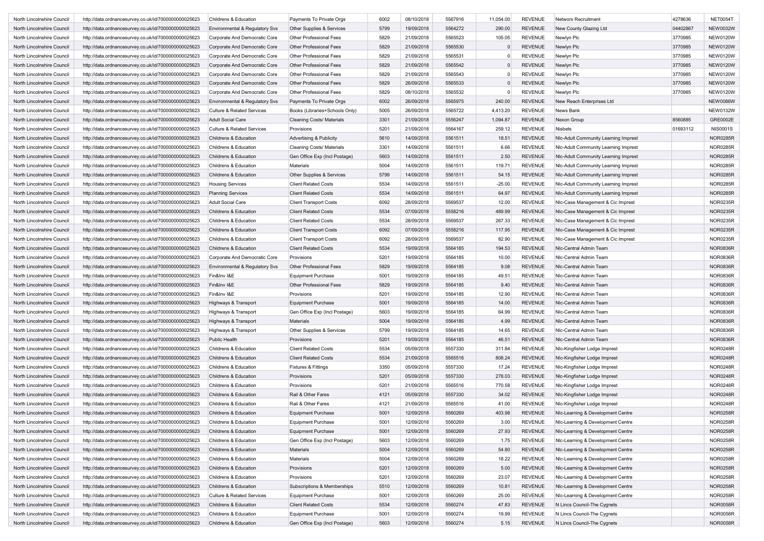| North Lincolnshire Council | http://data.ordnancesurvey.co.uk/id/7000000000025623 | Childrens & Education                 | Payments To Private Orgs                       | 6002 | 08/10/2018 | 5567916 | 11,054.00 | <b>REVENUE</b> | Networx Recruitment                  | 4278636  | <b>NET0054T</b> |
|----------------------------|------------------------------------------------------|---------------------------------------|------------------------------------------------|------|------------|---------|-----------|----------------|--------------------------------------|----------|-----------------|
| North Lincolnshire Council | http://data.ordnancesurvey.co.uk/id/7000000000025623 | Environmental & Regulatory Svs        | Other Supplies & Services                      | 5799 | 19/09/2018 | 5564272 | 290.00    | <b>REVENUE</b> | New County Glazing Ltd               | 04402867 | <b>NEW0032W</b> |
| North Lincolnshire Council | http://data.ordnancesurvey.co.uk/id/7000000000025623 | Corporate And Democratic Core         | Other Professional Fees                        | 5829 | 21/09/2018 | 5565523 | 105.05    | <b>REVENUE</b> | Newlyn Plc                           | 3770985  | <b>NEW0120W</b> |
| North Lincolnshire Council | http://data.ordnancesurvey.co.uk/id/7000000000025623 | Corporate And Democratic Core         | <b>Other Professional Fees</b>                 | 5829 | 21/09/2018 | 5565530 | $\Omega$  | <b>REVENUE</b> | Newlyn Plc                           | 3770985  | <b>NEW0120W</b> |
| North Lincolnshire Council | http://data.ordnancesurvey.co.uk/id/7000000000025623 | Corporate And Democratic Core         | Other Professional Fees                        | 5829 | 21/09/2018 | 5565531 | $\Omega$  | <b>REVENUE</b> | Newlyn Plc                           | 3770985  | <b>NEW0120W</b> |
| North Lincolnshire Council | http://data.ordnancesurvey.co.uk/id/7000000000025623 | Corporate And Democratic Core         | Other Professional Fees                        | 5829 | 21/09/2018 | 5565542 | $\Omega$  | <b>REVENUE</b> | Newlyn Plc                           | 3770985  | <b>NEW0120W</b> |
| North Lincolnshire Council | http://data.ordnancesurvey.co.uk/id/7000000000025623 | Corporate And Democratic Core         | Other Professional Fees                        | 5829 | 21/09/2018 | 5565543 | $\Omega$  | REVENUE        | Newlyn Plc                           | 3770985  | <b>NEW0120W</b> |
| North Lincolnshire Council | http://data.ordnancesurvey.co.uk/id/7000000000025623 | Corporate And Democratic Core         | <b>Other Professional Fees</b>                 | 5829 | 26/09/2018 | 5565533 | $\Omega$  | <b>REVENUE</b> | Newlyn Plc                           | 3770985  | <b>NEW0120W</b> |
| North Lincolnshire Council | http://data.ordnancesurvey.co.uk/id/7000000000025623 | Corporate And Democratic Core         | Other Professional Fees                        | 5829 | 08/10/2018 | 5565532 | $\Omega$  | <b>REVENUE</b> | Newlyn Plc                           | 3770985  | <b>NEW0120W</b> |
| North Lincolnshire Council | http://data.ordnancesurvey.co.uk/id/7000000000025623 | Environmental & Regulatory Svs        | Payments To Private Orgs                       | 6002 | 26/09/2018 | 5565975 | 240.00    | <b>REVENUE</b> | New Reach Enterprises Ltd            |          | <b>NEW0086W</b> |
| North Lincolnshire Council | http://data.ordnancesurvey.co.uk/id/7000000000025623 | <b>Culture &amp; Related Services</b> | Books (Libraries+Schools Only)                 | 5005 | 26/09/2018 | 5565722 | 4,413.20  | <b>REVENUE</b> | News Bank                            |          | <b>NEW0132W</b> |
| North Lincolnshire Council | http://data.ordnancesurvey.co.uk/id/7000000000025623 | Adult Social Care                     |                                                | 3301 | 21/09/2018 | 5556247 | 1,094.87  | <b>REVENUE</b> | Nexon Group                          | 8560885  | GRE0002E        |
| North Lincolnshire Council | http://data.ordnancesurvey.co.uk/id/7000000000025623 | <b>Culture &amp; Related Services</b> | <b>Cleaning Costs/ Materials</b><br>Provisions | 5201 | 21/09/2018 | 5564167 | 259.12    | <b>REVENUE</b> | Nisbets                              | 01693112 | <b>NIS0001S</b> |
|                            |                                                      |                                       |                                                | 5610 |            |         |           |                |                                      |          | <b>NOR0285R</b> |
| North Lincolnshire Council | http://data.ordnancesurvey.co.uk/id/7000000000025623 | Childrens & Education                 | <b>Advertising &amp; Publicity</b>             |      | 14/09/2018 | 5561511 | 18.51     | <b>REVENUE</b> | Nic-Adult Community Learning Imprest |          |                 |
| North Lincolnshire Council | http://data.ordnancesurvey.co.uk/id/7000000000025623 | Childrens & Education                 | <b>Cleaning Costs/ Materials</b>               | 3301 | 14/09/2018 | 5561511 | 6.66      | <b>REVENUE</b> | Nic-Adult Community Learning Imprest |          | <b>NOR0285R</b> |
| North Lincolnshire Council | http://data.ordnancesurvey.co.uk/id/7000000000025623 | Childrens & Education                 | Gen Office Exp (Incl Postage)                  | 5603 | 14/09/2018 | 5561511 | 2.50      | <b>REVENUE</b> | Nic-Adult Community Learning Imprest |          | <b>NOR0285R</b> |
| North Lincolnshire Council | http://data.ordnancesurvey.co.uk/id/7000000000025623 | Childrens & Education                 | <b>Materials</b>                               | 5004 | 14/09/2018 | 5561511 | 119.71    | <b>REVENUE</b> | Nic-Adult Community Learning Imprest |          | <b>NOR0285R</b> |
| North Lincolnshire Council | http://data.ordnancesurvey.co.uk/id/7000000000025623 | Childrens & Education                 | Other Supplies & Services                      | 5799 | 14/09/2018 | 5561511 | 54.15     | <b>REVENUE</b> | Nic-Adult Community Learning Imprest |          | <b>NOR0285R</b> |
| North Lincolnshire Council | http://data.ordnancesurvey.co.uk/id/7000000000025623 | <b>Housing Services</b>               | <b>Client Related Costs</b>                    | 5534 | 14/09/2018 | 5561511 | $-25.00$  | <b>REVENUE</b> | Nic-Adult Community Learning Imprest |          | <b>NOR0285R</b> |
| North Lincolnshire Council | http://data.ordnancesurvey.co.uk/id/7000000000025623 | <b>Planning Services</b>              | <b>Client Related Costs</b>                    | 5534 | 14/09/2018 | 5561511 | 64.97     | <b>REVENUE</b> | Nic-Adult Community Learning Imprest |          | <b>NOR0285R</b> |
| North Lincolnshire Council | http://data.ordnancesurvey.co.uk/id/7000000000025623 | Adult Social Care                     | <b>Client Transport Costs</b>                  | 6092 | 28/09/2018 | 5569537 | 12.00     | <b>REVENUE</b> | NIc-Case Management & Cic Imprest    |          | <b>NOR0235R</b> |
| North Lincolnshire Council | http://data.ordnancesurvey.co.uk/id/7000000000025623 | Childrens & Education                 | <b>Client Related Costs</b>                    | 5534 | 07/09/2018 | 5558216 | 489.99    | <b>REVENUE</b> | NIc-Case Management & Cic Imprest    |          | <b>NOR0235R</b> |
| North Lincolnshire Council | http://data.ordnancesurvey.co.uk/id/7000000000025623 | Childrens & Education                 | <b>Client Related Costs</b>                    | 5534 | 28/09/2018 | 5569537 | 267.33    | <b>REVENUE</b> | NIc-Case Management & Cic Imprest    |          | NOR0235R        |
| North Lincolnshire Council | http://data.ordnancesurvey.co.uk/id/7000000000025623 | Childrens & Education                 | <b>Client Transport Costs</b>                  | 6092 | 07/09/2018 | 5558216 | 117.95    | <b>REVENUE</b> | NIc-Case Management & Cic Imprest    |          | <b>NOR0235R</b> |
| North Lincolnshire Council | http://data.ordnancesurvey.co.uk/id/7000000000025623 | Childrens & Education                 | <b>Client Transport Costs</b>                  | 6092 | 28/09/2018 | 5569537 | 82.90     | <b>REVENUE</b> | NIc-Case Management & Cic Imprest    |          | <b>NOR0235R</b> |
| North Lincolnshire Council | http://data.ordnancesurvey.co.uk/id/7000000000025623 | Childrens & Education                 | <b>Client Related Costs</b>                    | 5534 | 19/09/2018 | 5564185 | 194.53    | <b>REVENUE</b> | Nic-Central Admin Team               |          | <b>NOR0836R</b> |
| North Lincolnshire Council | http://data.ordnancesurvey.co.uk/id/7000000000025623 | Corporate And Democratic Core         | Provisions                                     | 5201 | 19/09/2018 | 5564185 | 10.00     | <b>REVENUE</b> | Nic-Central Admin Team               |          | <b>NOR0836R</b> |
| North Lincolnshire Council | http://data.ordnancesurvey.co.uk/id/7000000000025623 | Environmental & Regulatory Svs        | Other Professional Fees                        | 5829 | 19/09/2018 | 5564185 | 9.08      | <b>REVENUE</b> | Nic-Central Admin Team               |          | <b>NOR0836R</b> |
| North Lincolnshire Council | http://data.ordnancesurvey.co.uk/id/7000000000025623 | Fin&Inv I&E                           | <b>Equipment Purchase</b>                      | 5001 | 19/09/2018 | 5564185 | 49.51     | <b>REVENUE</b> | Nic-Central Admin Team               |          | <b>NOR0836R</b> |
| North Lincolnshire Council | http://data.ordnancesurvey.co.uk/id/7000000000025623 | Fin&Inv I&E                           | Other Professional Fees                        | 5829 | 19/09/2018 | 5564185 | 9.40      | <b>REVENUE</b> | Nic-Central Admin Team               |          | <b>NOR0836R</b> |
| North Lincolnshire Council | http://data.ordnancesurvey.co.uk/id/7000000000025623 | Fin&Inv I&E                           | Provisions                                     | 5201 | 19/09/2018 | 5564185 | 12.90     | <b>REVENUE</b> | Nic-Central Admin Team               |          | <b>NOR0836R</b> |
| North Lincolnshire Council | http://data.ordnancesurvey.co.uk/id/7000000000025623 | Highways & Transport                  | <b>Equipment Purchase</b>                      | 5001 | 19/09/2018 | 5564185 | 14.00     | <b>REVENUE</b> | Nic-Central Admin Team               |          | <b>NOR0836R</b> |
| North Lincolnshire Council | http://data.ordnancesurvey.co.uk/id/7000000000025623 | Highways & Transport                  | Gen Office Exp (Incl Postage)                  | 5603 | 19/09/2018 | 5564185 | 64.99     | <b>REVENUE</b> | Nic-Central Admin Team               |          | <b>NOR0836R</b> |
| North Lincolnshire Council | http://data.ordnancesurvey.co.uk/id/7000000000025623 | Highways & Transport                  | Materials                                      | 5004 | 19/09/2018 | 5564185 | 4.99      | <b>REVENUE</b> | Nic-Central Admin Team               |          | <b>NOR0836R</b> |
| North Lincolnshire Council | http://data.ordnancesurvey.co.uk/id/7000000000025623 | Highways & Transport                  | Other Supplies & Services                      | 5799 | 19/09/2018 | 5564185 | 14.65     | <b>REVENUE</b> | Nic-Central Admin Team               |          | <b>NOR0836R</b> |
| North Lincolnshire Council | http://data.ordnancesurvey.co.uk/id/7000000000025623 | Public Health                         | Provisions                                     | 5201 | 19/09/2018 | 5564185 | 46.51     | <b>REVENUE</b> | Nic-Central Admin Team               |          | <b>NOR0836R</b> |
| North Lincolnshire Council | http://data.ordnancesurvey.co.uk/id/7000000000025623 | Childrens & Education                 | <b>Client Related Costs</b>                    | 5534 | 05/09/2018 | 5557330 | 311.84    | <b>REVENUE</b> | Nic-Kingfisher Lodge Imprest         |          | <b>NOR0248R</b> |
| North Lincolnshire Council | http://data.ordnancesurvey.co.uk/id/7000000000025623 | Childrens & Education                 | <b>Client Related Costs</b>                    | 5534 | 21/09/2018 | 5565516 | 808.24    | <b>REVENUE</b> | Nic-Kingfisher Lodge Imprest         |          | <b>NOR0248R</b> |
| North Lincolnshire Council | http://data.ordnancesurvey.co.uk/id/7000000000025623 | Childrens & Education                 | <b>Fixtures &amp; Fittings</b>                 | 3350 | 05/09/2018 | 5557330 | 17.24     | <b>REVENUE</b> | NIc-Kingfisher Lodge Imprest         |          | <b>NOR0248R</b> |
| North Lincolnshire Council | http://data.ordnancesurvey.co.uk/id/7000000000025623 | Childrens & Education                 | Provisions                                     | 5201 | 05/09/2018 | 5557330 | 278.03    | <b>REVENUE</b> | Nic-Kingfisher Lodge Imprest         |          | <b>NOR0248R</b> |
| North Lincolnshire Council | http://data.ordnancesurvey.co.uk/id/7000000000025623 | Childrens & Education                 | Provisions                                     | 5201 | 21/09/2018 | 5565516 | 770.58    | <b>REVENUE</b> | Nic-Kingfisher Lodge Imprest         |          | <b>NOR0248R</b> |
| North Lincolnshire Council | http://data.ordnancesurvey.co.uk/id/7000000000025623 | Childrens & Education                 | Rail & Other Fares                             | 4121 | 05/09/2018 | 5557330 | 34.02     | <b>REVENUE</b> | NIc-Kingfisher Lodge Imprest         |          | <b>NOR0248R</b> |
| North Lincolnshire Council | http://data.ordnancesurvey.co.uk/id/7000000000025623 | Childrens & Education                 | Rail & Other Fares                             | 4121 | 21/09/2018 | 5565516 | 41.00     | REVENUE        | Nic-Kingfisher Lodge Imprest         |          | <b>NOR0248R</b> |
| North Lincolnshire Council | http://data.ordnancesurvey.co.uk/id/7000000000025623 | Childrens & Education                 | <b>Equipment Purchase</b>                      | 5001 | 12/09/2018 | 5560269 | 403.98    | <b>REVENUE</b> | Nic-Learning & Development Centre    |          | <b>NOR0258R</b> |
|                            |                                                      |                                       |                                                |      |            |         |           |                |                                      |          |                 |
| North Lincolnshire Council | http://data.ordnancesurvey.co.uk/id/7000000000025623 | Childrens & Education                 | <b>Equipment Purchase</b>                      | 5001 | 12/09/2018 | 5560269 | 3.00      | REVENUE        | Nic-Learning & Development Centre    |          | NOR0258R        |
| North Lincolnshire Council | http://data.ordnancesurvey.co.uk/id/7000000000025623 | Childrens & Education                 | <b>Equipment Purchase</b>                      | 5001 | 12/09/2018 | 5560269 | 27.93     | <b>REVENUE</b> | NIc-Learning & Development Centre    |          | <b>NOR0258R</b> |
| North Lincolnshire Council | http://data.ordnancesurvey.co.uk/id/7000000000025623 | Childrens & Education                 | Gen Office Exp (Incl Postage)                  | 5603 | 12/09/2018 | 5560269 | 1.75      | <b>REVENUE</b> | Nic-Learning & Development Centre    |          | <b>NOR0258R</b> |
| North Lincolnshire Council | http://data.ordnancesurvey.co.uk/id/7000000000025623 | Childrens & Education                 | Materials                                      | 5004 | 12/09/2018 | 5560269 | 54.80     | <b>REVENUE</b> | Nic-Learning & Development Centre    |          | <b>NOR0258R</b> |
| North Lincolnshire Council | http://data.ordnancesurvey.co.uk/id/7000000000025623 | Childrens & Education                 | Materials                                      | 5004 | 12/09/2018 | 5560269 | 18.22     | <b>REVENUE</b> | NIc-Learning & Development Centre    |          | <b>NOR0258R</b> |
| North Lincolnshire Council | http://data.ordnancesurvey.co.uk/id/7000000000025623 | Childrens & Education                 | Provisions                                     | 5201 | 12/09/2018 | 5560269 | 5.00      | <b>REVENUE</b> | NIc-Learning & Development Centre    |          | <b>NOR0258R</b> |
| North Lincolnshire Council | http://data.ordnancesurvey.co.uk/id/7000000000025623 | Childrens & Education                 | Provisions                                     | 5201 | 12/09/2018 | 5560269 | 23.07     | <b>REVENUE</b> | NIc-Learning & Development Centre    |          | <b>NOR0258R</b> |
| North Lincolnshire Council | http://data.ordnancesurvey.co.uk/id/7000000000025623 | Childrens & Education                 | Subscriptions & Memberships                    | 5510 | 12/09/2018 | 5560269 | 10.81     | <b>REVENUE</b> | NIc-Learning & Development Centre    |          | <b>NOR0258R</b> |
| North Lincolnshire Council | http://data.ordnancesurvey.co.uk/id/7000000000025623 | <b>Culture &amp; Related Services</b> | Equipment Purchase                             | 5001 | 12/09/2018 | 5560269 | 25.00     | <b>REVENUE</b> | NIc-Learning & Development Centre    |          | <b>NOR0258R</b> |
| North Lincolnshire Council | http://data.ordnancesurvey.co.uk/id/7000000000025623 | Childrens & Education                 | <b>Client Related Costs</b>                    | 5534 | 12/09/2018 | 5560274 | 47.83     | <b>REVENUE</b> | N Lincs Council-The Cygnets          |          | <b>NOR0058R</b> |
| North Lincolnshire Council | http://data.ordnancesurvey.co.uk/id/7000000000025623 | Childrens & Education                 | <b>Equipment Purchase</b>                      | 5001 | 12/09/2018 | 5560274 | 19.99     | <b>REVENUE</b> | N Lincs Council-The Cygnets          |          | <b>NOR0058R</b> |
| North Lincolnshire Council | http://data.ordnancesurvey.co.uk/id/7000000000025623 | Childrens & Education                 | Gen Office Exp (Incl Postage)                  | 5603 | 12/09/2018 | 5560274 | 5.15      | <b>REVENUE</b> | N Lincs Council-The Cygnets          |          | <b>NOR0058R</b> |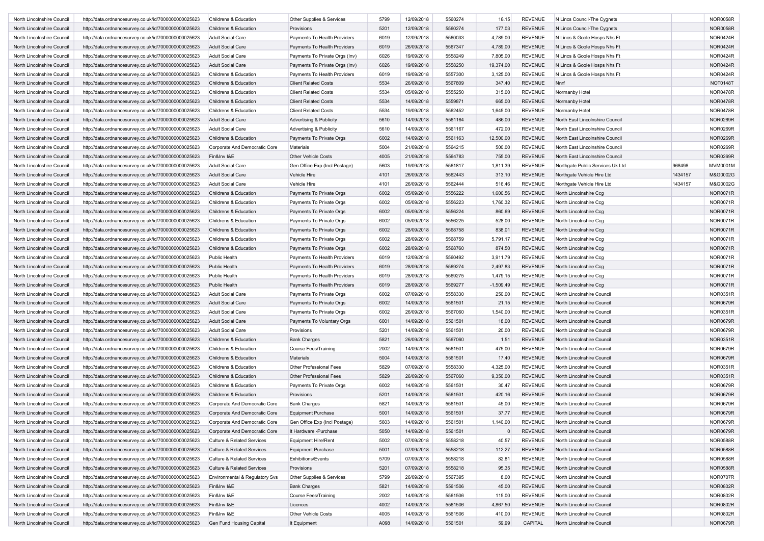| North Lincolnshire Council | http://data.ordnancesurvey.co.uk/id/7000000000025623 | Childrens & Education                 | Other Supplies & Services          | 5799 | 12/09/2018 | 5560274 | 18.15       | <b>REVENUE</b> | N Lincs Council-The Cygnets      |         | <b>NOR0058R</b> |
|----------------------------|------------------------------------------------------|---------------------------------------|------------------------------------|------|------------|---------|-------------|----------------|----------------------------------|---------|-----------------|
| North Lincolnshire Council | http://data.ordnancesurvey.co.uk/id/7000000000025623 | Childrens & Education                 | Provisions                         | 5201 | 12/09/2018 | 5560274 | 177.03      | <b>REVENUE</b> | N Lincs Council-The Cygnets      |         | <b>NOR0058R</b> |
| North Lincolnshire Council | http://data.ordnancesurvey.co.uk/id/7000000000025623 | <b>Adult Social Care</b>              | Payments To Health Providers       | 6019 | 12/09/2018 | 5560033 | 4,789.00    | <b>REVENUE</b> | N Lincs & Goole Hosps Nhs Ft     |         | <b>NOR0424R</b> |
| North Lincolnshire Council | http://data.ordnancesurvey.co.uk/id/7000000000025623 | <b>Adult Social Care</b>              | Payments To Health Providers       | 6019 | 26/09/2018 | 5567347 | 4,789.00    | <b>REVENUE</b> | N Lincs & Goole Hosps Nhs Ft     |         | <b>NOR0424R</b> |
| North Lincolnshire Council | http://data.ordnancesurvey.co.uk/id/7000000000025623 | <b>Adult Social Care</b>              | Payments To Private Orgs (Inv)     | 6026 | 19/09/2018 | 5558249 | 7,805.00    | <b>REVENUE</b> | N Lincs & Goole Hosps Nhs Ft     |         | <b>NOR0424R</b> |
| North Lincolnshire Council | http://data.ordnancesurvey.co.uk/id/7000000000025623 | <b>Adult Social Care</b>              | Payments To Private Orgs (Inv)     | 6026 | 19/09/2018 | 5558250 | 19,374.00   | <b>REVENUE</b> | N Lincs & Goole Hosps Nhs Ft     |         | <b>NOR0424R</b> |
| North Lincolnshire Council | http://data.ordnancesurvey.co.uk/id/7000000000025623 | Childrens & Education                 | Payments To Health Providers       | 6019 | 19/09/2018 | 5557300 | 3,125.00    | <b>REVENUE</b> | N Lincs & Goole Hosps Nhs Ft     |         | <b>NOR0424R</b> |
| North Lincolnshire Council | http://data.ordnancesurvey.co.uk/id/7000000000025623 | Childrens & Education                 | <b>Client Related Costs</b>        | 5534 | 26/09/2018 | 5567809 | 347.40      | <b>REVENUE</b> | Nnrf                             |         | NOT0148T        |
| North Lincolnshire Council | http://data.ordnancesurvey.co.uk/id/7000000000025623 | Childrens & Education                 | <b>Client Related Costs</b>        | 5534 | 05/09/2018 | 5555250 | 315.00      | <b>REVENUE</b> | Normanby Hotel                   |         | <b>NOR0478R</b> |
| North Lincolnshire Council | http://data.ordnancesurvey.co.uk/id/7000000000025623 | Childrens & Education                 | <b>Client Related Costs</b>        | 5534 | 14/09/2018 | 5559871 | 665.00      | <b>REVENUE</b> | Normanby Hotel                   |         | <b>NOR0478R</b> |
| North Lincolnshire Council | http://data.ordnancesurvey.co.uk/id/7000000000025623 | Childrens & Education                 | <b>Client Related Costs</b>        | 5534 | 19/09/2018 | 5562452 | 1,645.00    | <b>REVENUE</b> | Normanby Hotel                   |         | <b>NOR0478R</b> |
|                            |                                                      |                                       |                                    | 5610 |            |         |             |                |                                  |         | NOR0269R        |
| North Lincolnshire Council | http://data.ordnancesurvey.co.uk/id/7000000000025623 | <b>Adult Social Care</b>              | <b>Advertising &amp; Publicity</b> |      | 14/09/2018 | 5561164 | 486.00      | <b>REVENUE</b> | North East Lincolnshire Council  |         |                 |
| North Lincolnshire Council | http://data.ordnancesurvey.co.uk/id/7000000000025623 | <b>Adult Social Care</b>              | Advertising & Publicity            | 5610 | 14/09/2018 | 5561167 | 472.00      | <b>REVENUE</b> | North East Lincolnshire Council  |         | NOR0269R        |
| North Lincolnshire Council | http://data.ordnancesurvey.co.uk/id/7000000000025623 | Childrens & Education                 | Payments To Private Orgs           | 6002 | 14/09/2018 | 5561163 | 12,500.00   | <b>REVENUE</b> | North East Lincolnshire Council  |         | <b>NOR0269R</b> |
| North Lincolnshire Council | http://data.ordnancesurvey.co.uk/id/7000000000025623 | Corporate And Democratic Core         | Materials                          | 5004 | 21/09/2018 | 5564215 | 500.00      | <b>REVENUE</b> | North East Lincolnshire Council  |         | NOR0269R        |
| North Lincolnshire Council | http://data.ordnancesurvey.co.uk/id/7000000000025623 | Fin&Inv I&E                           | Other Vehicle Costs                | 4005 | 21/09/2018 | 5564783 | 755.00      | <b>REVENUE</b> | North East Lincolnshire Council  |         | NOR0269R        |
| North Lincolnshire Council | http://data.ordnancesurvey.co.uk/id/7000000000025623 | <b>Adult Social Care</b>              | Gen Office Exp (Incl Postage)      | 5603 | 19/09/2018 | 5561817 | 1,811.39    | <b>REVENUE</b> | Northgate Public Services Uk Ltd | 968498  | MVM0001M        |
| North Lincolnshire Council | http://data.ordnancesurvey.co.uk/id/7000000000025623 | <b>Adult Social Care</b>              | Vehicle Hire                       | 4101 | 26/09/2018 | 5562443 | 313.10      | <b>REVENUE</b> | Northgate Vehicle Hire Ltd       | 1434157 | M&G0002G        |
| North Lincolnshire Council | http://data.ordnancesurvey.co.uk/id/7000000000025623 | Adult Social Care                     | Vehicle Hire                       | 4101 | 26/09/2018 | 5562444 | 516.46      | <b>REVENUE</b> | Northgate Vehicle Hire Ltd       | 1434157 | M&G0002G        |
| North Lincolnshire Council | http://data.ordnancesurvey.co.uk/id/7000000000025623 | Childrens & Education                 | Payments To Private Orgs           | 6002 | 05/09/2018 | 5556222 | 1,600.56    | <b>REVENUE</b> | North Lincolnshire Ccg           |         | <b>NOR0071R</b> |
| North Lincolnshire Council | http://data.ordnancesurvey.co.uk/id/7000000000025623 | Childrens & Education                 | Payments To Private Orgs           | 6002 | 05/09/2018 | 5556223 | 1,760.32    | <b>REVENUE</b> | North Lincolnshire Ccg           |         | <b>NOR0071R</b> |
| North Lincolnshire Council | http://data.ordnancesurvey.co.uk/id/7000000000025623 | Childrens & Education                 | Payments To Private Orgs           | 6002 | 05/09/2018 | 5556224 | 860.69      | <b>REVENUE</b> | North Lincolnshire Ccg           |         | <b>NOR0071R</b> |
| North Lincolnshire Council | http://data.ordnancesurvey.co.uk/id/7000000000025623 | Childrens & Education                 | Payments To Private Orgs           | 6002 | 05/09/2018 | 5556225 | 528.00      | <b>REVENUE</b> | North Lincolnshire Ccg           |         | NOR0071R        |
| North Lincolnshire Council | http://data.ordnancesurvey.co.uk/id/7000000000025623 | <b>Childrens &amp; Education</b>      | Payments To Private Orgs           | 6002 | 28/09/2018 | 5568758 | 838.01      | <b>REVENUE</b> | North Lincolnshire Ccg           |         | <b>NOR0071R</b> |
| North Lincolnshire Council | http://data.ordnancesurvey.co.uk/id/7000000000025623 | Childrens & Education                 | Payments To Private Orgs           | 6002 | 28/09/2018 | 5568759 | 5,791.17    | <b>REVENUE</b> | North Lincolnshire Ccg           |         | <b>NOR0071R</b> |
| North Lincolnshire Council | http://data.ordnancesurvey.co.uk/id/7000000000025623 | <b>Childrens &amp; Education</b>      | Payments To Private Orgs           | 6002 | 28/09/2018 | 5568760 | 874.50      | <b>REVENUE</b> | North Lincolnshire Ccg           |         | <b>NOR0071R</b> |
| North Lincolnshire Council | http://data.ordnancesurvey.co.uk/id/7000000000025623 | Public Health                         | Payments To Health Providers       | 6019 | 12/09/2018 | 5560492 | 3,911.79    | <b>REVENUE</b> | North Lincolnshire Ccg           |         | NOR0071R        |
| North Lincolnshire Council | http://data.ordnancesurvey.co.uk/id/7000000000025623 | Public Health                         | Payments To Health Providers       | 6019 | 28/09/2018 | 5569274 | 2,497.83    | <b>REVENUE</b> | North Lincolnshire Ccg           |         | <b>NOR0071R</b> |
| North Lincolnshire Council |                                                      |                                       | Payments To Health Providers       |      |            |         |             |                |                                  |         |                 |
|                            | http://data.ordnancesurvey.co.uk/id/7000000000025623 | Public Health                         |                                    | 6019 | 28/09/2018 | 5569275 | 1,479.15    | <b>REVENUE</b> | North Lincolnshire Ccg           |         | <b>NOR0071R</b> |
| North Lincolnshire Council | http://data.ordnancesurvey.co.uk/id/7000000000025623 | Public Health                         | Payments To Health Providers       | 6019 | 28/09/2018 | 5569277 | $-1,509.49$ | <b>REVENUE</b> | North Lincolnshire Ccg           |         | <b>NOR0071R</b> |
| North Lincolnshire Council | http://data.ordnancesurvey.co.uk/id/7000000000025623 | <b>Adult Social Care</b>              | Payments To Private Orgs           | 6002 | 07/09/2018 | 5558330 | 250.00      | <b>REVENUE</b> | North Lincolnshire Council       |         | <b>NOR0351R</b> |
| North Lincolnshire Council | http://data.ordnancesurvey.co.uk/id/7000000000025623 | <b>Adult Social Care</b>              | Payments To Private Orgs           | 6002 | 14/09/2018 | 5561501 | 21.15       | <b>REVENUE</b> | North Lincolnshire Council       |         | NOR0679R        |
| North Lincolnshire Council | http://data.ordnancesurvey.co.uk/id/7000000000025623 | <b>Adult Social Care</b>              | Payments To Private Orgs           | 6002 | 26/09/2018 | 5567060 | 1,540.00    | <b>REVENUE</b> | North Lincolnshire Council       |         | <b>NOR0351R</b> |
| North Lincolnshire Council | http://data.ordnancesurvey.co.uk/id/7000000000025623 | <b>Adult Social Care</b>              | Payments To Voluntary Orgs         | 6001 | 14/09/2018 | 5561501 | 18.00       | <b>REVENUE</b> | North Lincolnshire Council       |         | NOR0679R        |
| North Lincolnshire Council | http://data.ordnancesurvey.co.uk/id/7000000000025623 | <b>Adult Social Care</b>              | Provisions                         | 5201 | 14/09/2018 | 5561501 | 20.00       | <b>REVENUE</b> | North Lincolnshire Council       |         | NOR0679R        |
| North Lincolnshire Council | http://data.ordnancesurvey.co.uk/id/7000000000025623 | Childrens & Education                 | <b>Bank Charges</b>                | 5821 | 26/09/2018 | 5567060 | 1.51        | <b>REVENUE</b> | North Lincolnshire Council       |         | <b>NOR0351R</b> |
| North Lincolnshire Council | http://data.ordnancesurvey.co.uk/id/7000000000025623 | Childrens & Education                 | <b>Course Fees/Training</b>        | 2002 | 14/09/2018 | 5561501 | 475.00      | <b>REVENUE</b> | North Lincolnshire Council       |         | NOR0679R        |
| North Lincolnshire Council | http://data.ordnancesurvey.co.uk/id/7000000000025623 | Childrens & Education                 | Materials                          | 5004 | 14/09/2018 | 5561501 | 17.40       | <b>REVENUE</b> | North Lincolnshire Council       |         | NOR0679R        |
| North Lincolnshire Council | http://data.ordnancesurvey.co.uk/id/7000000000025623 | Childrens & Education                 | <b>Other Professional Fees</b>     | 5829 | 07/09/2018 | 5558330 | 4,325.00    | <b>REVENUE</b> | North Lincolnshire Council       |         | <b>NOR0351R</b> |
| North Lincolnshire Council | http://data.ordnancesurvey.co.uk/id/7000000000025623 | <b>Childrens &amp; Education</b>      | Other Professional Fees            | 5829 | 26/09/2018 | 5567060 | 9,350.00    | <b>REVENUE</b> | North Lincolnshire Council       |         | <b>NOR0351R</b> |
| North Lincolnshire Council | http://data.ordnancesurvey.co.uk/id/7000000000025623 | Childrens & Education                 | Payments To Private Orgs           | 6002 | 14/09/2018 | 5561501 | 30.47       | <b>REVENUE</b> | North Lincolnshire Council       |         | NOR0679R        |
| North Lincolnshire Council | http://data.ordnancesurvey.co.uk/id/7000000000025623 | Childrens & Education                 | Provisions                         | 5201 | 14/09/2018 | 5561501 | 420.16      | <b>REVENUE</b> | North Lincolnshire Council       |         | <b>NOR0679R</b> |
| North Lincolnshire Council | http://data.ordnancesurvey.co.uk/id/7000000000025623 | Corporate And Democratic Core         | <b>Bank Charges</b>                | 5821 | 14/09/2018 | 5561501 | 45.00       | <b>REVENUE</b> | North Lincolnshire Council       |         | <b>NOR0679R</b> |
| North Lincolnshire Council | http://data.ordnancesurvey.co.uk/id/7000000000025623 | Corporate And Democratic Core         | <b>Equipment Purchase</b>          | 5001 | 14/09/2018 | 5561501 | 37.77       | <b>REVENUE</b> | North Lincolnshire Council       |         | <b>NOR0679R</b> |
| North Lincolnshire Counci  | http://data.ordnancesurvey.co.uk/id/7000000000025623 | Corporate And Democratic Core         | Gen Office Exp (Incl Postage)      | 5603 | 14/09/2018 | 5561501 | 1,140.00    | REVENUE        | North Lincolnshire Council       |         | <b>NOR0679F</b> |
|                            |                                                      |                                       |                                    |      |            |         |             |                |                                  |         |                 |
| North Lincolnshire Council | http://data.ordnancesurvey.co.uk/id/7000000000025623 | Corporate And Democratic Core         | It Hardware -Purchase              | 5050 | 14/09/2018 | 5561501 | $\mathbf 0$ | <b>REVENUE</b> | North Lincolnshire Council       |         | <b>NOR0679R</b> |
| North Lincolnshire Council | http://data.ordnancesurvey.co.uk/id/7000000000025623 | Culture & Related Services            | <b>Equipment Hire/Rent</b>         | 5002 | 07/09/2018 | 5558218 | 40.57       | <b>REVENUE</b> | North Lincolnshire Council       |         | <b>NOR0588R</b> |
| North Lincolnshire Council | http://data.ordnancesurvey.co.uk/id/7000000000025623 | <b>Culture &amp; Related Services</b> | <b>Equipment Purchase</b>          | 5001 | 07/09/2018 | 5558218 | 112.27      | <b>REVENUE</b> | North Lincolnshire Council       |         | <b>NOR0588R</b> |
| North Lincolnshire Council | http://data.ordnancesurvey.co.uk/id/7000000000025623 | Culture & Related Services            | <b>Exhibitions/Events</b>          | 5709 | 07/09/2018 | 5558218 | 82.81       | <b>REVENUE</b> | North Lincolnshire Council       |         | <b>NOR0588R</b> |
| North Lincolnshire Council | http://data.ordnancesurvey.co.uk/id/7000000000025623 | <b>Culture &amp; Related Services</b> | Provisions                         | 5201 | 07/09/2018 | 5558218 | 95.35       | <b>REVENUE</b> | North Lincolnshire Council       |         | <b>NOR0588R</b> |
| North Lincolnshire Council | http://data.ordnancesurvey.co.uk/id/7000000000025623 | Environmental & Regulatory Svs        | Other Supplies & Services          | 5799 | 26/09/2018 | 5567395 | 8.00        | <b>REVENUE</b> | North Lincolnshire Council       |         | <b>NOR0707R</b> |
| North Lincolnshire Council | http://data.ordnancesurvey.co.uk/id/7000000000025623 | Fin&Inv I&E                           | <b>Bank Charges</b>                | 5821 | 14/09/2018 | 5561506 | 45.00       | <b>REVENUE</b> | North Lincolnshire Council       |         | <b>NOR0802R</b> |
| North Lincolnshire Council | http://data.ordnancesurvey.co.uk/id/7000000000025623 | Fin&Inv I&E                           | <b>Course Fees/Training</b>        | 2002 | 14/09/2018 | 5561506 | 115.00      | <b>REVENUE</b> | North Lincolnshire Council       |         | <b>NOR0802R</b> |
| North Lincolnshire Council | http://data.ordnancesurvey.co.uk/id/7000000000025623 | Fin&Inv I&E                           | Licences                           | 4002 | 14/09/2018 | 5561506 | 4,867.50    | <b>REVENUE</b> | North Lincolnshire Council       |         | <b>NOR0802R</b> |
| North Lincolnshire Council | http://data.ordnancesurvey.co.uk/id/7000000000025623 | Fin&Inv I&E                           | Other Vehicle Costs                | 4005 | 14/09/2018 | 5561506 | 410.00      | <b>REVENUE</b> | North Lincolnshire Council       |         | <b>NOR0802R</b> |
| North Lincolnshire Council | http://data.ordnancesurvey.co.uk/id/7000000000025623 | Gen Fund Housing Capital              | It Equipment                       | A098 | 14/09/2018 | 5561501 | 59.99       | CAPITAL        | North Lincolnshire Council       |         | NOR0679R        |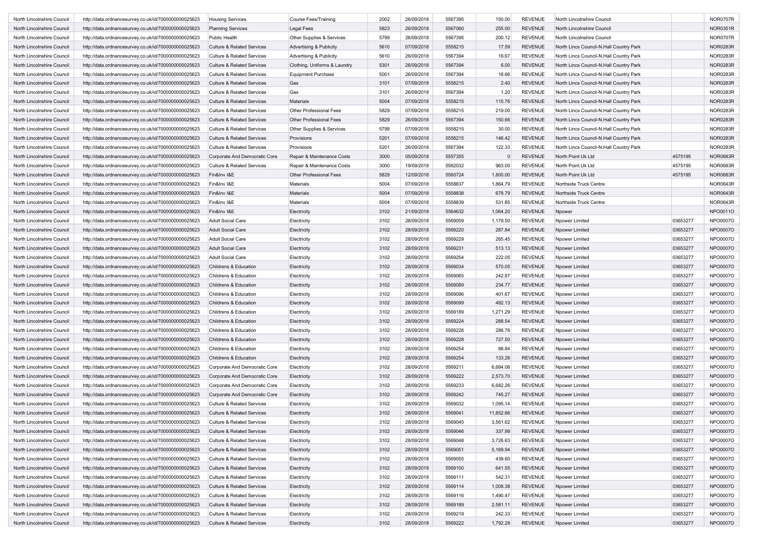| North Lincolnshire Council | http://data.ordnancesurvey.co.uk/id/7000000000025623 | <b>Housing Services</b>               | <b>Course Fees/Training</b>        | 2002 | 26/09/2018 | 5567395 | 150.00    | <b>REVENUE</b> | North Lincolnshire Council              |          | <b>NOR0707R</b> |
|----------------------------|------------------------------------------------------|---------------------------------------|------------------------------------|------|------------|---------|-----------|----------------|-----------------------------------------|----------|-----------------|
| North Lincolnshire Council | http://data.ordnancesurvey.co.uk/id/7000000000025623 | <b>Planning Services</b>              | <b>Legal Fees</b>                  | 5823 | 26/09/2018 | 5567060 | 255.00    | <b>REVENUE</b> | North Lincolnshire Council              |          | <b>NOR0351R</b> |
| North Lincolnshire Council | http://data.ordnancesurvey.co.uk/id/7000000000025623 | Public Health                         | Other Supplies & Services          | 5799 | 26/09/2018 | 5567395 | 200.12    | <b>REVENUE</b> | North Lincolnshire Council              |          | <b>NOR0707R</b> |
| North Lincolnshire Council | http://data.ordnancesurvey.co.uk/id/7000000000025623 | <b>Culture &amp; Related Services</b> | <b>Advertising &amp; Publicity</b> | 5610 | 07/09/2018 | 5558215 | 17.59     | <b>REVENUE</b> | North Lincs Council-N.Hall Country Park |          | <b>NOR0283R</b> |
| North Lincolnshire Council | http://data.ordnancesurvey.co.uk/id/7000000000025623 | <b>Culture &amp; Related Services</b> | <b>Advertising &amp; Publicity</b> | 5610 | 26/09/2018 | 5567394 | 16.67     | <b>REVENUE</b> | North Lincs Council-N.Hall Country Park |          | <b>NOR0283R</b> |
| North Lincolnshire Council | http://data.ordnancesurvey.co.uk/id/7000000000025623 | <b>Culture &amp; Related Services</b> | Clothing, Uniforms & Laundry       | 5301 | 26/09/2018 | 5567394 | 6.00      | <b>REVENUE</b> | North Lincs Council-N.Hall Country Park |          | <b>NOR0283R</b> |
| North Lincolnshire Council | http://data.ordnancesurvey.co.uk/id/7000000000025623 | <b>Culture &amp; Related Services</b> | <b>Equipment Purchase</b>          | 5001 | 26/09/2018 | 5567394 | 18.66     | <b>REVENUE</b> | North Lincs Council-N.Hall Country Park |          | <b>NOR0283R</b> |
| North Lincolnshire Council | http://data.ordnancesurvey.co.uk/id/7000000000025623 | <b>Culture &amp; Related Services</b> | Gas                                | 3101 | 07/09/2018 | 5558215 | 2.40      | <b>REVENUE</b> | North Lincs Council-N.Hall Country Park |          | <b>NOR0283R</b> |
| North Lincolnshire Council | http://data.ordnancesurvey.co.uk/id/7000000000025623 | <b>Culture &amp; Related Services</b> | Gas                                | 3101 | 26/09/2018 | 5567394 | 1.20      | <b>REVENUE</b> | North Lincs Council-N.Hall Country Park |          | <b>NOR0283R</b> |
| North Lincolnshire Council | http://data.ordnancesurvey.co.uk/id/7000000000025623 | <b>Culture &amp; Related Services</b> | Materials                          | 5004 | 07/09/2018 | 5558215 | 115.76    | <b>REVENUE</b> | North Lincs Council-N.Hall Country Park |          | <b>NOR0283R</b> |
|                            |                                                      |                                       |                                    | 5829 |            |         |           |                |                                         |          |                 |
| North Lincolnshire Council | http://data.ordnancesurvey.co.uk/id/7000000000025623 | <b>Culture &amp; Related Services</b> | Other Professional Fees            |      | 07/09/2018 | 5558215 | 219.00    | <b>REVENUE</b> | North Lincs Council-N.Hall Country Park |          | <b>NOR0283R</b> |
| North Lincolnshire Council | http://data.ordnancesurvey.co.uk/id/7000000000025623 | <b>Culture &amp; Related Services</b> | Other Professional Fees            | 5829 | 26/09/2018 | 5567394 | 150.66    | <b>REVENUE</b> | North Lincs Council-N.Hall Country Park |          | <b>NOR0283R</b> |
| North Lincolnshire Council | http://data.ordnancesurvey.co.uk/id/7000000000025623 | <b>Culture &amp; Related Services</b> | Other Supplies & Services          | 5799 | 07/09/2018 | 5558215 | 30.00     | <b>REVENUE</b> | North Lincs Council-N.Hall Country Park |          | <b>NOR0283R</b> |
| North Lincolnshire Council | http://data.ordnancesurvey.co.uk/id/7000000000025623 | <b>Culture &amp; Related Services</b> | Provisions                         | 5201 | 07/09/2018 | 5558215 | 146.42    | <b>REVENUE</b> | North Lincs Council-N.Hall Country Park |          | <b>NOR0283R</b> |
| North Lincolnshire Council | http://data.ordnancesurvey.co.uk/id/7000000000025623 | <b>Culture &amp; Related Services</b> | Provisions                         | 5201 | 26/09/2018 | 5567394 | 122.33    | <b>REVENUE</b> | North Lincs Council-N.Hall Country Park |          | <b>NOR0283R</b> |
| North Lincolnshire Council | http://data.ordnancesurvey.co.uk/id/7000000000025623 | Corporate And Democratic Core         | Repair & Maintenance Costs         | 3000 | 05/09/2018 | 5557355 | $\Omega$  | <b>REVENUE</b> | North Point Uk Ltd                      | 4575195  | <b>NOR0683R</b> |
| North Lincolnshire Council | http://data.ordnancesurvey.co.uk/id/7000000000025623 | <b>Culture &amp; Related Services</b> | Repair & Maintenance Costs         | 3000 | 19/09/2018 | 5562032 | 963.00    | <b>REVENUE</b> | North Point Uk Ltd                      | 4575195  | <b>NOR0683R</b> |
| North Lincolnshire Council | http://data.ordnancesurvey.co.uk/id/7000000000025623 | Fin&Inv I&E                           | Other Professional Fees            | 5829 | 12/09/2018 | 5560724 | 1,800.00  | <b>REVENUE</b> | North Point Uk Ltd                      | 4575195  | <b>NOR0683R</b> |
| North Lincolnshire Council | http://data.ordnancesurvey.co.uk/id/7000000000025623 | Fin&Inv I&E                           | Materials                          | 5004 | 07/09/2018 | 5558837 | 1,864.79  | <b>REVENUE</b> | Northside Truck Centre                  |          | <b>NOR0643R</b> |
| North Lincolnshire Council | http://data.ordnancesurvey.co.uk/id/7000000000025623 | Fin&Inv I&E                           | <b>Materials</b>                   | 5004 | 07/09/2018 | 5558838 | 678.79    | <b>REVENUE</b> | Northside Truck Centre                  |          | <b>NOR0643R</b> |
| North Lincolnshire Council | http://data.ordnancesurvey.co.uk/id/7000000000025623 | Fin&Inv I&E                           | Materials                          | 5004 | 07/09/2018 | 5558839 | 531.85    | <b>REVENUE</b> | Northside Truck Centre                  |          | <b>NOR0643R</b> |
| North Lincolnshire Council | http://data.ordnancesurvey.co.uk/id/7000000000025623 | Fin&Inv I&E                           | Electricity                        | 3102 | 21/09/2018 | 5564632 | 1,064.20  | <b>REVENUE</b> | Npower                                  |          | NPO0011O        |
| North Lincolnshire Council | http://data.ordnancesurvey.co.uk/id/7000000000025623 | <b>Adult Social Care</b>              | Electricity                        | 3102 | 28/09/2018 | 5569059 | 1,179.50  | <b>REVENUE</b> | Npower Limited                          | 03653277 | NPO0007O        |
| North Lincolnshire Council | http://data.ordnancesurvey.co.uk/id/7000000000025623 | <b>Adult Social Care</b>              | Electricity                        | 3102 | 28/09/2018 | 5569220 | 287.84    | <b>REVENUE</b> | Npower Limited                          | 03653277 | NPO0007O        |
| North Lincolnshire Council | http://data.ordnancesurvey.co.uk/id/7000000000025623 | <b>Adult Social Care</b>              | Electricity                        | 3102 | 28/09/2018 | 5569229 | 265.45    | <b>REVENUE</b> | Npower Limited                          | 03653277 | NPO0007O        |
| North Lincolnshire Council | http://data.ordnancesurvey.co.uk/id/7000000000025623 | <b>Adult Social Care</b>              | Electricity                        | 3102 | 28/09/2018 | 5569231 | 513.13    | <b>REVENUE</b> | Npower Limited                          | 03653277 | NPO0007O        |
| North Lincolnshire Council | http://data.ordnancesurvey.co.uk/id/7000000000025623 | <b>Adult Social Care</b>              | Electricity                        | 3102 | 28/09/2018 | 5569254 | 222.05    | <b>REVENUE</b> | Npower Limited                          | 03653277 | NPO0007O        |
| North Lincolnshire Council | http://data.ordnancesurvey.co.uk/id/7000000000025623 | Childrens & Education                 | Electricity                        | 3102 | 28/09/2018 | 5569034 | 570.05    | <b>REVENUE</b> | Npower Limited                          | 03653277 | NPO0007O        |
| North Lincolnshire Council | http://data.ordnancesurvey.co.uk/id/7000000000025623 | Childrens & Education                 | Electricity                        | 3102 | 28/09/2018 | 5569065 | 242.87    | <b>REVENUE</b> | Npower Limited                          | 03653277 | NPO0007O        |
| North Lincolnshire Council | http://data.ordnancesurvey.co.uk/id/7000000000025623 | Childrens & Education                 | Electricity                        | 3102 | 28/09/2018 | 5569089 | 234.77    | <b>REVENUE</b> | Npower Limited                          | 03653277 | NPO0007O        |
| North Lincolnshire Council |                                                      | Childrens & Education                 | Electricity                        | 3102 | 28/09/2018 | 5569096 | 401.67    | <b>REVENUE</b> |                                         | 03653277 | NPO0007O        |
|                            | http://data.ordnancesurvey.co.uk/id/7000000000025623 |                                       |                                    |      |            |         |           |                | Npower Limited                          |          |                 |
| North Lincolnshire Council | http://data.ordnancesurvey.co.uk/id/7000000000025623 | Childrens & Education                 | Electricity                        | 3102 | 28/09/2018 | 5569099 | 482.13    | <b>REVENUE</b> | Npower Limited                          | 03653277 | NPO0007O        |
| North Lincolnshire Council | http://data.ordnancesurvey.co.uk/id/7000000000025623 | Childrens & Education                 | Electricity                        | 3102 | 28/09/2018 | 5569189 | 1,271.29  | <b>REVENUE</b> | Npower Limited                          | 03653277 | NPO0007O        |
| North Lincolnshire Council | http://data.ordnancesurvey.co.uk/id/7000000000025623 | Childrens & Education                 | Electricity                        | 3102 | 28/09/2018 | 5569224 | 288.54    | <b>REVENUE</b> | Npower Limited                          | 03653277 | NPO0007O        |
| North Lincolnshire Council | http://data.ordnancesurvey.co.uk/id/7000000000025623 | Childrens & Education                 | Electricity                        | 3102 | 28/09/2018 | 5569226 | 286.76    | <b>REVENUE</b> | Npower Limited                          | 03653277 | NPO0007O        |
| North Lincolnshire Council | http://data.ordnancesurvey.co.uk/id/7000000000025623 | <b>Childrens &amp; Education</b>      | Electricity                        | 3102 | 28/09/2018 | 5569228 | 727.50    | <b>REVENUE</b> | Npower Limited                          | 03653277 | NPO0007O        |
| North Lincolnshire Council | http://data.ordnancesurvey.co.uk/id/7000000000025623 | Childrens & Education                 | Electricity                        | 3102 | 28/09/2018 | 5569254 | 88.84     | <b>REVENUE</b> | Npower Limited                          | 03653277 | NPO0007O        |
| North Lincolnshire Council | http://data.ordnancesurvey.co.uk/id/7000000000025623 | Childrens & Education                 | Electricity                        | 3102 | 28/09/2018 | 5569254 | 133.26    | <b>REVENUE</b> | Npower Limited                          | 03653277 | NPO0007O        |
| North Lincolnshire Council | http://data.ordnancesurvey.co.uk/id/7000000000025623 | Corporate And Democratic Core         | Electricity                        | 3102 | 28/09/2018 | 5569211 | 6,684.06  | <b>REVENUE</b> | Npower Limited                          | 03653277 | NPO0007O        |
| North Lincolnshire Council | http://data.ordnancesurvey.co.uk/id/7000000000025623 | Corporate And Democratic Core         | Electricity                        | 3102 | 28/09/2018 | 5569222 | 2,573.70  | <b>REVENUE</b> | Npower Limited                          | 03653277 | NPO0007O        |
| North Lincolnshire Council | http://data.ordnancesurvey.co.uk/id/7000000000025623 | Corporate And Democratic Core         | Electricity                        | 3102 | 28/09/2018 | 5569233 | 6,682.26  | <b>REVENUE</b> | Npower Limited                          | 03653277 | NPO0007O        |
| North Lincolnshire Council | http://data.ordnancesurvey.co.uk/id/7000000000025623 | Corporate And Democratic Core         | Electricity                        | 3102 | 28/09/2018 | 5569242 | 745.27    | <b>REVENUE</b> | Npower Limited                          | 03653277 | NPO0007O        |
| North Lincolnshire Council | http://data.ordnancesurvey.co.uk/id/7000000000025623 | <b>Culture &amp; Related Services</b> | Electricity                        | 3102 | 28/09/2018 | 5569032 | 1,095.14  | <b>REVENUE</b> | Npower Limited                          | 03653277 | NPO0007O        |
| North Lincolnshire Council | http://data.ordnancesurvey.co.uk/id/7000000000025623 | <b>Culture &amp; Related Services</b> | Electricity                        | 3102 | 28/09/2018 | 5569041 | 11,852.66 | <b>REVENUE</b> | Npower Limited                          | 03653277 | NPO0007O        |
| North Lincolnshire Council | http://data.ordnancesurvey.co.uk/id/7000000000025623 | <b>Culture &amp; Related Services</b> | Electricity                        | 3102 | 28/09/2018 | 5569045 | 3,561.62  | REVENUE        | Npower Limited                          | 03653277 | NPO0007O        |
| North Lincolnshire Council | http://data.ordnancesurvey.co.uk/id/7000000000025623 | <b>Culture &amp; Related Services</b> | Electricity                        | 3102 | 28/09/2018 | 5569046 | 337.99    | REVENUE        | Npower Limited                          | 03653277 | NPO0007O        |
| North Lincolnshire Council | http://data.ordnancesurvey.co.uk/id/7000000000025623 | <b>Culture &amp; Related Services</b> | Electricity                        | 3102 | 28/09/2018 | 5569048 | 3,726.63  | REVENUE        | Npower Limited                          | 03653277 | NPO0007O        |
| North Lincolnshire Council | http://data.ordnancesurvey.co.uk/id/7000000000025623 | <b>Culture &amp; Related Services</b> | Electricity                        | 3102 | 28/09/2018 | 5569051 | 5,169.94  | <b>REVENUE</b> | Npower Limited                          | 03653277 | NPO0007O        |
| North Lincolnshire Council | http://data.ordnancesurvey.co.uk/id/7000000000025623 | <b>Culture &amp; Related Services</b> | Electricity                        | 3102 | 28/09/2018 | 5569055 | 439.60    | REVENUE        | Npower Limited                          | 03653277 | NPO0007O        |
| North Lincolnshire Council | http://data.ordnancesurvey.co.uk/id/7000000000025623 | <b>Culture &amp; Related Services</b> | Electricity                        | 3102 | 28/09/2018 | 5569100 | 641.55    | <b>REVENUE</b> | Npower Limited                          | 03653277 | NPO0007O        |
| North Lincolnshire Council | http://data.ordnancesurvey.co.uk/id/7000000000025623 | <b>Culture &amp; Related Services</b> | Electricity                        | 3102 | 28/09/2018 | 5569111 | 542.31    | <b>REVENUE</b> | Npower Limited                          | 03653277 | NPO0007O        |
|                            |                                                      |                                       |                                    |      |            |         |           |                |                                         |          |                 |
| North Lincolnshire Council | http://data.ordnancesurvey.co.uk/id/7000000000025623 | <b>Culture &amp; Related Services</b> | Electricity                        | 3102 | 28/09/2018 | 5569114 | 1,008.38  | <b>REVENUE</b> | Npower Limited                          | 03653277 | NPO0007O        |
| North Lincolnshire Council | http://data.ordnancesurvey.co.uk/id/7000000000025623 | <b>Culture &amp; Related Services</b> | Electricity                        | 3102 | 28/09/2018 | 5569116 | 1,490.47  | REVENUE        | Npower Limited                          | 03653277 | NPO0007O        |
| North Lincolnshire Council | http://data.ordnancesurvey.co.uk/id/7000000000025623 | <b>Culture &amp; Related Services</b> | Electricity                        | 3102 | 28/09/2018 | 5569189 | 2,581.11  | REVENUE        | Npower Limited                          | 03653277 | NPO0007O        |
| North Lincolnshire Council | http://data.ordnancesurvey.co.uk/id/7000000000025623 | <b>Culture &amp; Related Services</b> | Electricity                        | 3102 | 28/09/2018 | 5569219 | 242.33    | <b>REVENUE</b> | Npower Limited                          | 03653277 | NPO0007O        |
| North Lincolnshire Council | http://data.ordnancesurvey.co.uk/id/7000000000025623 | <b>Culture &amp; Related Services</b> | Electricity                        | 3102 | 28/09/2018 | 5569222 | 1,792.28  | REVENUE        | Npower Limited                          | 03653277 | NPO0007O        |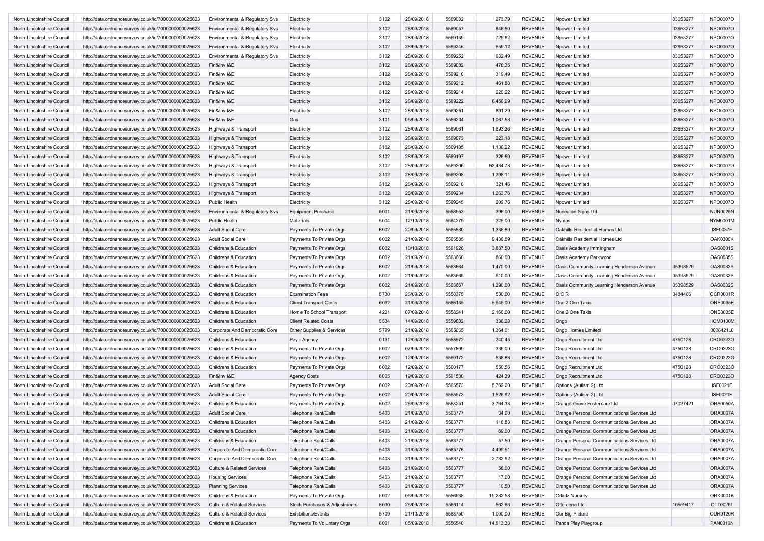| North Lincolnshire Council | http://data.ordnancesurvey.co.uk/id/7000000000025623 | Environmental & Regulatory Svs        | Electricity                   | 3102 | 28/09/2018 | 5569032 | 273.79    | <b>REVENUE</b> | Npower Limited                              | 03653277 | <b>NPO0007O</b> |
|----------------------------|------------------------------------------------------|---------------------------------------|-------------------------------|------|------------|---------|-----------|----------------|---------------------------------------------|----------|-----------------|
| North Lincolnshire Council | http://data.ordnancesurvey.co.uk/id/7000000000025623 | Environmental & Regulatory Svs        | Electricity                   | 3102 | 28/09/2018 | 5569057 | 846.50    | <b>REVENUE</b> | Npower Limited                              | 03653277 | NPO0007O        |
| North Lincolnshire Council | http://data.ordnancesurvey.co.uk/id/7000000000025623 | Environmental & Regulatory Svs        | Electricity                   | 3102 | 28/09/2018 | 5569139 | 729.62    | <b>REVENUE</b> | Npower Limited                              | 03653277 | NPO0007O        |
| North Lincolnshire Council | http://data.ordnancesurvey.co.uk/id/7000000000025623 | Environmental & Regulatory Svs        | Electricity                   | 3102 | 28/09/2018 | 5569246 | 659.12    | <b>REVENUE</b> | Npower Limited                              | 03653277 | NPO0007O        |
| North Lincolnshire Council | http://data.ordnancesurvey.co.uk/id/7000000000025623 | Environmental & Regulatory Svs        | Electricity                   | 3102 | 28/09/2018 | 5569252 | 932.49    | <b>REVENUE</b> | Npower Limited                              | 03653277 | NPO0007O        |
| North Lincolnshire Council | http://data.ordnancesurvey.co.uk/id/7000000000025623 | Fin&Inv I&E                           | Electricity                   | 3102 | 28/09/2018 | 5569082 | 478.35    | <b>REVENUE</b> | Npower Limited                              | 03653277 | NPO0007O        |
| North Lincolnshire Council | http://data.ordnancesurvey.co.uk/id/7000000000025623 | Fin&Inv I&E                           | Electricity                   | 3102 | 28/09/2018 | 5569210 | 319.49    | <b>REVENUE</b> | Npower Limited                              | 03653277 | <b>NPO0007O</b> |
| North Lincolnshire Council | http://data.ordnancesurvey.co.uk/id/7000000000025623 | Fin&Inv I&E                           | Electricity                   | 3102 | 28/09/2018 | 5569212 | 461.88    | <b>REVENUE</b> | Npower Limited                              | 03653277 | NPO0007O        |
| North Lincolnshire Council | http://data.ordnancesurvey.co.uk/id/7000000000025623 | Fin&Inv I&E                           | Electricity                   | 3102 | 28/09/2018 | 5569214 | 220.22    | <b>REVENUE</b> | Npower Limited                              | 03653277 | NPO0007O        |
| North Lincolnshire Council | http://data.ordnancesurvey.co.uk/id/7000000000025623 | Fin&Inv I&E                           | Electricity                   | 3102 | 28/09/2018 | 5569222 | 6,456.99  | <b>REVENUE</b> | Npower Limited                              | 03653277 | NPO0007O        |
| North Lincolnshire Council | http://data.ordnancesurvey.co.uk/id/7000000000025623 | Fin&Inv I&E                           | Electricity                   | 3102 | 28/09/2018 | 5569251 | 891.29    | <b>REVENUE</b> | Npower Limited                              | 03653277 | NPO0007O        |
| North Lincolnshire Council | http://data.ordnancesurvey.co.uk/id/7000000000025623 | Fin&Inv I&E                           | Gas                           | 3101 | 05/09/2018 | 5556234 | 1,067.58  | <b>REVENUE</b> | Npower Limited                              | 03653277 | NPO0007O        |
| North Lincolnshire Council | http://data.ordnancesurvey.co.uk/id/7000000000025623 | Highways & Transport                  | Electricity                   | 3102 | 28/09/2018 | 5569061 | 1,693.26  | <b>REVENUE</b> | Npower Limited                              | 03653277 | NPO0007O        |
| North Lincolnshire Council | http://data.ordnancesurvey.co.uk/id/7000000000025623 | Highways & Transport                  | Electricity                   | 3102 | 28/09/2018 | 5569073 | 223.18    | <b>REVENUE</b> | Npower Limited                              | 03653277 | <b>NPO0007O</b> |
| North Lincolnshire Council |                                                      |                                       |                               | 3102 | 28/09/2018 | 5569185 | 1,136.22  | <b>REVENUE</b> | Npower Limited                              | 03653277 | NPO0007O        |
|                            | http://data.ordnancesurvey.co.uk/id/7000000000025623 | Highways & Transport                  | Electricity                   | 3102 | 28/09/2018 | 5569197 |           | <b>REVENUE</b> |                                             |          | NPO0007O        |
| North Lincolnshire Council | http://data.ordnancesurvey.co.uk/id/7000000000025623 | Highways & Transport                  | Electricity                   |      |            |         | 326.60    |                | Npower Limited                              | 03653277 |                 |
| North Lincolnshire Council | http://data.ordnancesurvey.co.uk/id/7000000000025623 | Highways & Transport                  | Electricity                   | 3102 | 28/09/2018 | 5569206 | 52,484.78 | <b>REVENUE</b> | Npower Limited                              | 03653277 | NPO0007O        |
| North Lincolnshire Council | http://data.ordnancesurvey.co.uk/id/7000000000025623 | Highways & Transport                  | Electricity                   | 3102 | 28/09/2018 | 5569208 | 1,398.11  | <b>REVENUE</b> | Npower Limited                              | 03653277 | <b>NPO0007O</b> |
| North Lincolnshire Council | http://data.ordnancesurvey.co.uk/id/7000000000025623 | Highways & Transport                  | Electricity                   | 3102 | 28/09/2018 | 5569218 | 321.46    | <b>REVENUE</b> | Npower Limited                              | 03653277 | NPO0007O        |
| North Lincolnshire Council | http://data.ordnancesurvey.co.uk/id/7000000000025623 | Highways & Transport                  | Electricity                   | 3102 | 28/09/2018 | 5569234 | 1,263.76  | <b>REVENUE</b> | Npower Limited                              | 03653277 | NPO0007O        |
| North Lincolnshire Council | http://data.ordnancesurvey.co.uk/id/7000000000025623 | Public Health                         | Electricity                   | 3102 | 28/09/2018 | 5569245 | 209.76    | <b>REVENUE</b> | Npower Limited                              | 03653277 | NPO0007O        |
| North Lincolnshire Council | http://data.ordnancesurvey.co.uk/id/7000000000025623 | Environmental & Regulatory Svs        | <b>Equipment Purchase</b>     | 5001 | 21/09/2018 | 5558553 | 396.00    | <b>REVENUE</b> | Nuneaton Signs Ltd                          |          | <b>NUN0025N</b> |
| North Lincolnshire Council | http://data.ordnancesurvey.co.uk/id/7000000000025623 | Public Health                         | <b>Materials</b>              | 5004 | 12/10/2018 | 5564279 | 325.00    | <b>REVENUE</b> | Nymas                                       |          | NYM0001M        |
| North Lincolnshire Council | http://data.ordnancesurvey.co.uk/id/7000000000025623 | <b>Adult Social Care</b>              | Payments To Private Orgs      | 6002 | 20/09/2018 | 5565580 | 1,336.80  | <b>REVENUE</b> | Oakhills Residential Homes Ltd              |          | <b>ISF0037F</b> |
| North Lincolnshire Council | http://data.ordnancesurvey.co.uk/id/7000000000025623 | Adult Social Care                     | Payments To Private Orgs      | 6002 | 21/09/2018 | 5565585 | 9,436.89  | <b>REVENUE</b> | Oakhills Residential Homes Ltd              |          | <b>OAK0300K</b> |
| North Lincolnshire Council | http://data.ordnancesurvey.co.uk/id/7000000000025623 | Childrens & Education                 | Payments To Private Orgs      | 6002 | 10/10/2018 | 5561928 | 3,837.50  | <b>REVENUE</b> | Oasis Academy Immingham                     |          | OAS0001S        |
| North Lincolnshire Council | http://data.ordnancesurvey.co.uk/id/7000000000025623 | Childrens & Education                 | Payments To Private Orgs      | 6002 | 21/09/2018 | 5563668 | 860.00    | <b>REVENUE</b> | Oasis Academy Parkwood                      |          | OAS0085S        |
| North Lincolnshire Council | http://data.ordnancesurvey.co.uk/id/7000000000025623 | Childrens & Education                 | Payments To Private Orgs      | 6002 | 21/09/2018 | 5563664 | 1,470.00  | <b>REVENUE</b> | Oasis Community Learning Henderson Avenue   | 05398529 | OAS0032S        |
| North Lincolnshire Council | http://data.ordnancesurvey.co.uk/id/7000000000025623 | Childrens & Education                 | Payments To Private Orgs      | 6002 | 21/09/2018 | 5563665 | 610.00    | <b>REVENUE</b> | Oasis Community Learning Henderson Avenue   | 05398529 | OAS0032S        |
| North Lincolnshire Council | http://data.ordnancesurvey.co.uk/id/7000000000025623 | Childrens & Education                 | Payments To Private Orgs      | 6002 | 21/09/2018 | 5563667 | 1,290.00  | <b>REVENUE</b> | Oasis Community Learning Henderson Avenue   | 05398529 | OAS0032S        |
| North Lincolnshire Council | http://data.ordnancesurvey.co.uk/id/7000000000025623 | Childrens & Education                 | <b>Examination Fees</b>       | 5730 | 26/09/2018 | 5558375 | 530.00    | <b>REVENUE</b> | OCR                                         | 3484466  | OCR0001R        |
| North Lincolnshire Council | http://data.ordnancesurvey.co.uk/id/7000000000025623 | Childrens & Education                 | <b>Client Transport Costs</b> | 6092 | 21/09/2018 | 5566135 | 5,545.00  | <b>REVENUE</b> | One 2 One Taxis                             |          | <b>ONE0035E</b> |
| North Lincolnshire Council | http://data.ordnancesurvey.co.uk/id/7000000000025623 | Childrens & Education                 | Home To School Transport      | 4201 | 07/09/2018 | 5558241 | 2,160.00  | <b>REVENUE</b> | One 2 One Taxis                             |          | <b>ONE0035E</b> |
| North Lincolnshire Council | http://data.ordnancesurvey.co.uk/id/7000000000025623 | Childrens & Education                 | <b>Client Related Costs</b>   | 5534 | 14/09/2018 | 5559882 | 336.28    | <b>REVENUE</b> | Ongo                                        |          | <b>HOM0100M</b> |
| North Lincolnshire Council | http://data.ordnancesurvey.co.uk/id/7000000000025623 | Corporate And Democratic Core         | Other Supplies & Services     | 5799 | 21/09/2018 | 5565665 | 1,364.01  | <b>REVENUE</b> | Ongo Homes Limited                          |          | 0008421L0       |
| North Lincolnshire Council | http://data.ordnancesurvey.co.uk/id/7000000000025623 | <b>Childrens &amp; Education</b>      |                               | 0131 | 12/09/2018 | 5558572 | 240.45    | <b>REVENUE</b> | Ongo Recruitment Ltd                        | 4750128  | CRO0323O        |
|                            |                                                      |                                       | Pay - Agency                  |      |            |         |           |                |                                             |          | CR003230        |
| North Lincolnshire Council | http://data.ordnancesurvey.co.uk/id/7000000000025623 | Childrens & Education                 | Payments To Private Orgs      | 6002 | 07/09/2018 | 5557809 | 336.00    | <b>REVENUE</b> | Ongo Recruitment Ltd                        | 4750128  |                 |
| North Lincolnshire Council | http://data.ordnancesurvey.co.uk/id/7000000000025623 | Childrens & Education                 | Payments To Private Orgs      | 6002 | 12/09/2018 | 5560172 | 538.86    | <b>REVENUE</b> | Ongo Recruitment Ltd                        | 4750128  | CRO0323O        |
| North Lincolnshire Council | http://data.ordnancesurvey.co.uk/id/7000000000025623 | Childrens & Education                 | Payments To Private Orgs      | 6002 | 12/09/2018 | 5560177 | 550.56    | <b>REVENUE</b> | Ongo Recruitment Ltd                        | 4750128  | CR003230        |
| North Lincolnshire Council | http://data.ordnancesurvey.co.uk/id/7000000000025623 | Fin&Inv I&E                           | <b>Agency Costs</b>           | 6005 | 19/09/2018 | 5561500 | 424.39    | <b>REVENUE</b> | Ongo Recruitment Ltd                        | 4750128  | CRO0323O        |
| North Lincolnshire Council | http://data.ordnancesurvey.co.uk/id/7000000000025623 | Adult Social Care                     | Payments To Private Orgs      | 6002 | 20/09/2018 | 5565573 | 5,762.20  | <b>REVENUE</b> | Options (Autism 2) Ltd                      |          | <b>ISF0021F</b> |
| North Lincolnshire Council | http://data.ordnancesurvey.co.uk/id/7000000000025623 | <b>Adult Social Care</b>              | Payments To Private Orgs      | 6002 | 20/09/2018 | 5565573 | 1,526.92  | <b>REVENUE</b> | Options (Autism 2) Ltd                      |          | <b>ISF0021F</b> |
| North Lincolnshire Council | http://data.ordnancesurvey.co.uk/id/7000000000025623 | Childrens & Education                 | Payments To Private Orgs      | 6002 | 26/09/2018 | 5558251 | 3,764.33  | <b>REVENUE</b> | Orange Grove Fostercare Ltd                 | 07027421 | <b>ORA0050A</b> |
| North Lincolnshire Council | http://data.ordnancesurvey.co.uk/id/7000000000025623 | Adult Social Care                     | <b>Telephone Rent/Calls</b>   | 5403 | 21/09/2018 | 5563777 | 34.00     | <b>REVENUE</b> | Orange Personal Communications Services Ltd |          | <b>ORA0007A</b> |
| North Lincolnshire Council | http://data.ordnancesurvey.co.uk/id/7000000000025623 | Childrens & Education                 | Telephone Rent/Calls          | 5403 | 21/09/2018 | 5563777 | 118.83    | REVENUE        | Orange Personal Communications Services Ltd |          | ORA0007A        |
| North Lincolnshire Council | http://data.ordnancesurvey.co.uk/id/7000000000025623 | Childrens & Education                 | <b>Telephone Rent/Calls</b>   | 5403 | 21/09/2018 | 5563777 | 69.00     | <b>REVENUE</b> | Orange Personal Communications Services Ltd |          | ORA0007A        |
| North Lincolnshire Council | http://data.ordnancesurvey.co.uk/id/7000000000025623 | Childrens & Education                 | Telephone Rent/Calls          | 5403 | 21/09/2018 | 5563777 | 57.50     | <b>REVENUE</b> | Orange Personal Communications Services Ltd |          | ORA0007A        |
| North Lincolnshire Council | http://data.ordnancesurvey.co.uk/id/7000000000025623 | Corporate And Democratic Core         | <b>Telephone Rent/Calls</b>   | 5403 | 21/09/2018 | 5563776 | 4,499.51  | <b>REVENUE</b> | Orange Personal Communications Services Ltd |          | <b>ORA0007A</b> |
| North Lincolnshire Council | http://data.ordnancesurvey.co.uk/id/7000000000025623 | Corporate And Democratic Core         | Telephone Rent/Calls          | 5403 | 21/09/2018 | 5563777 | 2,732.52  | <b>REVENUE</b> | Orange Personal Communications Services Ltd |          | <b>ORA0007A</b> |
| North Lincolnshire Council | http://data.ordnancesurvey.co.uk/id/7000000000025623 | <b>Culture &amp; Related Services</b> | Telephone Rent/Calls          | 5403 | 21/09/2018 | 5563777 | 58.00     | <b>REVENUE</b> | Orange Personal Communications Services Ltd |          | ORA0007A        |
| North Lincolnshire Council | http://data.ordnancesurvey.co.uk/id/7000000000025623 | <b>Housing Services</b>               | Telephone Rent/Calls          | 5403 | 21/09/2018 | 5563777 | 17.00     | <b>REVENUE</b> | Orange Personal Communications Services Ltd |          | <b>ORA0007A</b> |
| North Lincolnshire Council | http://data.ordnancesurvey.co.uk/id/7000000000025623 | <b>Planning Services</b>              | <b>Telephone Rent/Calls</b>   | 5403 | 21/09/2018 | 5563777 | 10.50     | <b>REVENUE</b> | Orange Personal Communications Services Ltd |          | <b>ORA0007A</b> |
| North Lincolnshire Council | http://data.ordnancesurvey.co.uk/id/7000000000025623 | Childrens & Education                 | Payments To Private Orgs      | 6002 | 05/09/2018 | 5556538 | 19,282.58 | <b>REVENUE</b> | <b>Orkidz Nursery</b>                       |          | ORK0001K        |
| North Lincolnshire Council | http://data.ordnancesurvey.co.uk/id/7000000000025623 | <b>Culture &amp; Related Services</b> | Stock Purchases & Adjustments | 5030 | 26/09/2018 | 5566114 | 562.66    | <b>REVENUE</b> | Otterdene Ltd                               | 10559417 | OTT0026T        |
| North Lincolnshire Council | http://data.ordnancesurvey.co.uk/id/7000000000025623 | Culture & Related Services            | Exhibitions/Events            | 5709 | 21/10/2018 | 5568750 | 1,000.00  | <b>REVENUE</b> | Our Big Picture                             |          | <b>OUR0120R</b> |
| North Lincolnshire Council | http://data.ordnancesurvey.co.uk/id/7000000000025623 | Childrens & Education                 | Payments To Voluntary Orgs    | 6001 | 05/09/2018 | 5556540 | 14,513.33 | REVENUE        | Panda Play Playgroup                        |          | <b>PAN0016N</b> |
|                            |                                                      |                                       |                               |      |            |         |           |                |                                             |          |                 |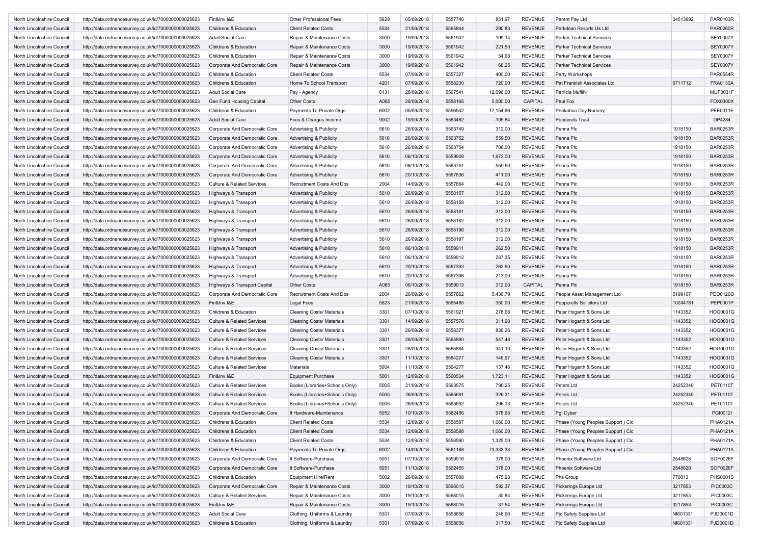| North Lincolnshire Council | http://data.ordnancesurvey.co.uk/id/7000000000025623 | Fin&Inv I&E                           | Other Professional Fees            | 5829 | 05/09/2018 | 5557740 | 851.97    | <b>REVENUE</b> | Parent Pay Ltd                    | 04513692 | PAR0103R        |
|----------------------------|------------------------------------------------------|---------------------------------------|------------------------------------|------|------------|---------|-----------|----------------|-----------------------------------|----------|-----------------|
| North Lincolnshire Council | http://data.ordnancesurvey.co.uk/id/7000000000025623 | Childrens & Education                 | <b>Client Related Costs</b>        | 5534 | 21/09/2018 | 5565844 | 290.83    | <b>REVENUE</b> | Parkdean Resorts Uk Ltd           |          | <b>PAR0260R</b> |
| North Lincolnshire Council | http://data.ordnancesurvey.co.uk/id/7000000000025623 | <b>Adult Social Care</b>              | Repair & Maintenance Costs         | 3000 | 19/09/2018 | 5561942 | 199.14    | <b>REVENUE</b> | <b>Parker Technical Services</b>  |          | <b>SEY0007Y</b> |
| North Lincolnshire Council | http://data.ordnancesurvey.co.uk/id/7000000000025623 | Childrens & Education                 | Repair & Maintenance Costs         | 3000 | 19/09/2018 | 5561942 | 221.53    | <b>REVENUE</b> | <b>Parker Technical Services</b>  |          | <b>SEY0007Y</b> |
| North Lincolnshire Council | http://data.ordnancesurvey.co.uk/id/7000000000025623 | Childrens & Education                 | Repair & Maintenance Costs         | 3000 | 19/09/2018 | 5561942 | 54.68     | <b>REVENUE</b> | <b>Parker Technical Services</b>  |          | <b>SEY0007Y</b> |
| North Lincolnshire Council | http://data.ordnancesurvey.co.uk/id/7000000000025623 | Corporate And Democratic Core         | Repair & Maintenance Costs         | 3000 | 19/09/2018 | 5561942 | 68.25     | <b>REVENUE</b> | <b>Parker Technical Services</b>  |          | <b>SEY0007Y</b> |
| North Lincolnshire Council | http://data.ordnancesurvey.co.uk/id/7000000000025623 | Childrens & Education                 | <b>Client Related Costs</b>        | 5534 | 07/09/2018 | 5557327 | 400.00    | <b>REVENUE</b> | Party Workshops                   |          | PAR0554R        |
| North Lincolnshire Council | http://data.ordnancesurvey.co.uk/id/7000000000025623 | Childrens & Education                 | Home To School Transport           | 4201 | 07/09/2018 | 5558230 | 720.00    | <b>REVENUE</b> | Pat Frankish Associates Ltd       | 6711712  | <b>FRA0130A</b> |
| North Lincolnshire Council | http://data.ordnancesurvey.co.uk/id/7000000000025623 | <b>Adult Social Care</b>              | Pay - Agency                       | 0131 | 28/09/2018 | 5567541 | 12,096.00 | <b>REVENUE</b> | Patricia Muflihi                  |          | <b>MUF0031F</b> |
| North Lincolnshire Council | http://data.ordnancesurvey.co.uk/id/7000000000025623 | Gen Fund Housing Capital              | <b>Other Costs</b>                 | A085 | 28/09/2018 | 5558165 | 5,000.00  | CAPITAL        | Paul Fox                          |          | FOX0300X        |
| North Lincolnshire Council | http://data.ordnancesurvey.co.uk/id/7000000000025623 | Childrens & Education                 | Payments To Private Orgs           | 6002 | 05/09/2018 | 5556542 | 17,154.66 | <b>REVENUE</b> | Peekaboo Day Nursery              |          | PEE0011E        |
| North Lincolnshire Council | http://data.ordnancesurvey.co.uk/id/7000000000025623 | Adult Social Care                     | Fees & Charges Income              | 9002 | 19/09/2018 | 5563462 | $-105.84$ | <b>REVENUE</b> | <b>Penderels Trust</b>            |          | DP4284          |
| North Lincolnshire Council | http://data.ordnancesurvey.co.uk/id/7000000000025623 | Corporate And Democratic Core         | Advertising & Publicity            | 5610 | 26/09/2018 | 5563749 | 312.00    | <b>REVENUE</b> | Penna Plc                         | 1918150  | <b>BAR0253R</b> |
| North Lincolnshire Council | http://data.ordnancesurvey.co.uk/id/7000000000025623 | Corporate And Democratic Core         | Advertising & Publicity            | 5610 | 26/09/2018 | 5563752 | 559.50    | <b>REVENUE</b> | Penna Plc                         | 1918150  | <b>BAR0253R</b> |
| North Lincolnshire Council | http://data.ordnancesurvey.co.uk/id/7000000000025623 | Corporate And Democratic Core         | Advertising & Publicity            | 5610 | 26/09/2018 | 5563754 | 708.00    | <b>REVENUE</b> | Penna Plc                         | 1918150  | <b>BAR0253R</b> |
| North Lincolnshire Council | http://data.ordnancesurvey.co.uk/id/7000000000025623 | Corporate And Democratic Core         | <b>Advertising &amp; Publicity</b> | 5610 | 06/10/2018 | 5559909 | 1,972.00  | <b>REVENUE</b> | Penna Plc                         | 1918150  | <b>BAR0253R</b> |
| North Lincolnshire Council | http://data.ordnancesurvey.co.uk/id/7000000000025623 | Corporate And Democratic Core         | <b>Advertising &amp; Publicity</b> | 5610 | 06/10/2018 | 5563751 | 559.50    | <b>REVENUE</b> | Penna Plc                         | 1918150  | <b>BAR0253R</b> |
| North Lincolnshire Council | http://data.ordnancesurvey.co.uk/id/7000000000025623 | Corporate And Democratic Core         | <b>Advertising &amp; Publicity</b> | 5610 | 20/10/2018 | 5567836 | 411.00    | <b>REVENUE</b> | Penna Plc                         | 1918150  | <b>BAR0253R</b> |
| North Lincolnshire Council | http://data.ordnancesurvey.co.uk/id/7000000000025623 | <b>Culture &amp; Related Services</b> | Recruitment Costs And Dbs          | 2004 | 14/09/2018 | 5557864 | 442.00    | <b>REVENUE</b> | Penna Plc                         | 1918150  | <b>BAR0253R</b> |
|                            |                                                      |                                       |                                    | 5610 | 26/09/2018 | 5558157 | 312.00    | <b>REVENUE</b> | Penna Plc                         | 1918150  | <b>BAR0253R</b> |
| North Lincolnshire Council | http://data.ordnancesurvey.co.uk/id/7000000000025623 | Highways & Transport                  | <b>Advertising &amp; Publicity</b> |      |            |         |           |                |                                   |          |                 |
| North Lincolnshire Council | http://data.ordnancesurvey.co.uk/id/7000000000025623 | Highways & Transport                  | Advertising & Publicity            | 5610 | 26/09/2018 | 5558158 | 312.00    | <b>REVENUE</b> | Penna Plc                         | 1918150  | <b>BAR0253R</b> |
| North Lincolnshire Council | http://data.ordnancesurvey.co.uk/id/7000000000025623 | Highways & Transport                  | <b>Advertising &amp; Publicity</b> | 5610 | 26/09/2018 | 5558181 | 312.00    | <b>REVENUE</b> | Penna Plc                         | 1918150  | <b>BAR0253R</b> |
| North Lincolnshire Council | http://data.ordnancesurvey.co.uk/id/7000000000025623 | Highways & Transport                  | Advertising & Publicity            | 5610 | 26/09/2018 | 5558182 | 312.00    | <b>REVENUE</b> | Penna Plc                         | 1918150  | <b>BAR0253R</b> |
| North Lincolnshire Council | http://data.ordnancesurvey.co.uk/id/7000000000025623 | Highways & Transport                  | <b>Advertising &amp; Publicity</b> | 5610 | 26/09/2018 | 5558196 | 312.00    | <b>REVENUE</b> | Penna Plc                         | 1918150  | <b>BAR0253R</b> |
| North Lincolnshire Council | http://data.ordnancesurvey.co.uk/id/7000000000025623 | Highways & Transport                  | <b>Advertising &amp; Publicity</b> | 5610 | 26/09/2018 | 5558197 | 312.00    | <b>REVENUE</b> | Penna Plc                         | 1918150  | <b>BAR0253R</b> |
| North Lincolnshire Council | http://data.ordnancesurvey.co.uk/id/7000000000025623 | Highways & Transport                  | <b>Advertising &amp; Publicity</b> | 5610 | 06/10/2018 | 5559911 | 262.50    | <b>REVENUE</b> | Penna Plc                         | 1918150  | <b>BAR0253R</b> |
| North Lincolnshire Council | http://data.ordnancesurvey.co.uk/id/7000000000025623 | Highways & Transport                  | <b>Advertising &amp; Publicity</b> | 5610 | 06/10/2018 | 5559912 | 287.35    | <b>REVENUE</b> | Penna Plc                         | 1918150  | <b>BAR0253R</b> |
| North Lincolnshire Council | http://data.ordnancesurvey.co.uk/id/7000000000025623 | Highways & Transport                  | <b>Advertising &amp; Publicity</b> | 5610 | 20/10/2018 | 5567393 | 262.50    | <b>REVENUE</b> | Penna Plc                         | 1918150  | <b>BAR0253R</b> |
| North Lincolnshire Council | http://data.ordnancesurvey.co.uk/id/7000000000025623 | Highways & Transport                  | Advertising & Publicity            | 5610 | 20/10/2018 | 5567396 | 213.00    | <b>REVENUE</b> | Penna Plc                         | 1918150  | <b>BAR0253R</b> |
| North Lincolnshire Council | http://data.ordnancesurvey.co.uk/id/7000000000025623 | Highways & Transport Capital          | <b>Other Costs</b>                 | A085 | 06/10/2018 | 5559913 | 312.00    | CAPITAL        | Penna Plc                         | 1918150  | <b>BAR0253R</b> |
| North Lincolnshire Council | http://data.ordnancesurvey.co.uk/id/7000000000025623 | Corporate And Democratic Core         | <b>Recruitment Costs And Dbs</b>   | 2004 | 26/09/2018 | 5557862 | 5,436.79  | <b>REVENUE</b> | People Asset Management Ltd       | 5199107  | PEO0120O        |
| North Lincolnshire Council | http://data.ordnancesurvey.co.uk/id/7000000000025623 | Fin&Inv I&E                           | Legal Fees                         | 5823 | 21/09/2018 | 5565485 | 350.00    | <b>REVENUE</b> | Pepperells Solicitors Ltd         | 10244781 | PEP0001P        |
| North Lincolnshire Council | http://data.ordnancesurvey.co.uk/id/7000000000025623 | Childrens & Education                 | <b>Cleaning Costs/ Materials</b>   | 3301 | 07/10/2018 | 5561921 | 278.68    | <b>REVENUE</b> | Peter Hogarth & Sons Ltd          | 1143352  | HOG0001G        |
| North Lincolnshire Council | http://data.ordnancesurvey.co.uk/id/7000000000025623 | <b>Culture &amp; Related Services</b> | <b>Cleaning Costs/ Materials</b>   | 3301 | 14/09/2018 | 5557576 | 311.98    | <b>REVENUE</b> | Peter Hogarth & Sons Ltd          | 1143352  | HOG0001G        |
| North Lincolnshire Council | http://data.ordnancesurvey.co.uk/id/7000000000025623 | <b>Culture &amp; Related Services</b> | <b>Cleaning Costs/ Materials</b>   | 3301 | 26/09/2018 | 5558377 | 839.26    | <b>REVENUE</b> | Peter Hogarth & Sons Ltd          | 1143352  | HOG0001G        |
| North Lincolnshire Council | http://data.ordnancesurvey.co.uk/id/7000000000025623 | <b>Culture &amp; Related Services</b> | <b>Cleaning Costs/ Materials</b>   | 3301 | 26/09/2018 | 5565890 | 547.48    | <b>REVENUE</b> | Peter Hogarth & Sons Ltd          | 1143352  | HOG0001G        |
| North Lincolnshire Council | http://data.ordnancesurvey.co.uk/id/7000000000025623 | <b>Culture &amp; Related Services</b> | <b>Cleaning Costs/ Materials</b>   | 3301 | 28/09/2018 | 5565884 | 341.10    | <b>REVENUE</b> | Peter Hogarth & Sons Ltd          | 1143352  | HOG0001G        |
| North Lincolnshire Council | http://data.ordnancesurvey.co.uk/id/7000000000025623 | <b>Culture &amp; Related Services</b> | <b>Cleaning Costs/ Materials</b>   | 3301 | 11/10/2018 | 5564277 | 146.97    | <b>REVENUE</b> | Peter Hogarth & Sons Ltd          | 1143352  | HOG0001G        |
| North Lincolnshire Council | http://data.ordnancesurvey.co.uk/id/7000000000025623 | <b>Culture &amp; Related Services</b> | Materials                          | 5004 | 11/10/2018 | 5564277 | 137.46    | <b>REVENUE</b> | Peter Hogarth & Sons Ltd          | 1143352  | HOG0001G        |
| North Lincolnshire Council | http://data.ordnancesurvey.co.uk/id/7000000000025623 | Fin&Inv I&E                           | <b>Equipment Purchase</b>          | 5001 | 12/09/2018 | 5560534 | 1,723.11  | <b>REVENUE</b> | Peter Hogarth & Sons Ltd          | 1143352  | HOG0001G        |
| North Lincolnshire Council | http://data.ordnancesurvey.co.uk/id/7000000000025623 | <b>Culture &amp; Related Services</b> | Books (Libraries+Schools Only)     | 5005 | 21/09/2018 | 5563575 | 790.25    | <b>REVENUE</b> | Peters Ltd                        | 24252340 | PET0110T        |
| North Lincolnshire Council | http://data.ordnancesurvey.co.uk/id/7000000000025623 | <b>Culture &amp; Related Services</b> | Books (Libraries+Schools Only)     | 5005 | 26/09/2018 | 5565691 | 326.31    | <b>REVENUE</b> | Peters Ltd                        | 24252340 | <b>PET0110T</b> |
| North Lincolnshire Council | http://data.ordnancesurvey.co.uk/id/7000000000025623 | Culture & Related Services            | Books (Libraries+Schools Only)     | 5005 | 26/09/2018 | 5565692 | 296.13    | <b>REVENUE</b> | Peters Ltd                        | 24252340 | <b>PET0110T</b> |
|                            |                                                      | Corporate And Democratic Core         |                                    | 5052 | 10/10/2018 | 5562456 | 978.95    | <b>REVENUE</b> |                                   |          | PGI0012I        |
| North Lincolnshire Council | http://data.ordnancesurvey.co.uk/id/7000000000025623 |                                       | It Hardware-Maintenance            |      |            |         |           |                | Pgi Cyber                         |          |                 |
| North Lincolnshire Council | http://data.ordnancesurvey.co.uk/id/7000000000025623 | Childrens & Education                 | <b>Client Related Costs</b>        | 5534 | 12/09/2018 | 5558587 | 1,060.00  | REVENUE        | Phase (Young Peoples Support) Cic |          | PHA0121A        |
| North Lincolnshire Council | http://data.ordnancesurvey.co.uk/id/7000000000025623 | Childrens & Education                 | <b>Client Related Costs</b>        | 5534 | 12/09/2018 | 5558588 | 1,060.00  | <b>REVENUE</b> | Phase (Young Peoples Support) Cic |          | PHA0121A        |
| North Lincolnshire Council | http://data.ordnancesurvey.co.uk/id/7000000000025623 | Childrens & Education                 | <b>Client Related Costs</b>        | 5534 | 12/09/2018 | 5558590 | 1,325.00  | <b>REVENUE</b> | Phase (Young Peoples Support) Cic |          | PHA0121A        |
| North Lincolnshire Council | http://data.ordnancesurvey.co.uk/id/7000000000025623 | Childrens & Education                 | Payments To Private Orgs           | 6002 | 14/09/2018 | 5561168 | 73,333.33 | <b>REVENUE</b> | Phase (Young Peoples Support) Cic |          | PHA0121A        |
| North Lincolnshire Council | http://data.ordnancesurvey.co.uk/id/7000000000025623 | Corporate And Democratic Core         | It Software-Purchase               | 5051 | 07/10/2018 | 5559916 | 378.00    | <b>REVENUE</b> | Phoenix Software Ltd              | 2548628  | SOF0026F        |
| North Lincolnshire Council | http://data.ordnancesurvey.co.uk/id/7000000000025623 | Corporate And Democratic Core         | It Software-Purchase               | 5051 | 11/10/2018 | 5562455 | 378.00    | <b>REVENUE</b> | Phoenix Software Ltd              | 2548628  | SOF0026F        |
| North Lincolnshire Council | http://data.ordnancesurvey.co.uk/id/7000000000025623 | Childrens & Education                 | <b>Equipment Hire/Rent</b>         | 5002 | 26/09/2018 | 5557808 | 475.93    | <b>REVENUE</b> | Phs Group                         | 770813   | PHS0001S        |
| North Lincolnshire Council | http://data.ordnancesurvey.co.uk/id/7000000000025623 | Corporate And Democratic Core         | Repair & Maintenance Costs         | 3000 | 19/10/2018 | 5568015 | 592.37    | <b>REVENUE</b> | Pickerings Europe Ltd             | 3217853  | <b>PIC0003C</b> |
| North Lincolnshire Council | http://data.ordnancesurvey.co.uk/id/7000000000025623 | <b>Culture &amp; Related Services</b> | Repair & Maintenance Costs         | 3000 | 19/10/2018 | 5568015 | 30.84     | <b>REVENUE</b> | Pickerings Europe Ltd             | 3217853  | <b>PIC0003C</b> |
| North Lincolnshire Council | http://data.ordnancesurvey.co.uk/id/7000000000025623 | Fin&Inv I&E                           | Repair & Maintenance Costs         | 3000 | 19/10/2018 | 5568015 | 37.54     | <b>REVENUE</b> | Pickerings Europe Ltd             | 3217853  | <b>PIC0003C</b> |
| North Lincolnshire Council | http://data.ordnancesurvey.co.uk/id/7000000000025623 | <b>Adult Social Care</b>              | Clothing, Uniforms & Laundry       | 5301 | 07/09/2018 | 5558656 | 246.96    | <b>REVENUE</b> | Pjd Safety Supplies Ltd           | NI601331 | PJD0001D        |
| North Lincolnshire Council | http://data.ordnancesurvey.co.uk/id/7000000000025623 | Childrens & Education                 | Clothing, Uniforms & Laundry       | 5301 | 07/09/2018 | 5558656 | 317.50    | <b>REVENUE</b> | Pjd Safety Supplies Ltd           | NI601331 | PJD0001D        |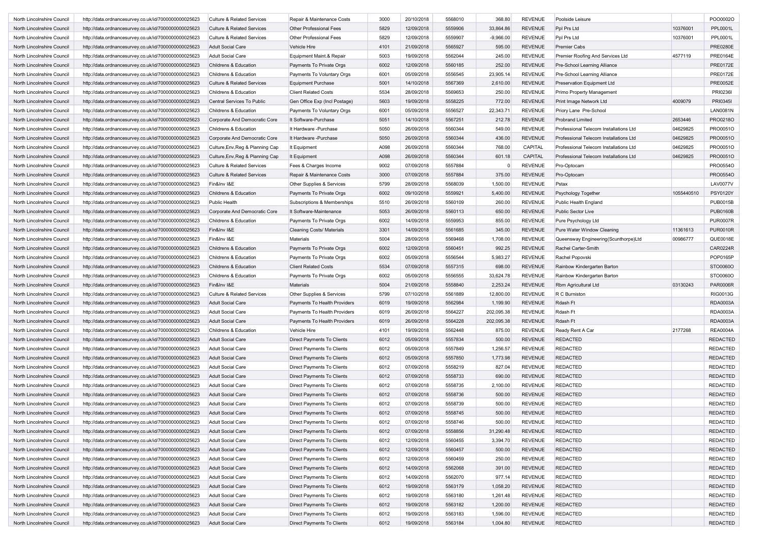| North Lincolnshire Council | http://data.ordnancesurvey.co.uk/id/7000000000025623 | <b>Culture &amp; Related Services</b> | Repair & Maintenance Costs       | 3000 | 20/10/2018 | 5568010 | 368.80      | <b>REVENUE</b> | Poolside Leisure                       |            | PO000020        |
|----------------------------|------------------------------------------------------|---------------------------------------|----------------------------------|------|------------|---------|-------------|----------------|----------------------------------------|------------|-----------------|
| North Lincolnshire Council | http://data.ordnancesurvey.co.uk/id/7000000000025623 | <b>Culture &amp; Related Services</b> | Other Professional Fees          | 5829 | 12/09/2018 | 5559906 | 33,864.86   | <b>REVENUE</b> | Ppl Prs Ltd                            | 10376001   | PPL0001L        |
| North Lincolnshire Council | http://data.ordnancesurvey.co.uk/id/7000000000025623 | Culture & Related Services            | Other Professional Fees          | 5829 | 12/09/2018 | 5559907 | $-9,966.00$ | <b>REVENUE</b> | Ppl Prs Ltd                            | 10376001   | PPL0001L        |
| North Lincolnshire Council | http://data.ordnancesurvey.co.uk/id/7000000000025623 | <b>Adult Social Care</b>              | Vehicle Hire                     | 4101 | 21/09/2018 | 5565927 | 595.00      | <b>REVENUE</b> | <b>Premier Cabs</b>                    |            | <b>PRE0280E</b> |
| North Lincolnshire Council | http://data.ordnancesurvey.co.uk/id/7000000000025623 | <b>Adult Social Care</b>              | Equipment Maint.& Repair         | 5003 | 19/09/2018 | 5562044 | 245.00      | <b>REVENUE</b> | Premier Roofing And Services Ltd       | 4577119    | PRE0164E        |
| North Lincolnshire Council | http://data.ordnancesurvey.co.uk/id/7000000000025623 | Childrens & Education                 | Payments To Private Orgs         | 6002 | 12/09/2018 | 5560185 | 252.00      | <b>REVENUE</b> | Pre-School Learning Alliance           |            | PRE0172E        |
| North Lincolnshire Council | http://data.ordnancesurvey.co.uk/id/7000000000025623 | Childrens & Education                 | Payments To Voluntary Orgs       | 6001 | 05/09/2018 | 5556545 | 23,905.14   | <b>REVENUE</b> | Pre-School Learning Alliance           |            | PRE0172E        |
| North Lincolnshire Council | http://data.ordnancesurvey.co.uk/id/7000000000025623 | <b>Culture &amp; Related Services</b> | <b>Equipment Purchase</b>        | 5001 | 14/10/2018 | 5567369 | 2,610.00    | <b>REVENUE</b> | Preservation Equipment Ltd             |            | <b>PRE0052E</b> |
| North Lincolnshire Council | http://data.ordnancesurvey.co.uk/id/7000000000025623 | Childrens & Education                 | <b>Client Related Costs</b>      | 5534 | 28/09/2018 | 5569653 | 250.00      | <b>REVENUE</b> | Primo Property Management              |            | PRI0236I        |
| North Lincolnshire Council | http://data.ordnancesurvey.co.uk/id/7000000000025623 | Central Services To Public            | Gen Office Exp (Incl Postage)    | 5603 | 19/09/2018 | 5558225 | 772.00      | <b>REVENUE</b> | Print Image Network Ltd                | 4009079    | PRI03451        |
| North Lincolnshire Council | http://data.ordnancesurvey.co.uk/id/7000000000025623 | Childrens & Education                 | Payments To Voluntary Orgs       | 6001 | 05/09/2018 | 5556527 | 22,343.71   | <b>REVENUE</b> | Priory Lane Pre-School                 |            | <b>LAN0081N</b> |
| North Lincolnshire Council | http://data.ordnancesurvey.co.uk/id/7000000000025623 | Corporate And Democratic Core         | It Software-Purchase             | 5051 | 14/10/2018 | 5567251 | 212.78      | <b>REVENUE</b> | <b>Probrand Limited</b>                | 2653446    | PRO0218O        |
| North Lincolnshire Council | http://data.ordnancesurvey.co.uk/id/7000000000025623 | Childrens & Education                 | It Hardware - Purchase           | 5050 | 26/09/2018 | 5560344 | 549.00      | <b>REVENUE</b> | Professional Telecom Installations Ltd | 04629825   | PRO0051O        |
| North Lincolnshire Council | http://data.ordnancesurvey.co.uk/id/7000000000025623 | Corporate And Democratic Core         | It Hardware - Purchase           | 5050 | 26/09/2018 | 5560344 | 436.00      | <b>REVENUE</b> | Professional Telecom Installations Ltd | 04629825   | PRO0051O        |
|                            |                                                      |                                       |                                  |      |            |         |             |                |                                        |            |                 |
| North Lincolnshire Council | http://data.ordnancesurvey.co.uk/id/7000000000025623 | Culture, Env, Reg & Planning Cap      | It Equipment                     | A098 | 26/09/2018 | 5560344 | 768.00      | CAPITAL        | Professional Telecom Installations Ltd | 04629825   | PRO0051O        |
| North Lincolnshire Council | http://data.ordnancesurvey.co.uk/id/7000000000025623 | Culture, Env, Reg & Planning Cap      | It Equipment                     | A098 | 26/09/2018 | 5560344 | 601.18      | CAPITAL        | Professional Telecom Installations Ltd | 04629825   | PRO0051O        |
| North Lincolnshire Council | http://data.ordnancesurvey.co.uk/id/7000000000025623 | Culture & Related Services            | Fees & Charges Income            | 9002 | 07/09/2018 | 5557884 | $\mathbf 0$ | <b>REVENUE</b> | Pro-Optocam                            |            | PRO0554O        |
| North Lincolnshire Council | http://data.ordnancesurvey.co.uk/id/7000000000025623 | <b>Culture &amp; Related Services</b> | Repair & Maintenance Costs       | 3000 | 07/09/2018 | 5557884 | 375.00      | <b>REVENUE</b> | Pro-Optocam                            |            | PRO0554O        |
| North Lincolnshire Council | http://data.ordnancesurvey.co.uk/id/7000000000025623 | Fin&Inv I&E                           | Other Supplies & Services        | 5799 | 28/09/2018 | 5568039 | 1,500.00    | <b>REVENUE</b> | Pstax                                  |            | <b>LAV0077V</b> |
| North Lincolnshire Council | http://data.ordnancesurvey.co.uk/id/7000000000025623 | Childrens & Education                 | Payments To Private Orgs         | 6002 | 09/10/2018 | 5559921 | 5,400.00    | <b>REVENUE</b> | Psychology Together                    | 1055440510 | <b>PSY0120Y</b> |
| North Lincolnshire Council | http://data.ordnancesurvey.co.uk/id/7000000000025623 | Public Health                         | Subscriptions & Memberships      | 5510 | 26/09/2018 | 5560109 | 260.00      | <b>REVENUE</b> | Public Health England                  |            | PUB0015B        |
| North Lincolnshire Council | http://data.ordnancesurvey.co.uk/id/7000000000025623 | Corporate And Democratic Core         | It Software-Maintenance          | 5053 | 26/09/2018 | 5560113 | 650.00      | <b>REVENUE</b> | Public Sector Live                     |            | <b>PUB0160B</b> |
| North Lincolnshire Council | http://data.ordnancesurvey.co.uk/id/7000000000025623 | Childrens & Education                 | Payments To Private Orgs         | 6002 | 14/09/2018 | 5559953 | 855.00      | <b>REVENUE</b> | Pure Psychology Ltd                    |            | <b>PUR0007R</b> |
| North Lincolnshire Council | http://data.ordnancesurvey.co.uk/id/7000000000025623 | Fin&Inv I&E                           | <b>Cleaning Costs/ Materials</b> | 3301 | 14/09/2018 | 5561685 | 345.00      | <b>REVENUE</b> | Pure Water Window Cleaning             | 11361613   | <b>PUR0010R</b> |
| North Lincolnshire Council | http://data.ordnancesurvey.co.uk/id/7000000000025623 | Fin&Inv I&E                           | Materials                        | 5004 | 28/09/2018 | 5569468 | 1,708.00    | <b>REVENUE</b> | Queensway Engineering (Scunthorpe)Ltd  | 00986777   | QUE0018E        |
| North Lincolnshire Council | http://data.ordnancesurvey.co.uk/id/7000000000025623 | Childrens & Education                 | Payments To Private Orgs         | 6002 | 12/09/2018 | 5560451 | 992.25      | <b>REVENUE</b> | Rachel Carter-Smith                    |            | CAR0224R        |
| North Lincolnshire Council | http://data.ordnancesurvey.co.uk/id/7000000000025623 | Childrens & Education                 | Payments To Private Orgs         | 6002 | 05/09/2018 | 5556544 | 5,983.27    | <b>REVENUE</b> | Rachel Popovski                        |            | POP0165P        |
| North Lincolnshire Council | http://data.ordnancesurvey.co.uk/id/7000000000025623 | Childrens & Education                 | <b>Client Related Costs</b>      | 5534 | 07/09/2018 | 5557315 | 698.00      | <b>REVENUE</b> | Rainbow Kindergarten Barton            |            | STO0060O        |
| North Lincolnshire Council | http://data.ordnancesurvey.co.uk/id/7000000000025623 | Childrens & Education                 | Payments To Private Orgs         | 6002 | 05/09/2018 | 5556555 | 33,624.78   | <b>REVENUE</b> | Rainbow Kindergarten Barton            |            | STO0060O        |
| North Lincolnshire Council | http://data.ordnancesurvey.co.uk/id/7000000000025623 | Fin&Inv I&E                           | Materials                        | 5004 | 21/09/2018 | 5558840 | 2,253.24    | <b>REVENUE</b> | Rbm Agricultural Ltd                   | 03130243   | <b>PAR0006R</b> |
| North Lincolnshire Council | http://data.ordnancesurvey.co.uk/id/7000000000025623 | <b>Culture &amp; Related Services</b> | Other Supplies & Services        | 5799 | 07/10/2018 | 5561889 | 12,800.00   | <b>REVENUE</b> | R C Burniston                          |            | <b>RIG0013G</b> |
| North Lincolnshire Council | http://data.ordnancesurvey.co.uk/id/7000000000025623 | <b>Adult Social Care</b>              | Payments To Health Providers     | 6019 | 19/09/2018 | 5562984 | 1,199.90    | <b>REVENUE</b> | Rdash Ft                               |            | <b>RDA0003A</b> |
| North Lincolnshire Council | http://data.ordnancesurvey.co.uk/id/7000000000025623 | <b>Adult Social Care</b>              | Payments To Health Providers     | 6019 | 26/09/2018 | 5564227 | 202,095.38  | <b>REVENUE</b> | Rdash Ft                               |            | <b>RDA0003A</b> |
| North Lincolnshire Council | http://data.ordnancesurvey.co.uk/id/7000000000025623 | <b>Adult Social Care</b>              | Payments To Health Providers     | 6019 | 26/09/2018 | 5564228 | 202,095.38  | <b>REVENUE</b> | Rdash Ft                               |            | <b>RDA0003A</b> |
| North Lincolnshire Council | http://data.ordnancesurvey.co.uk/id/7000000000025623 | Childrens & Education                 | Vehicle Hire                     | 4101 | 19/09/2018 | 5562448 | 875.00      | <b>REVENUE</b> | Ready Rent A Car                       | 2177268    | <b>REA0004A</b> |
| North Lincolnshire Council | http://data.ordnancesurvey.co.uk/id/7000000000025623 | <b>Adult Social Care</b>              | Direct Payments To Clients       | 6012 | 05/09/2018 | 5557834 | 500.00      | <b>REVENUE</b> | <b>REDACTED</b>                        |            | <b>REDACTED</b> |
| North Lincolnshire Council | http://data.ordnancesurvey.co.uk/id/7000000000025623 | <b>Adult Social Care</b>              | Direct Payments To Clients       | 6012 | 05/09/2018 | 5557849 | 1,256.57    | <b>REVENUE</b> | <b>REDACTED</b>                        |            | <b>REDACTED</b> |
| North Lincolnshire Council | http://data.ordnancesurvey.co.uk/id/7000000000025623 | <b>Adult Social Care</b>              | Direct Payments To Clients       | 6012 | 05/09/2018 | 5557850 | 1,773.98    | <b>REVENUE</b> | <b>REDACTED</b>                        |            | <b>REDACTED</b> |
| North Lincolnshire Council | http://data.ordnancesurvey.co.uk/id/7000000000025623 | <b>Adult Social Care</b>              | Direct Payments To Clients       | 6012 | 07/09/2018 | 5558219 | 827.04      | <b>REVENUE</b> | <b>REDACTED</b>                        |            | <b>REDACTED</b> |
| North Lincolnshire Council | http://data.ordnancesurvey.co.uk/id/7000000000025623 | <b>Adult Social Care</b>              | Direct Payments To Clients       | 6012 | 07/09/2018 | 5558733 | 690.00      | <b>REVENUE</b> | <b>REDACTED</b>                        |            | <b>REDACTED</b> |
| North Lincolnshire Council | http://data.ordnancesurvey.co.uk/id/7000000000025623 | Adult Social Care                     | Direct Payments To Clients       | 6012 | 07/09/2018 | 5558735 | 2,100.00    | <b>REVENUE</b> | <b>REDACTED</b>                        |            | <b>REDACTED</b> |
| North Lincolnshire Council | http://data.ordnancesurvey.co.uk/id/7000000000025623 | <b>Adult Social Care</b>              | Direct Payments To Clients       | 6012 | 07/09/2018 | 5558736 | 500.00      | <b>REVENUE</b> | <b>REDACTED</b>                        |            | <b>REDACTED</b> |
| North Lincolnshire Council | http://data.ordnancesurvey.co.uk/id/7000000000025623 | <b>Adult Social Care</b>              | Direct Payments To Clients       | 6012 | 07/09/2018 | 5558739 | 500.00      | <b>REVENUE</b> | <b>REDACTED</b>                        |            | <b>REDACTED</b> |
| North Lincolnshire Council | http://data.ordnancesurvey.co.uk/id/7000000000025623 | <b>Adult Social Care</b>              | Direct Payments To Clients       | 6012 | 07/09/2018 | 5558745 | 500.00      | <b>REVENUE</b> | <b>REDACTED</b>                        |            | <b>REDACTED</b> |
| North Lincolnshire Council | http://data.ordnancesurvey.co.uk/id/7000000000025623 | Adult Social Care                     | Direct Payments To Clients       | 6012 | 07/09/2018 | 5558746 | 500.00      | REVENUE        | REDACTED                               |            | REDACTED        |
| North Lincolnshire Council | http://data.ordnancesurvey.co.uk/id/7000000000025623 | Adult Social Care                     | Direct Payments To Clients       | 6012 | 07/09/2018 | 5558856 | 31,290.48   | <b>REVENUE</b> | <b>REDACTED</b>                        |            | <b>REDACTED</b> |
| North Lincolnshire Council |                                                      | Adult Social Care                     |                                  |      |            |         |             |                |                                        |            |                 |
| North Lincolnshire Council | http://data.ordnancesurvey.co.uk/id/7000000000025623 |                                       | Direct Payments To Clients       | 6012 | 12/09/2018 | 5560455 | 3,394.70    | <b>REVENUE</b> | <b>REDACTED</b>                        |            | <b>REDACTED</b> |
|                            | http://data.ordnancesurvey.co.uk/id/7000000000025623 | <b>Adult Social Care</b>              | Direct Payments To Clients       | 6012 | 12/09/2018 | 5560457 | 500.00      | <b>REVENUE</b> | <b>REDACTED</b>                        |            | <b>REDACTED</b> |
| North Lincolnshire Council | http://data.ordnancesurvey.co.uk/id/7000000000025623 | <b>Adult Social Care</b>              | Direct Payments To Clients       | 6012 | 12/09/2018 | 5560459 | 250.00      | <b>REVENUE</b> | <b>REDACTED</b>                        |            | <b>REDACTED</b> |
| North Lincolnshire Council | http://data.ordnancesurvey.co.uk/id/7000000000025623 | <b>Adult Social Care</b>              | Direct Payments To Clients       | 6012 | 14/09/2018 | 5562068 | 391.00      | <b>REVENUE</b> | <b>REDACTED</b>                        |            | <b>REDACTED</b> |
| North Lincolnshire Council | http://data.ordnancesurvey.co.uk/id/7000000000025623 | <b>Adult Social Care</b>              | Direct Payments To Clients       | 6012 | 14/09/2018 | 5562070 | 977.14      | <b>REVENUE</b> | <b>REDACTED</b>                        |            | <b>REDACTED</b> |
| North Lincolnshire Council | http://data.ordnancesurvey.co.uk/id/7000000000025623 | <b>Adult Social Care</b>              | Direct Payments To Clients       | 6012 | 19/09/2018 | 5563179 | 1,058.20    | <b>REVENUE</b> | <b>REDACTED</b>                        |            | <b>REDACTED</b> |
| North Lincolnshire Council | http://data.ordnancesurvey.co.uk/id/7000000000025623 | <b>Adult Social Care</b>              | Direct Payments To Clients       | 6012 | 19/09/2018 | 5563180 | 1,261.48    | <b>REVENUE</b> | <b>REDACTED</b>                        |            | <b>REDACTED</b> |
| North Lincolnshire Council | http://data.ordnancesurvey.co.uk/id/7000000000025623 | <b>Adult Social Care</b>              | Direct Payments To Clients       | 6012 | 19/09/2018 | 5563182 | 1,200.00    | <b>REVENUE</b> | <b>REDACTED</b>                        |            | <b>REDACTED</b> |
| North Lincolnshire Council | http://data.ordnancesurvey.co.uk/id/7000000000025623 | <b>Adult Social Care</b>              | Direct Payments To Clients       | 6012 | 19/09/2018 | 5563183 | 1,596.00    | <b>REVENUE</b> | <b>REDACTED</b>                        |            | <b>REDACTED</b> |
| North Lincolnshire Council | http://data.ordnancesurvey.co.uk/id/7000000000025623 | Adult Social Care                     | Direct Payments To Clients       | 6012 | 19/09/2018 | 5563184 | 1,004.80    | REVENUE        | REDACTED                               |            | REDACTED        |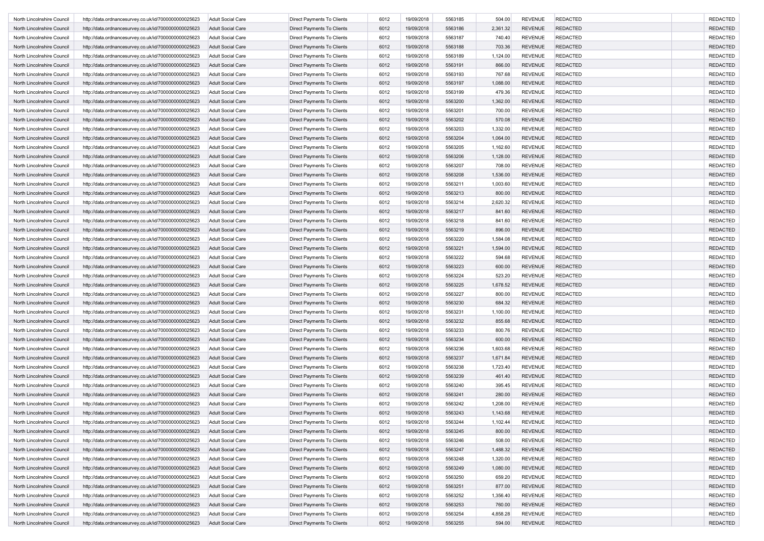| North Lincolnshire Council | http://data.ordnancesurvey.co.uk/id/7000000000025623 | <b>Adult Social Care</b> | Direct Payments To Clients        | 6012 | 19/09/2018 | 5563185 | 504.00   | <b>REVENUE</b> | <b>REDACTED</b> | <b>REDACTED</b> |
|----------------------------|------------------------------------------------------|--------------------------|-----------------------------------|------|------------|---------|----------|----------------|-----------------|-----------------|
| North Lincolnshire Council | http://data.ordnancesurvey.co.uk/id/7000000000025623 | <b>Adult Social Care</b> | Direct Payments To Clients        | 6012 | 19/09/2018 | 5563186 | 2,361.32 | <b>REVENUE</b> | <b>REDACTED</b> | <b>REDACTED</b> |
| North Lincolnshire Council | http://data.ordnancesurvey.co.uk/id/7000000000025623 | <b>Adult Social Care</b> | Direct Payments To Clients        | 6012 | 19/09/2018 | 5563187 | 740.40   | <b>REVENUE</b> | <b>REDACTED</b> | <b>REDACTED</b> |
| North Lincolnshire Council | http://data.ordnancesurvey.co.uk/id/7000000000025623 | <b>Adult Social Care</b> | <b>Direct Payments To Clients</b> | 6012 | 19/09/2018 | 5563188 | 703.36   | <b>REVENUE</b> | <b>REDACTED</b> | <b>REDACTED</b> |
| North Lincolnshire Council | http://data.ordnancesurvey.co.uk/id/7000000000025623 | <b>Adult Social Care</b> | Direct Payments To Clients        | 6012 | 19/09/2018 | 5563189 | 1,124.00 | <b>REVENUE</b> | <b>REDACTED</b> | <b>REDACTED</b> |
| North Lincolnshire Council | http://data.ordnancesurvey.co.uk/id/7000000000025623 | <b>Adult Social Care</b> | Direct Payments To Clients        | 6012 | 19/09/2018 | 5563191 | 866.00   | <b>REVENUE</b> | <b>REDACTED</b> | <b>REDACTED</b> |
| North Lincolnshire Council | http://data.ordnancesurvey.co.uk/id/7000000000025623 | <b>Adult Social Care</b> | Direct Payments To Clients        | 6012 | 19/09/2018 | 5563193 | 767.68   | <b>REVENUE</b> | <b>REDACTED</b> | <b>REDACTED</b> |
| North Lincolnshire Council | http://data.ordnancesurvey.co.uk/id/7000000000025623 | <b>Adult Social Care</b> | Direct Payments To Clients        | 6012 | 19/09/2018 | 5563197 | 1,088.00 | <b>REVENUE</b> | <b>REDACTED</b> | <b>REDACTED</b> |
| North Lincolnshire Council | http://data.ordnancesurvey.co.uk/id/7000000000025623 | <b>Adult Social Care</b> | Direct Payments To Clients        | 6012 | 19/09/2018 | 5563199 | 479.36   | <b>REVENUE</b> | <b>REDACTED</b> | <b>REDACTED</b> |
| North Lincolnshire Council |                                                      | <b>Adult Social Care</b> |                                   |      |            | 5563200 |          | <b>REVENUE</b> | <b>REDACTED</b> | <b>REDACTED</b> |
|                            | http://data.ordnancesurvey.co.uk/id/7000000000025623 |                          | Direct Payments To Clients        | 6012 | 19/09/2018 |         | 1,362.00 |                |                 |                 |
| North Lincolnshire Council | http://data.ordnancesurvey.co.uk/id/7000000000025623 | <b>Adult Social Care</b> | Direct Payments To Clients        | 6012 | 19/09/2018 | 5563201 | 700.00   | <b>REVENUE</b> | <b>REDACTED</b> | <b>REDACTED</b> |
| North Lincolnshire Council | http://data.ordnancesurvey.co.uk/id/7000000000025623 | <b>Adult Social Care</b> | Direct Payments To Clients        | 6012 | 19/09/2018 | 5563202 | 570.08   | <b>REVENUE</b> | <b>REDACTED</b> | <b>REDACTED</b> |
| North Lincolnshire Council | http://data.ordnancesurvey.co.uk/id/7000000000025623 | <b>Adult Social Care</b> | Direct Payments To Clients        | 6012 | 19/09/2018 | 5563203 | 1,332.00 | <b>REVENUE</b> | <b>REDACTED</b> | <b>REDACTED</b> |
| North Lincolnshire Council | http://data.ordnancesurvey.co.uk/id/7000000000025623 | <b>Adult Social Care</b> | Direct Payments To Clients        | 6012 | 19/09/2018 | 5563204 | 1,064.00 | <b>REVENUE</b> | <b>REDACTED</b> | <b>REDACTED</b> |
| North Lincolnshire Council | http://data.ordnancesurvey.co.uk/id/7000000000025623 | Adult Social Care        | Direct Payments To Clients        | 6012 | 19/09/2018 | 5563205 | 1,162.60 | <b>REVENUE</b> | <b>REDACTED</b> | <b>REDACTED</b> |
| North Lincolnshire Council | http://data.ordnancesurvey.co.uk/id/7000000000025623 | <b>Adult Social Care</b> | Direct Payments To Clients        | 6012 | 19/09/2018 | 5563206 | 1,128.00 | <b>REVENUE</b> | <b>REDACTED</b> | <b>REDACTED</b> |
| North Lincolnshire Council | http://data.ordnancesurvey.co.uk/id/7000000000025623 | <b>Adult Social Care</b> | Direct Payments To Clients        | 6012 | 19/09/2018 | 5563207 | 708.00   | <b>REVENUE</b> | <b>REDACTED</b> | <b>REDACTED</b> |
| North Lincolnshire Council | http://data.ordnancesurvey.co.uk/id/7000000000025623 | <b>Adult Social Care</b> | Direct Payments To Clients        | 6012 | 19/09/2018 | 5563208 | 1,536.00 | <b>REVENUE</b> | <b>REDACTED</b> | <b>REDACTED</b> |
| North Lincolnshire Council | http://data.ordnancesurvey.co.uk/id/7000000000025623 | <b>Adult Social Care</b> | Direct Payments To Clients        | 6012 | 19/09/2018 | 5563211 | 1,003.60 | <b>REVENUE</b> | <b>REDACTED</b> | <b>REDACTED</b> |
| North Lincolnshire Council | http://data.ordnancesurvey.co.uk/id/7000000000025623 | <b>Adult Social Care</b> | Direct Payments To Clients        | 6012 | 19/09/2018 | 5563213 | 800.00   | <b>REVENUE</b> | <b>REDACTED</b> | <b>REDACTED</b> |
| North Lincolnshire Council | http://data.ordnancesurvey.co.uk/id/7000000000025623 | <b>Adult Social Care</b> | Direct Payments To Clients        | 6012 | 19/09/2018 | 5563214 | 2,620.32 | <b>REVENUE</b> | <b>REDACTED</b> | <b>REDACTED</b> |
| North Lincolnshire Council | http://data.ordnancesurvey.co.uk/id/7000000000025623 | <b>Adult Social Care</b> | Direct Payments To Clients        | 6012 | 19/09/2018 | 5563217 | 841.60   | <b>REVENUE</b> | <b>REDACTED</b> | <b>REDACTED</b> |
| North Lincolnshire Council | http://data.ordnancesurvey.co.uk/id/7000000000025623 | <b>Adult Social Care</b> | Direct Payments To Clients        | 6012 | 19/09/2018 | 5563218 | 841.60   | <b>REVENUE</b> | <b>REDACTED</b> | <b>REDACTED</b> |
| North Lincolnshire Council | http://data.ordnancesurvey.co.uk/id/7000000000025623 | <b>Adult Social Care</b> | Direct Payments To Clients        | 6012 | 19/09/2018 | 5563219 | 896.00   | <b>REVENUE</b> | <b>REDACTED</b> | <b>REDACTED</b> |
| North Lincolnshire Council | http://data.ordnancesurvey.co.uk/id/7000000000025623 | <b>Adult Social Care</b> | Direct Payments To Clients        | 6012 | 19/09/2018 | 5563220 | 1,584.08 | <b>REVENUE</b> | <b>REDACTED</b> | <b>REDACTED</b> |
| North Lincolnshire Council | http://data.ordnancesurvey.co.uk/id/7000000000025623 | <b>Adult Social Care</b> | Direct Payments To Clients        | 6012 | 19/09/2018 | 5563221 | 1,594.00 | <b>REVENUE</b> | <b>REDACTED</b> | <b>REDACTED</b> |
| North Lincolnshire Council | http://data.ordnancesurvey.co.uk/id/7000000000025623 | <b>Adult Social Care</b> | Direct Payments To Clients        | 6012 | 19/09/2018 | 5563222 | 594.68   | <b>REVENUE</b> | <b>REDACTED</b> | <b>REDACTED</b> |
| North Lincolnshire Council | http://data.ordnancesurvey.co.uk/id/7000000000025623 | <b>Adult Social Care</b> | Direct Payments To Clients        | 6012 | 19/09/2018 | 5563223 | 600.00   | <b>REVENUE</b> | <b>REDACTED</b> | <b>REDACTED</b> |
| North Lincolnshire Council | http://data.ordnancesurvey.co.uk/id/7000000000025623 | <b>Adult Social Care</b> | Direct Payments To Clients        | 6012 | 19/09/2018 | 5563224 | 523.20   | <b>REVENUE</b> | <b>REDACTED</b> | <b>REDACTED</b> |
|                            |                                                      |                          |                                   | 6012 | 19/09/2018 | 5563225 |          | <b>REVENUE</b> | <b>REDACTED</b> | <b>REDACTED</b> |
| North Lincolnshire Council | http://data.ordnancesurvey.co.uk/id/7000000000025623 | <b>Adult Social Care</b> | Direct Payments To Clients        |      |            |         | 1,678.52 |                |                 |                 |
| North Lincolnshire Council | http://data.ordnancesurvey.co.uk/id/7000000000025623 | <b>Adult Social Care</b> | Direct Payments To Clients        | 6012 | 19/09/2018 | 5563227 | 800.00   | <b>REVENUE</b> | <b>REDACTED</b> | <b>REDACTED</b> |
| North Lincolnshire Council | http://data.ordnancesurvey.co.uk/id/7000000000025623 | <b>Adult Social Care</b> | Direct Payments To Clients        | 6012 | 19/09/2018 | 5563230 | 684.32   | <b>REVENUE</b> | <b>REDACTED</b> | <b>REDACTED</b> |
| North Lincolnshire Council | http://data.ordnancesurvey.co.uk/id/7000000000025623 | <b>Adult Social Care</b> | Direct Payments To Clients        | 6012 | 19/09/2018 | 5563231 | 1,100.00 | <b>REVENUE</b> | <b>REDACTED</b> | <b>REDACTED</b> |
| North Lincolnshire Council | http://data.ordnancesurvey.co.uk/id/7000000000025623 | <b>Adult Social Care</b> | Direct Payments To Clients        | 6012 | 19/09/2018 | 5563232 | 855.68   | <b>REVENUE</b> | <b>REDACTED</b> | <b>REDACTED</b> |
| North Lincolnshire Council | http://data.ordnancesurvey.co.uk/id/7000000000025623 | <b>Adult Social Care</b> | Direct Payments To Clients        | 6012 | 19/09/2018 | 5563233 | 800.76   | <b>REVENUE</b> | <b>REDACTED</b> | <b>REDACTED</b> |
| North Lincolnshire Council | http://data.ordnancesurvey.co.uk/id/7000000000025623 | <b>Adult Social Care</b> | Direct Payments To Clients        | 6012 | 19/09/2018 | 5563234 | 600.00   | <b>REVENUE</b> | <b>REDACTED</b> | <b>REDACTED</b> |
| North Lincolnshire Council | http://data.ordnancesurvey.co.uk/id/7000000000025623 | <b>Adult Social Care</b> | Direct Payments To Clients        | 6012 | 19/09/2018 | 5563236 | 1,603.68 | <b>REVENUE</b> | <b>REDACTED</b> | <b>REDACTED</b> |
| North Lincolnshire Council | http://data.ordnancesurvey.co.uk/id/7000000000025623 | <b>Adult Social Care</b> | Direct Payments To Clients        | 6012 | 19/09/2018 | 5563237 | 1,671.84 | <b>REVENUE</b> | <b>REDACTED</b> | <b>REDACTED</b> |
| North Lincolnshire Council | http://data.ordnancesurvey.co.uk/id/7000000000025623 | <b>Adult Social Care</b> | Direct Payments To Clients        | 6012 | 19/09/2018 | 5563238 | 1,723.40 | <b>REVENUE</b> | <b>REDACTED</b> | <b>REDACTED</b> |
| North Lincolnshire Council | http://data.ordnancesurvey.co.uk/id/7000000000025623 | <b>Adult Social Care</b> | Direct Payments To Clients        | 6012 | 19/09/2018 | 5563239 | 461.40   | <b>REVENUE</b> | <b>REDACTED</b> | <b>REDACTED</b> |
| North Lincolnshire Council | http://data.ordnancesurvey.co.uk/id/7000000000025623 | Adult Social Care        | Direct Payments To Clients        | 6012 | 19/09/2018 | 5563240 | 395.45   | <b>REVENUE</b> | <b>REDACTED</b> | <b>REDACTED</b> |
| North Lincolnshire Council | http://data.ordnancesurvey.co.uk/id/7000000000025623 | <b>Adult Social Care</b> | <b>Direct Payments To Clients</b> | 6012 | 19/09/2018 | 5563241 | 280.00   | <b>REVENUE</b> | <b>REDACTED</b> | <b>REDACTED</b> |
| North Lincolnshire Council | http://data.ordnancesurvey.co.uk/id/7000000000025623 | <b>Adult Social Care</b> | Direct Payments To Clients        | 6012 | 19/09/2018 | 5563242 | 1,208.00 | <b>REVENUE</b> | <b>REDACTED</b> | <b>REDACTED</b> |
| North Lincolnshire Council | http://data.ordnancesurvey.co.uk/id/7000000000025623 | <b>Adult Social Care</b> | Direct Payments To Clients        | 6012 | 19/09/2018 | 5563243 | 1,143.68 | <b>REVENUE</b> | <b>REDACTED</b> | <b>REDACTED</b> |
| North Lincolnshire Council | http://data.ordnancesurvey.co.uk/id/7000000000025623 | <b>Adult Social Care</b> | Direct Payments To Clients        | 6012 | 19/09/2018 | 5563244 | 1,102.44 | REVENUE        | REDACTED        | REDACTEL        |
| North Lincolnshire Council | http://data.ordnancesurvey.co.uk/id/7000000000025623 | <b>Adult Social Care</b> | Direct Payments To Clients        | 6012 | 19/09/2018 | 5563245 | 800.00   | <b>REVENUE</b> | <b>REDACTED</b> | <b>REDACTED</b> |
| North Lincolnshire Council | http://data.ordnancesurvey.co.uk/id/7000000000025623 | <b>Adult Social Care</b> | Direct Payments To Clients        | 6012 | 19/09/2018 | 5563246 | 508.00   | <b>REVENUE</b> | <b>REDACTED</b> | <b>REDACTED</b> |
| North Lincolnshire Council | http://data.ordnancesurvey.co.uk/id/7000000000025623 | <b>Adult Social Care</b> | Direct Payments To Clients        | 6012 | 19/09/2018 | 5563247 | 1,488.32 | <b>REVENUE</b> | <b>REDACTED</b> | <b>REDACTED</b> |
| North Lincolnshire Council | http://data.ordnancesurvey.co.uk/id/7000000000025623 | <b>Adult Social Care</b> | Direct Payments To Clients        | 6012 | 19/09/2018 | 5563248 | 1,320.00 | <b>REVENUE</b> | REDACTED        | <b>REDACTED</b> |
| North Lincolnshire Council | http://data.ordnancesurvey.co.uk/id/7000000000025623 | <b>Adult Social Care</b> | Direct Payments To Clients        |      | 19/09/2018 | 5563249 |          | <b>REVENUE</b> | REDACTED        | <b>REDACTED</b> |
|                            |                                                      |                          |                                   | 6012 |            |         | 1,080.00 |                |                 |                 |
| North Lincolnshire Council | http://data.ordnancesurvey.co.uk/id/7000000000025623 | <b>Adult Social Care</b> | Direct Payments To Clients        | 6012 | 19/09/2018 | 5563250 | 659.20   | <b>REVENUE</b> | <b>REDACTED</b> | <b>REDACTED</b> |
| North Lincolnshire Council | http://data.ordnancesurvey.co.uk/id/7000000000025623 | <b>Adult Social Care</b> | Direct Payments To Clients        | 6012 | 19/09/2018 | 5563251 | 877.00   | <b>REVENUE</b> | <b>REDACTED</b> | <b>REDACTED</b> |
| North Lincolnshire Council | http://data.ordnancesurvey.co.uk/id/7000000000025623 | <b>Adult Social Care</b> | Direct Payments To Clients        | 6012 | 19/09/2018 | 5563252 | 1,356.40 | <b>REVENUE</b> | <b>REDACTED</b> | <b>REDACTED</b> |
| North Lincolnshire Council | http://data.ordnancesurvey.co.uk/id/7000000000025623 | <b>Adult Social Care</b> | Direct Payments To Clients        | 6012 | 19/09/2018 | 5563253 | 760.00   | <b>REVENUE</b> | <b>REDACTED</b> | <b>REDACTED</b> |
| North Lincolnshire Council | http://data.ordnancesurvey.co.uk/id/7000000000025623 | <b>Adult Social Care</b> | Direct Payments To Clients        | 6012 | 19/09/2018 | 5563254 | 4,858.28 | <b>REVENUE</b> | <b>REDACTED</b> | <b>REDACTED</b> |
| North Lincolnshire Council | http://data.ordnancesurvey.co.uk/id/7000000000025623 | <b>Adult Social Care</b> | Direct Payments To Clients        | 6012 | 19/09/2018 | 5563255 | 594.00   | <b>REVENUE</b> | <b>REDACTED</b> | <b>REDACTED</b> |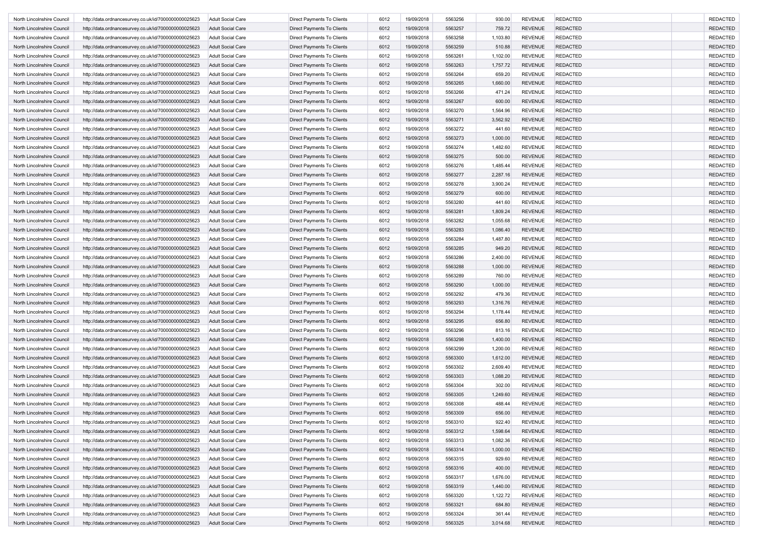| North Lincolnshire Council                               | http://data.ordnancesurvey.co.uk/id/7000000000025623                                                         | <b>Adult Social Care</b> | Direct Payments To Clients                               | 6012 | 19/09/2018 | 5563256 | 930.00   | <b>REVENUE</b> | <b>REDACTED</b> | <b>REDACTED</b> |
|----------------------------------------------------------|--------------------------------------------------------------------------------------------------------------|--------------------------|----------------------------------------------------------|------|------------|---------|----------|----------------|-----------------|-----------------|
| North Lincolnshire Council                               | http://data.ordnancesurvey.co.uk/id/7000000000025623                                                         | <b>Adult Social Care</b> | Direct Payments To Clients                               | 6012 | 19/09/2018 | 5563257 | 759.72   | <b>REVENUE</b> | <b>REDACTED</b> | <b>REDACTED</b> |
| North Lincolnshire Council                               | http://data.ordnancesurvey.co.uk/id/7000000000025623                                                         | <b>Adult Social Care</b> | Direct Payments To Clients                               | 6012 | 19/09/2018 | 5563258 | 1,103.80 | <b>REVENUE</b> | <b>REDACTED</b> | <b>REDACTED</b> |
| North Lincolnshire Council                               | http://data.ordnancesurvey.co.uk/id/7000000000025623                                                         | <b>Adult Social Care</b> | Direct Payments To Clients                               | 6012 | 19/09/2018 | 5563259 | 510.88   | <b>REVENUE</b> | <b>REDACTED</b> | <b>REDACTED</b> |
| North Lincolnshire Council                               | http://data.ordnancesurvey.co.uk/id/7000000000025623                                                         | <b>Adult Social Care</b> | Direct Payments To Clients                               | 6012 | 19/09/2018 | 5563261 | 1,102.00 | <b>REVENUE</b> | <b>REDACTED</b> | <b>REDACTED</b> |
| North Lincolnshire Council                               | http://data.ordnancesurvey.co.uk/id/7000000000025623                                                         | <b>Adult Social Care</b> | Direct Payments To Clients                               | 6012 | 19/09/2018 | 5563263 | 1,757.72 | <b>REVENUE</b> | <b>REDACTED</b> | <b>REDACTED</b> |
| North Lincolnshire Council                               | http://data.ordnancesurvey.co.uk/id/7000000000025623                                                         | <b>Adult Social Care</b> | Direct Payments To Clients                               | 6012 | 19/09/2018 | 5563264 | 659.20   | <b>REVENUE</b> | <b>REDACTED</b> | <b>REDACTED</b> |
| North Lincolnshire Council                               | http://data.ordnancesurvey.co.uk/id/7000000000025623                                                         | <b>Adult Social Care</b> | Direct Payments To Clients                               | 6012 | 19/09/2018 | 5563265 | 1,660.00 | <b>REVENUE</b> | <b>REDACTED</b> | <b>REDACTED</b> |
| North Lincolnshire Council                               | http://data.ordnancesurvey.co.uk/id/7000000000025623                                                         | <b>Adult Social Care</b> | Direct Payments To Clients                               | 6012 | 19/09/2018 | 5563266 | 471.24   | <b>REVENUE</b> | <b>REDACTED</b> | <b>REDACTED</b> |
| North Lincolnshire Council                               | http://data.ordnancesurvey.co.uk/id/7000000000025623                                                         | <b>Adult Social Care</b> | Direct Payments To Clients                               | 6012 | 19/09/2018 | 5563267 | 600.00   | <b>REVENUE</b> | <b>REDACTED</b> | <b>REDACTED</b> |
| North Lincolnshire Council                               | http://data.ordnancesurvey.co.uk/id/7000000000025623                                                         | <b>Adult Social Care</b> | Direct Payments To Clients                               | 6012 | 19/09/2018 | 5563270 | 1,564.96 | <b>REVENUE</b> | <b>REDACTED</b> | <b>REDACTED</b> |
|                                                          |                                                                                                              | <b>Adult Social Care</b> |                                                          | 6012 | 19/09/2018 | 5563271 | 3,562.92 | <b>REVENUE</b> | <b>REDACTED</b> | <b>REDACTED</b> |
| North Lincolnshire Council<br>North Lincolnshire Council | http://data.ordnancesurvey.co.uk/id/7000000000025623<br>http://data.ordnancesurvey.co.uk/id/7000000000025623 | <b>Adult Social Care</b> | Direct Payments To Clients<br>Direct Payments To Clients | 6012 | 19/09/2018 | 5563272 | 441.60   | <b>REVENUE</b> | <b>REDACTED</b> | <b>REDACTED</b> |
| North Lincolnshire Council                               |                                                                                                              |                          |                                                          |      |            |         |          |                |                 |                 |
|                                                          | http://data.ordnancesurvey.co.uk/id/7000000000025623                                                         | <b>Adult Social Care</b> | Direct Payments To Clients                               | 6012 | 19/09/2018 | 5563273 | 1,000.00 | <b>REVENUE</b> | <b>REDACTED</b> | <b>REDACTED</b> |
| North Lincolnshire Council                               | http://data.ordnancesurvey.co.uk/id/7000000000025623                                                         | Adult Social Care        | Direct Payments To Clients                               | 6012 | 19/09/2018 | 5563274 | 1,482.60 | <b>REVENUE</b> | <b>REDACTED</b> | <b>REDACTED</b> |
| North Lincolnshire Council                               | http://data.ordnancesurvey.co.uk/id/7000000000025623                                                         | <b>Adult Social Care</b> | Direct Payments To Clients                               | 6012 | 19/09/2018 | 5563275 | 500.00   | <b>REVENUE</b> | <b>REDACTED</b> | <b>REDACTED</b> |
| North Lincolnshire Council                               | http://data.ordnancesurvey.co.uk/id/7000000000025623                                                         | <b>Adult Social Care</b> | Direct Payments To Clients                               | 6012 | 19/09/2018 | 5563276 | 1,485.44 | <b>REVENUE</b> | <b>REDACTED</b> | <b>REDACTED</b> |
| North Lincolnshire Council                               | http://data.ordnancesurvey.co.uk/id/7000000000025623                                                         | <b>Adult Social Care</b> | Direct Payments To Clients                               | 6012 | 19/09/2018 | 5563277 | 2,287.16 | <b>REVENUE</b> | <b>REDACTED</b> | <b>REDACTED</b> |
| North Lincolnshire Council                               | http://data.ordnancesurvey.co.uk/id/7000000000025623                                                         | <b>Adult Social Care</b> | Direct Payments To Clients                               | 6012 | 19/09/2018 | 5563278 | 3,900.24 | <b>REVENUE</b> | <b>REDACTED</b> | <b>REDACTED</b> |
| North Lincolnshire Council                               | http://data.ordnancesurvey.co.uk/id/7000000000025623                                                         | <b>Adult Social Care</b> | Direct Payments To Clients                               | 6012 | 19/09/2018 | 5563279 | 600.00   | <b>REVENUE</b> | <b>REDACTED</b> | <b>REDACTED</b> |
| North Lincolnshire Council                               | http://data.ordnancesurvey.co.uk/id/7000000000025623                                                         | <b>Adult Social Care</b> | Direct Payments To Clients                               | 6012 | 19/09/2018 | 5563280 | 441.60   | <b>REVENUE</b> | <b>REDACTED</b> | <b>REDACTED</b> |
| North Lincolnshire Council                               | http://data.ordnancesurvey.co.uk/id/7000000000025623                                                         | <b>Adult Social Care</b> | Direct Payments To Clients                               | 6012 | 19/09/2018 | 5563281 | 1,809.24 | <b>REVENUE</b> | <b>REDACTED</b> | <b>REDACTED</b> |
| North Lincolnshire Council                               | http://data.ordnancesurvey.co.uk/id/7000000000025623                                                         | <b>Adult Social Care</b> | Direct Payments To Clients                               | 6012 | 19/09/2018 | 5563282 | 1,055.68 | <b>REVENUE</b> | <b>REDACTED</b> | <b>REDACTED</b> |
| North Lincolnshire Council                               | http://data.ordnancesurvey.co.uk/id/7000000000025623                                                         | <b>Adult Social Care</b> | Direct Payments To Clients                               | 6012 | 19/09/2018 | 5563283 | 1,086.40 | <b>REVENUE</b> | <b>REDACTED</b> | <b>REDACTED</b> |
| North Lincolnshire Council                               | http://data.ordnancesurvey.co.uk/id/7000000000025623                                                         | <b>Adult Social Care</b> | Direct Payments To Clients                               | 6012 | 19/09/2018 | 5563284 | 1,487.80 | <b>REVENUE</b> | <b>REDACTED</b> | <b>REDACTED</b> |
| North Lincolnshire Council                               | http://data.ordnancesurvey.co.uk/id/7000000000025623                                                         | <b>Adult Social Care</b> | Direct Payments To Clients                               | 6012 | 19/09/2018 | 5563285 | 949.20   | <b>REVENUE</b> | <b>REDACTED</b> | <b>REDACTED</b> |
| North Lincolnshire Council                               | http://data.ordnancesurvey.co.uk/id/7000000000025623                                                         | <b>Adult Social Care</b> | Direct Payments To Clients                               | 6012 | 19/09/2018 | 5563286 | 2,400.00 | <b>REVENUE</b> | <b>REDACTED</b> | <b>REDACTED</b> |
| North Lincolnshire Council                               | http://data.ordnancesurvey.co.uk/id/7000000000025623                                                         | <b>Adult Social Care</b> | Direct Payments To Clients                               | 6012 | 19/09/2018 | 5563288 | 1,000.00 | <b>REVENUE</b> | <b>REDACTED</b> | <b>REDACTED</b> |
| North Lincolnshire Council                               | http://data.ordnancesurvey.co.uk/id/7000000000025623                                                         | <b>Adult Social Care</b> | Direct Payments To Clients                               | 6012 | 19/09/2018 | 5563289 | 760.00   | <b>REVENUE</b> | <b>REDACTED</b> | <b>REDACTED</b> |
| North Lincolnshire Council                               | http://data.ordnancesurvey.co.uk/id/7000000000025623                                                         | <b>Adult Social Care</b> | Direct Payments To Clients                               | 6012 | 19/09/2018 | 5563290 | 1,000.00 | <b>REVENUE</b> | <b>REDACTED</b> | <b>REDACTED</b> |
| North Lincolnshire Council                               | http://data.ordnancesurvey.co.uk/id/7000000000025623                                                         | <b>Adult Social Care</b> | Direct Payments To Clients                               | 6012 | 19/09/2018 | 5563292 | 479.36   | <b>REVENUE</b> | <b>REDACTED</b> | <b>REDACTED</b> |
| North Lincolnshire Council                               | http://data.ordnancesurvey.co.uk/id/7000000000025623                                                         | <b>Adult Social Care</b> | Direct Payments To Clients                               | 6012 | 19/09/2018 | 5563293 | 1,316.76 | <b>REVENUE</b> | <b>REDACTED</b> | <b>REDACTED</b> |
| North Lincolnshire Council                               | http://data.ordnancesurvey.co.uk/id/7000000000025623                                                         | <b>Adult Social Care</b> | Direct Payments To Clients                               | 6012 | 19/09/2018 | 5563294 | 1,178.44 | <b>REVENUE</b> | <b>REDACTED</b> | <b>REDACTED</b> |
| North Lincolnshire Council                               | http://data.ordnancesurvey.co.uk/id/7000000000025623                                                         | <b>Adult Social Care</b> | Direct Payments To Clients                               | 6012 | 19/09/2018 | 5563295 | 656.80   | <b>REVENUE</b> | <b>REDACTED</b> | <b>REDACTED</b> |
| North Lincolnshire Council                               | http://data.ordnancesurvey.co.uk/id/7000000000025623                                                         | <b>Adult Social Care</b> | Direct Payments To Clients                               | 6012 | 19/09/2018 | 5563296 | 813.16   | <b>REVENUE</b> | <b>REDACTED</b> | <b>REDACTED</b> |
| North Lincolnshire Council                               | http://data.ordnancesurvey.co.uk/id/7000000000025623                                                         | <b>Adult Social Care</b> | Direct Payments To Clients                               | 6012 | 19/09/2018 | 5563298 | 1,400.00 | <b>REVENUE</b> | <b>REDACTED</b> | <b>REDACTED</b> |
|                                                          |                                                                                                              |                          |                                                          |      |            |         |          |                |                 | <b>REDACTED</b> |
| North Lincolnshire Council                               | http://data.ordnancesurvey.co.uk/id/7000000000025623                                                         | <b>Adult Social Care</b> | Direct Payments To Clients                               | 6012 | 19/09/2018 | 5563299 | 1,200.00 | <b>REVENUE</b> | <b>REDACTED</b> |                 |
| North Lincolnshire Council                               | http://data.ordnancesurvey.co.uk/id/7000000000025623                                                         | <b>Adult Social Care</b> | Direct Payments To Clients                               | 6012 | 19/09/2018 | 5563300 | 1,612.00 | <b>REVENUE</b> | <b>REDACTED</b> | <b>REDACTED</b> |
| North Lincolnshire Council                               | http://data.ordnancesurvey.co.uk/id/7000000000025623                                                         | <b>Adult Social Care</b> | Direct Payments To Clients                               | 6012 | 19/09/2018 | 5563302 | 2,609.40 | <b>REVENUE</b> | <b>REDACTED</b> | <b>REDACTED</b> |
| North Lincolnshire Council                               | http://data.ordnancesurvey.co.uk/id/7000000000025623                                                         | <b>Adult Social Care</b> | Direct Payments To Clients                               | 6012 | 19/09/2018 | 5563303 | 1,088.20 | <b>REVENUE</b> | <b>REDACTED</b> | <b>REDACTED</b> |
| North Lincolnshire Council                               | http://data.ordnancesurvey.co.uk/id/7000000000025623                                                         | Adult Social Care        | Direct Payments To Clients                               | 6012 | 19/09/2018 | 5563304 | 302.00   | <b>REVENUE</b> | <b>REDACTED</b> | <b>REDACTED</b> |
| North Lincolnshire Council                               | http://data.ordnancesurvey.co.uk/id/7000000000025623                                                         | <b>Adult Social Care</b> | <b>Direct Payments To Clients</b>                        | 6012 | 19/09/2018 | 5563305 | 1,249.60 | <b>REVENUE</b> | <b>REDACTED</b> | <b>REDACTED</b> |
| North Lincolnshire Council                               | http://data.ordnancesurvey.co.uk/id/7000000000025623                                                         | <b>Adult Social Care</b> | Direct Payments To Clients                               | 6012 | 19/09/2018 | 5563308 | 488.44   | <b>REVENUE</b> | <b>REDACTED</b> | <b>REDACTED</b> |
| North Lincolnshire Council                               | http://data.ordnancesurvey.co.uk/id/7000000000025623                                                         | <b>Adult Social Care</b> | Direct Payments To Clients                               | 6012 | 19/09/2018 | 5563309 | 656.00   | <b>REVENUE</b> | <b>REDACTED</b> | <b>REDACTED</b> |
| North Lincolnshire Council                               | http://data.ordnancesurvey.co.uk/id/7000000000025623                                                         | <b>Adult Social Care</b> | Direct Payments To Clients                               | 6012 | 19/09/2018 | 5563310 | 922.40   | REVENUE        | REDACTED        | REDACTEL        |
| North Lincolnshire Council                               | http://data.ordnancesurvey.co.uk/id/7000000000025623                                                         | <b>Adult Social Care</b> | Direct Payments To Clients                               | 6012 | 19/09/2018 | 5563312 | 1,598.64 | <b>REVENUE</b> | <b>REDACTED</b> | <b>REDACTED</b> |
| North Lincolnshire Council                               | http://data.ordnancesurvey.co.uk/id/7000000000025623                                                         | <b>Adult Social Care</b> | Direct Payments To Clients                               | 6012 | 19/09/2018 | 5563313 | 1,082.36 | <b>REVENUE</b> | <b>REDACTED</b> | <b>REDACTED</b> |
| North Lincolnshire Council                               | http://data.ordnancesurvey.co.uk/id/7000000000025623                                                         | <b>Adult Social Care</b> | Direct Payments To Clients                               | 6012 | 19/09/2018 | 5563314 | 1,000.00 | <b>REVENUE</b> | <b>REDACTED</b> | <b>REDACTED</b> |
| North Lincolnshire Council                               | http://data.ordnancesurvey.co.uk/id/7000000000025623                                                         | <b>Adult Social Care</b> | Direct Payments To Clients                               | 6012 | 19/09/2018 | 5563315 | 929.60   | <b>REVENUE</b> | REDACTED        | <b>REDACTED</b> |
| North Lincolnshire Council                               | http://data.ordnancesurvey.co.uk/id/7000000000025623                                                         | <b>Adult Social Care</b> | Direct Payments To Clients                               | 6012 | 19/09/2018 | 5563316 | 400.00   | <b>REVENUE</b> | REDACTED        | <b>REDACTED</b> |
| North Lincolnshire Council                               | http://data.ordnancesurvey.co.uk/id/7000000000025623                                                         | <b>Adult Social Care</b> | Direct Payments To Clients                               | 6012 | 19/09/2018 | 5563317 | 1,676.00 | <b>REVENUE</b> | <b>REDACTED</b> | <b>REDACTED</b> |
| North Lincolnshire Council                               | http://data.ordnancesurvey.co.uk/id/7000000000025623                                                         | <b>Adult Social Care</b> | Direct Payments To Clients                               | 6012 | 19/09/2018 | 5563319 | 1,440.00 | <b>REVENUE</b> | <b>REDACTED</b> | <b>REDACTED</b> |
| North Lincolnshire Council                               | http://data.ordnancesurvey.co.uk/id/7000000000025623                                                         | <b>Adult Social Care</b> | Direct Payments To Clients                               | 6012 | 19/09/2018 | 5563320 | 1,122.72 | <b>REVENUE</b> | <b>REDACTED</b> | <b>REDACTED</b> |
| North Lincolnshire Council                               | http://data.ordnancesurvey.co.uk/id/7000000000025623                                                         | <b>Adult Social Care</b> | Direct Payments To Clients                               | 6012 | 19/09/2018 | 5563321 | 684.80   | <b>REVENUE</b> | <b>REDACTED</b> | <b>REDACTED</b> |
| North Lincolnshire Council                               | http://data.ordnancesurvey.co.uk/id/7000000000025623                                                         | <b>Adult Social Care</b> | Direct Payments To Clients                               | 6012 | 19/09/2018 | 5563324 | 361.44   | <b>REVENUE</b> | <b>REDACTED</b> | <b>REDACTED</b> |
| North Lincolnshire Council                               | http://data.ordnancesurvey.co.uk/id/7000000000025623                                                         | <b>Adult Social Care</b> | Direct Payments To Clients                               | 6012 | 19/09/2018 | 5563325 | 3,014.68 | <b>REVENUE</b> | <b>REDACTED</b> | <b>REDACTED</b> |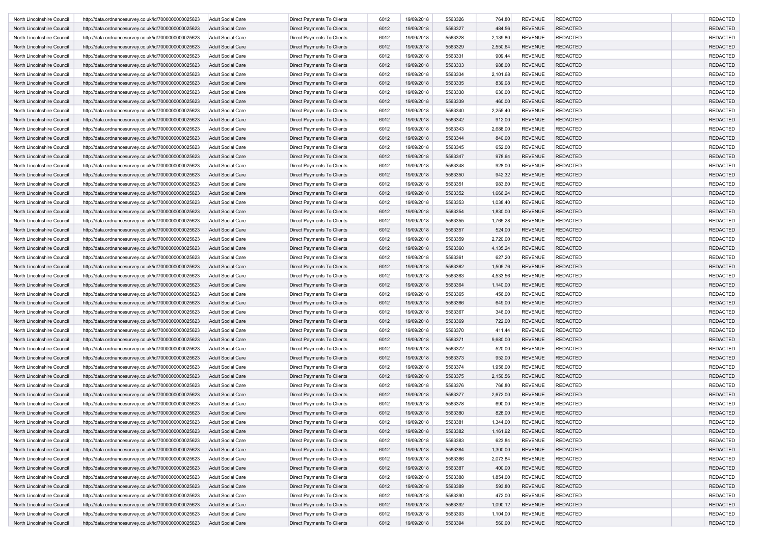| North Lincolnshire Council | http://data.ordnancesurvey.co.uk/id/7000000000025623                                                         | <b>Adult Social Care</b> | Direct Payments To Clients        | 6012 | 19/09/2018 | 5563326 | 764.80   | <b>REVENUE</b> | <b>REDACTED</b> | <b>REDACTED</b> |
|----------------------------|--------------------------------------------------------------------------------------------------------------|--------------------------|-----------------------------------|------|------------|---------|----------|----------------|-----------------|-----------------|
| North Lincolnshire Council | http://data.ordnancesurvey.co.uk/id/7000000000025623                                                         | <b>Adult Social Care</b> | Direct Payments To Clients        | 6012 | 19/09/2018 | 5563327 | 484.56   | <b>REVENUE</b> | <b>REDACTED</b> | <b>REDACTED</b> |
| North Lincolnshire Council | http://data.ordnancesurvey.co.uk/id/7000000000025623                                                         | <b>Adult Social Care</b> | Direct Payments To Clients        | 6012 | 19/09/2018 | 5563328 | 2,139.80 | <b>REVENUE</b> | <b>REDACTED</b> | <b>REDACTED</b> |
| North Lincolnshire Council | http://data.ordnancesurvey.co.uk/id/7000000000025623                                                         | <b>Adult Social Care</b> | Direct Payments To Clients        | 6012 | 19/09/2018 | 5563329 | 2,550.64 | <b>REVENUE</b> | <b>REDACTED</b> | <b>REDACTED</b> |
| North Lincolnshire Council | http://data.ordnancesurvey.co.uk/id/7000000000025623                                                         | <b>Adult Social Care</b> | Direct Payments To Clients        | 6012 | 19/09/2018 | 5563331 | 909.44   | <b>REVENUE</b> | <b>REDACTED</b> | <b>REDACTED</b> |
| North Lincolnshire Council | http://data.ordnancesurvey.co.uk/id/7000000000025623                                                         | <b>Adult Social Care</b> | Direct Payments To Clients        | 6012 | 19/09/2018 | 5563333 | 988.00   | <b>REVENUE</b> | <b>REDACTED</b> | <b>REDACTED</b> |
| North Lincolnshire Council | http://data.ordnancesurvey.co.uk/id/7000000000025623                                                         | <b>Adult Social Care</b> | Direct Payments To Clients        | 6012 | 19/09/2018 | 5563334 | 2,101.68 | <b>REVENUE</b> | <b>REDACTED</b> | <b>REDACTED</b> |
| North Lincolnshire Council | http://data.ordnancesurvey.co.uk/id/7000000000025623                                                         | <b>Adult Social Care</b> | Direct Payments To Clients        | 6012 | 19/09/2018 | 5563335 | 839.08   | <b>REVENUE</b> | <b>REDACTED</b> | <b>REDACTED</b> |
| North Lincolnshire Council | http://data.ordnancesurvey.co.uk/id/7000000000025623                                                         | <b>Adult Social Care</b> | Direct Payments To Clients        | 6012 | 19/09/2018 | 5563338 | 630.00   | <b>REVENUE</b> | <b>REDACTED</b> | <b>REDACTED</b> |
| North Lincolnshire Council | http://data.ordnancesurvey.co.uk/id/7000000000025623                                                         | <b>Adult Social Care</b> | Direct Payments To Clients        | 6012 | 19/09/2018 | 5563339 | 460.00   | <b>REVENUE</b> | <b>REDACTED</b> | <b>REDACTED</b> |
| North Lincolnshire Council | http://data.ordnancesurvey.co.uk/id/7000000000025623                                                         | <b>Adult Social Care</b> | Direct Payments To Clients        | 6012 | 19/09/2018 | 5563340 | 2,255.40 | <b>REVENUE</b> | <b>REDACTED</b> | <b>REDACTED</b> |
| North Lincolnshire Council | http://data.ordnancesurvey.co.uk/id/7000000000025623                                                         | <b>Adult Social Care</b> | Direct Payments To Clients        | 6012 | 19/09/2018 | 5563342 | 912.00   | <b>REVENUE</b> | <b>REDACTED</b> | <b>REDACTED</b> |
| North Lincolnshire Council | http://data.ordnancesurvey.co.uk/id/7000000000025623                                                         | <b>Adult Social Care</b> | Direct Payments To Clients        | 6012 | 19/09/2018 | 5563343 | 2,688.00 | <b>REVENUE</b> | <b>REDACTED</b> | <b>REDACTED</b> |
| North Lincolnshire Council |                                                                                                              |                          |                                   |      |            | 5563344 |          |                |                 | <b>REDACTED</b> |
|                            | http://data.ordnancesurvey.co.uk/id/7000000000025623                                                         | <b>Adult Social Care</b> | Direct Payments To Clients        | 6012 | 19/09/2018 |         | 840.00   | <b>REVENUE</b> | <b>REDACTED</b> |                 |
| North Lincolnshire Council | http://data.ordnancesurvey.co.uk/id/7000000000025623                                                         | Adult Social Care        | Direct Payments To Clients        | 6012 | 19/09/2018 | 5563345 | 652.00   | <b>REVENUE</b> | <b>REDACTED</b> | <b>REDACTED</b> |
| North Lincolnshire Council | http://data.ordnancesurvey.co.uk/id/7000000000025623                                                         | <b>Adult Social Care</b> | Direct Payments To Clients        | 6012 | 19/09/2018 | 5563347 | 978.64   | <b>REVENUE</b> | <b>REDACTED</b> | <b>REDACTED</b> |
| North Lincolnshire Council | http://data.ordnancesurvey.co.uk/id/7000000000025623                                                         | <b>Adult Social Care</b> | Direct Payments To Clients        | 6012 | 19/09/2018 | 5563348 | 928.00   | <b>REVENUE</b> | <b>REDACTED</b> | <b>REDACTED</b> |
| North Lincolnshire Council | http://data.ordnancesurvey.co.uk/id/7000000000025623                                                         | <b>Adult Social Care</b> | Direct Payments To Clients        | 6012 | 19/09/2018 | 5563350 | 942.32   | <b>REVENUE</b> | <b>REDACTED</b> | <b>REDACTED</b> |
| North Lincolnshire Council | http://data.ordnancesurvey.co.uk/id/7000000000025623                                                         | <b>Adult Social Care</b> | Direct Payments To Clients        | 6012 | 19/09/2018 | 5563351 | 983.60   | <b>REVENUE</b> | <b>REDACTED</b> | <b>REDACTED</b> |
| North Lincolnshire Council | http://data.ordnancesurvey.co.uk/id/7000000000025623                                                         | <b>Adult Social Care</b> | Direct Payments To Clients        | 6012 | 19/09/2018 | 5563352 | 1,666.24 | <b>REVENUE</b> | <b>REDACTED</b> | <b>REDACTED</b> |
| North Lincolnshire Council | http://data.ordnancesurvey.co.uk/id/7000000000025623                                                         | <b>Adult Social Care</b> | Direct Payments To Clients        | 6012 | 19/09/2018 | 5563353 | 1,038.40 | <b>REVENUE</b> | <b>REDACTED</b> | <b>REDACTED</b> |
| North Lincolnshire Council | http://data.ordnancesurvey.co.uk/id/7000000000025623                                                         | <b>Adult Social Care</b> | Direct Payments To Clients        | 6012 | 19/09/2018 | 5563354 | 1,830.00 | <b>REVENUE</b> | <b>REDACTED</b> | <b>REDACTED</b> |
| North Lincolnshire Council | http://data.ordnancesurvey.co.uk/id/7000000000025623                                                         | <b>Adult Social Care</b> | Direct Payments To Clients        | 6012 | 19/09/2018 | 5563355 | 1,765.28 | <b>REVENUE</b> | <b>REDACTED</b> | <b>REDACTED</b> |
| North Lincolnshire Council | http://data.ordnancesurvey.co.uk/id/7000000000025623                                                         | <b>Adult Social Care</b> | Direct Payments To Clients        | 6012 | 19/09/2018 | 5563357 | 524.00   | <b>REVENUE</b> | <b>REDACTED</b> | <b>REDACTED</b> |
| North Lincolnshire Council | http://data.ordnancesurvey.co.uk/id/7000000000025623                                                         | <b>Adult Social Care</b> | Direct Payments To Clients        | 6012 | 19/09/2018 | 5563359 | 2,720.00 | <b>REVENUE</b> | <b>REDACTED</b> | <b>REDACTED</b> |
| North Lincolnshire Council | http://data.ordnancesurvey.co.uk/id/7000000000025623                                                         | <b>Adult Social Care</b> | Direct Payments To Clients        | 6012 | 19/09/2018 | 5563360 | 4,135.24 | <b>REVENUE</b> | <b>REDACTED</b> | <b>REDACTED</b> |
| North Lincolnshire Council | http://data.ordnancesurvey.co.uk/id/7000000000025623                                                         | <b>Adult Social Care</b> | Direct Payments To Clients        | 6012 | 19/09/2018 | 5563361 | 627.20   | <b>REVENUE</b> | <b>REDACTED</b> | <b>REDACTED</b> |
| North Lincolnshire Council | http://data.ordnancesurvey.co.uk/id/7000000000025623                                                         | <b>Adult Social Care</b> | Direct Payments To Clients        | 6012 | 19/09/2018 | 5563362 | 1,505.76 | <b>REVENUE</b> | <b>REDACTED</b> | <b>REDACTED</b> |
| North Lincolnshire Council | http://data.ordnancesurvey.co.uk/id/7000000000025623                                                         | <b>Adult Social Care</b> | Direct Payments To Clients        | 6012 | 19/09/2018 | 5563363 | 4,533.56 | <b>REVENUE</b> | <b>REDACTED</b> | <b>REDACTED</b> |
| North Lincolnshire Council | http://data.ordnancesurvey.co.uk/id/7000000000025623                                                         | <b>Adult Social Care</b> | Direct Payments To Clients        | 6012 | 19/09/2018 | 5563364 | 1,140.00 | <b>REVENUE</b> | <b>REDACTED</b> | <b>REDACTED</b> |
| North Lincolnshire Council | http://data.ordnancesurvey.co.uk/id/7000000000025623                                                         | <b>Adult Social Care</b> | Direct Payments To Clients        | 6012 | 19/09/2018 | 5563365 | 456.00   | <b>REVENUE</b> | <b>REDACTED</b> | <b>REDACTED</b> |
| North Lincolnshire Council | http://data.ordnancesurvey.co.uk/id/7000000000025623                                                         | <b>Adult Social Care</b> | Direct Payments To Clients        | 6012 | 19/09/2018 | 5563366 | 649.00   | <b>REVENUE</b> | <b>REDACTED</b> | <b>REDACTED</b> |
| North Lincolnshire Council | http://data.ordnancesurvey.co.uk/id/7000000000025623                                                         | <b>Adult Social Care</b> | Direct Payments To Clients        | 6012 | 19/09/2018 | 5563367 | 346.00   | <b>REVENUE</b> | <b>REDACTED</b> | <b>REDACTED</b> |
| North Lincolnshire Council | http://data.ordnancesurvey.co.uk/id/7000000000025623                                                         | <b>Adult Social Care</b> | Direct Payments To Clients        | 6012 | 19/09/2018 | 5563369 | 722.00   | <b>REVENUE</b> | <b>REDACTED</b> | <b>REDACTED</b> |
| North Lincolnshire Council | http://data.ordnancesurvey.co.uk/id/7000000000025623                                                         | <b>Adult Social Care</b> | Direct Payments To Clients        | 6012 | 19/09/2018 | 5563370 | 411.44   | <b>REVENUE</b> | <b>REDACTED</b> | <b>REDACTED</b> |
| North Lincolnshire Council | http://data.ordnancesurvey.co.uk/id/7000000000025623                                                         | <b>Adult Social Care</b> | Direct Payments To Clients        | 6012 | 19/09/2018 | 5563371 | 9,680.00 | <b>REVENUE</b> | <b>REDACTED</b> | <b>REDACTED</b> |
| North Lincolnshire Council | http://data.ordnancesurvey.co.uk/id/7000000000025623                                                         | <b>Adult Social Care</b> | Direct Payments To Clients        | 6012 | 19/09/2018 | 5563372 | 520.00   | <b>REVENUE</b> | <b>REDACTED</b> | <b>REDACTED</b> |
| North Lincolnshire Council | http://data.ordnancesurvey.co.uk/id/7000000000025623                                                         | <b>Adult Social Care</b> | Direct Payments To Clients        | 6012 | 19/09/2018 | 5563373 | 952.00   | <b>REVENUE</b> | <b>REDACTED</b> | <b>REDACTED</b> |
| North Lincolnshire Council |                                                                                                              | <b>Adult Social Care</b> |                                   | 6012 | 19/09/2018 | 5563374 | 1,956.00 | <b>REVENUE</b> | <b>REDACTED</b> | <b>REDACTED</b> |
|                            | http://data.ordnancesurvey.co.uk/id/7000000000025623<br>http://data.ordnancesurvey.co.uk/id/7000000000025623 |                          | Direct Payments To Clients        |      | 19/09/2018 |         |          | <b>REVENUE</b> | <b>REDACTED</b> | <b>REDACTED</b> |
| North Lincolnshire Council |                                                                                                              | <b>Adult Social Care</b> | Direct Payments To Clients        | 6012 |            | 5563375 | 2,150.56 |                |                 |                 |
| North Lincolnshire Council | http://data.ordnancesurvey.co.uk/id/7000000000025623                                                         | Adult Social Care        | Direct Payments To Clients        | 6012 | 19/09/2018 | 5563376 | 766.80   | <b>REVENUE</b> | <b>REDACTED</b> | <b>REDACTED</b> |
| North Lincolnshire Council | http://data.ordnancesurvey.co.uk/id/7000000000025623                                                         | <b>Adult Social Care</b> | <b>Direct Payments To Clients</b> | 6012 | 19/09/2018 | 5563377 | 2,672.00 | <b>REVENUE</b> | <b>REDACTED</b> | <b>REDACTED</b> |
| North Lincolnshire Council | http://data.ordnancesurvey.co.uk/id/7000000000025623                                                         | <b>Adult Social Care</b> | Direct Payments To Clients        | 6012 | 19/09/2018 | 5563378 | 690.00   | <b>REVENUE</b> | <b>REDACTED</b> | <b>REDACTED</b> |
| North Lincolnshire Council | http://data.ordnancesurvey.co.uk/id/7000000000025623                                                         | <b>Adult Social Care</b> | Direct Payments To Clients        | 6012 | 19/09/2018 | 5563380 | 828.00   | <b>REVENUE</b> | <b>REDACTED</b> | <b>REDACTED</b> |
| North Lincolnshire Council | http://data.ordnancesurvey.co.uk/id/7000000000025623                                                         | <b>Adult Social Care</b> | Direct Payments To Clients        | 6012 | 19/09/2018 | 5563381 | 1,344.00 | REVENUE        | REDACTED        | REDACTEL        |
| North Lincolnshire Council | http://data.ordnancesurvey.co.uk/id/7000000000025623                                                         | <b>Adult Social Care</b> | Direct Payments To Clients        | 6012 | 19/09/2018 | 5563382 | 1,161.92 | <b>REVENUE</b> | <b>REDACTED</b> | <b>REDACTED</b> |
| North Lincolnshire Council | http://data.ordnancesurvey.co.uk/id/7000000000025623                                                         | <b>Adult Social Care</b> | Direct Payments To Clients        | 6012 | 19/09/2018 | 5563383 | 623.84   | <b>REVENUE</b> | <b>REDACTED</b> | <b>REDACTED</b> |
| North Lincolnshire Council | http://data.ordnancesurvey.co.uk/id/7000000000025623                                                         | <b>Adult Social Care</b> | Direct Payments To Clients        | 6012 | 19/09/2018 | 5563384 | 1,300.00 | <b>REVENUE</b> | <b>REDACTED</b> | <b>REDACTED</b> |
| North Lincolnshire Council | http://data.ordnancesurvey.co.uk/id/7000000000025623                                                         | <b>Adult Social Care</b> | Direct Payments To Clients        | 6012 | 19/09/2018 | 5563386 | 2,073.84 | <b>REVENUE</b> | REDACTED        | <b>REDACTED</b> |
| North Lincolnshire Council | http://data.ordnancesurvey.co.uk/id/7000000000025623                                                         | <b>Adult Social Care</b> | Direct Payments To Clients        | 6012 | 19/09/2018 | 5563387 | 400.00   | <b>REVENUE</b> | REDACTED        | <b>REDACTED</b> |
| North Lincolnshire Council | http://data.ordnancesurvey.co.uk/id/7000000000025623                                                         | <b>Adult Social Care</b> | Direct Payments To Clients        | 6012 | 19/09/2018 | 5563388 | 1,854.00 | <b>REVENUE</b> | <b>REDACTED</b> | <b>REDACTED</b> |
| North Lincolnshire Council | http://data.ordnancesurvey.co.uk/id/7000000000025623                                                         | <b>Adult Social Care</b> | Direct Payments To Clients        | 6012 | 19/09/2018 | 5563389 | 593.80   | <b>REVENUE</b> | <b>REDACTED</b> | <b>REDACTED</b> |
| North Lincolnshire Council | http://data.ordnancesurvey.co.uk/id/7000000000025623                                                         | <b>Adult Social Care</b> | Direct Payments To Clients        | 6012 | 19/09/2018 | 5563390 | 472.00   | <b>REVENUE</b> | <b>REDACTED</b> | <b>REDACTED</b> |
| North Lincolnshire Council | http://data.ordnancesurvey.co.uk/id/7000000000025623                                                         | <b>Adult Social Care</b> | Direct Payments To Clients        | 6012 | 19/09/2018 | 5563392 | 1,090.12 | <b>REVENUE</b> | <b>REDACTED</b> | <b>REDACTED</b> |
| North Lincolnshire Council | http://data.ordnancesurvey.co.uk/id/7000000000025623                                                         | <b>Adult Social Care</b> | Direct Payments To Clients        | 6012 | 19/09/2018 | 5563393 | 1,104.00 | <b>REVENUE</b> | <b>REDACTED</b> | <b>REDACTED</b> |
| North Lincolnshire Council | http://data.ordnancesurvey.co.uk/id/7000000000025623                                                         | <b>Adult Social Care</b> | Direct Payments To Clients        | 6012 | 19/09/2018 | 5563394 | 560.00   | <b>REVENUE</b> | <b>REDACTED</b> | <b>REDACTED</b> |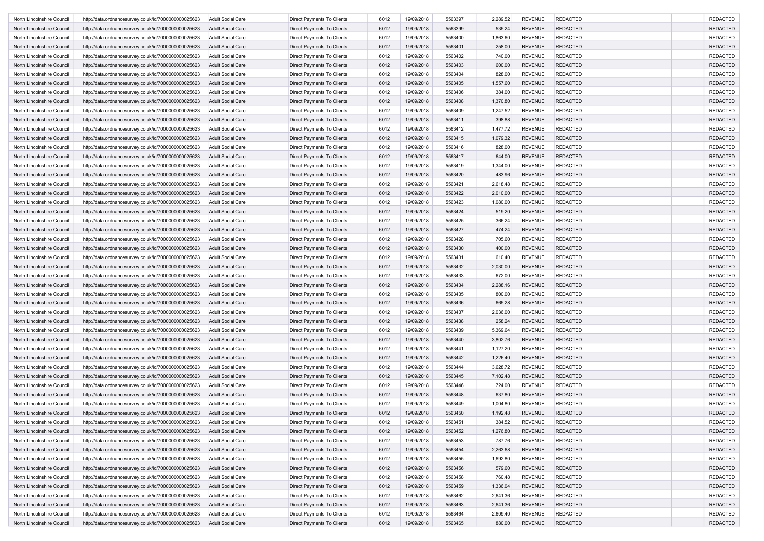| <b>Adult Social Care</b><br>Direct Payments To Clients<br>6012<br>19/09/2018<br>5563397<br>2,289.52<br><b>REVENUE</b><br><b>REDACTED</b><br>North Lincolnshire Council<br>http://data.ordnancesurvey.co.uk/id/7000000000025623<br>6012<br>19/09/2018<br>5563399<br><b>REVENUE</b><br><b>REDACTED</b><br>http://data.ordnancesurvey.co.uk/id/7000000000025623<br><b>Adult Social Care</b><br>Direct Payments To Clients<br>535.24<br>North Lincolnshire Council<br><b>REDACTED</b><br>North Lincolnshire Council<br>http://data.ordnancesurvey.co.uk/id/7000000000025623<br><b>Adult Social Care</b><br>Direct Payments To Clients<br>6012<br>19/09/2018<br>5563400<br>1,863.60<br><b>REVENUE</b><br><b>REVENUE</b><br>Direct Payments To Clients<br>6012<br>19/09/2018<br>5563401<br>258.00<br><b>REDACTED</b><br>North Lincolnshire Council<br>http://data.ordnancesurvey.co.uk/id/7000000000025623<br><b>Adult Social Care</b><br>6012<br>19/09/2018<br>5563402<br>740.00<br><b>REVENUE</b><br><b>REDACTED</b><br>North Lincolnshire Council<br>http://data.ordnancesurvey.co.uk/id/7000000000025623<br><b>Adult Social Care</b><br>Direct Payments To Clients<br>5563403<br>North Lincolnshire Council<br><b>Adult Social Care</b><br>Direct Payments To Clients<br>6012<br>19/09/2018<br>600.00<br><b>REVENUE</b><br><b>REDACTED</b><br>http://data.ordnancesurvey.co.uk/id/7000000000025623<br>North Lincolnshire Council<br>http://data.ordnancesurvey.co.uk/id/7000000000025623<br><b>Adult Social Care</b><br>Direct Payments To Clients<br>6012<br>19/09/2018<br>5563404<br>828.00<br><b>REVENUE</b><br><b>REDACTED</b><br>6012<br>19/09/2018<br>5563405<br><b>REVENUE</b><br><b>REDACTED</b><br>Direct Payments To Clients<br>1,557.60<br>North Lincolnshire Council<br>http://data.ordnancesurvey.co.uk/id/7000000000025623<br><b>Adult Social Care</b><br>6012<br>19/09/2018<br>5563406<br><b>REVENUE</b><br><b>REDACTED</b><br>North Lincolnshire Council<br><b>Adult Social Care</b><br>Direct Payments To Clients<br>384.00<br>http://data.ordnancesurvey.co.uk/id/7000000000025623<br>North Lincolnshire Council<br>http://data.ordnancesurvey.co.uk/id/7000000000025623<br><b>Adult Social Care</b><br>Direct Payments To Clients<br>6012<br>19/09/2018<br>5563408<br>1,370.80<br><b>REVENUE</b><br><b>REDACTED</b><br>6012<br>North Lincolnshire Council<br>http://data.ordnancesurvey.co.uk/id/7000000000025623<br><b>Adult Social Care</b><br>Direct Payments To Clients<br>19/09/2018<br>5563409<br>1,247.52<br><b>REVENUE</b><br><b>REDACTED</b><br>Direct Payments To Clients<br>6012<br>19/09/2018<br>5563411<br>398.88<br><b>REVENUE</b><br><b>REDACTED</b><br>North Lincolnshire Council<br>http://data.ordnancesurvey.co.uk/id/7000000000025623<br><b>Adult Social Care</b><br>5563412<br>North Lincolnshire Council<br>http://data.ordnancesurvey.co.uk/id/7000000000025623<br><b>Adult Social Care</b><br>Direct Payments To Clients<br>6012<br>19/09/2018<br>1,477.72<br><b>REVENUE</b><br><b>REDACTED</b><br>6012<br>5563415<br>North Lincolnshire Council<br><b>Adult Social Care</b><br>Direct Payments To Clients<br>19/09/2018<br>1,079.32<br><b>REVENUE</b><br><b>REDACTED</b><br>http://data.ordnancesurvey.co.uk/id/7000000000025623<br><b>REVENUE</b><br>Direct Payments To Clients<br>6012<br>19/09/2018<br>5563416<br><b>REDACTED</b><br>North Lincolnshire Council<br>http://data.ordnancesurvey.co.uk/id/7000000000025623<br>Adult Social Care<br>828.00<br>6012<br>19/09/2018<br>5563417<br><b>REVENUE</b><br><b>REDACTED</b><br>http://data.ordnancesurvey.co.uk/id/7000000000025623<br><b>Adult Social Care</b><br>Direct Payments To Clients<br>644.00<br>North Lincolnshire Council<br><b>REVENUE</b><br><b>REDACTED</b><br>North Lincolnshire Council<br>http://data.ordnancesurvey.co.uk/id/7000000000025623<br><b>Adult Social Care</b><br>Direct Payments To Clients<br>6012<br>19/09/2018<br>5563419<br>1,344.00<br>North Lincolnshire Council<br>http://data.ordnancesurvey.co.uk/id/7000000000025623<br><b>Adult Social Care</b><br>Direct Payments To Clients<br>6012<br>19/09/2018<br>5563420<br>483.96<br><b>REVENUE</b><br><b>REDACTED</b><br>6012<br>Direct Payments To Clients<br>19/09/2018<br>5563421<br>2,618.48<br><b>REVENUE</b><br><b>REDACTED</b><br>North Lincolnshire Council<br>http://data.ordnancesurvey.co.uk/id/7000000000025623<br><b>Adult Social Care</b><br>6012<br>19/09/2018<br>5563422<br>2,010.00<br><b>REVENUE</b><br><b>REDACTED</b><br>North Lincolnshire Council<br>http://data.ordnancesurvey.co.uk/id/7000000000025623<br><b>Adult Social Care</b><br>Direct Payments To Clients<br>19/09/2018<br>5563423<br><b>REVENUE</b><br><b>REDACTED</b><br>North Lincolnshire Council<br>http://data.ordnancesurvey.co.uk/id/7000000000025623<br><b>Adult Social Care</b><br>Direct Payments To Clients<br>6012<br>1,080.00<br>6012<br><b>REVENUE</b><br><b>REDACTED</b><br>19/09/2018<br>5563424<br>519.20<br>North Lincolnshire Council<br>http://data.ordnancesurvey.co.uk/id/7000000000025623<br><b>Adult Social Care</b><br>Direct Payments To Clients<br>19/09/2018<br>5563425<br>366.24<br><b>REVENUE</b><br><b>REDACTED</b><br>North Lincolnshire Council<br><b>Adult Social Care</b><br>Direct Payments To Clients<br>6012<br>http://data.ordnancesurvey.co.uk/id/7000000000025623<br>5563427<br><b>REVENUE</b><br><b>REDACTED</b><br>North Lincolnshire Council<br>http://data.ordnancesurvey.co.uk/id/7000000000025623<br><b>Adult Social Care</b><br>Direct Payments To Clients<br>6012<br>19/09/2018<br>474.24<br>North Lincolnshire Council<br><b>Adult Social Care</b><br>Direct Payments To Clients<br>6012<br>19/09/2018<br>5563428<br>705.60<br><b>REVENUE</b><br><b>REDACTED</b><br>http://data.ordnancesurvey.co.uk/id/7000000000025623<br>6012<br>19/09/2018<br>5563430<br><b>REVENUE</b><br><b>REDACTED</b><br>North Lincolnshire Council<br>http://data.ordnancesurvey.co.uk/id/7000000000025623<br><b>Adult Social Care</b><br>Direct Payments To Clients<br>400.00<br>6012<br>19/09/2018<br>5563431<br>610.40<br><b>REVENUE</b><br><b>REDACTED</b><br>North Lincolnshire Council<br>http://data.ordnancesurvey.co.uk/id/7000000000025623<br><b>Adult Social Care</b><br>Direct Payments To Clients<br>North Lincolnshire Council<br>http://data.ordnancesurvey.co.uk/id/7000000000025623<br><b>Adult Social Care</b><br>Direct Payments To Clients<br>6012<br>19/09/2018<br>5563432<br>2,030.00<br><b>REVENUE</b><br><b>REDACTED</b><br>North Lincolnshire Council<br>http://data.ordnancesurvey.co.uk/id/7000000000025623<br><b>Adult Social Care</b><br>Direct Payments To Clients<br>6012<br>19/09/2018<br>5563433<br>672.00<br><b>REVENUE</b><br><b>REDACTED</b><br>6012<br>19/09/2018<br>5563434<br>2,288.16<br><b>REVENUE</b><br><b>REDACTED</b><br><b>Adult Social Care</b><br>Direct Payments To Clients<br>North Lincolnshire Council<br>http://data.ordnancesurvey.co.uk/id/7000000000025623<br>5563435<br>North Lincolnshire Council<br>http://data.ordnancesurvey.co.uk/id/7000000000025623<br><b>Adult Social Care</b><br>Direct Payments To Clients<br>6012<br>19/09/2018<br>800.00<br><b>REVENUE</b><br><b>REDACTED</b><br>North Lincolnshire Council<br>http://data.ordnancesurvey.co.uk/id/7000000000025623<br><b>Adult Social Care</b><br>Direct Payments To Clients<br>6012<br>19/09/2018<br>5563436<br>665.28<br><b>REVENUE</b><br><b>REDACTED</b><br>6012<br>19/09/2018<br>5563437<br>2,036.00<br><b>REVENUE</b><br><b>REDACTED</b><br><b>Adult Social Care</b><br>Direct Payments To Clients<br>North Lincolnshire Council<br>http://data.ordnancesurvey.co.uk/id/7000000000025623<br>6012<br>19/09/2018<br>5563438<br><b>REVENUE</b><br><b>REDACTED</b><br>North Lincolnshire Council<br><b>Adult Social Care</b><br>Direct Payments To Clients<br>258.24<br>http://data.ordnancesurvey.co.uk/id/7000000000025623<br>North Lincolnshire Council<br>http://data.ordnancesurvey.co.uk/id/7000000000025623<br><b>Adult Social Care</b><br>Direct Payments To Clients<br>6012<br>19/09/2018<br>5563439<br>5,369.64<br><b>REVENUE</b><br><b>REDACTED</b><br>North Lincolnshire Council<br>http://data.ordnancesurvey.co.uk/id/7000000000025623<br><b>Adult Social Care</b><br>Direct Payments To Clients<br>6012<br>19/09/2018<br>5563440<br>3,802.76<br><b>REVENUE</b><br><b>REDACTED</b><br>North Lincolnshire Council<br>Direct Payments To Clients<br>6012<br>19/09/2018<br>5563441<br>1,127.20<br><b>REVENUE</b><br><b>REDACTED</b><br>http://data.ordnancesurvey.co.uk/id/7000000000025623<br><b>Adult Social Care</b><br>6012<br>19/09/2018<br>5563442<br>1,226.40<br><b>REVENUE</b><br><b>REDACTED</b><br>North Lincolnshire Council<br>http://data.ordnancesurvey.co.uk/id/7000000000025623<br><b>Adult Social Care</b><br>Direct Payments To Clients<br>6012<br>19/09/2018<br>5563444<br><b>REVENUE</b><br><b>REDACTED</b><br>North Lincolnshire Council<br>http://data.ordnancesurvey.co.uk/id/7000000000025623<br><b>Adult Social Care</b><br>Direct Payments To Clients<br>3,628.72<br>6012<br>19/09/2018<br>5563445<br><b>REVENUE</b><br><b>REDACTED</b><br>North Lincolnshire Council<br>http://data.ordnancesurvey.co.uk/id/7000000000025623<br><b>Adult Social Care</b><br>Direct Payments To Clients<br>7,102.48<br>6012<br>5563446<br><b>REVENUE</b><br><b>REDACTED</b><br>Direct Payments To Clients<br>19/09/2018<br>724.00<br>North Lincolnshire Council<br>http://data.ordnancesurvey.co.uk/id/7000000000025623<br>Adult Social Care<br>North Lincolnshire Council<br>http://data.ordnancesurvey.co.uk/id/7000000000025623<br><b>Adult Social Care</b><br><b>Direct Payments To Clients</b><br>6012<br>19/09/2018<br>5563448<br>637.80<br><b>REVENUE</b><br><b>REDACTED</b><br>North Lincolnshire Council<br><b>Adult Social Care</b><br>Direct Payments To Clients<br>6012<br>19/09/2018<br>5563449<br>1,004.80<br><b>REVENUE</b><br><b>REDACTED</b><br>http://data.ordnancesurvey.co.uk/id/7000000000025623<br>6012<br>5563450<br>http://data.ordnancesurvey.co.uk/id/7000000000025623<br>Direct Payments To Clients<br>19/09/2018<br>1,192.48<br><b>REVENUE</b><br><b>REDACTED</b><br>North Lincolnshire Council<br><b>Adult Social Care</b><br><b>Adult Social Care</b><br>Direct Payments To Clients<br>North Lincolnshire Council<br>http://data.ordnancesurvey.co.uk/id/7000000000025623<br>5563451<br>384.52<br>REDACTED<br>19/09/2018<br>6012<br>REVENUE<br>19/09/2018<br>5563452<br><b>REVENUE</b><br><b>REDACTED</b><br>North Lincolnshire Council<br>http://data.ordnancesurvey.co.uk/id/7000000000025623<br><b>Adult Social Care</b><br>Direct Payments To Clients<br>6012<br>1,276.80<br>North Lincolnshire Council<br>Direct Payments To Clients<br>6012<br>19/09/2018<br>5563453<br>787.76<br><b>REVENUE</b><br><b>REDACTED</b><br>http://data.ordnancesurvey.co.uk/id/7000000000025623<br><b>Adult Social Care</b><br>Direct Payments To Clients<br>6012<br>19/09/2018<br>5563454<br>2,263.68<br><b>REVENUE</b><br><b>REDACTED</b><br>North Lincolnshire Council<br>http://data.ordnancesurvey.co.uk/id/7000000000025623<br><b>Adult Social Care</b><br>Direct Payments To Clients<br>19/09/2018<br>5563455<br><b>REVENUE</b><br>REDACTED<br>North Lincolnshire Council<br>http://data.ordnancesurvey.co.uk/id/7000000000025623<br><b>Adult Social Care</b><br>6012<br>1,692.80<br>REDACTED<br>North Lincolnshire Council<br>http://data.ordnancesurvey.co.uk/id/7000000000025623<br><b>Adult Social Care</b><br>Direct Payments To Clients<br>6012<br>19/09/2018<br>5563456<br>579.60<br><b>REVENUE</b><br><b>REDACTED</b><br>North Lincolnshire Council<br>http://data.ordnancesurvey.co.uk/id/7000000000025623<br><b>Adult Social Care</b><br>Direct Payments To Clients<br>6012<br>19/09/2018<br>5563458<br>760.48<br><b>REVENUE</b><br>http://data.ordnancesurvey.co.uk/id/7000000000025623<br><b>Adult Social Care</b><br>Direct Payments To Clients<br>6012<br>19/09/2018<br>5563459<br>1,336.04<br><b>REVENUE</b><br><b>REDACTED</b><br>North Lincolnshire Council<br>North Lincolnshire Council<br>http://data.ordnancesurvey.co.uk/id/7000000000025623<br>Direct Payments To Clients<br>6012<br>19/09/2018<br>5563462<br>2,641.36<br><b>REVENUE</b><br><b>REDACTED</b><br><b>Adult Social Care</b><br>19/09/2018<br><b>REDACTED</b><br>North Lincolnshire Council<br>http://data.ordnancesurvey.co.uk/id/7000000000025623<br><b>Adult Social Care</b><br>Direct Payments To Clients<br>6012<br>5563463<br>2,641.36<br><b>REVENUE</b><br>6012<br>5563464<br><b>REVENUE</b><br><b>REDACTED</b><br><b>Adult Social Care</b><br>Direct Payments To Clients<br>19/09/2018<br>2,609.40<br>North Lincolnshire Council<br>http://data.ordnancesurvey.co.uk/id/7000000000025623 |                            |                                                      |                          |                            |      |            |         |        |                |                 |                 |
|-----------------------------------------------------------------------------------------------------------------------------------------------------------------------------------------------------------------------------------------------------------------------------------------------------------------------------------------------------------------------------------------------------------------------------------------------------------------------------------------------------------------------------------------------------------------------------------------------------------------------------------------------------------------------------------------------------------------------------------------------------------------------------------------------------------------------------------------------------------------------------------------------------------------------------------------------------------------------------------------------------------------------------------------------------------------------------------------------------------------------------------------------------------------------------------------------------------------------------------------------------------------------------------------------------------------------------------------------------------------------------------------------------------------------------------------------------------------------------------------------------------------------------------------------------------------------------------------------------------------------------------------------------------------------------------------------------------------------------------------------------------------------------------------------------------------------------------------------------------------------------------------------------------------------------------------------------------------------------------------------------------------------------------------------------------------------------------------------------------------------------------------------------------------------------------------------------------------------------------------------------------------------------------------------------------------------------------------------------------------------------------------------------------------------------------------------------------------------------------------------------------------------------------------------------------------------------------------------------------------------------------------------------------------------------------------------------------------------------------------------------------------------------------------------------------------------------------------------------------------------------------------------------------------------------------------------------------------------------------------------------------------------------------------------------------------------------------------------------------------------------------------------------------------------------------------------------------------------------------------------------------------------------------------------------------------------------------------------------------------------------------------------------------------------------------------------------------------------------------------------------------------------------------------------------------------------------------------------------------------------------------------------------------------------------------------------------------------------------------------------------------------------------------------------------------------------------------------------------------------------------------------------------------------------------------------------------------------------------------------------------------------------------------------------------------------------------------------------------------------------------------------------------------------------------------------------------------------------------------------------------------------------------------------------------------------------------------------------------------------------------------------------------------------------------------------------------------------------------------------------------------------------------------------------------------------------------------------------------------------------------------------------------------------------------------------------------------------------------------------------------------------------------------------------------------------------------------------------------------------------------------------------------------------------------------------------------------------------------------------------------------------------------------------------------------------------------------------------------------------------------------------------------------------------------------------------------------------------------------------------------------------------------------------------------------------------------------------------------------------------------------------------------------------------------------------------------------------------------------------------------------------------------------------------------------------------------------------------------------------------------------------------------------------------------------------------------------------------------------------------------------------------------------------------------------------------------------------------------------------------------------------------------------------------------------------------------------------------------------------------------------------------------------------------------------------------------------------------------------------------------------------------------------------------------------------------------------------------------------------------------------------------------------------------------------------------------------------------------------------------------------------------------------------------------------------------------------------------------------------------------------------------------------------------------------------------------------------------------------------------------------------------------------------------------------------------------------------------------------------------------------------------------------------------------------------------------------------------------------------------------------------------------------------------------------------------------------------------------------------------------------------------------------------------------------------------------------------------------------------------------------------------------------------------------------------------------------------------------------------------------------------------------------------------------------------------------------------------------------------------------------------------------------------------------------------------------------------------------------------------------------------------------------------------------------------------------------------------------------------------------------------------------------------------------------------------------------------------------------------------------------------------------------------------------------------------------------------------------------------------------------------------------------------------------------------------------------------------------------------------------------------------------------------------------------------------------------------------------------------------------------------------------------------------------------------------------------------------------------------------------------------------------------------------------------------------------------------------------------------------------------------------------------------------------------------------------------------------------------------------------------------------------------------------------------------------------------------------------------------------------------------------------------------------------------------------------------------------------------------------------------------------------------------------------------------------------------------------------------------------------------------------------------------------------------------------------------------------------------------------------------------------------------------------------------------------------------------------------------------------------------------------------------------------------------------------------------------------------------------------------------------------------------------------------------------------------------------------------------------------------------------------------------------------------------------------------------------------------------------------------------------------------------------------------------------------------------------------------------------------------------------------------------------------------------------------------------------------------------------------------------------------------------------------------------------------------------------------------------------------------------------------------------------------------------------------------------------------------------------------------------------------------------------------------------------------------------------------------------------------------------------------------------------------------------------------------------------------------------------------------------------------------------------------------------------------------------------------------------------------------------------------------------------------------------------------------------------------------------------------------------------------------------------------------------------------------------------------------------------------------------------------------------------------------------------------------------------------------------------------------------------------------------------------------------------------------------------------------------------------------------------------------------------------------------------------------------------------------------------------------------------------------------------------------------------------------------------------------------------------------------------------------------------------------------------------------------------------------------------------------------------------------------------------------------------------------------------------------------------------------------------------------------------------------------------------------------------------------------------------------------------------------------------------------------------------------------------------------------------------------------------------------------------------------------------------------------------------------------------------------------------------------------------------------------------------------------------------------------------------------------------------------------------------------------------------------------------------------------------------------------------------------------------------------------------------------------------------------------------------------------------------------------------------------------------------------------------------------------------------------------------------------------------------------------------------------------------------------------------------------------------------------------------------------------------------------------------------------------------------------------------------------------------------------------------------------------------------------------------------------------------------------------------------------------------------------------------------------------------------------------------------------------------------------------------------------------------------------|----------------------------|------------------------------------------------------|--------------------------|----------------------------|------|------------|---------|--------|----------------|-----------------|-----------------|
|                                                                                                                                                                                                                                                                                                                                                                                                                                                                                                                                                                                                                                                                                                                                                                                                                                                                                                                                                                                                                                                                                                                                                                                                                                                                                                                                                                                                                                                                                                                                                                                                                                                                                                                                                                                                                                                                                                                                                                                                                                                                                                                                                                                                                                                                                                                                                                                                                                                                                                                                                                                                                                                                                                                                                                                                                                                                                                                                                                                                                                                                                                                                                                                                                                                                                                                                                                                                                                                                                                                                                                                                                                                                                                                                                                                                                                                                                                                                                                                                                                                                                                                                                                                                                                                                                                                                                                                                                                                                                                                                                                                                                                                                                                                                                                                                                                                                                                                                                                                                                                                                                                                                                                                                                                                                                                                                                                                                                                                                                                                                                                                                                                                                                                                                                                                                                                                                                                                                                                                                                                                                                                                                                                                                                                                                                                                                                                                                                                                                                                                                                                                                                                                                                                                                                                                                                                                                                                                                                                                                                                                                                                                                                                                                                                                                                                                                                                                                                                                                                                                                                                                                                                                                                                                                                                                                                                                                                                                                                                                                                                                                                                                                                                                                                                                                                                                                                                                                                                                                                                                                                                                                                                                                                                                                                                                                                                                                                                                                                                                                                                                                                                                                                                                                                                                                                                                                                                                                                                                                                                                                                                                                                                                                                                                                                                                                                                                                                                                                                                                                                                                                                                                                                                                                                                                                                                                                                                                                                                                                                                                                                                                                                                                                                                                                                                                                                                                                                                                                                                                                                                                                                                                                                                                                                                                                                                                                                                                                                                                                                                                                                                                                                                                                                                                                                                                                                                                                                                                                                                                                                                                                                                                                                                                                                                                                                                                                                                                                                                                                                                                                                                                                                                                                                                                                                                                                                                                     |                            |                                                      |                          |                            |      |            |         |        |                |                 | <b>REDACTED</b> |
|                                                                                                                                                                                                                                                                                                                                                                                                                                                                                                                                                                                                                                                                                                                                                                                                                                                                                                                                                                                                                                                                                                                                                                                                                                                                                                                                                                                                                                                                                                                                                                                                                                                                                                                                                                                                                                                                                                                                                                                                                                                                                                                                                                                                                                                                                                                                                                                                                                                                                                                                                                                                                                                                                                                                                                                                                                                                                                                                                                                                                                                                                                                                                                                                                                                                                                                                                                                                                                                                                                                                                                                                                                                                                                                                                                                                                                                                                                                                                                                                                                                                                                                                                                                                                                                                                                                                                                                                                                                                                                                                                                                                                                                                                                                                                                                                                                                                                                                                                                                                                                                                                                                                                                                                                                                                                                                                                                                                                                                                                                                                                                                                                                                                                                                                                                                                                                                                                                                                                                                                                                                                                                                                                                                                                                                                                                                                                                                                                                                                                                                                                                                                                                                                                                                                                                                                                                                                                                                                                                                                                                                                                                                                                                                                                                                                                                                                                                                                                                                                                                                                                                                                                                                                                                                                                                                                                                                                                                                                                                                                                                                                                                                                                                                                                                                                                                                                                                                                                                                                                                                                                                                                                                                                                                                                                                                                                                                                                                                                                                                                                                                                                                                                                                                                                                                                                                                                                                                                                                                                                                                                                                                                                                                                                                                                                                                                                                                                                                                                                                                                                                                                                                                                                                                                                                                                                                                                                                                                                                                                                                                                                                                                                                                                                                                                                                                                                                                                                                                                                                                                                                                                                                                                                                                                                                                                                                                                                                                                                                                                                                                                                                                                                                                                                                                                                                                                                                                                                                                                                                                                                                                                                                                                                                                                                                                                                                                                                                                                                                                                                                                                                                                                                                                                                                                                                                                                                                                     |                            |                                                      |                          |                            |      |            |         |        |                |                 | <b>REDACTED</b> |
|                                                                                                                                                                                                                                                                                                                                                                                                                                                                                                                                                                                                                                                                                                                                                                                                                                                                                                                                                                                                                                                                                                                                                                                                                                                                                                                                                                                                                                                                                                                                                                                                                                                                                                                                                                                                                                                                                                                                                                                                                                                                                                                                                                                                                                                                                                                                                                                                                                                                                                                                                                                                                                                                                                                                                                                                                                                                                                                                                                                                                                                                                                                                                                                                                                                                                                                                                                                                                                                                                                                                                                                                                                                                                                                                                                                                                                                                                                                                                                                                                                                                                                                                                                                                                                                                                                                                                                                                                                                                                                                                                                                                                                                                                                                                                                                                                                                                                                                                                                                                                                                                                                                                                                                                                                                                                                                                                                                                                                                                                                                                                                                                                                                                                                                                                                                                                                                                                                                                                                                                                                                                                                                                                                                                                                                                                                                                                                                                                                                                                                                                                                                                                                                                                                                                                                                                                                                                                                                                                                                                                                                                                                                                                                                                                                                                                                                                                                                                                                                                                                                                                                                                                                                                                                                                                                                                                                                                                                                                                                                                                                                                                                                                                                                                                                                                                                                                                                                                                                                                                                                                                                                                                                                                                                                                                                                                                                                                                                                                                                                                                                                                                                                                                                                                                                                                                                                                                                                                                                                                                                                                                                                                                                                                                                                                                                                                                                                                                                                                                                                                                                                                                                                                                                                                                                                                                                                                                                                                                                                                                                                                                                                                                                                                                                                                                                                                                                                                                                                                                                                                                                                                                                                                                                                                                                                                                                                                                                                                                                                                                                                                                                                                                                                                                                                                                                                                                                                                                                                                                                                                                                                                                                                                                                                                                                                                                                                                                                                                                                                                                                                                                                                                                                                                                                                                                                                                                                                     |                            |                                                      |                          |                            |      |            |         |        |                |                 | <b>REDACTED</b> |
|                                                                                                                                                                                                                                                                                                                                                                                                                                                                                                                                                                                                                                                                                                                                                                                                                                                                                                                                                                                                                                                                                                                                                                                                                                                                                                                                                                                                                                                                                                                                                                                                                                                                                                                                                                                                                                                                                                                                                                                                                                                                                                                                                                                                                                                                                                                                                                                                                                                                                                                                                                                                                                                                                                                                                                                                                                                                                                                                                                                                                                                                                                                                                                                                                                                                                                                                                                                                                                                                                                                                                                                                                                                                                                                                                                                                                                                                                                                                                                                                                                                                                                                                                                                                                                                                                                                                                                                                                                                                                                                                                                                                                                                                                                                                                                                                                                                                                                                                                                                                                                                                                                                                                                                                                                                                                                                                                                                                                                                                                                                                                                                                                                                                                                                                                                                                                                                                                                                                                                                                                                                                                                                                                                                                                                                                                                                                                                                                                                                                                                                                                                                                                                                                                                                                                                                                                                                                                                                                                                                                                                                                                                                                                                                                                                                                                                                                                                                                                                                                                                                                                                                                                                                                                                                                                                                                                                                                                                                                                                                                                                                                                                                                                                                                                                                                                                                                                                                                                                                                                                                                                                                                                                                                                                                                                                                                                                                                                                                                                                                                                                                                                                                                                                                                                                                                                                                                                                                                                                                                                                                                                                                                                                                                                                                                                                                                                                                                                                                                                                                                                                                                                                                                                                                                                                                                                                                                                                                                                                                                                                                                                                                                                                                                                                                                                                                                                                                                                                                                                                                                                                                                                                                                                                                                                                                                                                                                                                                                                                                                                                                                                                                                                                                                                                                                                                                                                                                                                                                                                                                                                                                                                                                                                                                                                                                                                                                                                                                                                                                                                                                                                                                                                                                                                                                                                                                                                                                     |                            |                                                      |                          |                            |      |            |         |        |                |                 | <b>REDACTED</b> |
|                                                                                                                                                                                                                                                                                                                                                                                                                                                                                                                                                                                                                                                                                                                                                                                                                                                                                                                                                                                                                                                                                                                                                                                                                                                                                                                                                                                                                                                                                                                                                                                                                                                                                                                                                                                                                                                                                                                                                                                                                                                                                                                                                                                                                                                                                                                                                                                                                                                                                                                                                                                                                                                                                                                                                                                                                                                                                                                                                                                                                                                                                                                                                                                                                                                                                                                                                                                                                                                                                                                                                                                                                                                                                                                                                                                                                                                                                                                                                                                                                                                                                                                                                                                                                                                                                                                                                                                                                                                                                                                                                                                                                                                                                                                                                                                                                                                                                                                                                                                                                                                                                                                                                                                                                                                                                                                                                                                                                                                                                                                                                                                                                                                                                                                                                                                                                                                                                                                                                                                                                                                                                                                                                                                                                                                                                                                                                                                                                                                                                                                                                                                                                                                                                                                                                                                                                                                                                                                                                                                                                                                                                                                                                                                                                                                                                                                                                                                                                                                                                                                                                                                                                                                                                                                                                                                                                                                                                                                                                                                                                                                                                                                                                                                                                                                                                                                                                                                                                                                                                                                                                                                                                                                                                                                                                                                                                                                                                                                                                                                                                                                                                                                                                                                                                                                                                                                                                                                                                                                                                                                                                                                                                                                                                                                                                                                                                                                                                                                                                                                                                                                                                                                                                                                                                                                                                                                                                                                                                                                                                                                                                                                                                                                                                                                                                                                                                                                                                                                                                                                                                                                                                                                                                                                                                                                                                                                                                                                                                                                                                                                                                                                                                                                                                                                                                                                                                                                                                                                                                                                                                                                                                                                                                                                                                                                                                                                                                                                                                                                                                                                                                                                                                                                                                                                                                                                                                                                     |                            |                                                      |                          |                            |      |            |         |        |                |                 | <b>REDACTED</b> |
|                                                                                                                                                                                                                                                                                                                                                                                                                                                                                                                                                                                                                                                                                                                                                                                                                                                                                                                                                                                                                                                                                                                                                                                                                                                                                                                                                                                                                                                                                                                                                                                                                                                                                                                                                                                                                                                                                                                                                                                                                                                                                                                                                                                                                                                                                                                                                                                                                                                                                                                                                                                                                                                                                                                                                                                                                                                                                                                                                                                                                                                                                                                                                                                                                                                                                                                                                                                                                                                                                                                                                                                                                                                                                                                                                                                                                                                                                                                                                                                                                                                                                                                                                                                                                                                                                                                                                                                                                                                                                                                                                                                                                                                                                                                                                                                                                                                                                                                                                                                                                                                                                                                                                                                                                                                                                                                                                                                                                                                                                                                                                                                                                                                                                                                                                                                                                                                                                                                                                                                                                                                                                                                                                                                                                                                                                                                                                                                                                                                                                                                                                                                                                                                                                                                                                                                                                                                                                                                                                                                                                                                                                                                                                                                                                                                                                                                                                                                                                                                                                                                                                                                                                                                                                                                                                                                                                                                                                                                                                                                                                                                                                                                                                                                                                                                                                                                                                                                                                                                                                                                                                                                                                                                                                                                                                                                                                                                                                                                                                                                                                                                                                                                                                                                                                                                                                                                                                                                                                                                                                                                                                                                                                                                                                                                                                                                                                                                                                                                                                                                                                                                                                                                                                                                                                                                                                                                                                                                                                                                                                                                                                                                                                                                                                                                                                                                                                                                                                                                                                                                                                                                                                                                                                                                                                                                                                                                                                                                                                                                                                                                                                                                                                                                                                                                                                                                                                                                                                                                                                                                                                                                                                                                                                                                                                                                                                                                                                                                                                                                                                                                                                                                                                                                                                                                                                                                                                                                     |                            |                                                      |                          |                            |      |            |         |        |                |                 | <b>REDACTED</b> |
|                                                                                                                                                                                                                                                                                                                                                                                                                                                                                                                                                                                                                                                                                                                                                                                                                                                                                                                                                                                                                                                                                                                                                                                                                                                                                                                                                                                                                                                                                                                                                                                                                                                                                                                                                                                                                                                                                                                                                                                                                                                                                                                                                                                                                                                                                                                                                                                                                                                                                                                                                                                                                                                                                                                                                                                                                                                                                                                                                                                                                                                                                                                                                                                                                                                                                                                                                                                                                                                                                                                                                                                                                                                                                                                                                                                                                                                                                                                                                                                                                                                                                                                                                                                                                                                                                                                                                                                                                                                                                                                                                                                                                                                                                                                                                                                                                                                                                                                                                                                                                                                                                                                                                                                                                                                                                                                                                                                                                                                                                                                                                                                                                                                                                                                                                                                                                                                                                                                                                                                                                                                                                                                                                                                                                                                                                                                                                                                                                                                                                                                                                                                                                                                                                                                                                                                                                                                                                                                                                                                                                                                                                                                                                                                                                                                                                                                                                                                                                                                                                                                                                                                                                                                                                                                                                                                                                                                                                                                                                                                                                                                                                                                                                                                                                                                                                                                                                                                                                                                                                                                                                                                                                                                                                                                                                                                                                                                                                                                                                                                                                                                                                                                                                                                                                                                                                                                                                                                                                                                                                                                                                                                                                                                                                                                                                                                                                                                                                                                                                                                                                                                                                                                                                                                                                                                                                                                                                                                                                                                                                                                                                                                                                                                                                                                                                                                                                                                                                                                                                                                                                                                                                                                                                                                                                                                                                                                                                                                                                                                                                                                                                                                                                                                                                                                                                                                                                                                                                                                                                                                                                                                                                                                                                                                                                                                                                                                                                                                                                                                                                                                                                                                                                                                                                                                                                                                                                                                     |                            |                                                      |                          |                            |      |            |         |        |                |                 | <b>REDACTED</b> |
|                                                                                                                                                                                                                                                                                                                                                                                                                                                                                                                                                                                                                                                                                                                                                                                                                                                                                                                                                                                                                                                                                                                                                                                                                                                                                                                                                                                                                                                                                                                                                                                                                                                                                                                                                                                                                                                                                                                                                                                                                                                                                                                                                                                                                                                                                                                                                                                                                                                                                                                                                                                                                                                                                                                                                                                                                                                                                                                                                                                                                                                                                                                                                                                                                                                                                                                                                                                                                                                                                                                                                                                                                                                                                                                                                                                                                                                                                                                                                                                                                                                                                                                                                                                                                                                                                                                                                                                                                                                                                                                                                                                                                                                                                                                                                                                                                                                                                                                                                                                                                                                                                                                                                                                                                                                                                                                                                                                                                                                                                                                                                                                                                                                                                                                                                                                                                                                                                                                                                                                                                                                                                                                                                                                                                                                                                                                                                                                                                                                                                                                                                                                                                                                                                                                                                                                                                                                                                                                                                                                                                                                                                                                                                                                                                                                                                                                                                                                                                                                                                                                                                                                                                                                                                                                                                                                                                                                                                                                                                                                                                                                                                                                                                                                                                                                                                                                                                                                                                                                                                                                                                                                                                                                                                                                                                                                                                                                                                                                                                                                                                                                                                                                                                                                                                                                                                                                                                                                                                                                                                                                                                                                                                                                                                                                                                                                                                                                                                                                                                                                                                                                                                                                                                                                                                                                                                                                                                                                                                                                                                                                                                                                                                                                                                                                                                                                                                                                                                                                                                                                                                                                                                                                                                                                                                                                                                                                                                                                                                                                                                                                                                                                                                                                                                                                                                                                                                                                                                                                                                                                                                                                                                                                                                                                                                                                                                                                                                                                                                                                                                                                                                                                                                                                                                                                                                                                                                                                     |                            |                                                      |                          |                            |      |            |         |        |                |                 | <b>REDACTED</b> |
|                                                                                                                                                                                                                                                                                                                                                                                                                                                                                                                                                                                                                                                                                                                                                                                                                                                                                                                                                                                                                                                                                                                                                                                                                                                                                                                                                                                                                                                                                                                                                                                                                                                                                                                                                                                                                                                                                                                                                                                                                                                                                                                                                                                                                                                                                                                                                                                                                                                                                                                                                                                                                                                                                                                                                                                                                                                                                                                                                                                                                                                                                                                                                                                                                                                                                                                                                                                                                                                                                                                                                                                                                                                                                                                                                                                                                                                                                                                                                                                                                                                                                                                                                                                                                                                                                                                                                                                                                                                                                                                                                                                                                                                                                                                                                                                                                                                                                                                                                                                                                                                                                                                                                                                                                                                                                                                                                                                                                                                                                                                                                                                                                                                                                                                                                                                                                                                                                                                                                                                                                                                                                                                                                                                                                                                                                                                                                                                                                                                                                                                                                                                                                                                                                                                                                                                                                                                                                                                                                                                                                                                                                                                                                                                                                                                                                                                                                                                                                                                                                                                                                                                                                                                                                                                                                                                                                                                                                                                                                                                                                                                                                                                                                                                                                                                                                                                                                                                                                                                                                                                                                                                                                                                                                                                                                                                                                                                                                                                                                                                                                                                                                                                                                                                                                                                                                                                                                                                                                                                                                                                                                                                                                                                                                                                                                                                                                                                                                                                                                                                                                                                                                                                                                                                                                                                                                                                                                                                                                                                                                                                                                                                                                                                                                                                                                                                                                                                                                                                                                                                                                                                                                                                                                                                                                                                                                                                                                                                                                                                                                                                                                                                                                                                                                                                                                                                                                                                                                                                                                                                                                                                                                                                                                                                                                                                                                                                                                                                                                                                                                                                                                                                                                                                                                                                                                                                                                                                     |                            |                                                      |                          |                            |      |            |         |        |                |                 | <b>REDACTED</b> |
|                                                                                                                                                                                                                                                                                                                                                                                                                                                                                                                                                                                                                                                                                                                                                                                                                                                                                                                                                                                                                                                                                                                                                                                                                                                                                                                                                                                                                                                                                                                                                                                                                                                                                                                                                                                                                                                                                                                                                                                                                                                                                                                                                                                                                                                                                                                                                                                                                                                                                                                                                                                                                                                                                                                                                                                                                                                                                                                                                                                                                                                                                                                                                                                                                                                                                                                                                                                                                                                                                                                                                                                                                                                                                                                                                                                                                                                                                                                                                                                                                                                                                                                                                                                                                                                                                                                                                                                                                                                                                                                                                                                                                                                                                                                                                                                                                                                                                                                                                                                                                                                                                                                                                                                                                                                                                                                                                                                                                                                                                                                                                                                                                                                                                                                                                                                                                                                                                                                                                                                                                                                                                                                                                                                                                                                                                                                                                                                                                                                                                                                                                                                                                                                                                                                                                                                                                                                                                                                                                                                                                                                                                                                                                                                                                                                                                                                                                                                                                                                                                                                                                                                                                                                                                                                                                                                                                                                                                                                                                                                                                                                                                                                                                                                                                                                                                                                                                                                                                                                                                                                                                                                                                                                                                                                                                                                                                                                                                                                                                                                                                                                                                                                                                                                                                                                                                                                                                                                                                                                                                                                                                                                                                                                                                                                                                                                                                                                                                                                                                                                                                                                                                                                                                                                                                                                                                                                                                                                                                                                                                                                                                                                                                                                                                                                                                                                                                                                                                                                                                                                                                                                                                                                                                                                                                                                                                                                                                                                                                                                                                                                                                                                                                                                                                                                                                                                                                                                                                                                                                                                                                                                                                                                                                                                                                                                                                                                                                                                                                                                                                                                                                                                                                                                                                                                                                                                                                                                     |                            |                                                      |                          |                            |      |            |         |        |                |                 | <b>REDACTED</b> |
|                                                                                                                                                                                                                                                                                                                                                                                                                                                                                                                                                                                                                                                                                                                                                                                                                                                                                                                                                                                                                                                                                                                                                                                                                                                                                                                                                                                                                                                                                                                                                                                                                                                                                                                                                                                                                                                                                                                                                                                                                                                                                                                                                                                                                                                                                                                                                                                                                                                                                                                                                                                                                                                                                                                                                                                                                                                                                                                                                                                                                                                                                                                                                                                                                                                                                                                                                                                                                                                                                                                                                                                                                                                                                                                                                                                                                                                                                                                                                                                                                                                                                                                                                                                                                                                                                                                                                                                                                                                                                                                                                                                                                                                                                                                                                                                                                                                                                                                                                                                                                                                                                                                                                                                                                                                                                                                                                                                                                                                                                                                                                                                                                                                                                                                                                                                                                                                                                                                                                                                                                                                                                                                                                                                                                                                                                                                                                                                                                                                                                                                                                                                                                                                                                                                                                                                                                                                                                                                                                                                                                                                                                                                                                                                                                                                                                                                                                                                                                                                                                                                                                                                                                                                                                                                                                                                                                                                                                                                                                                                                                                                                                                                                                                                                                                                                                                                                                                                                                                                                                                                                                                                                                                                                                                                                                                                                                                                                                                                                                                                                                                                                                                                                                                                                                                                                                                                                                                                                                                                                                                                                                                                                                                                                                                                                                                                                                                                                                                                                                                                                                                                                                                                                                                                                                                                                                                                                                                                                                                                                                                                                                                                                                                                                                                                                                                                                                                                                                                                                                                                                                                                                                                                                                                                                                                                                                                                                                                                                                                                                                                                                                                                                                                                                                                                                                                                                                                                                                                                                                                                                                                                                                                                                                                                                                                                                                                                                                                                                                                                                                                                                                                                                                                                                                                                                                                                                                                                     |                            |                                                      |                          |                            |      |            |         |        |                |                 | <b>REDACTED</b> |
|                                                                                                                                                                                                                                                                                                                                                                                                                                                                                                                                                                                                                                                                                                                                                                                                                                                                                                                                                                                                                                                                                                                                                                                                                                                                                                                                                                                                                                                                                                                                                                                                                                                                                                                                                                                                                                                                                                                                                                                                                                                                                                                                                                                                                                                                                                                                                                                                                                                                                                                                                                                                                                                                                                                                                                                                                                                                                                                                                                                                                                                                                                                                                                                                                                                                                                                                                                                                                                                                                                                                                                                                                                                                                                                                                                                                                                                                                                                                                                                                                                                                                                                                                                                                                                                                                                                                                                                                                                                                                                                                                                                                                                                                                                                                                                                                                                                                                                                                                                                                                                                                                                                                                                                                                                                                                                                                                                                                                                                                                                                                                                                                                                                                                                                                                                                                                                                                                                                                                                                                                                                                                                                                                                                                                                                                                                                                                                                                                                                                                                                                                                                                                                                                                                                                                                                                                                                                                                                                                                                                                                                                                                                                                                                                                                                                                                                                                                                                                                                                                                                                                                                                                                                                                                                                                                                                                                                                                                                                                                                                                                                                                                                                                                                                                                                                                                                                                                                                                                                                                                                                                                                                                                                                                                                                                                                                                                                                                                                                                                                                                                                                                                                                                                                                                                                                                                                                                                                                                                                                                                                                                                                                                                                                                                                                                                                                                                                                                                                                                                                                                                                                                                                                                                                                                                                                                                                                                                                                                                                                                                                                                                                                                                                                                                                                                                                                                                                                                                                                                                                                                                                                                                                                                                                                                                                                                                                                                                                                                                                                                                                                                                                                                                                                                                                                                                                                                                                                                                                                                                                                                                                                                                                                                                                                                                                                                                                                                                                                                                                                                                                                                                                                                                                                                                                                                                                                                                                     |                            |                                                      |                          |                            |      |            |         |        |                |                 | <b>REDACTED</b> |
|                                                                                                                                                                                                                                                                                                                                                                                                                                                                                                                                                                                                                                                                                                                                                                                                                                                                                                                                                                                                                                                                                                                                                                                                                                                                                                                                                                                                                                                                                                                                                                                                                                                                                                                                                                                                                                                                                                                                                                                                                                                                                                                                                                                                                                                                                                                                                                                                                                                                                                                                                                                                                                                                                                                                                                                                                                                                                                                                                                                                                                                                                                                                                                                                                                                                                                                                                                                                                                                                                                                                                                                                                                                                                                                                                                                                                                                                                                                                                                                                                                                                                                                                                                                                                                                                                                                                                                                                                                                                                                                                                                                                                                                                                                                                                                                                                                                                                                                                                                                                                                                                                                                                                                                                                                                                                                                                                                                                                                                                                                                                                                                                                                                                                                                                                                                                                                                                                                                                                                                                                                                                                                                                                                                                                                                                                                                                                                                                                                                                                                                                                                                                                                                                                                                                                                                                                                                                                                                                                                                                                                                                                                                                                                                                                                                                                                                                                                                                                                                                                                                                                                                                                                                                                                                                                                                                                                                                                                                                                                                                                                                                                                                                                                                                                                                                                                                                                                                                                                                                                                                                                                                                                                                                                                                                                                                                                                                                                                                                                                                                                                                                                                                                                                                                                                                                                                                                                                                                                                                                                                                                                                                                                                                                                                                                                                                                                                                                                                                                                                                                                                                                                                                                                                                                                                                                                                                                                                                                                                                                                                                                                                                                                                                                                                                                                                                                                                                                                                                                                                                                                                                                                                                                                                                                                                                                                                                                                                                                                                                                                                                                                                                                                                                                                                                                                                                                                                                                                                                                                                                                                                                                                                                                                                                                                                                                                                                                                                                                                                                                                                                                                                                                                                                                                                                                                                                                                                                     |                            |                                                      |                          |                            |      |            |         |        |                |                 | <b>REDACTED</b> |
|                                                                                                                                                                                                                                                                                                                                                                                                                                                                                                                                                                                                                                                                                                                                                                                                                                                                                                                                                                                                                                                                                                                                                                                                                                                                                                                                                                                                                                                                                                                                                                                                                                                                                                                                                                                                                                                                                                                                                                                                                                                                                                                                                                                                                                                                                                                                                                                                                                                                                                                                                                                                                                                                                                                                                                                                                                                                                                                                                                                                                                                                                                                                                                                                                                                                                                                                                                                                                                                                                                                                                                                                                                                                                                                                                                                                                                                                                                                                                                                                                                                                                                                                                                                                                                                                                                                                                                                                                                                                                                                                                                                                                                                                                                                                                                                                                                                                                                                                                                                                                                                                                                                                                                                                                                                                                                                                                                                                                                                                                                                                                                                                                                                                                                                                                                                                                                                                                                                                                                                                                                                                                                                                                                                                                                                                                                                                                                                                                                                                                                                                                                                                                                                                                                                                                                                                                                                                                                                                                                                                                                                                                                                                                                                                                                                                                                                                                                                                                                                                                                                                                                                                                                                                                                                                                                                                                                                                                                                                                                                                                                                                                                                                                                                                                                                                                                                                                                                                                                                                                                                                                                                                                                                                                                                                                                                                                                                                                                                                                                                                                                                                                                                                                                                                                                                                                                                                                                                                                                                                                                                                                                                                                                                                                                                                                                                                                                                                                                                                                                                                                                                                                                                                                                                                                                                                                                                                                                                                                                                                                                                                                                                                                                                                                                                                                                                                                                                                                                                                                                                                                                                                                                                                                                                                                                                                                                                                                                                                                                                                                                                                                                                                                                                                                                                                                                                                                                                                                                                                                                                                                                                                                                                                                                                                                                                                                                                                                                                                                                                                                                                                                                                                                                                                                                                                                                                                                                                     |                            |                                                      |                          |                            |      |            |         |        |                |                 |                 |
|                                                                                                                                                                                                                                                                                                                                                                                                                                                                                                                                                                                                                                                                                                                                                                                                                                                                                                                                                                                                                                                                                                                                                                                                                                                                                                                                                                                                                                                                                                                                                                                                                                                                                                                                                                                                                                                                                                                                                                                                                                                                                                                                                                                                                                                                                                                                                                                                                                                                                                                                                                                                                                                                                                                                                                                                                                                                                                                                                                                                                                                                                                                                                                                                                                                                                                                                                                                                                                                                                                                                                                                                                                                                                                                                                                                                                                                                                                                                                                                                                                                                                                                                                                                                                                                                                                                                                                                                                                                                                                                                                                                                                                                                                                                                                                                                                                                                                                                                                                                                                                                                                                                                                                                                                                                                                                                                                                                                                                                                                                                                                                                                                                                                                                                                                                                                                                                                                                                                                                                                                                                                                                                                                                                                                                                                                                                                                                                                                                                                                                                                                                                                                                                                                                                                                                                                                                                                                                                                                                                                                                                                                                                                                                                                                                                                                                                                                                                                                                                                                                                                                                                                                                                                                                                                                                                                                                                                                                                                                                                                                                                                                                                                                                                                                                                                                                                                                                                                                                                                                                                                                                                                                                                                                                                                                                                                                                                                                                                                                                                                                                                                                                                                                                                                                                                                                                                                                                                                                                                                                                                                                                                                                                                                                                                                                                                                                                                                                                                                                                                                                                                                                                                                                                                                                                                                                                                                                                                                                                                                                                                                                                                                                                                                                                                                                                                                                                                                                                                                                                                                                                                                                                                                                                                                                                                                                                                                                                                                                                                                                                                                                                                                                                                                                                                                                                                                                                                                                                                                                                                                                                                                                                                                                                                                                                                                                                                                                                                                                                                                                                                                                                                                                                                                                                                                                                                                                                                     |                            |                                                      |                          |                            |      |            |         |        |                |                 | <b>REDACTED</b> |
|                                                                                                                                                                                                                                                                                                                                                                                                                                                                                                                                                                                                                                                                                                                                                                                                                                                                                                                                                                                                                                                                                                                                                                                                                                                                                                                                                                                                                                                                                                                                                                                                                                                                                                                                                                                                                                                                                                                                                                                                                                                                                                                                                                                                                                                                                                                                                                                                                                                                                                                                                                                                                                                                                                                                                                                                                                                                                                                                                                                                                                                                                                                                                                                                                                                                                                                                                                                                                                                                                                                                                                                                                                                                                                                                                                                                                                                                                                                                                                                                                                                                                                                                                                                                                                                                                                                                                                                                                                                                                                                                                                                                                                                                                                                                                                                                                                                                                                                                                                                                                                                                                                                                                                                                                                                                                                                                                                                                                                                                                                                                                                                                                                                                                                                                                                                                                                                                                                                                                                                                                                                                                                                                                                                                                                                                                                                                                                                                                                                                                                                                                                                                                                                                                                                                                                                                                                                                                                                                                                                                                                                                                                                                                                                                                                                                                                                                                                                                                                                                                                                                                                                                                                                                                                                                                                                                                                                                                                                                                                                                                                                                                                                                                                                                                                                                                                                                                                                                                                                                                                                                                                                                                                                                                                                                                                                                                                                                                                                                                                                                                                                                                                                                                                                                                                                                                                                                                                                                                                                                                                                                                                                                                                                                                                                                                                                                                                                                                                                                                                                                                                                                                                                                                                                                                                                                                                                                                                                                                                                                                                                                                                                                                                                                                                                                                                                                                                                                                                                                                                                                                                                                                                                                                                                                                                                                                                                                                                                                                                                                                                                                                                                                                                                                                                                                                                                                                                                                                                                                                                                                                                                                                                                                                                                                                                                                                                                                                                                                                                                                                                                                                                                                                                                                                                                                                                                                                                                     |                            |                                                      |                          |                            |      |            |         |        |                |                 | <b>REDACTED</b> |
|                                                                                                                                                                                                                                                                                                                                                                                                                                                                                                                                                                                                                                                                                                                                                                                                                                                                                                                                                                                                                                                                                                                                                                                                                                                                                                                                                                                                                                                                                                                                                                                                                                                                                                                                                                                                                                                                                                                                                                                                                                                                                                                                                                                                                                                                                                                                                                                                                                                                                                                                                                                                                                                                                                                                                                                                                                                                                                                                                                                                                                                                                                                                                                                                                                                                                                                                                                                                                                                                                                                                                                                                                                                                                                                                                                                                                                                                                                                                                                                                                                                                                                                                                                                                                                                                                                                                                                                                                                                                                                                                                                                                                                                                                                                                                                                                                                                                                                                                                                                                                                                                                                                                                                                                                                                                                                                                                                                                                                                                                                                                                                                                                                                                                                                                                                                                                                                                                                                                                                                                                                                                                                                                                                                                                                                                                                                                                                                                                                                                                                                                                                                                                                                                                                                                                                                                                                                                                                                                                                                                                                                                                                                                                                                                                                                                                                                                                                                                                                                                                                                                                                                                                                                                                                                                                                                                                                                                                                                                                                                                                                                                                                                                                                                                                                                                                                                                                                                                                                                                                                                                                                                                                                                                                                                                                                                                                                                                                                                                                                                                                                                                                                                                                                                                                                                                                                                                                                                                                                                                                                                                                                                                                                                                                                                                                                                                                                                                                                                                                                                                                                                                                                                                                                                                                                                                                                                                                                                                                                                                                                                                                                                                                                                                                                                                                                                                                                                                                                                                                                                                                                                                                                                                                                                                                                                                                                                                                                                                                                                                                                                                                                                                                                                                                                                                                                                                                                                                                                                                                                                                                                                                                                                                                                                                                                                                                                                                                                                                                                                                                                                                                                                                                                                                                                                                                                                                                                                     |                            |                                                      |                          |                            |      |            |         |        |                |                 | <b>REDACTED</b> |
|                                                                                                                                                                                                                                                                                                                                                                                                                                                                                                                                                                                                                                                                                                                                                                                                                                                                                                                                                                                                                                                                                                                                                                                                                                                                                                                                                                                                                                                                                                                                                                                                                                                                                                                                                                                                                                                                                                                                                                                                                                                                                                                                                                                                                                                                                                                                                                                                                                                                                                                                                                                                                                                                                                                                                                                                                                                                                                                                                                                                                                                                                                                                                                                                                                                                                                                                                                                                                                                                                                                                                                                                                                                                                                                                                                                                                                                                                                                                                                                                                                                                                                                                                                                                                                                                                                                                                                                                                                                                                                                                                                                                                                                                                                                                                                                                                                                                                                                                                                                                                                                                                                                                                                                                                                                                                                                                                                                                                                                                                                                                                                                                                                                                                                                                                                                                                                                                                                                                                                                                                                                                                                                                                                                                                                                                                                                                                                                                                                                                                                                                                                                                                                                                                                                                                                                                                                                                                                                                                                                                                                                                                                                                                                                                                                                                                                                                                                                                                                                                                                                                                                                                                                                                                                                                                                                                                                                                                                                                                                                                                                                                                                                                                                                                                                                                                                                                                                                                                                                                                                                                                                                                                                                                                                                                                                                                                                                                                                                                                                                                                                                                                                                                                                                                                                                                                                                                                                                                                                                                                                                                                                                                                                                                                                                                                                                                                                                                                                                                                                                                                                                                                                                                                                                                                                                                                                                                                                                                                                                                                                                                                                                                                                                                                                                                                                                                                                                                                                                                                                                                                                                                                                                                                                                                                                                                                                                                                                                                                                                                                                                                                                                                                                                                                                                                                                                                                                                                                                                                                                                                                                                                                                                                                                                                                                                                                                                                                                                                                                                                                                                                                                                                                                                                                                                                                                                                                                                     |                            |                                                      |                          |                            |      |            |         |        |                |                 | <b>REDACTED</b> |
|                                                                                                                                                                                                                                                                                                                                                                                                                                                                                                                                                                                                                                                                                                                                                                                                                                                                                                                                                                                                                                                                                                                                                                                                                                                                                                                                                                                                                                                                                                                                                                                                                                                                                                                                                                                                                                                                                                                                                                                                                                                                                                                                                                                                                                                                                                                                                                                                                                                                                                                                                                                                                                                                                                                                                                                                                                                                                                                                                                                                                                                                                                                                                                                                                                                                                                                                                                                                                                                                                                                                                                                                                                                                                                                                                                                                                                                                                                                                                                                                                                                                                                                                                                                                                                                                                                                                                                                                                                                                                                                                                                                                                                                                                                                                                                                                                                                                                                                                                                                                                                                                                                                                                                                                                                                                                                                                                                                                                                                                                                                                                                                                                                                                                                                                                                                                                                                                                                                                                                                                                                                                                                                                                                                                                                                                                                                                                                                                                                                                                                                                                                                                                                                                                                                                                                                                                                                                                                                                                                                                                                                                                                                                                                                                                                                                                                                                                                                                                                                                                                                                                                                                                                                                                                                                                                                                                                                                                                                                                                                                                                                                                                                                                                                                                                                                                                                                                                                                                                                                                                                                                                                                                                                                                                                                                                                                                                                                                                                                                                                                                                                                                                                                                                                                                                                                                                                                                                                                                                                                                                                                                                                                                                                                                                                                                                                                                                                                                                                                                                                                                                                                                                                                                                                                                                                                                                                                                                                                                                                                                                                                                                                                                                                                                                                                                                                                                                                                                                                                                                                                                                                                                                                                                                                                                                                                                                                                                                                                                                                                                                                                                                                                                                                                                                                                                                                                                                                                                                                                                                                                                                                                                                                                                                                                                                                                                                                                                                                                                                                                                                                                                                                                                                                                                                                                                                                                                                                     |                            |                                                      |                          |                            |      |            |         |        |                |                 | <b>REDACTED</b> |
|                                                                                                                                                                                                                                                                                                                                                                                                                                                                                                                                                                                                                                                                                                                                                                                                                                                                                                                                                                                                                                                                                                                                                                                                                                                                                                                                                                                                                                                                                                                                                                                                                                                                                                                                                                                                                                                                                                                                                                                                                                                                                                                                                                                                                                                                                                                                                                                                                                                                                                                                                                                                                                                                                                                                                                                                                                                                                                                                                                                                                                                                                                                                                                                                                                                                                                                                                                                                                                                                                                                                                                                                                                                                                                                                                                                                                                                                                                                                                                                                                                                                                                                                                                                                                                                                                                                                                                                                                                                                                                                                                                                                                                                                                                                                                                                                                                                                                                                                                                                                                                                                                                                                                                                                                                                                                                                                                                                                                                                                                                                                                                                                                                                                                                                                                                                                                                                                                                                                                                                                                                                                                                                                                                                                                                                                                                                                                                                                                                                                                                                                                                                                                                                                                                                                                                                                                                                                                                                                                                                                                                                                                                                                                                                                                                                                                                                                                                                                                                                                                                                                                                                                                                                                                                                                                                                                                                                                                                                                                                                                                                                                                                                                                                                                                                                                                                                                                                                                                                                                                                                                                                                                                                                                                                                                                                                                                                                                                                                                                                                                                                                                                                                                                                                                                                                                                                                                                                                                                                                                                                                                                                                                                                                                                                                                                                                                                                                                                                                                                                                                                                                                                                                                                                                                                                                                                                                                                                                                                                                                                                                                                                                                                                                                                                                                                                                                                                                                                                                                                                                                                                                                                                                                                                                                                                                                                                                                                                                                                                                                                                                                                                                                                                                                                                                                                                                                                                                                                                                                                                                                                                                                                                                                                                                                                                                                                                                                                                                                                                                                                                                                                                                                                                                                                                                                                                                                                                                     |                            |                                                      |                          |                            |      |            |         |        |                |                 | <b>REDACTED</b> |
|                                                                                                                                                                                                                                                                                                                                                                                                                                                                                                                                                                                                                                                                                                                                                                                                                                                                                                                                                                                                                                                                                                                                                                                                                                                                                                                                                                                                                                                                                                                                                                                                                                                                                                                                                                                                                                                                                                                                                                                                                                                                                                                                                                                                                                                                                                                                                                                                                                                                                                                                                                                                                                                                                                                                                                                                                                                                                                                                                                                                                                                                                                                                                                                                                                                                                                                                                                                                                                                                                                                                                                                                                                                                                                                                                                                                                                                                                                                                                                                                                                                                                                                                                                                                                                                                                                                                                                                                                                                                                                                                                                                                                                                                                                                                                                                                                                                                                                                                                                                                                                                                                                                                                                                                                                                                                                                                                                                                                                                                                                                                                                                                                                                                                                                                                                                                                                                                                                                                                                                                                                                                                                                                                                                                                                                                                                                                                                                                                                                                                                                                                                                                                                                                                                                                                                                                                                                                                                                                                                                                                                                                                                                                                                                                                                                                                                                                                                                                                                                                                                                                                                                                                                                                                                                                                                                                                                                                                                                                                                                                                                                                                                                                                                                                                                                                                                                                                                                                                                                                                                                                                                                                                                                                                                                                                                                                                                                                                                                                                                                                                                                                                                                                                                                                                                                                                                                                                                                                                                                                                                                                                                                                                                                                                                                                                                                                                                                                                                                                                                                                                                                                                                                                                                                                                                                                                                                                                                                                                                                                                                                                                                                                                                                                                                                                                                                                                                                                                                                                                                                                                                                                                                                                                                                                                                                                                                                                                                                                                                                                                                                                                                                                                                                                                                                                                                                                                                                                                                                                                                                                                                                                                                                                                                                                                                                                                                                                                                                                                                                                                                                                                                                                                                                                                                                                                                                                                                                     |                            |                                                      |                          |                            |      |            |         |        |                |                 | <b>REDACTED</b> |
|                                                                                                                                                                                                                                                                                                                                                                                                                                                                                                                                                                                                                                                                                                                                                                                                                                                                                                                                                                                                                                                                                                                                                                                                                                                                                                                                                                                                                                                                                                                                                                                                                                                                                                                                                                                                                                                                                                                                                                                                                                                                                                                                                                                                                                                                                                                                                                                                                                                                                                                                                                                                                                                                                                                                                                                                                                                                                                                                                                                                                                                                                                                                                                                                                                                                                                                                                                                                                                                                                                                                                                                                                                                                                                                                                                                                                                                                                                                                                                                                                                                                                                                                                                                                                                                                                                                                                                                                                                                                                                                                                                                                                                                                                                                                                                                                                                                                                                                                                                                                                                                                                                                                                                                                                                                                                                                                                                                                                                                                                                                                                                                                                                                                                                                                                                                                                                                                                                                                                                                                                                                                                                                                                                                                                                                                                                                                                                                                                                                                                                                                                                                                                                                                                                                                                                                                                                                                                                                                                                                                                                                                                                                                                                                                                                                                                                                                                                                                                                                                                                                                                                                                                                                                                                                                                                                                                                                                                                                                                                                                                                                                                                                                                                                                                                                                                                                                                                                                                                                                                                                                                                                                                                                                                                                                                                                                                                                                                                                                                                                                                                                                                                                                                                                                                                                                                                                                                                                                                                                                                                                                                                                                                                                                                                                                                                                                                                                                                                                                                                                                                                                                                                                                                                                                                                                                                                                                                                                                                                                                                                                                                                                                                                                                                                                                                                                                                                                                                                                                                                                                                                                                                                                                                                                                                                                                                                                                                                                                                                                                                                                                                                                                                                                                                                                                                                                                                                                                                                                                                                                                                                                                                                                                                                                                                                                                                                                                                                                                                                                                                                                                                                                                                                                                                                                                                                                                                                                     |                            |                                                      |                          |                            |      |            |         |        |                |                 | <b>REDACTED</b> |
|                                                                                                                                                                                                                                                                                                                                                                                                                                                                                                                                                                                                                                                                                                                                                                                                                                                                                                                                                                                                                                                                                                                                                                                                                                                                                                                                                                                                                                                                                                                                                                                                                                                                                                                                                                                                                                                                                                                                                                                                                                                                                                                                                                                                                                                                                                                                                                                                                                                                                                                                                                                                                                                                                                                                                                                                                                                                                                                                                                                                                                                                                                                                                                                                                                                                                                                                                                                                                                                                                                                                                                                                                                                                                                                                                                                                                                                                                                                                                                                                                                                                                                                                                                                                                                                                                                                                                                                                                                                                                                                                                                                                                                                                                                                                                                                                                                                                                                                                                                                                                                                                                                                                                                                                                                                                                                                                                                                                                                                                                                                                                                                                                                                                                                                                                                                                                                                                                                                                                                                                                                                                                                                                                                                                                                                                                                                                                                                                                                                                                                                                                                                                                                                                                                                                                                                                                                                                                                                                                                                                                                                                                                                                                                                                                                                                                                                                                                                                                                                                                                                                                                                                                                                                                                                                                                                                                                                                                                                                                                                                                                                                                                                                                                                                                                                                                                                                                                                                                                                                                                                                                                                                                                                                                                                                                                                                                                                                                                                                                                                                                                                                                                                                                                                                                                                                                                                                                                                                                                                                                                                                                                                                                                                                                                                                                                                                                                                                                                                                                                                                                                                                                                                                                                                                                                                                                                                                                                                                                                                                                                                                                                                                                                                                                                                                                                                                                                                                                                                                                                                                                                                                                                                                                                                                                                                                                                                                                                                                                                                                                                                                                                                                                                                                                                                                                                                                                                                                                                                                                                                                                                                                                                                                                                                                                                                                                                                                                                                                                                                                                                                                                                                                                                                                                                                                                                                                                                                     |                            |                                                      |                          |                            |      |            |         |        |                |                 | <b>REDACTED</b> |
|                                                                                                                                                                                                                                                                                                                                                                                                                                                                                                                                                                                                                                                                                                                                                                                                                                                                                                                                                                                                                                                                                                                                                                                                                                                                                                                                                                                                                                                                                                                                                                                                                                                                                                                                                                                                                                                                                                                                                                                                                                                                                                                                                                                                                                                                                                                                                                                                                                                                                                                                                                                                                                                                                                                                                                                                                                                                                                                                                                                                                                                                                                                                                                                                                                                                                                                                                                                                                                                                                                                                                                                                                                                                                                                                                                                                                                                                                                                                                                                                                                                                                                                                                                                                                                                                                                                                                                                                                                                                                                                                                                                                                                                                                                                                                                                                                                                                                                                                                                                                                                                                                                                                                                                                                                                                                                                                                                                                                                                                                                                                                                                                                                                                                                                                                                                                                                                                                                                                                                                                                                                                                                                                                                                                                                                                                                                                                                                                                                                                                                                                                                                                                                                                                                                                                                                                                                                                                                                                                                                                                                                                                                                                                                                                                                                                                                                                                                                                                                                                                                                                                                                                                                                                                                                                                                                                                                                                                                                                                                                                                                                                                                                                                                                                                                                                                                                                                                                                                                                                                                                                                                                                                                                                                                                                                                                                                                                                                                                                                                                                                                                                                                                                                                                                                                                                                                                                                                                                                                                                                                                                                                                                                                                                                                                                                                                                                                                                                                                                                                                                                                                                                                                                                                                                                                                                                                                                                                                                                                                                                                                                                                                                                                                                                                                                                                                                                                                                                                                                                                                                                                                                                                                                                                                                                                                                                                                                                                                                                                                                                                                                                                                                                                                                                                                                                                                                                                                                                                                                                                                                                                                                                                                                                                                                                                                                                                                                                                                                                                                                                                                                                                                                                                                                                                                                                                                                                                                     |                            |                                                      |                          |                            |      |            |         |        |                |                 | <b>REDACTED</b> |
|                                                                                                                                                                                                                                                                                                                                                                                                                                                                                                                                                                                                                                                                                                                                                                                                                                                                                                                                                                                                                                                                                                                                                                                                                                                                                                                                                                                                                                                                                                                                                                                                                                                                                                                                                                                                                                                                                                                                                                                                                                                                                                                                                                                                                                                                                                                                                                                                                                                                                                                                                                                                                                                                                                                                                                                                                                                                                                                                                                                                                                                                                                                                                                                                                                                                                                                                                                                                                                                                                                                                                                                                                                                                                                                                                                                                                                                                                                                                                                                                                                                                                                                                                                                                                                                                                                                                                                                                                                                                                                                                                                                                                                                                                                                                                                                                                                                                                                                                                                                                                                                                                                                                                                                                                                                                                                                                                                                                                                                                                                                                                                                                                                                                                                                                                                                                                                                                                                                                                                                                                                                                                                                                                                                                                                                                                                                                                                                                                                                                                                                                                                                                                                                                                                                                                                                                                                                                                                                                                                                                                                                                                                                                                                                                                                                                                                                                                                                                                                                                                                                                                                                                                                                                                                                                                                                                                                                                                                                                                                                                                                                                                                                                                                                                                                                                                                                                                                                                                                                                                                                                                                                                                                                                                                                                                                                                                                                                                                                                                                                                                                                                                                                                                                                                                                                                                                                                                                                                                                                                                                                                                                                                                                                                                                                                                                                                                                                                                                                                                                                                                                                                                                                                                                                                                                                                                                                                                                                                                                                                                                                                                                                                                                                                                                                                                                                                                                                                                                                                                                                                                                                                                                                                                                                                                                                                                                                                                                                                                                                                                                                                                                                                                                                                                                                                                                                                                                                                                                                                                                                                                                                                                                                                                                                                                                                                                                                                                                                                                                                                                                                                                                                                                                                                                                                                                                                                                                                     |                            |                                                      |                          |                            |      |            |         |        |                |                 | <b>REDACTED</b> |
|                                                                                                                                                                                                                                                                                                                                                                                                                                                                                                                                                                                                                                                                                                                                                                                                                                                                                                                                                                                                                                                                                                                                                                                                                                                                                                                                                                                                                                                                                                                                                                                                                                                                                                                                                                                                                                                                                                                                                                                                                                                                                                                                                                                                                                                                                                                                                                                                                                                                                                                                                                                                                                                                                                                                                                                                                                                                                                                                                                                                                                                                                                                                                                                                                                                                                                                                                                                                                                                                                                                                                                                                                                                                                                                                                                                                                                                                                                                                                                                                                                                                                                                                                                                                                                                                                                                                                                                                                                                                                                                                                                                                                                                                                                                                                                                                                                                                                                                                                                                                                                                                                                                                                                                                                                                                                                                                                                                                                                                                                                                                                                                                                                                                                                                                                                                                                                                                                                                                                                                                                                                                                                                                                                                                                                                                                                                                                                                                                                                                                                                                                                                                                                                                                                                                                                                                                                                                                                                                                                                                                                                                                                                                                                                                                                                                                                                                                                                                                                                                                                                                                                                                                                                                                                                                                                                                                                                                                                                                                                                                                                                                                                                                                                                                                                                                                                                                                                                                                                                                                                                                                                                                                                                                                                                                                                                                                                                                                                                                                                                                                                                                                                                                                                                                                                                                                                                                                                                                                                                                                                                                                                                                                                                                                                                                                                                                                                                                                                                                                                                                                                                                                                                                                                                                                                                                                                                                                                                                                                                                                                                                                                                                                                                                                                                                                                                                                                                                                                                                                                                                                                                                                                                                                                                                                                                                                                                                                                                                                                                                                                                                                                                                                                                                                                                                                                                                                                                                                                                                                                                                                                                                                                                                                                                                                                                                                                                                                                                                                                                                                                                                                                                                                                                                                                                                                                                                                                                     |                            |                                                      |                          |                            |      |            |         |        |                |                 | <b>REDACTED</b> |
|                                                                                                                                                                                                                                                                                                                                                                                                                                                                                                                                                                                                                                                                                                                                                                                                                                                                                                                                                                                                                                                                                                                                                                                                                                                                                                                                                                                                                                                                                                                                                                                                                                                                                                                                                                                                                                                                                                                                                                                                                                                                                                                                                                                                                                                                                                                                                                                                                                                                                                                                                                                                                                                                                                                                                                                                                                                                                                                                                                                                                                                                                                                                                                                                                                                                                                                                                                                                                                                                                                                                                                                                                                                                                                                                                                                                                                                                                                                                                                                                                                                                                                                                                                                                                                                                                                                                                                                                                                                                                                                                                                                                                                                                                                                                                                                                                                                                                                                                                                                                                                                                                                                                                                                                                                                                                                                                                                                                                                                                                                                                                                                                                                                                                                                                                                                                                                                                                                                                                                                                                                                                                                                                                                                                                                                                                                                                                                                                                                                                                                                                                                                                                                                                                                                                                                                                                                                                                                                                                                                                                                                                                                                                                                                                                                                                                                                                                                                                                                                                                                                                                                                                                                                                                                                                                                                                                                                                                                                                                                                                                                                                                                                                                                                                                                                                                                                                                                                                                                                                                                                                                                                                                                                                                                                                                                                                                                                                                                                                                                                                                                                                                                                                                                                                                                                                                                                                                                                                                                                                                                                                                                                                                                                                                                                                                                                                                                                                                                                                                                                                                                                                                                                                                                                                                                                                                                                                                                                                                                                                                                                                                                                                                                                                                                                                                                                                                                                                                                                                                                                                                                                                                                                                                                                                                                                                                                                                                                                                                                                                                                                                                                                                                                                                                                                                                                                                                                                                                                                                                                                                                                                                                                                                                                                                                                                                                                                                                                                                                                                                                                                                                                                                                                                                                                                                                                                                                                                     |                            |                                                      |                          |                            |      |            |         |        |                |                 | <b>REDACTED</b> |
|                                                                                                                                                                                                                                                                                                                                                                                                                                                                                                                                                                                                                                                                                                                                                                                                                                                                                                                                                                                                                                                                                                                                                                                                                                                                                                                                                                                                                                                                                                                                                                                                                                                                                                                                                                                                                                                                                                                                                                                                                                                                                                                                                                                                                                                                                                                                                                                                                                                                                                                                                                                                                                                                                                                                                                                                                                                                                                                                                                                                                                                                                                                                                                                                                                                                                                                                                                                                                                                                                                                                                                                                                                                                                                                                                                                                                                                                                                                                                                                                                                                                                                                                                                                                                                                                                                                                                                                                                                                                                                                                                                                                                                                                                                                                                                                                                                                                                                                                                                                                                                                                                                                                                                                                                                                                                                                                                                                                                                                                                                                                                                                                                                                                                                                                                                                                                                                                                                                                                                                                                                                                                                                                                                                                                                                                                                                                                                                                                                                                                                                                                                                                                                                                                                                                                                                                                                                                                                                                                                                                                                                                                                                                                                                                                                                                                                                                                                                                                                                                                                                                                                                                                                                                                                                                                                                                                                                                                                                                                                                                                                                                                                                                                                                                                                                                                                                                                                                                                                                                                                                                                                                                                                                                                                                                                                                                                                                                                                                                                                                                                                                                                                                                                                                                                                                                                                                                                                                                                                                                                                                                                                                                                                                                                                                                                                                                                                                                                                                                                                                                                                                                                                                                                                                                                                                                                                                                                                                                                                                                                                                                                                                                                                                                                                                                                                                                                                                                                                                                                                                                                                                                                                                                                                                                                                                                                                                                                                                                                                                                                                                                                                                                                                                                                                                                                                                                                                                                                                                                                                                                                                                                                                                                                                                                                                                                                                                                                                                                                                                                                                                                                                                                                                                                                                                                                                                                                                                     |                            |                                                      |                          |                            |      |            |         |        |                |                 | <b>REDACTED</b> |
|                                                                                                                                                                                                                                                                                                                                                                                                                                                                                                                                                                                                                                                                                                                                                                                                                                                                                                                                                                                                                                                                                                                                                                                                                                                                                                                                                                                                                                                                                                                                                                                                                                                                                                                                                                                                                                                                                                                                                                                                                                                                                                                                                                                                                                                                                                                                                                                                                                                                                                                                                                                                                                                                                                                                                                                                                                                                                                                                                                                                                                                                                                                                                                                                                                                                                                                                                                                                                                                                                                                                                                                                                                                                                                                                                                                                                                                                                                                                                                                                                                                                                                                                                                                                                                                                                                                                                                                                                                                                                                                                                                                                                                                                                                                                                                                                                                                                                                                                                                                                                                                                                                                                                                                                                                                                                                                                                                                                                                                                                                                                                                                                                                                                                                                                                                                                                                                                                                                                                                                                                                                                                                                                                                                                                                                                                                                                                                                                                                                                                                                                                                                                                                                                                                                                                                                                                                                                                                                                                                                                                                                                                                                                                                                                                                                                                                                                                                                                                                                                                                                                                                                                                                                                                                                                                                                                                                                                                                                                                                                                                                                                                                                                                                                                                                                                                                                                                                                                                                                                                                                                                                                                                                                                                                                                                                                                                                                                                                                                                                                                                                                                                                                                                                                                                                                                                                                                                                                                                                                                                                                                                                                                                                                                                                                                                                                                                                                                                                                                                                                                                                                                                                                                                                                                                                                                                                                                                                                                                                                                                                                                                                                                                                                                                                                                                                                                                                                                                                                                                                                                                                                                                                                                                                                                                                                                                                                                                                                                                                                                                                                                                                                                                                                                                                                                                                                                                                                                                                                                                                                                                                                                                                                                                                                                                                                                                                                                                                                                                                                                                                                                                                                                                                                                                                                                                                                                                                                     |                            |                                                      |                          |                            |      |            |         |        |                |                 | <b>REDACTED</b> |
|                                                                                                                                                                                                                                                                                                                                                                                                                                                                                                                                                                                                                                                                                                                                                                                                                                                                                                                                                                                                                                                                                                                                                                                                                                                                                                                                                                                                                                                                                                                                                                                                                                                                                                                                                                                                                                                                                                                                                                                                                                                                                                                                                                                                                                                                                                                                                                                                                                                                                                                                                                                                                                                                                                                                                                                                                                                                                                                                                                                                                                                                                                                                                                                                                                                                                                                                                                                                                                                                                                                                                                                                                                                                                                                                                                                                                                                                                                                                                                                                                                                                                                                                                                                                                                                                                                                                                                                                                                                                                                                                                                                                                                                                                                                                                                                                                                                                                                                                                                                                                                                                                                                                                                                                                                                                                                                                                                                                                                                                                                                                                                                                                                                                                                                                                                                                                                                                                                                                                                                                                                                                                                                                                                                                                                                                                                                                                                                                                                                                                                                                                                                                                                                                                                                                                                                                                                                                                                                                                                                                                                                                                                                                                                                                                                                                                                                                                                                                                                                                                                                                                                                                                                                                                                                                                                                                                                                                                                                                                                                                                                                                                                                                                                                                                                                                                                                                                                                                                                                                                                                                                                                                                                                                                                                                                                                                                                                                                                                                                                                                                                                                                                                                                                                                                                                                                                                                                                                                                                                                                                                                                                                                                                                                                                                                                                                                                                                                                                                                                                                                                                                                                                                                                                                                                                                                                                                                                                                                                                                                                                                                                                                                                                                                                                                                                                                                                                                                                                                                                                                                                                                                                                                                                                                                                                                                                                                                                                                                                                                                                                                                                                                                                                                                                                                                                                                                                                                                                                                                                                                                                                                                                                                                                                                                                                                                                                                                                                                                                                                                                                                                                                                                                                                                                                                                                                                                                                                     |                            |                                                      |                          |                            |      |            |         |        |                |                 | <b>REDACTED</b> |
|                                                                                                                                                                                                                                                                                                                                                                                                                                                                                                                                                                                                                                                                                                                                                                                                                                                                                                                                                                                                                                                                                                                                                                                                                                                                                                                                                                                                                                                                                                                                                                                                                                                                                                                                                                                                                                                                                                                                                                                                                                                                                                                                                                                                                                                                                                                                                                                                                                                                                                                                                                                                                                                                                                                                                                                                                                                                                                                                                                                                                                                                                                                                                                                                                                                                                                                                                                                                                                                                                                                                                                                                                                                                                                                                                                                                                                                                                                                                                                                                                                                                                                                                                                                                                                                                                                                                                                                                                                                                                                                                                                                                                                                                                                                                                                                                                                                                                                                                                                                                                                                                                                                                                                                                                                                                                                                                                                                                                                                                                                                                                                                                                                                                                                                                                                                                                                                                                                                                                                                                                                                                                                                                                                                                                                                                                                                                                                                                                                                                                                                                                                                                                                                                                                                                                                                                                                                                                                                                                                                                                                                                                                                                                                                                                                                                                                                                                                                                                                                                                                                                                                                                                                                                                                                                                                                                                                                                                                                                                                                                                                                                                                                                                                                                                                                                                                                                                                                                                                                                                                                                                                                                                                                                                                                                                                                                                                                                                                                                                                                                                                                                                                                                                                                                                                                                                                                                                                                                                                                                                                                                                                                                                                                                                                                                                                                                                                                                                                                                                                                                                                                                                                                                                                                                                                                                                                                                                                                                                                                                                                                                                                                                                                                                                                                                                                                                                                                                                                                                                                                                                                                                                                                                                                                                                                                                                                                                                                                                                                                                                                                                                                                                                                                                                                                                                                                                                                                                                                                                                                                                                                                                                                                                                                                                                                                                                                                                                                                                                                                                                                                                                                                                                                                                                                                                                                                                                                                     |                            |                                                      |                          |                            |      |            |         |        |                |                 | <b>REDACTED</b> |
|                                                                                                                                                                                                                                                                                                                                                                                                                                                                                                                                                                                                                                                                                                                                                                                                                                                                                                                                                                                                                                                                                                                                                                                                                                                                                                                                                                                                                                                                                                                                                                                                                                                                                                                                                                                                                                                                                                                                                                                                                                                                                                                                                                                                                                                                                                                                                                                                                                                                                                                                                                                                                                                                                                                                                                                                                                                                                                                                                                                                                                                                                                                                                                                                                                                                                                                                                                                                                                                                                                                                                                                                                                                                                                                                                                                                                                                                                                                                                                                                                                                                                                                                                                                                                                                                                                                                                                                                                                                                                                                                                                                                                                                                                                                                                                                                                                                                                                                                                                                                                                                                                                                                                                                                                                                                                                                                                                                                                                                                                                                                                                                                                                                                                                                                                                                                                                                                                                                                                                                                                                                                                                                                                                                                                                                                                                                                                                                                                                                                                                                                                                                                                                                                                                                                                                                                                                                                                                                                                                                                                                                                                                                                                                                                                                                                                                                                                                                                                                                                                                                                                                                                                                                                                                                                                                                                                                                                                                                                                                                                                                                                                                                                                                                                                                                                                                                                                                                                                                                                                                                                                                                                                                                                                                                                                                                                                                                                                                                                                                                                                                                                                                                                                                                                                                                                                                                                                                                                                                                                                                                                                                                                                                                                                                                                                                                                                                                                                                                                                                                                                                                                                                                                                                                                                                                                                                                                                                                                                                                                                                                                                                                                                                                                                                                                                                                                                                                                                                                                                                                                                                                                                                                                                                                                                                                                                                                                                                                                                                                                                                                                                                                                                                                                                                                                                                                                                                                                                                                                                                                                                                                                                                                                                                                                                                                                                                                                                                                                                                                                                                                                                                                                                                                                                                                                                                                                                                                     |                            |                                                      |                          |                            |      |            |         |        |                |                 | <b>REDACTED</b> |
|                                                                                                                                                                                                                                                                                                                                                                                                                                                                                                                                                                                                                                                                                                                                                                                                                                                                                                                                                                                                                                                                                                                                                                                                                                                                                                                                                                                                                                                                                                                                                                                                                                                                                                                                                                                                                                                                                                                                                                                                                                                                                                                                                                                                                                                                                                                                                                                                                                                                                                                                                                                                                                                                                                                                                                                                                                                                                                                                                                                                                                                                                                                                                                                                                                                                                                                                                                                                                                                                                                                                                                                                                                                                                                                                                                                                                                                                                                                                                                                                                                                                                                                                                                                                                                                                                                                                                                                                                                                                                                                                                                                                                                                                                                                                                                                                                                                                                                                                                                                                                                                                                                                                                                                                                                                                                                                                                                                                                                                                                                                                                                                                                                                                                                                                                                                                                                                                                                                                                                                                                                                                                                                                                                                                                                                                                                                                                                                                                                                                                                                                                                                                                                                                                                                                                                                                                                                                                                                                                                                                                                                                                                                                                                                                                                                                                                                                                                                                                                                                                                                                                                                                                                                                                                                                                                                                                                                                                                                                                                                                                                                                                                                                                                                                                                                                                                                                                                                                                                                                                                                                                                                                                                                                                                                                                                                                                                                                                                                                                                                                                                                                                                                                                                                                                                                                                                                                                                                                                                                                                                                                                                                                                                                                                                                                                                                                                                                                                                                                                                                                                                                                                                                                                                                                                                                                                                                                                                                                                                                                                                                                                                                                                                                                                                                                                                                                                                                                                                                                                                                                                                                                                                                                                                                                                                                                                                                                                                                                                                                                                                                                                                                                                                                                                                                                                                                                                                                                                                                                                                                                                                                                                                                                                                                                                                                                                                                                                                                                                                                                                                                                                                                                                                                                                                                                                                                                                                                     |                            |                                                      |                          |                            |      |            |         |        |                |                 | <b>REDACTED</b> |
|                                                                                                                                                                                                                                                                                                                                                                                                                                                                                                                                                                                                                                                                                                                                                                                                                                                                                                                                                                                                                                                                                                                                                                                                                                                                                                                                                                                                                                                                                                                                                                                                                                                                                                                                                                                                                                                                                                                                                                                                                                                                                                                                                                                                                                                                                                                                                                                                                                                                                                                                                                                                                                                                                                                                                                                                                                                                                                                                                                                                                                                                                                                                                                                                                                                                                                                                                                                                                                                                                                                                                                                                                                                                                                                                                                                                                                                                                                                                                                                                                                                                                                                                                                                                                                                                                                                                                                                                                                                                                                                                                                                                                                                                                                                                                                                                                                                                                                                                                                                                                                                                                                                                                                                                                                                                                                                                                                                                                                                                                                                                                                                                                                                                                                                                                                                                                                                                                                                                                                                                                                                                                                                                                                                                                                                                                                                                                                                                                                                                                                                                                                                                                                                                                                                                                                                                                                                                                                                                                                                                                                                                                                                                                                                                                                                                                                                                                                                                                                                                                                                                                                                                                                                                                                                                                                                                                                                                                                                                                                                                                                                                                                                                                                                                                                                                                                                                                                                                                                                                                                                                                                                                                                                                                                                                                                                                                                                                                                                                                                                                                                                                                                                                                                                                                                                                                                                                                                                                                                                                                                                                                                                                                                                                                                                                                                                                                                                                                                                                                                                                                                                                                                                                                                                                                                                                                                                                                                                                                                                                                                                                                                                                                                                                                                                                                                                                                                                                                                                                                                                                                                                                                                                                                                                                                                                                                                                                                                                                                                                                                                                                                                                                                                                                                                                                                                                                                                                                                                                                                                                                                                                                                                                                                                                                                                                                                                                                                                                                                                                                                                                                                                                                                                                                                                                                                                                                                                                     |                            |                                                      |                          |                            |      |            |         |        |                |                 | <b>REDACTED</b> |
|                                                                                                                                                                                                                                                                                                                                                                                                                                                                                                                                                                                                                                                                                                                                                                                                                                                                                                                                                                                                                                                                                                                                                                                                                                                                                                                                                                                                                                                                                                                                                                                                                                                                                                                                                                                                                                                                                                                                                                                                                                                                                                                                                                                                                                                                                                                                                                                                                                                                                                                                                                                                                                                                                                                                                                                                                                                                                                                                                                                                                                                                                                                                                                                                                                                                                                                                                                                                                                                                                                                                                                                                                                                                                                                                                                                                                                                                                                                                                                                                                                                                                                                                                                                                                                                                                                                                                                                                                                                                                                                                                                                                                                                                                                                                                                                                                                                                                                                                                                                                                                                                                                                                                                                                                                                                                                                                                                                                                                                                                                                                                                                                                                                                                                                                                                                                                                                                                                                                                                                                                                                                                                                                                                                                                                                                                                                                                                                                                                                                                                                                                                                                                                                                                                                                                                                                                                                                                                                                                                                                                                                                                                                                                                                                                                                                                                                                                                                                                                                                                                                                                                                                                                                                                                                                                                                                                                                                                                                                                                                                                                                                                                                                                                                                                                                                                                                                                                                                                                                                                                                                                                                                                                                                                                                                                                                                                                                                                                                                                                                                                                                                                                                                                                                                                                                                                                                                                                                                                                                                                                                                                                                                                                                                                                                                                                                                                                                                                                                                                                                                                                                                                                                                                                                                                                                                                                                                                                                                                                                                                                                                                                                                                                                                                                                                                                                                                                                                                                                                                                                                                                                                                                                                                                                                                                                                                                                                                                                                                                                                                                                                                                                                                                                                                                                                                                                                                                                                                                                                                                                                                                                                                                                                                                                                                                                                                                                                                                                                                                                                                                                                                                                                                                                                                                                                                                                                                                                     |                            |                                                      |                          |                            |      |            |         |        |                |                 | <b>REDACTED</b> |
|                                                                                                                                                                                                                                                                                                                                                                                                                                                                                                                                                                                                                                                                                                                                                                                                                                                                                                                                                                                                                                                                                                                                                                                                                                                                                                                                                                                                                                                                                                                                                                                                                                                                                                                                                                                                                                                                                                                                                                                                                                                                                                                                                                                                                                                                                                                                                                                                                                                                                                                                                                                                                                                                                                                                                                                                                                                                                                                                                                                                                                                                                                                                                                                                                                                                                                                                                                                                                                                                                                                                                                                                                                                                                                                                                                                                                                                                                                                                                                                                                                                                                                                                                                                                                                                                                                                                                                                                                                                                                                                                                                                                                                                                                                                                                                                                                                                                                                                                                                                                                                                                                                                                                                                                                                                                                                                                                                                                                                                                                                                                                                                                                                                                                                                                                                                                                                                                                                                                                                                                                                                                                                                                                                                                                                                                                                                                                                                                                                                                                                                                                                                                                                                                                                                                                                                                                                                                                                                                                                                                                                                                                                                                                                                                                                                                                                                                                                                                                                                                                                                                                                                                                                                                                                                                                                                                                                                                                                                                                                                                                                                                                                                                                                                                                                                                                                                                                                                                                                                                                                                                                                                                                                                                                                                                                                                                                                                                                                                                                                                                                                                                                                                                                                                                                                                                                                                                                                                                                                                                                                                                                                                                                                                                                                                                                                                                                                                                                                                                                                                                                                                                                                                                                                                                                                                                                                                                                                                                                                                                                                                                                                                                                                                                                                                                                                                                                                                                                                                                                                                                                                                                                                                                                                                                                                                                                                                                                                                                                                                                                                                                                                                                                                                                                                                                                                                                                                                                                                                                                                                                                                                                                                                                                                                                                                                                                                                                                                                                                                                                                                                                                                                                                                                                                                                                                                                                                                                     |                            |                                                      |                          |                            |      |            |         |        |                |                 | <b>REDACTED</b> |
|                                                                                                                                                                                                                                                                                                                                                                                                                                                                                                                                                                                                                                                                                                                                                                                                                                                                                                                                                                                                                                                                                                                                                                                                                                                                                                                                                                                                                                                                                                                                                                                                                                                                                                                                                                                                                                                                                                                                                                                                                                                                                                                                                                                                                                                                                                                                                                                                                                                                                                                                                                                                                                                                                                                                                                                                                                                                                                                                                                                                                                                                                                                                                                                                                                                                                                                                                                                                                                                                                                                                                                                                                                                                                                                                                                                                                                                                                                                                                                                                                                                                                                                                                                                                                                                                                                                                                                                                                                                                                                                                                                                                                                                                                                                                                                                                                                                                                                                                                                                                                                                                                                                                                                                                                                                                                                                                                                                                                                                                                                                                                                                                                                                                                                                                                                                                                                                                                                                                                                                                                                                                                                                                                                                                                                                                                                                                                                                                                                                                                                                                                                                                                                                                                                                                                                                                                                                                                                                                                                                                                                                                                                                                                                                                                                                                                                                                                                                                                                                                                                                                                                                                                                                                                                                                                                                                                                                                                                                                                                                                                                                                                                                                                                                                                                                                                                                                                                                                                                                                                                                                                                                                                                                                                                                                                                                                                                                                                                                                                                                                                                                                                                                                                                                                                                                                                                                                                                                                                                                                                                                                                                                                                                                                                                                                                                                                                                                                                                                                                                                                                                                                                                                                                                                                                                                                                                                                                                                                                                                                                                                                                                                                                                                                                                                                                                                                                                                                                                                                                                                                                                                                                                                                                                                                                                                                                                                                                                                                                                                                                                                                                                                                                                                                                                                                                                                                                                                                                                                                                                                                                                                                                                                                                                                                                                                                                                                                                                                                                                                                                                                                                                                                                                                                                                                                                                                                                                                     |                            |                                                      |                          |                            |      |            |         |        |                |                 | <b>REDACTED</b> |
|                                                                                                                                                                                                                                                                                                                                                                                                                                                                                                                                                                                                                                                                                                                                                                                                                                                                                                                                                                                                                                                                                                                                                                                                                                                                                                                                                                                                                                                                                                                                                                                                                                                                                                                                                                                                                                                                                                                                                                                                                                                                                                                                                                                                                                                                                                                                                                                                                                                                                                                                                                                                                                                                                                                                                                                                                                                                                                                                                                                                                                                                                                                                                                                                                                                                                                                                                                                                                                                                                                                                                                                                                                                                                                                                                                                                                                                                                                                                                                                                                                                                                                                                                                                                                                                                                                                                                                                                                                                                                                                                                                                                                                                                                                                                                                                                                                                                                                                                                                                                                                                                                                                                                                                                                                                                                                                                                                                                                                                                                                                                                                                                                                                                                                                                                                                                                                                                                                                                                                                                                                                                                                                                                                                                                                                                                                                                                                                                                                                                                                                                                                                                                                                                                                                                                                                                                                                                                                                                                                                                                                                                                                                                                                                                                                                                                                                                                                                                                                                                                                                                                                                                                                                                                                                                                                                                                                                                                                                                                                                                                                                                                                                                                                                                                                                                                                                                                                                                                                                                                                                                                                                                                                                                                                                                                                                                                                                                                                                                                                                                                                                                                                                                                                                                                                                                                                                                                                                                                                                                                                                                                                                                                                                                                                                                                                                                                                                                                                                                                                                                                                                                                                                                                                                                                                                                                                                                                                                                                                                                                                                                                                                                                                                                                                                                                                                                                                                                                                                                                                                                                                                                                                                                                                                                                                                                                                                                                                                                                                                                                                                                                                                                                                                                                                                                                                                                                                                                                                                                                                                                                                                                                                                                                                                                                                                                                                                                                                                                                                                                                                                                                                                                                                                                                                                                                                                                                                                     |                            |                                                      |                          |                            |      |            |         |        |                |                 | <b>REDACTED</b> |
|                                                                                                                                                                                                                                                                                                                                                                                                                                                                                                                                                                                                                                                                                                                                                                                                                                                                                                                                                                                                                                                                                                                                                                                                                                                                                                                                                                                                                                                                                                                                                                                                                                                                                                                                                                                                                                                                                                                                                                                                                                                                                                                                                                                                                                                                                                                                                                                                                                                                                                                                                                                                                                                                                                                                                                                                                                                                                                                                                                                                                                                                                                                                                                                                                                                                                                                                                                                                                                                                                                                                                                                                                                                                                                                                                                                                                                                                                                                                                                                                                                                                                                                                                                                                                                                                                                                                                                                                                                                                                                                                                                                                                                                                                                                                                                                                                                                                                                                                                                                                                                                                                                                                                                                                                                                                                                                                                                                                                                                                                                                                                                                                                                                                                                                                                                                                                                                                                                                                                                                                                                                                                                                                                                                                                                                                                                                                                                                                                                                                                                                                                                                                                                                                                                                                                                                                                                                                                                                                                                                                                                                                                                                                                                                                                                                                                                                                                                                                                                                                                                                                                                                                                                                                                                                                                                                                                                                                                                                                                                                                                                                                                                                                                                                                                                                                                                                                                                                                                                                                                                                                                                                                                                                                                                                                                                                                                                                                                                                                                                                                                                                                                                                                                                                                                                                                                                                                                                                                                                                                                                                                                                                                                                                                                                                                                                                                                                                                                                                                                                                                                                                                                                                                                                                                                                                                                                                                                                                                                                                                                                                                                                                                                                                                                                                                                                                                                                                                                                                                                                                                                                                                                                                                                                                                                                                                                                                                                                                                                                                                                                                                                                                                                                                                                                                                                                                                                                                                                                                                                                                                                                                                                                                                                                                                                                                                                                                                                                                                                                                                                                                                                                                                                                                                                                                                                                                                                                                     |                            |                                                      |                          |                            |      |            |         |        |                |                 |                 |
|                                                                                                                                                                                                                                                                                                                                                                                                                                                                                                                                                                                                                                                                                                                                                                                                                                                                                                                                                                                                                                                                                                                                                                                                                                                                                                                                                                                                                                                                                                                                                                                                                                                                                                                                                                                                                                                                                                                                                                                                                                                                                                                                                                                                                                                                                                                                                                                                                                                                                                                                                                                                                                                                                                                                                                                                                                                                                                                                                                                                                                                                                                                                                                                                                                                                                                                                                                                                                                                                                                                                                                                                                                                                                                                                                                                                                                                                                                                                                                                                                                                                                                                                                                                                                                                                                                                                                                                                                                                                                                                                                                                                                                                                                                                                                                                                                                                                                                                                                                                                                                                                                                                                                                                                                                                                                                                                                                                                                                                                                                                                                                                                                                                                                                                                                                                                                                                                                                                                                                                                                                                                                                                                                                                                                                                                                                                                                                                                                                                                                                                                                                                                                                                                                                                                                                                                                                                                                                                                                                                                                                                                                                                                                                                                                                                                                                                                                                                                                                                                                                                                                                                                                                                                                                                                                                                                                                                                                                                                                                                                                                                                                                                                                                                                                                                                                                                                                                                                                                                                                                                                                                                                                                                                                                                                                                                                                                                                                                                                                                                                                                                                                                                                                                                                                                                                                                                                                                                                                                                                                                                                                                                                                                                                                                                                                                                                                                                                                                                                                                                                                                                                                                                                                                                                                                                                                                                                                                                                                                                                                                                                                                                                                                                                                                                                                                                                                                                                                                                                                                                                                                                                                                                                                                                                                                                                                                                                                                                                                                                                                                                                                                                                                                                                                                                                                                                                                                                                                                                                                                                                                                                                                                                                                                                                                                                                                                                                                                                                                                                                                                                                                                                                                                                                                                                                                                                                                                                     |                            |                                                      |                          |                            |      |            |         |        |                |                 | <b>REDACTED</b> |
|                                                                                                                                                                                                                                                                                                                                                                                                                                                                                                                                                                                                                                                                                                                                                                                                                                                                                                                                                                                                                                                                                                                                                                                                                                                                                                                                                                                                                                                                                                                                                                                                                                                                                                                                                                                                                                                                                                                                                                                                                                                                                                                                                                                                                                                                                                                                                                                                                                                                                                                                                                                                                                                                                                                                                                                                                                                                                                                                                                                                                                                                                                                                                                                                                                                                                                                                                                                                                                                                                                                                                                                                                                                                                                                                                                                                                                                                                                                                                                                                                                                                                                                                                                                                                                                                                                                                                                                                                                                                                                                                                                                                                                                                                                                                                                                                                                                                                                                                                                                                                                                                                                                                                                                                                                                                                                                                                                                                                                                                                                                                                                                                                                                                                                                                                                                                                                                                                                                                                                                                                                                                                                                                                                                                                                                                                                                                                                                                                                                                                                                                                                                                                                                                                                                                                                                                                                                                                                                                                                                                                                                                                                                                                                                                                                                                                                                                                                                                                                                                                                                                                                                                                                                                                                                                                                                                                                                                                                                                                                                                                                                                                                                                                                                                                                                                                                                                                                                                                                                                                                                                                                                                                                                                                                                                                                                                                                                                                                                                                                                                                                                                                                                                                                                                                                                                                                                                                                                                                                                                                                                                                                                                                                                                                                                                                                                                                                                                                                                                                                                                                                                                                                                                                                                                                                                                                                                                                                                                                                                                                                                                                                                                                                                                                                                                                                                                                                                                                                                                                                                                                                                                                                                                                                                                                                                                                                                                                                                                                                                                                                                                                                                                                                                                                                                                                                                                                                                                                                                                                                                                                                                                                                                                                                                                                                                                                                                                                                                                                                                                                                                                                                                                                                                                                                                                                                                                                                                     |                            |                                                      |                          |                            |      |            |         |        |                |                 | <b>REDACTED</b> |
|                                                                                                                                                                                                                                                                                                                                                                                                                                                                                                                                                                                                                                                                                                                                                                                                                                                                                                                                                                                                                                                                                                                                                                                                                                                                                                                                                                                                                                                                                                                                                                                                                                                                                                                                                                                                                                                                                                                                                                                                                                                                                                                                                                                                                                                                                                                                                                                                                                                                                                                                                                                                                                                                                                                                                                                                                                                                                                                                                                                                                                                                                                                                                                                                                                                                                                                                                                                                                                                                                                                                                                                                                                                                                                                                                                                                                                                                                                                                                                                                                                                                                                                                                                                                                                                                                                                                                                                                                                                                                                                                                                                                                                                                                                                                                                                                                                                                                                                                                                                                                                                                                                                                                                                                                                                                                                                                                                                                                                                                                                                                                                                                                                                                                                                                                                                                                                                                                                                                                                                                                                                                                                                                                                                                                                                                                                                                                                                                                                                                                                                                                                                                                                                                                                                                                                                                                                                                                                                                                                                                                                                                                                                                                                                                                                                                                                                                                                                                                                                                                                                                                                                                                                                                                                                                                                                                                                                                                                                                                                                                                                                                                                                                                                                                                                                                                                                                                                                                                                                                                                                                                                                                                                                                                                                                                                                                                                                                                                                                                                                                                                                                                                                                                                                                                                                                                                                                                                                                                                                                                                                                                                                                                                                                                                                                                                                                                                                                                                                                                                                                                                                                                                                                                                                                                                                                                                                                                                                                                                                                                                                                                                                                                                                                                                                                                                                                                                                                                                                                                                                                                                                                                                                                                                                                                                                                                                                                                                                                                                                                                                                                                                                                                                                                                                                                                                                                                                                                                                                                                                                                                                                                                                                                                                                                                                                                                                                                                                                                                                                                                                                                                                                                                                                                                                                                                                                                                                                     |                            |                                                      |                          |                            |      |            |         |        |                |                 | <b>REDACTED</b> |
|                                                                                                                                                                                                                                                                                                                                                                                                                                                                                                                                                                                                                                                                                                                                                                                                                                                                                                                                                                                                                                                                                                                                                                                                                                                                                                                                                                                                                                                                                                                                                                                                                                                                                                                                                                                                                                                                                                                                                                                                                                                                                                                                                                                                                                                                                                                                                                                                                                                                                                                                                                                                                                                                                                                                                                                                                                                                                                                                                                                                                                                                                                                                                                                                                                                                                                                                                                                                                                                                                                                                                                                                                                                                                                                                                                                                                                                                                                                                                                                                                                                                                                                                                                                                                                                                                                                                                                                                                                                                                                                                                                                                                                                                                                                                                                                                                                                                                                                                                                                                                                                                                                                                                                                                                                                                                                                                                                                                                                                                                                                                                                                                                                                                                                                                                                                                                                                                                                                                                                                                                                                                                                                                                                                                                                                                                                                                                                                                                                                                                                                                                                                                                                                                                                                                                                                                                                                                                                                                                                                                                                                                                                                                                                                                                                                                                                                                                                                                                                                                                                                                                                                                                                                                                                                                                                                                                                                                                                                                                                                                                                                                                                                                                                                                                                                                                                                                                                                                                                                                                                                                                                                                                                                                                                                                                                                                                                                                                                                                                                                                                                                                                                                                                                                                                                                                                                                                                                                                                                                                                                                                                                                                                                                                                                                                                                                                                                                                                                                                                                                                                                                                                                                                                                                                                                                                                                                                                                                                                                                                                                                                                                                                                                                                                                                                                                                                                                                                                                                                                                                                                                                                                                                                                                                                                                                                                                                                                                                                                                                                                                                                                                                                                                                                                                                                                                                                                                                                                                                                                                                                                                                                                                                                                                                                                                                                                                                                                                                                                                                                                                                                                                                                                                                                                                                                                                                                                                                     |                            |                                                      |                          |                            |      |            |         |        |                |                 | <b>REDACTED</b> |
|                                                                                                                                                                                                                                                                                                                                                                                                                                                                                                                                                                                                                                                                                                                                                                                                                                                                                                                                                                                                                                                                                                                                                                                                                                                                                                                                                                                                                                                                                                                                                                                                                                                                                                                                                                                                                                                                                                                                                                                                                                                                                                                                                                                                                                                                                                                                                                                                                                                                                                                                                                                                                                                                                                                                                                                                                                                                                                                                                                                                                                                                                                                                                                                                                                                                                                                                                                                                                                                                                                                                                                                                                                                                                                                                                                                                                                                                                                                                                                                                                                                                                                                                                                                                                                                                                                                                                                                                                                                                                                                                                                                                                                                                                                                                                                                                                                                                                                                                                                                                                                                                                                                                                                                                                                                                                                                                                                                                                                                                                                                                                                                                                                                                                                                                                                                                                                                                                                                                                                                                                                                                                                                                                                                                                                                                                                                                                                                                                                                                                                                                                                                                                                                                                                                                                                                                                                                                                                                                                                                                                                                                                                                                                                                                                                                                                                                                                                                                                                                                                                                                                                                                                                                                                                                                                                                                                                                                                                                                                                                                                                                                                                                                                                                                                                                                                                                                                                                                                                                                                                                                                                                                                                                                                                                                                                                                                                                                                                                                                                                                                                                                                                                                                                                                                                                                                                                                                                                                                                                                                                                                                                                                                                                                                                                                                                                                                                                                                                                                                                                                                                                                                                                                                                                                                                                                                                                                                                                                                                                                                                                                                                                                                                                                                                                                                                                                                                                                                                                                                                                                                                                                                                                                                                                                                                                                                                                                                                                                                                                                                                                                                                                                                                                                                                                                                                                                                                                                                                                                                                                                                                                                                                                                                                                                                                                                                                                                                                                                                                                                                                                                                                                                                                                                                                                                                                                                                                                     |                            |                                                      |                          |                            |      |            |         |        |                |                 | <b>REDACTED</b> |
|                                                                                                                                                                                                                                                                                                                                                                                                                                                                                                                                                                                                                                                                                                                                                                                                                                                                                                                                                                                                                                                                                                                                                                                                                                                                                                                                                                                                                                                                                                                                                                                                                                                                                                                                                                                                                                                                                                                                                                                                                                                                                                                                                                                                                                                                                                                                                                                                                                                                                                                                                                                                                                                                                                                                                                                                                                                                                                                                                                                                                                                                                                                                                                                                                                                                                                                                                                                                                                                                                                                                                                                                                                                                                                                                                                                                                                                                                                                                                                                                                                                                                                                                                                                                                                                                                                                                                                                                                                                                                                                                                                                                                                                                                                                                                                                                                                                                                                                                                                                                                                                                                                                                                                                                                                                                                                                                                                                                                                                                                                                                                                                                                                                                                                                                                                                                                                                                                                                                                                                                                                                                                                                                                                                                                                                                                                                                                                                                                                                                                                                                                                                                                                                                                                                                                                                                                                                                                                                                                                                                                                                                                                                                                                                                                                                                                                                                                                                                                                                                                                                                                                                                                                                                                                                                                                                                                                                                                                                                                                                                                                                                                                                                                                                                                                                                                                                                                                                                                                                                                                                                                                                                                                                                                                                                                                                                                                                                                                                                                                                                                                                                                                                                                                                                                                                                                                                                                                                                                                                                                                                                                                                                                                                                                                                                                                                                                                                                                                                                                                                                                                                                                                                                                                                                                                                                                                                                                                                                                                                                                                                                                                                                                                                                                                                                                                                                                                                                                                                                                                                                                                                                                                                                                                                                                                                                                                                                                                                                                                                                                                                                                                                                                                                                                                                                                                                                                                                                                                                                                                                                                                                                                                                                                                                                                                                                                                                                                                                                                                                                                                                                                                                                                                                                                                                                                                                                                                                     |                            |                                                      |                          |                            |      |            |         |        |                |                 | <b>REDACTED</b> |
|                                                                                                                                                                                                                                                                                                                                                                                                                                                                                                                                                                                                                                                                                                                                                                                                                                                                                                                                                                                                                                                                                                                                                                                                                                                                                                                                                                                                                                                                                                                                                                                                                                                                                                                                                                                                                                                                                                                                                                                                                                                                                                                                                                                                                                                                                                                                                                                                                                                                                                                                                                                                                                                                                                                                                                                                                                                                                                                                                                                                                                                                                                                                                                                                                                                                                                                                                                                                                                                                                                                                                                                                                                                                                                                                                                                                                                                                                                                                                                                                                                                                                                                                                                                                                                                                                                                                                                                                                                                                                                                                                                                                                                                                                                                                                                                                                                                                                                                                                                                                                                                                                                                                                                                                                                                                                                                                                                                                                                                                                                                                                                                                                                                                                                                                                                                                                                                                                                                                                                                                                                                                                                                                                                                                                                                                                                                                                                                                                                                                                                                                                                                                                                                                                                                                                                                                                                                                                                                                                                                                                                                                                                                                                                                                                                                                                                                                                                                                                                                                                                                                                                                                                                                                                                                                                                                                                                                                                                                                                                                                                                                                                                                                                                                                                                                                                                                                                                                                                                                                                                                                                                                                                                                                                                                                                                                                                                                                                                                                                                                                                                                                                                                                                                                                                                                                                                                                                                                                                                                                                                                                                                                                                                                                                                                                                                                                                                                                                                                                                                                                                                                                                                                                                                                                                                                                                                                                                                                                                                                                                                                                                                                                                                                                                                                                                                                                                                                                                                                                                                                                                                                                                                                                                                                                                                                                                                                                                                                                                                                                                                                                                                                                                                                                                                                                                                                                                                                                                                                                                                                                                                                                                                                                                                                                                                                                                                                                                                                                                                                                                                                                                                                                                                                                                                                                                                                                                                                     |                            |                                                      |                          |                            |      |            |         |        |                |                 | <b>REDACTED</b> |
|                                                                                                                                                                                                                                                                                                                                                                                                                                                                                                                                                                                                                                                                                                                                                                                                                                                                                                                                                                                                                                                                                                                                                                                                                                                                                                                                                                                                                                                                                                                                                                                                                                                                                                                                                                                                                                                                                                                                                                                                                                                                                                                                                                                                                                                                                                                                                                                                                                                                                                                                                                                                                                                                                                                                                                                                                                                                                                                                                                                                                                                                                                                                                                                                                                                                                                                                                                                                                                                                                                                                                                                                                                                                                                                                                                                                                                                                                                                                                                                                                                                                                                                                                                                                                                                                                                                                                                                                                                                                                                                                                                                                                                                                                                                                                                                                                                                                                                                                                                                                                                                                                                                                                                                                                                                                                                                                                                                                                                                                                                                                                                                                                                                                                                                                                                                                                                                                                                                                                                                                                                                                                                                                                                                                                                                                                                                                                                                                                                                                                                                                                                                                                                                                                                                                                                                                                                                                                                                                                                                                                                                                                                                                                                                                                                                                                                                                                                                                                                                                                                                                                                                                                                                                                                                                                                                                                                                                                                                                                                                                                                                                                                                                                                                                                                                                                                                                                                                                                                                                                                                                                                                                                                                                                                                                                                                                                                                                                                                                                                                                                                                                                                                                                                                                                                                                                                                                                                                                                                                                                                                                                                                                                                                                                                                                                                                                                                                                                                                                                                                                                                                                                                                                                                                                                                                                                                                                                                                                                                                                                                                                                                                                                                                                                                                                                                                                                                                                                                                                                                                                                                                                                                                                                                                                                                                                                                                                                                                                                                                                                                                                                                                                                                                                                                                                                                                                                                                                                                                                                                                                                                                                                                                                                                                                                                                                                                                                                                                                                                                                                                                                                                                                                                                                                                                                                                                                                                                     |                            |                                                      |                          |                            |      |            |         |        |                |                 | REDACTEL        |
|                                                                                                                                                                                                                                                                                                                                                                                                                                                                                                                                                                                                                                                                                                                                                                                                                                                                                                                                                                                                                                                                                                                                                                                                                                                                                                                                                                                                                                                                                                                                                                                                                                                                                                                                                                                                                                                                                                                                                                                                                                                                                                                                                                                                                                                                                                                                                                                                                                                                                                                                                                                                                                                                                                                                                                                                                                                                                                                                                                                                                                                                                                                                                                                                                                                                                                                                                                                                                                                                                                                                                                                                                                                                                                                                                                                                                                                                                                                                                                                                                                                                                                                                                                                                                                                                                                                                                                                                                                                                                                                                                                                                                                                                                                                                                                                                                                                                                                                                                                                                                                                                                                                                                                                                                                                                                                                                                                                                                                                                                                                                                                                                                                                                                                                                                                                                                                                                                                                                                                                                                                                                                                                                                                                                                                                                                                                                                                                                                                                                                                                                                                                                                                                                                                                                                                                                                                                                                                                                                                                                                                                                                                                                                                                                                                                                                                                                                                                                                                                                                                                                                                                                                                                                                                                                                                                                                                                                                                                                                                                                                                                                                                                                                                                                                                                                                                                                                                                                                                                                                                                                                                                                                                                                                                                                                                                                                                                                                                                                                                                                                                                                                                                                                                                                                                                                                                                                                                                                                                                                                                                                                                                                                                                                                                                                                                                                                                                                                                                                                                                                                                                                                                                                                                                                                                                                                                                                                                                                                                                                                                                                                                                                                                                                                                                                                                                                                                                                                                                                                                                                                                                                                                                                                                                                                                                                                                                                                                                                                                                                                                                                                                                                                                                                                                                                                                                                                                                                                                                                                                                                                                                                                                                                                                                                                                                                                                                                                                                                                                                                                                                                                                                                                                                                                                                                                                                                                                                     |                            |                                                      |                          |                            |      |            |         |        |                |                 | <b>REDACTED</b> |
|                                                                                                                                                                                                                                                                                                                                                                                                                                                                                                                                                                                                                                                                                                                                                                                                                                                                                                                                                                                                                                                                                                                                                                                                                                                                                                                                                                                                                                                                                                                                                                                                                                                                                                                                                                                                                                                                                                                                                                                                                                                                                                                                                                                                                                                                                                                                                                                                                                                                                                                                                                                                                                                                                                                                                                                                                                                                                                                                                                                                                                                                                                                                                                                                                                                                                                                                                                                                                                                                                                                                                                                                                                                                                                                                                                                                                                                                                                                                                                                                                                                                                                                                                                                                                                                                                                                                                                                                                                                                                                                                                                                                                                                                                                                                                                                                                                                                                                                                                                                                                                                                                                                                                                                                                                                                                                                                                                                                                                                                                                                                                                                                                                                                                                                                                                                                                                                                                                                                                                                                                                                                                                                                                                                                                                                                                                                                                                                                                                                                                                                                                                                                                                                                                                                                                                                                                                                                                                                                                                                                                                                                                                                                                                                                                                                                                                                                                                                                                                                                                                                                                                                                                                                                                                                                                                                                                                                                                                                                                                                                                                                                                                                                                                                                                                                                                                                                                                                                                                                                                                                                                                                                                                                                                                                                                                                                                                                                                                                                                                                                                                                                                                                                                                                                                                                                                                                                                                                                                                                                                                                                                                                                                                                                                                                                                                                                                                                                                                                                                                                                                                                                                                                                                                                                                                                                                                                                                                                                                                                                                                                                                                                                                                                                                                                                                                                                                                                                                                                                                                                                                                                                                                                                                                                                                                                                                                                                                                                                                                                                                                                                                                                                                                                                                                                                                                                                                                                                                                                                                                                                                                                                                                                                                                                                                                                                                                                                                                                                                                                                                                                                                                                                                                                                                                                                                                                                                                                     |                            |                                                      |                          |                            |      |            |         |        |                |                 | <b>REDACTED</b> |
|                                                                                                                                                                                                                                                                                                                                                                                                                                                                                                                                                                                                                                                                                                                                                                                                                                                                                                                                                                                                                                                                                                                                                                                                                                                                                                                                                                                                                                                                                                                                                                                                                                                                                                                                                                                                                                                                                                                                                                                                                                                                                                                                                                                                                                                                                                                                                                                                                                                                                                                                                                                                                                                                                                                                                                                                                                                                                                                                                                                                                                                                                                                                                                                                                                                                                                                                                                                                                                                                                                                                                                                                                                                                                                                                                                                                                                                                                                                                                                                                                                                                                                                                                                                                                                                                                                                                                                                                                                                                                                                                                                                                                                                                                                                                                                                                                                                                                                                                                                                                                                                                                                                                                                                                                                                                                                                                                                                                                                                                                                                                                                                                                                                                                                                                                                                                                                                                                                                                                                                                                                                                                                                                                                                                                                                                                                                                                                                                                                                                                                                                                                                                                                                                                                                                                                                                                                                                                                                                                                                                                                                                                                                                                                                                                                                                                                                                                                                                                                                                                                                                                                                                                                                                                                                                                                                                                                                                                                                                                                                                                                                                                                                                                                                                                                                                                                                                                                                                                                                                                                                                                                                                                                                                                                                                                                                                                                                                                                                                                                                                                                                                                                                                                                                                                                                                                                                                                                                                                                                                                                                                                                                                                                                                                                                                                                                                                                                                                                                                                                                                                                                                                                                                                                                                                                                                                                                                                                                                                                                                                                                                                                                                                                                                                                                                                                                                                                                                                                                                                                                                                                                                                                                                                                                                                                                                                                                                                                                                                                                                                                                                                                                                                                                                                                                                                                                                                                                                                                                                                                                                                                                                                                                                                                                                                                                                                                                                                                                                                                                                                                                                                                                                                                                                                                                                                                                                                                                     |                            |                                                      |                          |                            |      |            |         |        |                |                 | <b>REDACTED</b> |
|                                                                                                                                                                                                                                                                                                                                                                                                                                                                                                                                                                                                                                                                                                                                                                                                                                                                                                                                                                                                                                                                                                                                                                                                                                                                                                                                                                                                                                                                                                                                                                                                                                                                                                                                                                                                                                                                                                                                                                                                                                                                                                                                                                                                                                                                                                                                                                                                                                                                                                                                                                                                                                                                                                                                                                                                                                                                                                                                                                                                                                                                                                                                                                                                                                                                                                                                                                                                                                                                                                                                                                                                                                                                                                                                                                                                                                                                                                                                                                                                                                                                                                                                                                                                                                                                                                                                                                                                                                                                                                                                                                                                                                                                                                                                                                                                                                                                                                                                                                                                                                                                                                                                                                                                                                                                                                                                                                                                                                                                                                                                                                                                                                                                                                                                                                                                                                                                                                                                                                                                                                                                                                                                                                                                                                                                                                                                                                                                                                                                                                                                                                                                                                                                                                                                                                                                                                                                                                                                                                                                                                                                                                                                                                                                                                                                                                                                                                                                                                                                                                                                                                                                                                                                                                                                                                                                                                                                                                                                                                                                                                                                                                                                                                                                                                                                                                                                                                                                                                                                                                                                                                                                                                                                                                                                                                                                                                                                                                                                                                                                                                                                                                                                                                                                                                                                                                                                                                                                                                                                                                                                                                                                                                                                                                                                                                                                                                                                                                                                                                                                                                                                                                                                                                                                                                                                                                                                                                                                                                                                                                                                                                                                                                                                                                                                                                                                                                                                                                                                                                                                                                                                                                                                                                                                                                                                                                                                                                                                                                                                                                                                                                                                                                                                                                                                                                                                                                                                                                                                                                                                                                                                                                                                                                                                                                                                                                                                                                                                                                                                                                                                                                                                                                                                                                                                                                                                                                                     |                            |                                                      |                          |                            |      |            |         |        |                |                 | <b>REDACTED</b> |
|                                                                                                                                                                                                                                                                                                                                                                                                                                                                                                                                                                                                                                                                                                                                                                                                                                                                                                                                                                                                                                                                                                                                                                                                                                                                                                                                                                                                                                                                                                                                                                                                                                                                                                                                                                                                                                                                                                                                                                                                                                                                                                                                                                                                                                                                                                                                                                                                                                                                                                                                                                                                                                                                                                                                                                                                                                                                                                                                                                                                                                                                                                                                                                                                                                                                                                                                                                                                                                                                                                                                                                                                                                                                                                                                                                                                                                                                                                                                                                                                                                                                                                                                                                                                                                                                                                                                                                                                                                                                                                                                                                                                                                                                                                                                                                                                                                                                                                                                                                                                                                                                                                                                                                                                                                                                                                                                                                                                                                                                                                                                                                                                                                                                                                                                                                                                                                                                                                                                                                                                                                                                                                                                                                                                                                                                                                                                                                                                                                                                                                                                                                                                                                                                                                                                                                                                                                                                                                                                                                                                                                                                                                                                                                                                                                                                                                                                                                                                                                                                                                                                                                                                                                                                                                                                                                                                                                                                                                                                                                                                                                                                                                                                                                                                                                                                                                                                                                                                                                                                                                                                                                                                                                                                                                                                                                                                                                                                                                                                                                                                                                                                                                                                                                                                                                                                                                                                                                                                                                                                                                                                                                                                                                                                                                                                                                                                                                                                                                                                                                                                                                                                                                                                                                                                                                                                                                                                                                                                                                                                                                                                                                                                                                                                                                                                                                                                                                                                                                                                                                                                                                                                                                                                                                                                                                                                                                                                                                                                                                                                                                                                                                                                                                                                                                                                                                                                                                                                                                                                                                                                                                                                                                                                                                                                                                                                                                                                                                                                                                                                                                                                                                                                                                                                                                                                                                                                                                                     |                            |                                                      |                          |                            |      |            |         |        |                |                 | <b>REDACTED</b> |
|                                                                                                                                                                                                                                                                                                                                                                                                                                                                                                                                                                                                                                                                                                                                                                                                                                                                                                                                                                                                                                                                                                                                                                                                                                                                                                                                                                                                                                                                                                                                                                                                                                                                                                                                                                                                                                                                                                                                                                                                                                                                                                                                                                                                                                                                                                                                                                                                                                                                                                                                                                                                                                                                                                                                                                                                                                                                                                                                                                                                                                                                                                                                                                                                                                                                                                                                                                                                                                                                                                                                                                                                                                                                                                                                                                                                                                                                                                                                                                                                                                                                                                                                                                                                                                                                                                                                                                                                                                                                                                                                                                                                                                                                                                                                                                                                                                                                                                                                                                                                                                                                                                                                                                                                                                                                                                                                                                                                                                                                                                                                                                                                                                                                                                                                                                                                                                                                                                                                                                                                                                                                                                                                                                                                                                                                                                                                                                                                                                                                                                                                                                                                                                                                                                                                                                                                                                                                                                                                                                                                                                                                                                                                                                                                                                                                                                                                                                                                                                                                                                                                                                                                                                                                                                                                                                                                                                                                                                                                                                                                                                                                                                                                                                                                                                                                                                                                                                                                                                                                                                                                                                                                                                                                                                                                                                                                                                                                                                                                                                                                                                                                                                                                                                                                                                                                                                                                                                                                                                                                                                                                                                                                                                                                                                                                                                                                                                                                                                                                                                                                                                                                                                                                                                                                                                                                                                                                                                                                                                                                                                                                                                                                                                                                                                                                                                                                                                                                                                                                                                                                                                                                                                                                                                                                                                                                                                                                                                                                                                                                                                                                                                                                                                                                                                                                                                                                                                                                                                                                                                                                                                                                                                                                                                                                                                                                                                                                                                                                                                                                                                                                                                                                                                                                                                                                                                                                                                                     |                            |                                                      |                          |                            |      |            |         |        |                |                 | <b>REDACTED</b> |
|                                                                                                                                                                                                                                                                                                                                                                                                                                                                                                                                                                                                                                                                                                                                                                                                                                                                                                                                                                                                                                                                                                                                                                                                                                                                                                                                                                                                                                                                                                                                                                                                                                                                                                                                                                                                                                                                                                                                                                                                                                                                                                                                                                                                                                                                                                                                                                                                                                                                                                                                                                                                                                                                                                                                                                                                                                                                                                                                                                                                                                                                                                                                                                                                                                                                                                                                                                                                                                                                                                                                                                                                                                                                                                                                                                                                                                                                                                                                                                                                                                                                                                                                                                                                                                                                                                                                                                                                                                                                                                                                                                                                                                                                                                                                                                                                                                                                                                                                                                                                                                                                                                                                                                                                                                                                                                                                                                                                                                                                                                                                                                                                                                                                                                                                                                                                                                                                                                                                                                                                                                                                                                                                                                                                                                                                                                                                                                                                                                                                                                                                                                                                                                                                                                                                                                                                                                                                                                                                                                                                                                                                                                                                                                                                                                                                                                                                                                                                                                                                                                                                                                                                                                                                                                                                                                                                                                                                                                                                                                                                                                                                                                                                                                                                                                                                                                                                                                                                                                                                                                                                                                                                                                                                                                                                                                                                                                                                                                                                                                                                                                                                                                                                                                                                                                                                                                                                                                                                                                                                                                                                                                                                                                                                                                                                                                                                                                                                                                                                                                                                                                                                                                                                                                                                                                                                                                                                                                                                                                                                                                                                                                                                                                                                                                                                                                                                                                                                                                                                                                                                                                                                                                                                                                                                                                                                                                                                                                                                                                                                                                                                                                                                                                                                                                                                                                                                                                                                                                                                                                                                                                                                                                                                                                                                                                                                                                                                                                                                                                                                                                                                                                                                                                                                                                                                                                                                                                                     |                            |                                                      |                          |                            |      |            |         |        |                |                 | <b>REDACTED</b> |
|                                                                                                                                                                                                                                                                                                                                                                                                                                                                                                                                                                                                                                                                                                                                                                                                                                                                                                                                                                                                                                                                                                                                                                                                                                                                                                                                                                                                                                                                                                                                                                                                                                                                                                                                                                                                                                                                                                                                                                                                                                                                                                                                                                                                                                                                                                                                                                                                                                                                                                                                                                                                                                                                                                                                                                                                                                                                                                                                                                                                                                                                                                                                                                                                                                                                                                                                                                                                                                                                                                                                                                                                                                                                                                                                                                                                                                                                                                                                                                                                                                                                                                                                                                                                                                                                                                                                                                                                                                                                                                                                                                                                                                                                                                                                                                                                                                                                                                                                                                                                                                                                                                                                                                                                                                                                                                                                                                                                                                                                                                                                                                                                                                                                                                                                                                                                                                                                                                                                                                                                                                                                                                                                                                                                                                                                                                                                                                                                                                                                                                                                                                                                                                                                                                                                                                                                                                                                                                                                                                                                                                                                                                                                                                                                                                                                                                                                                                                                                                                                                                                                                                                                                                                                                                                                                                                                                                                                                                                                                                                                                                                                                                                                                                                                                                                                                                                                                                                                                                                                                                                                                                                                                                                                                                                                                                                                                                                                                                                                                                                                                                                                                                                                                                                                                                                                                                                                                                                                                                                                                                                                                                                                                                                                                                                                                                                                                                                                                                                                                                                                                                                                                                                                                                                                                                                                                                                                                                                                                                                                                                                                                                                                                                                                                                                                                                                                                                                                                                                                                                                                                                                                                                                                                                                                                                                                                                                                                                                                                                                                                                                                                                                                                                                                                                                                                                                                                                                                                                                                                                                                                                                                                                                                                                                                                                                                                                                                                                                                                                                                                                                                                                                                                                                                                                                                                                                                                                                     |                            |                                                      |                          |                            |      |            |         |        |                |                 | <b>REDACTED</b> |
|                                                                                                                                                                                                                                                                                                                                                                                                                                                                                                                                                                                                                                                                                                                                                                                                                                                                                                                                                                                                                                                                                                                                                                                                                                                                                                                                                                                                                                                                                                                                                                                                                                                                                                                                                                                                                                                                                                                                                                                                                                                                                                                                                                                                                                                                                                                                                                                                                                                                                                                                                                                                                                                                                                                                                                                                                                                                                                                                                                                                                                                                                                                                                                                                                                                                                                                                                                                                                                                                                                                                                                                                                                                                                                                                                                                                                                                                                                                                                                                                                                                                                                                                                                                                                                                                                                                                                                                                                                                                                                                                                                                                                                                                                                                                                                                                                                                                                                                                                                                                                                                                                                                                                                                                                                                                                                                                                                                                                                                                                                                                                                                                                                                                                                                                                                                                                                                                                                                                                                                                                                                                                                                                                                                                                                                                                                                                                                                                                                                                                                                                                                                                                                                                                                                                                                                                                                                                                                                                                                                                                                                                                                                                                                                                                                                                                                                                                                                                                                                                                                                                                                                                                                                                                                                                                                                                                                                                                                                                                                                                                                                                                                                                                                                                                                                                                                                                                                                                                                                                                                                                                                                                                                                                                                                                                                                                                                                                                                                                                                                                                                                                                                                                                                                                                                                                                                                                                                                                                                                                                                                                                                                                                                                                                                                                                                                                                                                                                                                                                                                                                                                                                                                                                                                                                                                                                                                                                                                                                                                                                                                                                                                                                                                                                                                                                                                                                                                                                                                                                                                                                                                                                                                                                                                                                                                                                                                                                                                                                                                                                                                                                                                                                                                                                                                                                                                                                                                                                                                                                                                                                                                                                                                                                                                                                                                                                                                                                                                                                                                                                                                                                                                                                                                                                                                                                                                                                                                     |                            |                                                      |                          |                            |      |            |         |        |                |                 | <b>REDACTED</b> |
|                                                                                                                                                                                                                                                                                                                                                                                                                                                                                                                                                                                                                                                                                                                                                                                                                                                                                                                                                                                                                                                                                                                                                                                                                                                                                                                                                                                                                                                                                                                                                                                                                                                                                                                                                                                                                                                                                                                                                                                                                                                                                                                                                                                                                                                                                                                                                                                                                                                                                                                                                                                                                                                                                                                                                                                                                                                                                                                                                                                                                                                                                                                                                                                                                                                                                                                                                                                                                                                                                                                                                                                                                                                                                                                                                                                                                                                                                                                                                                                                                                                                                                                                                                                                                                                                                                                                                                                                                                                                                                                                                                                                                                                                                                                                                                                                                                                                                                                                                                                                                                                                                                                                                                                                                                                                                                                                                                                                                                                                                                                                                                                                                                                                                                                                                                                                                                                                                                                                                                                                                                                                                                                                                                                                                                                                                                                                                                                                                                                                                                                                                                                                                                                                                                                                                                                                                                                                                                                                                                                                                                                                                                                                                                                                                                                                                                                                                                                                                                                                                                                                                                                                                                                                                                                                                                                                                                                                                                                                                                                                                                                                                                                                                                                                                                                                                                                                                                                                                                                                                                                                                                                                                                                                                                                                                                                                                                                                                                                                                                                                                                                                                                                                                                                                                                                                                                                                                                                                                                                                                                                                                                                                                                                                                                                                                                                                                                                                                                                                                                                                                                                                                                                                                                                                                                                                                                                                                                                                                                                                                                                                                                                                                                                                                                                                                                                                                                                                                                                                                                                                                                                                                                                                                                                                                                                                                                                                                                                                                                                                                                                                                                                                                                                                                                                                                                                                                                                                                                                                                                                                                                                                                                                                                                                                                                                                                                                                                                                                                                                                                                                                                                                                                                                                                                                                                                                                                                                     |                            |                                                      |                          |                            |      |            |         |        |                |                 | <b>REDACTED</b> |
|                                                                                                                                                                                                                                                                                                                                                                                                                                                                                                                                                                                                                                                                                                                                                                                                                                                                                                                                                                                                                                                                                                                                                                                                                                                                                                                                                                                                                                                                                                                                                                                                                                                                                                                                                                                                                                                                                                                                                                                                                                                                                                                                                                                                                                                                                                                                                                                                                                                                                                                                                                                                                                                                                                                                                                                                                                                                                                                                                                                                                                                                                                                                                                                                                                                                                                                                                                                                                                                                                                                                                                                                                                                                                                                                                                                                                                                                                                                                                                                                                                                                                                                                                                                                                                                                                                                                                                                                                                                                                                                                                                                                                                                                                                                                                                                                                                                                                                                                                                                                                                                                                                                                                                                                                                                                                                                                                                                                                                                                                                                                                                                                                                                                                                                                                                                                                                                                                                                                                                                                                                                                                                                                                                                                                                                                                                                                                                                                                                                                                                                                                                                                                                                                                                                                                                                                                                                                                                                                                                                                                                                                                                                                                                                                                                                                                                                                                                                                                                                                                                                                                                                                                                                                                                                                                                                                                                                                                                                                                                                                                                                                                                                                                                                                                                                                                                                                                                                                                                                                                                                                                                                                                                                                                                                                                                                                                                                                                                                                                                                                                                                                                                                                                                                                                                                                                                                                                                                                                                                                                                                                                                                                                                                                                                                                                                                                                                                                                                                                                                                                                                                                                                                                                                                                                                                                                                                                                                                                                                                                                                                                                                                                                                                                                                                                                                                                                                                                                                                                                                                                                                                                                                                                                                                                                                                                                                                                                                                                                                                                                                                                                                                                                                                                                                                                                                                                                                                                                                                                                                                                                                                                                                                                                                                                                                                                                                                                                                                                                                                                                                                                                                                                                                                                                                                                                                                                                                                     | North Lincolnshire Council | http://data.ordnancesurvey.co.uk/id/7000000000025623 | <b>Adult Social Care</b> | Direct Payments To Clients | 6012 | 19/09/2018 | 5563465 | 880.00 | <b>REVENUE</b> | <b>REDACTED</b> | <b>REDACTED</b> |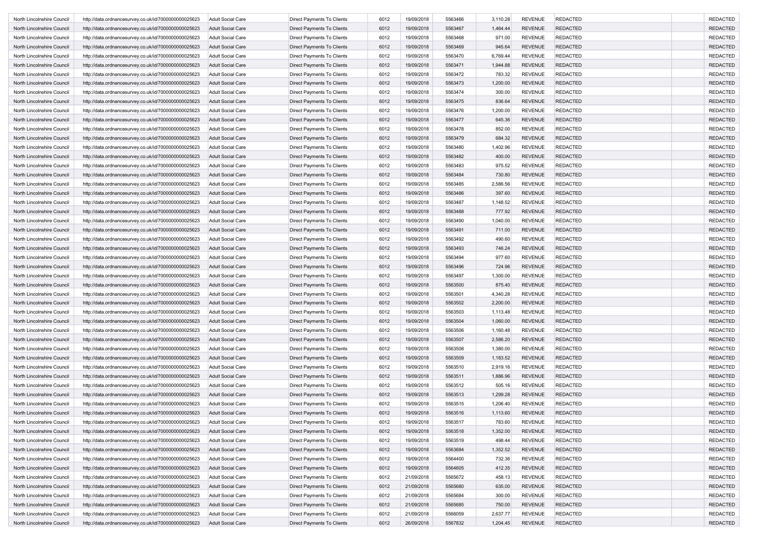| North Lincolnshire Council | http://data.ordnancesurvey.co.uk/id/7000000000025623 | <b>Adult Social Care</b> | Direct Payments To Clients        | 6012 | 19/09/2018 | 5563466 | 3,110.28 | <b>REVENUE</b> | <b>REDACTED</b> | <b>REDACTED</b> |
|----------------------------|------------------------------------------------------|--------------------------|-----------------------------------|------|------------|---------|----------|----------------|-----------------|-----------------|
| North Lincolnshire Council | http://data.ordnancesurvey.co.uk/id/7000000000025623 | <b>Adult Social Care</b> | Direct Payments To Clients        | 6012 | 19/09/2018 | 5563467 | 1,464.44 | <b>REVENUE</b> | <b>REDACTED</b> | <b>REDACTED</b> |
| North Lincolnshire Council | http://data.ordnancesurvey.co.uk/id/7000000000025623 | <b>Adult Social Care</b> | Direct Payments To Clients        | 6012 | 19/09/2018 | 5563468 | 971.00   | <b>REVENUE</b> | <b>REDACTED</b> | <b>REDACTED</b> |
| North Lincolnshire Council | http://data.ordnancesurvey.co.uk/id/7000000000025623 | <b>Adult Social Care</b> | Direct Payments To Clients        | 6012 | 19/09/2018 | 5563469 | 945.64   | <b>REVENUE</b> | <b>REDACTED</b> | <b>REDACTED</b> |
| North Lincolnshire Council | http://data.ordnancesurvey.co.uk/id/7000000000025623 | <b>Adult Social Care</b> | Direct Payments To Clients        | 6012 | 19/09/2018 | 5563470 | 6,769.44 | <b>REVENUE</b> | <b>REDACTED</b> | <b>REDACTED</b> |
| North Lincolnshire Council | http://data.ordnancesurvey.co.uk/id/7000000000025623 | <b>Adult Social Care</b> | Direct Payments To Clients        | 6012 | 19/09/2018 | 5563471 | 1,944.88 | <b>REVENUE</b> | <b>REDACTED</b> | <b>REDACTED</b> |
| North Lincolnshire Council | http://data.ordnancesurvey.co.uk/id/7000000000025623 | <b>Adult Social Care</b> | Direct Payments To Clients        | 6012 | 19/09/2018 | 5563472 | 783.32   | <b>REVENUE</b> | <b>REDACTED</b> | <b>REDACTED</b> |
| North Lincolnshire Council | http://data.ordnancesurvey.co.uk/id/7000000000025623 | <b>Adult Social Care</b> | Direct Payments To Clients        | 6012 | 19/09/2018 | 5563473 | 1,200.00 | <b>REVENUE</b> | <b>REDACTED</b> | <b>REDACTED</b> |
| North Lincolnshire Council | http://data.ordnancesurvey.co.uk/id/7000000000025623 | <b>Adult Social Care</b> | Direct Payments To Clients        | 6012 | 19/09/2018 | 5563474 | 300.00   | <b>REVENUE</b> | <b>REDACTED</b> | <b>REDACTED</b> |
| North Lincolnshire Council | http://data.ordnancesurvey.co.uk/id/7000000000025623 | <b>Adult Social Care</b> | Direct Payments To Clients        | 6012 | 19/09/2018 | 5563475 | 836.64   | <b>REVENUE</b> | <b>REDACTED</b> | <b>REDACTED</b> |
|                            |                                                      |                          | Direct Payments To Clients        | 6012 |            |         |          |                |                 | <b>REDACTED</b> |
| North Lincolnshire Council | http://data.ordnancesurvey.co.uk/id/7000000000025623 | <b>Adult Social Care</b> |                                   |      | 19/09/2018 | 5563476 | 1,200.00 | <b>REVENUE</b> | <b>REDACTED</b> |                 |
| North Lincolnshire Council | http://data.ordnancesurvey.co.uk/id/7000000000025623 | <b>Adult Social Care</b> | Direct Payments To Clients        | 6012 | 19/09/2018 | 5563477 | 645.36   | <b>REVENUE</b> | <b>REDACTED</b> | <b>REDACTED</b> |
| North Lincolnshire Council | http://data.ordnancesurvey.co.uk/id/7000000000025623 | <b>Adult Social Care</b> | Direct Payments To Clients        | 6012 | 19/09/2018 | 5563478 | 852.00   | <b>REVENUE</b> | <b>REDACTED</b> | <b>REDACTED</b> |
| North Lincolnshire Council | http://data.ordnancesurvey.co.uk/id/7000000000025623 | <b>Adult Social Care</b> | Direct Payments To Clients        | 6012 | 19/09/2018 | 5563479 | 684.32   | <b>REVENUE</b> | <b>REDACTED</b> | <b>REDACTED</b> |
| North Lincolnshire Council | http://data.ordnancesurvey.co.uk/id/7000000000025623 | Adult Social Care        | Direct Payments To Clients        | 6012 | 19/09/2018 | 5563480 | 1,402.96 | <b>REVENUE</b> | <b>REDACTED</b> | <b>REDACTED</b> |
| North Lincolnshire Council | http://data.ordnancesurvey.co.uk/id/7000000000025623 | <b>Adult Social Care</b> | Direct Payments To Clients        | 6012 | 19/09/2018 | 5563482 | 400.00   | <b>REVENUE</b> | <b>REDACTED</b> | <b>REDACTED</b> |
| North Lincolnshire Council | http://data.ordnancesurvey.co.uk/id/7000000000025623 | <b>Adult Social Care</b> | Direct Payments To Clients        | 6012 | 19/09/2018 | 5563483 | 975.52   | <b>REVENUE</b> | <b>REDACTED</b> | <b>REDACTED</b> |
| North Lincolnshire Council | http://data.ordnancesurvey.co.uk/id/7000000000025623 | <b>Adult Social Care</b> | Direct Payments To Clients        | 6012 | 19/09/2018 | 5563484 | 730.80   | <b>REVENUE</b> | <b>REDACTED</b> | <b>REDACTED</b> |
| North Lincolnshire Council | http://data.ordnancesurvey.co.uk/id/7000000000025623 | <b>Adult Social Care</b> | Direct Payments To Clients        | 6012 | 19/09/2018 | 5563485 | 2,586.56 | <b>REVENUE</b> | <b>REDACTED</b> | <b>REDACTED</b> |
| North Lincolnshire Council | http://data.ordnancesurvey.co.uk/id/7000000000025623 | <b>Adult Social Care</b> | Direct Payments To Clients        | 6012 | 19/09/2018 | 5563486 | 397.60   | <b>REVENUE</b> | <b>REDACTED</b> | <b>REDACTED</b> |
| North Lincolnshire Council | http://data.ordnancesurvey.co.uk/id/7000000000025623 | <b>Adult Social Care</b> | Direct Payments To Clients        | 6012 | 19/09/2018 | 5563487 | 1,148.52 | <b>REVENUE</b> | <b>REDACTED</b> | <b>REDACTED</b> |
| North Lincolnshire Council | http://data.ordnancesurvey.co.uk/id/7000000000025623 | <b>Adult Social Care</b> | Direct Payments To Clients        | 6012 | 19/09/2018 | 5563488 | 777.92   | <b>REVENUE</b> | <b>REDACTED</b> | <b>REDACTED</b> |
| North Lincolnshire Council | http://data.ordnancesurvey.co.uk/id/7000000000025623 | <b>Adult Social Care</b> | Direct Payments To Clients        | 6012 | 19/09/2018 | 5563490 | 1,040.00 | <b>REVENUE</b> | <b>REDACTED</b> | <b>REDACTED</b> |
| North Lincolnshire Council | http://data.ordnancesurvey.co.uk/id/7000000000025623 | <b>Adult Social Care</b> | Direct Payments To Clients        | 6012 | 19/09/2018 | 5563491 | 711.00   | <b>REVENUE</b> | <b>REDACTED</b> | <b>REDACTED</b> |
| North Lincolnshire Council | http://data.ordnancesurvey.co.uk/id/7000000000025623 | <b>Adult Social Care</b> | Direct Payments To Clients        | 6012 | 19/09/2018 | 5563492 | 490.60   | <b>REVENUE</b> | <b>REDACTED</b> | <b>REDACTED</b> |
| North Lincolnshire Council | http://data.ordnancesurvey.co.uk/id/7000000000025623 | <b>Adult Social Care</b> | Direct Payments To Clients        | 6012 | 19/09/2018 | 5563493 | 746.24   | <b>REVENUE</b> | <b>REDACTED</b> | <b>REDACTED</b> |
| North Lincolnshire Council | http://data.ordnancesurvey.co.uk/id/7000000000025623 | <b>Adult Social Care</b> | Direct Payments To Clients        | 6012 | 19/09/2018 | 5563494 | 977.60   | <b>REVENUE</b> | <b>REDACTED</b> | <b>REDACTED</b> |
| North Lincolnshire Council | http://data.ordnancesurvey.co.uk/id/7000000000025623 | <b>Adult Social Care</b> | Direct Payments To Clients        | 6012 | 19/09/2018 | 5563496 | 724.96   | <b>REVENUE</b> | <b>REDACTED</b> | <b>REDACTED</b> |
| North Lincolnshire Council | http://data.ordnancesurvey.co.uk/id/7000000000025623 | <b>Adult Social Care</b> | Direct Payments To Clients        | 6012 | 19/09/2018 | 5563497 | 1,300.00 | <b>REVENUE</b> | <b>REDACTED</b> | <b>REDACTED</b> |
| North Lincolnshire Council | http://data.ordnancesurvey.co.uk/id/7000000000025623 | <b>Adult Social Care</b> | Direct Payments To Clients        | 6012 | 19/09/2018 | 5563500 | 875.40   | <b>REVENUE</b> | <b>REDACTED</b> | <b>REDACTED</b> |
| North Lincolnshire Council | http://data.ordnancesurvey.co.uk/id/7000000000025623 | <b>Adult Social Care</b> | Direct Payments To Clients        | 6012 | 19/09/2018 | 5563501 | 4,340.28 | <b>REVENUE</b> | <b>REDACTED</b> | <b>REDACTED</b> |
| North Lincolnshire Council | http://data.ordnancesurvey.co.uk/id/7000000000025623 | <b>Adult Social Care</b> | Direct Payments To Clients        | 6012 | 19/09/2018 | 5563502 | 2,200.00 | <b>REVENUE</b> | <b>REDACTED</b> | <b>REDACTED</b> |
| North Lincolnshire Council | http://data.ordnancesurvey.co.uk/id/7000000000025623 | <b>Adult Social Care</b> | Direct Payments To Clients        | 6012 | 19/09/2018 | 5563503 | 1,113.48 | <b>REVENUE</b> | <b>REDACTED</b> | <b>REDACTED</b> |
| North Lincolnshire Council | http://data.ordnancesurvey.co.uk/id/7000000000025623 | <b>Adult Social Care</b> | Direct Payments To Clients        | 6012 | 19/09/2018 | 5563504 | 1,060.00 | <b>REVENUE</b> | <b>REDACTED</b> | <b>REDACTED</b> |
| North Lincolnshire Council | http://data.ordnancesurvey.co.uk/id/7000000000025623 | <b>Adult Social Care</b> | Direct Payments To Clients        | 6012 | 19/09/2018 | 5563506 | 1,160.48 | <b>REVENUE</b> | <b>REDACTED</b> | <b>REDACTED</b> |
| North Lincolnshire Council | http://data.ordnancesurvey.co.uk/id/7000000000025623 | <b>Adult Social Care</b> | Direct Payments To Clients        | 6012 | 19/09/2018 | 5563507 | 2,586.20 | <b>REVENUE</b> | <b>REDACTED</b> | <b>REDACTED</b> |
| North Lincolnshire Council |                                                      |                          |                                   | 6012 | 19/09/2018 | 5563508 |          | <b>REVENUE</b> | <b>REDACTED</b> | <b>REDACTED</b> |
|                            | http://data.ordnancesurvey.co.uk/id/7000000000025623 | <b>Adult Social Care</b> | Direct Payments To Clients        |      |            |         | 1,380.00 |                |                 |                 |
| North Lincolnshire Council | http://data.ordnancesurvey.co.uk/id/7000000000025623 | <b>Adult Social Care</b> | Direct Payments To Clients        | 6012 | 19/09/2018 | 5563509 | 1,183.52 | <b>REVENUE</b> | <b>REDACTED</b> | <b>REDACTED</b> |
| North Lincolnshire Council | http://data.ordnancesurvey.co.uk/id/7000000000025623 | <b>Adult Social Care</b> | Direct Payments To Clients        | 6012 | 19/09/2018 | 5563510 | 2,919.16 | <b>REVENUE</b> | <b>REDACTED</b> | <b>REDACTED</b> |
| North Lincolnshire Council | http://data.ordnancesurvey.co.uk/id/7000000000025623 | <b>Adult Social Care</b> | Direct Payments To Clients        | 6012 | 19/09/2018 | 5563511 | 1,886.96 | <b>REVENUE</b> | <b>REDACTED</b> | <b>REDACTED</b> |
| North Lincolnshire Council | http://data.ordnancesurvey.co.uk/id/7000000000025623 | Adult Social Care        | Direct Payments To Clients        | 6012 | 19/09/2018 | 5563512 | 505.16   | <b>REVENUE</b> | <b>REDACTED</b> | <b>REDACTED</b> |
| North Lincolnshire Council | http://data.ordnancesurvey.co.uk/id/7000000000025623 | <b>Adult Social Care</b> | <b>Direct Payments To Clients</b> | 6012 | 19/09/2018 | 5563513 | 1,299.28 | <b>REVENUE</b> | <b>REDACTED</b> | <b>REDACTED</b> |
| North Lincolnshire Council | http://data.ordnancesurvey.co.uk/id/7000000000025623 | <b>Adult Social Care</b> | Direct Payments To Clients        | 6012 | 19/09/2018 | 5563515 | 1,206.40 | <b>REVENUE</b> | <b>REDACTED</b> | <b>REDACTED</b> |
| North Lincolnshire Council | http://data.ordnancesurvey.co.uk/id/7000000000025623 | <b>Adult Social Care</b> | Direct Payments To Clients        | 6012 | 19/09/2018 | 5563516 | 1,113.60 | <b>REVENUE</b> | <b>REDACTED</b> | <b>REDACTED</b> |
| North Lincolnshire Council | http://data.ordnancesurvey.co.uk/id/7000000000025623 | <b>Adult Social Care</b> | Direct Payments To Clients        | 6012 | 19/09/2018 | 5563517 | 783.60   | REVENUE        | REDACTED        | REDACTEL        |
| North Lincolnshire Council | http://data.ordnancesurvey.co.uk/id/7000000000025623 | <b>Adult Social Care</b> | Direct Payments To Clients        | 6012 | 19/09/2018 | 5563518 | 1,352.00 | <b>REVENUE</b> | <b>REDACTED</b> | <b>REDACTED</b> |
| North Lincolnshire Council | http://data.ordnancesurvey.co.uk/id/7000000000025623 | <b>Adult Social Care</b> | Direct Payments To Clients        | 6012 | 19/09/2018 | 5563519 | 498.44   | <b>REVENUE</b> | <b>REDACTED</b> | <b>REDACTED</b> |
| North Lincolnshire Council | http://data.ordnancesurvey.co.uk/id/7000000000025623 | <b>Adult Social Care</b> | Direct Payments To Clients        | 6012 | 19/09/2018 | 5563684 | 1,352.52 | <b>REVENUE</b> | <b>REDACTED</b> | <b>REDACTED</b> |
| North Lincolnshire Council | http://data.ordnancesurvey.co.uk/id/7000000000025623 | <b>Adult Social Care</b> | Direct Payments To Clients        | 6012 | 19/09/2018 | 5564400 | 732.36   | <b>REVENUE</b> | REDACTED        | <b>REDACTED</b> |
| North Lincolnshire Council | http://data.ordnancesurvey.co.uk/id/7000000000025623 | <b>Adult Social Care</b> | Direct Payments To Clients        | 6012 | 19/09/2018 | 5564605 | 412.35   | <b>REVENUE</b> | REDACTED        | <b>REDACTED</b> |
| North Lincolnshire Council | http://data.ordnancesurvey.co.uk/id/7000000000025623 | <b>Adult Social Care</b> | Direct Payments To Clients        | 6012 | 21/09/2018 | 5565672 | 458.13   | <b>REVENUE</b> | <b>REDACTED</b> | <b>REDACTED</b> |
| North Lincolnshire Council | http://data.ordnancesurvey.co.uk/id/7000000000025623 | <b>Adult Social Care</b> | Direct Payments To Clients        | 6012 | 21/09/2018 | 5565680 | 635.00   | <b>REVENUE</b> | <b>REDACTED</b> | <b>REDACTED</b> |
| North Lincolnshire Council | http://data.ordnancesurvey.co.uk/id/7000000000025623 | <b>Adult Social Care</b> | Direct Payments To Clients        | 6012 | 21/09/2018 | 5565684 | 300.00   | <b>REVENUE</b> | <b>REDACTED</b> | <b>REDACTED</b> |
| North Lincolnshire Council | http://data.ordnancesurvey.co.uk/id/7000000000025623 | <b>Adult Social Care</b> | Direct Payments To Clients        | 6012 | 21/09/2018 | 5565685 | 750.00   | <b>REVENUE</b> | <b>REDACTED</b> | <b>REDACTED</b> |
| North Lincolnshire Council | http://data.ordnancesurvey.co.uk/id/7000000000025623 | <b>Adult Social Care</b> | Direct Payments To Clients        | 6012 | 21/09/2018 | 5566059 | 2,637.77 | <b>REVENUE</b> | <b>REDACTED</b> | <b>REDACTED</b> |
| North Lincolnshire Council | http://data.ordnancesurvey.co.uk/id/7000000000025623 | <b>Adult Social Care</b> | Direct Payments To Clients        | 6012 | 26/09/2018 | 5567832 | 1,204.45 | <b>REVENUE</b> | <b>REDACTED</b> | <b>REDACTED</b> |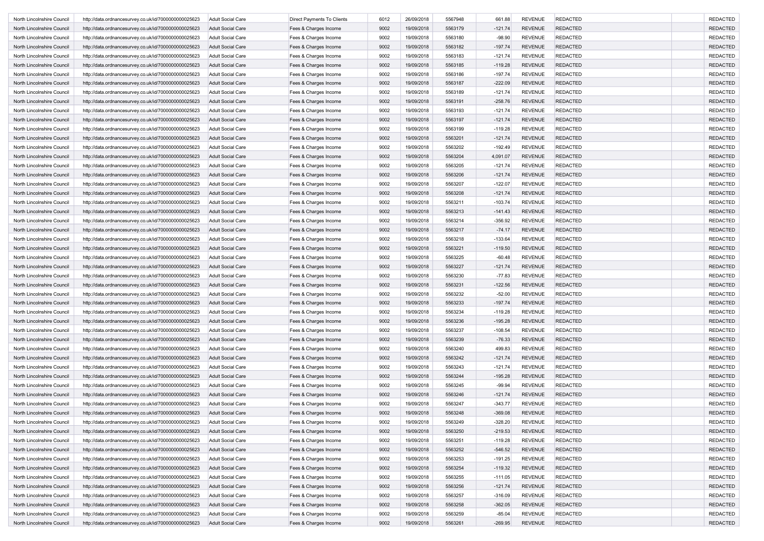| North Lincolnshire Council | http://data.ordnancesurvey.co.uk/id/7000000000025623 | <b>Adult Social Care</b> | Direct Payments To Clients | 6012 | 26/09/2018 | 5567948 | 661.88    | <b>REVENUE</b> | <b>REDACTED</b> | <b>REDACTED</b> |
|----------------------------|------------------------------------------------------|--------------------------|----------------------------|------|------------|---------|-----------|----------------|-----------------|-----------------|
| North Lincolnshire Council | http://data.ordnancesurvey.co.uk/id/7000000000025623 | <b>Adult Social Care</b> | Fees & Charges Income      | 9002 | 19/09/2018 | 5563179 | $-121.74$ | <b>REVENUE</b> | <b>REDACTED</b> | <b>REDACTED</b> |
| North Lincolnshire Council | http://data.ordnancesurvey.co.uk/id/7000000000025623 | <b>Adult Social Care</b> | Fees & Charges Income      | 9002 | 19/09/2018 | 5563180 | $-98.90$  | <b>REVENUE</b> | <b>REDACTED</b> | <b>REDACTED</b> |
| North Lincolnshire Council | http://data.ordnancesurvey.co.uk/id/7000000000025623 | <b>Adult Social Care</b> | Fees & Charges Income      | 9002 | 19/09/2018 | 5563182 | $-197.74$ | <b>REVENUE</b> | <b>REDACTED</b> | <b>REDACTED</b> |
| North Lincolnshire Council | http://data.ordnancesurvey.co.uk/id/7000000000025623 | <b>Adult Social Care</b> | Fees & Charges Income      | 9002 | 19/09/2018 | 5563183 | $-121.74$ | <b>REVENUE</b> | <b>REDACTED</b> | <b>REDACTED</b> |
| North Lincolnshire Council | http://data.ordnancesurvey.co.uk/id/7000000000025623 | <b>Adult Social Care</b> | Fees & Charges Income      | 9002 | 19/09/2018 | 5563185 | $-119.28$ | <b>REVENUE</b> | <b>REDACTED</b> | <b>REDACTED</b> |
| North Lincolnshire Council | http://data.ordnancesurvey.co.uk/id/7000000000025623 | <b>Adult Social Care</b> | Fees & Charges Income      | 9002 | 19/09/2018 | 5563186 | $-197.74$ | <b>REVENUE</b> | <b>REDACTED</b> | <b>REDACTED</b> |
| North Lincolnshire Council | http://data.ordnancesurvey.co.uk/id/7000000000025623 | <b>Adult Social Care</b> | Fees & Charges Income      | 9002 | 19/09/2018 | 5563187 | $-222.09$ | <b>REVENUE</b> | <b>REDACTED</b> | <b>REDACTED</b> |
| North Lincolnshire Council | http://data.ordnancesurvey.co.uk/id/7000000000025623 | <b>Adult Social Care</b> | Fees & Charges Income      | 9002 | 19/09/2018 | 5563189 | $-121.74$ | <b>REVENUE</b> | <b>REDACTED</b> | <b>REDACTED</b> |
| North Lincolnshire Council |                                                      | <b>Adult Social Care</b> |                            | 9002 |            | 5563191 |           | <b>REVENUE</b> | <b>REDACTED</b> | <b>REDACTED</b> |
|                            | http://data.ordnancesurvey.co.uk/id/7000000000025623 |                          | Fees & Charges Income      |      | 19/09/2018 |         | $-258.76$ |                |                 |                 |
| North Lincolnshire Council | http://data.ordnancesurvey.co.uk/id/7000000000025623 | <b>Adult Social Care</b> | Fees & Charges Income      | 9002 | 19/09/2018 | 5563193 | $-121.74$ | <b>REVENUE</b> | <b>REDACTED</b> | <b>REDACTED</b> |
| North Lincolnshire Council | http://data.ordnancesurvey.co.uk/id/7000000000025623 | <b>Adult Social Care</b> | Fees & Charges Income      | 9002 | 19/09/2018 | 5563197 | $-121.74$ | <b>REVENUE</b> | <b>REDACTED</b> | <b>REDACTED</b> |
| North Lincolnshire Council | http://data.ordnancesurvey.co.uk/id/7000000000025623 | <b>Adult Social Care</b> | Fees & Charges Income      | 9002 | 19/09/2018 | 5563199 | $-119.28$ | <b>REVENUE</b> | <b>REDACTED</b> | <b>REDACTED</b> |
| North Lincolnshire Council | http://data.ordnancesurvey.co.uk/id/7000000000025623 | <b>Adult Social Care</b> | Fees & Charges Income      | 9002 | 19/09/2018 | 5563201 | $-121.74$ | <b>REVENUE</b> | <b>REDACTED</b> | <b>REDACTED</b> |
| North Lincolnshire Council | http://data.ordnancesurvey.co.uk/id/7000000000025623 | Adult Social Care        | Fees & Charges Income      | 9002 | 19/09/2018 | 5563202 | $-192.49$ | <b>REVENUE</b> | <b>REDACTED</b> | <b>REDACTED</b> |
| North Lincolnshire Council | http://data.ordnancesurvey.co.uk/id/7000000000025623 | <b>Adult Social Care</b> | Fees & Charges Income      | 9002 | 19/09/2018 | 5563204 | 4,091.07  | <b>REVENUE</b> | <b>REDACTED</b> | <b>REDACTED</b> |
| North Lincolnshire Council | http://data.ordnancesurvey.co.uk/id/7000000000025623 | <b>Adult Social Care</b> | Fees & Charges Income      | 9002 | 19/09/2018 | 5563205 | $-121.74$ | <b>REVENUE</b> | <b>REDACTED</b> | <b>REDACTED</b> |
| North Lincolnshire Council | http://data.ordnancesurvey.co.uk/id/7000000000025623 | <b>Adult Social Care</b> | Fees & Charges Income      | 9002 | 19/09/2018 | 5563206 | $-121.74$ | <b>REVENUE</b> | <b>REDACTED</b> | <b>REDACTED</b> |
| North Lincolnshire Council | http://data.ordnancesurvey.co.uk/id/7000000000025623 | <b>Adult Social Care</b> | Fees & Charges Income      | 9002 | 19/09/2018 | 5563207 | $-122.07$ | <b>REVENUE</b> | <b>REDACTED</b> | <b>REDACTED</b> |
| North Lincolnshire Council | http://data.ordnancesurvey.co.uk/id/7000000000025623 | <b>Adult Social Care</b> | Fees & Charges Income      | 9002 | 19/09/2018 | 5563208 | $-121.74$ | <b>REVENUE</b> | <b>REDACTED</b> | <b>REDACTED</b> |
| North Lincolnshire Council | http://data.ordnancesurvey.co.uk/id/7000000000025623 | <b>Adult Social Care</b> | Fees & Charges Income      | 9002 | 19/09/2018 | 5563211 | $-103.74$ | <b>REVENUE</b> | <b>REDACTED</b> | <b>REDACTED</b> |
| North Lincolnshire Council | http://data.ordnancesurvey.co.uk/id/7000000000025623 | <b>Adult Social Care</b> | Fees & Charges Income      | 9002 | 19/09/2018 | 5563213 | $-141.43$ | <b>REVENUE</b> | <b>REDACTED</b> | <b>REDACTED</b> |
| North Lincolnshire Council | http://data.ordnancesurvey.co.uk/id/7000000000025623 | <b>Adult Social Care</b> | Fees & Charges Income      | 9002 | 19/09/2018 | 5563214 | $-356.92$ | <b>REVENUE</b> | <b>REDACTED</b> | <b>REDACTED</b> |
| North Lincolnshire Council | http://data.ordnancesurvey.co.uk/id/7000000000025623 | <b>Adult Social Care</b> | Fees & Charges Income      | 9002 | 19/09/2018 | 5563217 | $-74.17$  | <b>REVENUE</b> | <b>REDACTED</b> | <b>REDACTED</b> |
| North Lincolnshire Council | http://data.ordnancesurvey.co.uk/id/7000000000025623 | <b>Adult Social Care</b> | Fees & Charges Income      | 9002 | 19/09/2018 | 5563218 | $-133.64$ | <b>REVENUE</b> | <b>REDACTED</b> | <b>REDACTED</b> |
|                            |                                                      |                          | Fees & Charges Income      | 9002 | 19/09/2018 | 5563221 |           | <b>REVENUE</b> | <b>REDACTED</b> | <b>REDACTED</b> |
| North Lincolnshire Council | http://data.ordnancesurvey.co.uk/id/7000000000025623 | <b>Adult Social Care</b> |                            |      |            |         | $-119.50$ |                |                 |                 |
| North Lincolnshire Council | http://data.ordnancesurvey.co.uk/id/7000000000025623 | <b>Adult Social Care</b> | Fees & Charges Income      | 9002 | 19/09/2018 | 5563225 | $-60.48$  | <b>REVENUE</b> | <b>REDACTED</b> | <b>REDACTED</b> |
| North Lincolnshire Council | http://data.ordnancesurvey.co.uk/id/7000000000025623 | <b>Adult Social Care</b> | Fees & Charges Income      | 9002 | 19/09/2018 | 5563227 | $-121.74$ | <b>REVENUE</b> | <b>REDACTED</b> | <b>REDACTED</b> |
| North Lincolnshire Council | http://data.ordnancesurvey.co.uk/id/7000000000025623 | <b>Adult Social Care</b> | Fees & Charges Income      | 9002 | 19/09/2018 | 5563230 | $-77.83$  | <b>REVENUE</b> | <b>REDACTED</b> | <b>REDACTED</b> |
| North Lincolnshire Council | http://data.ordnancesurvey.co.uk/id/7000000000025623 | <b>Adult Social Care</b> | Fees & Charges Income      | 9002 | 19/09/2018 | 5563231 | $-122.56$ | <b>REVENUE</b> | <b>REDACTED</b> | <b>REDACTED</b> |
| North Lincolnshire Council | http://data.ordnancesurvey.co.uk/id/7000000000025623 | <b>Adult Social Care</b> | Fees & Charges Income      | 9002 | 19/09/2018 | 5563232 | $-52.00$  | <b>REVENUE</b> | <b>REDACTED</b> | <b>REDACTED</b> |
| North Lincolnshire Council | http://data.ordnancesurvey.co.uk/id/7000000000025623 | <b>Adult Social Care</b> | Fees & Charges Income      | 9002 | 19/09/2018 | 5563233 | $-197.74$ | <b>REVENUE</b> | <b>REDACTED</b> | <b>REDACTED</b> |
| North Lincolnshire Council | http://data.ordnancesurvey.co.uk/id/7000000000025623 | <b>Adult Social Care</b> | Fees & Charges Income      | 9002 | 19/09/2018 | 5563234 | $-119.28$ | <b>REVENUE</b> | <b>REDACTED</b> | <b>REDACTED</b> |
| North Lincolnshire Council | http://data.ordnancesurvey.co.uk/id/7000000000025623 | <b>Adult Social Care</b> | Fees & Charges Income      | 9002 | 19/09/2018 | 5563236 | $-195.28$ | <b>REVENUE</b> | <b>REDACTED</b> | <b>REDACTED</b> |
| North Lincolnshire Council | http://data.ordnancesurvey.co.uk/id/7000000000025623 | <b>Adult Social Care</b> | Fees & Charges Income      | 9002 | 19/09/2018 | 5563237 | $-108.54$ | <b>REVENUE</b> | <b>REDACTED</b> | <b>REDACTED</b> |
| North Lincolnshire Council | http://data.ordnancesurvey.co.uk/id/7000000000025623 | <b>Adult Social Care</b> | Fees & Charges Income      | 9002 | 19/09/2018 | 5563239 | $-76.33$  | <b>REVENUE</b> | <b>REDACTED</b> | <b>REDACTED</b> |
| North Lincolnshire Council | http://data.ordnancesurvey.co.uk/id/7000000000025623 | Adult Social Care        | Fees & Charges Income      | 9002 | 19/09/2018 | 5563240 | 499.83    | <b>REVENUE</b> | <b>REDACTED</b> | <b>REDACTED</b> |
| North Lincolnshire Council | http://data.ordnancesurvey.co.uk/id/7000000000025623 | <b>Adult Social Care</b> | Fees & Charges Income      | 9002 | 19/09/2018 | 5563242 | $-121.74$ | <b>REVENUE</b> | <b>REDACTED</b> | <b>REDACTED</b> |
| North Lincolnshire Council | http://data.ordnancesurvey.co.uk/id/7000000000025623 | <b>Adult Social Care</b> | Fees & Charges Income      | 9002 | 19/09/2018 | 5563243 | $-121.74$ | <b>REVENUE</b> | <b>REDACTED</b> | <b>REDACTED</b> |
| North Lincolnshire Council | http://data.ordnancesurvey.co.uk/id/7000000000025623 | <b>Adult Social Care</b> | Fees & Charges Income      | 9002 | 19/09/2018 | 5563244 | $-195.28$ | <b>REVENUE</b> | <b>REDACTED</b> | <b>REDACTED</b> |
| North Lincolnshire Council | http://data.ordnancesurvey.co.uk/id/7000000000025623 | <b>Adult Social Care</b> | Fees & Charges Income      | 9002 | 19/09/2018 | 5563245 | $-99.94$  | <b>REVENUE</b> | <b>REDACTED</b> | <b>REDACTED</b> |
| North Lincolnshire Council | http://data.ordnancesurvey.co.uk/id/7000000000025623 | <b>Adult Social Care</b> | Fees & Charges Income      | 9002 | 19/09/2018 | 5563246 | $-121.74$ | <b>REVENUE</b> | <b>REDACTED</b> | <b>REDACTED</b> |
| North Lincolnshire Council | http://data.ordnancesurvey.co.uk/id/7000000000025623 | <b>Adult Social Care</b> | Fees & Charges Income      | 9002 | 19/09/2018 | 5563247 | $-343.77$ | <b>REVENUE</b> | <b>REDACTED</b> | <b>REDACTED</b> |
|                            |                                                      |                          |                            | 9002 | 19/09/2018 | 5563248 | $-369.08$ | <b>REVENUE</b> | <b>REDACTED</b> | <b>REDACTED</b> |
| North Lincolnshire Council | http://data.ordnancesurvey.co.uk/id/7000000000025623 | <b>Adult Social Care</b> | Fees & Charges Income      |      |            |         |           |                |                 |                 |
| North Lincolnshire Council | http://data.ordnancesurvey.co.uk/id/7000000000025623 | <b>Adult Social Care</b> | Fees & Charges Income      | 9002 | 19/09/2018 | 5563249 | $-328.20$ | REVENUE        | <b>REDACTED</b> | REDACTEL        |
| North Lincolnshire Council | http://data.ordnancesurvey.co.uk/id/7000000000025623 | <b>Adult Social Care</b> | Fees & Charges Income      | 9002 | 19/09/2018 | 5563250 | $-219.53$ | <b>REVENUE</b> | <b>REDACTED</b> | <b>REDACTED</b> |
| North Lincolnshire Council | http://data.ordnancesurvey.co.uk/id/7000000000025623 | <b>Adult Social Care</b> | Fees & Charges Income      | 9002 | 19/09/2018 | 5563251 | $-119.28$ | <b>REVENUE</b> | <b>REDACTED</b> | <b>REDACTED</b> |
| North Lincolnshire Council | http://data.ordnancesurvey.co.uk/id/7000000000025623 | <b>Adult Social Care</b> | Fees & Charges Income      | 9002 | 19/09/2018 | 5563252 | $-546.52$ | <b>REVENUE</b> | <b>REDACTED</b> | <b>REDACTED</b> |
| North Lincolnshire Council | http://data.ordnancesurvey.co.uk/id/7000000000025623 | <b>Adult Social Care</b> | Fees & Charges Income      | 9002 | 19/09/2018 | 5563253 | $-191.25$ | <b>REVENUE</b> | REDACTED        | <b>REDACTED</b> |
| North Lincolnshire Council | http://data.ordnancesurvey.co.uk/id/7000000000025623 | <b>Adult Social Care</b> | Fees & Charges Income      | 9002 | 19/09/2018 | 5563254 | $-119.32$ | <b>REVENUE</b> | REDACTED        | <b>REDACTED</b> |
| North Lincolnshire Council | http://data.ordnancesurvey.co.uk/id/7000000000025623 | <b>Adult Social Care</b> | Fees & Charges Income      | 9002 | 19/09/2018 | 5563255 | $-111.05$ | <b>REVENUE</b> | <b>REDACTED</b> | <b>REDACTED</b> |
| North Lincolnshire Council | http://data.ordnancesurvey.co.uk/id/7000000000025623 | <b>Adult Social Care</b> | Fees & Charges Income      | 9002 | 19/09/2018 | 5563256 | $-121.74$ | <b>REVENUE</b> | <b>REDACTED</b> | <b>REDACTED</b> |
| North Lincolnshire Council | http://data.ordnancesurvey.co.uk/id/7000000000025623 | <b>Adult Social Care</b> | Fees & Charges Income      | 9002 | 19/09/2018 | 5563257 | $-316.09$ | <b>REVENUE</b> | <b>REDACTED</b> | <b>REDACTED</b> |
| North Lincolnshire Council | http://data.ordnancesurvey.co.uk/id/7000000000025623 | <b>Adult Social Care</b> | Fees & Charges Income      | 9002 | 19/09/2018 | 5563258 | $-362.05$ | <b>REVENUE</b> | <b>REDACTED</b> | <b>REDACTED</b> |
| North Lincolnshire Council | http://data.ordnancesurvey.co.uk/id/7000000000025623 | <b>Adult Social Care</b> | Fees & Charges Income      | 9002 | 19/09/2018 | 5563259 | $-85.04$  | <b>REVENUE</b> | <b>REDACTED</b> | <b>REDACTED</b> |
| North Lincolnshire Council | http://data.ordnancesurvey.co.uk/id/7000000000025623 | <b>Adult Social Care</b> | Fees & Charges Income      | 9002 | 19/09/2018 | 5563261 | $-269.95$ | <b>REVENUE</b> | <b>REDACTED</b> | <b>REDACTED</b> |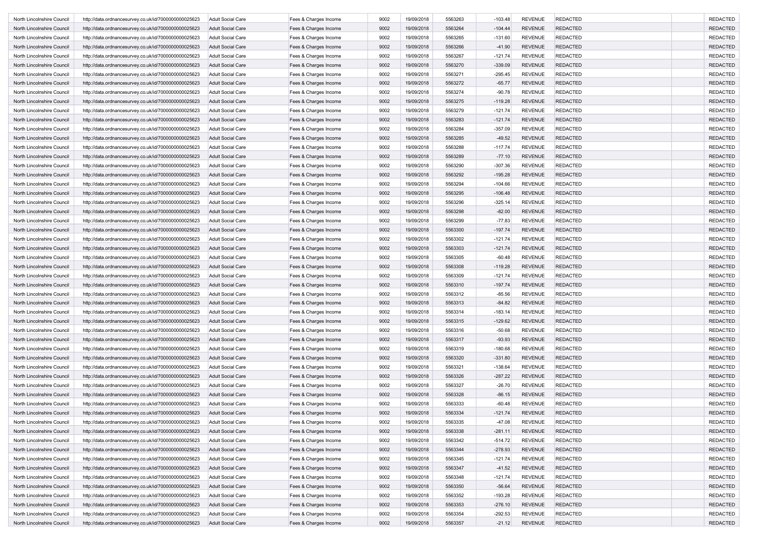| North Lincolnshire Council | http://data.ordnancesurvey.co.uk/id/7000000000025623 | <b>Adult Social Care</b> | Fees & Charges Income | 9002 | 19/09/2018 | 5563263 | $-103.48$ | <b>REVENUE</b> | <b>REDACTED</b> | <b>REDACTED</b> |
|----------------------------|------------------------------------------------------|--------------------------|-----------------------|------|------------|---------|-----------|----------------|-----------------|-----------------|
| North Lincolnshire Council | http://data.ordnancesurvey.co.uk/id/7000000000025623 | <b>Adult Social Care</b> | Fees & Charges Income | 9002 | 19/09/2018 | 5563264 | $-104.44$ | <b>REVENUE</b> | <b>REDACTED</b> | <b>REDACTED</b> |
| North Lincolnshire Council | http://data.ordnancesurvey.co.uk/id/7000000000025623 | <b>Adult Social Care</b> | Fees & Charges Income | 9002 | 19/09/2018 | 5563265 | $-131.60$ | <b>REVENUE</b> | <b>REDACTED</b> | <b>REDACTED</b> |
| North Lincolnshire Council | http://data.ordnancesurvey.co.uk/id/7000000000025623 | <b>Adult Social Care</b> | Fees & Charges Income | 9002 | 19/09/2018 | 5563266 | $-41.90$  | <b>REVENUE</b> | <b>REDACTED</b> | <b>REDACTED</b> |
| North Lincolnshire Council | http://data.ordnancesurvey.co.uk/id/7000000000025623 | <b>Adult Social Care</b> | Fees & Charges Income | 9002 | 19/09/2018 | 5563267 | $-121.74$ | <b>REVENUE</b> | <b>REDACTED</b> | <b>REDACTED</b> |
| North Lincolnshire Council | http://data.ordnancesurvey.co.uk/id/7000000000025623 | <b>Adult Social Care</b> | Fees & Charges Income | 9002 | 19/09/2018 | 5563270 | $-339.09$ | <b>REVENUE</b> | <b>REDACTED</b> | <b>REDACTED</b> |
| North Lincolnshire Council | http://data.ordnancesurvey.co.uk/id/7000000000025623 | <b>Adult Social Care</b> | Fees & Charges Income | 9002 | 19/09/2018 | 5563271 | $-295.45$ | <b>REVENUE</b> | <b>REDACTED</b> | <b>REDACTED</b> |
| North Lincolnshire Council | http://data.ordnancesurvey.co.uk/id/7000000000025623 | <b>Adult Social Care</b> | Fees & Charges Income | 9002 | 19/09/2018 | 5563272 | $-65.77$  | <b>REVENUE</b> | <b>REDACTED</b> | <b>REDACTED</b> |
| North Lincolnshire Council | http://data.ordnancesurvey.co.uk/id/7000000000025623 | <b>Adult Social Care</b> | Fees & Charges Income | 9002 | 19/09/2018 | 5563274 | $-90.78$  | <b>REVENUE</b> | <b>REDACTED</b> | <b>REDACTED</b> |
| North Lincolnshire Council |                                                      | <b>Adult Social Care</b> |                       | 9002 |            | 5563275 |           | <b>REVENUE</b> | <b>REDACTED</b> | <b>REDACTED</b> |
|                            | http://data.ordnancesurvey.co.uk/id/7000000000025623 |                          | Fees & Charges Income |      | 19/09/2018 |         | $-119.28$ |                |                 |                 |
| North Lincolnshire Council | http://data.ordnancesurvey.co.uk/id/7000000000025623 | <b>Adult Social Care</b> | Fees & Charges Income | 9002 | 19/09/2018 | 5563279 | $-121.74$ | <b>REVENUE</b> | <b>REDACTED</b> | <b>REDACTED</b> |
| North Lincolnshire Council | http://data.ordnancesurvey.co.uk/id/7000000000025623 | <b>Adult Social Care</b> | Fees & Charges Income | 9002 | 19/09/2018 | 5563283 | $-121.74$ | <b>REVENUE</b> | <b>REDACTED</b> | <b>REDACTED</b> |
| North Lincolnshire Council | http://data.ordnancesurvey.co.uk/id/7000000000025623 | <b>Adult Social Care</b> | Fees & Charges Income | 9002 | 19/09/2018 | 5563284 | $-357.09$ | <b>REVENUE</b> | <b>REDACTED</b> | <b>REDACTED</b> |
| North Lincolnshire Council | http://data.ordnancesurvey.co.uk/id/7000000000025623 | <b>Adult Social Care</b> | Fees & Charges Income | 9002 | 19/09/2018 | 5563285 | $-49.52$  | <b>REVENUE</b> | <b>REDACTED</b> | <b>REDACTED</b> |
| North Lincolnshire Council | http://data.ordnancesurvey.co.uk/id/7000000000025623 | Adult Social Care        | Fees & Charges Income | 9002 | 19/09/2018 | 5563288 | $-117.74$ | <b>REVENUE</b> | <b>REDACTED</b> | <b>REDACTED</b> |
| North Lincolnshire Council | http://data.ordnancesurvey.co.uk/id/7000000000025623 | <b>Adult Social Care</b> | Fees & Charges Income | 9002 | 19/09/2018 | 5563289 | $-77.10$  | <b>REVENUE</b> | <b>REDACTED</b> | <b>REDACTED</b> |
| North Lincolnshire Council | http://data.ordnancesurvey.co.uk/id/7000000000025623 | <b>Adult Social Care</b> | Fees & Charges Income | 9002 | 19/09/2018 | 5563290 | $-307.36$ | <b>REVENUE</b> | <b>REDACTED</b> | <b>REDACTED</b> |
| North Lincolnshire Council | http://data.ordnancesurvey.co.uk/id/7000000000025623 | <b>Adult Social Care</b> | Fees & Charges Income | 9002 | 19/09/2018 | 5563292 | $-195.28$ | <b>REVENUE</b> | <b>REDACTED</b> | <b>REDACTED</b> |
| North Lincolnshire Council | http://data.ordnancesurvey.co.uk/id/7000000000025623 | <b>Adult Social Care</b> | Fees & Charges Income | 9002 | 19/09/2018 | 5563294 | $-104.66$ | <b>REVENUE</b> | <b>REDACTED</b> | <b>REDACTED</b> |
| North Lincolnshire Council | http://data.ordnancesurvey.co.uk/id/7000000000025623 | <b>Adult Social Care</b> | Fees & Charges Income | 9002 | 19/09/2018 | 5563295 | $-106.48$ | <b>REVENUE</b> | <b>REDACTED</b> | <b>REDACTED</b> |
| North Lincolnshire Council | http://data.ordnancesurvey.co.uk/id/7000000000025623 | <b>Adult Social Care</b> | Fees & Charges Income | 9002 | 19/09/2018 | 5563296 | $-325.14$ | <b>REVENUE</b> | <b>REDACTED</b> | <b>REDACTED</b> |
| North Lincolnshire Council | http://data.ordnancesurvey.co.uk/id/7000000000025623 | <b>Adult Social Care</b> | Fees & Charges Income | 9002 | 19/09/2018 | 5563298 | $-82.00$  | <b>REVENUE</b> | <b>REDACTED</b> | <b>REDACTED</b> |
| North Lincolnshire Council | http://data.ordnancesurvey.co.uk/id/7000000000025623 | <b>Adult Social Care</b> | Fees & Charges Income | 9002 | 19/09/2018 | 5563299 | $-77.83$  | <b>REVENUE</b> | <b>REDACTED</b> | <b>REDACTED</b> |
| North Lincolnshire Council | http://data.ordnancesurvey.co.uk/id/7000000000025623 | <b>Adult Social Care</b> | Fees & Charges Income | 9002 | 19/09/2018 | 5563300 | $-197.74$ | <b>REVENUE</b> | <b>REDACTED</b> | <b>REDACTED</b> |
| North Lincolnshire Council | http://data.ordnancesurvey.co.uk/id/7000000000025623 | <b>Adult Social Care</b> | Fees & Charges Income | 9002 | 19/09/2018 | 5563302 | $-121.74$ | <b>REVENUE</b> | <b>REDACTED</b> | <b>REDACTED</b> |
| North Lincolnshire Council | http://data.ordnancesurvey.co.uk/id/7000000000025623 | <b>Adult Social Care</b> | Fees & Charges Income | 9002 | 19/09/2018 | 5563303 | $-121.74$ | <b>REVENUE</b> | <b>REDACTED</b> | <b>REDACTED</b> |
| North Lincolnshire Council | http://data.ordnancesurvey.co.uk/id/7000000000025623 | <b>Adult Social Care</b> | Fees & Charges Income | 9002 | 19/09/2018 | 5563305 | $-60.48$  | <b>REVENUE</b> | <b>REDACTED</b> | <b>REDACTED</b> |
| North Lincolnshire Council | http://data.ordnancesurvey.co.uk/id/7000000000025623 | <b>Adult Social Care</b> | Fees & Charges Income | 9002 | 19/09/2018 | 5563308 | $-119.28$ | <b>REVENUE</b> | <b>REDACTED</b> | <b>REDACTED</b> |
| North Lincolnshire Council | http://data.ordnancesurvey.co.uk/id/7000000000025623 | <b>Adult Social Care</b> | Fees & Charges Income | 9002 | 19/09/2018 | 5563309 | $-121.74$ | <b>REVENUE</b> | <b>REDACTED</b> | <b>REDACTED</b> |
|                            |                                                      |                          |                       | 9002 |            | 5563310 |           | <b>REVENUE</b> | <b>REDACTED</b> | <b>REDACTED</b> |
| North Lincolnshire Council | http://data.ordnancesurvey.co.uk/id/7000000000025623 | <b>Adult Social Care</b> | Fees & Charges Income |      | 19/09/2018 |         | $-197.74$ |                |                 |                 |
| North Lincolnshire Council | http://data.ordnancesurvey.co.uk/id/7000000000025623 | <b>Adult Social Care</b> | Fees & Charges Income | 9002 | 19/09/2018 | 5563312 | $-85.56$  | <b>REVENUE</b> | <b>REDACTED</b> | <b>REDACTED</b> |
| North Lincolnshire Council | http://data.ordnancesurvey.co.uk/id/7000000000025623 | <b>Adult Social Care</b> | Fees & Charges Income | 9002 | 19/09/2018 | 5563313 | $-84.82$  | <b>REVENUE</b> | <b>REDACTED</b> | <b>REDACTED</b> |
| North Lincolnshire Council | http://data.ordnancesurvey.co.uk/id/7000000000025623 | <b>Adult Social Care</b> | Fees & Charges Income | 9002 | 19/09/2018 | 5563314 | $-183.14$ | <b>REVENUE</b> | <b>REDACTED</b> | <b>REDACTED</b> |
| North Lincolnshire Council | http://data.ordnancesurvey.co.uk/id/7000000000025623 | <b>Adult Social Care</b> | Fees & Charges Income | 9002 | 19/09/2018 | 5563315 | $-129.62$ | <b>REVENUE</b> | <b>REDACTED</b> | <b>REDACTED</b> |
| North Lincolnshire Council | http://data.ordnancesurvey.co.uk/id/7000000000025623 | <b>Adult Social Care</b> | Fees & Charges Income | 9002 | 19/09/2018 | 5563316 | $-50.68$  | <b>REVENUE</b> | <b>REDACTED</b> | <b>REDACTED</b> |
| North Lincolnshire Council | http://data.ordnancesurvey.co.uk/id/7000000000025623 | <b>Adult Social Care</b> | Fees & Charges Income | 9002 | 19/09/2018 | 5563317 | $-93.93$  | <b>REVENUE</b> | <b>REDACTED</b> | <b>REDACTED</b> |
| North Lincolnshire Council | http://data.ordnancesurvey.co.uk/id/7000000000025623 | Adult Social Care        | Fees & Charges Income | 9002 | 19/09/2018 | 5563319 | $-180.68$ | <b>REVENUE</b> | <b>REDACTED</b> | <b>REDACTED</b> |
| North Lincolnshire Council | http://data.ordnancesurvey.co.uk/id/7000000000025623 | <b>Adult Social Care</b> | Fees & Charges Income | 9002 | 19/09/2018 | 5563320 | $-331.80$ | <b>REVENUE</b> | <b>REDACTED</b> | <b>REDACTED</b> |
| North Lincolnshire Council | http://data.ordnancesurvey.co.uk/id/7000000000025623 | <b>Adult Social Care</b> | Fees & Charges Income | 9002 | 19/09/2018 | 5563321 | $-138.64$ | <b>REVENUE</b> | <b>REDACTED</b> | <b>REDACTED</b> |
| North Lincolnshire Council | http://data.ordnancesurvey.co.uk/id/7000000000025623 | <b>Adult Social Care</b> | Fees & Charges Income | 9002 | 19/09/2018 | 5563326 | $-287.22$ | <b>REVENUE</b> | <b>REDACTED</b> | <b>REDACTED</b> |
| North Lincolnshire Council | http://data.ordnancesurvey.co.uk/id/7000000000025623 | <b>Adult Social Care</b> | Fees & Charges Income | 9002 | 19/09/2018 | 5563327 | $-26.70$  | <b>REVENUE</b> | <b>REDACTED</b> | <b>REDACTED</b> |
| North Lincolnshire Council | http://data.ordnancesurvey.co.uk/id/7000000000025623 | <b>Adult Social Care</b> | Fees & Charges Income | 9002 | 19/09/2018 | 5563328 | $-86.15$  | <b>REVENUE</b> | <b>REDACTED</b> | <b>REDACTED</b> |
| North Lincolnshire Council | http://data.ordnancesurvey.co.uk/id/7000000000025623 | <b>Adult Social Care</b> | Fees & Charges Income | 9002 | 19/09/2018 | 5563333 | $-60.48$  | <b>REVENUE</b> | <b>REDACTED</b> | <b>REDACTED</b> |
| North Lincolnshire Council | http://data.ordnancesurvey.co.uk/id/7000000000025623 | <b>Adult Social Care</b> | Fees & Charges Income | 9002 | 19/09/2018 | 5563334 | $-121.74$ | <b>REVENUE</b> | <b>REDACTED</b> | <b>REDACTED</b> |
| North Lincolnshire Council | http://data.ordnancesurvey.co.uk/id/7000000000025623 | <b>Adult Social Care</b> | Fees & Charges Income | 9002 | 19/09/2018 | 5563335 | -47.08    | REVENUE        | <b>REDACTED</b> | REDACTEL        |
| North Lincolnshire Council | http://data.ordnancesurvey.co.uk/id/7000000000025623 | <b>Adult Social Care</b> | Fees & Charges Income | 9002 | 19/09/2018 | 5563338 | $-281.11$ | <b>REVENUE</b> | <b>REDACTED</b> | <b>REDACTED</b> |
| North Lincolnshire Council | http://data.ordnancesurvey.co.uk/id/7000000000025623 | <b>Adult Social Care</b> | Fees & Charges Income | 9002 | 19/09/2018 | 5563342 | $-514.72$ | <b>REVENUE</b> | <b>REDACTED</b> | <b>REDACTED</b> |
| North Lincolnshire Council | http://data.ordnancesurvey.co.uk/id/7000000000025623 | <b>Adult Social Care</b> | Fees & Charges Income | 9002 | 19/09/2018 | 5563344 | $-278.93$ | <b>REVENUE</b> | <b>REDACTED</b> | <b>REDACTED</b> |
| North Lincolnshire Council | http://data.ordnancesurvey.co.uk/id/7000000000025623 | <b>Adult Social Care</b> | Fees & Charges Income | 9002 | 19/09/2018 | 5563345 | $-121.74$ | <b>REVENUE</b> | REDACTED        | <b>REDACTED</b> |
| North Lincolnshire Council | http://data.ordnancesurvey.co.uk/id/7000000000025623 | <b>Adult Social Care</b> | Fees & Charges Income | 9002 | 19/09/2018 | 5563347 | $-41.52$  | <b>REVENUE</b> | REDACTED        | <b>REDACTED</b> |
| North Lincolnshire Council |                                                      |                          | Fees & Charges Income |      |            |         |           |                |                 |                 |
|                            | http://data.ordnancesurvey.co.uk/id/7000000000025623 | <b>Adult Social Care</b> |                       | 9002 | 19/09/2018 | 5563348 | $-121.74$ | <b>REVENUE</b> | <b>REDACTED</b> | <b>REDACTED</b> |
| North Lincolnshire Council | http://data.ordnancesurvey.co.uk/id/7000000000025623 | <b>Adult Social Care</b> | Fees & Charges Income | 9002 | 19/09/2018 | 5563350 | $-56.64$  | <b>REVENUE</b> | <b>REDACTED</b> | <b>REDACTED</b> |
| North Lincolnshire Council | http://data.ordnancesurvey.co.uk/id/7000000000025623 | <b>Adult Social Care</b> | Fees & Charges Income | 9002 | 19/09/2018 | 5563352 | $-193.28$ | <b>REVENUE</b> | <b>REDACTED</b> | <b>REDACTED</b> |
| North Lincolnshire Council | http://data.ordnancesurvey.co.uk/id/7000000000025623 | <b>Adult Social Care</b> | Fees & Charges Income | 9002 | 19/09/2018 | 5563353 | $-276.10$ | <b>REVENUE</b> | <b>REDACTED</b> | <b>REDACTED</b> |
| North Lincolnshire Council | http://data.ordnancesurvey.co.uk/id/7000000000025623 | <b>Adult Social Care</b> | Fees & Charges Income | 9002 | 19/09/2018 | 5563354 | $-292.53$ | <b>REVENUE</b> | <b>REDACTED</b> | <b>REDACTED</b> |
| North Lincolnshire Council | http://data.ordnancesurvey.co.uk/id/7000000000025623 | <b>Adult Social Care</b> | Fees & Charges Income | 9002 | 19/09/2018 | 5563357 | $-21.12$  | <b>REVENUE</b> | <b>REDACTED</b> | <b>REDACTED</b> |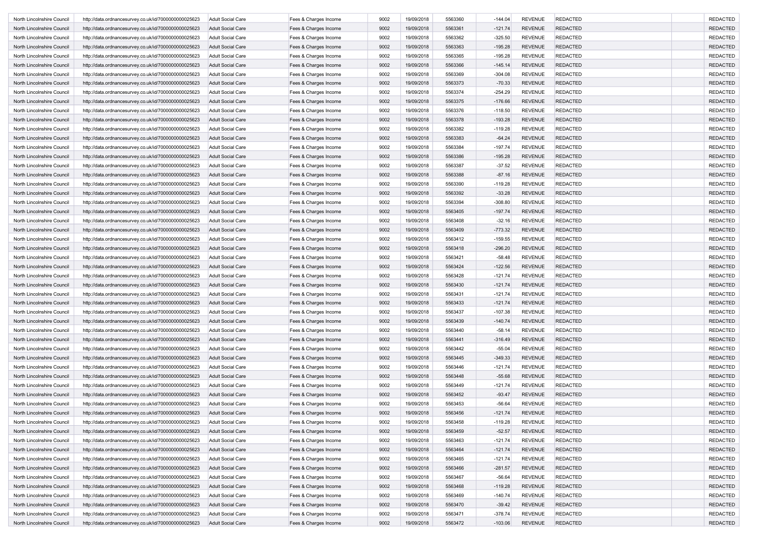| North Lincolnshire Council | http://data.ordnancesurvey.co.uk/id/7000000000025623                                                         | <b>Adult Social Care</b> | Fees & Charges Income                          | 9002 | 19/09/2018 | 5563360 | $-144.04$ | <b>REVENUE</b> | <b>REDACTED</b> | <b>REDACTED</b> |
|----------------------------|--------------------------------------------------------------------------------------------------------------|--------------------------|------------------------------------------------|------|------------|---------|-----------|----------------|-----------------|-----------------|
| North Lincolnshire Council | http://data.ordnancesurvey.co.uk/id/7000000000025623                                                         | <b>Adult Social Care</b> | Fees & Charges Income                          | 9002 | 19/09/2018 | 5563361 | $-121.74$ | <b>REVENUE</b> | <b>REDACTED</b> | <b>REDACTED</b> |
| North Lincolnshire Council | http://data.ordnancesurvey.co.uk/id/7000000000025623                                                         | <b>Adult Social Care</b> | Fees & Charges Income                          | 9002 | 19/09/2018 | 5563362 | $-325.50$ | <b>REVENUE</b> | <b>REDACTED</b> | <b>REDACTED</b> |
| North Lincolnshire Council | http://data.ordnancesurvey.co.uk/id/7000000000025623                                                         | <b>Adult Social Care</b> | Fees & Charges Income                          | 9002 | 19/09/2018 | 5563363 | $-195.28$ | <b>REVENUE</b> | <b>REDACTED</b> | <b>REDACTED</b> |
| North Lincolnshire Council | http://data.ordnancesurvey.co.uk/id/7000000000025623                                                         | <b>Adult Social Care</b> | Fees & Charges Income                          | 9002 | 19/09/2018 | 5563365 | $-195.28$ | <b>REVENUE</b> | <b>REDACTED</b> | <b>REDACTED</b> |
| North Lincolnshire Council | http://data.ordnancesurvey.co.uk/id/7000000000025623                                                         | <b>Adult Social Care</b> | Fees & Charges Income                          | 9002 | 19/09/2018 | 5563366 | $-145.14$ | <b>REVENUE</b> | <b>REDACTED</b> | <b>REDACTED</b> |
| North Lincolnshire Council | http://data.ordnancesurvey.co.uk/id/7000000000025623                                                         | <b>Adult Social Care</b> | Fees & Charges Income                          | 9002 | 19/09/2018 | 5563369 | $-304.08$ | <b>REVENUE</b> | <b>REDACTED</b> | <b>REDACTED</b> |
| North Lincolnshire Council | http://data.ordnancesurvey.co.uk/id/7000000000025623                                                         | <b>Adult Social Care</b> | Fees & Charges Income                          | 9002 | 19/09/2018 | 5563373 | $-70.33$  | <b>REVENUE</b> | <b>REDACTED</b> | <b>REDACTED</b> |
| North Lincolnshire Council | http://data.ordnancesurvey.co.uk/id/7000000000025623                                                         | <b>Adult Social Care</b> | Fees & Charges Income                          | 9002 | 19/09/2018 | 5563374 | $-254.29$ | <b>REVENUE</b> | <b>REDACTED</b> | <b>REDACTED</b> |
| North Lincolnshire Council | http://data.ordnancesurvey.co.uk/id/7000000000025623                                                         | <b>Adult Social Care</b> | Fees & Charges Income                          | 9002 | 19/09/2018 | 5563375 | $-176.66$ | <b>REVENUE</b> | <b>REDACTED</b> | <b>REDACTED</b> |
| North Lincolnshire Council | http://data.ordnancesurvey.co.uk/id/7000000000025623                                                         | <b>Adult Social Care</b> | Fees & Charges Income                          | 9002 | 19/09/2018 | 5563376 | $-118.50$ | <b>REVENUE</b> | <b>REDACTED</b> | <b>REDACTED</b> |
| North Lincolnshire Council |                                                                                                              | <b>Adult Social Care</b> |                                                | 9002 | 19/09/2018 | 5563378 | $-193.28$ | <b>REVENUE</b> | <b>REDACTED</b> | <b>REDACTED</b> |
| North Lincolnshire Council | http://data.ordnancesurvey.co.uk/id/7000000000025623<br>http://data.ordnancesurvey.co.uk/id/7000000000025623 | <b>Adult Social Care</b> | Fees & Charges Income<br>Fees & Charges Income | 9002 | 19/09/2018 | 5563382 | $-119.28$ | <b>REVENUE</b> | <b>REDACTED</b> | <b>REDACTED</b> |
|                            |                                                                                                              |                          |                                                |      |            |         |           |                |                 |                 |
| North Lincolnshire Council | http://data.ordnancesurvey.co.uk/id/7000000000025623                                                         | <b>Adult Social Care</b> | Fees & Charges Income                          | 9002 | 19/09/2018 | 5563383 | $-64.24$  | <b>REVENUE</b> | <b>REDACTED</b> | <b>REDACTED</b> |
| North Lincolnshire Council | http://data.ordnancesurvey.co.uk/id/7000000000025623                                                         | Adult Social Care        | Fees & Charges Income                          | 9002 | 19/09/2018 | 5563384 | $-197.74$ | <b>REVENUE</b> | <b>REDACTED</b> | <b>REDACTED</b> |
| North Lincolnshire Council | http://data.ordnancesurvey.co.uk/id/7000000000025623                                                         | <b>Adult Social Care</b> | Fees & Charges Income                          | 9002 | 19/09/2018 | 5563386 | $-195.28$ | <b>REVENUE</b> | <b>REDACTED</b> | <b>REDACTED</b> |
| North Lincolnshire Council | http://data.ordnancesurvey.co.uk/id/7000000000025623                                                         | <b>Adult Social Care</b> | Fees & Charges Income                          | 9002 | 19/09/2018 | 5563387 | $-37.52$  | <b>REVENUE</b> | <b>REDACTED</b> | <b>REDACTED</b> |
| North Lincolnshire Council | http://data.ordnancesurvey.co.uk/id/7000000000025623                                                         | <b>Adult Social Care</b> | Fees & Charges Income                          | 9002 | 19/09/2018 | 5563388 | $-87.16$  | <b>REVENUE</b> | <b>REDACTED</b> | <b>REDACTED</b> |
| North Lincolnshire Council | http://data.ordnancesurvey.co.uk/id/7000000000025623                                                         | <b>Adult Social Care</b> | Fees & Charges Income                          | 9002 | 19/09/2018 | 5563390 | $-119.28$ | <b>REVENUE</b> | <b>REDACTED</b> | <b>REDACTED</b> |
| North Lincolnshire Council | http://data.ordnancesurvey.co.uk/id/7000000000025623                                                         | <b>Adult Social Care</b> | Fees & Charges Income                          | 9002 | 19/09/2018 | 5563392 | $-33.28$  | <b>REVENUE</b> | <b>REDACTED</b> | <b>REDACTED</b> |
| North Lincolnshire Council | http://data.ordnancesurvey.co.uk/id/7000000000025623                                                         | <b>Adult Social Care</b> | Fees & Charges Income                          | 9002 | 19/09/2018 | 5563394 | $-308.80$ | <b>REVENUE</b> | <b>REDACTED</b> | <b>REDACTED</b> |
| North Lincolnshire Council | http://data.ordnancesurvey.co.uk/id/7000000000025623                                                         | <b>Adult Social Care</b> | Fees & Charges Income                          | 9002 | 19/09/2018 | 5563405 | $-197.74$ | <b>REVENUE</b> | <b>REDACTED</b> | <b>REDACTED</b> |
| North Lincolnshire Council | http://data.ordnancesurvey.co.uk/id/7000000000025623                                                         | <b>Adult Social Care</b> | Fees & Charges Income                          | 9002 | 19/09/2018 | 5563408 | $-32.16$  | <b>REVENUE</b> | <b>REDACTED</b> | <b>REDACTED</b> |
| North Lincolnshire Council | http://data.ordnancesurvey.co.uk/id/7000000000025623                                                         | <b>Adult Social Care</b> | Fees & Charges Income                          | 9002 | 19/09/2018 | 5563409 | $-773.32$ | <b>REVENUE</b> | <b>REDACTED</b> | <b>REDACTED</b> |
| North Lincolnshire Council | http://data.ordnancesurvey.co.uk/id/7000000000025623                                                         | <b>Adult Social Care</b> | Fees & Charges Income                          | 9002 | 19/09/2018 | 5563412 | $-159.55$ | <b>REVENUE</b> | <b>REDACTED</b> | <b>REDACTED</b> |
| North Lincolnshire Council | http://data.ordnancesurvey.co.uk/id/7000000000025623                                                         | <b>Adult Social Care</b> | Fees & Charges Income                          | 9002 | 19/09/2018 | 5563418 | $-296.20$ | <b>REVENUE</b> | <b>REDACTED</b> | <b>REDACTED</b> |
| North Lincolnshire Council | http://data.ordnancesurvey.co.uk/id/7000000000025623                                                         | <b>Adult Social Care</b> | Fees & Charges Income                          | 9002 | 19/09/2018 | 5563421 | $-58.48$  | <b>REVENUE</b> | <b>REDACTED</b> | <b>REDACTED</b> |
| North Lincolnshire Council | http://data.ordnancesurvey.co.uk/id/7000000000025623                                                         | <b>Adult Social Care</b> | Fees & Charges Income                          | 9002 | 19/09/2018 | 5563424 | $-122.56$ | <b>REVENUE</b> | <b>REDACTED</b> | <b>REDACTED</b> |
| North Lincolnshire Council | http://data.ordnancesurvey.co.uk/id/7000000000025623                                                         | <b>Adult Social Care</b> | Fees & Charges Income                          | 9002 | 19/09/2018 | 5563428 | $-121.74$ | <b>REVENUE</b> | <b>REDACTED</b> | <b>REDACTED</b> |
| North Lincolnshire Council | http://data.ordnancesurvey.co.uk/id/7000000000025623                                                         | <b>Adult Social Care</b> | Fees & Charges Income                          | 9002 | 19/09/2018 | 5563430 | $-121.74$ | <b>REVENUE</b> | <b>REDACTED</b> | <b>REDACTED</b> |
| North Lincolnshire Council | http://data.ordnancesurvey.co.uk/id/7000000000025623                                                         | <b>Adult Social Care</b> | Fees & Charges Income                          | 9002 | 19/09/2018 | 5563431 | $-121.74$ | <b>REVENUE</b> | <b>REDACTED</b> | <b>REDACTED</b> |
| North Lincolnshire Council | http://data.ordnancesurvey.co.uk/id/7000000000025623                                                         | <b>Adult Social Care</b> | Fees & Charges Income                          | 9002 | 19/09/2018 | 5563433 | $-121.74$ | <b>REVENUE</b> | <b>REDACTED</b> | <b>REDACTED</b> |
| North Lincolnshire Council | http://data.ordnancesurvey.co.uk/id/7000000000025623                                                         | <b>Adult Social Care</b> | Fees & Charges Income                          | 9002 | 19/09/2018 | 5563437 | $-107.38$ | <b>REVENUE</b> | <b>REDACTED</b> | <b>REDACTED</b> |
| North Lincolnshire Council |                                                                                                              | <b>Adult Social Care</b> | Fees & Charges Income                          | 9002 | 19/09/2018 | 5563439 | $-140.74$ | <b>REVENUE</b> | <b>REDACTED</b> | <b>REDACTED</b> |
|                            | http://data.ordnancesurvey.co.uk/id/7000000000025623                                                         |                          |                                                |      |            |         |           |                |                 | <b>REDACTED</b> |
| North Lincolnshire Council | http://data.ordnancesurvey.co.uk/id/7000000000025623                                                         | <b>Adult Social Care</b> | Fees & Charges Income                          | 9002 | 19/09/2018 | 5563440 | $-58.14$  | <b>REVENUE</b> | <b>REDACTED</b> |                 |
| North Lincolnshire Council | http://data.ordnancesurvey.co.uk/id/7000000000025623                                                         | <b>Adult Social Care</b> | Fees & Charges Income                          | 9002 | 19/09/2018 | 5563441 | $-316.49$ | <b>REVENUE</b> | <b>REDACTED</b> | <b>REDACTED</b> |
| North Lincolnshire Council | http://data.ordnancesurvey.co.uk/id/7000000000025623                                                         | Adult Social Care        | Fees & Charges Income                          | 9002 | 19/09/2018 | 5563442 | -55.04    | <b>REVENUE</b> | <b>REDACTED</b> | <b>REDACTED</b> |
| North Lincolnshire Council | http://data.ordnancesurvey.co.uk/id/7000000000025623                                                         | <b>Adult Social Care</b> | Fees & Charges Income                          | 9002 | 19/09/2018 | 5563445 | $-349.33$ | <b>REVENUE</b> | <b>REDACTED</b> | <b>REDACTED</b> |
| North Lincolnshire Council | http://data.ordnancesurvey.co.uk/id/7000000000025623                                                         | <b>Adult Social Care</b> | Fees & Charges Income                          | 9002 | 19/09/2018 | 5563446 | $-121.74$ | <b>REVENUE</b> | <b>REDACTED</b> | <b>REDACTED</b> |
| North Lincolnshire Council | http://data.ordnancesurvey.co.uk/id/7000000000025623                                                         | <b>Adult Social Care</b> | Fees & Charges Income                          | 9002 | 19/09/2018 | 5563448 | $-55.68$  | <b>REVENUE</b> | <b>REDACTED</b> | <b>REDACTED</b> |
| North Lincolnshire Council | http://data.ordnancesurvey.co.uk/id/7000000000025623                                                         | <b>Adult Social Care</b> | Fees & Charges Income                          | 9002 | 19/09/2018 | 5563449 | $-121.74$ | <b>REVENUE</b> | <b>REDACTED</b> | <b>REDACTED</b> |
| North Lincolnshire Council | http://data.ordnancesurvey.co.uk/id/7000000000025623                                                         | <b>Adult Social Care</b> | Fees & Charges Income                          | 9002 | 19/09/2018 | 5563452 | $-93.47$  | <b>REVENUE</b> | <b>REDACTED</b> | <b>REDACTED</b> |
| North Lincolnshire Council | http://data.ordnancesurvey.co.uk/id/7000000000025623                                                         | <b>Adult Social Care</b> | Fees & Charges Income                          | 9002 | 19/09/2018 | 5563453 | $-56.64$  | <b>REVENUE</b> | <b>REDACTED</b> | <b>REDACTED</b> |
| North Lincolnshire Council | http://data.ordnancesurvey.co.uk/id/7000000000025623                                                         | <b>Adult Social Care</b> | Fees & Charges Income                          | 9002 | 19/09/2018 | 5563456 | $-121.74$ | <b>REVENUE</b> | <b>REDACTED</b> | <b>REDACTED</b> |
| North Lincolnshire Council | http://data.ordnancesurvey.co.uk/id/7000000000025623                                                         | <b>Adult Social Care</b> | Fees & Charges Income                          | 9002 | 19/09/2018 | 5563458 | -119.28   | REVENUE        | <b>REDACTED</b> | REDACTEL        |
| North Lincolnshire Council | http://data.ordnancesurvey.co.uk/id/7000000000025623                                                         | <b>Adult Social Care</b> | Fees & Charges Income                          | 9002 | 19/09/2018 | 5563459 | $-52.57$  | <b>REVENUE</b> | <b>REDACTED</b> | <b>REDACTED</b> |
| North Lincolnshire Council | http://data.ordnancesurvey.co.uk/id/7000000000025623                                                         | <b>Adult Social Care</b> | Fees & Charges Income                          | 9002 | 19/09/2018 | 5563463 | $-121.74$ | <b>REVENUE</b> | <b>REDACTED</b> | <b>REDACTED</b> |
| North Lincolnshire Council | http://data.ordnancesurvey.co.uk/id/7000000000025623                                                         | <b>Adult Social Care</b> | Fees & Charges Income                          | 9002 | 19/09/2018 | 5563464 | $-121.74$ | <b>REVENUE</b> | <b>REDACTED</b> | <b>REDACTED</b> |
| North Lincolnshire Council | http://data.ordnancesurvey.co.uk/id/7000000000025623                                                         | <b>Adult Social Care</b> | Fees & Charges Income                          | 9002 | 19/09/2018 | 5563465 | $-121.74$ | <b>REVENUE</b> | REDACTED        | <b>REDACTED</b> |
| North Lincolnshire Council | http://data.ordnancesurvey.co.uk/id/7000000000025623                                                         | <b>Adult Social Care</b> | Fees & Charges Income                          | 9002 | 19/09/2018 | 5563466 | $-281.57$ | <b>REVENUE</b> | REDACTED        | <b>REDACTED</b> |
| North Lincolnshire Council | http://data.ordnancesurvey.co.uk/id/7000000000025623                                                         | <b>Adult Social Care</b> | Fees & Charges Income                          | 9002 | 19/09/2018 | 5563467 | $-56.64$  | <b>REVENUE</b> | <b>REDACTED</b> | <b>REDACTED</b> |
| North Lincolnshire Council | http://data.ordnancesurvey.co.uk/id/7000000000025623                                                         | <b>Adult Social Care</b> | Fees & Charges Income                          | 9002 | 19/09/2018 | 5563468 | $-119.28$ | <b>REVENUE</b> | <b>REDACTED</b> | <b>REDACTED</b> |
| North Lincolnshire Council | http://data.ordnancesurvey.co.uk/id/7000000000025623                                                         | <b>Adult Social Care</b> | Fees & Charges Income                          | 9002 | 19/09/2018 | 5563469 | $-140.74$ | <b>REVENUE</b> | <b>REDACTED</b> | <b>REDACTED</b> |
| North Lincolnshire Council | http://data.ordnancesurvey.co.uk/id/7000000000025623                                                         | <b>Adult Social Care</b> | Fees & Charges Income                          | 9002 | 19/09/2018 | 5563470 | $-39.42$  | <b>REVENUE</b> | <b>REDACTED</b> | <b>REDACTED</b> |
| North Lincolnshire Council | http://data.ordnancesurvey.co.uk/id/7000000000025623                                                         | <b>Adult Social Care</b> | Fees & Charges Income                          | 9002 | 19/09/2018 | 5563471 | $-378.74$ | <b>REVENUE</b> | <b>REDACTED</b> | <b>REDACTED</b> |
| North Lincolnshire Council | http://data.ordnancesurvey.co.uk/id/7000000000025623                                                         | <b>Adult Social Care</b> | Fees & Charges Income                          | 9002 | 19/09/2018 | 5563472 | $-103.06$ | <b>REVENUE</b> | <b>REDACTED</b> | <b>REDACTED</b> |
|                            |                                                                                                              |                          |                                                |      |            |         |           |                |                 |                 |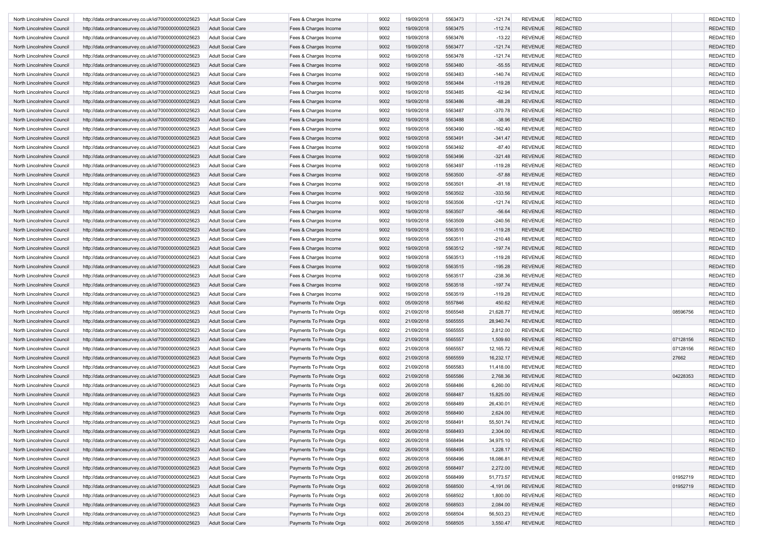| North Lincolnshire Council | http://data.ordnancesurvey.co.uk/id/7000000000025623 | <b>Adult Social Care</b> | Fees & Charges Income    | 9002 | 19/09/2018 | 5563473 | $-121.74$   | <b>REVENUE</b> | <b>REDACTED</b> |          | <b>REDACTED</b> |
|----------------------------|------------------------------------------------------|--------------------------|--------------------------|------|------------|---------|-------------|----------------|-----------------|----------|-----------------|
| North Lincolnshire Council | http://data.ordnancesurvey.co.uk/id/7000000000025623 | <b>Adult Social Care</b> | Fees & Charges Income    | 9002 | 19/09/2018 | 5563475 | $-112.74$   | <b>REVENUE</b> | <b>REDACTED</b> |          | <b>REDACTED</b> |
| North Lincolnshire Council | http://data.ordnancesurvey.co.uk/id/7000000000025623 | <b>Adult Social Care</b> | Fees & Charges Income    | 9002 | 19/09/2018 | 5563476 | $-13.22$    | <b>REVENUE</b> | <b>REDACTED</b> |          | <b>REDACTED</b> |
| North Lincolnshire Council | http://data.ordnancesurvey.co.uk/id/7000000000025623 | <b>Adult Social Care</b> | Fees & Charges Income    | 9002 | 19/09/2018 | 5563477 | $-121.74$   | <b>REVENUE</b> | <b>REDACTED</b> |          | <b>REDACTED</b> |
| North Lincolnshire Council | http://data.ordnancesurvey.co.uk/id/7000000000025623 | <b>Adult Social Care</b> | Fees & Charges Income    | 9002 | 19/09/2018 | 5563478 | $-121.74$   | <b>REVENUE</b> | <b>REDACTED</b> |          | <b>REDACTED</b> |
| North Lincolnshire Council | http://data.ordnancesurvey.co.uk/id/7000000000025623 | <b>Adult Social Care</b> | Fees & Charges Income    | 9002 | 19/09/2018 | 5563480 | $-55.55$    | <b>REVENUE</b> | <b>REDACTED</b> |          | <b>REDACTED</b> |
| North Lincolnshire Council | http://data.ordnancesurvey.co.uk/id/7000000000025623 | <b>Adult Social Care</b> | Fees & Charges Income    | 9002 | 19/09/2018 | 5563483 | $-140.74$   | <b>REVENUE</b> | <b>REDACTED</b> |          | <b>REDACTED</b> |
| North Lincolnshire Council | http://data.ordnancesurvey.co.uk/id/7000000000025623 | <b>Adult Social Care</b> | Fees & Charges Income    | 9002 | 19/09/2018 | 5563484 | $-119.28$   | <b>REVENUE</b> | <b>REDACTED</b> |          | <b>REDACTED</b> |
| North Lincolnshire Council | http://data.ordnancesurvey.co.uk/id/7000000000025623 | <b>Adult Social Care</b> | Fees & Charges Income    | 9002 | 19/09/2018 | 5563485 | $-62.94$    | <b>REVENUE</b> | <b>REDACTED</b> |          | <b>REDACTED</b> |
| North Lincolnshire Council | http://data.ordnancesurvey.co.uk/id/7000000000025623 | <b>Adult Social Care</b> | Fees & Charges Income    | 9002 | 19/09/2018 | 5563486 | $-88.28$    | <b>REVENUE</b> | <b>REDACTED</b> |          | <b>REDACTED</b> |
| North Lincolnshire Council |                                                      | <b>Adult Social Care</b> |                          | 9002 | 19/09/2018 | 5563487 | $-370.78$   | <b>REVENUE</b> | <b>REDACTED</b> |          | <b>REDACTED</b> |
|                            | http://data.ordnancesurvey.co.uk/id/7000000000025623 |                          | Fees & Charges Income    |      |            |         |             |                |                 |          |                 |
| North Lincolnshire Council | http://data.ordnancesurvey.co.uk/id/7000000000025623 | <b>Adult Social Care</b> | Fees & Charges Income    | 9002 | 19/09/2018 | 5563488 | $-38.96$    | <b>REVENUE</b> | <b>REDACTED</b> |          | <b>REDACTED</b> |
| North Lincolnshire Council | http://data.ordnancesurvey.co.uk/id/7000000000025623 | <b>Adult Social Care</b> | Fees & Charges Income    | 9002 | 19/09/2018 | 5563490 | $-162.40$   | <b>REVENUE</b> | <b>REDACTED</b> |          | <b>REDACTED</b> |
| North Lincolnshire Council | http://data.ordnancesurvey.co.uk/id/7000000000025623 | <b>Adult Social Care</b> | Fees & Charges Income    | 9002 | 19/09/2018 | 5563491 | $-341.47$   | <b>REVENUE</b> | <b>REDACTED</b> |          | <b>REDACTED</b> |
| North Lincolnshire Council | http://data.ordnancesurvey.co.uk/id/7000000000025623 | <b>Adult Social Care</b> | Fees & Charges Income    | 9002 | 19/09/2018 | 5563492 | $-87.40$    | <b>REVENUE</b> | <b>REDACTED</b> |          | <b>REDACTED</b> |
| North Lincolnshire Council | http://data.ordnancesurvey.co.uk/id/7000000000025623 | <b>Adult Social Care</b> | Fees & Charges Income    | 9002 | 19/09/2018 | 5563496 | $-321.48$   | <b>REVENUE</b> | <b>REDACTED</b> |          | <b>REDACTED</b> |
| North Lincolnshire Council | http://data.ordnancesurvey.co.uk/id/7000000000025623 | <b>Adult Social Care</b> | Fees & Charges Income    | 9002 | 19/09/2018 | 5563497 | $-119.28$   | <b>REVENUE</b> | <b>REDACTED</b> |          | <b>REDACTED</b> |
| North Lincolnshire Council | http://data.ordnancesurvey.co.uk/id/7000000000025623 | <b>Adult Social Care</b> | Fees & Charges Income    | 9002 | 19/09/2018 | 5563500 | $-57.88$    | <b>REVENUE</b> | <b>REDACTED</b> |          | <b>REDACTED</b> |
| North Lincolnshire Council | http://data.ordnancesurvey.co.uk/id/7000000000025623 | Adult Social Care        | Fees & Charges Income    | 9002 | 19/09/2018 | 5563501 | $-81.18$    | <b>REVENUE</b> | <b>REDACTED</b> |          | <b>REDACTED</b> |
| North Lincolnshire Council | http://data.ordnancesurvey.co.uk/id/7000000000025623 | <b>Adult Social Care</b> | Fees & Charges Income    | 9002 | 19/09/2018 | 5563502 | $-333.56$   | <b>REVENUE</b> | <b>REDACTED</b> |          | <b>REDACTED</b> |
| North Lincolnshire Council | http://data.ordnancesurvey.co.uk/id/7000000000025623 | <b>Adult Social Care</b> | Fees & Charges Income    | 9002 | 19/09/2018 | 5563506 | $-121.74$   | <b>REVENUE</b> | <b>REDACTED</b> |          | <b>REDACTED</b> |
| North Lincolnshire Council | http://data.ordnancesurvey.co.uk/id/7000000000025623 | <b>Adult Social Care</b> | Fees & Charges Income    | 9002 | 19/09/2018 | 5563507 | $-56.64$    | <b>REVENUE</b> | <b>REDACTED</b> |          | <b>REDACTED</b> |
| North Lincolnshire Council | http://data.ordnancesurvey.co.uk/id/7000000000025623 | <b>Adult Social Care</b> | Fees & Charges Income    | 9002 | 19/09/2018 | 5563509 | $-240.56$   | <b>REVENUE</b> | <b>REDACTED</b> |          | <b>REDACTED</b> |
| North Lincolnshire Council | http://data.ordnancesurvey.co.uk/id/7000000000025623 | <b>Adult Social Care</b> | Fees & Charges Income    | 9002 | 19/09/2018 | 5563510 | $-119.28$   | <b>REVENUE</b> | <b>REDACTED</b> |          | <b>REDACTED</b> |
| North Lincolnshire Council | http://data.ordnancesurvey.co.uk/id/7000000000025623 | <b>Adult Social Care</b> | Fees & Charges Income    | 9002 | 19/09/2018 | 5563511 | $-210.48$   | <b>REVENUE</b> | <b>REDACTED</b> |          | <b>REDACTED</b> |
| North Lincolnshire Council | http://data.ordnancesurvey.co.uk/id/7000000000025623 | <b>Adult Social Care</b> | Fees & Charges Income    | 9002 | 19/09/2018 | 5563512 | $-197.74$   | <b>REVENUE</b> | <b>REDACTED</b> |          | <b>REDACTED</b> |
| North Lincolnshire Council | http://data.ordnancesurvey.co.uk/id/7000000000025623 | <b>Adult Social Care</b> | Fees & Charges Income    | 9002 | 19/09/2018 | 5563513 | $-119.28$   | <b>REVENUE</b> | <b>REDACTED</b> |          | <b>REDACTED</b> |
| North Lincolnshire Council | http://data.ordnancesurvey.co.uk/id/7000000000025623 | <b>Adult Social Care</b> | Fees & Charges Income    | 9002 | 19/09/2018 | 5563515 | $-195.28$   | <b>REVENUE</b> | <b>REDACTED</b> |          | <b>REDACTED</b> |
| North Lincolnshire Council | http://data.ordnancesurvey.co.uk/id/7000000000025623 | <b>Adult Social Care</b> | Fees & Charges Income    | 9002 | 19/09/2018 | 5563517 | $-238.36$   | <b>REVENUE</b> | <b>REDACTED</b> |          | <b>REDACTED</b> |
| North Lincolnshire Council | http://data.ordnancesurvey.co.uk/id/7000000000025623 | <b>Adult Social Care</b> | Fees & Charges Income    | 9002 | 19/09/2018 | 5563518 | $-197.74$   | <b>REVENUE</b> | <b>REDACTED</b> |          | <b>REDACTED</b> |
| North Lincolnshire Council | http://data.ordnancesurvey.co.uk/id/7000000000025623 | Adult Social Care        | Fees & Charges Income    | 9002 | 19/09/2018 | 5563519 | $-119.28$   | <b>REVENUE</b> | <b>REDACTED</b> |          | <b>REDACTED</b> |
| North Lincolnshire Council |                                                      | <b>Adult Social Care</b> |                          | 6002 | 05/09/2018 | 5557846 | 450.62      | <b>REVENUE</b> | <b>REDACTED</b> |          | <b>REDACTED</b> |
|                            | http://data.ordnancesurvey.co.uk/id/7000000000025623 |                          | Payments To Private Orgs |      |            |         |             |                |                 | 08596756 |                 |
| North Lincolnshire Council | http://data.ordnancesurvey.co.uk/id/7000000000025623 | <b>Adult Social Care</b> | Payments To Private Orgs | 6002 | 21/09/2018 | 5565548 | 21,628.77   | <b>REVENUE</b> | <b>REDACTED</b> |          | <b>REDACTED</b> |
| North Lincolnshire Council | http://data.ordnancesurvey.co.uk/id/7000000000025623 | <b>Adult Social Care</b> | Payments To Private Orgs | 6002 | 21/09/2018 | 5565555 | 28,940.74   | <b>REVENUE</b> | <b>REDACTED</b> |          | <b>REDACTED</b> |
| North Lincolnshire Council | http://data.ordnancesurvey.co.uk/id/7000000000025623 | <b>Adult Social Care</b> | Payments To Private Orgs | 6002 | 21/09/2018 | 5565555 | 2,812.00    | <b>REVENUE</b> | <b>REDACTED</b> |          | <b>REDACTED</b> |
| North Lincolnshire Council | http://data.ordnancesurvey.co.uk/id/7000000000025623 | <b>Adult Social Care</b> | Payments To Private Orgs | 6002 | 21/09/2018 | 5565557 | 1,509.60    | <b>REVENUE</b> | <b>REDACTED</b> | 07128156 | <b>REDACTED</b> |
| North Lincolnshire Council | http://data.ordnancesurvey.co.uk/id/7000000000025623 | <b>Adult Social Care</b> | Payments To Private Orgs | 6002 | 21/09/2018 | 5565557 | 12,165.72   | <b>REVENUE</b> | <b>REDACTED</b> | 07128156 | <b>REDACTED</b> |
| North Lincolnshire Council | http://data.ordnancesurvey.co.uk/id/7000000000025623 | <b>Adult Social Care</b> | Payments To Private Orgs | 6002 | 21/09/2018 | 5565559 | 16,232.17   | <b>REVENUE</b> | <b>REDACTED</b> | 27662    | <b>REDACTED</b> |
| North Lincolnshire Council | http://data.ordnancesurvey.co.uk/id/7000000000025623 | <b>Adult Social Care</b> | Payments To Private Orgs | 6002 | 21/09/2018 | 5565583 | 11,418.00   | <b>REVENUE</b> | <b>REDACTED</b> |          | <b>REDACTED</b> |
| North Lincolnshire Council | http://data.ordnancesurvey.co.uk/id/7000000000025623 | <b>Adult Social Care</b> | Payments To Private Orgs | 6002 | 21/09/2018 | 5565586 | 2,768.36    | <b>REVENUE</b> | <b>REDACTED</b> | 04228353 | <b>REDACTED</b> |
| North Lincolnshire Council | http://data.ordnancesurvey.co.uk/id/7000000000025623 | <b>Adult Social Care</b> | Payments To Private Orgs | 6002 | 26/09/2018 | 5568486 | 6,260.00    | <b>REVENUE</b> | <b>REDACTED</b> |          | <b>REDACTED</b> |
| North Lincolnshire Council | http://data.ordnancesurvey.co.uk/id/7000000000025623 | <b>Adult Social Care</b> | Payments To Private Orgs | 6002 | 26/09/2018 | 5568487 | 15,825.00   | <b>REVENUE</b> | <b>REDACTED</b> |          | <b>REDACTED</b> |
| North Lincolnshire Council | http://data.ordnancesurvey.co.uk/id/7000000000025623 | <b>Adult Social Care</b> | Payments To Private Orgs | 6002 | 26/09/2018 | 5568489 | 26,430.01   | <b>REVENUE</b> | <b>REDACTED</b> |          | <b>REDACTED</b> |
| North Lincolnshire Council | http://data.ordnancesurvey.co.uk/id/7000000000025623 | <b>Adult Social Care</b> | Payments To Private Orgs | 6002 | 26/09/2018 | 5568490 | 2,624.00    | <b>REVENUE</b> | <b>REDACTED</b> |          | <b>REDACTED</b> |
| North Lincolnshire Council | http://data.ordnancesurvey.co.uk/id/7000000000025623 | <b>Adult Social Care</b> | Payments To Private Orgs | 6002 | 26/09/2018 | 5568491 | 55,501.74   | REVENUE        | REDACTED        |          | REDACTED        |
| North Lincolnshire Council | http://data.ordnancesurvey.co.uk/id/7000000000025623 | <b>Adult Social Care</b> | Payments To Private Orgs | 6002 | 26/09/2018 | 5568493 | 2,304.00    | <b>REVENUE</b> | <b>REDACTED</b> |          | <b>REDACTED</b> |
| North Lincolnshire Council | http://data.ordnancesurvey.co.uk/id/7000000000025623 | <b>Adult Social Care</b> | Payments To Private Orgs | 6002 | 26/09/2018 | 5568494 | 34,975.10   | <b>REVENUE</b> | <b>REDACTED</b> |          | <b>REDACTED</b> |
| North Lincolnshire Council | http://data.ordnancesurvey.co.uk/id/7000000000025623 | <b>Adult Social Care</b> | Payments To Private Orgs | 6002 | 26/09/2018 | 5568495 | 1,228.17    | <b>REVENUE</b> | <b>REDACTED</b> |          | <b>REDACTED</b> |
| North Lincolnshire Council | http://data.ordnancesurvey.co.uk/id/7000000000025623 | <b>Adult Social Care</b> | Payments To Private Orgs | 6002 | 26/09/2018 | 5568496 | 18,086.81   | <b>REVENUE</b> | <b>REDACTED</b> |          | <b>REDACTED</b> |
| North Lincolnshire Council | http://data.ordnancesurvey.co.uk/id/7000000000025623 | <b>Adult Social Care</b> | Payments To Private Orgs | 6002 | 26/09/2018 | 5568497 | 2,272.00    | <b>REVENUE</b> | <b>REDACTED</b> |          | <b>REDACTED</b> |
| North Lincolnshire Council | http://data.ordnancesurvey.co.uk/id/7000000000025623 | <b>Adult Social Care</b> | Payments To Private Orgs | 6002 | 26/09/2018 | 5568499 | 51,773.57   | <b>REVENUE</b> | <b>REDACTED</b> | 01952719 | <b>REDACTED</b> |
| North Lincolnshire Council | http://data.ordnancesurvey.co.uk/id/7000000000025623 | <b>Adult Social Care</b> | Payments To Private Orgs | 6002 | 26/09/2018 | 5568500 | $-4,191.06$ | <b>REVENUE</b> | <b>REDACTED</b> | 01952719 | <b>REDACTED</b> |
| North Lincolnshire Council |                                                      |                          |                          |      |            |         |             |                |                 |          | <b>REDACTED</b> |
|                            | http://data.ordnancesurvey.co.uk/id/7000000000025623 | <b>Adult Social Care</b> | Payments To Private Orgs | 6002 | 26/09/2018 | 5568502 | 1,800.00    | <b>REVENUE</b> | <b>REDACTED</b> |          |                 |
| North Lincolnshire Council | http://data.ordnancesurvey.co.uk/id/7000000000025623 | <b>Adult Social Care</b> | Payments To Private Orgs | 6002 | 26/09/2018 | 5568503 | 2,084.00    | <b>REVENUE</b> | <b>REDACTED</b> |          | <b>REDACTED</b> |
| North Lincolnshire Council | http://data.ordnancesurvey.co.uk/id/7000000000025623 | <b>Adult Social Care</b> | Payments To Private Orgs | 6002 | 26/09/2018 | 5568504 | 56,503.23   | <b>REVENUE</b> | <b>REDACTED</b> |          | <b>REDACTED</b> |
| North Lincolnshire Council | http://data.ordnancesurvey.co.uk/id/7000000000025623 | <b>Adult Social Care</b> | Payments To Private Orgs | 6002 | 26/09/2018 | 5568505 | 3,550.47    | REVENUE        | <b>REDACTED</b> |          | <b>REDACTED</b> |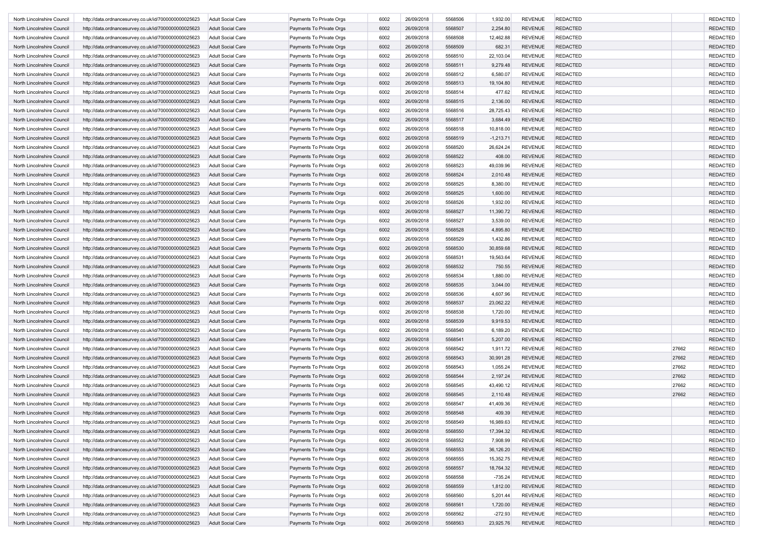| North Lincolnshire Council | http://data.ordnancesurvey.co.uk/id/7000000000025623 | <b>Adult Social Care</b> | Payments To Private Orgs | 6002 | 26/09/2018 | 5568506 | 1,932.00    | <b>REVENUE</b> | <b>REDACTED</b> |       | <b>REDACTED</b> |
|----------------------------|------------------------------------------------------|--------------------------|--------------------------|------|------------|---------|-------------|----------------|-----------------|-------|-----------------|
| North Lincolnshire Council | http://data.ordnancesurvey.co.uk/id/7000000000025623 | <b>Adult Social Care</b> | Payments To Private Orgs | 6002 | 26/09/2018 | 5568507 | 2,254.80    | <b>REVENUE</b> | <b>REDACTED</b> |       | <b>REDACTED</b> |
| North Lincolnshire Council | http://data.ordnancesurvey.co.uk/id/7000000000025623 | <b>Adult Social Care</b> | Payments To Private Orgs | 6002 | 26/09/2018 | 5568508 | 12,462.88   | <b>REVENUE</b> | <b>REDACTED</b> |       | <b>REDACTED</b> |
| North Lincolnshire Council | http://data.ordnancesurvey.co.uk/id/7000000000025623 | <b>Adult Social Care</b> | Payments To Private Orgs | 6002 | 26/09/2018 | 5568509 | 682.31      | <b>REVENUE</b> | <b>REDACTED</b> |       | <b>REDACTED</b> |
| North Lincolnshire Council | http://data.ordnancesurvey.co.uk/id/7000000000025623 | <b>Adult Social Care</b> | Payments To Private Orgs | 6002 | 26/09/2018 | 5568510 | 22,103.04   | <b>REVENUE</b> | <b>REDACTED</b> |       | <b>REDACTED</b> |
| North Lincolnshire Council | http://data.ordnancesurvey.co.uk/id/7000000000025623 | <b>Adult Social Care</b> | Payments To Private Orgs | 6002 | 26/09/2018 | 5568511 | 9,279.48    | <b>REVENUE</b> | <b>REDACTED</b> |       | <b>REDACTED</b> |
| North Lincolnshire Council | http://data.ordnancesurvey.co.uk/id/7000000000025623 | <b>Adult Social Care</b> | Payments To Private Orgs | 6002 | 26/09/2018 | 5568512 | 6,580.07    | <b>REVENUE</b> | <b>REDACTED</b> |       | <b>REDACTED</b> |
| North Lincolnshire Council | http://data.ordnancesurvey.co.uk/id/7000000000025623 | <b>Adult Social Care</b> | Payments To Private Orgs | 6002 | 26/09/2018 | 5568513 | 19,104.80   | <b>REVENUE</b> | <b>REDACTED</b> |       | <b>REDACTED</b> |
| North Lincolnshire Council | http://data.ordnancesurvey.co.uk/id/7000000000025623 | <b>Adult Social Care</b> | Payments To Private Orgs | 6002 | 26/09/2018 | 5568514 | 477.62      | <b>REVENUE</b> | <b>REDACTED</b> |       | <b>REDACTED</b> |
| North Lincolnshire Council | http://data.ordnancesurvey.co.uk/id/7000000000025623 | <b>Adult Social Care</b> | Payments To Private Orgs | 6002 | 26/09/2018 | 5568515 | 2,136.00    | <b>REVENUE</b> | <b>REDACTED</b> |       | <b>REDACTED</b> |
| North Lincolnshire Council | http://data.ordnancesurvey.co.uk/id/7000000000025623 | <b>Adult Social Care</b> | Payments To Private Orgs | 6002 | 26/09/2018 | 5568516 | 28,725.43   | <b>REVENUE</b> | <b>REDACTED</b> |       | <b>REDACTED</b> |
|                            |                                                      | <b>Adult Social Care</b> |                          |      |            |         |             |                |                 |       | <b>REDACTED</b> |
| North Lincolnshire Council | http://data.ordnancesurvey.co.uk/id/7000000000025623 |                          | Payments To Private Orgs | 6002 | 26/09/2018 | 5568517 | 3,684.49    | <b>REVENUE</b> | <b>REDACTED</b> |       |                 |
| North Lincolnshire Council | http://data.ordnancesurvey.co.uk/id/7000000000025623 | <b>Adult Social Care</b> | Payments To Private Orgs | 6002 | 26/09/2018 | 5568518 | 10,818.00   | <b>REVENUE</b> | <b>REDACTED</b> |       | <b>REDACTED</b> |
| North Lincolnshire Council | http://data.ordnancesurvey.co.uk/id/7000000000025623 | <b>Adult Social Care</b> | Payments To Private Orgs | 6002 | 26/09/2018 | 5568519 | $-1,213.71$ | <b>REVENUE</b> | <b>REDACTED</b> |       | <b>REDACTED</b> |
| North Lincolnshire Council | http://data.ordnancesurvey.co.uk/id/7000000000025623 | Adult Social Care        | Payments To Private Orgs | 6002 | 26/09/2018 | 5568520 | 26,624.24   | <b>REVENUE</b> | <b>REDACTED</b> |       | <b>REDACTED</b> |
| North Lincolnshire Council | http://data.ordnancesurvey.co.uk/id/7000000000025623 | <b>Adult Social Care</b> | Payments To Private Orgs | 6002 | 26/09/2018 | 5568522 | 408.00      | <b>REVENUE</b> | <b>REDACTED</b> |       | <b>REDACTED</b> |
| North Lincolnshire Council | http://data.ordnancesurvey.co.uk/id/7000000000025623 | <b>Adult Social Care</b> | Payments To Private Orgs | 6002 | 26/09/2018 | 5568523 | 49,039.96   | <b>REVENUE</b> | <b>REDACTED</b> |       | <b>REDACTED</b> |
| North Lincolnshire Council | http://data.ordnancesurvey.co.uk/id/7000000000025623 | <b>Adult Social Care</b> | Payments To Private Orgs | 6002 | 26/09/2018 | 5568524 | 2,010.48    | <b>REVENUE</b> | <b>REDACTED</b> |       | <b>REDACTED</b> |
| North Lincolnshire Council | http://data.ordnancesurvey.co.uk/id/7000000000025623 | Adult Social Care        | Payments To Private Orgs | 6002 | 26/09/2018 | 5568525 | 8,380.00    | <b>REVENUE</b> | <b>REDACTED</b> |       | <b>REDACTED</b> |
| North Lincolnshire Council | http://data.ordnancesurvey.co.uk/id/7000000000025623 | <b>Adult Social Care</b> | Payments To Private Orgs | 6002 | 26/09/2018 | 5568525 | 1,600.00    | <b>REVENUE</b> | <b>REDACTED</b> |       | <b>REDACTED</b> |
| North Lincolnshire Council | http://data.ordnancesurvey.co.uk/id/7000000000025623 | <b>Adult Social Care</b> | Payments To Private Orgs | 6002 | 26/09/2018 | 5568526 | 1,932.00    | <b>REVENUE</b> | <b>REDACTED</b> |       | <b>REDACTED</b> |
| North Lincolnshire Council | http://data.ordnancesurvey.co.uk/id/7000000000025623 | <b>Adult Social Care</b> | Payments To Private Orgs | 6002 | 26/09/2018 | 5568527 | 11,390.72   | <b>REVENUE</b> | <b>REDACTED</b> |       | <b>REDACTED</b> |
| North Lincolnshire Council | http://data.ordnancesurvey.co.uk/id/7000000000025623 | <b>Adult Social Care</b> | Payments To Private Orgs | 6002 | 26/09/2018 | 5568527 | 3,539.00    | <b>REVENUE</b> | <b>REDACTED</b> |       | <b>REDACTED</b> |
| North Lincolnshire Council | http://data.ordnancesurvey.co.uk/id/7000000000025623 | <b>Adult Social Care</b> | Payments To Private Orgs | 6002 | 26/09/2018 | 5568528 | 4,895.80    | <b>REVENUE</b> | <b>REDACTED</b> |       | <b>REDACTED</b> |
| North Lincolnshire Council | http://data.ordnancesurvey.co.uk/id/7000000000025623 | Adult Social Care        | Payments To Private Orgs | 6002 | 26/09/2018 | 5568529 | 1,432.86    | <b>REVENUE</b> | <b>REDACTED</b> |       | <b>REDACTED</b> |
| North Lincolnshire Council | http://data.ordnancesurvey.co.uk/id/7000000000025623 | <b>Adult Social Care</b> | Payments To Private Orgs | 6002 | 26/09/2018 | 5568530 | 30,859.68   | <b>REVENUE</b> | <b>REDACTED</b> |       | <b>REDACTED</b> |
| North Lincolnshire Council | http://data.ordnancesurvey.co.uk/id/7000000000025623 | <b>Adult Social Care</b> | Payments To Private Orgs | 6002 | 26/09/2018 | 5568531 | 19,563.64   | <b>REVENUE</b> | <b>REDACTED</b> |       | <b>REDACTED</b> |
| North Lincolnshire Council | http://data.ordnancesurvey.co.uk/id/7000000000025623 | <b>Adult Social Care</b> | Payments To Private Orgs | 6002 | 26/09/2018 | 5568532 | 750.55      | <b>REVENUE</b> | <b>REDACTED</b> |       | <b>REDACTED</b> |
| North Lincolnshire Council | http://data.ordnancesurvey.co.uk/id/7000000000025623 | <b>Adult Social Care</b> | Payments To Private Orgs | 6002 | 26/09/2018 | 5568534 | 1,880.00    | <b>REVENUE</b> | <b>REDACTED</b> |       | <b>REDACTED</b> |
|                            |                                                      |                          |                          |      |            |         |             |                |                 |       |                 |
| North Lincolnshire Council | http://data.ordnancesurvey.co.uk/id/7000000000025623 | <b>Adult Social Care</b> | Payments To Private Orgs | 6002 | 26/09/2018 | 5568535 | 3,044.00    | <b>REVENUE</b> | <b>REDACTED</b> |       | <b>REDACTED</b> |
| North Lincolnshire Council | http://data.ordnancesurvey.co.uk/id/7000000000025623 | <b>Adult Social Care</b> | Payments To Private Orgs | 6002 | 26/09/2018 | 5568536 | 4,607.96    | <b>REVENUE</b> | <b>REDACTED</b> |       | <b>REDACTED</b> |
| North Lincolnshire Council | http://data.ordnancesurvey.co.uk/id/7000000000025623 | <b>Adult Social Care</b> | Payments To Private Orgs | 6002 | 26/09/2018 | 5568537 | 23,062.22   | <b>REVENUE</b> | <b>REDACTED</b> |       | <b>REDACTED</b> |
| North Lincolnshire Council | http://data.ordnancesurvey.co.uk/id/7000000000025623 | Adult Social Care        | Payments To Private Orgs | 6002 | 26/09/2018 | 5568538 | 1,720.00    | <b>REVENUE</b> | <b>REDACTED</b> |       | <b>REDACTED</b> |
| North Lincolnshire Council | http://data.ordnancesurvey.co.uk/id/7000000000025623 | <b>Adult Social Care</b> | Payments To Private Orgs | 6002 | 26/09/2018 | 5568539 | 9,919.53    | <b>REVENUE</b> | <b>REDACTED</b> |       | <b>REDACTED</b> |
| North Lincolnshire Council | http://data.ordnancesurvey.co.uk/id/7000000000025623 | <b>Adult Social Care</b> | Payments To Private Orgs | 6002 | 26/09/2018 | 5568540 | 6,189.20    | <b>REVENUE</b> | <b>REDACTED</b> |       | <b>REDACTED</b> |
| North Lincolnshire Council | http://data.ordnancesurvey.co.uk/id/7000000000025623 | <b>Adult Social Care</b> | Payments To Private Orgs | 6002 | 26/09/2018 | 5568541 | 5,207.00    | <b>REVENUE</b> | <b>REDACTED</b> |       | <b>REDACTED</b> |
| North Lincolnshire Council | http://data.ordnancesurvey.co.uk/id/7000000000025623 | <b>Adult Social Care</b> | Payments To Private Orgs | 6002 | 26/09/2018 | 5568542 | 1,911.72    | <b>REVENUE</b> | <b>REDACTED</b> | 27662 | <b>REDACTED</b> |
| North Lincolnshire Council | http://data.ordnancesurvey.co.uk/id/7000000000025623 | <b>Adult Social Care</b> | Payments To Private Orgs | 6002 | 26/09/2018 | 5568543 | 30,991.28   | <b>REVENUE</b> | <b>REDACTED</b> | 27662 | <b>REDACTED</b> |
| North Lincolnshire Council | http://data.ordnancesurvey.co.uk/id/7000000000025623 | <b>Adult Social Care</b> | Payments To Private Orgs | 6002 | 26/09/2018 | 5568543 | 1,055.24    | <b>REVENUE</b> | <b>REDACTED</b> | 27662 | <b>REDACTED</b> |
| North Lincolnshire Council | http://data.ordnancesurvey.co.uk/id/7000000000025623 | <b>Adult Social Care</b> | Payments To Private Orgs | 6002 | 26/09/2018 | 5568544 | 2,197.24    | <b>REVENUE</b> | <b>REDACTED</b> | 27662 | <b>REDACTED</b> |
| North Lincolnshire Council | http://data.ordnancesurvey.co.uk/id/7000000000025623 | Adult Social Care        | Payments To Private Orgs | 6002 | 26/09/2018 | 5568545 | 43,490.12   | <b>REVENUE</b> | <b>REDACTED</b> | 27662 | <b>REDACTED</b> |
| North Lincolnshire Council | http://data.ordnancesurvey.co.uk/id/7000000000025623 | <b>Adult Social Care</b> | Payments To Private Orgs | 6002 | 26/09/2018 | 5568545 | 2,110.48    | <b>REVENUE</b> | <b>REDACTED</b> | 27662 | <b>REDACTED</b> |
| North Lincolnshire Council | http://data.ordnancesurvey.co.uk/id/7000000000025623 | <b>Adult Social Care</b> | Payments To Private Orgs | 6002 | 26/09/2018 | 5568547 | 41,409.36   | <b>REVENUE</b> | <b>REDACTED</b> |       | <b>REDACTED</b> |
| North Lincolnshire Council | http://data.ordnancesurvey.co.uk/id/7000000000025623 | <b>Adult Social Care</b> | Payments To Private Orgs | 6002 | 26/09/2018 | 5568548 | 409.39      | <b>REVENUE</b> | <b>REDACTED</b> |       | <b>REDACTED</b> |
| North Lincolnshire Council | http://data.ordnancesurvey.co.uk/id/7000000000025623 | <b>Adult Social Care</b> | Payments To Private Orgs | 6002 | 26/09/2018 | 5568549 | 16,989.63   | REVENUE        | <b>REDACTED</b> |       | REDACTEL        |
| North Lincolnshire Council | http://data.ordnancesurvey.co.uk/id/7000000000025623 | <b>Adult Social Care</b> | Payments To Private Orgs | 6002 | 26/09/2018 | 5568550 | 17,394.32   | <b>REVENUE</b> | <b>REDACTED</b> |       | <b>REDACTED</b> |
|                            | http://data.ordnancesurvey.co.uk/id/7000000000025623 |                          | Payments To Private Orgs |      |            | 5568552 |             |                |                 |       | <b>REDACTED</b> |
| North Lincolnshire Council |                                                      | <b>Adult Social Care</b> |                          | 6002 | 26/09/2018 |         | 7,908.99    | <b>REVENUE</b> | <b>REDACTED</b> |       |                 |
| North Lincolnshire Council | http://data.ordnancesurvey.co.uk/id/7000000000025623 | <b>Adult Social Care</b> | Payments To Private Orgs | 6002 | 26/09/2018 | 5568553 | 36,126.20   | <b>REVENUE</b> | <b>REDACTED</b> |       | <b>REDACTED</b> |
| North Lincolnshire Council | http://data.ordnancesurvey.co.uk/id/7000000000025623 | <b>Adult Social Care</b> | Payments To Private Orgs | 6002 | 26/09/2018 | 5568555 | 15,352.75   | <b>REVENUE</b> | REDACTED        |       | <b>REDACTED</b> |
| North Lincolnshire Council | http://data.ordnancesurvey.co.uk/id/7000000000025623 | <b>Adult Social Care</b> | Payments To Private Orgs | 6002 | 26/09/2018 | 5568557 | 18,764.32   | <b>REVENUE</b> | REDACTED        |       | <b>REDACTED</b> |
| North Lincolnshire Council | http://data.ordnancesurvey.co.uk/id/7000000000025623 | <b>Adult Social Care</b> | Payments To Private Orgs | 6002 | 26/09/2018 | 5568558 | $-735.24$   | <b>REVENUE</b> | <b>REDACTED</b> |       | <b>REDACTED</b> |
| North Lincolnshire Council | http://data.ordnancesurvey.co.uk/id/7000000000025623 | <b>Adult Social Care</b> | Payments To Private Orgs | 6002 | 26/09/2018 | 5568559 | 1,812.00    | <b>REVENUE</b> | <b>REDACTED</b> |       | <b>REDACTED</b> |
| North Lincolnshire Council | http://data.ordnancesurvey.co.uk/id/7000000000025623 | <b>Adult Social Care</b> | Payments To Private Orgs | 6002 | 26/09/2018 | 5568560 | 5,201.44    | <b>REVENUE</b> | <b>REDACTED</b> |       | <b>REDACTED</b> |
| North Lincolnshire Council | http://data.ordnancesurvey.co.uk/id/7000000000025623 | <b>Adult Social Care</b> | Payments To Private Orgs | 6002 | 26/09/2018 | 5568561 | 1,720.00    | <b>REVENUE</b> | <b>REDACTED</b> |       | <b>REDACTED</b> |
| North Lincolnshire Council | http://data.ordnancesurvey.co.uk/id/7000000000025623 | <b>Adult Social Care</b> | Payments To Private Orgs | 6002 | 26/09/2018 | 5568562 | $-272.93$   | <b>REVENUE</b> | <b>REDACTED</b> |       | <b>REDACTED</b> |
| North Lincolnshire Council | http://data.ordnancesurvey.co.uk/id/7000000000025623 | <b>Adult Social Care</b> | Payments To Private Orgs | 6002 | 26/09/2018 | 5568563 | 23,925.76   | <b>REVENUE</b> | <b>REDACTED</b> |       | <b>REDACTED</b> |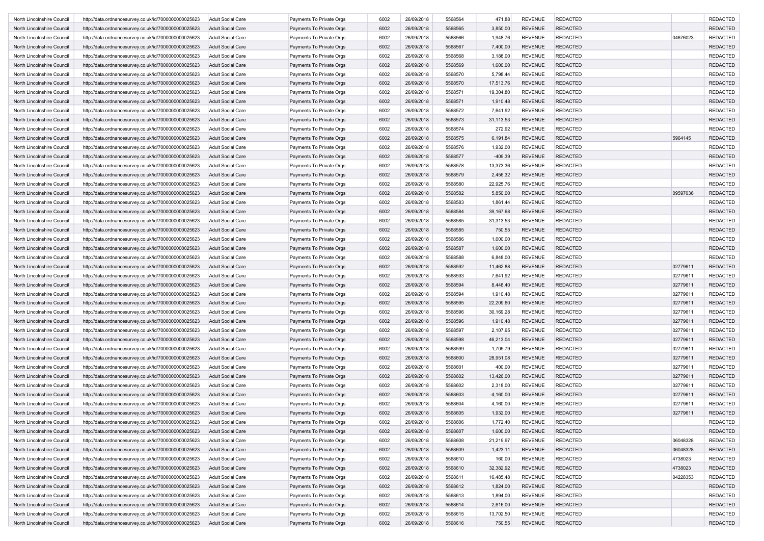| North Lincolnshire Council | http://data.ordnancesurvey.co.uk/id/7000000000025623 | <b>Adult Social Care</b>                             | Payments To Private Orgs | 6002 | 26/09/2018 | 5568564 | 471.88      | <b>REVENUE</b> | <b>REDACTED</b> |          | <b>REDACTED</b> |
|----------------------------|------------------------------------------------------|------------------------------------------------------|--------------------------|------|------------|---------|-------------|----------------|-----------------|----------|-----------------|
| North Lincolnshire Council | http://data.ordnancesurvey.co.uk/id/7000000000025623 | <b>Adult Social Care</b>                             | Payments To Private Orgs | 6002 | 26/09/2018 | 5568565 | 3,850.00    | <b>REVENUE</b> | <b>REDACTED</b> |          | <b>REDACTED</b> |
| North Lincolnshire Council | http://data.ordnancesurvey.co.uk/id/7000000000025623 | <b>Adult Social Care</b>                             | Payments To Private Orgs | 6002 | 26/09/2018 | 5568566 | 1,948.76    | <b>REVENUE</b> | <b>REDACTED</b> | 04676023 | <b>REDACTED</b> |
| North Lincolnshire Council | http://data.ordnancesurvey.co.uk/id/7000000000025623 | <b>Adult Social Care</b>                             | Payments To Private Orgs | 6002 | 26/09/2018 | 5568567 | 7,400.00    | <b>REVENUE</b> | <b>REDACTED</b> |          | <b>REDACTED</b> |
| North Lincolnshire Council | http://data.ordnancesurvey.co.uk/id/7000000000025623 | Adult Social Care                                    | Payments To Private Orgs | 6002 | 26/09/2018 | 5568568 | 3,188.00    | <b>REVENUE</b> | <b>REDACTED</b> |          | <b>REDACTED</b> |
| North Lincolnshire Council | http://data.ordnancesurvey.co.uk/id/7000000000025623 | <b>Adult Social Care</b>                             | Payments To Private Orgs | 6002 | 26/09/2018 | 5568569 | 1,600.00    | <b>REVENUE</b> | <b>REDACTED</b> |          | <b>REDACTED</b> |
| North Lincolnshire Council | http://data.ordnancesurvey.co.uk/id/7000000000025623 | <b>Adult Social Care</b>                             | Payments To Private Orgs | 6002 | 26/09/2018 | 5568570 | 5,798.44    | <b>REVENUE</b> | <b>REDACTED</b> |          | <b>REDACTED</b> |
| North Lincolnshire Council | http://data.ordnancesurvey.co.uk/id/7000000000025623 | <b>Adult Social Care</b>                             | Payments To Private Orgs | 6002 | 26/09/2018 | 5568570 | 17,513.76   | <b>REVENUE</b> | <b>REDACTED</b> |          | <b>REDACTED</b> |
| North Lincolnshire Council | http://data.ordnancesurvey.co.uk/id/7000000000025623 | <b>Adult Social Care</b>                             | Payments To Private Orgs | 6002 | 26/09/2018 | 5568571 | 19,304.80   | <b>REVENUE</b> | <b>REDACTED</b> |          | <b>REDACTED</b> |
| North Lincolnshire Council | http://data.ordnancesurvey.co.uk/id/7000000000025623 | <b>Adult Social Care</b>                             | Payments To Private Orgs | 6002 | 26/09/2018 | 5568571 | 1,910.48    | <b>REVENUE</b> | <b>REDACTED</b> |          | <b>REDACTED</b> |
| North Lincolnshire Council | http://data.ordnancesurvey.co.uk/id/7000000000025623 | <b>Adult Social Care</b>                             | Payments To Private Orgs | 6002 | 26/09/2018 | 5568572 | 7,641.92    | <b>REVENUE</b> | <b>REDACTED</b> |          | <b>REDACTED</b> |
| North Lincolnshire Council | http://data.ordnancesurvey.co.uk/id/7000000000025623 | <b>Adult Social Care</b>                             | Payments To Private Orgs | 6002 | 26/09/2018 | 5568573 | 31,113.53   | <b>REVENUE</b> | <b>REDACTED</b> |          | <b>REDACTED</b> |
| North Lincolnshire Council | http://data.ordnancesurvey.co.uk/id/7000000000025623 | <b>Adult Social Care</b>                             | Payments To Private Orgs | 6002 | 26/09/2018 | 5568574 | 272.92      | <b>REVENUE</b> | <b>REDACTED</b> |          | <b>REDACTED</b> |
| North Lincolnshire Council | http://data.ordnancesurvey.co.uk/id/7000000000025623 | <b>Adult Social Care</b>                             | Payments To Private Orgs | 6002 | 26/09/2018 | 5568575 | 6,191.84    | <b>REVENUE</b> | <b>REDACTED</b> | 5964145  | <b>REDACTED</b> |
|                            |                                                      |                                                      |                          |      | 26/09/2018 | 5568576 |             | <b>REVENUE</b> | <b>REDACTED</b> |          | <b>REDACTED</b> |
| North Lincolnshire Council | http://data.ordnancesurvey.co.uk/id/7000000000025623 | Adult Social Care                                    | Payments To Private Orgs | 6002 |            |         | 1,932.00    |                |                 |          |                 |
| North Lincolnshire Council | http://data.ordnancesurvey.co.uk/id/7000000000025623 | <b>Adult Social Care</b>                             | Payments To Private Orgs | 6002 | 26/09/2018 | 5568577 | $-409.39$   | <b>REVENUE</b> | <b>REDACTED</b> |          | <b>REDACTED</b> |
| North Lincolnshire Council | http://data.ordnancesurvey.co.uk/id/7000000000025623 | <b>Adult Social Care</b>                             | Payments To Private Orgs | 6002 | 26/09/2018 | 5568578 | 13,373.36   | <b>REVENUE</b> | <b>REDACTED</b> |          | <b>REDACTED</b> |
| North Lincolnshire Council | http://data.ordnancesurvey.co.uk/id/7000000000025623 | <b>Adult Social Care</b>                             | Payments To Private Orgs | 6002 | 26/09/2018 | 5568579 | 2,456.32    | <b>REVENUE</b> | <b>REDACTED</b> |          | <b>REDACTED</b> |
| North Lincolnshire Council | http://data.ordnancesurvey.co.uk/id/7000000000025623 | <b>Adult Social Care</b>                             | Payments To Private Orgs | 6002 | 26/09/2018 | 5568580 | 22,925.76   | <b>REVENUE</b> | <b>REDACTED</b> |          | <b>REDACTED</b> |
| North Lincolnshire Council | http://data.ordnancesurvey.co.uk/id/7000000000025623 | <b>Adult Social Care</b>                             | Payments To Private Orgs | 6002 | 26/09/2018 | 5568582 | 5,850.00    | <b>REVENUE</b> | <b>REDACTED</b> | 09597036 | <b>REDACTED</b> |
| North Lincolnshire Council | http://data.ordnancesurvey.co.uk/id/7000000000025623 | <b>Adult Social Care</b>                             | Payments To Private Orgs | 6002 | 26/09/2018 | 5568583 | 1,861.44    | <b>REVENUE</b> | <b>REDACTED</b> |          | <b>REDACTED</b> |
| North Lincolnshire Council | http://data.ordnancesurvey.co.uk/id/7000000000025623 | <b>Adult Social Care</b>                             | Payments To Private Orgs | 6002 | 26/09/2018 | 5568584 | 39,167.68   | <b>REVENUE</b> | <b>REDACTED</b> |          | <b>REDACTED</b> |
| North Lincolnshire Council | http://data.ordnancesurvey.co.uk/id/7000000000025623 | <b>Adult Social Care</b>                             | Payments To Private Orgs | 6002 | 26/09/2018 | 5568585 | 31,313.53   | <b>REVENUE</b> | <b>REDACTED</b> |          | <b>REDACTED</b> |
| North Lincolnshire Council | http://data.ordnancesurvey.co.uk/id/7000000000025623 | <b>Adult Social Care</b>                             | Payments To Private Orgs | 6002 | 26/09/2018 | 5568585 | 750.55      | <b>REVENUE</b> | <b>REDACTED</b> |          | <b>REDACTED</b> |
| North Lincolnshire Council | http://data.ordnancesurvey.co.uk/id/7000000000025623 | Adult Social Care                                    | Payments To Private Orgs | 6002 | 26/09/2018 | 5568586 | 1,600.00    | <b>REVENUE</b> | <b>REDACTED</b> |          | <b>REDACTED</b> |
| North Lincolnshire Council | http://data.ordnancesurvey.co.uk/id/7000000000025623 | <b>Adult Social Care</b>                             | Payments To Private Orgs | 6002 | 26/09/2018 | 5568587 | 1,600.00    | <b>REVENUE</b> | <b>REDACTED</b> |          | <b>REDACTED</b> |
| North Lincolnshire Council | http://data.ordnancesurvey.co.uk/id/7000000000025623 | <b>Adult Social Care</b>                             | Payments To Private Orgs | 6002 | 26/09/2018 | 5568588 | 6,848.00    | <b>REVENUE</b> | <b>REDACTED</b> |          | <b>REDACTED</b> |
| North Lincolnshire Council | http://data.ordnancesurvey.co.uk/id/7000000000025623 | <b>Adult Social Care</b>                             | Payments To Private Orgs | 6002 | 26/09/2018 | 5568592 | 11,462.88   | <b>REVENUE</b> | <b>REDACTED</b> | 02779611 | <b>REDACTED</b> |
| North Lincolnshire Council | http://data.ordnancesurvey.co.uk/id/7000000000025623 | <b>Adult Social Care</b>                             | Payments To Private Orgs | 6002 | 26/09/2018 | 5568593 | 7,641.92    | <b>REVENUE</b> | <b>REDACTED</b> | 02779611 | <b>REDACTED</b> |
| North Lincolnshire Council | http://data.ordnancesurvey.co.uk/id/7000000000025623 | <b>Adult Social Care</b>                             | Payments To Private Orgs | 6002 | 26/09/2018 | 5568594 | 8,448.40    | <b>REVENUE</b> | <b>REDACTED</b> | 0277961  | <b>REDACTED</b> |
| North Lincolnshire Council | http://data.ordnancesurvey.co.uk/id/7000000000025623 | <b>Adult Social Care</b>                             | Payments To Private Orgs | 6002 | 26/09/2018 | 5568594 | 1,910.48    | <b>REVENUE</b> | <b>REDACTED</b> | 02779611 | <b>REDACTED</b> |
| North Lincolnshire Council | http://data.ordnancesurvey.co.uk/id/7000000000025623 | <b>Adult Social Care</b>                             | Payments To Private Orgs | 6002 | 26/09/2018 | 5568595 | 22,209.60   | <b>REVENUE</b> | <b>REDACTED</b> | 02779611 | <b>REDACTED</b> |
| North Lincolnshire Council | http://data.ordnancesurvey.co.uk/id/7000000000025623 | Adult Social Care                                    | Payments To Private Orgs | 6002 | 26/09/2018 | 5568596 | 30,169.28   | <b>REVENUE</b> | <b>REDACTED</b> | 0277961  | <b>REDACTED</b> |
| North Lincolnshire Council | http://data.ordnancesurvey.co.uk/id/7000000000025623 | <b>Adult Social Care</b>                             | Payments To Private Orgs | 6002 | 26/09/2018 | 5568596 | 1,910.48    | <b>REVENUE</b> | <b>REDACTED</b> | 02779611 | <b>REDACTED</b> |
| North Lincolnshire Council | http://data.ordnancesurvey.co.uk/id/7000000000025623 | <b>Adult Social Care</b>                             | Payments To Private Orgs | 6002 | 26/09/2018 | 5568597 | 2,107.95    | <b>REVENUE</b> | <b>REDACTED</b> | 02779611 | <b>REDACTED</b> |
| North Lincolnshire Council | http://data.ordnancesurvey.co.uk/id/7000000000025623 | <b>Adult Social Care</b>                             | Payments To Private Orgs | 6002 | 26/09/2018 | 5568598 | 46,213.04   | <b>REVENUE</b> | <b>REDACTED</b> | 02779611 | <b>REDACTED</b> |
| North Lincolnshire Council | http://data.ordnancesurvey.co.uk/id/7000000000025623 | <b>Adult Social Care</b>                             | Payments To Private Orgs | 6002 | 26/09/2018 | 5568599 | 1,705.79    | <b>REVENUE</b> | <b>REDACTED</b> | 0277961  | <b>REDACTED</b> |
| North Lincolnshire Council |                                                      |                                                      |                          | 6002 | 26/09/2018 | 5568600 | 28,951.08   | <b>REVENUE</b> | <b>REDACTED</b> | 0277961  | <b>REDACTED</b> |
|                            | http://data.ordnancesurvey.co.uk/id/7000000000025623 | <b>Adult Social Care</b><br><b>Adult Social Care</b> | Payments To Private Orgs |      |            |         |             |                |                 |          |                 |
| North Lincolnshire Council | http://data.ordnancesurvey.co.uk/id/7000000000025623 |                                                      | Payments To Private Orgs | 6002 | 26/09/2018 | 5568601 | 400.00      | <b>REVENUE</b> | <b>REDACTED</b> | 02779611 | <b>REDACTED</b> |
| North Lincolnshire Council | http://data.ordnancesurvey.co.uk/id/7000000000025623 | <b>Adult Social Care</b>                             | Payments To Private Orgs | 6002 | 26/09/2018 | 5568602 | 13,426.00   | <b>REVENUE</b> | <b>REDACTED</b> | 02779611 | <b>REDACTED</b> |
| North Lincolnshire Council | http://data.ordnancesurvey.co.uk/id/7000000000025623 | Adult Social Care                                    | Payments To Private Orgs | 6002 | 26/09/2018 | 5568602 | 2,318.00    | <b>REVENUE</b> | <b>REDACTED</b> | 0277961  | <b>REDACTED</b> |
| North Lincolnshire Council | http://data.ordnancesurvey.co.uk/id/7000000000025623 | <b>Adult Social Care</b>                             | Payments To Private Orgs | 6002 | 26/09/2018 | 5568603 | $-4,160.00$ | <b>REVENUE</b> | <b>REDACTED</b> | 02779611 | <b>REDACTED</b> |
| North Lincolnshire Council | http://data.ordnancesurvey.co.uk/id/7000000000025623 | <b>Adult Social Care</b>                             | Payments To Private Orgs | 6002 | 26/09/2018 | 5568604 | 4,160.00    | <b>REVENUE</b> | <b>REDACTED</b> | 0277961  | <b>REDACTED</b> |
| North Lincolnshire Council | http://data.ordnancesurvey.co.uk/id/7000000000025623 | <b>Adult Social Care</b>                             | Payments To Private Orgs | 6002 | 26/09/2018 | 5568605 | 1,932.00    | <b>REVENUE</b> | <b>REDACTED</b> | 02779611 | <b>REDACTED</b> |
| North Lincolnshire Council | http://data.ordnancesurvey.co.uk/id/7000000000025623 | <b>Adult Social Care</b>                             | Payments To Private Orgs | 6002 | 26/09/2018 | 5568606 | 1,772.40    | REVENUE        | <b>REDACTED</b> |          | <b>REDACTED</b> |
| North Lincolnshire Council | http://data.ordnancesurvey.co.uk/id/7000000000025623 | <b>Adult Social Care</b>                             | Payments To Private Orgs | 6002 | 26/09/2018 | 5568607 | 1,600.00    | <b>REVENUE</b> | <b>REDACTED</b> |          | <b>REDACTED</b> |
| North Lincolnshire Council | http://data.ordnancesurvey.co.uk/id/7000000000025623 | <b>Adult Social Care</b>                             | Payments To Private Orgs | 6002 | 26/09/2018 | 5568608 | 21,219.97   | <b>REVENUE</b> | <b>REDACTED</b> | 06048328 | <b>REDACTED</b> |
| North Lincolnshire Council | http://data.ordnancesurvey.co.uk/id/7000000000025623 | <b>Adult Social Care</b>                             | Payments To Private Orgs | 6002 | 26/09/2018 | 5568609 | 1,423.11    | <b>REVENUE</b> | <b>REDACTED</b> | 06048328 | <b>REDACTED</b> |
| North Lincolnshire Council | http://data.ordnancesurvey.co.uk/id/7000000000025623 | <b>Adult Social Care</b>                             | Payments To Private Orgs | 6002 | 26/09/2018 | 5568610 | 160.00      | <b>REVENUE</b> | REDACTED        | 4738023  | <b>REDACTED</b> |
| North Lincolnshire Council | http://data.ordnancesurvey.co.uk/id/7000000000025623 | <b>Adult Social Care</b>                             | Payments To Private Orgs | 6002 | 26/09/2018 | 5568610 | 32,382.92   | <b>REVENUE</b> | REDACTED        | 4738023  | <b>REDACTED</b> |
| North Lincolnshire Council | http://data.ordnancesurvey.co.uk/id/7000000000025623 | <b>Adult Social Care</b>                             | Payments To Private Orgs | 6002 | 26/09/2018 | 5568611 | 16,485.48   | <b>REVENUE</b> | <b>REDACTED</b> | 04228353 | <b>REDACTED</b> |
| North Lincolnshire Council | http://data.ordnancesurvey.co.uk/id/7000000000025623 | <b>Adult Social Care</b>                             | Payments To Private Orgs | 6002 | 26/09/2018 | 5568612 | 1,824.00    | <b>REVENUE</b> | <b>REDACTED</b> |          | <b>REDACTED</b> |
| North Lincolnshire Council | http://data.ordnancesurvey.co.uk/id/7000000000025623 | <b>Adult Social Care</b>                             | Payments To Private Orgs | 6002 | 26/09/2018 | 5568613 | 1,894.00    | <b>REVENUE</b> | <b>REDACTED</b> |          | <b>REDACTED</b> |
| North Lincolnshire Council | http://data.ordnancesurvey.co.uk/id/7000000000025623 | <b>Adult Social Care</b>                             | Payments To Private Orgs | 6002 | 26/09/2018 | 5568614 | 2,616.00    | <b>REVENUE</b> | <b>REDACTED</b> |          | <b>REDACTED</b> |
| North Lincolnshire Council | http://data.ordnancesurvey.co.uk/id/7000000000025623 | <b>Adult Social Care</b>                             | Payments To Private Orgs | 6002 | 26/09/2018 | 5568615 | 13,702.50   | <b>REVENUE</b> | <b>REDACTED</b> |          | <b>REDACTED</b> |
| North Lincolnshire Council | http://data.ordnancesurvey.co.uk/id/7000000000025623 | <b>Adult Social Care</b>                             | Payments To Private Orgs | 6002 | 26/09/2018 | 5568616 | 750.55      | <b>REVENUE</b> | <b>REDACTED</b> |          | <b>REDACTED</b> |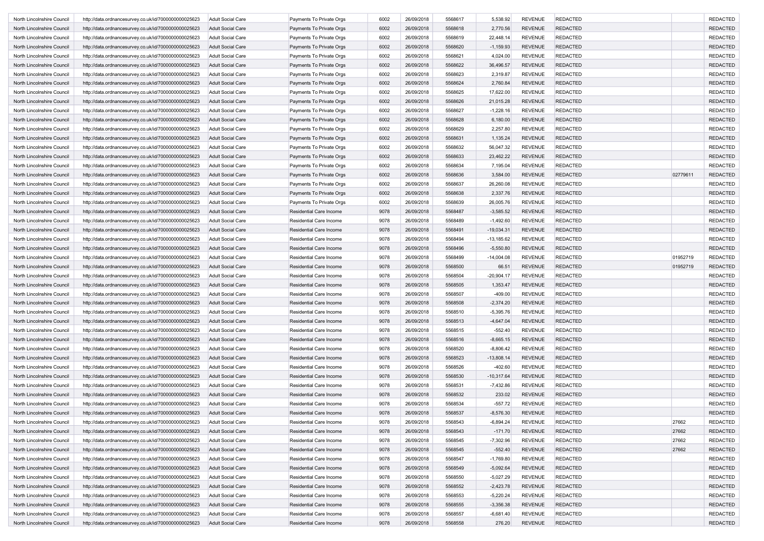| North Lincolnshire Council | http://data.ordnancesurvey.co.uk/id/7000000000025623 | <b>Adult Social Care</b> | Payments To Private Orgs       | 6002 | 26/09/2018 | 5568617 | 5,538.92     | <b>REVENUE</b> | <b>REDACTED</b> |          | <b>REDACTED</b> |
|----------------------------|------------------------------------------------------|--------------------------|--------------------------------|------|------------|---------|--------------|----------------|-----------------|----------|-----------------|
| North Lincolnshire Council | http://data.ordnancesurvey.co.uk/id/7000000000025623 | <b>Adult Social Care</b> | Payments To Private Orgs       | 6002 | 26/09/2018 | 5568618 | 2,770.56     | <b>REVENUE</b> | <b>REDACTED</b> |          | <b>REDACTED</b> |
| North Lincolnshire Council | http://data.ordnancesurvey.co.uk/id/7000000000025623 | <b>Adult Social Care</b> | Payments To Private Orgs       | 6002 | 26/09/2018 | 5568619 | 22,448.14    | <b>REVENUE</b> | <b>REDACTED</b> |          | <b>REDACTED</b> |
| North Lincolnshire Council | http://data.ordnancesurvey.co.uk/id/7000000000025623 | <b>Adult Social Care</b> | Payments To Private Orgs       | 6002 | 26/09/2018 | 5568620 | $-1,159.93$  | <b>REVENUE</b> | <b>REDACTED</b> |          | <b>REDACTED</b> |
| North Lincolnshire Council | http://data.ordnancesurvey.co.uk/id/7000000000025623 | Adult Social Care        | Payments To Private Orgs       | 6002 | 26/09/2018 | 5568621 | 4,024.00     | <b>REVENUE</b> | <b>REDACTED</b> |          | <b>REDACTED</b> |
| North Lincolnshire Council | http://data.ordnancesurvey.co.uk/id/7000000000025623 | <b>Adult Social Care</b> | Payments To Private Orgs       | 6002 | 26/09/2018 | 5568622 | 36,496.57    | <b>REVENUE</b> | <b>REDACTED</b> |          | <b>REDACTED</b> |
| North Lincolnshire Council | http://data.ordnancesurvey.co.uk/id/7000000000025623 | <b>Adult Social Care</b> | Payments To Private Orgs       | 6002 | 26/09/2018 | 5568623 | 2,319.87     | <b>REVENUE</b> | <b>REDACTED</b> |          | <b>REDACTED</b> |
| North Lincolnshire Council | http://data.ordnancesurvey.co.uk/id/7000000000025623 | <b>Adult Social Care</b> | Payments To Private Orgs       | 6002 | 26/09/2018 | 5568624 | 2,760.84     | <b>REVENUE</b> | <b>REDACTED</b> |          | <b>REDACTED</b> |
| North Lincolnshire Council | http://data.ordnancesurvey.co.uk/id/7000000000025623 | <b>Adult Social Care</b> | Payments To Private Orgs       | 6002 | 26/09/2018 | 5568625 | 17,622.00    | <b>REVENUE</b> | <b>REDACTED</b> |          | <b>REDACTED</b> |
| North Lincolnshire Council | http://data.ordnancesurvey.co.uk/id/7000000000025623 | <b>Adult Social Care</b> | Payments To Private Orgs       | 6002 | 26/09/2018 | 5568626 | 21,015.28    | <b>REVENUE</b> | <b>REDACTED</b> |          | <b>REDACTED</b> |
| North Lincolnshire Council | http://data.ordnancesurvey.co.uk/id/7000000000025623 | <b>Adult Social Care</b> | Payments To Private Orgs       | 6002 | 26/09/2018 | 5568627 | $-1,228.16$  | <b>REVENUE</b> | <b>REDACTED</b> |          | <b>REDACTED</b> |
| North Lincolnshire Council | http://data.ordnancesurvey.co.uk/id/7000000000025623 | <b>Adult Social Care</b> | Payments To Private Orgs       | 6002 | 26/09/2018 | 5568628 | 6,180.00     | <b>REVENUE</b> | <b>REDACTED</b> |          | <b>REDACTED</b> |
| North Lincolnshire Council | http://data.ordnancesurvey.co.uk/id/7000000000025623 | <b>Adult Social Care</b> | Payments To Private Orgs       | 6002 | 26/09/2018 | 5568629 | 2,257.80     | <b>REVENUE</b> | <b>REDACTED</b> |          | <b>REDACTED</b> |
|                            |                                                      |                          |                                |      |            |         |              |                |                 |          |                 |
| North Lincolnshire Council | http://data.ordnancesurvey.co.uk/id/7000000000025623 | <b>Adult Social Care</b> | Payments To Private Orgs       | 6002 | 26/09/2018 | 5568631 | 1,135.24     | <b>REVENUE</b> | <b>REDACTED</b> |          | <b>REDACTED</b> |
| North Lincolnshire Council | http://data.ordnancesurvey.co.uk/id/7000000000025623 | Adult Social Care        | Payments To Private Orgs       | 6002 | 26/09/2018 | 5568632 | 56,047.32    | <b>REVENUE</b> | <b>REDACTED</b> |          | <b>REDACTED</b> |
| North Lincolnshire Council | http://data.ordnancesurvey.co.uk/id/7000000000025623 | <b>Adult Social Care</b> | Payments To Private Orgs       | 6002 | 26/09/2018 | 5568633 | 23,462.22    | <b>REVENUE</b> | <b>REDACTED</b> |          | <b>REDACTED</b> |
| North Lincolnshire Council | http://data.ordnancesurvey.co.uk/id/7000000000025623 | <b>Adult Social Care</b> | Payments To Private Orgs       | 6002 | 26/09/2018 | 5568634 | 7,195.04     | <b>REVENUE</b> | <b>REDACTED</b> |          | <b>REDACTED</b> |
| North Lincolnshire Council | http://data.ordnancesurvey.co.uk/id/7000000000025623 | <b>Adult Social Care</b> | Payments To Private Orgs       | 6002 | 26/09/2018 | 5568636 | 3,584.00     | <b>REVENUE</b> | <b>REDACTED</b> | 02779611 | <b>REDACTED</b> |
| North Lincolnshire Council | http://data.ordnancesurvey.co.uk/id/7000000000025623 | Adult Social Care        | Payments To Private Orgs       | 6002 | 26/09/2018 | 5568637 | 26,260.08    | <b>REVENUE</b> | <b>REDACTED</b> |          | <b>REDACTED</b> |
| North Lincolnshire Council | http://data.ordnancesurvey.co.uk/id/7000000000025623 | <b>Adult Social Care</b> | Payments To Private Orgs       | 6002 | 26/09/2018 | 5568638 | 2,337.76     | <b>REVENUE</b> | <b>REDACTED</b> |          | <b>REDACTED</b> |
| North Lincolnshire Council | http://data.ordnancesurvey.co.uk/id/7000000000025623 | <b>Adult Social Care</b> | Payments To Private Orgs       | 6002 | 26/09/2018 | 5568639 | 26,005.76    | <b>REVENUE</b> | <b>REDACTED</b> |          | <b>REDACTED</b> |
| North Lincolnshire Council | http://data.ordnancesurvey.co.uk/id/7000000000025623 | <b>Adult Social Care</b> | Residential Care Income        | 9078 | 26/09/2018 | 5568487 | $-3,585.52$  | <b>REVENUE</b> | <b>REDACTED</b> |          | <b>REDACTED</b> |
| North Lincolnshire Council | http://data.ordnancesurvey.co.uk/id/7000000000025623 | <b>Adult Social Care</b> | Residential Care Income        | 9078 | 26/09/2018 | 5568489 | $-1,492.60$  | <b>REVENUE</b> | <b>REDACTED</b> |          | <b>REDACTED</b> |
| North Lincolnshire Council | http://data.ordnancesurvey.co.uk/id/7000000000025623 | <b>Adult Social Care</b> | Residential Care Income        | 9078 | 26/09/2018 | 5568491 | $-19,034.31$ | <b>REVENUE</b> | <b>REDACTED</b> |          | <b>REDACTED</b> |
| North Lincolnshire Council | http://data.ordnancesurvey.co.uk/id/7000000000025623 | Adult Social Care        | Residential Care Income        | 9078 | 26/09/2018 | 5568494 | $-13,185.62$ | <b>REVENUE</b> | <b>REDACTED</b> |          | <b>REDACTED</b> |
| North Lincolnshire Council | http://data.ordnancesurvey.co.uk/id/7000000000025623 | <b>Adult Social Care</b> | <b>Residential Care Income</b> | 9078 | 26/09/2018 | 5568496 | $-5,550.80$  | <b>REVENUE</b> | <b>REDACTED</b> |          | <b>REDACTED</b> |
| North Lincolnshire Council | http://data.ordnancesurvey.co.uk/id/7000000000025623 | <b>Adult Social Care</b> | Residential Care Income        | 9078 | 26/09/2018 | 5568499 | $-14,004.08$ | <b>REVENUE</b> | <b>REDACTED</b> | 01952719 | <b>REDACTED</b> |
| North Lincolnshire Council | http://data.ordnancesurvey.co.uk/id/7000000000025623 | <b>Adult Social Care</b> | Residential Care Income        | 9078 | 26/09/2018 | 5568500 | 66.51        | <b>REVENUE</b> | <b>REDACTED</b> | 01952719 | <b>REDACTED</b> |
| North Lincolnshire Council | http://data.ordnancesurvey.co.uk/id/7000000000025623 | <b>Adult Social Care</b> | Residential Care Income        | 9078 | 26/09/2018 | 5568504 | $-20,904.17$ | <b>REVENUE</b> | <b>REDACTED</b> |          | <b>REDACTED</b> |
| North Lincolnshire Council | http://data.ordnancesurvey.co.uk/id/7000000000025623 | <b>Adult Social Care</b> | <b>Residential Care Income</b> | 9078 | 26/09/2018 | 5568505 | 1,353.47     | <b>REVENUE</b> | <b>REDACTED</b> |          | <b>REDACTED</b> |
| North Lincolnshire Council | http://data.ordnancesurvey.co.uk/id/7000000000025623 | <b>Adult Social Care</b> | Residential Care Income        | 9078 | 26/09/2018 | 5568507 | $-409.00$    | <b>REVENUE</b> | <b>REDACTED</b> |          | <b>REDACTED</b> |
|                            |                                                      |                          |                                |      |            |         |              |                |                 |          |                 |
| North Lincolnshire Council | http://data.ordnancesurvey.co.uk/id/7000000000025623 | <b>Adult Social Care</b> | <b>Residential Care Income</b> | 9078 | 26/09/2018 | 5568508 | $-2,374.20$  | <b>REVENUE</b> | <b>REDACTED</b> |          | <b>REDACTED</b> |
| North Lincolnshire Council | http://data.ordnancesurvey.co.uk/id/7000000000025623 | Adult Social Care        | Residential Care Income        | 9078 | 26/09/2018 | 5568510 | $-5,395.76$  | <b>REVENUE</b> | <b>REDACTED</b> |          | <b>REDACTED</b> |
| North Lincolnshire Council | http://data.ordnancesurvey.co.uk/id/7000000000025623 | <b>Adult Social Care</b> | <b>Residential Care Income</b> | 9078 | 26/09/2018 | 5568513 | $-4,647.04$  | <b>REVENUE</b> | <b>REDACTED</b> |          | <b>REDACTED</b> |
| North Lincolnshire Council | http://data.ordnancesurvey.co.uk/id/7000000000025623 | <b>Adult Social Care</b> | Residential Care Income        | 9078 | 26/09/2018 | 5568515 | $-552.40$    | <b>REVENUE</b> | <b>REDACTED</b> |          | <b>REDACTED</b> |
| North Lincolnshire Council | http://data.ordnancesurvey.co.uk/id/7000000000025623 | <b>Adult Social Care</b> | Residential Care Income        | 9078 | 26/09/2018 | 5568516 | $-8,665.15$  | <b>REVENUE</b> | <b>REDACTED</b> |          | <b>REDACTED</b> |
| North Lincolnshire Council | http://data.ordnancesurvey.co.uk/id/7000000000025623 | <b>Adult Social Care</b> | Residential Care Income        | 9078 | 26/09/2018 | 5568520 | $-8,806.42$  | <b>REVENUE</b> | <b>REDACTED</b> |          | <b>REDACTED</b> |
| North Lincolnshire Council | http://data.ordnancesurvey.co.uk/id/7000000000025623 | <b>Adult Social Care</b> | Residential Care Income        | 9078 | 26/09/2018 | 5568523 | $-13,808.14$ | <b>REVENUE</b> | <b>REDACTED</b> |          | <b>REDACTED</b> |
| North Lincolnshire Council | http://data.ordnancesurvey.co.uk/id/7000000000025623 | <b>Adult Social Care</b> | Residential Care Income        | 9078 | 26/09/2018 | 5568526 | $-402.60$    | <b>REVENUE</b> | <b>REDACTED</b> |          | <b>REDACTED</b> |
| North Lincolnshire Council | http://data.ordnancesurvey.co.uk/id/7000000000025623 | <b>Adult Social Care</b> | <b>Residential Care Income</b> | 9078 | 26/09/2018 | 5568530 | $-10,317.64$ | <b>REVENUE</b> | <b>REDACTED</b> |          | <b>REDACTED</b> |
| North Lincolnshire Council | http://data.ordnancesurvey.co.uk/id/7000000000025623 | <b>Adult Social Care</b> | Residential Care Income        | 9078 | 26/09/2018 | 5568531 | $-7,432.86$  | <b>REVENUE</b> | <b>REDACTED</b> |          | <b>REDACTED</b> |
| North Lincolnshire Council | http://data.ordnancesurvey.co.uk/id/7000000000025623 | <b>Adult Social Care</b> | Residential Care Income        | 9078 | 26/09/2018 | 5568532 | 233.02       | <b>REVENUE</b> | <b>REDACTED</b> |          | <b>REDACTED</b> |
| North Lincolnshire Council | http://data.ordnancesurvey.co.uk/id/7000000000025623 | <b>Adult Social Care</b> | Residential Care Income        | 9078 | 26/09/2018 | 5568534 | $-557.72$    | <b>REVENUE</b> | <b>REDACTED</b> |          | <b>REDACTED</b> |
| North Lincolnshire Council | http://data.ordnancesurvey.co.uk/id/7000000000025623 | <b>Adult Social Care</b> | <b>Residential Care Income</b> | 9078 | 26/09/2018 | 5568537 | $-8,576.30$  | <b>REVENUE</b> | <b>REDACTED</b> |          | <b>REDACTED</b> |
| North Lincolnshire Council | http://data.ordnancesurvey.co.uk/id/7000000000025623 | <b>Adult Social Care</b> | Residential Care Income        | 9078 | 26/09/2018 | 5568543 | $-6,894.24$  | REVENUE        | <b>REDACTED</b> | 27662    | REDACTEL        |
| North Lincolnshire Council | http://data.ordnancesurvey.co.uk/id/7000000000025623 | <b>Adult Social Care</b> | Residential Care Income        | 9078 | 26/09/2018 | 5568543 | $-171.70$    | <b>REVENUE</b> | <b>REDACTED</b> | 27662    | <b>REDACTED</b> |
| North Lincolnshire Council | http://data.ordnancesurvey.co.uk/id/7000000000025623 | <b>Adult Social Care</b> | Residential Care Income        | 9078 | 26/09/2018 | 5568545 | $-7,302.96$  | <b>REVENUE</b> | <b>REDACTED</b> | 27662    | <b>REDACTED</b> |
| North Lincolnshire Council | http://data.ordnancesurvey.co.uk/id/7000000000025623 | <b>Adult Social Care</b> | Residential Care Income        | 9078 | 26/09/2018 | 5568545 | $-552.40$    | <b>REVENUE</b> | <b>REDACTED</b> | 27662    | <b>REDACTED</b> |
| North Lincolnshire Council | http://data.ordnancesurvey.co.uk/id/7000000000025623 | <b>Adult Social Care</b> | Residential Care Income        | 9078 | 26/09/2018 | 5568547 | $-1,769.80$  | <b>REVENUE</b> | REDACTED        |          | <b>REDACTED</b> |
| North Lincolnshire Council | http://data.ordnancesurvey.co.uk/id/7000000000025623 | <b>Adult Social Care</b> | Residential Care Income        | 9078 | 26/09/2018 | 5568549 | $-5,092.64$  | <b>REVENUE</b> | <b>REDACTED</b> |          | <b>REDACTED</b> |
| North Lincolnshire Council | http://data.ordnancesurvey.co.uk/id/7000000000025623 | <b>Adult Social Care</b> | Residential Care Income        | 9078 | 26/09/2018 | 5568550 | $-5,027.29$  | <b>REVENUE</b> | <b>REDACTED</b> |          | <b>REDACTED</b> |
|                            |                                                      |                          |                                |      |            |         |              |                |                 |          |                 |
| North Lincolnshire Council | http://data.ordnancesurvey.co.uk/id/7000000000025623 | <b>Adult Social Care</b> | Residential Care Income        | 9078 | 26/09/2018 | 5568552 | $-2,423.78$  | <b>REVENUE</b> | <b>REDACTED</b> |          | <b>REDACTED</b> |
| North Lincolnshire Council | http://data.ordnancesurvey.co.uk/id/7000000000025623 | <b>Adult Social Care</b> | Residential Care Income        | 9078 | 26/09/2018 | 5568553 | $-5,220.24$  | <b>REVENUE</b> | <b>REDACTED</b> |          | <b>REDACTED</b> |
| North Lincolnshire Council | http://data.ordnancesurvey.co.uk/id/7000000000025623 | <b>Adult Social Care</b> | Residential Care Income        | 9078 | 26/09/2018 | 5568555 | $-3,356.38$  | <b>REVENUE</b> | <b>REDACTED</b> |          | <b>REDACTED</b> |
| North Lincolnshire Council | http://data.ordnancesurvey.co.uk/id/7000000000025623 | <b>Adult Social Care</b> | Residential Care Income        | 9078 | 26/09/2018 | 5568557 | $-6,681.40$  | <b>REVENUE</b> | <b>REDACTED</b> |          | <b>REDACTED</b> |
| North Lincolnshire Council | http://data.ordnancesurvey.co.uk/id/7000000000025623 | <b>Adult Social Care</b> | Residential Care Income        | 9078 | 26/09/2018 | 5568558 | 276.20       | <b>REVENUE</b> | <b>REDACTED</b> |          | <b>REDACTED</b> |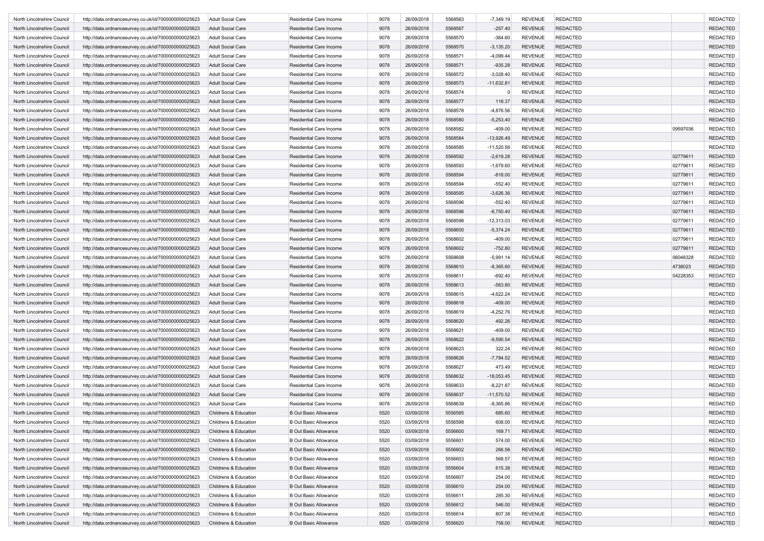| North Lincolnshire Council | http://data.ordnancesurvey.co.uk/id/7000000000025623                                                         | <b>Adult Social Care</b>                             | Residential Care Income        | 9078 | 26/09/2018               | 5568563            | $-7,349.19$            | <b>REVENUE</b>                   | <b>REDACTED</b> |          | <b>REDACTED</b> |
|----------------------------|--------------------------------------------------------------------------------------------------------------|------------------------------------------------------|--------------------------------|------|--------------------------|--------------------|------------------------|----------------------------------|-----------------|----------|-----------------|
| North Lincolnshire Council | http://data.ordnancesurvey.co.uk/id/7000000000025623                                                         | <b>Adult Social Care</b>                             | <b>Residential Care Income</b> | 9078 | 26/09/2018               | 5568567            | $-257.40$              | <b>REVENUE</b>                   | <b>REDACTED</b> |          | <b>REDACTED</b> |
| North Lincolnshire Council | http://data.ordnancesurvey.co.uk/id/7000000000025623                                                         | <b>Adult Social Care</b>                             | Residential Care Income        | 9078 | 26/09/2018               | 5568570            | $-364.60$              | <b>REVENUE</b>                   | <b>REDACTED</b> |          | <b>REDACTED</b> |
| North Lincolnshire Council | http://data.ordnancesurvey.co.uk/id/7000000000025623                                                         | <b>Adult Social Care</b>                             | Residential Care Income        | 9078 | 26/09/2018               | 5568570            | $-3,135.20$            | <b>REVENUE</b>                   | <b>REDACTED</b> |          | <b>REDACTED</b> |
| North Lincolnshire Council | http://data.ordnancesurvey.co.uk/id/7000000000025623                                                         | <b>Adult Social Care</b>                             | Residential Care Income        | 9078 | 26/09/2018               | 5568571            | $-4,099.44$            | <b>REVENUE</b>                   | <b>REDACTED</b> |          | <b>REDACTED</b> |
| North Lincolnshire Council | http://data.ordnancesurvey.co.uk/id/7000000000025623                                                         | <b>Adult Social Care</b>                             | <b>Residential Care Income</b> | 9078 | 26/09/2018               | 5568571            | $-935.28$              | <b>REVENUE</b>                   | <b>REDACTED</b> |          | <b>REDACTED</b> |
| North Lincolnshire Council | http://data.ordnancesurvey.co.uk/id/7000000000025623                                                         | <b>Adult Social Care</b>                             | Residential Care Income        | 9078 | 26/09/2018               | 5568572            | $-3,028.40$            | <b>REVENUE</b>                   | <b>REDACTED</b> |          | <b>REDACTED</b> |
| North Lincolnshire Council | http://data.ordnancesurvey.co.uk/id/7000000000025623                                                         | <b>Adult Social Care</b>                             | Residential Care Income        | 9078 | 26/09/2018               | 5568573            | $-11,632.81$           | <b>REVENUE</b>                   | <b>REDACTED</b> |          | <b>REDACTED</b> |
| North Lincolnshire Council | http://data.ordnancesurvey.co.uk/id/7000000000025623                                                         | <b>Adult Social Care</b>                             | Residential Care Income        | 9078 | 26/09/2018               | 5568574            | $\Omega$               | <b>REVENUE</b>                   | <b>REDACTED</b> |          | <b>REDACTED</b> |
| North Lincolnshire Council | http://data.ordnancesurvey.co.uk/id/7000000000025623                                                         | <b>Adult Social Care</b>                             | Residential Care Income        | 9078 | 26/09/2018               | 5568577            | 118.37                 | <b>REVENUE</b>                   | <b>REDACTED</b> |          | <b>REDACTED</b> |
|                            |                                                                                                              |                                                      |                                | 9078 | 26/09/2018               | 5568578            |                        | <b>REVENUE</b>                   | <b>REDACTED</b> |          | <b>REDACTED</b> |
| North Lincolnshire Council | http://data.ordnancesurvey.co.uk/id/7000000000025623                                                         | <b>Adult Social Care</b>                             | Residential Care Income        |      |                          |                    | $-4,876.56$            |                                  |                 |          |                 |
| North Lincolnshire Council | http://data.ordnancesurvey.co.uk/id/7000000000025623                                                         | <b>Adult Social Care</b>                             | Residential Care Income        | 9078 | 26/09/2018               | 5568580            | $-5,253.40$            | <b>REVENUE</b>                   | <b>REDACTED</b> |          | <b>REDACTED</b> |
| North Lincolnshire Council | http://data.ordnancesurvey.co.uk/id/7000000000025623                                                         | <b>Adult Social Care</b>                             | Residential Care Income        | 9078 | 26/09/2018               | 5568582            | $-409.00$              | <b>REVENUE</b>                   | <b>REDACTED</b> | 09597036 | <b>REDACTED</b> |
| North Lincolnshire Council | http://data.ordnancesurvey.co.uk/id/7000000000025623                                                         | <b>Adult Social Care</b>                             | Residential Care Income        | 9078 | 26/09/2018               | 5568584            | $-13,926.49$           | <b>REVENUE</b>                   | <b>REDACTED</b> |          | <b>REDACTED</b> |
| North Lincolnshire Council | http://data.ordnancesurvey.co.uk/id/7000000000025623                                                         | <b>Adult Social Care</b>                             | Residential Care Income        | 9078 | 26/09/2018               | 5568585            | $-11,520.56$           | <b>REVENUE</b>                   | <b>REDACTED</b> |          | <b>REDACTED</b> |
| North Lincolnshire Council | http://data.ordnancesurvey.co.uk/id/7000000000025623                                                         | <b>Adult Social Care</b>                             | Residential Care Income        | 9078 | 26/09/2018               | 5568592            | $-2,619.28$            | <b>REVENUE</b>                   | <b>REDACTED</b> | 02779611 | <b>REDACTED</b> |
| North Lincolnshire Council | http://data.ordnancesurvey.co.uk/id/7000000000025623                                                         | <b>Adult Social Care</b>                             | Residential Care Income        | 9078 | 26/09/2018               | 5568593            | $-1,679.60$            | <b>REVENUE</b>                   | <b>REDACTED</b> | 02779611 | <b>REDACTED</b> |
| North Lincolnshire Council | http://data.ordnancesurvey.co.uk/id/7000000000025623                                                         | <b>Adult Social Care</b>                             | <b>Residential Care Income</b> | 9078 | 26/09/2018               | 5568594            | $-818.00$              | <b>REVENUE</b>                   | <b>REDACTED</b> | 02779611 | <b>REDACTED</b> |
| North Lincolnshire Council | http://data.ordnancesurvey.co.uk/id/7000000000025623                                                         | <b>Adult Social Care</b>                             | Residential Care Income        | 9078 | 26/09/2018               | 5568594            | $-552.40$              | <b>REVENUE</b>                   | <b>REDACTED</b> | 0277961  | <b>REDACTED</b> |
| North Lincolnshire Council | http://data.ordnancesurvey.co.uk/id/7000000000025623                                                         | <b>Adult Social Care</b>                             | Residential Care Income        | 9078 | 26/09/2018               | 5568595            | $-3,626.36$            | <b>REVENUE</b>                   | <b>REDACTED</b> | 02779611 | <b>REDACTED</b> |
| North Lincolnshire Council | http://data.ordnancesurvey.co.uk/id/7000000000025623                                                         | <b>Adult Social Care</b>                             | Residential Care Income        | 9078 | 26/09/2018               | 5568596            | $-552.40$              | <b>REVENUE</b>                   | <b>REDACTED</b> | 02779611 | <b>REDACTED</b> |
| North Lincolnshire Council | http://data.ordnancesurvey.co.uk/id/7000000000025623                                                         | <b>Adult Social Care</b>                             | Residential Care Income        | 9078 | 26/09/2018               | 5568596            | $-6,750.40$            | <b>REVENUE</b>                   | <b>REDACTED</b> | 0277961  | <b>REDACTED</b> |
| North Lincolnshire Council | http://data.ordnancesurvey.co.uk/id/7000000000025623                                                         | <b>Adult Social Care</b>                             | Residential Care Income        | 9078 | 26/09/2018               | 5568598            | $-12,313.03$           | <b>REVENUE</b>                   | <b>REDACTED</b> | 02779611 | <b>REDACTED</b> |
| North Lincolnshire Council | http://data.ordnancesurvey.co.uk/id/7000000000025623                                                         | <b>Adult Social Care</b>                             | Residential Care Income        | 9078 | 26/09/2018               | 5568600            | $-5,374.24$            | <b>REVENUE</b>                   | <b>REDACTED</b> | 02779611 | <b>REDACTED</b> |
| North Lincolnshire Council | http://data.ordnancesurvey.co.uk/id/7000000000025623                                                         | <b>Adult Social Care</b>                             | Residential Care Income        | 9078 | 26/09/2018               | 5568602            | $-409.00$              | <b>REVENUE</b>                   | <b>REDACTED</b> | 0277961  | <b>REDACTED</b> |
| North Lincolnshire Council | http://data.ordnancesurvey.co.uk/id/7000000000025623                                                         | <b>Adult Social Care</b>                             | Residential Care Income        | 9078 | 26/09/2018               | 5568602            | $-752.80$              | <b>REVENUE</b>                   | <b>REDACTED</b> | 02779611 | <b>REDACTED</b> |
| North Lincolnshire Council | http://data.ordnancesurvey.co.uk/id/7000000000025623                                                         | <b>Adult Social Care</b>                             | Residential Care Income        | 9078 | 26/09/2018               | 5568608            | $-5,991.14$            | <b>REVENUE</b>                   | <b>REDACTED</b> | 06048328 | <b>REDACTED</b> |
| North Lincolnshire Council | http://data.ordnancesurvey.co.uk/id/7000000000025623                                                         | <b>Adult Social Care</b>                             | Residential Care Income        | 9078 | 26/09/2018               | 5568610            | $-8,365.60$            | <b>REVENUE</b>                   | <b>REDACTED</b> | 4738023  | <b>REDACTED</b> |
| North Lincolnshire Council | http://data.ordnancesurvey.co.uk/id/7000000000025623                                                         | <b>Adult Social Care</b>                             | Residential Care Income        | 9078 | 26/09/2018               | 5568611            | $-692.40$              | <b>REVENUE</b>                   | <b>REDACTED</b> | 04228353 | <b>REDACTED</b> |
| North Lincolnshire Council | http://data.ordnancesurvey.co.uk/id/7000000000025623                                                         | <b>Adult Social Care</b>                             | Residential Care Income        | 9078 | 26/09/2018               | 5568613            | $-563.80$              | <b>REVENUE</b>                   | <b>REDACTED</b> |          | <b>REDACTED</b> |
| North Lincolnshire Council | http://data.ordnancesurvey.co.uk/id/7000000000025623                                                         | <b>Adult Social Care</b>                             | Residential Care Income        | 9078 | 26/09/2018               | 5568615            | $-4,622.24$            | <b>REVENUE</b>                   | <b>REDACTED</b> |          | <b>REDACTED</b> |
| North Lincolnshire Council | http://data.ordnancesurvey.co.uk/id/7000000000025623                                                         | <b>Adult Social Care</b>                             | Residential Care Income        | 9078 | 26/09/2018               | 5568618            | $-409.00$              | <b>REVENUE</b>                   | <b>REDACTED</b> |          | <b>REDACTED</b> |
| North Lincolnshire Council | http://data.ordnancesurvey.co.uk/id/7000000000025623                                                         | <b>Adult Social Care</b>                             | Residential Care Income        | 9078 | 26/09/2018               | 5568619            | $-4,252.76$            | <b>REVENUE</b>                   | <b>REDACTED</b> |          | <b>REDACTED</b> |
| North Lincolnshire Council | http://data.ordnancesurvey.co.uk/id/7000000000025623                                                         | <b>Adult Social Care</b>                             | Residential Care Income        | 9078 | 26/09/2018               | 5568620            | 492.26                 | <b>REVENUE</b>                   | <b>REDACTED</b> |          | <b>REDACTED</b> |
| North Lincolnshire Council | http://data.ordnancesurvey.co.uk/id/7000000000025623                                                         | <b>Adult Social Care</b>                             | Residential Care Income        | 9078 | 26/09/2018               | 5568621            | $-409.00$              | <b>REVENUE</b>                   | <b>REDACTED</b> |          | <b>REDACTED</b> |
| North Lincolnshire Council | http://data.ordnancesurvey.co.uk/id/7000000000025623                                                         | <b>Adult Social Care</b>                             | Residential Care Income        | 9078 | 26/09/2018               | 5568622            | $-9,590.54$            | <b>REVENUE</b>                   | <b>REDACTED</b> |          | <b>REDACTED</b> |
| North Lincolnshire Council | http://data.ordnancesurvey.co.uk/id/7000000000025623                                                         | <b>Adult Social Care</b>                             | Residential Care Income        | 9078 | 26/09/2018               | 5568623            | 322.24                 | <b>REVENUE</b>                   | <b>REDACTED</b> |          | <b>REDACTED</b> |
| North Lincolnshire Council | http://data.ordnancesurvey.co.uk/id/7000000000025623                                                         | <b>Adult Social Care</b>                             | Residential Care Income        | 9078 | 26/09/2018               | 5568626            | $-7,784.52$            | <b>REVENUE</b>                   | <b>REDACTED</b> |          | <b>REDACTED</b> |
|                            |                                                                                                              |                                                      |                                | 9078 |                          |                    |                        |                                  | <b>REDACTED</b> |          | <b>REDACTED</b> |
| North Lincolnshire Council | http://data.ordnancesurvey.co.uk/id/7000000000025623<br>http://data.ordnancesurvey.co.uk/id/7000000000025623 | <b>Adult Social Care</b><br><b>Adult Social Care</b> | Residential Care Income        | 9078 | 26/09/2018<br>26/09/2018 | 5568627<br>5568632 | 473.49<br>$-18,053.45$ | <b>REVENUE</b><br><b>REVENUE</b> | <b>REDACTED</b> |          | <b>REDACTED</b> |
| North Lincolnshire Council |                                                                                                              |                                                      | <b>Residential Care Income</b> |      |                          |                    |                        |                                  |                 |          |                 |
| North Lincolnshire Council | http://data.ordnancesurvey.co.uk/id/7000000000025623                                                         | <b>Adult Social Care</b>                             | Residential Care Income        | 9078 | 26/09/2018               | 5568633            | $-8,221.87$            | <b>REVENUE</b>                   | <b>REDACTED</b> |          | <b>REDACTED</b> |
| North Lincolnshire Council | http://data.ordnancesurvey.co.uk/id/7000000000025623                                                         | <b>Adult Social Care</b>                             | Residential Care Income        | 9078 | 26/09/2018               | 5568637            | $-11,570.52$           | <b>REVENUE</b>                   | <b>REDACTED</b> |          | <b>REDACTED</b> |
| North Lincolnshire Council | http://data.ordnancesurvey.co.uk/id/7000000000025623                                                         | Adult Social Care                                    | Residential Care Income        | 9078 | 26/09/2018               | 5568639            | $-9,365.86$            | <b>REVENUE</b>                   | <b>REDACTED</b> |          | <b>REDACTED</b> |
| North Lincolnshire Council | http://data.ordnancesurvey.co.uk/id/7000000000025623                                                         | Childrens & Education                                | <b>B Out Basic Allowance</b>   | 5520 | 03/09/2018               | 5556595            | 685.60                 | <b>REVENUE</b>                   | <b>REDACTED</b> |          | <b>REDACTED</b> |
| North Lincolnshire Council | http://data.ordnancesurvey.co.uk/id/7000000000025623                                                         | Childrens & Education                                | <b>B Out Basic Allowance</b>   | 5520 | 03/09/2018               | 5556598            | 608.00                 | REVENUE                          | <b>REDACTED</b> |          | REDACTED        |
| North Lincolnshire Council | http://data.ordnancesurvey.co.uk/id/7000000000025623                                                         | Childrens & Education                                | <b>B Out Basic Allowance</b>   | 5520 | 03/09/2018               | 5556600            | 169.71                 | REVENUE                          | <b>REDACTED</b> |          | REDACTED        |
| North Lincolnshire Council | http://data.ordnancesurvey.co.uk/id/7000000000025623                                                         | Childrens & Education                                | <b>B Out Basic Allowance</b>   | 5520 | 03/09/2018               | 5556601            | 574.00                 | <b>REVENUE</b>                   | <b>REDACTED</b> |          | <b>REDACTED</b> |
| North Lincolnshire Council | http://data.ordnancesurvey.co.uk/id/7000000000025623                                                         | Childrens & Education                                | <b>B Out Basic Allowance</b>   | 5520 | 03/09/2018               | 5556602            | 266.56                 | <b>REVENUE</b>                   | <b>REDACTED</b> |          | <b>REDACTED</b> |
| North Lincolnshire Council | http://data.ordnancesurvey.co.uk/id/7000000000025623                                                         | Childrens & Education                                | <b>B Out Basic Allowance</b>   | 5520 | 03/09/2018               | 5556603            | 568.57                 | <b>REVENUE</b>                   | <b>REDACTED</b> |          | <b>REDACTED</b> |
| North Lincolnshire Council | http://data.ordnancesurvey.co.uk/id/7000000000025623                                                         | Childrens & Education                                | <b>B Out Basic Allowance</b>   | 5520 | 03/09/2018               | 5556604            | 615.38                 | <b>REVENUE</b>                   | <b>REDACTED</b> |          | <b>REDACTED</b> |
| North Lincolnshire Council | http://data.ordnancesurvey.co.uk/id/7000000000025623                                                         | Childrens & Education                                | <b>B Out Basic Allowance</b>   | 5520 | 03/09/2018               | 5556607            | 254.00                 | <b>REVENUE</b>                   | <b>REDACTED</b> |          | <b>REDACTED</b> |
| North Lincolnshire Council | http://data.ordnancesurvey.co.uk/id/7000000000025623                                                         | Childrens & Education                                | <b>B Out Basic Allowance</b>   | 5520 | 03/09/2018               | 5556610            | 254.00                 | <b>REVENUE</b>                   | <b>REDACTED</b> |          | <b>REDACTED</b> |
| North Lincolnshire Council | http://data.ordnancesurvey.co.uk/id/7000000000025623                                                         | Childrens & Education                                | <b>B Out Basic Allowance</b>   | 5520 | 03/09/2018               | 5556611            | 285.30                 | <b>REVENUE</b>                   | <b>REDACTED</b> |          | <b>REDACTED</b> |
| North Lincolnshire Council | http://data.ordnancesurvey.co.uk/id/7000000000025623                                                         | Childrens & Education                                | <b>B Out Basic Allowance</b>   | 5520 | 03/09/2018               | 5556612            | 546.00                 | <b>REVENUE</b>                   | <b>REDACTED</b> |          | <b>REDACTED</b> |
| North Lincolnshire Council | http://data.ordnancesurvey.co.uk/id/7000000000025623                                                         | Childrens & Education                                | B Out Basic Allowance          | 5520 | 03/09/2018               | 5556614            | 807.38                 | <b>REVENUE</b>                   | <b>REDACTED</b> |          | <b>REDACTED</b> |
| North Lincolnshire Council | http://data.ordnancesurvey.co.uk/id/7000000000025623                                                         | Childrens & Education                                | <b>B Out Basic Allowance</b>   | 5520 | 03/09/2018               | 5556620            | 758.00                 | REVENUE                          | REDACTED        |          | <b>REDACTED</b> |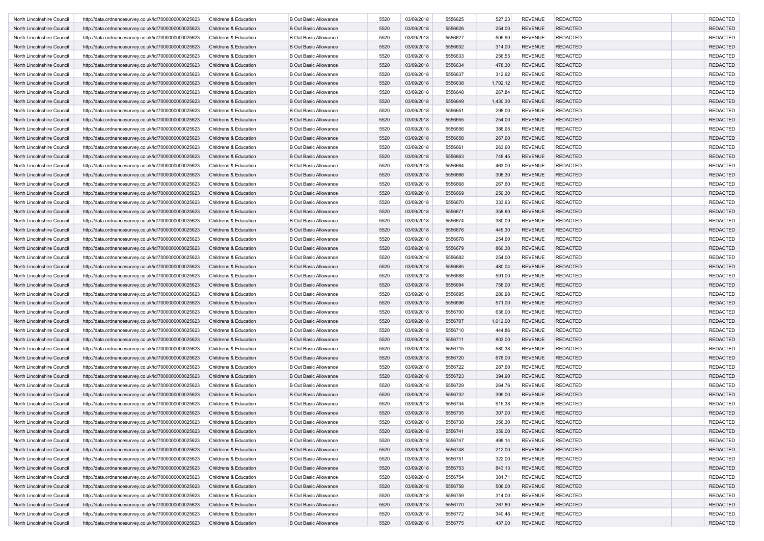| North Lincolnshire Council | http://data.ordnancesurvey.co.uk/id/7000000000025623 | Childrens & Education | <b>B Out Basic Allowance</b> | 5520 | 03/09/2018 | 5556625 | 527.23   | <b>REVENUE</b> | <b>REDACTED</b> | <b>REDACTED</b> |
|----------------------------|------------------------------------------------------|-----------------------|------------------------------|------|------------|---------|----------|----------------|-----------------|-----------------|
| North Lincolnshire Council | http://data.ordnancesurvey.co.uk/id/7000000000025623 | Childrens & Education | <b>B Out Basic Allowance</b> | 5520 | 03/09/2018 | 5556626 | 254.00   | <b>REVENUE</b> | <b>REDACTED</b> | <b>REDACTED</b> |
| North Lincolnshire Council | http://data.ordnancesurvey.co.uk/id/7000000000025623 | Childrens & Education | <b>B Out Basic Allowance</b> | 5520 | 03/09/2018 | 5556627 | 505.90   | <b>REVENUE</b> | <b>REDACTED</b> | <b>REDACTED</b> |
| North Lincolnshire Council | http://data.ordnancesurvey.co.uk/id/7000000000025623 | Childrens & Education | <b>B Out Basic Allowance</b> | 5520 | 03/09/2018 | 5556632 | 314.00   | <b>REVENUE</b> | <b>REDACTED</b> | <b>REDACTED</b> |
| North Lincolnshire Council | http://data.ordnancesurvey.co.uk/id/7000000000025623 | Childrens & Education | <b>B Out Basic Allowance</b> | 5520 | 03/09/2018 | 5556633 | 256.55   | <b>REVENUE</b> | <b>REDACTED</b> | <b>REDACTED</b> |
| North Lincolnshire Council | http://data.ordnancesurvey.co.uk/id/7000000000025623 | Childrens & Education | <b>B Out Basic Allowance</b> | 5520 | 03/09/2018 | 5556634 | 478.30   | <b>REVENUE</b> | <b>REDACTED</b> | <b>REDACTED</b> |
| North Lincolnshire Council | http://data.ordnancesurvey.co.uk/id/7000000000025623 | Childrens & Education | <b>B Out Basic Allowance</b> | 5520 | 03/09/2018 | 5556637 | 312.92   | <b>REVENUE</b> | <b>REDACTED</b> | <b>REDACTED</b> |
| North Lincolnshire Council | http://data.ordnancesurvey.co.uk/id/7000000000025623 | Childrens & Education | <b>B Out Basic Allowance</b> | 5520 | 03/09/2018 | 5556638 | 1,702.12 | <b>REVENUE</b> | <b>REDACTED</b> | <b>REDACTED</b> |
| North Lincolnshire Council | http://data.ordnancesurvey.co.uk/id/7000000000025623 | Childrens & Education | <b>B Out Basic Allowance</b> | 5520 | 03/09/2018 | 5556648 | 267.84   | <b>REVENUE</b> | <b>REDACTED</b> | <b>REDACTED</b> |
| North Lincolnshire Council | http://data.ordnancesurvey.co.uk/id/7000000000025623 | Childrens & Education | <b>B Out Basic Allowance</b> | 5520 | 03/09/2018 | 5556649 | 1,430.30 | <b>REVENUE</b> | <b>REDACTED</b> | <b>REDACTED</b> |
|                            |                                                      |                       | <b>B Out Basic Allowance</b> |      | 03/09/2018 | 5556651 |          | <b>REVENUE</b> | <b>REDACTED</b> |                 |
| North Lincolnshire Council | http://data.ordnancesurvey.co.uk/id/7000000000025623 | Childrens & Education |                              | 5520 |            |         | 298.00   |                |                 | <b>REDACTED</b> |
| North Lincolnshire Council | http://data.ordnancesurvey.co.uk/id/7000000000025623 | Childrens & Education | <b>B Out Basic Allowance</b> | 5520 | 03/09/2018 | 5556655 | 254.00   | <b>REVENUE</b> | <b>REDACTED</b> | <b>REDACTED</b> |
| North Lincolnshire Council | http://data.ordnancesurvey.co.uk/id/7000000000025623 | Childrens & Education | <b>B Out Basic Allowance</b> | 5520 | 03/09/2018 | 5556656 | 386.95   | <b>REVENUE</b> | <b>REDACTED</b> | <b>REDACTED</b> |
| North Lincolnshire Council | http://data.ordnancesurvey.co.uk/id/7000000000025623 | Childrens & Education | <b>B Out Basic Allowance</b> | 5520 | 03/09/2018 | 5556658 | 267.60   | <b>REVENUE</b> | <b>REDACTED</b> | <b>REDACTED</b> |
| North Lincolnshire Council | http://data.ordnancesurvey.co.uk/id/7000000000025623 | Childrens & Education | <b>B Out Basic Allowance</b> | 5520 | 03/09/2018 | 5556661 | 263.60   | <b>REVENUE</b> | <b>REDACTED</b> | <b>REDACTED</b> |
| North Lincolnshire Council | http://data.ordnancesurvey.co.uk/id/7000000000025623 | Childrens & Education | <b>B Out Basic Allowance</b> | 5520 | 03/09/2018 | 5556663 | 748.45   | <b>REVENUE</b> | <b>REDACTED</b> | <b>REDACTED</b> |
| North Lincolnshire Council | http://data.ordnancesurvey.co.uk/id/7000000000025623 | Childrens & Education | <b>B Out Basic Allowance</b> | 5520 | 03/09/2018 | 5556664 | 463.00   | <b>REVENUE</b> | <b>REDACTED</b> | <b>REDACTED</b> |
| North Lincolnshire Council | http://data.ordnancesurvey.co.uk/id/7000000000025623 | Childrens & Education | <b>B Out Basic Allowance</b> | 5520 | 03/09/2018 | 5556666 | 308.30   | <b>REVENUE</b> | <b>REDACTED</b> | <b>REDACTED</b> |
| North Lincolnshire Council | http://data.ordnancesurvey.co.uk/id/7000000000025623 | Childrens & Education | <b>B Out Basic Allowance</b> | 5520 | 03/09/2018 | 5556668 | 267.60   | <b>REVENUE</b> | <b>REDACTED</b> | <b>REDACTED</b> |
| North Lincolnshire Council | http://data.ordnancesurvey.co.uk/id/7000000000025623 | Childrens & Education | <b>B Out Basic Allowance</b> | 5520 | 03/09/2018 | 5556669 | 250.30   | <b>REVENUE</b> | <b>REDACTED</b> | <b>REDACTED</b> |
| North Lincolnshire Council | http://data.ordnancesurvey.co.uk/id/7000000000025623 | Childrens & Education | <b>B Out Basic Allowance</b> | 5520 | 03/09/2018 | 5556670 | 333.93   | <b>REVENUE</b> | <b>REDACTED</b> | <b>REDACTED</b> |
| North Lincolnshire Council | http://data.ordnancesurvey.co.uk/id/7000000000025623 | Childrens & Education | <b>B Out Basic Allowance</b> | 5520 | 03/09/2018 | 5556671 | 358.60   | <b>REVENUE</b> | <b>REDACTED</b> | <b>REDACTED</b> |
| North Lincolnshire Council | http://data.ordnancesurvey.co.uk/id/7000000000025623 | Childrens & Education | <b>B Out Basic Allowance</b> | 5520 | 03/09/2018 | 5556674 | 380.09   | <b>REVENUE</b> | <b>REDACTED</b> | <b>REDACTED</b> |
| North Lincolnshire Council | http://data.ordnancesurvey.co.uk/id/7000000000025623 | Childrens & Education | <b>B Out Basic Allowance</b> | 5520 | 03/09/2018 | 5556676 | 445.30   | <b>REVENUE</b> | <b>REDACTED</b> | <b>REDACTED</b> |
| North Lincolnshire Council | http://data.ordnancesurvey.co.uk/id/7000000000025623 | Childrens & Education | <b>B Out Basic Allowance</b> | 5520 | 03/09/2018 | 5556678 | 254.60   | <b>REVENUE</b> | <b>REDACTED</b> | <b>REDACTED</b> |
| North Lincolnshire Council | http://data.ordnancesurvey.co.uk/id/7000000000025623 | Childrens & Education | <b>B Out Basic Allowance</b> | 5520 | 03/09/2018 | 5556679 | 860.30   | <b>REVENUE</b> | <b>REDACTED</b> | <b>REDACTED</b> |
| North Lincolnshire Council | http://data.ordnancesurvey.co.uk/id/7000000000025623 | Childrens & Education | <b>B Out Basic Allowance</b> | 5520 | 03/09/2018 | 5556682 | 254.00   | <b>REVENUE</b> | <b>REDACTED</b> | <b>REDACTED</b> |
| North Lincolnshire Council | http://data.ordnancesurvey.co.uk/id/7000000000025623 | Childrens & Education | <b>B Out Basic Allowance</b> | 5520 | 03/09/2018 | 5556685 | 480.04   | <b>REVENUE</b> | <b>REDACTED</b> | <b>REDACTED</b> |
| North Lincolnshire Council | http://data.ordnancesurvey.co.uk/id/7000000000025623 | Childrens & Education | <b>B Out Basic Allowance</b> | 5520 | 03/09/2018 | 5556688 | 591.00   | <b>REVENUE</b> | <b>REDACTED</b> | <b>REDACTED</b> |
| North Lincolnshire Council | http://data.ordnancesurvey.co.uk/id/7000000000025623 | Childrens & Education | <b>B Out Basic Allowance</b> | 5520 | 03/09/2018 | 5556694 | 758.00   | <b>REVENUE</b> | <b>REDACTED</b> | <b>REDACTED</b> |
| North Lincolnshire Council | http://data.ordnancesurvey.co.uk/id/7000000000025623 | Childrens & Education | <b>B Out Basic Allowance</b> | 5520 | 03/09/2018 | 5556695 | 280.98   | <b>REVENUE</b> | <b>REDACTED</b> | <b>REDACTED</b> |
| North Lincolnshire Council |                                                      | Childrens & Education | <b>B Out Basic Allowance</b> | 5520 | 03/09/2018 | 5556696 | 571.00   | <b>REVENUE</b> | <b>REDACTED</b> | <b>REDACTED</b> |
|                            | http://data.ordnancesurvey.co.uk/id/7000000000025623 |                       |                              |      |            |         |          |                |                 |                 |
| North Lincolnshire Council | http://data.ordnancesurvey.co.uk/id/7000000000025623 | Childrens & Education | <b>B Out Basic Allowance</b> | 5520 | 03/09/2018 | 5556700 | 636.00   | <b>REVENUE</b> | <b>REDACTED</b> | <b>REDACTED</b> |
| North Lincolnshire Council | http://data.ordnancesurvey.co.uk/id/7000000000025623 | Childrens & Education | <b>B Out Basic Allowance</b> | 5520 | 03/09/2018 | 5556707 | 1,012.00 | <b>REVENUE</b> | <b>REDACTED</b> | <b>REDACTED</b> |
| North Lincolnshire Council | http://data.ordnancesurvey.co.uk/id/7000000000025623 | Childrens & Education | <b>B Out Basic Allowance</b> | 5520 | 03/09/2018 | 5556710 | 444.86   | <b>REVENUE</b> | <b>REDACTED</b> | <b>REDACTED</b> |
| North Lincolnshire Council | http://data.ordnancesurvey.co.uk/id/7000000000025623 | Childrens & Education | <b>B Out Basic Allowance</b> | 5520 | 03/09/2018 | 5556711 | 803.00   | <b>REVENUE</b> | <b>REDACTED</b> | <b>REDACTED</b> |
| North Lincolnshire Council | http://data.ordnancesurvey.co.uk/id/7000000000025623 | Childrens & Education | <b>B Out Basic Allowance</b> | 5520 | 03/09/2018 | 5556715 | 580.38   | <b>REVENUE</b> | <b>REDACTED</b> | <b>REDACTED</b> |
| North Lincolnshire Council | http://data.ordnancesurvey.co.uk/id/7000000000025623 | Childrens & Education | <b>B Out Basic Allowance</b> | 5520 | 03/09/2018 | 5556720 | 678.00   | <b>REVENUE</b> | <b>REDACTED</b> | <b>REDACTED</b> |
| North Lincolnshire Council | http://data.ordnancesurvey.co.uk/id/7000000000025623 | Childrens & Education | <b>B Out Basic Allowance</b> | 5520 | 03/09/2018 | 5556722 | 287.60   | <b>REVENUE</b> | <b>REDACTED</b> | <b>REDACTED</b> |
| North Lincolnshire Council | http://data.ordnancesurvey.co.uk/id/7000000000025623 | Childrens & Education | <b>B Out Basic Allowance</b> | 5520 | 03/09/2018 | 5556723 | 394.90   | <b>REVENUE</b> | <b>REDACTED</b> | <b>REDACTED</b> |
| North Lincolnshire Council | http://data.ordnancesurvey.co.uk/id/7000000000025623 | Childrens & Education | <b>B Out Basic Allowance</b> | 5520 | 03/09/2018 | 5556729 | 264.76   | <b>REVENUE</b> | <b>REDACTED</b> | <b>REDACTED</b> |
| North Lincolnshire Council | http://data.ordnancesurvey.co.uk/id/7000000000025623 | Childrens & Education | <b>B Out Basic Allowance</b> | 5520 | 03/09/2018 | 5556732 | 399.00   | <b>REVENUE</b> | <b>REDACTED</b> | <b>REDACTED</b> |
| North Lincolnshire Council | http://data.ordnancesurvey.co.uk/id/7000000000025623 | Childrens & Education | <b>B Out Basic Allowance</b> | 5520 | 03/09/2018 | 5556734 | 915.38   | <b>REVENUE</b> | <b>REDACTED</b> | <b>REDACTED</b> |
| North Lincolnshire Council | http://data.ordnancesurvey.co.uk/id/7000000000025623 | Childrens & Education | <b>B Out Basic Allowance</b> | 5520 | 03/09/2018 | 5556735 | 307.00   | <b>REVENUE</b> | <b>REDACTED</b> | <b>REDACTED</b> |
| North Lincolnshire Council | http://data.ordnancesurvey.co.uk/id/7000000000025623 | Childrens & Education | <b>B Out Basic Allowance</b> | 5520 | 03/09/2018 | 5556738 | 356.30   | REVENUE        | <b>REDACTED</b> | REDACTED        |
| North Lincolnshire Council | http://data.ordnancesurvey.co.uk/id/7000000000025623 | Childrens & Education | <b>B Out Basic Allowance</b> | 5520 | 03/09/2018 | 5556741 | 359.00   | <b>REVENUE</b> | <b>REDACTED</b> | REDACTED        |
| North Lincolnshire Council | http://data.ordnancesurvey.co.uk/id/7000000000025623 | Childrens & Education | <b>B Out Basic Allowance</b> | 5520 | 03/09/2018 | 5556747 | 498.14   | <b>REVENUE</b> | <b>REDACTED</b> | <b>REDACTED</b> |
| North Lincolnshire Council | http://data.ordnancesurvey.co.uk/id/7000000000025623 | Childrens & Education | <b>B Out Basic Allowance</b> | 5520 | 03/09/2018 | 5556748 | 212.00   | <b>REVENUE</b> | <b>REDACTED</b> | <b>REDACTED</b> |
| North Lincolnshire Council | http://data.ordnancesurvey.co.uk/id/7000000000025623 | Childrens & Education | <b>B Out Basic Allowance</b> | 5520 | 03/09/2018 | 5556751 | 322.00   | <b>REVENUE</b> | <b>REDACTED</b> | <b>REDACTED</b> |
| North Lincolnshire Council | http://data.ordnancesurvey.co.uk/id/7000000000025623 | Childrens & Education | <b>B Out Basic Allowance</b> | 5520 | 03/09/2018 | 5556753 | 843.13   | <b>REVENUE</b> | <b>REDACTED</b> | <b>REDACTED</b> |
| North Lincolnshire Council | http://data.ordnancesurvey.co.uk/id/7000000000025623 | Childrens & Education | <b>B Out Basic Allowance</b> | 5520 | 03/09/2018 | 5556754 | 381.71   | <b>REVENUE</b> | <b>REDACTED</b> | <b>REDACTED</b> |
| North Lincolnshire Council |                                                      | Childrens & Education | <b>B Out Basic Allowance</b> |      | 03/09/2018 | 5556758 |          | <b>REVENUE</b> | <b>REDACTED</b> | <b>REDACTED</b> |
|                            | http://data.ordnancesurvey.co.uk/id/7000000000025623 |                       |                              | 5520 |            |         | 506.00   |                |                 |                 |
| North Lincolnshire Council | http://data.ordnancesurvey.co.uk/id/7000000000025623 | Childrens & Education | <b>B Out Basic Allowance</b> | 5520 | 03/09/2018 | 5556759 | 314.00   | <b>REVENUE</b> | <b>REDACTED</b> | <b>REDACTED</b> |
| North Lincolnshire Council | http://data.ordnancesurvey.co.uk/id/7000000000025623 | Childrens & Education | <b>B Out Basic Allowance</b> | 5520 | 03/09/2018 | 5556770 | 267.60   | <b>REVENUE</b> | <b>REDACTED</b> | <b>REDACTED</b> |
| North Lincolnshire Council | http://data.ordnancesurvey.co.uk/id/7000000000025623 | Childrens & Education | <b>B Out Basic Allowance</b> | 5520 | 03/09/2018 | 5556772 | 340.48   | <b>REVENUE</b> | <b>REDACTED</b> | <b>REDACTED</b> |
| North Lincolnshire Council | http://data.ordnancesurvey.co.uk/id/7000000000025623 | Childrens & Education | <b>B Out Basic Allowance</b> | 5520 | 03/09/2018 | 5556775 | 437.00   | REVENUE        | <b>REDACTED</b> | <b>REDACTED</b> |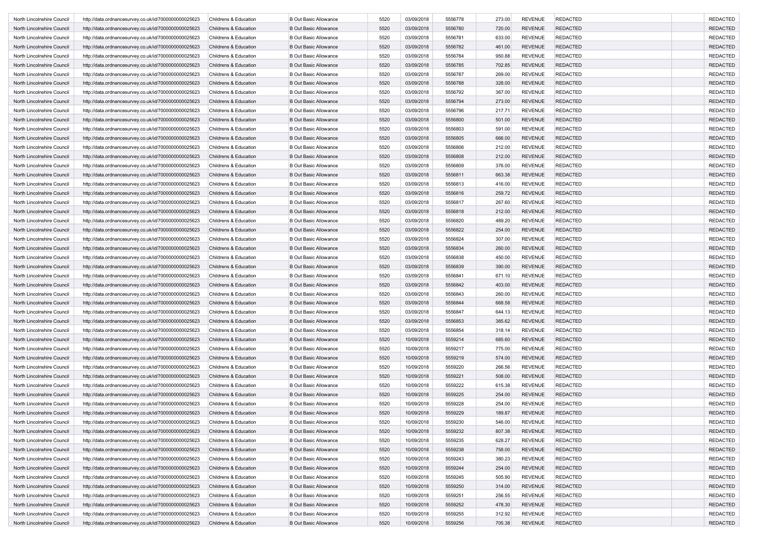| North Lincolnshire Council | http://data.ordnancesurvey.co.uk/id/7000000000025623                                                         | Childrens & Education | <b>B Out Basic Allowance</b>                                 | 5520         | 03/09/2018               | 5556778            | 273.00 | <b>REVENUE</b>                   | <b>REDACTED</b> | <b>REDACTED</b> |
|----------------------------|--------------------------------------------------------------------------------------------------------------|-----------------------|--------------------------------------------------------------|--------------|--------------------------|--------------------|--------|----------------------------------|-----------------|-----------------|
| North Lincolnshire Council | http://data.ordnancesurvey.co.uk/id/7000000000025623                                                         | Childrens & Education | <b>B Out Basic Allowance</b>                                 | 5520         | 03/09/2018               | 5556780            | 720.00 | <b>REVENUE</b>                   | <b>REDACTED</b> | <b>REDACTED</b> |
| North Lincolnshire Council | http://data.ordnancesurvey.co.uk/id/7000000000025623                                                         | Childrens & Education | <b>B Out Basic Allowance</b>                                 | 5520         | 03/09/2018               | 5556781            | 633.00 | <b>REVENUE</b>                   | <b>REDACTED</b> | <b>REDACTED</b> |
| North Lincolnshire Council | http://data.ordnancesurvey.co.uk/id/7000000000025623                                                         | Childrens & Education | <b>B Out Basic Allowance</b>                                 | 5520         | 03/09/2018               | 5556782            | 461.00 | <b>REVENUE</b>                   | <b>REDACTED</b> | <b>REDACTED</b> |
| North Lincolnshire Council | http://data.ordnancesurvey.co.uk/id/7000000000025623                                                         | Childrens & Education | <b>B Out Basic Allowance</b>                                 | 5520         | 03/09/2018               | 5556784            | 950.88 | <b>REVENUE</b>                   | <b>REDACTED</b> | <b>REDACTED</b> |
| North Lincolnshire Council | http://data.ordnancesurvey.co.uk/id/7000000000025623                                                         | Childrens & Education | <b>B Out Basic Allowance</b>                                 | 5520         | 03/09/2018               | 5556785            | 702.85 | <b>REVENUE</b>                   | <b>REDACTED</b> | <b>REDACTED</b> |
| North Lincolnshire Council | http://data.ordnancesurvey.co.uk/id/7000000000025623                                                         | Childrens & Education | <b>B Out Basic Allowance</b>                                 | 5520         | 03/09/2018               | 5556787            | 269.00 | <b>REVENUE</b>                   | <b>REDACTED</b> | <b>REDACTED</b> |
| North Lincolnshire Council | http://data.ordnancesurvey.co.uk/id/7000000000025623                                                         | Childrens & Education | <b>B Out Basic Allowance</b>                                 | 5520         | 03/09/2018               | 5556788            | 328.00 | <b>REVENUE</b>                   | <b>REDACTED</b> | <b>REDACTED</b> |
| North Lincolnshire Council | http://data.ordnancesurvey.co.uk/id/7000000000025623                                                         | Childrens & Education | <b>B Out Basic Allowance</b>                                 | 5520         | 03/09/2018               | 5556792            | 367.00 | <b>REVENUE</b>                   | <b>REDACTED</b> | <b>REDACTED</b> |
| North Lincolnshire Council | http://data.ordnancesurvey.co.uk/id/7000000000025623                                                         | Childrens & Education | <b>B Out Basic Allowance</b>                                 | 5520         | 03/09/2018               | 5556794            | 273.00 | <b>REVENUE</b>                   | <b>REDACTED</b> | <b>REDACTED</b> |
| North Lincolnshire Council | http://data.ordnancesurvey.co.uk/id/7000000000025623                                                         | Childrens & Education | <b>B Out Basic Allowance</b>                                 | 5520         | 03/09/2018               | 5556796            | 217.71 | <b>REVENUE</b>                   | <b>REDACTED</b> | <b>REDACTED</b> |
| North Lincolnshire Council |                                                                                                              |                       | <b>B Out Basic Allowance</b>                                 | 5520         | 03/09/2018               | 5556800            |        | <b>REVENUE</b>                   | <b>REDACTED</b> | <b>REDACTED</b> |
| North Lincolnshire Council | http://data.ordnancesurvey.co.uk/id/7000000000025623                                                         | Childrens & Education |                                                              |              | 03/09/2018               | 5556803            | 501.00 | <b>REVENUE</b>                   | <b>REDACTED</b> |                 |
|                            | http://data.ordnancesurvey.co.uk/id/7000000000025623                                                         | Childrens & Education | <b>B Out Basic Allowance</b>                                 | 5520         |                          |                    | 591.00 |                                  |                 | <b>REDACTED</b> |
| North Lincolnshire Council | http://data.ordnancesurvey.co.uk/id/7000000000025623                                                         | Childrens & Education | <b>B Out Basic Allowance</b>                                 | 5520         | 03/09/2018               | 5556805            | 666.00 | <b>REVENUE</b>                   | <b>REDACTED</b> | <b>REDACTED</b> |
| North Lincolnshire Council | http://data.ordnancesurvey.co.uk/id/7000000000025623                                                         | Childrens & Education | <b>B Out Basic Allowance</b>                                 | 5520         | 03/09/2018               | 5556806            | 212.00 | <b>REVENUE</b>                   | <b>REDACTED</b> | <b>REDACTED</b> |
| North Lincolnshire Council | http://data.ordnancesurvey.co.uk/id/7000000000025623                                                         | Childrens & Education | <b>B Out Basic Allowance</b>                                 | 5520         | 03/09/2018               | 5556808            | 212.00 | <b>REVENUE</b>                   | <b>REDACTED</b> | <b>REDACTED</b> |
| North Lincolnshire Council | http://data.ordnancesurvey.co.uk/id/7000000000025623                                                         | Childrens & Education | <b>B Out Basic Allowance</b>                                 | 5520         | 03/09/2018               | 5556809            | 376.00 | <b>REVENUE</b>                   | <b>REDACTED</b> | <b>REDACTED</b> |
| North Lincolnshire Council | http://data.ordnancesurvey.co.uk/id/7000000000025623                                                         | Childrens & Education | <b>B Out Basic Allowance</b>                                 | 5520         | 03/09/2018               | 5556811            | 663.38 | <b>REVENUE</b>                   | <b>REDACTED</b> | <b>REDACTED</b> |
| North Lincolnshire Council | http://data.ordnancesurvey.co.uk/id/7000000000025623                                                         | Childrens & Education | <b>B Out Basic Allowance</b>                                 | 5520         | 03/09/2018               | 5556813            | 416.00 | <b>REVENUE</b>                   | <b>REDACTED</b> | <b>REDACTED</b> |
| North Lincolnshire Council | http://data.ordnancesurvey.co.uk/id/7000000000025623                                                         | Childrens & Education | <b>B Out Basic Allowance</b>                                 | 5520         | 03/09/2018               | 5556816            | 259.72 | <b>REVENUE</b>                   | <b>REDACTED</b> | <b>REDACTED</b> |
| North Lincolnshire Council | http://data.ordnancesurvey.co.uk/id/7000000000025623                                                         | Childrens & Education | <b>B Out Basic Allowance</b>                                 | 5520         | 03/09/2018               | 5556817            | 267.60 | <b>REVENUE</b>                   | <b>REDACTED</b> | <b>REDACTED</b> |
| North Lincolnshire Council | http://data.ordnancesurvey.co.uk/id/7000000000025623                                                         | Childrens & Education | <b>B Out Basic Allowance</b>                                 | 5520         | 03/09/2018               | 5556818            | 212.00 | <b>REVENUE</b>                   | <b>REDACTED</b> | <b>REDACTED</b> |
| North Lincolnshire Council | http://data.ordnancesurvey.co.uk/id/7000000000025623                                                         | Childrens & Education | <b>B Out Basic Allowance</b>                                 | 5520         | 03/09/2018               | 5556820            | 489.20 | <b>REVENUE</b>                   | <b>REDACTED</b> | <b>REDACTED</b> |
| North Lincolnshire Council | http://data.ordnancesurvey.co.uk/id/7000000000025623                                                         | Childrens & Education | <b>B Out Basic Allowance</b>                                 | 5520         | 03/09/2018               | 5556822            | 254.00 | <b>REVENUE</b>                   | <b>REDACTED</b> | <b>REDACTED</b> |
| North Lincolnshire Council | http://data.ordnancesurvey.co.uk/id/7000000000025623                                                         | Childrens & Education | <b>B Out Basic Allowance</b>                                 | 5520         | 03/09/2018               | 5556824            | 307.00 | <b>REVENUE</b>                   | <b>REDACTED</b> | <b>REDACTED</b> |
| North Lincolnshire Council | http://data.ordnancesurvey.co.uk/id/7000000000025623                                                         | Childrens & Education | <b>B Out Basic Allowance</b>                                 | 5520         | 03/09/2018               | 5556834            | 260.00 | <b>REVENUE</b>                   | <b>REDACTED</b> | <b>REDACTED</b> |
| North Lincolnshire Council | http://data.ordnancesurvey.co.uk/id/7000000000025623                                                         | Childrens & Education | <b>B Out Basic Allowance</b>                                 | 5520         | 03/09/2018               | 5556838            | 450.00 | <b>REVENUE</b>                   | <b>REDACTED</b> | <b>REDACTED</b> |
| North Lincolnshire Council | http://data.ordnancesurvey.co.uk/id/7000000000025623                                                         | Childrens & Education | <b>B Out Basic Allowance</b>                                 | 5520         | 03/09/2018               | 5556839            | 390.00 | <b>REVENUE</b>                   | <b>REDACTED</b> | <b>REDACTED</b> |
| North Lincolnshire Council | http://data.ordnancesurvey.co.uk/id/7000000000025623                                                         | Childrens & Education | <b>B Out Basic Allowance</b>                                 | 5520         | 03/09/2018               | 5556841            | 671.10 | <b>REVENUE</b>                   | <b>REDACTED</b> | <b>REDACTED</b> |
| North Lincolnshire Council | http://data.ordnancesurvey.co.uk/id/7000000000025623                                                         | Childrens & Education | <b>B Out Basic Allowance</b>                                 | 5520         | 03/09/2018               | 5556842            | 403.00 | <b>REVENUE</b>                   | <b>REDACTED</b> | <b>REDACTED</b> |
| North Lincolnshire Council | http://data.ordnancesurvey.co.uk/id/7000000000025623                                                         | Childrens & Education | <b>B Out Basic Allowance</b>                                 | 5520         | 03/09/2018               | 5556843            | 260.00 | <b>REVENUE</b>                   | <b>REDACTED</b> | <b>REDACTED</b> |
| North Lincolnshire Council | http://data.ordnancesurvey.co.uk/id/7000000000025623                                                         | Childrens & Education | <b>B Out Basic Allowance</b>                                 | 5520         | 03/09/2018               | 5556844            | 668.58 | <b>REVENUE</b>                   | <b>REDACTED</b> | <b>REDACTED</b> |
| North Lincolnshire Council | http://data.ordnancesurvey.co.uk/id/7000000000025623                                                         | Childrens & Education | <b>B Out Basic Allowance</b>                                 | 5520         | 03/09/2018               | 5556847            | 644.13 | <b>REVENUE</b>                   | <b>REDACTED</b> | <b>REDACTED</b> |
| North Lincolnshire Council | http://data.ordnancesurvey.co.uk/id/7000000000025623                                                         | Childrens & Education | <b>B Out Basic Allowance</b>                                 | 5520         | 03/09/2018               | 5556853            | 385.62 | <b>REVENUE</b>                   | <b>REDACTED</b> | <b>REDACTED</b> |
| North Lincolnshire Council | http://data.ordnancesurvey.co.uk/id/7000000000025623                                                         | Childrens & Education | <b>B Out Basic Allowance</b>                                 | 5520         | 03/09/2018               | 5556854            | 318.14 | <b>REVENUE</b>                   | <b>REDACTED</b> | <b>REDACTED</b> |
| North Lincolnshire Council | http://data.ordnancesurvey.co.uk/id/7000000000025623                                                         | Childrens & Education | <b>B Out Basic Allowance</b>                                 | 5520         | 10/09/2018               | 5559214            | 685.60 | <b>REVENUE</b>                   | <b>REDACTED</b> | <b>REDACTED</b> |
| North Lincolnshire Council | http://data.ordnancesurvey.co.uk/id/7000000000025623                                                         | Childrens & Education | <b>B Out Basic Allowance</b>                                 | 5520         | 10/09/2018               | 5559217            | 775.00 | <b>REVENUE</b>                   | <b>REDACTED</b> | <b>REDACTED</b> |
| North Lincolnshire Council |                                                                                                              | Childrens & Education | <b>B Out Basic Allowance</b>                                 |              |                          | 5559219            |        | <b>REVENUE</b>                   | <b>REDACTED</b> | <b>REDACTED</b> |
| North Lincolnshire Council | http://data.ordnancesurvey.co.uk/id/7000000000025623<br>http://data.ordnancesurvey.co.uk/id/7000000000025623 |                       |                                                              | 5520<br>5520 | 10/09/2018               |                    | 574.00 |                                  | <b>REDACTED</b> | <b>REDACTED</b> |
|                            |                                                                                                              | Childrens & Education | <b>B Out Basic Allowance</b>                                 | 5520         | 10/09/2018<br>10/09/2018 | 5559220<br>5559221 | 266.56 | <b>REVENUE</b><br><b>REVENUE</b> | <b>REDACTED</b> | <b>REDACTED</b> |
| North Lincolnshire Council | http://data.ordnancesurvey.co.uk/id/7000000000025623                                                         | Childrens & Education | <b>B Out Basic Allowance</b><br><b>B Out Basic Allowance</b> |              |                          |                    | 508.00 |                                  |                 |                 |
| North Lincolnshire Council | http://data.ordnancesurvey.co.uk/id/7000000000025623                                                         | Childrens & Education |                                                              | 5520         | 10/09/2018               | 5559222            | 615.38 | <b>REVENUE</b>                   | <b>REDACTED</b> | <b>REDACTED</b> |
| North Lincolnshire Council | http://data.ordnancesurvey.co.uk/id/7000000000025623                                                         | Childrens & Education | <b>B Out Basic Allowance</b>                                 | 5520         | 10/09/2018               | 5559225            | 254.00 | <b>REVENUE</b>                   | <b>REDACTED</b> | <b>REDACTED</b> |
| North Lincolnshire Council | http://data.ordnancesurvey.co.uk/id/7000000000025623                                                         | Childrens & Education | <b>B Out Basic Allowance</b>                                 | 5520         | 10/09/2018               | 5559228            | 254.00 | <b>REVENUE</b>                   | <b>REDACTED</b> | <b>REDACTED</b> |
| North Lincolnshire Council | http://data.ordnancesurvey.co.uk/id/7000000000025623                                                         | Childrens & Education | <b>B Out Basic Allowance</b>                                 | 5520         | 10/09/2018               | 5559229            | 189.87 | <b>REVENUE</b>                   | <b>REDACTED</b> | <b>REDACTED</b> |
| North Lincolnshire Council | http://data.ordnancesurvey.co.uk/id/7000000000025623                                                         | Childrens & Education | <b>B Out Basic Allowance</b>                                 | 5520         | 10/09/2018               | 5559230            | 546.00 | REVENUE                          | <b>REDACTED</b> | REDACTED        |
| North Lincolnshire Council | http://data.ordnancesurvey.co.uk/id/7000000000025623                                                         | Childrens & Education | <b>B Out Basic Allowance</b>                                 | 5520         | 10/09/2018               | 5559232            | 807.38 | <b>REVENUE</b>                   | <b>REDACTED</b> | REDACTED        |
| North Lincolnshire Council | http://data.ordnancesurvey.co.uk/id/7000000000025623                                                         | Childrens & Education | <b>B Out Basic Allowance</b>                                 | 5520         | 10/09/2018               | 5559235            | 628.27 | <b>REVENUE</b>                   | <b>REDACTED</b> | <b>REDACTED</b> |
| North Lincolnshire Council | http://data.ordnancesurvey.co.uk/id/7000000000025623                                                         | Childrens & Education | <b>B Out Basic Allowance</b>                                 | 5520         | 10/09/2018               | 5559238            | 758.00 | <b>REVENUE</b>                   | <b>REDACTED</b> | <b>REDACTED</b> |
| North Lincolnshire Council | http://data.ordnancesurvey.co.uk/id/7000000000025623                                                         | Childrens & Education | <b>B Out Basic Allowance</b>                                 | 5520         | 10/09/2018               | 5559243            | 380.23 | <b>REVENUE</b>                   | <b>REDACTED</b> | <b>REDACTED</b> |
| North Lincolnshire Council | http://data.ordnancesurvey.co.uk/id/7000000000025623                                                         | Childrens & Education | <b>B Out Basic Allowance</b>                                 | 5520         | 10/09/2018               | 5559244            | 254.00 | <b>REVENUE</b>                   | <b>REDACTED</b> | <b>REDACTED</b> |
| North Lincolnshire Council | http://data.ordnancesurvey.co.uk/id/7000000000025623                                                         | Childrens & Education | <b>B Out Basic Allowance</b>                                 | 5520         | 10/09/2018               | 5559245            | 505.90 | <b>REVENUE</b>                   | <b>REDACTED</b> | <b>REDACTED</b> |
| North Lincolnshire Council | http://data.ordnancesurvey.co.uk/id/7000000000025623                                                         | Childrens & Education | <b>B Out Basic Allowance</b>                                 | 5520         | 10/09/2018               | 5559250            | 314.00 | <b>REVENUE</b>                   | <b>REDACTED</b> | <b>REDACTED</b> |
| North Lincolnshire Council | http://data.ordnancesurvey.co.uk/id/7000000000025623                                                         | Childrens & Education | <b>B Out Basic Allowance</b>                                 | 5520         | 10/09/2018               | 5559251            | 256.55 | <b>REVENUE</b>                   | <b>REDACTED</b> | <b>REDACTED</b> |
| North Lincolnshire Council | http://data.ordnancesurvey.co.uk/id/7000000000025623                                                         | Childrens & Education | <b>B Out Basic Allowance</b>                                 | 5520         | 10/09/2018               | 5559252            | 478.30 | <b>REVENUE</b>                   | <b>REDACTED</b> | <b>REDACTED</b> |
| North Lincolnshire Council | http://data.ordnancesurvey.co.uk/id/7000000000025623                                                         | Childrens & Education | <b>B Out Basic Allowance</b>                                 | 5520         | 10/09/2018               | 5559255            | 312.92 | <b>REVENUE</b>                   | <b>REDACTED</b> | <b>REDACTED</b> |
| North Lincolnshire Council | http://data.ordnancesurvey.co.uk/id/7000000000025623                                                         | Childrens & Education | <b>B Out Basic Allowance</b>                                 | 5520         | 10/09/2018               | 5559256            | 705.38 | REVENUE                          | <b>REDACTED</b> | <b>REDACTED</b> |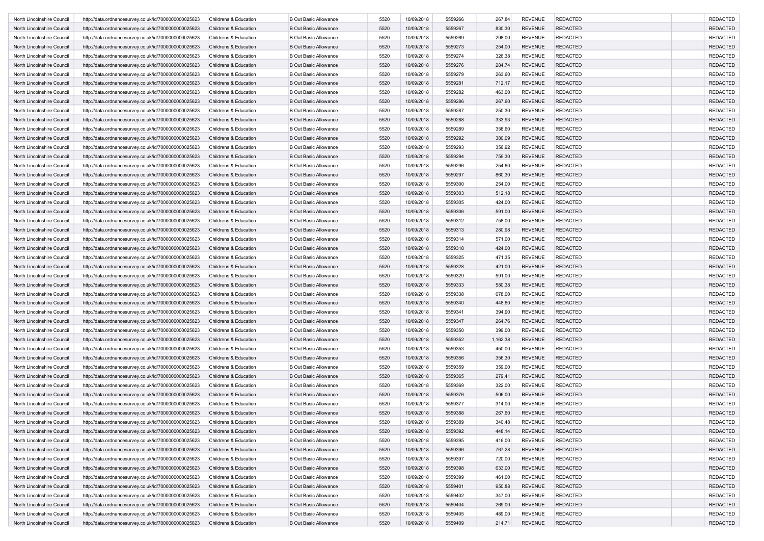| North Lincolnshire Council | http://data.ordnancesurvey.co.uk/id/7000000000025623 | Childrens & Education            | <b>B Out Basic Allowance</b> | 5520 | 10/09/2018 | 5559266 | 267.84   | <b>REVENUE</b> | <b>REDACTED</b> | <b>REDACTED</b> |
|----------------------------|------------------------------------------------------|----------------------------------|------------------------------|------|------------|---------|----------|----------------|-----------------|-----------------|
| North Lincolnshire Council | http://data.ordnancesurvey.co.uk/id/7000000000025623 | Childrens & Education            | <b>B Out Basic Allowance</b> | 5520 | 10/09/2018 | 5559267 | 830.30   | <b>REVENUE</b> | <b>REDACTED</b> | <b>REDACTED</b> |
| North Lincolnshire Council | http://data.ordnancesurvey.co.uk/id/7000000000025623 | Childrens & Education            | <b>B Out Basic Allowance</b> | 5520 | 10/09/2018 | 5559269 | 298.00   | <b>REVENUE</b> | <b>REDACTED</b> | <b>REDACTED</b> |
| North Lincolnshire Council | http://data.ordnancesurvey.co.uk/id/7000000000025623 | Childrens & Education            | <b>B Out Basic Allowance</b> | 5520 | 10/09/2018 | 5559273 | 254.00   | <b>REVENUE</b> | <b>REDACTED</b> | <b>REDACTED</b> |
| North Lincolnshire Council | http://data.ordnancesurvey.co.uk/id/7000000000025623 | Childrens & Education            | <b>B Out Basic Allowance</b> | 5520 | 10/09/2018 | 5559274 | 326.38   | <b>REVENUE</b> | <b>REDACTED</b> | <b>REDACTED</b> |
| North Lincolnshire Council | http://data.ordnancesurvey.co.uk/id/7000000000025623 | Childrens & Education            | <b>B Out Basic Allowance</b> | 5520 | 10/09/2018 | 5559276 | 284.74   | <b>REVENUE</b> | <b>REDACTED</b> | <b>REDACTED</b> |
| North Lincolnshire Council | http://data.ordnancesurvey.co.uk/id/7000000000025623 | Childrens & Education            | <b>B Out Basic Allowance</b> | 5520 | 10/09/2018 | 5559279 | 263.60   | <b>REVENUE</b> | <b>REDACTED</b> | <b>REDACTED</b> |
| North Lincolnshire Council | http://data.ordnancesurvey.co.uk/id/7000000000025623 | Childrens & Education            | <b>B Out Basic Allowance</b> | 5520 | 10/09/2018 | 5559281 | 712.17   | <b>REVENUE</b> | <b>REDACTED</b> | <b>REDACTED</b> |
| North Lincolnshire Council | http://data.ordnancesurvey.co.uk/id/7000000000025623 | Childrens & Education            | <b>B Out Basic Allowance</b> | 5520 | 10/09/2018 | 5559282 | 463.00   | <b>REVENUE</b> | <b>REDACTED</b> | <b>REDACTED</b> |
|                            |                                                      |                                  |                              |      |            |         |          |                |                 | <b>REDACTED</b> |
| North Lincolnshire Council | http://data.ordnancesurvey.co.uk/id/7000000000025623 | Childrens & Education            | <b>B Out Basic Allowance</b> | 5520 | 10/09/2018 | 5559286 | 267.60   | <b>REVENUE</b> | <b>REDACTED</b> |                 |
| North Lincolnshire Council | http://data.ordnancesurvey.co.uk/id/7000000000025623 | Childrens & Education            | <b>B Out Basic Allowance</b> | 5520 | 10/09/2018 | 5559287 | 250.30   | <b>REVENUE</b> | <b>REDACTED</b> | <b>REDACTED</b> |
| North Lincolnshire Council | http://data.ordnancesurvey.co.uk/id/7000000000025623 | Childrens & Education            | <b>B Out Basic Allowance</b> | 5520 | 10/09/2018 | 5559288 | 333.93   | <b>REVENUE</b> | <b>REDACTED</b> | <b>REDACTED</b> |
| North Lincolnshire Council | http://data.ordnancesurvey.co.uk/id/7000000000025623 | Childrens & Education            | <b>B Out Basic Allowance</b> | 5520 | 10/09/2018 | 5559289 | 358.60   | <b>REVENUE</b> | <b>REDACTED</b> | <b>REDACTED</b> |
| North Lincolnshire Council | http://data.ordnancesurvey.co.uk/id/7000000000025623 | Childrens & Education            | <b>B Out Basic Allowance</b> | 5520 | 10/09/2018 | 5559292 | 380.09   | <b>REVENUE</b> | <b>REDACTED</b> | <b>REDACTED</b> |
| North Lincolnshire Council | http://data.ordnancesurvey.co.uk/id/7000000000025623 | Childrens & Education            | <b>B Out Basic Allowance</b> | 5520 | 10/09/2018 | 5559293 | 356.92   | <b>REVENUE</b> | <b>REDACTED</b> | <b>REDACTED</b> |
| North Lincolnshire Council | http://data.ordnancesurvey.co.uk/id/7000000000025623 | Childrens & Education            | <b>B Out Basic Allowance</b> | 5520 | 10/09/2018 | 5559294 | 759.30   | <b>REVENUE</b> | <b>REDACTED</b> | <b>REDACTED</b> |
| North Lincolnshire Council | http://data.ordnancesurvey.co.uk/id/7000000000025623 | Childrens & Education            | <b>B Out Basic Allowance</b> | 5520 | 10/09/2018 | 5559296 | 254.60   | <b>REVENUE</b> | <b>REDACTED</b> | <b>REDACTED</b> |
| North Lincolnshire Council | http://data.ordnancesurvey.co.uk/id/7000000000025623 | Childrens & Education            | <b>B Out Basic Allowance</b> | 5520 | 10/09/2018 | 5559297 | 860.30   | <b>REVENUE</b> | <b>REDACTED</b> | <b>REDACTED</b> |
| North Lincolnshire Council | http://data.ordnancesurvey.co.uk/id/7000000000025623 | Childrens & Education            | <b>B Out Basic Allowance</b> | 5520 | 10/09/2018 | 5559300 | 254.00   | <b>REVENUE</b> | <b>REDACTED</b> | <b>REDACTED</b> |
| North Lincolnshire Council | http://data.ordnancesurvey.co.uk/id/7000000000025623 | Childrens & Education            | <b>B Out Basic Allowance</b> | 5520 | 10/09/2018 | 5559303 | 512.18   | <b>REVENUE</b> | <b>REDACTED</b> | <b>REDACTED</b> |
| North Lincolnshire Council | http://data.ordnancesurvey.co.uk/id/7000000000025623 | Childrens & Education            | <b>B Out Basic Allowance</b> | 5520 | 10/09/2018 | 5559305 | 424.00   | <b>REVENUE</b> | <b>REDACTED</b> | <b>REDACTED</b> |
| North Lincolnshire Council | http://data.ordnancesurvey.co.uk/id/7000000000025623 | Childrens & Education            | <b>B Out Basic Allowance</b> | 5520 | 10/09/2018 | 5559306 | 591.00   | <b>REVENUE</b> | <b>REDACTED</b> | <b>REDACTED</b> |
| North Lincolnshire Council | http://data.ordnancesurvey.co.uk/id/7000000000025623 | Childrens & Education            | <b>B Out Basic Allowance</b> | 5520 | 10/09/2018 | 5559312 | 758.00   | <b>REVENUE</b> | <b>REDACTED</b> | <b>REDACTED</b> |
| North Lincolnshire Council | http://data.ordnancesurvey.co.uk/id/7000000000025623 | Childrens & Education            | <b>B Out Basic Allowance</b> | 5520 | 10/09/2018 | 5559313 | 280.98   | <b>REVENUE</b> | <b>REDACTED</b> | <b>REDACTED</b> |
| North Lincolnshire Council | http://data.ordnancesurvey.co.uk/id/7000000000025623 | Childrens & Education            | <b>B Out Basic Allowance</b> | 5520 | 10/09/2018 | 5559314 | 571.00   | <b>REVENUE</b> | <b>REDACTED</b> | <b>REDACTED</b> |
| North Lincolnshire Council | http://data.ordnancesurvey.co.uk/id/7000000000025623 | Childrens & Education            | <b>B Out Basic Allowance</b> | 5520 | 10/09/2018 | 5559318 | 424.00   | <b>REVENUE</b> | <b>REDACTED</b> | <b>REDACTED</b> |
| North Lincolnshire Council | http://data.ordnancesurvey.co.uk/id/7000000000025623 | Childrens & Education            | <b>B Out Basic Allowance</b> | 5520 | 10/09/2018 | 5559325 | 471.35   | <b>REVENUE</b> | <b>REDACTED</b> | <b>REDACTED</b> |
| North Lincolnshire Council | http://data.ordnancesurvey.co.uk/id/7000000000025623 | Childrens & Education            | <b>B Out Basic Allowance</b> | 5520 | 10/09/2018 | 5559328 | 421.00   | <b>REVENUE</b> | <b>REDACTED</b> | <b>REDACTED</b> |
| North Lincolnshire Council | http://data.ordnancesurvey.co.uk/id/7000000000025623 | Childrens & Education            | <b>B Out Basic Allowance</b> | 5520 | 10/09/2018 | 5559329 | 591.00   | <b>REVENUE</b> | <b>REDACTED</b> | <b>REDACTED</b> |
|                            |                                                      |                                  |                              |      | 10/09/2018 | 5559333 | 580.38   | <b>REVENUE</b> | <b>REDACTED</b> | <b>REDACTED</b> |
| North Lincolnshire Council | http://data.ordnancesurvey.co.uk/id/7000000000025623 | Childrens & Education            | <b>B Out Basic Allowance</b> | 5520 |            |         |          |                |                 |                 |
| North Lincolnshire Council | http://data.ordnancesurvey.co.uk/id/7000000000025623 | Childrens & Education            | <b>B Out Basic Allowance</b> | 5520 | 10/09/2018 | 5559338 | 678.00   | <b>REVENUE</b> | <b>REDACTED</b> | <b>REDACTED</b> |
| North Lincolnshire Council | http://data.ordnancesurvey.co.uk/id/7000000000025623 | Childrens & Education            | <b>B Out Basic Allowance</b> | 5520 | 10/09/2018 | 5559340 | 448.60   | <b>REVENUE</b> | <b>REDACTED</b> | <b>REDACTED</b> |
| North Lincolnshire Council | http://data.ordnancesurvey.co.uk/id/7000000000025623 | Childrens & Education            | <b>B Out Basic Allowance</b> | 5520 | 10/09/2018 | 5559341 | 394.90   | <b>REVENUE</b> | <b>REDACTED</b> | <b>REDACTED</b> |
| North Lincolnshire Council | http://data.ordnancesurvey.co.uk/id/7000000000025623 | Childrens & Education            | <b>B Out Basic Allowance</b> | 5520 | 10/09/2018 | 5559347 | 264.76   | <b>REVENUE</b> | <b>REDACTED</b> | <b>REDACTED</b> |
| North Lincolnshire Council | http://data.ordnancesurvey.co.uk/id/7000000000025623 | Childrens & Education            | <b>B Out Basic Allowance</b> | 5520 | 10/09/2018 | 5559350 | 399.00   | <b>REVENUE</b> | <b>REDACTED</b> | <b>REDACTED</b> |
| North Lincolnshire Council | http://data.ordnancesurvey.co.uk/id/7000000000025623 | Childrens & Education            | <b>B Out Basic Allowance</b> | 5520 | 10/09/2018 | 5559352 | 1,162.38 | <b>REVENUE</b> | <b>REDACTED</b> | <b>REDACTED</b> |
| North Lincolnshire Council | http://data.ordnancesurvey.co.uk/id/7000000000025623 | Childrens & Education            | <b>B Out Basic Allowance</b> | 5520 | 10/09/2018 | 5559353 | 450.00   | <b>REVENUE</b> | <b>REDACTED</b> | <b>REDACTED</b> |
| North Lincolnshire Council | http://data.ordnancesurvey.co.uk/id/7000000000025623 | Childrens & Education            | <b>B Out Basic Allowance</b> | 5520 | 10/09/2018 | 5559356 | 356.30   | <b>REVENUE</b> | <b>REDACTED</b> | <b>REDACTED</b> |
| North Lincolnshire Council | http://data.ordnancesurvey.co.uk/id/7000000000025623 | Childrens & Education            | <b>B Out Basic Allowance</b> | 5520 | 10/09/2018 | 5559359 | 359.00   | <b>REVENUE</b> | <b>REDACTED</b> | <b>REDACTED</b> |
| North Lincolnshire Council | http://data.ordnancesurvey.co.uk/id/7000000000025623 | Childrens & Education            | <b>B Out Basic Allowance</b> | 5520 | 10/09/2018 | 5559365 | 279.41   | <b>REVENUE</b> | <b>REDACTED</b> | <b>REDACTED</b> |
| North Lincolnshire Council | http://data.ordnancesurvey.co.uk/id/7000000000025623 | Childrens & Education            | <b>B Out Basic Allowance</b> | 5520 | 10/09/2018 | 5559369 | 322.00   | <b>REVENUE</b> | <b>REDACTED</b> | <b>REDACTED</b> |
| North Lincolnshire Council | http://data.ordnancesurvey.co.uk/id/7000000000025623 | Childrens & Education            | <b>B Out Basic Allowance</b> | 5520 | 10/09/2018 | 5559376 | 506.00   | <b>REVENUE</b> | <b>REDACTED</b> | <b>REDACTED</b> |
| North Lincolnshire Council | http://data.ordnancesurvey.co.uk/id/7000000000025623 | <b>Childrens &amp; Education</b> | <b>B Out Basic Allowance</b> | 5520 | 10/09/2018 | 5559377 | 314.00   | <b>REVENUE</b> | <b>REDACTED</b> | <b>REDACTED</b> |
| North Lincolnshire Council | http://data.ordnancesurvey.co.uk/id/7000000000025623 | Childrens & Education            | <b>B Out Basic Allowance</b> | 5520 | 10/09/2018 | 5559388 | 267.60   | <b>REVENUE</b> | <b>REDACTED</b> | <b>REDACTED</b> |
| North Lincolnshire Council | http://data.ordnancesurvey.co.uk/id/7000000000025623 | Childrens & Education            | <b>B Out Basic Allowance</b> | 5520 | 10/09/2018 | 5559389 | 340.48   | REVENUE        | REDACTED        | REDACTEL        |
| North Lincolnshire Council | http://data.ordnancesurvey.co.uk/id/7000000000025623 | Childrens & Education            | <b>B Out Basic Allowance</b> | 5520 | 10/09/2018 | 5559392 | 448.14   | <b>REVENUE</b> | <b>REDACTED</b> | REDACTED        |
| North Lincolnshire Council | http://data.ordnancesurvey.co.uk/id/7000000000025623 | Childrens & Education            | <b>B Out Basic Allowance</b> | 5520 | 10/09/2018 | 5559395 | 416.00   | <b>REVENUE</b> | <b>REDACTED</b> | <b>REDACTED</b> |
| North Lincolnshire Council | http://data.ordnancesurvey.co.uk/id/7000000000025623 | Childrens & Education            | <b>B Out Basic Allowance</b> | 5520 | 10/09/2018 | 5559396 | 767.28   | <b>REVENUE</b> | <b>REDACTED</b> | <b>REDACTED</b> |
| North Lincolnshire Council | http://data.ordnancesurvey.co.uk/id/7000000000025623 | Childrens & Education            | <b>B Out Basic Allowance</b> | 5520 | 10/09/2018 | 5559397 | 720.00   | REVENUE        | REDACTED        | <b>REDACTED</b> |
| North Lincolnshire Council | http://data.ordnancesurvey.co.uk/id/7000000000025623 | Childrens & Education            | <b>B Out Basic Allowance</b> | 5520 | 10/09/2018 | 5559398 | 633.00   | <b>REVENUE</b> | <b>REDACTED</b> | <b>REDACTED</b> |
|                            |                                                      |                                  |                              |      |            |         |          |                |                 |                 |
| North Lincolnshire Council | http://data.ordnancesurvey.co.uk/id/7000000000025623 | Childrens & Education            | <b>B Out Basic Allowance</b> | 5520 | 10/09/2018 | 5559399 | 461.00   | <b>REVENUE</b> | <b>REDACTED</b> | <b>REDACTED</b> |
| North Lincolnshire Council | http://data.ordnancesurvey.co.uk/id/7000000000025623 | Childrens & Education            | <b>B Out Basic Allowance</b> | 5520 | 10/09/2018 | 5559401 | 950.88   | <b>REVENUE</b> | <b>REDACTED</b> | REDACTED        |
| North Lincolnshire Council | http://data.ordnancesurvey.co.uk/id/7000000000025623 | Childrens & Education            | <b>B Out Basic Allowance</b> | 5520 | 10/09/2018 | 5559402 | 347.00   | <b>REVENUE</b> | <b>REDACTED</b> | <b>REDACTED</b> |
| North Lincolnshire Council | http://data.ordnancesurvey.co.uk/id/7000000000025623 | Childrens & Education            | <b>B Out Basic Allowance</b> | 5520 | 10/09/2018 | 5559404 | 269.00   | <b>REVENUE</b> | <b>REDACTED</b> | <b>REDACTED</b> |
| North Lincolnshire Council | http://data.ordnancesurvey.co.uk/id/7000000000025623 | Childrens & Education            | <b>B Out Basic Allowance</b> | 5520 | 10/09/2018 | 5559405 | 489.00   | <b>REVENUE</b> | <b>REDACTED</b> | <b>REDACTED</b> |
| North Lincolnshire Council | http://data.ordnancesurvey.co.uk/id/7000000000025623 | Childrens & Education            | <b>B Out Basic Allowance</b> | 5520 | 10/09/2018 | 5559409 | 214.71   | <b>REVENUE</b> | <b>REDACTED</b> | <b>REDACTED</b> |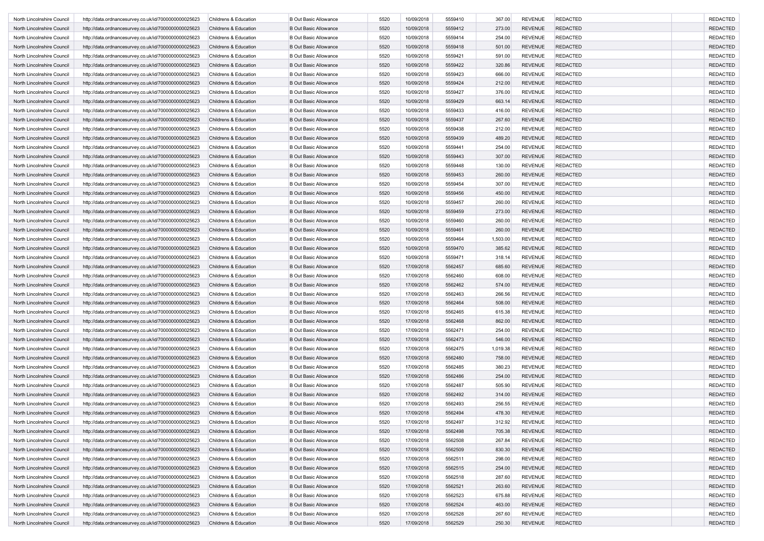| North Lincolnshire Council | http://data.ordnancesurvey.co.uk/id/7000000000025623 | Childrens & Education | <b>B Out Basic Allowance</b> | 5520 | 10/09/2018 | 5559410 | 367.00   | <b>REVENUE</b> | <b>REDACTED</b> | <b>REDACTED</b> |
|----------------------------|------------------------------------------------------|-----------------------|------------------------------|------|------------|---------|----------|----------------|-----------------|-----------------|
| North Lincolnshire Council | http://data.ordnancesurvey.co.uk/id/7000000000025623 | Childrens & Education | <b>B Out Basic Allowance</b> | 5520 | 10/09/2018 | 5559412 | 273.00   | <b>REVENUE</b> | <b>REDACTED</b> | <b>REDACTED</b> |
| North Lincolnshire Council | http://data.ordnancesurvey.co.uk/id/7000000000025623 | Childrens & Education | <b>B Out Basic Allowance</b> | 5520 | 10/09/2018 | 5559414 | 254.00   | <b>REVENUE</b> | <b>REDACTED</b> | <b>REDACTED</b> |
| North Lincolnshire Council | http://data.ordnancesurvey.co.uk/id/7000000000025623 | Childrens & Education | <b>B Out Basic Allowance</b> | 5520 | 10/09/2018 | 5559418 | 501.00   | <b>REVENUE</b> | <b>REDACTED</b> | <b>REDACTED</b> |
| North Lincolnshire Council | http://data.ordnancesurvey.co.uk/id/7000000000025623 | Childrens & Education | <b>B Out Basic Allowance</b> | 5520 | 10/09/2018 | 5559421 | 591.00   | <b>REVENUE</b> | <b>REDACTED</b> | <b>REDACTED</b> |
| North Lincolnshire Council | http://data.ordnancesurvey.co.uk/id/7000000000025623 | Childrens & Education | <b>B Out Basic Allowance</b> | 5520 | 10/09/2018 | 5559422 | 320.86   | <b>REVENUE</b> | <b>REDACTED</b> | <b>REDACTED</b> |
| North Lincolnshire Council | http://data.ordnancesurvey.co.uk/id/7000000000025623 | Childrens & Education | <b>B Out Basic Allowance</b> | 5520 | 10/09/2018 | 5559423 | 666.00   | <b>REVENUE</b> | <b>REDACTED</b> | <b>REDACTED</b> |
| North Lincolnshire Council | http://data.ordnancesurvey.co.uk/id/7000000000025623 | Childrens & Education | <b>B Out Basic Allowance</b> | 5520 | 10/09/2018 | 5559424 | 212.00   | <b>REVENUE</b> | <b>REDACTED</b> | <b>REDACTED</b> |
| North Lincolnshire Council | http://data.ordnancesurvey.co.uk/id/7000000000025623 | Childrens & Education | <b>B Out Basic Allowance</b> | 5520 | 10/09/2018 | 5559427 | 376.00   | <b>REVENUE</b> | <b>REDACTED</b> | <b>REDACTED</b> |
|                            |                                                      |                       |                              |      |            |         |          |                |                 |                 |
| North Lincolnshire Council | http://data.ordnancesurvey.co.uk/id/7000000000025623 | Childrens & Education | <b>B Out Basic Allowance</b> | 5520 | 10/09/2018 | 5559429 | 663.14   | <b>REVENUE</b> | <b>REDACTED</b> | <b>REDACTED</b> |
| North Lincolnshire Council | http://data.ordnancesurvey.co.uk/id/7000000000025623 | Childrens & Education | <b>B Out Basic Allowance</b> | 5520 | 10/09/2018 | 5559433 | 416.00   | <b>REVENUE</b> | <b>REDACTED</b> | <b>REDACTED</b> |
| North Lincolnshire Council | http://data.ordnancesurvey.co.uk/id/7000000000025623 | Childrens & Education | <b>B Out Basic Allowance</b> | 5520 | 10/09/2018 | 5559437 | 267.60   | <b>REVENUE</b> | <b>REDACTED</b> | <b>REDACTED</b> |
| North Lincolnshire Council | http://data.ordnancesurvey.co.uk/id/7000000000025623 | Childrens & Education | <b>B Out Basic Allowance</b> | 5520 | 10/09/2018 | 5559438 | 212.00   | <b>REVENUE</b> | <b>REDACTED</b> | <b>REDACTED</b> |
| North Lincolnshire Council | http://data.ordnancesurvey.co.uk/id/7000000000025623 | Childrens & Education | <b>B Out Basic Allowance</b> | 5520 | 10/09/2018 | 5559439 | 489.20   | <b>REVENUE</b> | <b>REDACTED</b> | <b>REDACTED</b> |
| North Lincolnshire Council | http://data.ordnancesurvey.co.uk/id/7000000000025623 | Childrens & Education | <b>B Out Basic Allowance</b> | 5520 | 10/09/2018 | 5559441 | 254.00   | <b>REVENUE</b> | <b>REDACTED</b> | <b>REDACTED</b> |
| North Lincolnshire Council | http://data.ordnancesurvey.co.uk/id/7000000000025623 | Childrens & Education | <b>B Out Basic Allowance</b> | 5520 | 10/09/2018 | 5559443 | 307.00   | <b>REVENUE</b> | <b>REDACTED</b> | <b>REDACTED</b> |
| North Lincolnshire Council | http://data.ordnancesurvey.co.uk/id/7000000000025623 | Childrens & Education | <b>B Out Basic Allowance</b> | 5520 | 10/09/2018 | 5559448 | 130.00   | <b>REVENUE</b> | <b>REDACTED</b> | <b>REDACTED</b> |
| North Lincolnshire Council | http://data.ordnancesurvey.co.uk/id/7000000000025623 | Childrens & Education | <b>B Out Basic Allowance</b> | 5520 | 10/09/2018 | 5559453 | 260.00   | <b>REVENUE</b> | <b>REDACTED</b> | <b>REDACTED</b> |
| North Lincolnshire Council | http://data.ordnancesurvey.co.uk/id/7000000000025623 | Childrens & Education | <b>B Out Basic Allowance</b> | 5520 | 10/09/2018 | 5559454 | 307.00   | <b>REVENUE</b> | <b>REDACTED</b> | <b>REDACTED</b> |
| North Lincolnshire Council | http://data.ordnancesurvey.co.uk/id/7000000000025623 | Childrens & Education | <b>B Out Basic Allowance</b> | 5520 | 10/09/2018 | 5559456 | 450.00   | <b>REVENUE</b> | <b>REDACTED</b> | <b>REDACTED</b> |
| North Lincolnshire Council | http://data.ordnancesurvey.co.uk/id/7000000000025623 | Childrens & Education | <b>B Out Basic Allowance</b> | 5520 | 10/09/2018 | 5559457 | 260.00   | <b>REVENUE</b> | <b>REDACTED</b> | <b>REDACTED</b> |
| North Lincolnshire Council | http://data.ordnancesurvey.co.uk/id/7000000000025623 | Childrens & Education | <b>B Out Basic Allowance</b> | 5520 | 10/09/2018 | 5559459 | 273.00   | <b>REVENUE</b> | <b>REDACTED</b> | <b>REDACTED</b> |
| North Lincolnshire Council | http://data.ordnancesurvey.co.uk/id/7000000000025623 | Childrens & Education | <b>B Out Basic Allowance</b> | 5520 | 10/09/2018 | 5559460 | 260.00   | <b>REVENUE</b> | <b>REDACTED</b> | <b>REDACTED</b> |
| North Lincolnshire Council | http://data.ordnancesurvey.co.uk/id/7000000000025623 | Childrens & Education | <b>B Out Basic Allowance</b> | 5520 | 10/09/2018 | 5559461 | 260.00   | <b>REVENUE</b> | <b>REDACTED</b> | <b>REDACTED</b> |
| North Lincolnshire Council | http://data.ordnancesurvey.co.uk/id/7000000000025623 | Childrens & Education | <b>B Out Basic Allowance</b> | 5520 | 10/09/2018 | 5559464 | 1,503.00 | <b>REVENUE</b> | <b>REDACTED</b> | <b>REDACTED</b> |
| North Lincolnshire Council | http://data.ordnancesurvey.co.uk/id/7000000000025623 | Childrens & Education | <b>B Out Basic Allowance</b> | 5520 | 10/09/2018 | 5559470 | 385.62   | <b>REVENUE</b> | <b>REDACTED</b> | <b>REDACTED</b> |
| North Lincolnshire Council | http://data.ordnancesurvey.co.uk/id/7000000000025623 | Childrens & Education | <b>B Out Basic Allowance</b> | 5520 | 10/09/2018 | 5559471 | 318.14   | <b>REVENUE</b> | <b>REDACTED</b> | <b>REDACTED</b> |
| North Lincolnshire Council | http://data.ordnancesurvey.co.uk/id/7000000000025623 | Childrens & Education | <b>B Out Basic Allowance</b> | 5520 | 17/09/2018 | 5562457 | 685.60   | <b>REVENUE</b> | <b>REDACTED</b> | <b>REDACTED</b> |
| North Lincolnshire Council | http://data.ordnancesurvey.co.uk/id/7000000000025623 | Childrens & Education | <b>B Out Basic Allowance</b> | 5520 | 17/09/2018 | 5562460 | 608.00   | <b>REVENUE</b> | <b>REDACTED</b> | <b>REDACTED</b> |
|                            |                                                      |                       |                              |      | 17/09/2018 |         |          | <b>REVENUE</b> |                 |                 |
| North Lincolnshire Council | http://data.ordnancesurvey.co.uk/id/7000000000025623 | Childrens & Education | <b>B Out Basic Allowance</b> | 5520 |            | 5562462 | 574.00   |                | <b>REDACTED</b> | <b>REDACTED</b> |
| North Lincolnshire Council | http://data.ordnancesurvey.co.uk/id/7000000000025623 | Childrens & Education | <b>B Out Basic Allowance</b> | 5520 | 17/09/2018 | 5562463 | 266.56   | <b>REVENUE</b> | <b>REDACTED</b> | <b>REDACTED</b> |
| North Lincolnshire Council | http://data.ordnancesurvey.co.uk/id/7000000000025623 | Childrens & Education | <b>B Out Basic Allowance</b> | 5520 | 17/09/2018 | 5562464 | 508.00   | <b>REVENUE</b> | <b>REDACTED</b> | <b>REDACTED</b> |
| North Lincolnshire Council | http://data.ordnancesurvey.co.uk/id/7000000000025623 | Childrens & Education | <b>B Out Basic Allowance</b> | 5520 | 17/09/2018 | 5562465 | 615.38   | <b>REVENUE</b> | <b>REDACTED</b> | <b>REDACTED</b> |
| North Lincolnshire Council | http://data.ordnancesurvey.co.uk/id/7000000000025623 | Childrens & Education | <b>B Out Basic Allowance</b> | 5520 | 17/09/2018 | 5562468 | 862.00   | <b>REVENUE</b> | <b>REDACTED</b> | <b>REDACTED</b> |
| North Lincolnshire Council | http://data.ordnancesurvey.co.uk/id/7000000000025623 | Childrens & Education | <b>B Out Basic Allowance</b> | 5520 | 17/09/2018 | 5562471 | 254.00   | <b>REVENUE</b> | <b>REDACTED</b> | <b>REDACTED</b> |
| North Lincolnshire Council | http://data.ordnancesurvey.co.uk/id/7000000000025623 | Childrens & Education | <b>B Out Basic Allowance</b> | 5520 | 17/09/2018 | 5562473 | 546.00   | <b>REVENUE</b> | <b>REDACTED</b> | <b>REDACTED</b> |
| North Lincolnshire Council | http://data.ordnancesurvey.co.uk/id/7000000000025623 | Childrens & Education | <b>B Out Basic Allowance</b> | 5520 | 17/09/2018 | 5562475 | 1,019.38 | <b>REVENUE</b> | <b>REDACTED</b> | <b>REDACTED</b> |
| North Lincolnshire Council | http://data.ordnancesurvey.co.uk/id/7000000000025623 | Childrens & Education | <b>B Out Basic Allowance</b> | 5520 | 17/09/2018 | 5562480 | 758.00   | <b>REVENUE</b> | <b>REDACTED</b> | <b>REDACTED</b> |
| North Lincolnshire Council | http://data.ordnancesurvey.co.uk/id/7000000000025623 | Childrens & Education | <b>B Out Basic Allowance</b> | 5520 | 17/09/2018 | 5562485 | 380.23   | <b>REVENUE</b> | <b>REDACTED</b> | <b>REDACTED</b> |
| North Lincolnshire Council | http://data.ordnancesurvey.co.uk/id/7000000000025623 | Childrens & Education | <b>B Out Basic Allowance</b> | 5520 | 17/09/2018 | 5562486 | 254.00   | <b>REVENUE</b> | <b>REDACTED</b> | <b>REDACTED</b> |
| North Lincolnshire Council | http://data.ordnancesurvey.co.uk/id/7000000000025623 | Childrens & Education | <b>B Out Basic Allowance</b> | 5520 | 17/09/2018 | 5562487 | 505.90   | <b>REVENUE</b> | <b>REDACTED</b> | <b>REDACTED</b> |
| North Lincolnshire Council | http://data.ordnancesurvey.co.uk/id/7000000000025623 | Childrens & Education | <b>B Out Basic Allowance</b> | 5520 | 17/09/2018 | 5562492 | 314.00   | <b>REVENUE</b> | <b>REDACTED</b> | <b>REDACTED</b> |
| North Lincolnshire Council | http://data.ordnancesurvey.co.uk/id/7000000000025623 | Childrens & Education | <b>B Out Basic Allowance</b> | 5520 | 17/09/2018 | 5562493 | 256.55   | <b>REVENUE</b> | <b>REDACTED</b> | <b>REDACTED</b> |
| North Lincolnshire Council | http://data.ordnancesurvey.co.uk/id/7000000000025623 | Childrens & Education | <b>B Out Basic Allowance</b> | 5520 | 17/09/2018 | 5562494 | 478.30   | <b>REVENUE</b> | <b>REDACTED</b> | <b>REDACTED</b> |
| North Lincolnshire Council | http://data.ordnancesurvey.co.uk/id/7000000000025623 | Childrens & Education | <b>B Out Basic Allowance</b> | 5520 | 17/09/2018 | 5562497 | 312.92   | REVENUE        | <b>REDACTED</b> | REDACTED        |
| North Lincolnshire Council | http://data.ordnancesurvey.co.uk/id/7000000000025623 | Childrens & Education | <b>B Out Basic Allowance</b> | 5520 | 17/09/2018 | 5562498 | 705.38   | <b>REVENUE</b> | <b>REDACTED</b> | REDACTED        |
| North Lincolnshire Council | http://data.ordnancesurvey.co.uk/id/7000000000025623 | Childrens & Education | <b>B Out Basic Allowance</b> | 5520 | 17/09/2018 | 5562508 | 267.84   | <b>REVENUE</b> | <b>REDACTED</b> | <b>REDACTED</b> |
| North Lincolnshire Council | http://data.ordnancesurvey.co.uk/id/7000000000025623 | Childrens & Education | <b>B Out Basic Allowance</b> | 5520 | 17/09/2018 | 5562509 | 830.30   | <b>REVENUE</b> | <b>REDACTED</b> | <b>REDACTED</b> |
| North Lincolnshire Council | http://data.ordnancesurvey.co.uk/id/7000000000025623 | Childrens & Education | <b>B Out Basic Allowance</b> | 5520 | 17/09/2018 | 5562511 | 298.00   | <b>REVENUE</b> | <b>REDACTED</b> | <b>REDACTED</b> |
|                            |                                                      |                       |                              |      |            |         |          |                | <b>REDACTED</b> | <b>REDACTED</b> |
| North Lincolnshire Council | http://data.ordnancesurvey.co.uk/id/7000000000025623 | Childrens & Education | <b>B Out Basic Allowance</b> | 5520 | 17/09/2018 | 5562515 | 254.00   | <b>REVENUE</b> |                 |                 |
| North Lincolnshire Council | http://data.ordnancesurvey.co.uk/id/7000000000025623 | Childrens & Education | <b>B Out Basic Allowance</b> | 5520 | 17/09/2018 | 5562518 | 287.60   | <b>REVENUE</b> | <b>REDACTED</b> | <b>REDACTED</b> |
| North Lincolnshire Council | http://data.ordnancesurvey.co.uk/id/7000000000025623 | Childrens & Education | <b>B Out Basic Allowance</b> | 5520 | 17/09/2018 | 5562521 | 263.60   | <b>REVENUE</b> | <b>REDACTED</b> | <b>REDACTED</b> |
| North Lincolnshire Council | http://data.ordnancesurvey.co.uk/id/7000000000025623 | Childrens & Education | <b>B Out Basic Allowance</b> | 5520 | 17/09/2018 | 5562523 | 675.88   | <b>REVENUE</b> | <b>REDACTED</b> | <b>REDACTED</b> |
| North Lincolnshire Council | http://data.ordnancesurvey.co.uk/id/7000000000025623 | Childrens & Education | <b>B Out Basic Allowance</b> | 5520 | 17/09/2018 | 5562524 | 463.00   | <b>REVENUE</b> | <b>REDACTED</b> | <b>REDACTED</b> |
| North Lincolnshire Council | http://data.ordnancesurvey.co.uk/id/7000000000025623 | Childrens & Education | <b>B Out Basic Allowance</b> | 5520 | 17/09/2018 | 5562528 | 267.60   | <b>REVENUE</b> | <b>REDACTED</b> | <b>REDACTED</b> |
| North Lincolnshire Council | http://data.ordnancesurvey.co.uk/id/7000000000025623 | Childrens & Education | <b>B Out Basic Allowance</b> | 5520 | 17/09/2018 | 5562529 | 250.30   | REVENUE        | <b>REDACTED</b> | <b>REDACTED</b> |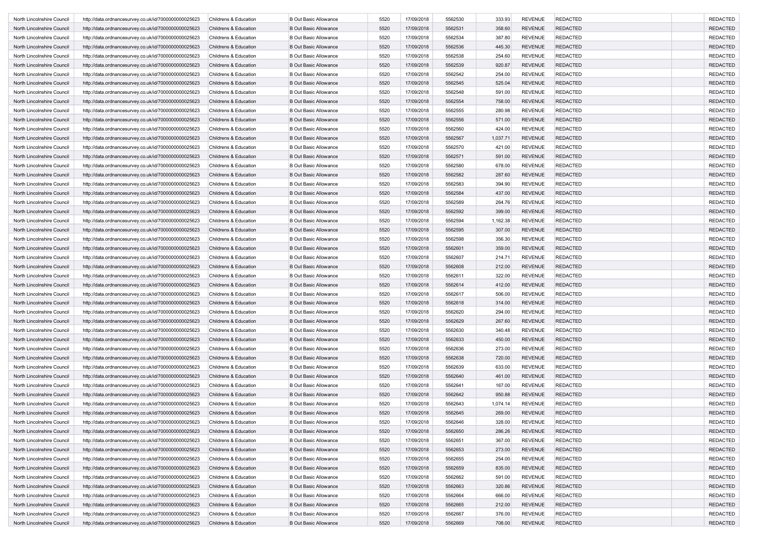| North Lincolnshire Council | http://data.ordnancesurvey.co.uk/id/7000000000025623 | Childrens & Education | <b>B Out Basic Allowance</b> | 5520 | 17/09/2018 | 5562530 | 333.93   | <b>REVENUE</b> | <b>REDACTED</b> | <b>REDACTED</b> |
|----------------------------|------------------------------------------------------|-----------------------|------------------------------|------|------------|---------|----------|----------------|-----------------|-----------------|
| North Lincolnshire Council | http://data.ordnancesurvey.co.uk/id/7000000000025623 | Childrens & Education | <b>B Out Basic Allowance</b> | 5520 | 17/09/2018 | 5562531 | 358.60   | <b>REVENUE</b> | <b>REDACTED</b> | <b>REDACTED</b> |
| North Lincolnshire Council | http://data.ordnancesurvey.co.uk/id/7000000000025623 | Childrens & Education | <b>B Out Basic Allowance</b> | 5520 | 17/09/2018 | 5562534 | 387.80   | <b>REVENUE</b> | <b>REDACTED</b> | <b>REDACTED</b> |
| North Lincolnshire Council | http://data.ordnancesurvey.co.uk/id/7000000000025623 | Childrens & Education | <b>B Out Basic Allowance</b> | 5520 | 17/09/2018 | 5562536 | 445.30   | <b>REVENUE</b> | <b>REDACTED</b> | <b>REDACTED</b> |
| North Lincolnshire Council | http://data.ordnancesurvey.co.uk/id/7000000000025623 | Childrens & Education | <b>B Out Basic Allowance</b> | 5520 | 17/09/2018 | 5562538 | 254.60   | <b>REVENUE</b> | <b>REDACTED</b> | <b>REDACTED</b> |
| North Lincolnshire Council | http://data.ordnancesurvey.co.uk/id/7000000000025623 | Childrens & Education | <b>B Out Basic Allowance</b> | 5520 | 17/09/2018 | 5562539 | 920.87   | <b>REVENUE</b> | <b>REDACTED</b> | <b>REDACTED</b> |
| North Lincolnshire Council | http://data.ordnancesurvey.co.uk/id/7000000000025623 | Childrens & Education | <b>B Out Basic Allowance</b> | 5520 | 17/09/2018 | 5562542 | 254.00   | <b>REVENUE</b> | <b>REDACTED</b> | <b>REDACTED</b> |
| North Lincolnshire Council | http://data.ordnancesurvey.co.uk/id/7000000000025623 | Childrens & Education | <b>B Out Basic Allowance</b> | 5520 | 17/09/2018 | 5562545 | 525.04   | <b>REVENUE</b> | <b>REDACTED</b> | <b>REDACTED</b> |
| North Lincolnshire Council | http://data.ordnancesurvey.co.uk/id/7000000000025623 | Childrens & Education | <b>B Out Basic Allowance</b> | 5520 | 17/09/2018 | 5562548 | 591.00   | <b>REVENUE</b> | <b>REDACTED</b> | <b>REDACTED</b> |
| North Lincolnshire Council | http://data.ordnancesurvey.co.uk/id/7000000000025623 | Childrens & Education | <b>B Out Basic Allowance</b> | 5520 | 17/09/2018 | 5562554 | 758.00   | <b>REVENUE</b> | <b>REDACTED</b> | <b>REDACTED</b> |
| North Lincolnshire Council | http://data.ordnancesurvey.co.uk/id/7000000000025623 | Childrens & Education | <b>B Out Basic Allowance</b> | 5520 | 17/09/2018 | 5562555 | 280.98   | <b>REVENUE</b> | <b>REDACTED</b> | <b>REDACTED</b> |
| North Lincolnshire Council | http://data.ordnancesurvey.co.uk/id/7000000000025623 | Childrens & Education | <b>B Out Basic Allowance</b> | 5520 | 17/09/2018 | 5562556 | 571.00   | <b>REVENUE</b> | <b>REDACTED</b> | <b>REDACTED</b> |
| North Lincolnshire Council | http://data.ordnancesurvey.co.uk/id/7000000000025623 | Childrens & Education | <b>B Out Basic Allowance</b> | 5520 | 17/09/2018 | 5562560 | 424.00   | <b>REVENUE</b> | <b>REDACTED</b> | <b>REDACTED</b> |
| North Lincolnshire Council | http://data.ordnancesurvey.co.uk/id/7000000000025623 | Childrens & Education | <b>B Out Basic Allowance</b> | 5520 | 17/09/2018 | 5562567 | 1,037.71 | <b>REVENUE</b> | <b>REDACTED</b> | <b>REDACTED</b> |
| North Lincolnshire Council | http://data.ordnancesurvey.co.uk/id/7000000000025623 | Childrens & Education | <b>B Out Basic Allowance</b> | 5520 | 17/09/2018 | 5562570 | 421.00   | <b>REVENUE</b> | <b>REDACTED</b> | <b>REDACTED</b> |
| North Lincolnshire Council | http://data.ordnancesurvey.co.uk/id/7000000000025623 | Childrens & Education | <b>B Out Basic Allowance</b> | 5520 | 17/09/2018 | 5562571 | 591.00   | <b>REVENUE</b> | <b>REDACTED</b> | <b>REDACTED</b> |
| North Lincolnshire Council | http://data.ordnancesurvey.co.uk/id/7000000000025623 | Childrens & Education | <b>B Out Basic Allowance</b> | 5520 | 17/09/2018 | 5562580 | 678.00   | <b>REVENUE</b> | <b>REDACTED</b> | <b>REDACTED</b> |
| North Lincolnshire Council | http://data.ordnancesurvey.co.uk/id/7000000000025623 | Childrens & Education | <b>B Out Basic Allowance</b> | 5520 | 17/09/2018 | 5562582 | 287.60   | <b>REVENUE</b> | <b>REDACTED</b> | <b>REDACTED</b> |
| North Lincolnshire Council | http://data.ordnancesurvey.co.uk/id/7000000000025623 | Childrens & Education | <b>B Out Basic Allowance</b> | 5520 | 17/09/2018 | 5562583 | 394.90   | <b>REVENUE</b> | <b>REDACTED</b> | <b>REDACTED</b> |
| North Lincolnshire Council | http://data.ordnancesurvey.co.uk/id/7000000000025623 | Childrens & Education | <b>B Out Basic Allowance</b> | 5520 | 17/09/2018 | 5562584 | 437.00   | <b>REVENUE</b> | <b>REDACTED</b> | <b>REDACTED</b> |
| North Lincolnshire Council | http://data.ordnancesurvey.co.uk/id/7000000000025623 | Childrens & Education | <b>B Out Basic Allowance</b> | 5520 | 17/09/2018 | 5562589 | 264.76   | <b>REVENUE</b> | <b>REDACTED</b> | <b>REDACTED</b> |
| North Lincolnshire Council | http://data.ordnancesurvey.co.uk/id/7000000000025623 | Childrens & Education | <b>B Out Basic Allowance</b> | 5520 | 17/09/2018 | 5562592 | 399.00   | <b>REVENUE</b> | <b>REDACTED</b> | <b>REDACTED</b> |
| North Lincolnshire Council | http://data.ordnancesurvey.co.uk/id/7000000000025623 | Childrens & Education | <b>B Out Basic Allowance</b> | 5520 | 17/09/2018 | 5562594 | 1,162.38 | <b>REVENUE</b> | <b>REDACTED</b> | <b>REDACTED</b> |
| North Lincolnshire Council | http://data.ordnancesurvey.co.uk/id/7000000000025623 | Childrens & Education | <b>B Out Basic Allowance</b> | 5520 | 17/09/2018 | 5562595 | 307.00   | <b>REVENUE</b> | <b>REDACTED</b> | <b>REDACTED</b> |
| North Lincolnshire Council | http://data.ordnancesurvey.co.uk/id/7000000000025623 | Childrens & Education | <b>B Out Basic Allowance</b> | 5520 | 17/09/2018 | 5562598 | 356.30   | <b>REVENUE</b> | <b>REDACTED</b> | <b>REDACTED</b> |
| North Lincolnshire Council | http://data.ordnancesurvey.co.uk/id/7000000000025623 | Childrens & Education | <b>B Out Basic Allowance</b> | 5520 | 17/09/2018 | 5562601 | 359.00   | <b>REVENUE</b> | <b>REDACTED</b> | <b>REDACTED</b> |
| North Lincolnshire Council | http://data.ordnancesurvey.co.uk/id/7000000000025623 | Childrens & Education | <b>B Out Basic Allowance</b> | 5520 | 17/09/2018 | 5562607 | 214.71   | <b>REVENUE</b> | <b>REDACTED</b> | <b>REDACTED</b> |
| North Lincolnshire Council | http://data.ordnancesurvey.co.uk/id/7000000000025623 | Childrens & Education | <b>B Out Basic Allowance</b> | 5520 | 17/09/2018 | 5562608 | 212.00   | <b>REVENUE</b> | <b>REDACTED</b> | <b>REDACTED</b> |
| North Lincolnshire Council | http://data.ordnancesurvey.co.uk/id/7000000000025623 | Childrens & Education | <b>B Out Basic Allowance</b> | 5520 | 17/09/2018 | 5562611 | 322.00   | <b>REVENUE</b> | <b>REDACTED</b> | <b>REDACTED</b> |
| North Lincolnshire Council | http://data.ordnancesurvey.co.uk/id/7000000000025623 | Childrens & Education | <b>B Out Basic Allowance</b> | 5520 | 17/09/2018 | 5562614 | 412.00   | <b>REVENUE</b> | <b>REDACTED</b> | <b>REDACTED</b> |
| North Lincolnshire Council | http://data.ordnancesurvey.co.uk/id/7000000000025623 | Childrens & Education | <b>B Out Basic Allowance</b> | 5520 | 17/09/2018 | 5562617 | 506.00   | <b>REVENUE</b> | <b>REDACTED</b> | <b>REDACTED</b> |
| North Lincolnshire Council | http://data.ordnancesurvey.co.uk/id/7000000000025623 | Childrens & Education | <b>B Out Basic Allowance</b> | 5520 | 17/09/2018 | 5562618 | 314.00   | <b>REVENUE</b> | <b>REDACTED</b> | <b>REDACTED</b> |
| North Lincolnshire Council | http://data.ordnancesurvey.co.uk/id/7000000000025623 | Childrens & Education | <b>B Out Basic Allowance</b> | 5520 | 17/09/2018 | 5562620 | 294.00   | <b>REVENUE</b> | <b>REDACTED</b> | <b>REDACTED</b> |
| North Lincolnshire Council | http://data.ordnancesurvey.co.uk/id/7000000000025623 | Childrens & Education | <b>B Out Basic Allowance</b> | 5520 | 17/09/2018 | 5562629 | 267.60   | <b>REVENUE</b> | <b>REDACTED</b> | <b>REDACTED</b> |
| North Lincolnshire Council | http://data.ordnancesurvey.co.uk/id/7000000000025623 | Childrens & Education | <b>B Out Basic Allowance</b> | 5520 | 17/09/2018 | 5562630 | 340.48   | <b>REVENUE</b> | <b>REDACTED</b> | <b>REDACTED</b> |
| North Lincolnshire Council | http://data.ordnancesurvey.co.uk/id/7000000000025623 | Childrens & Education | <b>B Out Basic Allowance</b> | 5520 | 17/09/2018 | 5562633 | 450.00   | <b>REVENUE</b> | <b>REDACTED</b> | <b>REDACTED</b> |
| North Lincolnshire Council | http://data.ordnancesurvey.co.uk/id/7000000000025623 | Childrens & Education | <b>B Out Basic Allowance</b> | 5520 | 17/09/2018 | 5562636 | 273.00   | <b>REVENUE</b> | <b>REDACTED</b> | <b>REDACTED</b> |
| North Lincolnshire Council | http://data.ordnancesurvey.co.uk/id/7000000000025623 | Childrens & Education | <b>B Out Basic Allowance</b> | 5520 | 17/09/2018 | 5562638 | 720.00   | <b>REVENUE</b> | <b>REDACTED</b> | <b>REDACTED</b> |
| North Lincolnshire Council | http://data.ordnancesurvey.co.uk/id/7000000000025623 | Childrens & Education | <b>B Out Basic Allowance</b> | 5520 | 17/09/2018 | 5562639 | 633.00   | <b>REVENUE</b> | <b>REDACTED</b> | <b>REDACTED</b> |
| North Lincolnshire Council | http://data.ordnancesurvey.co.uk/id/7000000000025623 | Childrens & Education | <b>B Out Basic Allowance</b> | 5520 | 17/09/2018 | 5562640 | 461.00   | <b>REVENUE</b> | <b>REDACTED</b> | <b>REDACTED</b> |
| North Lincolnshire Council | http://data.ordnancesurvey.co.uk/id/7000000000025623 | Childrens & Education | <b>B Out Basic Allowance</b> | 5520 | 17/09/2018 | 5562641 | 167.00   | <b>REVENUE</b> | <b>REDACTED</b> | <b>REDACTED</b> |
| North Lincolnshire Council | http://data.ordnancesurvey.co.uk/id/7000000000025623 | Childrens & Education | <b>B Out Basic Allowance</b> | 5520 | 17/09/2018 | 5562642 | 950.88   | <b>REVENUE</b> | <b>REDACTED</b> | <b>REDACTED</b> |
| North Lincolnshire Council | http://data.ordnancesurvey.co.uk/id/7000000000025623 | Childrens & Education | <b>B Out Basic Allowance</b> | 5520 | 17/09/2018 | 5562643 | 1,074.14 | <b>REVENUE</b> | <b>REDACTED</b> | <b>REDACTED</b> |
| North Lincolnshire Council | http://data.ordnancesurvey.co.uk/id/7000000000025623 | Childrens & Education | <b>B Out Basic Allowance</b> | 5520 | 17/09/2018 | 5562645 | 269.00   | <b>REVENUE</b> | <b>REDACTED</b> | <b>REDACTED</b> |
| North Lincolnshire Council | http://data.ordnancesurvey.co.uk/id/7000000000025623 | Childrens & Education | <b>B Out Basic Allowance</b> | 5520 | 17/09/2018 | 5562646 | 328.00   | REVENUE        | <b>REDACTED</b> | REDACTED        |
| North Lincolnshire Council | http://data.ordnancesurvey.co.uk/id/7000000000025623 | Childrens & Education | <b>B Out Basic Allowance</b> | 5520 | 17/09/2018 | 5562650 | 286.26   | <b>REVENUE</b> | <b>REDACTED</b> | REDACTED        |
| North Lincolnshire Council | http://data.ordnancesurvey.co.uk/id/7000000000025623 | Childrens & Education | <b>B Out Basic Allowance</b> | 5520 | 17/09/2018 | 5562651 | 367.00   | <b>REVENUE</b> | <b>REDACTED</b> | <b>REDACTED</b> |
| North Lincolnshire Council | http://data.ordnancesurvey.co.uk/id/7000000000025623 | Childrens & Education | <b>B Out Basic Allowance</b> | 5520 | 17/09/2018 | 5562653 | 273.00   | <b>REVENUE</b> | <b>REDACTED</b> | <b>REDACTED</b> |
| North Lincolnshire Council | http://data.ordnancesurvey.co.uk/id/7000000000025623 | Childrens & Education | <b>B Out Basic Allowance</b> | 5520 | 17/09/2018 | 5562655 | 254.00   | <b>REVENUE</b> | <b>REDACTED</b> | <b>REDACTED</b> |
| North Lincolnshire Council | http://data.ordnancesurvey.co.uk/id/7000000000025623 | Childrens & Education | <b>B Out Basic Allowance</b> | 5520 | 17/09/2018 | 5562659 | 835.00   | <b>REVENUE</b> | <b>REDACTED</b> | <b>REDACTED</b> |
| North Lincolnshire Council | http://data.ordnancesurvey.co.uk/id/7000000000025623 | Childrens & Education | <b>B Out Basic Allowance</b> | 5520 | 17/09/2018 | 5562662 | 591.00   | <b>REVENUE</b> | <b>REDACTED</b> | <b>REDACTED</b> |
| North Lincolnshire Council | http://data.ordnancesurvey.co.uk/id/7000000000025623 | Childrens & Education | <b>B Out Basic Allowance</b> | 5520 | 17/09/2018 | 5562663 | 320.86   | <b>REVENUE</b> | <b>REDACTED</b> | <b>REDACTED</b> |
| North Lincolnshire Council | http://data.ordnancesurvey.co.uk/id/7000000000025623 | Childrens & Education | <b>B Out Basic Allowance</b> | 5520 | 17/09/2018 | 5562664 | 666.00   | <b>REVENUE</b> | <b>REDACTED</b> | <b>REDACTED</b> |
| North Lincolnshire Council | http://data.ordnancesurvey.co.uk/id/7000000000025623 | Childrens & Education | <b>B Out Basic Allowance</b> | 5520 | 17/09/2018 | 5562665 | 212.00   | <b>REVENUE</b> | <b>REDACTED</b> | <b>REDACTED</b> |
| North Lincolnshire Council | http://data.ordnancesurvey.co.uk/id/7000000000025623 | Childrens & Education | <b>B Out Basic Allowance</b> | 5520 | 17/09/2018 | 5562667 | 376.00   | <b>REVENUE</b> | <b>REDACTED</b> | <b>REDACTED</b> |
| North Lincolnshire Council | http://data.ordnancesurvey.co.uk/id/7000000000025623 | Childrens & Education | <b>B Out Basic Allowance</b> | 5520 | 17/09/2018 | 5562669 | 708.00   | REVENUE        | <b>REDACTED</b> | <b>REDACTED</b> |
|                            |                                                      |                       |                              |      |            |         |          |                |                 |                 |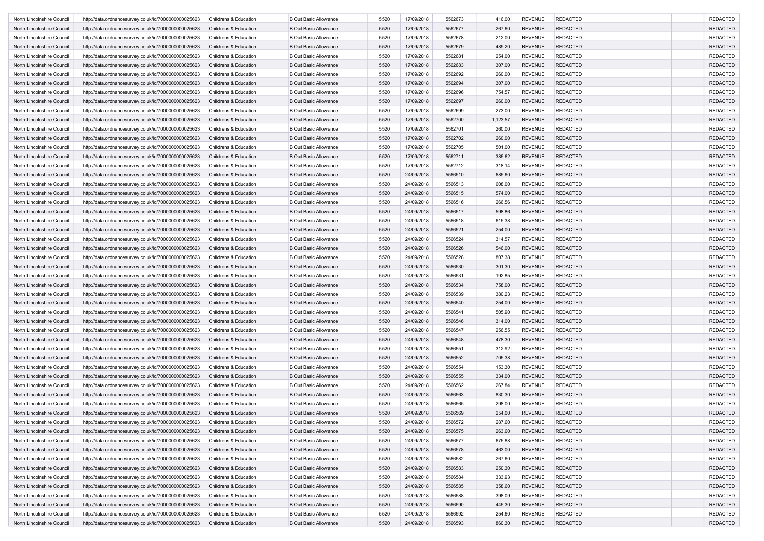| North Lincolnshire Council | http://data.ordnancesurvey.co.uk/id/7000000000025623 | Childrens & Education | <b>B Out Basic Allowance</b> | 5520 | 17/09/2018 | 5562673 | 416.00   | <b>REVENUE</b> | <b>REDACTED</b> | <b>REDACTED</b> |
|----------------------------|------------------------------------------------------|-----------------------|------------------------------|------|------------|---------|----------|----------------|-----------------|-----------------|
| North Lincolnshire Council | http://data.ordnancesurvey.co.uk/id/7000000000025623 | Childrens & Education | <b>B Out Basic Allowance</b> | 5520 | 17/09/2018 | 5562677 | 267.60   | <b>REVENUE</b> | <b>REDACTED</b> | <b>REDACTED</b> |
| North Lincolnshire Council | http://data.ordnancesurvey.co.uk/id/7000000000025623 | Childrens & Education | <b>B Out Basic Allowance</b> | 5520 | 17/09/2018 | 5562678 | 212.00   | <b>REVENUE</b> | <b>REDACTED</b> | <b>REDACTED</b> |
| North Lincolnshire Council | http://data.ordnancesurvey.co.uk/id/7000000000025623 | Childrens & Education | <b>B Out Basic Allowance</b> | 5520 | 17/09/2018 | 5562679 | 489.20   | <b>REVENUE</b> | <b>REDACTED</b> | <b>REDACTED</b> |
| North Lincolnshire Council | http://data.ordnancesurvey.co.uk/id/7000000000025623 | Childrens & Education | <b>B Out Basic Allowance</b> | 5520 | 17/09/2018 | 5562681 | 254.00   | <b>REVENUE</b> | <b>REDACTED</b> | <b>REDACTED</b> |
| North Lincolnshire Council | http://data.ordnancesurvey.co.uk/id/7000000000025623 | Childrens & Education | <b>B Out Basic Allowance</b> | 5520 | 17/09/2018 | 5562683 | 307.00   | <b>REVENUE</b> | <b>REDACTED</b> | <b>REDACTED</b> |
| North Lincolnshire Council | http://data.ordnancesurvey.co.uk/id/7000000000025623 | Childrens & Education | <b>B Out Basic Allowance</b> | 5520 | 17/09/2018 | 5562692 | 260.00   | <b>REVENUE</b> | <b>REDACTED</b> | <b>REDACTED</b> |
| North Lincolnshire Council | http://data.ordnancesurvey.co.uk/id/7000000000025623 | Childrens & Education | <b>B Out Basic Allowance</b> | 5520 | 17/09/2018 | 5562694 | 307.00   | <b>REVENUE</b> | <b>REDACTED</b> | <b>REDACTED</b> |
| North Lincolnshire Council | http://data.ordnancesurvey.co.uk/id/7000000000025623 | Childrens & Education | <b>B Out Basic Allowance</b> | 5520 | 17/09/2018 | 5562696 | 754.57   | <b>REVENUE</b> | <b>REDACTED</b> | <b>REDACTED</b> |
| North Lincolnshire Council | http://data.ordnancesurvey.co.uk/id/7000000000025623 | Childrens & Education | <b>B Out Basic Allowance</b> | 5520 | 17/09/2018 | 5562697 | 260.00   | <b>REVENUE</b> | <b>REDACTED</b> | <b>REDACTED</b> |
| North Lincolnshire Council | http://data.ordnancesurvey.co.uk/id/7000000000025623 | Childrens & Education | <b>B Out Basic Allowance</b> | 5520 | 17/09/2018 | 5562699 | 273.00   | <b>REVENUE</b> | <b>REDACTED</b> | <b>REDACTED</b> |
| North Lincolnshire Council |                                                      |                       | <b>B Out Basic Allowance</b> | 5520 | 17/09/2018 | 5562700 | 1,123.57 | <b>REVENUE</b> | <b>REDACTED</b> | <b>REDACTED</b> |
| North Lincolnshire Council | http://data.ordnancesurvey.co.uk/id/7000000000025623 | Childrens & Education | <b>B Out Basic Allowance</b> |      | 17/09/2018 | 5562701 |          | <b>REVENUE</b> | <b>REDACTED</b> |                 |
|                            | http://data.ordnancesurvey.co.uk/id/7000000000025623 | Childrens & Education |                              | 5520 |            |         | 260.00   |                |                 | <b>REDACTED</b> |
| North Lincolnshire Council | http://data.ordnancesurvey.co.uk/id/7000000000025623 | Childrens & Education | <b>B Out Basic Allowance</b> | 5520 | 17/09/2018 | 5562702 | 260.00   | <b>REVENUE</b> | <b>REDACTED</b> | <b>REDACTED</b> |
| North Lincolnshire Council | http://data.ordnancesurvey.co.uk/id/7000000000025623 | Childrens & Education | <b>B Out Basic Allowance</b> | 5520 | 17/09/2018 | 5562705 | 501.00   | <b>REVENUE</b> | <b>REDACTED</b> | <b>REDACTED</b> |
| North Lincolnshire Council | http://data.ordnancesurvey.co.uk/id/7000000000025623 | Childrens & Education | <b>B Out Basic Allowance</b> | 5520 | 17/09/2018 | 5562711 | 385.62   | <b>REVENUE</b> | <b>REDACTED</b> | <b>REDACTED</b> |
| North Lincolnshire Council | http://data.ordnancesurvey.co.uk/id/7000000000025623 | Childrens & Education | <b>B Out Basic Allowance</b> | 5520 | 17/09/2018 | 5562712 | 318.14   | <b>REVENUE</b> | <b>REDACTED</b> | <b>REDACTED</b> |
| North Lincolnshire Council | http://data.ordnancesurvey.co.uk/id/7000000000025623 | Childrens & Education | <b>B Out Basic Allowance</b> | 5520 | 24/09/2018 | 5566510 | 685.60   | <b>REVENUE</b> | <b>REDACTED</b> | <b>REDACTED</b> |
| North Lincolnshire Council | http://data.ordnancesurvey.co.uk/id/7000000000025623 | Childrens & Education | <b>B Out Basic Allowance</b> | 5520 | 24/09/2018 | 5566513 | 608.00   | <b>REVENUE</b> | <b>REDACTED</b> | <b>REDACTED</b> |
| North Lincolnshire Council | http://data.ordnancesurvey.co.uk/id/7000000000025623 | Childrens & Education | <b>B Out Basic Allowance</b> | 5520 | 24/09/2018 | 5566515 | 574.00   | <b>REVENUE</b> | <b>REDACTED</b> | <b>REDACTED</b> |
| North Lincolnshire Council | http://data.ordnancesurvey.co.uk/id/7000000000025623 | Childrens & Education | <b>B Out Basic Allowance</b> | 5520 | 24/09/2018 | 5566516 | 266.56   | <b>REVENUE</b> | <b>REDACTED</b> | <b>REDACTED</b> |
| North Lincolnshire Council | http://data.ordnancesurvey.co.uk/id/7000000000025623 | Childrens & Education | <b>B Out Basic Allowance</b> | 5520 | 24/09/2018 | 5566517 | 598.86   | <b>REVENUE</b> | <b>REDACTED</b> | <b>REDACTED</b> |
| North Lincolnshire Council | http://data.ordnancesurvey.co.uk/id/7000000000025623 | Childrens & Education | <b>B Out Basic Allowance</b> | 5520 | 24/09/2018 | 5566518 | 615.38   | <b>REVENUE</b> | <b>REDACTED</b> | <b>REDACTED</b> |
| North Lincolnshire Council | http://data.ordnancesurvey.co.uk/id/7000000000025623 | Childrens & Education | <b>B Out Basic Allowance</b> | 5520 | 24/09/2018 | 5566521 | 254.00   | <b>REVENUE</b> | <b>REDACTED</b> | <b>REDACTED</b> |
| North Lincolnshire Council | http://data.ordnancesurvey.co.uk/id/7000000000025623 | Childrens & Education | <b>B Out Basic Allowance</b> | 5520 | 24/09/2018 | 5566524 | 314.57   | <b>REVENUE</b> | <b>REDACTED</b> | <b>REDACTED</b> |
| North Lincolnshire Council | http://data.ordnancesurvey.co.uk/id/7000000000025623 | Childrens & Education | <b>B Out Basic Allowance</b> | 5520 | 24/09/2018 | 5566526 | 546.00   | <b>REVENUE</b> | <b>REDACTED</b> | <b>REDACTED</b> |
| North Lincolnshire Council | http://data.ordnancesurvey.co.uk/id/7000000000025623 | Childrens & Education | <b>B Out Basic Allowance</b> | 5520 | 24/09/2018 | 5566528 | 807.38   | <b>REVENUE</b> | <b>REDACTED</b> | <b>REDACTED</b> |
| North Lincolnshire Council | http://data.ordnancesurvey.co.uk/id/7000000000025623 | Childrens & Education | <b>B Out Basic Allowance</b> | 5520 | 24/09/2018 | 5566530 | 301.30   | <b>REVENUE</b> | <b>REDACTED</b> | <b>REDACTED</b> |
| North Lincolnshire Council | http://data.ordnancesurvey.co.uk/id/7000000000025623 | Childrens & Education | <b>B Out Basic Allowance</b> | 5520 | 24/09/2018 | 5566531 | 192.85   | <b>REVENUE</b> | <b>REDACTED</b> | <b>REDACTED</b> |
| North Lincolnshire Council | http://data.ordnancesurvey.co.uk/id/7000000000025623 | Childrens & Education | <b>B Out Basic Allowance</b> | 5520 | 24/09/2018 | 5566534 | 758.00   | <b>REVENUE</b> | <b>REDACTED</b> | <b>REDACTED</b> |
| North Lincolnshire Council | http://data.ordnancesurvey.co.uk/id/7000000000025623 | Childrens & Education | <b>B Out Basic Allowance</b> | 5520 | 24/09/2018 | 5566539 | 380.23   | <b>REVENUE</b> | <b>REDACTED</b> | <b>REDACTED</b> |
| North Lincolnshire Council | http://data.ordnancesurvey.co.uk/id/7000000000025623 | Childrens & Education | <b>B Out Basic Allowance</b> | 5520 | 24/09/2018 | 5566540 | 254.00   | <b>REVENUE</b> | <b>REDACTED</b> | <b>REDACTED</b> |
| North Lincolnshire Council | http://data.ordnancesurvey.co.uk/id/7000000000025623 | Childrens & Education | <b>B Out Basic Allowance</b> | 5520 | 24/09/2018 | 5566541 | 505.90   | <b>REVENUE</b> | <b>REDACTED</b> | <b>REDACTED</b> |
| North Lincolnshire Council | http://data.ordnancesurvey.co.uk/id/7000000000025623 | Childrens & Education | <b>B Out Basic Allowance</b> | 5520 | 24/09/2018 | 5566546 | 314.00   | <b>REVENUE</b> | <b>REDACTED</b> | <b>REDACTED</b> |
| North Lincolnshire Council | http://data.ordnancesurvey.co.uk/id/7000000000025623 | Childrens & Education | <b>B Out Basic Allowance</b> | 5520 | 24/09/2018 | 5566547 | 256.55   | <b>REVENUE</b> | <b>REDACTED</b> | <b>REDACTED</b> |
| North Lincolnshire Council | http://data.ordnancesurvey.co.uk/id/7000000000025623 | Childrens & Education | <b>B Out Basic Allowance</b> | 5520 | 24/09/2018 | 5566548 | 478.30   | <b>REVENUE</b> | <b>REDACTED</b> | <b>REDACTED</b> |
| North Lincolnshire Council | http://data.ordnancesurvey.co.uk/id/7000000000025623 | Childrens & Education | <b>B Out Basic Allowance</b> | 5520 | 24/09/2018 | 5566551 | 312.92   | <b>REVENUE</b> | <b>REDACTED</b> | <b>REDACTED</b> |
| North Lincolnshire Council |                                                      | Childrens & Education | <b>B Out Basic Allowance</b> |      | 24/09/2018 | 5566552 |          | <b>REVENUE</b> | <b>REDACTED</b> | <b>REDACTED</b> |
| North Lincolnshire Council | http://data.ordnancesurvey.co.uk/id/7000000000025623 |                       |                              | 5520 |            |         | 705.38   |                |                 |                 |
|                            | http://data.ordnancesurvey.co.uk/id/7000000000025623 | Childrens & Education | <b>B Out Basic Allowance</b> | 5520 | 24/09/2018 | 5566554 | 153.30   | <b>REVENUE</b> | <b>REDACTED</b> | <b>REDACTED</b> |
| North Lincolnshire Council | http://data.ordnancesurvey.co.uk/id/7000000000025623 | Childrens & Education | <b>B Out Basic Allowance</b> | 5520 | 24/09/2018 | 5566555 | 334.00   | <b>REVENUE</b> | <b>REDACTED</b> | <b>REDACTED</b> |
| North Lincolnshire Council | http://data.ordnancesurvey.co.uk/id/7000000000025623 | Childrens & Education | <b>B Out Basic Allowance</b> | 5520 | 24/09/2018 | 5566562 | 267.84   | <b>REVENUE</b> | <b>REDACTED</b> | <b>REDACTED</b> |
| North Lincolnshire Council | http://data.ordnancesurvey.co.uk/id/7000000000025623 | Childrens & Education | <b>B Out Basic Allowance</b> | 5520 | 24/09/2018 | 5566563 | 830.30   | <b>REVENUE</b> | <b>REDACTED</b> | <b>REDACTED</b> |
| North Lincolnshire Council | http://data.ordnancesurvey.co.uk/id/7000000000025623 | Childrens & Education | <b>B Out Basic Allowance</b> | 5520 | 24/09/2018 | 5566565 | 298.00   | <b>REVENUE</b> | <b>REDACTED</b> | <b>REDACTED</b> |
| North Lincolnshire Council | http://data.ordnancesurvey.co.uk/id/7000000000025623 | Childrens & Education | <b>B Out Basic Allowance</b> | 5520 | 24/09/2018 | 5566569 | 254.00   | <b>REVENUE</b> | <b>REDACTED</b> | <b>REDACTED</b> |
| North Lincolnshire Council | http://data.ordnancesurvey.co.uk/id/7000000000025623 | Childrens & Education | <b>B Out Basic Allowance</b> | 5520 | 24/09/2018 | 5566572 | 287.60   | REVENUE        | <b>REDACTED</b> | REDACTED        |
| North Lincolnshire Council | http://data.ordnancesurvey.co.uk/id/7000000000025623 | Childrens & Education | <b>B Out Basic Allowance</b> | 5520 | 24/09/2018 | 5566575 | 263.60   | <b>REVENUE</b> | <b>REDACTED</b> | REDACTED        |
| North Lincolnshire Council | http://data.ordnancesurvey.co.uk/id/7000000000025623 | Childrens & Education | <b>B Out Basic Allowance</b> | 5520 | 24/09/2018 | 5566577 | 675.88   | <b>REVENUE</b> | <b>REDACTED</b> | <b>REDACTED</b> |
| North Lincolnshire Council | http://data.ordnancesurvey.co.uk/id/7000000000025623 | Childrens & Education | <b>B Out Basic Allowance</b> | 5520 | 24/09/2018 | 5566578 | 463.00   | <b>REVENUE</b> | <b>REDACTED</b> | <b>REDACTED</b> |
| North Lincolnshire Council | http://data.ordnancesurvey.co.uk/id/7000000000025623 | Childrens & Education | <b>B Out Basic Allowance</b> | 5520 | 24/09/2018 | 5566582 | 267.60   | <b>REVENUE</b> | <b>REDACTED</b> | <b>REDACTED</b> |
| North Lincolnshire Council | http://data.ordnancesurvey.co.uk/id/7000000000025623 | Childrens & Education | <b>B Out Basic Allowance</b> | 5520 | 24/09/2018 | 5566583 | 250.30   | <b>REVENUE</b> | <b>REDACTED</b> | <b>REDACTED</b> |
| North Lincolnshire Council | http://data.ordnancesurvey.co.uk/id/7000000000025623 | Childrens & Education | <b>B Out Basic Allowance</b> | 5520 | 24/09/2018 | 5566584 | 333.93   | <b>REVENUE</b> | <b>REDACTED</b> | <b>REDACTED</b> |
| North Lincolnshire Council | http://data.ordnancesurvey.co.uk/id/7000000000025623 | Childrens & Education | <b>B Out Basic Allowance</b> | 5520 | 24/09/2018 | 5566585 | 358.60   | <b>REVENUE</b> | <b>REDACTED</b> | <b>REDACTED</b> |
| North Lincolnshire Council | http://data.ordnancesurvey.co.uk/id/7000000000025623 | Childrens & Education | <b>B Out Basic Allowance</b> | 5520 | 24/09/2018 | 5566588 | 398.09   | <b>REVENUE</b> | <b>REDACTED</b> | <b>REDACTED</b> |
| North Lincolnshire Council | http://data.ordnancesurvey.co.uk/id/7000000000025623 | Childrens & Education | <b>B Out Basic Allowance</b> | 5520 | 24/09/2018 | 5566590 | 445.30   | <b>REVENUE</b> | <b>REDACTED</b> | <b>REDACTED</b> |
| North Lincolnshire Council | http://data.ordnancesurvey.co.uk/id/7000000000025623 | Childrens & Education | <b>B Out Basic Allowance</b> | 5520 | 24/09/2018 | 5566592 | 254.60   | <b>REVENUE</b> | <b>REDACTED</b> | <b>REDACTED</b> |
| North Lincolnshire Council | http://data.ordnancesurvey.co.uk/id/7000000000025623 | Childrens & Education | <b>B Out Basic Allowance</b> | 5520 | 24/09/2018 | 5566593 | 860.30   | REVENUE        | <b>REDACTED</b> | <b>REDACTED</b> |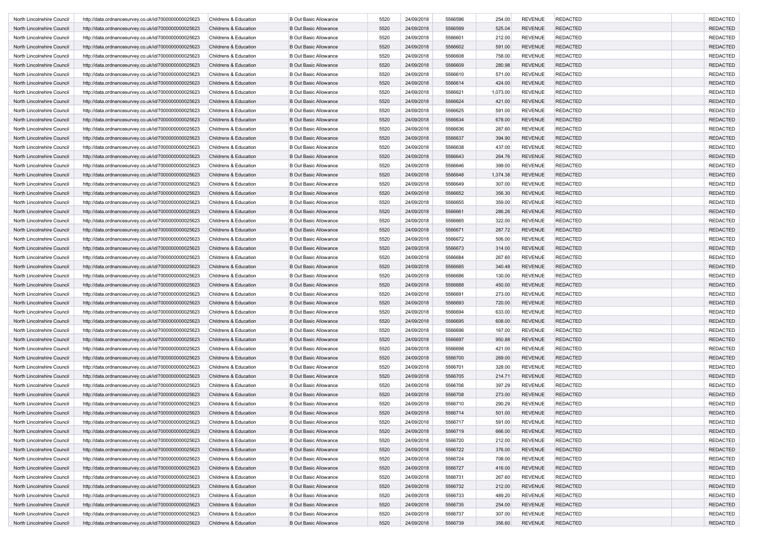| North Lincolnshire Council | http://data.ordnancesurvey.co.uk/id/7000000000025623 | Childrens & Education | <b>B Out Basic Allowance</b> | 5520 | 24/09/2018 | 5566596 | 254.00   | <b>REVENUE</b> | <b>REDACTED</b> | <b>REDACTED</b> |
|----------------------------|------------------------------------------------------|-----------------------|------------------------------|------|------------|---------|----------|----------------|-----------------|-----------------|
| North Lincolnshire Council | http://data.ordnancesurvey.co.uk/id/7000000000025623 | Childrens & Education | <b>B Out Basic Allowance</b> | 5520 | 24/09/2018 | 5566599 | 525.04   | <b>REVENUE</b> | <b>REDACTED</b> | <b>REDACTED</b> |
| North Lincolnshire Council | http://data.ordnancesurvey.co.uk/id/7000000000025623 | Childrens & Education | <b>B Out Basic Allowance</b> | 5520 | 24/09/2018 | 5566601 | 212.00   | <b>REVENUE</b> | <b>REDACTED</b> | <b>REDACTED</b> |
| North Lincolnshire Council | http://data.ordnancesurvey.co.uk/id/7000000000025623 | Childrens & Education | <b>B Out Basic Allowance</b> | 5520 | 24/09/2018 | 5566602 | 591.00   | <b>REVENUE</b> | <b>REDACTED</b> | <b>REDACTED</b> |
| North Lincolnshire Council | http://data.ordnancesurvey.co.uk/id/7000000000025623 | Childrens & Education | <b>B Out Basic Allowance</b> | 5520 | 24/09/2018 | 5566608 | 758.00   | <b>REVENUE</b> | <b>REDACTED</b> | <b>REDACTED</b> |
| North Lincolnshire Council | http://data.ordnancesurvey.co.uk/id/7000000000025623 | Childrens & Education | <b>B Out Basic Allowance</b> | 5520 | 24/09/2018 | 5566609 | 280.98   | <b>REVENUE</b> | <b>REDACTED</b> | <b>REDACTED</b> |
| North Lincolnshire Council | http://data.ordnancesurvey.co.uk/id/7000000000025623 | Childrens & Education | <b>B Out Basic Allowance</b> | 5520 | 24/09/2018 | 5566610 | 571.00   | <b>REVENUE</b> | <b>REDACTED</b> | <b>REDACTED</b> |
| North Lincolnshire Council | http://data.ordnancesurvey.co.uk/id/7000000000025623 | Childrens & Education | <b>B Out Basic Allowance</b> | 5520 | 24/09/2018 | 5566614 | 424.00   | <b>REVENUE</b> | <b>REDACTED</b> | <b>REDACTED</b> |
| North Lincolnshire Council | http://data.ordnancesurvey.co.uk/id/7000000000025623 | Childrens & Education | <b>B Out Basic Allowance</b> | 5520 | 24/09/2018 | 5566621 | 1,073.00 | <b>REVENUE</b> | <b>REDACTED</b> | <b>REDACTED</b> |
| North Lincolnshire Council | http://data.ordnancesurvey.co.uk/id/7000000000025623 | Childrens & Education | <b>B Out Basic Allowance</b> | 5520 | 24/09/2018 | 5566624 | 421.00   | <b>REVENUE</b> | <b>REDACTED</b> | <b>REDACTED</b> |
| North Lincolnshire Council | http://data.ordnancesurvey.co.uk/id/7000000000025623 | Childrens & Education | <b>B Out Basic Allowance</b> | 5520 | 24/09/2018 | 5566625 | 591.00   | <b>REVENUE</b> | <b>REDACTED</b> | <b>REDACTED</b> |
| North Lincolnshire Council |                                                      |                       | <b>B Out Basic Allowance</b> | 5520 | 24/09/2018 | 5566634 |          | <b>REVENUE</b> | <b>REDACTED</b> | <b>REDACTED</b> |
| North Lincolnshire Council | http://data.ordnancesurvey.co.uk/id/7000000000025623 | Childrens & Education |                              |      | 24/09/2018 | 5566636 | 678.00   | <b>REVENUE</b> | <b>REDACTED</b> |                 |
|                            | http://data.ordnancesurvey.co.uk/id/7000000000025623 | Childrens & Education | <b>B Out Basic Allowance</b> | 5520 |            |         | 287.60   |                |                 | <b>REDACTED</b> |
| North Lincolnshire Council | http://data.ordnancesurvey.co.uk/id/7000000000025623 | Childrens & Education | <b>B Out Basic Allowance</b> | 5520 | 24/09/2018 | 5566637 | 394.90   | <b>REVENUE</b> | <b>REDACTED</b> | <b>REDACTED</b> |
| North Lincolnshire Council | http://data.ordnancesurvey.co.uk/id/7000000000025623 | Childrens & Education | <b>B Out Basic Allowance</b> | 5520 | 24/09/2018 | 5566638 | 437.00   | <b>REVENUE</b> | <b>REDACTED</b> | <b>REDACTED</b> |
| North Lincolnshire Council | http://data.ordnancesurvey.co.uk/id/7000000000025623 | Childrens & Education | <b>B Out Basic Allowance</b> | 5520 | 24/09/2018 | 5566643 | 264.76   | <b>REVENUE</b> | <b>REDACTED</b> | <b>REDACTED</b> |
| North Lincolnshire Council | http://data.ordnancesurvey.co.uk/id/7000000000025623 | Childrens & Education | <b>B Out Basic Allowance</b> | 5520 | 24/09/2018 | 5566646 | 399.00   | <b>REVENUE</b> | <b>REDACTED</b> | <b>REDACTED</b> |
| North Lincolnshire Council | http://data.ordnancesurvey.co.uk/id/7000000000025623 | Childrens & Education | <b>B Out Basic Allowance</b> | 5520 | 24/09/2018 | 5566648 | 1,374.38 | <b>REVENUE</b> | <b>REDACTED</b> | <b>REDACTED</b> |
| North Lincolnshire Council | http://data.ordnancesurvey.co.uk/id/7000000000025623 | Childrens & Education | <b>B Out Basic Allowance</b> | 5520 | 24/09/2018 | 5566649 | 307.00   | <b>REVENUE</b> | <b>REDACTED</b> | <b>REDACTED</b> |
| North Lincolnshire Council | http://data.ordnancesurvey.co.uk/id/7000000000025623 | Childrens & Education | <b>B Out Basic Allowance</b> | 5520 | 24/09/2018 | 5566652 | 356.30   | <b>REVENUE</b> | <b>REDACTED</b> | <b>REDACTED</b> |
| North Lincolnshire Council | http://data.ordnancesurvey.co.uk/id/7000000000025623 | Childrens & Education | <b>B Out Basic Allowance</b> | 5520 | 24/09/2018 | 5566655 | 359.00   | <b>REVENUE</b> | <b>REDACTED</b> | <b>REDACTED</b> |
| North Lincolnshire Council | http://data.ordnancesurvey.co.uk/id/7000000000025623 | Childrens & Education | <b>B Out Basic Allowance</b> | 5520 | 24/09/2018 | 5566661 | 286.26   | <b>REVENUE</b> | <b>REDACTED</b> | <b>REDACTED</b> |
| North Lincolnshire Council | http://data.ordnancesurvey.co.uk/id/7000000000025623 | Childrens & Education | <b>B Out Basic Allowance</b> | 5520 | 24/09/2018 | 5566665 | 322.00   | <b>REVENUE</b> | <b>REDACTED</b> | <b>REDACTED</b> |
| North Lincolnshire Council | http://data.ordnancesurvey.co.uk/id/7000000000025623 | Childrens & Education | <b>B Out Basic Allowance</b> | 5520 | 24/09/2018 | 5566671 | 287.72   | <b>REVENUE</b> | <b>REDACTED</b> | <b>REDACTED</b> |
| North Lincolnshire Council | http://data.ordnancesurvey.co.uk/id/7000000000025623 | Childrens & Education | <b>B Out Basic Allowance</b> | 5520 | 24/09/2018 | 5566672 | 506.00   | <b>REVENUE</b> | <b>REDACTED</b> | <b>REDACTED</b> |
| North Lincolnshire Council | http://data.ordnancesurvey.co.uk/id/7000000000025623 | Childrens & Education | <b>B Out Basic Allowance</b> | 5520 | 24/09/2018 | 5566673 | 314.00   | <b>REVENUE</b> | <b>REDACTED</b> | <b>REDACTED</b> |
| North Lincolnshire Council | http://data.ordnancesurvey.co.uk/id/7000000000025623 | Childrens & Education | <b>B Out Basic Allowance</b> | 5520 | 24/09/2018 | 5566684 | 267.60   | <b>REVENUE</b> | <b>REDACTED</b> | <b>REDACTED</b> |
| North Lincolnshire Council | http://data.ordnancesurvey.co.uk/id/7000000000025623 | Childrens & Education | <b>B Out Basic Allowance</b> | 5520 | 24/09/2018 | 5566685 | 340.48   | <b>REVENUE</b> | <b>REDACTED</b> | <b>REDACTED</b> |
| North Lincolnshire Council | http://data.ordnancesurvey.co.uk/id/7000000000025623 | Childrens & Education | <b>B Out Basic Allowance</b> | 5520 | 24/09/2018 | 5566686 | 130.00   | <b>REVENUE</b> | <b>REDACTED</b> | <b>REDACTED</b> |
| North Lincolnshire Council | http://data.ordnancesurvey.co.uk/id/7000000000025623 | Childrens & Education | <b>B Out Basic Allowance</b> | 5520 | 24/09/2018 | 5566688 | 450.00   | <b>REVENUE</b> | <b>REDACTED</b> | <b>REDACTED</b> |
| North Lincolnshire Council | http://data.ordnancesurvey.co.uk/id/7000000000025623 | Childrens & Education | <b>B Out Basic Allowance</b> | 5520 | 24/09/2018 | 5566691 | 273.00   | <b>REVENUE</b> | <b>REDACTED</b> | <b>REDACTED</b> |
| North Lincolnshire Council | http://data.ordnancesurvey.co.uk/id/7000000000025623 | Childrens & Education | <b>B Out Basic Allowance</b> | 5520 | 24/09/2018 | 5566693 | 720.00   | <b>REVENUE</b> | <b>REDACTED</b> | <b>REDACTED</b> |
| North Lincolnshire Council | http://data.ordnancesurvey.co.uk/id/7000000000025623 | Childrens & Education | <b>B Out Basic Allowance</b> | 5520 | 24/09/2018 | 5566694 | 633.00   | <b>REVENUE</b> | <b>REDACTED</b> | <b>REDACTED</b> |
| North Lincolnshire Council | http://data.ordnancesurvey.co.uk/id/7000000000025623 | Childrens & Education | <b>B Out Basic Allowance</b> | 5520 | 24/09/2018 | 5566695 | 608.00   | <b>REVENUE</b> | <b>REDACTED</b> | <b>REDACTED</b> |
| North Lincolnshire Council | http://data.ordnancesurvey.co.uk/id/7000000000025623 | Childrens & Education | <b>B Out Basic Allowance</b> | 5520 | 24/09/2018 | 5566696 | 167.00   | <b>REVENUE</b> | <b>REDACTED</b> | <b>REDACTED</b> |
| North Lincolnshire Council | http://data.ordnancesurvey.co.uk/id/7000000000025623 | Childrens & Education | <b>B Out Basic Allowance</b> | 5520 | 24/09/2018 | 5566697 | 950.88   | <b>REVENUE</b> | <b>REDACTED</b> | <b>REDACTED</b> |
| North Lincolnshire Council | http://data.ordnancesurvey.co.uk/id/7000000000025623 | Childrens & Education | <b>B Out Basic Allowance</b> | 5520 | 24/09/2018 | 5566698 | 421.00   | <b>REVENUE</b> | <b>REDACTED</b> | <b>REDACTED</b> |
| North Lincolnshire Council | http://data.ordnancesurvey.co.uk/id/7000000000025623 | Childrens & Education | <b>B Out Basic Allowance</b> | 5520 | 24/09/2018 | 5566700 | 269.00   | <b>REVENUE</b> | <b>REDACTED</b> | <b>REDACTED</b> |
| North Lincolnshire Council | http://data.ordnancesurvey.co.uk/id/7000000000025623 | Childrens & Education | <b>B Out Basic Allowance</b> | 5520 | 24/09/2018 | 5566701 | 328.00   | <b>REVENUE</b> | <b>REDACTED</b> | <b>REDACTED</b> |
| North Lincolnshire Council | http://data.ordnancesurvey.co.uk/id/7000000000025623 | Childrens & Education | <b>B Out Basic Allowance</b> | 5520 | 24/09/2018 | 5566705 | 214.71   | <b>REVENUE</b> | <b>REDACTED</b> | <b>REDACTED</b> |
| North Lincolnshire Council | http://data.ordnancesurvey.co.uk/id/7000000000025623 | Childrens & Education | <b>B Out Basic Allowance</b> | 5520 | 24/09/2018 | 5566706 | 397.29   | <b>REVENUE</b> | <b>REDACTED</b> | <b>REDACTED</b> |
|                            |                                                      |                       |                              |      |            |         |          |                |                 |                 |
| North Lincolnshire Council | http://data.ordnancesurvey.co.uk/id/7000000000025623 | Childrens & Education | <b>B Out Basic Allowance</b> | 5520 | 24/09/2018 | 5566708 | 273.00   | <b>REVENUE</b> | <b>REDACTED</b> | <b>REDACTED</b> |
| North Lincolnshire Council | http://data.ordnancesurvey.co.uk/id/7000000000025623 | Childrens & Education | <b>B Out Basic Allowance</b> | 5520 | 24/09/2018 | 5566710 | 290.29   | <b>REVENUE</b> | <b>REDACTED</b> | <b>REDACTED</b> |
| North Lincolnshire Council | http://data.ordnancesurvey.co.uk/id/7000000000025623 | Childrens & Education | <b>B Out Basic Allowance</b> | 5520 | 24/09/2018 | 5566714 | 501.00   | <b>REVENUE</b> | <b>REDACTED</b> | <b>REDACTED</b> |
| North Lincolnshire Council | http://data.ordnancesurvey.co.uk/id/7000000000025623 | Childrens & Education | <b>B Out Basic Allowance</b> | 5520 | 24/09/2018 | 5566717 | 591.00   | REVENUE        | <b>REDACTED</b> | REDACTED        |
| North Lincolnshire Council | http://data.ordnancesurvey.co.uk/id/7000000000025623 | Childrens & Education | <b>B Out Basic Allowance</b> | 5520 | 24/09/2018 | 5566719 | 666.00   | <b>REVENUE</b> | <b>REDACTED</b> | REDACTED        |
| North Lincolnshire Council | http://data.ordnancesurvey.co.uk/id/7000000000025623 | Childrens & Education | <b>B Out Basic Allowance</b> | 5520 | 24/09/2018 | 5566720 | 212.00   | <b>REVENUE</b> | <b>REDACTED</b> | <b>REDACTED</b> |
| North Lincolnshire Council | http://data.ordnancesurvey.co.uk/id/7000000000025623 | Childrens & Education | <b>B Out Basic Allowance</b> | 5520 | 24/09/2018 | 5566722 | 376.00   | <b>REVENUE</b> | <b>REDACTED</b> | <b>REDACTED</b> |
| North Lincolnshire Council | http://data.ordnancesurvey.co.uk/id/7000000000025623 | Childrens & Education | <b>B Out Basic Allowance</b> | 5520 | 24/09/2018 | 5566724 | 708.00   | <b>REVENUE</b> | <b>REDACTED</b> | <b>REDACTED</b> |
| North Lincolnshire Council | http://data.ordnancesurvey.co.uk/id/7000000000025623 | Childrens & Education | <b>B Out Basic Allowance</b> | 5520 | 24/09/2018 | 5566727 | 416.00   | <b>REVENUE</b> | <b>REDACTED</b> | <b>REDACTED</b> |
| North Lincolnshire Council | http://data.ordnancesurvey.co.uk/id/7000000000025623 | Childrens & Education | <b>B Out Basic Allowance</b> | 5520 | 24/09/2018 | 5566731 | 267.60   | <b>REVENUE</b> | <b>REDACTED</b> | <b>REDACTED</b> |
| North Lincolnshire Council | http://data.ordnancesurvey.co.uk/id/7000000000025623 | Childrens & Education | <b>B Out Basic Allowance</b> | 5520 | 24/09/2018 | 5566732 | 212.00   | <b>REVENUE</b> | <b>REDACTED</b> | <b>REDACTED</b> |
| North Lincolnshire Council | http://data.ordnancesurvey.co.uk/id/7000000000025623 | Childrens & Education | <b>B Out Basic Allowance</b> | 5520 | 24/09/2018 | 5566733 | 489.20   | <b>REVENUE</b> | <b>REDACTED</b> | <b>REDACTED</b> |
| North Lincolnshire Council | http://data.ordnancesurvey.co.uk/id/7000000000025623 | Childrens & Education | <b>B Out Basic Allowance</b> | 5520 | 24/09/2018 | 5566735 | 254.00   | <b>REVENUE</b> | <b>REDACTED</b> | <b>REDACTED</b> |
| North Lincolnshire Council | http://data.ordnancesurvey.co.uk/id/7000000000025623 | Childrens & Education | <b>B Out Basic Allowance</b> | 5520 | 24/09/2018 | 5566737 | 307.00   | <b>REVENUE</b> | <b>REDACTED</b> | <b>REDACTED</b> |
| North Lincolnshire Council | http://data.ordnancesurvey.co.uk/id/7000000000025623 | Childrens & Education | <b>B Out Basic Allowance</b> | 5520 | 24/09/2018 | 5566739 | 356.60   | REVENUE        | <b>REDACTED</b> | <b>REDACTED</b> |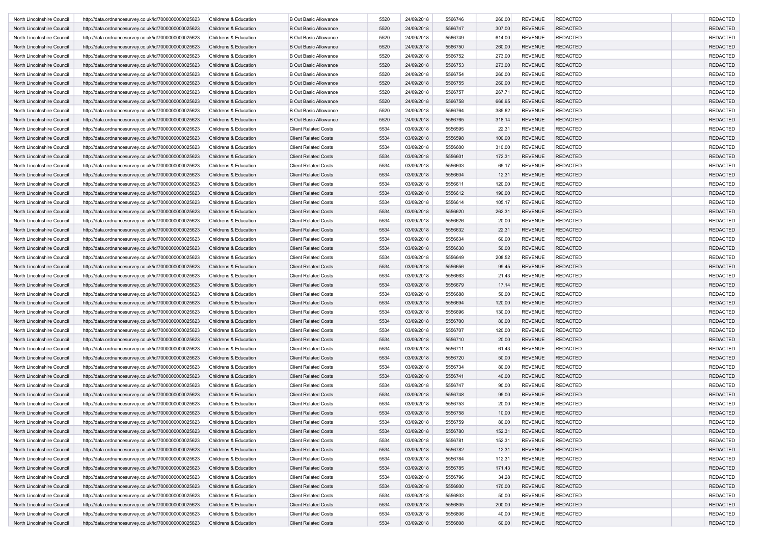| North Lincolnshire Council | http://data.ordnancesurvey.co.uk/id/7000000000025623                                                         | Childrens & Education            | <b>B Out Basic Allowance</b>                               | 5520         | 24/09/2018 | 5566746 | 260.00 | <b>REVENUE</b>                   | <b>REDACTED</b>                    | <b>REDACTED</b> |
|----------------------------|--------------------------------------------------------------------------------------------------------------|----------------------------------|------------------------------------------------------------|--------------|------------|---------|--------|----------------------------------|------------------------------------|-----------------|
| North Lincolnshire Council | http://data.ordnancesurvey.co.uk/id/7000000000025623                                                         | Childrens & Education            | <b>B Out Basic Allowance</b>                               | 5520         | 24/09/2018 | 5566747 | 307.00 | <b>REVENUE</b>                   | <b>REDACTED</b>                    | <b>REDACTED</b> |
| North Lincolnshire Council | http://data.ordnancesurvey.co.uk/id/7000000000025623                                                         | Childrens & Education            | <b>B Out Basic Allowance</b>                               | 5520         | 24/09/2018 | 5566749 | 614.00 | <b>REVENUE</b>                   | <b>REDACTED</b>                    | <b>REDACTED</b> |
| North Lincolnshire Council | http://data.ordnancesurvey.co.uk/id/7000000000025623                                                         | Childrens & Education            | <b>B Out Basic Allowance</b>                               | 5520         | 24/09/2018 | 5566750 | 260.00 | <b>REVENUE</b>                   | <b>REDACTED</b>                    | <b>REDACTED</b> |
| North Lincolnshire Council | http://data.ordnancesurvey.co.uk/id/7000000000025623                                                         | Childrens & Education            | <b>B Out Basic Allowance</b>                               | 5520         | 24/09/2018 | 5566752 | 273.00 | <b>REVENUE</b>                   | <b>REDACTED</b>                    | <b>REDACTED</b> |
| North Lincolnshire Council | http://data.ordnancesurvey.co.uk/id/7000000000025623                                                         | Childrens & Education            | <b>B Out Basic Allowance</b>                               | 5520         | 24/09/2018 | 5566753 | 273.00 | <b>REVENUE</b>                   | <b>REDACTED</b>                    | <b>REDACTED</b> |
| North Lincolnshire Council | http://data.ordnancesurvey.co.uk/id/7000000000025623                                                         | Childrens & Education            | <b>B Out Basic Allowance</b>                               | 5520         | 24/09/2018 | 5566754 | 260.00 | <b>REVENUE</b>                   | <b>REDACTED</b>                    | <b>REDACTED</b> |
| North Lincolnshire Council | http://data.ordnancesurvey.co.uk/id/7000000000025623                                                         | Childrens & Education            | <b>B Out Basic Allowance</b>                               | 5520         | 24/09/2018 | 5566755 | 260.00 | <b>REVENUE</b>                   | <b>REDACTED</b>                    | <b>REDACTED</b> |
| North Lincolnshire Council | http://data.ordnancesurvey.co.uk/id/7000000000025623                                                         | Childrens & Education            | <b>B Out Basic Allowance</b>                               | 5520         | 24/09/2018 | 5566757 | 267.71 | <b>REVENUE</b>                   | <b>REDACTED</b>                    | <b>REDACTED</b> |
| North Lincolnshire Council | http://data.ordnancesurvey.co.uk/id/7000000000025623                                                         | Childrens & Education            | <b>B Out Basic Allowance</b>                               | 5520         | 24/09/2018 | 5566758 | 666.95 | <b>REVENUE</b>                   | <b>REDACTED</b>                    | <b>REDACTED</b> |
| North Lincolnshire Council | http://data.ordnancesurvey.co.uk/id/7000000000025623                                                         | <b>Childrens &amp; Education</b> | <b>B Out Basic Allowance</b>                               | 5520         | 24/09/2018 | 5566764 | 385.62 | <b>REVENUE</b>                   | <b>REDACTED</b>                    | <b>REDACTED</b> |
| North Lincolnshire Council | http://data.ordnancesurvey.co.uk/id/7000000000025623                                                         | Childrens & Education            | <b>B Out Basic Allowance</b>                               | 5520         | 24/09/2018 | 5566765 | 318.14 | <b>REVENUE</b>                   | <b>REDACTED</b>                    | <b>REDACTED</b> |
| North Lincolnshire Council | http://data.ordnancesurvey.co.uk/id/7000000000025623                                                         | Childrens & Education            | <b>Client Related Costs</b>                                | 5534         | 03/09/2018 | 5556595 | 22.31  | <b>REVENUE</b>                   | <b>REDACTED</b>                    | <b>REDACTED</b> |
| North Lincolnshire Council | http://data.ordnancesurvey.co.uk/id/7000000000025623                                                         | Childrens & Education            | <b>Client Related Costs</b>                                | 5534         | 03/09/2018 | 5556598 | 100.00 | <b>REVENUE</b>                   | <b>REDACTED</b>                    | <b>REDACTED</b> |
| North Lincolnshire Council | http://data.ordnancesurvey.co.uk/id/7000000000025623                                                         | Childrens & Education            | <b>Client Related Costs</b>                                | 5534         | 03/09/2018 | 5556600 | 310.00 | <b>REVENUE</b>                   | <b>REDACTED</b>                    | <b>REDACTED</b> |
| North Lincolnshire Council | http://data.ordnancesurvey.co.uk/id/7000000000025623                                                         | Childrens & Education            | <b>Client Related Costs</b>                                | 5534         | 03/09/2018 | 5556601 | 172.31 | <b>REVENUE</b>                   | <b>REDACTED</b>                    | <b>REDACTED</b> |
| North Lincolnshire Council | http://data.ordnancesurvey.co.uk/id/7000000000025623                                                         | Childrens & Education            | <b>Client Related Costs</b>                                | 5534         | 03/09/2018 | 5556603 | 65.17  | <b>REVENUE</b>                   | <b>REDACTED</b>                    | <b>REDACTED</b> |
| North Lincolnshire Council | http://data.ordnancesurvey.co.uk/id/7000000000025623                                                         | Childrens & Education            | <b>Client Related Costs</b>                                | 5534         | 03/09/2018 | 5556604 | 12.31  | <b>REVENUE</b>                   | <b>REDACTED</b>                    | <b>REDACTED</b> |
| North Lincolnshire Council | http://data.ordnancesurvey.co.uk/id/7000000000025623                                                         | Childrens & Education            | <b>Client Related Costs</b>                                | 5534         | 03/09/2018 | 5556611 | 120.00 | <b>REVENUE</b>                   | <b>REDACTED</b>                    | <b>REDACTED</b> |
| North Lincolnshire Council | http://data.ordnancesurvey.co.uk/id/7000000000025623                                                         | Childrens & Education            | <b>Client Related Costs</b>                                | 5534         | 03/09/2018 | 5556612 | 190.00 | <b>REVENUE</b>                   | <b>REDACTED</b>                    | <b>REDACTED</b> |
| North Lincolnshire Council | http://data.ordnancesurvey.co.uk/id/7000000000025623                                                         | Childrens & Education            | <b>Client Related Costs</b>                                | 5534         | 03/09/2018 | 5556614 | 105.17 | <b>REVENUE</b>                   | <b>REDACTED</b>                    | <b>REDACTED</b> |
| North Lincolnshire Council | http://data.ordnancesurvey.co.uk/id/7000000000025623                                                         | Childrens & Education            | <b>Client Related Costs</b>                                | 5534         | 03/09/2018 | 5556620 | 262.31 | <b>REVENUE</b>                   | <b>REDACTED</b>                    | <b>REDACTED</b> |
| North Lincolnshire Council | http://data.ordnancesurvey.co.uk/id/7000000000025623                                                         | Childrens & Education            | <b>Client Related Costs</b>                                | 5534         | 03/09/2018 | 5556626 | 20.00  | <b>REVENUE</b>                   | <b>REDACTED</b>                    | <b>REDACTED</b> |
| North Lincolnshire Council | http://data.ordnancesurvey.co.uk/id/7000000000025623                                                         | Childrens & Education            | <b>Client Related Costs</b>                                | 5534         | 03/09/2018 | 5556632 | 22.31  | <b>REVENUE</b>                   | <b>REDACTED</b>                    | <b>REDACTED</b> |
| North Lincolnshire Council |                                                                                                              | Childrens & Education            | <b>Client Related Costs</b>                                | 5534         | 03/09/2018 | 5556634 | 60.00  | <b>REVENUE</b>                   | <b>REDACTED</b>                    | <b>REDACTED</b> |
| North Lincolnshire Council | http://data.ordnancesurvey.co.uk/id/7000000000025623<br>http://data.ordnancesurvey.co.uk/id/7000000000025623 | Childrens & Education            | <b>Client Related Costs</b>                                | 5534         | 03/09/2018 | 5556638 | 50.00  | <b>REVENUE</b>                   | <b>REDACTED</b>                    | <b>REDACTED</b> |
| North Lincolnshire Council |                                                                                                              |                                  | <b>Client Related Costs</b>                                | 5534         | 03/09/2018 | 5556649 |        | <b>REVENUE</b>                   | <b>REDACTED</b>                    | <b>REDACTED</b> |
| North Lincolnshire Council | http://data.ordnancesurvey.co.uk/id/7000000000025623                                                         | Childrens & Education            |                                                            | 5534         |            |         | 208.52 |                                  |                                    | <b>REDACTED</b> |
|                            | http://data.ordnancesurvey.co.uk/id/7000000000025623                                                         | Childrens & Education            | <b>Client Related Costs</b><br><b>Client Related Costs</b> |              | 03/09/2018 | 5556656 | 99.45  | <b>REVENUE</b><br><b>REVENUE</b> | <b>REDACTED</b><br><b>REDACTED</b> |                 |
| North Lincolnshire Council | http://data.ordnancesurvey.co.uk/id/7000000000025623                                                         | Childrens & Education            |                                                            | 5534         | 03/09/2018 | 5556663 | 21.43  |                                  |                                    | <b>REDACTED</b> |
| North Lincolnshire Council | http://data.ordnancesurvey.co.uk/id/7000000000025623                                                         | Childrens & Education            | <b>Client Related Costs</b>                                | 5534<br>5534 | 03/09/2018 | 5556679 | 17.14  | <b>REVENUE</b>                   | <b>REDACTED</b>                    | <b>REDACTED</b> |
| North Lincolnshire Council | http://data.ordnancesurvey.co.uk/id/7000000000025623                                                         | Childrens & Education            | <b>Client Related Costs</b>                                | 5534         | 03/09/2018 | 5556688 | 50.00  | <b>REVENUE</b>                   | <b>REDACTED</b>                    | <b>REDACTED</b> |
| North Lincolnshire Council | http://data.ordnancesurvey.co.uk/id/7000000000025623                                                         | Childrens & Education            | <b>Client Related Costs</b>                                |              | 03/09/2018 | 5556694 | 120.00 | <b>REVENUE</b>                   | <b>REDACTED</b>                    | <b>REDACTED</b> |
| North Lincolnshire Council | http://data.ordnancesurvey.co.uk/id/7000000000025623                                                         | Childrens & Education            | <b>Client Related Costs</b>                                | 5534         | 03/09/2018 | 5556696 | 130.00 | <b>REVENUE</b>                   | <b>REDACTED</b>                    | <b>REDACTED</b> |
| North Lincolnshire Council | http://data.ordnancesurvey.co.uk/id/7000000000025623                                                         | Childrens & Education            | <b>Client Related Costs</b>                                | 5534         | 03/09/2018 | 5556700 | 80.00  | <b>REVENUE</b>                   | <b>REDACTED</b>                    | <b>REDACTED</b> |
| North Lincolnshire Council | http://data.ordnancesurvey.co.uk/id/7000000000025623                                                         | Childrens & Education            | <b>Client Related Costs</b>                                | 5534         | 03/09/2018 | 5556707 | 120.00 | <b>REVENUE</b>                   | <b>REDACTED</b>                    | <b>REDACTED</b> |
| North Lincolnshire Council | http://data.ordnancesurvey.co.uk/id/7000000000025623                                                         | Childrens & Education            | <b>Client Related Costs</b>                                | 5534         | 03/09/2018 | 5556710 | 20.00  | <b>REVENUE</b>                   | <b>REDACTED</b>                    | <b>REDACTED</b> |
| North Lincolnshire Council | http://data.ordnancesurvey.co.uk/id/7000000000025623                                                         | Childrens & Education            | <b>Client Related Costs</b>                                | 5534         | 03/09/2018 | 5556711 | 61.43  | <b>REVENUE</b>                   | <b>REDACTED</b>                    | <b>REDACTED</b> |
| North Lincolnshire Council | http://data.ordnancesurvey.co.uk/id/7000000000025623                                                         | Childrens & Education            | <b>Client Related Costs</b>                                | 5534         | 03/09/2018 | 5556720 | 50.00  | <b>REVENUE</b>                   | <b>REDACTED</b>                    | <b>REDACTED</b> |
| North Lincolnshire Council | http://data.ordnancesurvey.co.uk/id/7000000000025623                                                         | Childrens & Education            | <b>Client Related Costs</b>                                | 5534         | 03/09/2018 | 5556734 | 80.00  | <b>REVENUE</b>                   | <b>REDACTED</b>                    | <b>REDACTED</b> |
| North Lincolnshire Council | http://data.ordnancesurvey.co.uk/id/7000000000025623                                                         | Childrens & Education            | <b>Client Related Costs</b>                                | 5534         | 03/09/2018 | 5556741 | 40.00  | <b>REVENUE</b>                   | <b>REDACTED</b>                    | <b>REDACTED</b> |
| North Lincolnshire Council | http://data.ordnancesurvey.co.uk/id/7000000000025623                                                         | Childrens & Education            | <b>Client Related Costs</b>                                | 5534         | 03/09/2018 | 5556747 | 90.00  | <b>REVENUE</b>                   | <b>REDACTED</b>                    | <b>REDACTED</b> |
| North Lincolnshire Council | http://data.ordnancesurvey.co.uk/id/7000000000025623                                                         | Childrens & Education            | <b>Client Related Costs</b>                                | 5534         | 03/09/2018 | 5556748 | 95.00  | <b>REVENUE</b>                   | <b>REDACTED</b>                    | <b>REDACTED</b> |
| North Lincolnshire Council | http://data.ordnancesurvey.co.uk/id/7000000000025623                                                         | Childrens & Education            | <b>Client Related Costs</b>                                | 5534         | 03/09/2018 | 5556753 | 20.00  | <b>REVENUE</b>                   | <b>REDACTED</b>                    | <b>REDACTED</b> |
| North Lincolnshire Council | http://data.ordnancesurvey.co.uk/id/7000000000025623                                                         | Childrens & Education            | <b>Client Related Costs</b>                                | 5534         | 03/09/2018 | 5556758 | 10.00  | <b>REVENUE</b>                   | <b>REDACTED</b>                    | <b>REDACTED</b> |
| North Lincolnshire Council | http://data.ordnancesurvey.co.uk/id/7000000000025623                                                         | Childrens & Education            | <b>Client Related Costs</b>                                | 5534         | 03/09/2018 | 5556759 | 80.00  | REVENUE                          | <b>REDACTED</b>                    | REDACTED        |
| North Lincolnshire Council | http://data.ordnancesurvey.co.uk/id/7000000000025623                                                         | Childrens & Education            | <b>Client Related Costs</b>                                | 5534         | 03/09/2018 | 5556780 | 152.31 | <b>REVENUE</b>                   | <b>REDACTED</b>                    | <b>REDACTED</b> |
| North Lincolnshire Council | http://data.ordnancesurvey.co.uk/id/7000000000025623                                                         | Childrens & Education            | <b>Client Related Costs</b>                                | 5534         | 03/09/2018 | 5556781 | 152.31 | <b>REVENUE</b>                   | <b>REDACTED</b>                    | <b>REDACTED</b> |
| North Lincolnshire Council | http://data.ordnancesurvey.co.uk/id/7000000000025623                                                         | Childrens & Education            | <b>Client Related Costs</b>                                | 5534         | 03/09/2018 | 5556782 | 12.31  | <b>REVENUE</b>                   | <b>REDACTED</b>                    | <b>REDACTED</b> |
| North Lincolnshire Council | http://data.ordnancesurvey.co.uk/id/7000000000025623                                                         | Childrens & Education            | <b>Client Related Costs</b>                                | 5534         | 03/09/2018 | 5556784 | 112.31 | <b>REVENUE</b>                   | <b>REDACTED</b>                    | <b>REDACTED</b> |
| North Lincolnshire Council | http://data.ordnancesurvey.co.uk/id/7000000000025623                                                         | Childrens & Education            | <b>Client Related Costs</b>                                | 5534         | 03/09/2018 | 5556785 | 171.43 | <b>REVENUE</b>                   | <b>REDACTED</b>                    | <b>REDACTED</b> |
| North Lincolnshire Council | http://data.ordnancesurvey.co.uk/id/7000000000025623                                                         | Childrens & Education            | <b>Client Related Costs</b>                                | 5534         | 03/09/2018 | 5556796 | 34.28  | <b>REVENUE</b>                   | <b>REDACTED</b>                    | <b>REDACTED</b> |
| North Lincolnshire Council | http://data.ordnancesurvey.co.uk/id/7000000000025623                                                         | Childrens & Education            | <b>Client Related Costs</b>                                | 5534         | 03/09/2018 | 5556800 | 170.00 | <b>REVENUE</b>                   | <b>REDACTED</b>                    | <b>REDACTED</b> |
| North Lincolnshire Council | http://data.ordnancesurvey.co.uk/id/7000000000025623                                                         | Childrens & Education            | <b>Client Related Costs</b>                                | 5534         | 03/09/2018 | 5556803 | 50.00  | <b>REVENUE</b>                   | <b>REDACTED</b>                    | <b>REDACTED</b> |
| North Lincolnshire Council | http://data.ordnancesurvey.co.uk/id/7000000000025623                                                         | Childrens & Education            | <b>Client Related Costs</b>                                | 5534         | 03/09/2018 | 5556805 | 200.00 | <b>REVENUE</b>                   | <b>REDACTED</b>                    | <b>REDACTED</b> |
| North Lincolnshire Council | http://data.ordnancesurvey.co.uk/id/7000000000025623                                                         | Childrens & Education            | <b>Client Related Costs</b>                                | 5534         | 03/09/2018 | 5556806 | 40.00  | <b>REVENUE</b>                   | <b>REDACTED</b>                    | <b>REDACTED</b> |
| North Lincolnshire Council | http://data.ordnancesurvey.co.uk/id/7000000000025623                                                         | Childrens & Education            | <b>Client Related Costs</b>                                | 5534         | 03/09/2018 | 5556808 | 60.00  | REVENUE                          | <b>REDACTED</b>                    | <b>REDACTED</b> |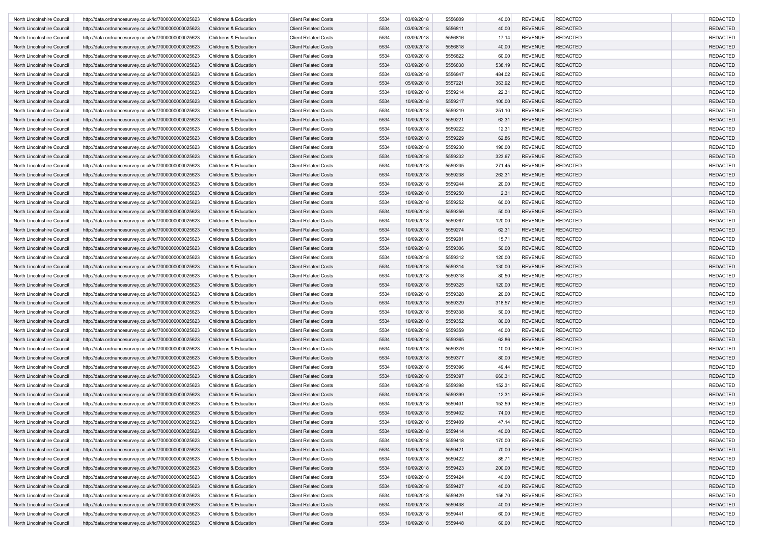| North Lincolnshire Council | http://data.ordnancesurvey.co.uk/id/7000000000025623                                                         | Childrens & Education            | <b>Client Related Costs</b> | 5534 | 03/09/2018 | 5556809 | 40.00  | <b>REVENUE</b> | <b>REDACTED</b> | <b>REDACTED</b> |
|----------------------------|--------------------------------------------------------------------------------------------------------------|----------------------------------|-----------------------------|------|------------|---------|--------|----------------|-----------------|-----------------|
| North Lincolnshire Council | http://data.ordnancesurvey.co.uk/id/7000000000025623                                                         | Childrens & Education            | <b>Client Related Costs</b> | 5534 | 03/09/2018 | 5556811 | 40.00  | <b>REVENUE</b> | <b>REDACTED</b> | <b>REDACTED</b> |
| North Lincolnshire Council | http://data.ordnancesurvey.co.uk/id/7000000000025623                                                         | Childrens & Education            | <b>Client Related Costs</b> | 5534 | 03/09/2018 | 5556816 | 17.14  | <b>REVENUE</b> | <b>REDACTED</b> | <b>REDACTED</b> |
| North Lincolnshire Council | http://data.ordnancesurvey.co.uk/id/7000000000025623                                                         | Childrens & Education            | <b>Client Related Costs</b> | 5534 | 03/09/2018 | 5556818 | 40.00  | <b>REVENUE</b> | <b>REDACTED</b> | <b>REDACTED</b> |
| North Lincolnshire Council | http://data.ordnancesurvey.co.uk/id/7000000000025623                                                         | Childrens & Education            | <b>Client Related Costs</b> | 5534 | 03/09/2018 | 5556822 | 60.00  | <b>REVENUE</b> | <b>REDACTED</b> | <b>REDACTED</b> |
| North Lincolnshire Council | http://data.ordnancesurvey.co.uk/id/7000000000025623                                                         | Childrens & Education            | <b>Client Related Costs</b> | 5534 | 03/09/2018 | 5556838 | 538.19 | <b>REVENUE</b> | <b>REDACTED</b> | <b>REDACTED</b> |
| North Lincolnshire Council | http://data.ordnancesurvey.co.uk/id/7000000000025623                                                         | Childrens & Education            | <b>Client Related Costs</b> | 5534 | 03/09/2018 | 5556847 | 484.02 | <b>REVENUE</b> | <b>REDACTED</b> | <b>REDACTED</b> |
| North Lincolnshire Council | http://data.ordnancesurvey.co.uk/id/7000000000025623                                                         | Childrens & Education            | <b>Client Related Costs</b> | 5534 | 05/09/2018 | 5557221 | 363.92 | <b>REVENUE</b> | <b>REDACTED</b> | <b>REDACTED</b> |
| North Lincolnshire Council | http://data.ordnancesurvey.co.uk/id/7000000000025623                                                         | Childrens & Education            | <b>Client Related Costs</b> | 5534 | 10/09/2018 | 5559214 | 22.31  | <b>REVENUE</b> | <b>REDACTED</b> | <b>REDACTED</b> |
| North Lincolnshire Council | http://data.ordnancesurvey.co.uk/id/7000000000025623                                                         | Childrens & Education            | <b>Client Related Costs</b> | 5534 | 10/09/2018 | 5559217 | 100.00 | <b>REVENUE</b> | <b>REDACTED</b> | <b>REDACTED</b> |
| North Lincolnshire Council | http://data.ordnancesurvey.co.uk/id/7000000000025623                                                         | Childrens & Education            | <b>Client Related Costs</b> | 5534 | 10/09/2018 | 5559219 | 251.10 | <b>REVENUE</b> | <b>REDACTED</b> | <b>REDACTED</b> |
| North Lincolnshire Council | http://data.ordnancesurvey.co.uk/id/7000000000025623                                                         | Childrens & Education            | <b>Client Related Costs</b> | 5534 | 10/09/2018 | 5559221 | 62.31  | <b>REVENUE</b> | <b>REDACTED</b> | <b>REDACTED</b> |
| North Lincolnshire Council | http://data.ordnancesurvey.co.uk/id/7000000000025623                                                         | Childrens & Education            | <b>Client Related Costs</b> | 5534 | 10/09/2018 | 5559222 | 12.31  | <b>REVENUE</b> | <b>REDACTED</b> | <b>REDACTED</b> |
| North Lincolnshire Council | http://data.ordnancesurvey.co.uk/id/7000000000025623                                                         | Childrens & Education            | <b>Client Related Costs</b> | 5534 | 10/09/2018 | 5559229 | 62.86  | <b>REVENUE</b> | <b>REDACTED</b> | <b>REDACTED</b> |
| North Lincolnshire Council | http://data.ordnancesurvey.co.uk/id/7000000000025623                                                         | Childrens & Education            | <b>Client Related Costs</b> | 5534 | 10/09/2018 | 5559230 | 190.00 | <b>REVENUE</b> | <b>REDACTED</b> | <b>REDACTED</b> |
| North Lincolnshire Council | http://data.ordnancesurvey.co.uk/id/7000000000025623                                                         | Childrens & Education            | <b>Client Related Costs</b> | 5534 | 10/09/2018 | 5559232 | 323.67 | <b>REVENUE</b> | <b>REDACTED</b> | <b>REDACTED</b> |
| North Lincolnshire Council | http://data.ordnancesurvey.co.uk/id/7000000000025623                                                         | Childrens & Education            | <b>Client Related Costs</b> | 5534 | 10/09/2018 | 5559235 | 271.45 | <b>REVENUE</b> | <b>REDACTED</b> | <b>REDACTED</b> |
| North Lincolnshire Council | http://data.ordnancesurvey.co.uk/id/7000000000025623                                                         | Childrens & Education            | <b>Client Related Costs</b> | 5534 | 10/09/2018 | 5559238 | 262.31 | <b>REVENUE</b> | <b>REDACTED</b> | <b>REDACTED</b> |
| North Lincolnshire Council | http://data.ordnancesurvey.co.uk/id/7000000000025623                                                         | Childrens & Education            | <b>Client Related Costs</b> | 5534 | 10/09/2018 | 5559244 | 20.00  | <b>REVENUE</b> | <b>REDACTED</b> | <b>REDACTED</b> |
| North Lincolnshire Council | http://data.ordnancesurvey.co.uk/id/7000000000025623                                                         | Childrens & Education            | <b>Client Related Costs</b> | 5534 | 10/09/2018 | 5559250 | 2.31   | <b>REVENUE</b> | <b>REDACTED</b> | <b>REDACTED</b> |
| North Lincolnshire Council | http://data.ordnancesurvey.co.uk/id/7000000000025623                                                         | Childrens & Education            | <b>Client Related Costs</b> | 5534 | 10/09/2018 | 5559252 | 60.00  | <b>REVENUE</b> | <b>REDACTED</b> | <b>REDACTED</b> |
| North Lincolnshire Council | http://data.ordnancesurvey.co.uk/id/7000000000025623                                                         | Childrens & Education            | <b>Client Related Costs</b> | 5534 | 10/09/2018 | 5559256 | 50.00  | <b>REVENUE</b> | <b>REDACTED</b> | <b>REDACTED</b> |
| North Lincolnshire Council | http://data.ordnancesurvey.co.uk/id/7000000000025623                                                         | Childrens & Education            | <b>Client Related Costs</b> | 5534 | 10/09/2018 | 5559267 | 120.00 | <b>REVENUE</b> | <b>REDACTED</b> | <b>REDACTED</b> |
| North Lincolnshire Council | http://data.ordnancesurvey.co.uk/id/7000000000025623                                                         | Childrens & Education            | <b>Client Related Costs</b> | 5534 | 10/09/2018 | 5559274 | 62.31  | <b>REVENUE</b> | <b>REDACTED</b> | <b>REDACTED</b> |
| North Lincolnshire Council | http://data.ordnancesurvey.co.uk/id/7000000000025623                                                         | Childrens & Education            | <b>Client Related Costs</b> | 5534 | 10/09/2018 | 5559281 | 15.71  | <b>REVENUE</b> | <b>REDACTED</b> | <b>REDACTED</b> |
| North Lincolnshire Council | http://data.ordnancesurvey.co.uk/id/7000000000025623                                                         | Childrens & Education            | <b>Client Related Costs</b> | 5534 | 10/09/2018 | 5559306 | 50.00  | <b>REVENUE</b> | <b>REDACTED</b> | <b>REDACTED</b> |
| North Lincolnshire Council | http://data.ordnancesurvey.co.uk/id/7000000000025623                                                         | Childrens & Education            | <b>Client Related Costs</b> | 5534 | 10/09/2018 | 5559312 | 120.00 | <b>REVENUE</b> | <b>REDACTED</b> | <b>REDACTED</b> |
| North Lincolnshire Council | http://data.ordnancesurvey.co.uk/id/7000000000025623                                                         | Childrens & Education            | <b>Client Related Costs</b> | 5534 | 10/09/2018 | 5559314 | 130.00 | <b>REVENUE</b> | <b>REDACTED</b> | <b>REDACTED</b> |
| North Lincolnshire Council | http://data.ordnancesurvey.co.uk/id/7000000000025623                                                         | Childrens & Education            | <b>Client Related Costs</b> | 5534 | 10/09/2018 | 5559318 | 80.50  | <b>REVENUE</b> | <b>REDACTED</b> | <b>REDACTED</b> |
| North Lincolnshire Council | http://data.ordnancesurvey.co.uk/id/7000000000025623                                                         | Childrens & Education            | <b>Client Related Costs</b> | 5534 | 10/09/2018 | 5559325 | 120.00 | <b>REVENUE</b> | <b>REDACTED</b> | <b>REDACTED</b> |
| North Lincolnshire Council | http://data.ordnancesurvey.co.uk/id/7000000000025623                                                         | Childrens & Education            | <b>Client Related Costs</b> | 5534 | 10/09/2018 | 5559328 | 20.00  | <b>REVENUE</b> | <b>REDACTED</b> | <b>REDACTED</b> |
| North Lincolnshire Council | http://data.ordnancesurvey.co.uk/id/7000000000025623                                                         | Childrens & Education            | <b>Client Related Costs</b> | 5534 | 10/09/2018 | 5559329 | 318.57 | <b>REVENUE</b> | <b>REDACTED</b> | <b>REDACTED</b> |
| North Lincolnshire Council | http://data.ordnancesurvey.co.uk/id/7000000000025623                                                         | Childrens & Education            | <b>Client Related Costs</b> | 5534 | 10/09/2018 | 5559338 | 50.00  | <b>REVENUE</b> | <b>REDACTED</b> | <b>REDACTED</b> |
| North Lincolnshire Council | http://data.ordnancesurvey.co.uk/id/7000000000025623                                                         | Childrens & Education            | <b>Client Related Costs</b> | 5534 | 10/09/2018 | 5559352 | 80.00  | <b>REVENUE</b> | <b>REDACTED</b> | <b>REDACTED</b> |
| North Lincolnshire Council | http://data.ordnancesurvey.co.uk/id/7000000000025623                                                         | Childrens & Education            | <b>Client Related Costs</b> | 5534 | 10/09/2018 | 5559359 | 40.00  | <b>REVENUE</b> | <b>REDACTED</b> | <b>REDACTED</b> |
| North Lincolnshire Council | http://data.ordnancesurvey.co.uk/id/7000000000025623                                                         | <b>Childrens &amp; Education</b> | <b>Client Related Costs</b> | 5534 | 10/09/2018 | 5559365 | 62.86  | <b>REVENUE</b> | <b>REDACTED</b> | <b>REDACTED</b> |
| North Lincolnshire Council | http://data.ordnancesurvey.co.uk/id/7000000000025623                                                         | Childrens & Education            | <b>Client Related Costs</b> | 5534 | 10/09/2018 | 5559376 | 10.00  | <b>REVENUE</b> | <b>REDACTED</b> | <b>REDACTED</b> |
| North Lincolnshire Council | http://data.ordnancesurvey.co.uk/id/7000000000025623                                                         | Childrens & Education            | <b>Client Related Costs</b> | 5534 | 10/09/2018 | 5559377 | 80.00  | <b>REVENUE</b> | <b>REDACTED</b> | <b>REDACTED</b> |
| North Lincolnshire Council | http://data.ordnancesurvey.co.uk/id/7000000000025623                                                         | Childrens & Education            | <b>Client Related Costs</b> | 5534 | 10/09/2018 | 5559396 | 49.44  | <b>REVENUE</b> | <b>REDACTED</b> | <b>REDACTED</b> |
| North Lincolnshire Council | http://data.ordnancesurvey.co.uk/id/7000000000025623                                                         | Childrens & Education            | <b>Client Related Costs</b> | 5534 | 10/09/2018 | 5559397 | 660.31 | <b>REVENUE</b> | <b>REDACTED</b> | <b>REDACTED</b> |
| North Lincolnshire Council | http://data.ordnancesurvey.co.uk/id/7000000000025623                                                         | Childrens & Education            | <b>Client Related Costs</b> | 5534 | 10/09/2018 | 5559398 | 152.31 | <b>REVENUE</b> | <b>REDACTED</b> | <b>REDACTED</b> |
| North Lincolnshire Council | http://data.ordnancesurvey.co.uk/id/7000000000025623                                                         | Childrens & Education            | <b>Client Related Costs</b> | 5534 | 10/09/2018 | 5559399 | 12.31  | <b>REVENUE</b> | <b>REDACTED</b> | <b>REDACTED</b> |
| North Lincolnshire Council | http://data.ordnancesurvey.co.uk/id/7000000000025623                                                         | Childrens & Education            | <b>Client Related Costs</b> | 5534 | 10/09/2018 | 5559401 | 152.59 | <b>REVENUE</b> | <b>REDACTED</b> | <b>REDACTED</b> |
| North Lincolnshire Council | http://data.ordnancesurvey.co.uk/id/7000000000025623                                                         | Childrens & Education            | <b>Client Related Costs</b> | 5534 | 10/09/2018 | 5559402 | 74.00  | <b>REVENUE</b> | <b>REDACTED</b> | <b>REDACTED</b> |
| North Lincolnshire Council | http://data.ordnancesurvey.co.uk/id/7000000000025623                                                         | Childrens & Education            | <b>Client Related Costs</b> | 5534 | 10/09/2018 | 5559409 | 47.14  | REVENUE        | <b>REDACTED</b> | REDACTED        |
| North Lincolnshire Council | http://data.ordnancesurvey.co.uk/id/7000000000025623                                                         | Childrens & Education            | <b>Client Related Costs</b> | 5534 | 10/09/2018 | 5559414 | 40.00  | REVENUE        | <b>REDACTED</b> | <b>REDACTED</b> |
| North Lincolnshire Council | http://data.ordnancesurvey.co.uk/id/7000000000025623                                                         | Childrens & Education            | <b>Client Related Costs</b> | 5534 | 10/09/2018 | 5559418 | 170.00 | <b>REVENUE</b> | <b>REDACTED</b> | <b>REDACTED</b> |
| North Lincolnshire Council | http://data.ordnancesurvey.co.uk/id/7000000000025623                                                         | Childrens & Education            | <b>Client Related Costs</b> | 5534 | 10/09/2018 | 5559421 | 70.00  | <b>REVENUE</b> | <b>REDACTED</b> | <b>REDACTED</b> |
| North Lincolnshire Council | http://data.ordnancesurvey.co.uk/id/7000000000025623                                                         | Childrens & Education            | <b>Client Related Costs</b> | 5534 | 10/09/2018 | 5559422 | 85.71  | <b>REVENUE</b> | <b>REDACTED</b> | <b>REDACTED</b> |
| North Lincolnshire Council | http://data.ordnancesurvey.co.uk/id/7000000000025623                                                         | Childrens & Education            | <b>Client Related Costs</b> | 5534 | 10/09/2018 | 5559423 | 200.00 | <b>REVENUE</b> | <b>REDACTED</b> | <b>REDACTED</b> |
| North Lincolnshire Council | http://data.ordnancesurvey.co.uk/id/7000000000025623                                                         | Childrens & Education            | <b>Client Related Costs</b> | 5534 | 10/09/2018 | 5559424 | 40.00  | <b>REVENUE</b> | <b>REDACTED</b> | <b>REDACTED</b> |
| North Lincolnshire Council | http://data.ordnancesurvey.co.uk/id/7000000000025623                                                         | Childrens & Education            | <b>Client Related Costs</b> | 5534 | 10/09/2018 | 5559427 | 40.00  | <b>REVENUE</b> | <b>REDACTED</b> | <b>REDACTED</b> |
| North Lincolnshire Council | http://data.ordnancesurvey.co.uk/id/7000000000025623                                                         | Childrens & Education            | <b>Client Related Costs</b> | 5534 | 10/09/2018 | 5559429 | 156.70 | <b>REVENUE</b> | <b>REDACTED</b> | <b>REDACTED</b> |
| North Lincolnshire Council | http://data.ordnancesurvey.co.uk/id/7000000000025623                                                         | Childrens & Education            | <b>Client Related Costs</b> | 5534 | 10/09/2018 | 5559438 | 40.00  | <b>REVENUE</b> | <b>REDACTED</b> | <b>REDACTED</b> |
| North Lincolnshire Council |                                                                                                              | Childrens & Education            | <b>Client Related Costs</b> | 5534 | 10/09/2018 | 5559441 | 60.00  | <b>REVENUE</b> | <b>REDACTED</b> | <b>REDACTED</b> |
| North Lincolnshire Council | http://data.ordnancesurvey.co.uk/id/7000000000025623<br>http://data.ordnancesurvey.co.uk/id/7000000000025623 | Childrens & Education            | <b>Client Related Costs</b> | 5534 | 10/09/2018 | 5559448 | 60.00  | REVENUE        | REDACTED        | <b>REDACTED</b> |
|                            |                                                                                                              |                                  |                             |      |            |         |        |                |                 |                 |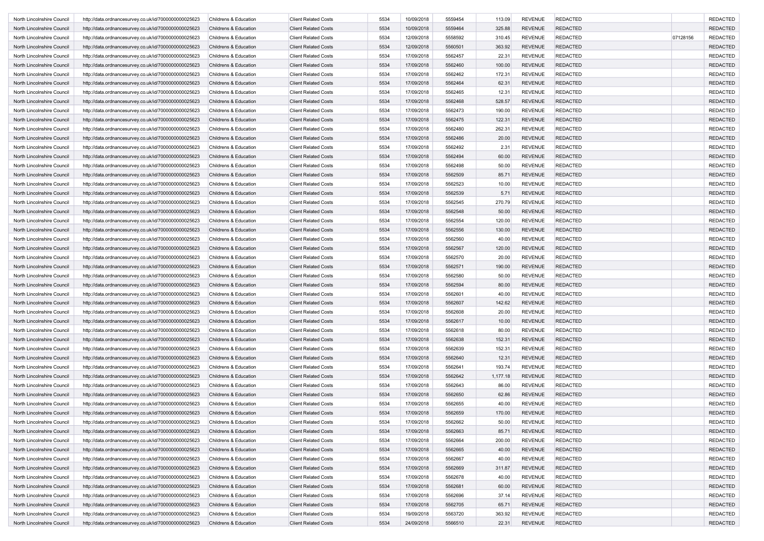| North Lincolnshire Council | http://data.ordnancesurvey.co.uk/id/7000000000025623 | Childrens & Education            | <b>Client Related Costs</b>                                | 5534 | 10/09/2018               | 5559454            | 113.09             | <b>REVENUE</b>                   | <b>REDACTED</b> |          | <b>REDACTED</b> |
|----------------------------|------------------------------------------------------|----------------------------------|------------------------------------------------------------|------|--------------------------|--------------------|--------------------|----------------------------------|-----------------|----------|-----------------|
| North Lincolnshire Council | http://data.ordnancesurvey.co.uk/id/7000000000025623 | Childrens & Education            | <b>Client Related Costs</b>                                | 5534 | 10/09/2018               | 5559464            | 325.88             | <b>REVENUE</b>                   | <b>REDACTED</b> |          | <b>REDACTED</b> |
| North Lincolnshire Council | http://data.ordnancesurvey.co.uk/id/7000000000025623 | Childrens & Education            | <b>Client Related Costs</b>                                | 5534 | 12/09/2018               | 5558592            | 310.45             | <b>REVENUE</b>                   | <b>REDACTED</b> | 07128156 | <b>REDACTED</b> |
| North Lincolnshire Council | http://data.ordnancesurvey.co.uk/id/7000000000025623 | Childrens & Education            | <b>Client Related Costs</b>                                | 5534 | 12/09/2018               | 5560501            | 363.92             | <b>REVENUE</b>                   | <b>REDACTED</b> |          | <b>REDACTED</b> |
| North Lincolnshire Council | http://data.ordnancesurvey.co.uk/id/7000000000025623 | Childrens & Education            | <b>Client Related Costs</b>                                | 5534 | 17/09/2018               | 5562457            | 22.31              | <b>REVENUE</b>                   | <b>REDACTED</b> |          | <b>REDACTED</b> |
| North Lincolnshire Council | http://data.ordnancesurvey.co.uk/id/7000000000025623 | Childrens & Education            | <b>Client Related Costs</b>                                | 5534 | 17/09/2018               | 5562460            | 100.00             | <b>REVENUE</b>                   | <b>REDACTED</b> |          | <b>REDACTED</b> |
| North Lincolnshire Council | http://data.ordnancesurvey.co.uk/id/7000000000025623 | Childrens & Education            | <b>Client Related Costs</b>                                | 5534 | 17/09/2018               | 5562462            | 172.31             | <b>REVENUE</b>                   | <b>REDACTED</b> |          | <b>REDACTED</b> |
| North Lincolnshire Council | http://data.ordnancesurvey.co.uk/id/7000000000025623 | Childrens & Education            | <b>Client Related Costs</b>                                | 5534 | 17/09/2018               | 5562464            | 62.31              | <b>REVENUE</b>                   | <b>REDACTED</b> |          | <b>REDACTED</b> |
| North Lincolnshire Council | http://data.ordnancesurvey.co.uk/id/7000000000025623 | Childrens & Education            | <b>Client Related Costs</b>                                | 5534 | 17/09/2018               | 5562465            | 12.31              | <b>REVENUE</b>                   | <b>REDACTED</b> |          | <b>REDACTED</b> |
| North Lincolnshire Council | http://data.ordnancesurvey.co.uk/id/7000000000025623 | Childrens & Education            | <b>Client Related Costs</b>                                | 5534 | 17/09/2018               | 5562468            | 528.57             | <b>REVENUE</b>                   | <b>REDACTED</b> |          | <b>REDACTED</b> |
| North Lincolnshire Council | http://data.ordnancesurvey.co.uk/id/7000000000025623 | Childrens & Education            | <b>Client Related Costs</b>                                | 5534 | 17/09/2018               | 5562473            | 190.00             | <b>REVENUE</b>                   | <b>REDACTED</b> |          | <b>REDACTED</b> |
| North Lincolnshire Council |                                                      | Childrens & Education            | <b>Client Related Costs</b>                                | 5534 | 17/09/2018               | 5562475            | 122.31             | <b>REVENUE</b>                   | <b>REDACTED</b> |          | <b>REDACTED</b> |
|                            | http://data.ordnancesurvey.co.uk/id/7000000000025623 |                                  | <b>Client Related Costs</b>                                | 5534 | 17/09/2018               | 5562480            |                    | <b>REVENUE</b>                   | <b>REDACTED</b> |          | <b>REDACTED</b> |
| North Lincolnshire Council | http://data.ordnancesurvey.co.uk/id/7000000000025623 | Childrens & Education            |                                                            |      |                          |                    | 262.31             |                                  |                 |          |                 |
| North Lincolnshire Council | http://data.ordnancesurvey.co.uk/id/7000000000025623 | Childrens & Education            | <b>Client Related Costs</b>                                | 5534 | 17/09/2018               | 5562486            | 20.00              | <b>REVENUE</b>                   | <b>REDACTED</b> |          | <b>REDACTED</b> |
| North Lincolnshire Council | http://data.ordnancesurvey.co.uk/id/7000000000025623 | Childrens & Education            | <b>Client Related Costs</b>                                | 5534 | 17/09/2018               | 5562492            | 2.31               | <b>REVENUE</b>                   | <b>REDACTED</b> |          | <b>REDACTED</b> |
| North Lincolnshire Council | http://data.ordnancesurvey.co.uk/id/7000000000025623 | Childrens & Education            | <b>Client Related Costs</b>                                | 5534 | 17/09/2018               | 5562494            | 60.00              | <b>REVENUE</b>                   | <b>REDACTED</b> |          | <b>REDACTED</b> |
| North Lincolnshire Council | http://data.ordnancesurvey.co.uk/id/7000000000025623 | Childrens & Education            | <b>Client Related Costs</b>                                | 5534 | 17/09/2018               | 5562498            | 50.00              | <b>REVENUE</b>                   | <b>REDACTED</b> |          | <b>REDACTED</b> |
| North Lincolnshire Council | http://data.ordnancesurvey.co.uk/id/7000000000025623 | Childrens & Education            | <b>Client Related Costs</b>                                | 5534 | 17/09/2018               | 5562509            | 85.71              | <b>REVENUE</b>                   | <b>REDACTED</b> |          | <b>REDACTED</b> |
| North Lincolnshire Council | http://data.ordnancesurvey.co.uk/id/7000000000025623 | Childrens & Education            | <b>Client Related Costs</b>                                | 5534 | 17/09/2018               | 5562523            | 10.00              | <b>REVENUE</b>                   | <b>REDACTED</b> |          | <b>REDACTED</b> |
| North Lincolnshire Council | http://data.ordnancesurvey.co.uk/id/7000000000025623 | Childrens & Education            | <b>Client Related Costs</b>                                | 5534 | 17/09/2018               | 5562539            | 5.71               | <b>REVENUE</b>                   | <b>REDACTED</b> |          | <b>REDACTED</b> |
| North Lincolnshire Council | http://data.ordnancesurvey.co.uk/id/7000000000025623 | Childrens & Education            | <b>Client Related Costs</b>                                | 5534 | 17/09/2018               | 5562545            | 270.79             | <b>REVENUE</b>                   | <b>REDACTED</b> |          | <b>REDACTED</b> |
| North Lincolnshire Council | http://data.ordnancesurvey.co.uk/id/7000000000025623 | Childrens & Education            | <b>Client Related Costs</b>                                | 5534 | 17/09/2018               | 5562548            | 50.00              | <b>REVENUE</b>                   | <b>REDACTED</b> |          | <b>REDACTED</b> |
| North Lincolnshire Council | http://data.ordnancesurvey.co.uk/id/7000000000025623 | Childrens & Education            | <b>Client Related Costs</b>                                | 5534 | 17/09/2018               | 5562554            | 120.00             | <b>REVENUE</b>                   | <b>REDACTED</b> |          | <b>REDACTED</b> |
| North Lincolnshire Council | http://data.ordnancesurvey.co.uk/id/7000000000025623 | Childrens & Education            | <b>Client Related Costs</b>                                | 5534 | 17/09/2018               | 5562556            | 130.00             | <b>REVENUE</b>                   | <b>REDACTED</b> |          | <b>REDACTED</b> |
| North Lincolnshire Council | http://data.ordnancesurvey.co.uk/id/7000000000025623 | Childrens & Education            | <b>Client Related Costs</b>                                | 5534 | 17/09/2018               | 5562560            | 40.00              | <b>REVENUE</b>                   | <b>REDACTED</b> |          | <b>REDACTED</b> |
| North Lincolnshire Council | http://data.ordnancesurvey.co.uk/id/7000000000025623 | Childrens & Education            | <b>Client Related Costs</b>                                | 5534 | 17/09/2018               | 5562567            | 120.00             | <b>REVENUE</b>                   | <b>REDACTED</b> |          | <b>REDACTED</b> |
| North Lincolnshire Council | http://data.ordnancesurvey.co.uk/id/7000000000025623 | Childrens & Education            | <b>Client Related Costs</b>                                | 5534 | 17/09/2018               | 5562570            | 20.00              | <b>REVENUE</b>                   | <b>REDACTED</b> |          | <b>REDACTED</b> |
| North Lincolnshire Council | http://data.ordnancesurvey.co.uk/id/7000000000025623 | Childrens & Education            | <b>Client Related Costs</b>                                | 5534 | 17/09/2018               | 5562571            | 190.00             | <b>REVENUE</b>                   | <b>REDACTED</b> |          | <b>REDACTED</b> |
| North Lincolnshire Council | http://data.ordnancesurvey.co.uk/id/7000000000025623 | Childrens & Education            | <b>Client Related Costs</b>                                | 5534 | 17/09/2018               | 5562580            | 50.00              | <b>REVENUE</b>                   | <b>REDACTED</b> |          | <b>REDACTED</b> |
| North Lincolnshire Council | http://data.ordnancesurvey.co.uk/id/7000000000025623 | Childrens & Education            | <b>Client Related Costs</b>                                | 5534 | 17/09/2018               | 5562594            | 80.00              | <b>REVENUE</b>                   | <b>REDACTED</b> |          | <b>REDACTED</b> |
| North Lincolnshire Council | http://data.ordnancesurvey.co.uk/id/7000000000025623 | Childrens & Education            | <b>Client Related Costs</b>                                | 5534 | 17/09/2018               | 5562601            | 40.00              | <b>REVENUE</b>                   | <b>REDACTED</b> |          | <b>REDACTED</b> |
| North Lincolnshire Council | http://data.ordnancesurvey.co.uk/id/7000000000025623 | Childrens & Education            | <b>Client Related Costs</b>                                | 5534 | 17/09/2018               | 5562607            | 142.62             | <b>REVENUE</b>                   | <b>REDACTED</b> |          | <b>REDACTED</b> |
| North Lincolnshire Council | http://data.ordnancesurvey.co.uk/id/7000000000025623 | Childrens & Education            | <b>Client Related Costs</b>                                | 5534 | 17/09/2018               | 5562608            | 20.00              | <b>REVENUE</b>                   | <b>REDACTED</b> |          | <b>REDACTED</b> |
| North Lincolnshire Council | http://data.ordnancesurvey.co.uk/id/7000000000025623 | Childrens & Education            | <b>Client Related Costs</b>                                | 5534 | 17/09/2018               | 5562617            | 10.00              | <b>REVENUE</b>                   | <b>REDACTED</b> |          | <b>REDACTED</b> |
| North Lincolnshire Council | http://data.ordnancesurvey.co.uk/id/7000000000025623 | Childrens & Education            | <b>Client Related Costs</b>                                | 5534 | 17/09/2018               | 5562618            | 80.00              | <b>REVENUE</b>                   | <b>REDACTED</b> |          | <b>REDACTED</b> |
| North Lincolnshire Council | http://data.ordnancesurvey.co.uk/id/7000000000025623 | <b>Childrens &amp; Education</b> | <b>Client Related Costs</b>                                | 5534 | 17/09/2018               | 5562638            | 152.31             | <b>REVENUE</b>                   | <b>REDACTED</b> |          | <b>REDACTED</b> |
| North Lincolnshire Council | http://data.ordnancesurvey.co.uk/id/7000000000025623 | Childrens & Education            | <b>Client Related Costs</b>                                | 5534 | 17/09/2018               | 5562639            | 152.31             | <b>REVENUE</b>                   | <b>REDACTED</b> |          | <b>REDACTED</b> |
| North Lincolnshire Council |                                                      | Childrens & Education            | <b>Client Related Costs</b>                                | 5534 | 17/09/2018               | 5562640            |                    | <b>REVENUE</b>                   | <b>REDACTED</b> |          | <b>REDACTED</b> |
| North Lincolnshire Council | http://data.ordnancesurvey.co.uk/id/7000000000025623 | Childrens & Education            |                                                            | 5534 |                          |                    | 12.31              |                                  | <b>REDACTED</b> |          | <b>REDACTED</b> |
|                            | http://data.ordnancesurvey.co.uk/id/7000000000025623 |                                  | <b>Client Related Costs</b><br><b>Client Related Costs</b> | 5534 | 17/09/2018<br>17/09/2018 | 5562641<br>5562642 | 193.74<br>1,177.18 | <b>REVENUE</b><br><b>REVENUE</b> | <b>REDACTED</b> |          | <b>REDACTED</b> |
| North Lincolnshire Council | http://data.ordnancesurvey.co.uk/id/7000000000025623 | Childrens & Education            |                                                            |      |                          |                    |                    |                                  |                 |          |                 |
| North Lincolnshire Council | http://data.ordnancesurvey.co.uk/id/7000000000025623 | Childrens & Education            | <b>Client Related Costs</b>                                | 5534 | 17/09/2018               | 5562643            | 86.00              | <b>REVENUE</b>                   | <b>REDACTED</b> |          | <b>REDACTED</b> |
| North Lincolnshire Council | http://data.ordnancesurvey.co.uk/id/7000000000025623 | Childrens & Education            | <b>Client Related Costs</b>                                | 5534 | 17/09/2018               | 5562650            | 62.86              | <b>REVENUE</b>                   | <b>REDACTED</b> |          | <b>REDACTED</b> |
| North Lincolnshire Council | http://data.ordnancesurvey.co.uk/id/7000000000025623 | Childrens & Education            | <b>Client Related Costs</b>                                | 5534 | 17/09/2018               | 5562655            | 40.00              | <b>REVENUE</b>                   | <b>REDACTED</b> |          | <b>REDACTED</b> |
| North Lincolnshire Council | http://data.ordnancesurvey.co.uk/id/7000000000025623 | Childrens & Education            | <b>Client Related Costs</b>                                | 5534 | 17/09/2018               | 5562659            | 170.00             | <b>REVENUE</b>                   | <b>REDACTED</b> |          | <b>REDACTED</b> |
| North Lincolnshire Council | http://data.ordnancesurvey.co.uk/id/7000000000025623 | Childrens & Education            | <b>Client Related Costs</b>                                | 5534 | 17/09/2018               | 5562662            | 50.00              | REVENUE                          | <b>REDACTED</b> |          | REDACTED        |
| North Lincolnshire Council | http://data.ordnancesurvey.co.uk/id/7000000000025623 | Childrens & Education            | <b>Client Related Costs</b>                                | 5534 | 17/09/2018               | 5562663            | 85.71              | REVENUE                          | <b>REDACTED</b> |          | <b>REDACTED</b> |
| North Lincolnshire Council | http://data.ordnancesurvey.co.uk/id/7000000000025623 | Childrens & Education            | <b>Client Related Costs</b>                                | 5534 | 17/09/2018               | 5562664            | 200.00             | <b>REVENUE</b>                   | <b>REDACTED</b> |          | <b>REDACTED</b> |
| North Lincolnshire Council | http://data.ordnancesurvey.co.uk/id/7000000000025623 | Childrens & Education            | <b>Client Related Costs</b>                                | 5534 | 17/09/2018               | 5562665            | 40.00              | <b>REVENUE</b>                   | <b>REDACTED</b> |          | <b>REDACTED</b> |
| North Lincolnshire Council | http://data.ordnancesurvey.co.uk/id/7000000000025623 | Childrens & Education            | <b>Client Related Costs</b>                                | 5534 | 17/09/2018               | 5562667            | 40.00              | <b>REVENUE</b>                   | <b>REDACTED</b> |          | <b>REDACTED</b> |
| North Lincolnshire Council | http://data.ordnancesurvey.co.uk/id/7000000000025623 | Childrens & Education            | <b>Client Related Costs</b>                                | 5534 | 17/09/2018               | 5562669            | 311.87             | <b>REVENUE</b>                   | <b>REDACTED</b> |          | <b>REDACTED</b> |
| North Lincolnshire Council | http://data.ordnancesurvey.co.uk/id/7000000000025623 | Childrens & Education            | <b>Client Related Costs</b>                                | 5534 | 17/09/2018               | 5562678            | 40.00              | <b>REVENUE</b>                   | <b>REDACTED</b> |          | <b>REDACTED</b> |
| North Lincolnshire Council | http://data.ordnancesurvey.co.uk/id/7000000000025623 | Childrens & Education            | <b>Client Related Costs</b>                                | 5534 | 17/09/2018               | 5562681            | 60.00              | <b>REVENUE</b>                   | <b>REDACTED</b> |          | <b>REDACTED</b> |
| North Lincolnshire Council | http://data.ordnancesurvey.co.uk/id/7000000000025623 | Childrens & Education            | <b>Client Related Costs</b>                                | 5534 | 17/09/2018               | 5562696            | 37.14              | <b>REVENUE</b>                   | <b>REDACTED</b> |          | <b>REDACTED</b> |
| North Lincolnshire Council | http://data.ordnancesurvey.co.uk/id/7000000000025623 | Childrens & Education            | <b>Client Related Costs</b>                                | 5534 | 17/09/2018               | 5562705            | 65.71              | <b>REVENUE</b>                   | <b>REDACTED</b> |          | <b>REDACTED</b> |
| North Lincolnshire Council | http://data.ordnancesurvey.co.uk/id/7000000000025623 | Childrens & Education            | <b>Client Related Costs</b>                                | 5534 | 19/09/2018               | 5563720            | 363.92             | <b>REVENUE</b>                   | <b>REDACTED</b> |          | <b>REDACTED</b> |
| North Lincolnshire Council | http://data.ordnancesurvey.co.uk/id/7000000000025623 | Childrens & Education            | <b>Client Related Costs</b>                                | 5534 | 24/09/2018               | 5566510            | 22.31              | REVENUE                          | REDACTED        |          | <b>REDACTED</b> |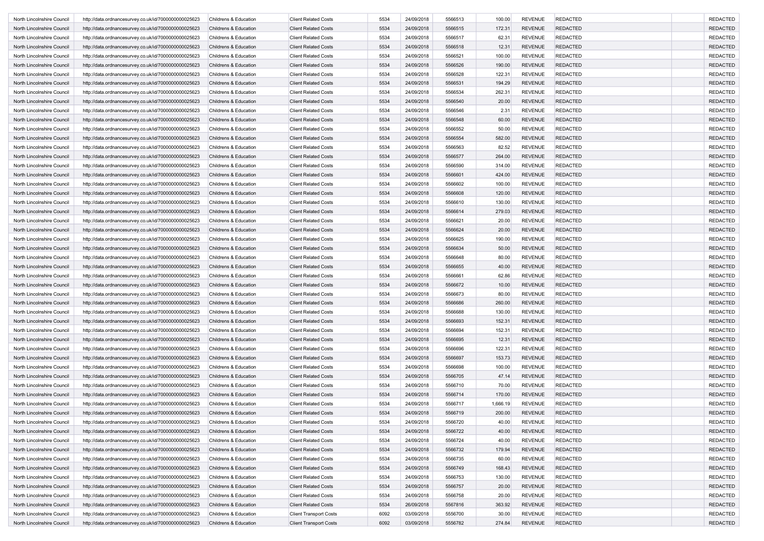| North Lincolnshire Council | http://data.ordnancesurvey.co.uk/id/7000000000025623 | Childrens & Education            | <b>Client Related Costs</b>   | 5534 | 24/09/2018 | 5566513 | 100.00   | <b>REVENUE</b> | <b>REDACTED</b> | <b>REDACTED</b> |
|----------------------------|------------------------------------------------------|----------------------------------|-------------------------------|------|------------|---------|----------|----------------|-----------------|-----------------|
| North Lincolnshire Council | http://data.ordnancesurvey.co.uk/id/7000000000025623 | Childrens & Education            | <b>Client Related Costs</b>   | 5534 | 24/09/2018 | 5566515 | 172.31   | <b>REVENUE</b> | <b>REDACTED</b> | <b>REDACTED</b> |
| North Lincolnshire Council | http://data.ordnancesurvey.co.uk/id/7000000000025623 | Childrens & Education            | <b>Client Related Costs</b>   | 5534 | 24/09/2018 | 5566517 | 62.31    | <b>REVENUE</b> | <b>REDACTED</b> | <b>REDACTED</b> |
| North Lincolnshire Council | http://data.ordnancesurvey.co.uk/id/7000000000025623 | Childrens & Education            | <b>Client Related Costs</b>   | 5534 | 24/09/2018 | 5566518 | 12.31    | <b>REVENUE</b> | <b>REDACTED</b> | <b>REDACTED</b> |
| North Lincolnshire Council | http://data.ordnancesurvey.co.uk/id/7000000000025623 | Childrens & Education            | <b>Client Related Costs</b>   | 5534 | 24/09/2018 | 5566521 | 100.00   | <b>REVENUE</b> | <b>REDACTED</b> | <b>REDACTED</b> |
| North Lincolnshire Council | http://data.ordnancesurvey.co.uk/id/7000000000025623 | Childrens & Education            | <b>Client Related Costs</b>   | 5534 | 24/09/2018 | 5566526 | 190.00   | <b>REVENUE</b> | <b>REDACTED</b> | <b>REDACTED</b> |
| North Lincolnshire Council | http://data.ordnancesurvey.co.uk/id/7000000000025623 | Childrens & Education            | <b>Client Related Costs</b>   | 5534 | 24/09/2018 | 5566528 | 122.31   | <b>REVENUE</b> | <b>REDACTED</b> | <b>REDACTED</b> |
| North Lincolnshire Council | http://data.ordnancesurvey.co.uk/id/7000000000025623 | Childrens & Education            | <b>Client Related Costs</b>   | 5534 | 24/09/2018 | 5566531 | 194.29   | <b>REVENUE</b> | <b>REDACTED</b> | <b>REDACTED</b> |
| North Lincolnshire Council | http://data.ordnancesurvey.co.uk/id/7000000000025623 | Childrens & Education            | <b>Client Related Costs</b>   | 5534 | 24/09/2018 | 5566534 | 262.31   | <b>REVENUE</b> | <b>REDACTED</b> | <b>REDACTED</b> |
| North Lincolnshire Council |                                                      | Childrens & Education            | <b>Client Related Costs</b>   | 5534 | 24/09/2018 | 5566540 |          | <b>REVENUE</b> | <b>REDACTED</b> | <b>REDACTED</b> |
|                            | http://data.ordnancesurvey.co.uk/id/7000000000025623 |                                  |                               |      |            |         | 20.00    |                |                 |                 |
| North Lincolnshire Council | http://data.ordnancesurvey.co.uk/id/7000000000025623 | Childrens & Education            | <b>Client Related Costs</b>   | 5534 | 24/09/2018 | 5566546 | 2.31     | <b>REVENUE</b> | <b>REDACTED</b> | <b>REDACTED</b> |
| North Lincolnshire Council | http://data.ordnancesurvey.co.uk/id/7000000000025623 | Childrens & Education            | <b>Client Related Costs</b>   | 5534 | 24/09/2018 | 5566548 | 60.00    | <b>REVENUE</b> | <b>REDACTED</b> | <b>REDACTED</b> |
| North Lincolnshire Council | http://data.ordnancesurvey.co.uk/id/7000000000025623 | Childrens & Education            | <b>Client Related Costs</b>   | 5534 | 24/09/2018 | 5566552 | 50.00    | <b>REVENUE</b> | <b>REDACTED</b> | <b>REDACTED</b> |
| North Lincolnshire Council | http://data.ordnancesurvey.co.uk/id/7000000000025623 | Childrens & Education            | <b>Client Related Costs</b>   | 5534 | 24/09/2018 | 5566554 | 582.00   | <b>REVENUE</b> | <b>REDACTED</b> | <b>REDACTED</b> |
| North Lincolnshire Council | http://data.ordnancesurvey.co.uk/id/7000000000025623 | Childrens & Education            | <b>Client Related Costs</b>   | 5534 | 24/09/2018 | 5566563 | 82.52    | <b>REVENUE</b> | <b>REDACTED</b> | <b>REDACTED</b> |
| North Lincolnshire Council | http://data.ordnancesurvey.co.uk/id/7000000000025623 | Childrens & Education            | <b>Client Related Costs</b>   | 5534 | 24/09/2018 | 5566577 | 264.00   | <b>REVENUE</b> | <b>REDACTED</b> | <b>REDACTED</b> |
| North Lincolnshire Council | http://data.ordnancesurvey.co.uk/id/7000000000025623 | Childrens & Education            | <b>Client Related Costs</b>   | 5534 | 24/09/2018 | 5566590 | 314.00   | <b>REVENUE</b> | <b>REDACTED</b> | <b>REDACTED</b> |
| North Lincolnshire Council | http://data.ordnancesurvey.co.uk/id/7000000000025623 | Childrens & Education            | <b>Client Related Costs</b>   | 5534 | 24/09/2018 | 5566601 | 424.00   | <b>REVENUE</b> | <b>REDACTED</b> | <b>REDACTED</b> |
| North Lincolnshire Council | http://data.ordnancesurvey.co.uk/id/7000000000025623 | Childrens & Education            | <b>Client Related Costs</b>   | 5534 | 24/09/2018 | 5566602 | 100.00   | <b>REVENUE</b> | <b>REDACTED</b> | <b>REDACTED</b> |
| North Lincolnshire Council | http://data.ordnancesurvey.co.uk/id/7000000000025623 | Childrens & Education            | <b>Client Related Costs</b>   | 5534 | 24/09/2018 | 5566608 | 120.00   | <b>REVENUE</b> | <b>REDACTED</b> | <b>REDACTED</b> |
| North Lincolnshire Council | http://data.ordnancesurvey.co.uk/id/7000000000025623 | Childrens & Education            | <b>Client Related Costs</b>   | 5534 | 24/09/2018 | 5566610 | 130.00   | <b>REVENUE</b> | <b>REDACTED</b> | <b>REDACTED</b> |
| North Lincolnshire Council | http://data.ordnancesurvey.co.uk/id/7000000000025623 | Childrens & Education            | <b>Client Related Costs</b>   | 5534 | 24/09/2018 | 5566614 | 279.03   | <b>REVENUE</b> | <b>REDACTED</b> | <b>REDACTED</b> |
| North Lincolnshire Council | http://data.ordnancesurvey.co.uk/id/7000000000025623 | Childrens & Education            | <b>Client Related Costs</b>   | 5534 | 24/09/2018 | 5566621 | 20.00    | <b>REVENUE</b> | <b>REDACTED</b> | <b>REDACTED</b> |
| North Lincolnshire Council | http://data.ordnancesurvey.co.uk/id/7000000000025623 | Childrens & Education            | <b>Client Related Costs</b>   | 5534 | 24/09/2018 | 5566624 | 20.00    | <b>REVENUE</b> | <b>REDACTED</b> | <b>REDACTED</b> |
| North Lincolnshire Council | http://data.ordnancesurvey.co.uk/id/7000000000025623 | Childrens & Education            | <b>Client Related Costs</b>   | 5534 | 24/09/2018 | 5566625 | 190.00   | <b>REVENUE</b> | <b>REDACTED</b> | <b>REDACTED</b> |
|                            |                                                      |                                  | <b>Client Related Costs</b>   | 5534 | 24/09/2018 | 5566634 |          | <b>REVENUE</b> | <b>REDACTED</b> |                 |
| North Lincolnshire Council | http://data.ordnancesurvey.co.uk/id/7000000000025623 | Childrens & Education            |                               |      |            |         | 50.00    |                |                 | <b>REDACTED</b> |
| North Lincolnshire Council | http://data.ordnancesurvey.co.uk/id/7000000000025623 | Childrens & Education            | <b>Client Related Costs</b>   | 5534 | 24/09/2018 | 5566648 | 80.00    | <b>REVENUE</b> | <b>REDACTED</b> | <b>REDACTED</b> |
| North Lincolnshire Council | http://data.ordnancesurvey.co.uk/id/7000000000025623 | Childrens & Education            | <b>Client Related Costs</b>   | 5534 | 24/09/2018 | 5566655 | 40.00    | <b>REVENUE</b> | <b>REDACTED</b> | <b>REDACTED</b> |
| North Lincolnshire Council | http://data.ordnancesurvey.co.uk/id/7000000000025623 | Childrens & Education            | <b>Client Related Costs</b>   | 5534 | 24/09/2018 | 5566661 | 62.86    | <b>REVENUE</b> | <b>REDACTED</b> | <b>REDACTED</b> |
| North Lincolnshire Council | http://data.ordnancesurvey.co.uk/id/7000000000025623 | Childrens & Education            | <b>Client Related Costs</b>   | 5534 | 24/09/2018 | 5566672 | 10.00    | <b>REVENUE</b> | <b>REDACTED</b> | <b>REDACTED</b> |
| North Lincolnshire Council | http://data.ordnancesurvey.co.uk/id/7000000000025623 | Childrens & Education            | <b>Client Related Costs</b>   | 5534 | 24/09/2018 | 5566673 | 80.00    | <b>REVENUE</b> | <b>REDACTED</b> | <b>REDACTED</b> |
| North Lincolnshire Council | http://data.ordnancesurvey.co.uk/id/7000000000025623 | Childrens & Education            | <b>Client Related Costs</b>   | 5534 | 24/09/2018 | 5566686 | 260.00   | <b>REVENUE</b> | <b>REDACTED</b> | <b>REDACTED</b> |
| North Lincolnshire Council | http://data.ordnancesurvey.co.uk/id/7000000000025623 | Childrens & Education            | <b>Client Related Costs</b>   | 5534 | 24/09/2018 | 5566688 | 130.00   | <b>REVENUE</b> | <b>REDACTED</b> | <b>REDACTED</b> |
| North Lincolnshire Council | http://data.ordnancesurvey.co.uk/id/7000000000025623 | Childrens & Education            | <b>Client Related Costs</b>   | 5534 | 24/09/2018 | 5566693 | 152.31   | <b>REVENUE</b> | <b>REDACTED</b> | <b>REDACTED</b> |
| North Lincolnshire Council | http://data.ordnancesurvey.co.uk/id/7000000000025623 | Childrens & Education            | <b>Client Related Costs</b>   | 5534 | 24/09/2018 | 5566694 | 152.31   | <b>REVENUE</b> | <b>REDACTED</b> | <b>REDACTED</b> |
| North Lincolnshire Council | http://data.ordnancesurvey.co.uk/id/7000000000025623 | Childrens & Education            | <b>Client Related Costs</b>   | 5534 | 24/09/2018 | 5566695 | 12.31    | <b>REVENUE</b> | <b>REDACTED</b> | <b>REDACTED</b> |
| North Lincolnshire Council | http://data.ordnancesurvey.co.uk/id/7000000000025623 | Childrens & Education            | <b>Client Related Costs</b>   | 5534 | 24/09/2018 | 5566696 | 122.31   | <b>REVENUE</b> | <b>REDACTED</b> | <b>REDACTED</b> |
| North Lincolnshire Council | http://data.ordnancesurvey.co.uk/id/7000000000025623 | Childrens & Education            | <b>Client Related Costs</b>   | 5534 | 24/09/2018 | 5566697 | 153.73   | <b>REVENUE</b> | <b>REDACTED</b> | <b>REDACTED</b> |
| North Lincolnshire Council | http://data.ordnancesurvey.co.uk/id/7000000000025623 | Childrens & Education            | <b>Client Related Costs</b>   | 5534 | 24/09/2018 | 5566698 | 100.00   | <b>REVENUE</b> | <b>REDACTED</b> | <b>REDACTED</b> |
| North Lincolnshire Council | http://data.ordnancesurvey.co.uk/id/7000000000025623 | Childrens & Education            | <b>Client Related Costs</b>   | 5534 | 24/09/2018 | 5566705 | 47.14    | <b>REVENUE</b> | <b>REDACTED</b> | <b>REDACTED</b> |
| North Lincolnshire Council | http://data.ordnancesurvey.co.uk/id/7000000000025623 | Childrens & Education            | <b>Client Related Costs</b>   | 5534 | 24/09/2018 | 5566710 | 70.00    | <b>REVENUE</b> | <b>REDACTED</b> | <b>REDACTED</b> |
| North Lincolnshire Council | http://data.ordnancesurvey.co.uk/id/7000000000025623 | Childrens & Education            | <b>Client Related Costs</b>   | 5534 | 24/09/2018 | 5566714 | 170.00   | <b>REVENUE</b> | <b>REDACTED</b> | <b>REDACTED</b> |
| North Lincolnshire Council | http://data.ordnancesurvey.co.uk/id/7000000000025623 | <b>Childrens &amp; Education</b> | <b>Client Related Costs</b>   | 5534 | 24/09/2018 | 5566717 | 1,666.19 | <b>REVENUE</b> | <b>REDACTED</b> | <b>REDACTED</b> |
|                            |                                                      |                                  |                               | 5534 | 24/09/2018 | 5566719 | 200.00   | <b>REVENUE</b> | <b>REDACTED</b> | <b>REDACTED</b> |
| North Lincolnshire Council | http://data.ordnancesurvey.co.uk/id/7000000000025623 | Childrens & Education            | <b>Client Related Costs</b>   |      |            |         |          |                |                 |                 |
| North Lincolnshire Council | http://data.ordnancesurvey.co.uk/id/7000000000025623 | Childrens & Education            | <b>Client Related Costs</b>   | 5534 | 24/09/2018 | 5566720 | 40.00    | REVENUE        | <b>REDACTED</b> | REDACTEL        |
| North Lincolnshire Council | http://data.ordnancesurvey.co.uk/id/7000000000025623 | Childrens & Education            | <b>Client Related Costs</b>   | 5534 | 24/09/2018 | 5566722 | 40.00    | <b>REVENUE</b> | <b>REDACTED</b> | REDACTED        |
| North Lincolnshire Council | http://data.ordnancesurvey.co.uk/id/7000000000025623 | Childrens & Education            | <b>Client Related Costs</b>   | 5534 | 24/09/2018 | 5566724 | 40.00    | <b>REVENUE</b> | <b>REDACTED</b> | <b>REDACTED</b> |
| North Lincolnshire Council | http://data.ordnancesurvey.co.uk/id/7000000000025623 | Childrens & Education            | <b>Client Related Costs</b>   | 5534 | 24/09/2018 | 5566732 | 179.94   | <b>REVENUE</b> | <b>REDACTED</b> | REDACTED        |
| North Lincolnshire Council | http://data.ordnancesurvey.co.uk/id/7000000000025623 | Childrens & Education            | <b>Client Related Costs</b>   | 5534 | 24/09/2018 | 5566735 | 60.00    | <b>REVENUE</b> | REDACTED        | <b>REDACTED</b> |
| North Lincolnshire Council | http://data.ordnancesurvey.co.uk/id/7000000000025623 | Childrens & Education            | <b>Client Related Costs</b>   | 5534 | 24/09/2018 | 5566749 | 168.43   | <b>REVENUE</b> | <b>REDACTED</b> | <b>REDACTED</b> |
| North Lincolnshire Council | http://data.ordnancesurvey.co.uk/id/7000000000025623 | Childrens & Education            | <b>Client Related Costs</b>   | 5534 | 24/09/2018 | 5566753 | 130.00   | <b>REVENUE</b> | <b>REDACTED</b> | <b>REDACTED</b> |
| North Lincolnshire Council | http://data.ordnancesurvey.co.uk/id/7000000000025623 | Childrens & Education            | <b>Client Related Costs</b>   | 5534 | 24/09/2018 | 5566757 | 20.00    | <b>REVENUE</b> | <b>REDACTED</b> | <b>REDACTED</b> |
| North Lincolnshire Council | http://data.ordnancesurvey.co.uk/id/7000000000025623 | Childrens & Education            | <b>Client Related Costs</b>   | 5534 | 24/09/2018 | 5566758 | 20.00    | <b>REVENUE</b> | <b>REDACTED</b> | <b>REDACTED</b> |
| North Lincolnshire Council | http://data.ordnancesurvey.co.uk/id/7000000000025623 | Childrens & Education            | <b>Client Related Costs</b>   | 5534 | 26/09/2018 | 5567816 | 363.92   | <b>REVENUE</b> | <b>REDACTED</b> | <b>REDACTED</b> |
| North Lincolnshire Council | http://data.ordnancesurvey.co.uk/id/7000000000025623 | Childrens & Education            | <b>Client Transport Costs</b> | 6092 | 03/09/2018 | 5556700 | 30.00    | <b>REVENUE</b> | <b>REDACTED</b> | <b>REDACTED</b> |
| North Lincolnshire Council | http://data.ordnancesurvey.co.uk/id/7000000000025623 | Childrens & Education            | <b>Client Transport Costs</b> | 6092 | 03/09/2018 | 5556782 | 274.84   | <b>REVENUE</b> | <b>REDACTED</b> | <b>REDACTED</b> |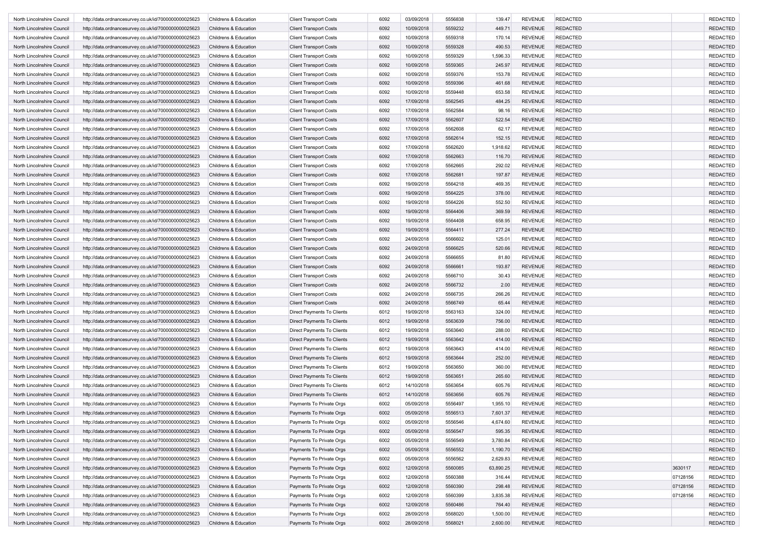| North Lincolnshire Council | http://data.ordnancesurvey.co.uk/id/7000000000025623 | Childrens & Education | <b>Client Transport Costs</b> | 6092 | 03/09/2018 | 5556838 | 139.47    | <b>REVENUE</b> | <b>REDACTED</b> |          | <b>REDACTED</b> |
|----------------------------|------------------------------------------------------|-----------------------|-------------------------------|------|------------|---------|-----------|----------------|-----------------|----------|-----------------|
| North Lincolnshire Council | http://data.ordnancesurvey.co.uk/id/7000000000025623 | Childrens & Education | <b>Client Transport Costs</b> | 6092 | 10/09/2018 | 5559232 | 449.71    | <b>REVENUE</b> | <b>REDACTED</b> |          | <b>REDACTED</b> |
| North Lincolnshire Council | http://data.ordnancesurvey.co.uk/id/7000000000025623 | Childrens & Education | <b>Client Transport Costs</b> | 6092 | 10/09/2018 | 5559318 | 170.14    | <b>REVENUE</b> | <b>REDACTED</b> |          | <b>REDACTED</b> |
| North Lincolnshire Council | http://data.ordnancesurvey.co.uk/id/7000000000025623 | Childrens & Education | <b>Client Transport Costs</b> | 6092 | 10/09/2018 | 5559328 | 490.53    | <b>REVENUE</b> | <b>REDACTED</b> |          | <b>REDACTED</b> |
| North Lincolnshire Council | http://data.ordnancesurvey.co.uk/id/7000000000025623 | Childrens & Education | <b>Client Transport Costs</b> | 6092 | 10/09/2018 | 5559329 | 1,596.33  | <b>REVENUE</b> | <b>REDACTED</b> |          | <b>REDACTED</b> |
| North Lincolnshire Council | http://data.ordnancesurvey.co.uk/id/7000000000025623 | Childrens & Education | <b>Client Transport Costs</b> | 6092 | 10/09/2018 | 5559365 | 245.97    | <b>REVENUE</b> | <b>REDACTED</b> |          | <b>REDACTED</b> |
| North Lincolnshire Council | http://data.ordnancesurvey.co.uk/id/7000000000025623 | Childrens & Education | <b>Client Transport Costs</b> | 6092 | 10/09/2018 | 5559376 | 153.78    | <b>REVENUE</b> | <b>REDACTED</b> |          | <b>REDACTED</b> |
| North Lincolnshire Council | http://data.ordnancesurvey.co.uk/id/7000000000025623 | Childrens & Education | <b>Client Transport Costs</b> | 6092 | 10/09/2018 | 5559396 | 461.68    | <b>REVENUE</b> | <b>REDACTED</b> |          | <b>REDACTED</b> |
| North Lincolnshire Council | http://data.ordnancesurvey.co.uk/id/7000000000025623 | Childrens & Education | <b>Client Transport Costs</b> | 6092 | 10/09/2018 | 5559448 | 653.58    | <b>REVENUE</b> | <b>REDACTED</b> |          | <b>REDACTED</b> |
| North Lincolnshire Council | http://data.ordnancesurvey.co.uk/id/7000000000025623 | Childrens & Education | <b>Client Transport Costs</b> | 6092 | 17/09/2018 | 5562545 | 484.25    | <b>REVENUE</b> | <b>REDACTED</b> |          | <b>REDACTED</b> |
| North Lincolnshire Council | http://data.ordnancesurvey.co.uk/id/7000000000025623 | Childrens & Education | <b>Client Transport Costs</b> | 6092 | 17/09/2018 | 5562584 | 98.16     | <b>REVENUE</b> | <b>REDACTED</b> |          | <b>REDACTED</b> |
| North Lincolnshire Council |                                                      | Childrens & Education |                               | 6092 | 17/09/2018 | 5562607 | 522.54    | <b>REVENUE</b> | <b>REDACTED</b> |          | <b>REDACTED</b> |
|                            | http://data.ordnancesurvey.co.uk/id/7000000000025623 |                       | <b>Client Transport Costs</b> | 6092 | 17/09/2018 | 5562608 |           | <b>REVENUE</b> | <b>REDACTED</b> |          |                 |
| North Lincolnshire Council | http://data.ordnancesurvey.co.uk/id/7000000000025623 | Childrens & Education | <b>Client Transport Costs</b> |      |            |         | 62.17     |                |                 |          | <b>REDACTED</b> |
| North Lincolnshire Council | http://data.ordnancesurvey.co.uk/id/7000000000025623 | Childrens & Education | <b>Client Transport Costs</b> | 6092 | 17/09/2018 | 5562614 | 152.15    | <b>REVENUE</b> | <b>REDACTED</b> |          | <b>REDACTED</b> |
| North Lincolnshire Council | http://data.ordnancesurvey.co.uk/id/7000000000025623 | Childrens & Education | <b>Client Transport Costs</b> | 6092 | 17/09/2018 | 5562620 | 1,918.62  | <b>REVENUE</b> | <b>REDACTED</b> |          | <b>REDACTED</b> |
| North Lincolnshire Council | http://data.ordnancesurvey.co.uk/id/7000000000025623 | Childrens & Education | <b>Client Transport Costs</b> | 6092 | 17/09/2018 | 5562663 | 116.70    | <b>REVENUE</b> | <b>REDACTED</b> |          | <b>REDACTED</b> |
| North Lincolnshire Council | http://data.ordnancesurvey.co.uk/id/7000000000025623 | Childrens & Education | <b>Client Transport Costs</b> | 6092 | 17/09/2018 | 5562665 | 292.02    | <b>REVENUE</b> | <b>REDACTED</b> |          | <b>REDACTED</b> |
| North Lincolnshire Council | http://data.ordnancesurvey.co.uk/id/7000000000025623 | Childrens & Education | <b>Client Transport Costs</b> | 6092 | 17/09/2018 | 5562681 | 197.87    | <b>REVENUE</b> | <b>REDACTED</b> |          | <b>REDACTED</b> |
| North Lincolnshire Council | http://data.ordnancesurvey.co.uk/id/7000000000025623 | Childrens & Education | <b>Client Transport Costs</b> | 6092 | 19/09/2018 | 5564218 | 469.35    | <b>REVENUE</b> | <b>REDACTED</b> |          | <b>REDACTED</b> |
| North Lincolnshire Council | http://data.ordnancesurvey.co.uk/id/7000000000025623 | Childrens & Education | <b>Client Transport Costs</b> | 6092 | 19/09/2018 | 5564225 | 378.00    | <b>REVENUE</b> | <b>REDACTED</b> |          | <b>REDACTED</b> |
| North Lincolnshire Council | http://data.ordnancesurvey.co.uk/id/7000000000025623 | Childrens & Education | <b>Client Transport Costs</b> | 6092 | 19/09/2018 | 5564226 | 552.50    | <b>REVENUE</b> | <b>REDACTED</b> |          | <b>REDACTED</b> |
| North Lincolnshire Council | http://data.ordnancesurvey.co.uk/id/7000000000025623 | Childrens & Education | <b>Client Transport Costs</b> | 6092 | 19/09/2018 | 5564406 | 369.59    | <b>REVENUE</b> | <b>REDACTED</b> |          | <b>REDACTED</b> |
| North Lincolnshire Council | http://data.ordnancesurvey.co.uk/id/7000000000025623 | Childrens & Education | <b>Client Transport Costs</b> | 6092 | 19/09/2018 | 5564408 | 658.95    | <b>REVENUE</b> | <b>REDACTED</b> |          | <b>REDACTED</b> |
| North Lincolnshire Council | http://data.ordnancesurvey.co.uk/id/7000000000025623 | Childrens & Education | <b>Client Transport Costs</b> | 6092 | 19/09/2018 | 5564411 | 277.24    | <b>REVENUE</b> | <b>REDACTED</b> |          | <b>REDACTED</b> |
| North Lincolnshire Council | http://data.ordnancesurvey.co.uk/id/7000000000025623 | Childrens & Education | <b>Client Transport Costs</b> | 6092 | 24/09/2018 | 5566602 | 125.01    | <b>REVENUE</b> | <b>REDACTED</b> |          | <b>REDACTED</b> |
| North Lincolnshire Council | http://data.ordnancesurvey.co.uk/id/7000000000025623 | Childrens & Education | <b>Client Transport Costs</b> | 6092 | 24/09/2018 | 5566625 | 520.66    | <b>REVENUE</b> | <b>REDACTED</b> |          | <b>REDACTED</b> |
| North Lincolnshire Council | http://data.ordnancesurvey.co.uk/id/7000000000025623 | Childrens & Education | <b>Client Transport Costs</b> | 6092 | 24/09/2018 | 5566655 | 81.80     | <b>REVENUE</b> | <b>REDACTED</b> |          | <b>REDACTED</b> |
| North Lincolnshire Council | http://data.ordnancesurvey.co.uk/id/7000000000025623 | Childrens & Education | <b>Client Transport Costs</b> | 6092 | 24/09/2018 | 5566661 | 193.87    | <b>REVENUE</b> | <b>REDACTED</b> |          | <b>REDACTED</b> |
| North Lincolnshire Council | http://data.ordnancesurvey.co.uk/id/7000000000025623 | Childrens & Education | <b>Client Transport Costs</b> | 6092 | 24/09/2018 | 5566710 | 30.43     | <b>REVENUE</b> | <b>REDACTED</b> |          | <b>REDACTED</b> |
| North Lincolnshire Council | http://data.ordnancesurvey.co.uk/id/7000000000025623 | Childrens & Education | <b>Client Transport Costs</b> | 6092 | 24/09/2018 | 5566732 | 2.00      | <b>REVENUE</b> | <b>REDACTED</b> |          | <b>REDACTED</b> |
| North Lincolnshire Council | http://data.ordnancesurvey.co.uk/id/7000000000025623 | Childrens & Education | <b>Client Transport Costs</b> | 6092 | 24/09/2018 | 5566735 | 266.26    | <b>REVENUE</b> | <b>REDACTED</b> |          | <b>REDACTED</b> |
| North Lincolnshire Council | http://data.ordnancesurvey.co.uk/id/7000000000025623 | Childrens & Education | <b>Client Transport Costs</b> | 6092 | 24/09/2018 | 5566749 | 65.44     | <b>REVENUE</b> | <b>REDACTED</b> |          | <b>REDACTED</b> |
| North Lincolnshire Council | http://data.ordnancesurvey.co.uk/id/7000000000025623 | Childrens & Education | Direct Payments To Clients    | 6012 | 19/09/2018 | 5563163 | 324.00    | <b>REVENUE</b> | <b>REDACTED</b> |          | <b>REDACTED</b> |
| North Lincolnshire Council | http://data.ordnancesurvey.co.uk/id/7000000000025623 | Childrens & Education | Direct Payments To Clients    | 6012 | 19/09/2018 | 5563639 | 756.00    | <b>REVENUE</b> | <b>REDACTED</b> |          | <b>REDACTED</b> |
| North Lincolnshire Council | http://data.ordnancesurvey.co.uk/id/7000000000025623 | Childrens & Education | Direct Payments To Clients    | 6012 | 19/09/2018 | 5563640 | 288.00    | <b>REVENUE</b> | <b>REDACTED</b> |          | <b>REDACTED</b> |
|                            |                                                      | Childrens & Education | Direct Payments To Clients    | 6012 | 19/09/2018 | 5563642 | 414.00    | <b>REVENUE</b> | <b>REDACTED</b> |          | <b>REDACTED</b> |
| North Lincolnshire Council | http://data.ordnancesurvey.co.uk/id/7000000000025623 |                       |                               |      |            |         |           | <b>REVENUE</b> |                 |          |                 |
| North Lincolnshire Council | http://data.ordnancesurvey.co.uk/id/7000000000025623 | Childrens & Education | Direct Payments To Clients    | 6012 | 19/09/2018 | 5563643 | 414.00    |                | <b>REDACTED</b> |          | <b>REDACTED</b> |
| North Lincolnshire Council | http://data.ordnancesurvey.co.uk/id/7000000000025623 | Childrens & Education | Direct Payments To Clients    | 6012 | 19/09/2018 | 5563644 | 252.00    | <b>REVENUE</b> | <b>REDACTED</b> |          | <b>REDACTED</b> |
| North Lincolnshire Council | http://data.ordnancesurvey.co.uk/id/7000000000025623 | Childrens & Education | Direct Payments To Clients    | 6012 | 19/09/2018 | 5563650 | 360.00    | <b>REVENUE</b> | <b>REDACTED</b> |          | <b>REDACTED</b> |
| North Lincolnshire Council | http://data.ordnancesurvey.co.uk/id/7000000000025623 | Childrens & Education | Direct Payments To Clients    | 6012 | 19/09/2018 | 5563651 | 265.60    | <b>REVENUE</b> | <b>REDACTED</b> |          | <b>REDACTED</b> |
| North Lincolnshire Council | http://data.ordnancesurvey.co.uk/id/7000000000025623 | Childrens & Education | Direct Payments To Clients    | 6012 | 14/10/2018 | 5563654 | 605.76    | <b>REVENUE</b> | <b>REDACTED</b> |          | <b>REDACTED</b> |
| North Lincolnshire Council | http://data.ordnancesurvey.co.uk/id/7000000000025623 | Childrens & Education | Direct Payments To Clients    | 6012 | 14/10/2018 | 5563656 | 605.76    | <b>REVENUE</b> | <b>REDACTED</b> |          | <b>REDACTED</b> |
| North Lincolnshire Council | http://data.ordnancesurvey.co.uk/id/7000000000025623 | Childrens & Education | Payments To Private Orgs      | 6002 | 05/09/2018 | 5556497 | 1,955.10  | <b>REVENUE</b> | <b>REDACTED</b> |          | <b>REDACTED</b> |
| North Lincolnshire Council | http://data.ordnancesurvey.co.uk/id/7000000000025623 | Childrens & Education | Payments To Private Orgs      | 6002 | 05/09/2018 | 5556513 | 7,601.37  | <b>REVENUE</b> | <b>REDACTED</b> |          | <b>REDACTED</b> |
| North Lincolnshire Council | http://data.ordnancesurvey.co.uk/id/7000000000025623 | Childrens & Education | Payments To Private Orgs      | 6002 | 05/09/2018 | 5556546 | 4,674.60  | REVENUE        | <b>REDACTED</b> |          | REDACTED        |
| North Lincolnshire Council | http://data.ordnancesurvey.co.uk/id/7000000000025623 | Childrens & Education | Payments To Private Orgs      | 6002 | 05/09/2018 | 5556547 | 595.35    | REVENUE        | <b>REDACTED</b> |          | <b>REDACTED</b> |
| North Lincolnshire Council | http://data.ordnancesurvey.co.uk/id/7000000000025623 | Childrens & Education | Payments To Private Orgs      | 6002 | 05/09/2018 | 5556549 | 3,780.84  | <b>REVENUE</b> | <b>REDACTED</b> |          | <b>REDACTED</b> |
| North Lincolnshire Council | http://data.ordnancesurvey.co.uk/id/7000000000025623 | Childrens & Education | Payments To Private Orgs      | 6002 | 05/09/2018 | 5556552 | 1,190.70  | <b>REVENUE</b> | <b>REDACTED</b> |          | <b>REDACTED</b> |
| North Lincolnshire Council | http://data.ordnancesurvey.co.uk/id/7000000000025623 | Childrens & Education | Payments To Private Orgs      | 6002 | 05/09/2018 | 5556562 | 2,629.83  | <b>REVENUE</b> | <b>REDACTED</b> |          | <b>REDACTED</b> |
| North Lincolnshire Council | http://data.ordnancesurvey.co.uk/id/7000000000025623 | Childrens & Education | Payments To Private Orgs      | 6002 | 12/09/2018 | 5560085 | 63,890.25 | <b>REVENUE</b> | <b>REDACTED</b> | 3630117  | <b>REDACTED</b> |
| North Lincolnshire Council | http://data.ordnancesurvey.co.uk/id/7000000000025623 | Childrens & Education | Payments To Private Orgs      | 6002 | 12/09/2018 | 5560388 | 316.44    | <b>REVENUE</b> | <b>REDACTED</b> | 07128156 | <b>REDACTED</b> |
| North Lincolnshire Council | http://data.ordnancesurvey.co.uk/id/7000000000025623 | Childrens & Education | Payments To Private Orgs      | 6002 | 12/09/2018 | 5560390 | 298.48    | <b>REVENUE</b> | <b>REDACTED</b> | 07128156 | <b>REDACTED</b> |
| North Lincolnshire Council | http://data.ordnancesurvey.co.uk/id/7000000000025623 | Childrens & Education | Payments To Private Orgs      | 6002 | 12/09/2018 | 5560399 | 3,835.38  | <b>REVENUE</b> | <b>REDACTED</b> | 07128156 | <b>REDACTED</b> |
| North Lincolnshire Council | http://data.ordnancesurvey.co.uk/id/7000000000025623 | Childrens & Education | Payments To Private Orgs      | 6002 | 12/09/2018 | 5560486 | 764.40    | <b>REVENUE</b> | <b>REDACTED</b> |          | <b>REDACTED</b> |
| North Lincolnshire Council | http://data.ordnancesurvey.co.uk/id/7000000000025623 | Childrens & Education | Payments To Private Orgs      | 6002 | 28/09/2018 | 5568020 | 1,500.00  | <b>REVENUE</b> | <b>REDACTED</b> |          | <b>REDACTED</b> |
| North Lincolnshire Council | http://data.ordnancesurvey.co.uk/id/7000000000025623 | Childrens & Education | Payments To Private Orgs      | 6002 | 28/09/2018 | 5568021 | 2,600.00  | REVENUE        | REDACTED        |          | <b>REDACTED</b> |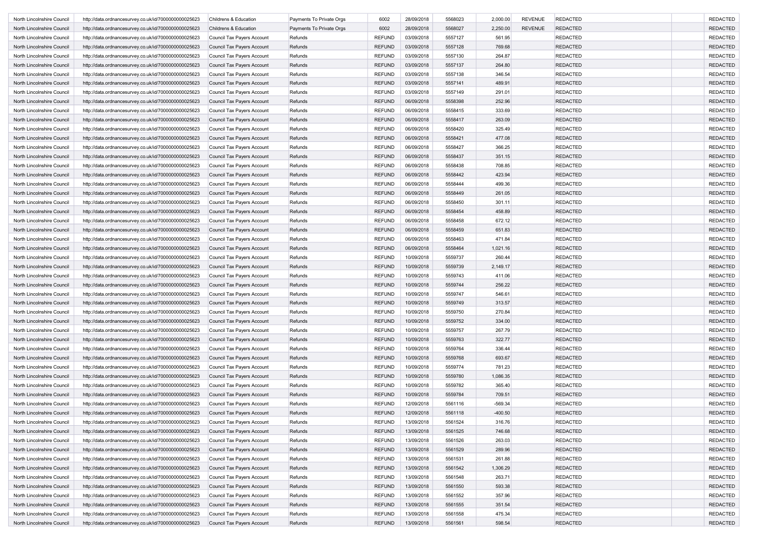| North Lincolnshire Council | http://data.ordnancesurvey.co.uk/id/7000000000025623 | Childrens & Education             | Payments To Private Orgs | 6002          | 28/09/2018 | 5568023 | 2,000.00  | <b>REVENUE</b> | <b>REDACTED</b> | <b>REDACTED</b> |
|----------------------------|------------------------------------------------------|-----------------------------------|--------------------------|---------------|------------|---------|-----------|----------------|-----------------|-----------------|
| North Lincolnshire Council | http://data.ordnancesurvey.co.uk/id/7000000000025623 | Childrens & Education             | Payments To Private Orgs | 6002          | 28/09/2018 | 5568027 | 2,250.00  | <b>REVENUE</b> | <b>REDACTED</b> | <b>REDACTED</b> |
| North Lincolnshire Council | http://data.ordnancesurvey.co.uk/id/7000000000025623 | Council Tax Payers Account        | Refunds                  | REFUND        | 03/09/2018 | 5557127 | 561.95    |                | <b>REDACTED</b> | <b>REDACTED</b> |
| North Lincolnshire Council | http://data.ordnancesurvey.co.uk/id/7000000000025623 | Council Tax Payers Account        | Refunds                  | <b>REFUND</b> | 03/09/2018 | 5557128 | 769.68    |                | <b>REDACTED</b> | <b>REDACTED</b> |
| North Lincolnshire Council | http://data.ordnancesurvey.co.uk/id/7000000000025623 | Council Tax Payers Account        | Refunds                  | <b>REFUND</b> | 03/09/2018 | 5557130 | 264.87    |                | <b>REDACTED</b> | <b>REDACTED</b> |
| North Lincolnshire Council | http://data.ordnancesurvey.co.uk/id/7000000000025623 | Council Tax Payers Account        | Refunds                  | <b>REFUND</b> | 03/09/2018 | 5557137 | 264.80    |                | <b>REDACTED</b> | <b>REDACTED</b> |
| North Lincolnshire Council | http://data.ordnancesurvey.co.uk/id/7000000000025623 | Council Tax Payers Account        | Refunds                  | <b>REFUND</b> | 03/09/2018 | 5557138 | 346.54    |                | <b>REDACTED</b> | <b>REDACTED</b> |
| North Lincolnshire Council | http://data.ordnancesurvey.co.uk/id/7000000000025623 | Council Tax Payers Account        | Refunds                  | <b>REFUND</b> | 03/09/2018 | 5557141 | 489.91    |                | <b>REDACTED</b> | <b>REDACTED</b> |
| North Lincolnshire Council | http://data.ordnancesurvey.co.uk/id/7000000000025623 | Council Tax Payers Account        | Refunds                  | <b>REFUND</b> | 03/09/2018 | 5557149 | 291.01    |                | <b>REDACTED</b> | <b>REDACTED</b> |
| North Lincolnshire Council | http://data.ordnancesurvey.co.uk/id/7000000000025623 | Council Tax Payers Account        | Refunds                  | <b>REFUND</b> | 06/09/2018 | 5558398 | 252.96    |                | <b>REDACTED</b> | <b>REDACTED</b> |
| North Lincolnshire Council | http://data.ordnancesurvey.co.uk/id/7000000000025623 | Council Tax Payers Account        | Refunds                  | REFUND        | 06/09/2018 | 5558415 | 333.69    |                | <b>REDACTED</b> | <b>REDACTED</b> |
| North Lincolnshire Council | http://data.ordnancesurvey.co.uk/id/7000000000025623 | Council Tax Payers Account        | Refunds                  | <b>REFUND</b> | 06/09/2018 | 5558417 | 263.09    |                | <b>REDACTED</b> | <b>REDACTED</b> |
| North Lincolnshire Council | http://data.ordnancesurvey.co.uk/id/7000000000025623 | Council Tax Payers Account        | Refunds                  | REFUND        | 06/09/2018 | 5558420 | 325.49    |                | <b>REDACTED</b> | <b>REDACTED</b> |
| North Lincolnshire Council | http://data.ordnancesurvey.co.uk/id/7000000000025623 | Council Tax Payers Account        | Refunds                  | <b>REFUND</b> | 06/09/2018 | 5558421 | 477.08    |                | <b>REDACTED</b> | <b>REDACTED</b> |
| North Lincolnshire Council | http://data.ordnancesurvey.co.uk/id/7000000000025623 | Council Tax Payers Account        | Refunds                  | <b>REFUND</b> | 06/09/2018 | 5558427 | 366.25    |                | <b>REDACTED</b> | <b>REDACTED</b> |
| North Lincolnshire Council | http://data.ordnancesurvey.co.uk/id/7000000000025623 | Council Tax Payers Account        | Refunds                  | <b>REFUND</b> | 06/09/2018 | 5558437 | 351.15    |                | <b>REDACTED</b> | <b>REDACTED</b> |
| North Lincolnshire Council | http://data.ordnancesurvey.co.uk/id/7000000000025623 | Council Tax Payers Account        | Refunds                  | REFUND        | 06/09/2018 | 5558438 | 708.85    |                | <b>REDACTED</b> | <b>REDACTED</b> |
| North Lincolnshire Council | http://data.ordnancesurvey.co.uk/id/7000000000025623 | Council Tax Payers Account        | Refunds                  | <b>REFUND</b> | 06/09/2018 | 5558442 | 423.94    |                | <b>REDACTED</b> | <b>REDACTED</b> |
|                            |                                                      |                                   | Refunds                  |               |            | 5558444 | 499.36    |                | <b>REDACTED</b> | <b>REDACTED</b> |
| North Lincolnshire Council | http://data.ordnancesurvey.co.uk/id/7000000000025623 | Council Tax Payers Account        |                          | REFUND        | 06/09/2018 |         |           |                |                 |                 |
| North Lincolnshire Council | http://data.ordnancesurvey.co.uk/id/7000000000025623 | Council Tax Payers Account        | Refunds                  | <b>REFUND</b> | 06/09/2018 | 5558449 | 261.05    |                | <b>REDACTED</b> | <b>REDACTED</b> |
| North Lincolnshire Council | http://data.ordnancesurvey.co.uk/id/7000000000025623 | Council Tax Payers Account        | Refunds                  | REFUND        | 06/09/2018 | 5558450 | 301.11    |                | <b>REDACTED</b> | <b>REDACTED</b> |
| North Lincolnshire Council | http://data.ordnancesurvey.co.uk/id/7000000000025623 | Council Tax Payers Account        | Refunds                  | <b>REFUND</b> | 06/09/2018 | 5558454 | 458.89    |                | <b>REDACTED</b> | <b>REDACTED</b> |
| North Lincolnshire Council | http://data.ordnancesurvey.co.uk/id/7000000000025623 | Council Tax Payers Account        | Refunds                  | <b>REFUND</b> | 06/09/2018 | 5558458 | 672.12    |                | <b>REDACTED</b> | <b>REDACTED</b> |
| North Lincolnshire Council | http://data.ordnancesurvey.co.uk/id/7000000000025623 | Council Tax Payers Account        | Refunds                  | <b>REFUND</b> | 06/09/2018 | 5558459 | 651.83    |                | <b>REDACTED</b> | <b>REDACTED</b> |
| North Lincolnshire Council | http://data.ordnancesurvey.co.uk/id/7000000000025623 | Council Tax Payers Account        | Refunds                  | REFUND        | 06/09/2018 | 5558463 | 471.84    |                | <b>REDACTED</b> | <b>REDACTED</b> |
| North Lincolnshire Council | http://data.ordnancesurvey.co.uk/id/7000000000025623 | Council Tax Payers Account        | Refunds                  | <b>REFUND</b> | 06/09/2018 | 5558464 | 1,021.16  |                | <b>REDACTED</b> | <b>REDACTED</b> |
| North Lincolnshire Council | http://data.ordnancesurvey.co.uk/id/7000000000025623 | Council Tax Payers Account        | Refunds                  | <b>REFUND</b> | 10/09/2018 | 5559737 | 260.44    |                | <b>REDACTED</b> | <b>REDACTED</b> |
| North Lincolnshire Council | http://data.ordnancesurvey.co.uk/id/7000000000025623 | Council Tax Payers Account        | Refunds                  | <b>REFUND</b> | 10/09/2018 | 5559739 | 2,149.17  |                | <b>REDACTED</b> | <b>REDACTED</b> |
| North Lincolnshire Council | http://data.ordnancesurvey.co.uk/id/7000000000025623 | Council Tax Payers Account        | Refunds                  | REFUND        | 10/09/2018 | 5559743 | 411.06    |                | <b>REDACTED</b> | <b>REDACTED</b> |
| North Lincolnshire Council | http://data.ordnancesurvey.co.uk/id/7000000000025623 | Council Tax Payers Account        | Refunds                  | <b>REFUND</b> | 10/09/2018 | 5559744 | 256.22    |                | <b>REDACTED</b> | <b>REDACTED</b> |
| North Lincolnshire Council | http://data.ordnancesurvey.co.uk/id/7000000000025623 | Council Tax Payers Account        | Refunds                  | REFUND        | 10/09/2018 | 5559747 | 546.61    |                | <b>REDACTED</b> | <b>REDACTED</b> |
| North Lincolnshire Council | http://data.ordnancesurvey.co.uk/id/7000000000025623 | Council Tax Payers Account        | Refunds                  | <b>REFUND</b> | 10/09/2018 | 5559749 | 313.57    |                | <b>REDACTED</b> | <b>REDACTED</b> |
| North Lincolnshire Council | http://data.ordnancesurvey.co.uk/id/7000000000025623 | Council Tax Payers Account        | Refunds                  | <b>REFUND</b> | 10/09/2018 | 5559750 | 270.84    |                | <b>REDACTED</b> | <b>REDACTED</b> |
| North Lincolnshire Council | http://data.ordnancesurvey.co.uk/id/7000000000025623 | Council Tax Payers Account        | Refunds                  | <b>REFUND</b> | 10/09/2018 | 5559752 | 334.00    |                | <b>REDACTED</b> | <b>REDACTED</b> |
| North Lincolnshire Council | http://data.ordnancesurvey.co.uk/id/7000000000025623 | Council Tax Payers Account        | Refunds                  | REFUND        | 10/09/2018 | 5559757 | 267.79    |                | <b>REDACTED</b> | <b>REDACTED</b> |
| North Lincolnshire Council | http://data.ordnancesurvey.co.uk/id/7000000000025623 | Council Tax Payers Account        | Refunds                  | <b>REFUND</b> | 10/09/2018 | 5559763 | 322.77    |                | <b>REDACTED</b> | <b>REDACTED</b> |
| North Lincolnshire Council | http://data.ordnancesurvey.co.uk/id/7000000000025623 | Council Tax Payers Account        | Refunds                  | REFUND        | 10/09/2018 | 5559764 | 336.44    |                | <b>REDACTED</b> | <b>REDACTED</b> |
| North Lincolnshire Council | http://data.ordnancesurvey.co.uk/id/7000000000025623 | Council Tax Payers Account        | Refunds                  | <b>REFUND</b> | 10/09/2018 | 5559768 | 693.67    |                | <b>REDACTED</b> | <b>REDACTED</b> |
| North Lincolnshire Council | http://data.ordnancesurvey.co.uk/id/7000000000025623 | Council Tax Payers Account        | Refunds                  | <b>REFUND</b> | 10/09/2018 | 5559774 | 781.23    |                | <b>REDACTED</b> | <b>REDACTED</b> |
| North Lincolnshire Council | http://data.ordnancesurvey.co.uk/id/7000000000025623 | <b>Council Tax Payers Account</b> | Refunds                  | REFUND        | 10/09/2018 | 5559780 | 1,086.35  |                | <b>REDACTED</b> | <b>REDACTED</b> |
| North Lincolnshire Council | http://data.ordnancesurvey.co.uk/id/7000000000025623 | Council Tax Payers Account        | Refunds                  | <b>REFUND</b> | 10/09/2018 | 5559782 | 365.40    |                | <b>REDACTED</b> | <b>REDACTED</b> |
| North Lincolnshire Council | http://data.ordnancesurvey.co.uk/id/7000000000025623 | Council Tax Payers Account        | Refunds                  | REFUND        | 10/09/2018 | 5559784 | 709.51    |                | <b>REDACTED</b> | <b>REDACTED</b> |
| North Lincolnshire Council |                                                      | Council Tax Payers Account        | Refunds                  | <b>REFUND</b> | 12/09/2018 | 5561116 | $-569.34$ |                | <b>REDACTED</b> | <b>REDACTED</b> |
|                            | http://data.ordnancesurvey.co.uk/id/7000000000025623 |                                   |                          | <b>REFUND</b> |            |         |           |                |                 | <b>REDACTED</b> |
| North Lincolnshire Council | http://data.ordnancesurvey.co.uk/id/7000000000025623 | <b>Council Tax Payers Account</b> | Refunds                  |               | 12/09/2018 | 5561118 | $-400.50$ |                | <b>REDACTED</b> |                 |
| North Lincolnshire Counci  | http://data.ordnancesurvey.co.uk/id/7000000000025623 | Council Tax Payers Account        | Refunds                  | REFUND        | 13/09/2018 | 5561524 | 316.76    |                | REDACTED        | REDACTEL        |
| North Lincolnshire Council | http://data.ordnancesurvey.co.uk/id/7000000000025623 | Council Tax Payers Account        | Refunds                  | <b>REFUND</b> | 13/09/2018 | 5561525 | 746.68    |                | <b>REDACTED</b> | <b>REDACTED</b> |
| North Lincolnshire Council | http://data.ordnancesurvey.co.uk/id/7000000000025623 | Council Tax Payers Account        | Refunds                  | <b>REFUND</b> | 13/09/2018 | 5561526 | 263.03    |                | <b>REDACTED</b> | <b>REDACTED</b> |
| North Lincolnshire Council | http://data.ordnancesurvey.co.uk/id/7000000000025623 | Council Tax Payers Account        | Refunds                  | <b>REFUND</b> | 13/09/2018 | 5561529 | 289.96    |                | <b>REDACTED</b> | <b>REDACTED</b> |
| North Lincolnshire Council | http://data.ordnancesurvey.co.uk/id/7000000000025623 | Council Tax Payers Account        | Refunds                  | REFUND        | 13/09/2018 | 5561531 | 261.88    |                | REDACTED        | <b>REDACTED</b> |
| North Lincolnshire Council | http://data.ordnancesurvey.co.uk/id/7000000000025623 | Council Tax Payers Account        | Refunds                  | <b>REFUND</b> | 13/09/2018 | 5561542 | 1,306.29  |                | <b>REDACTED</b> | <b>REDACTED</b> |
| North Lincolnshire Council | http://data.ordnancesurvey.co.uk/id/7000000000025623 | Council Tax Payers Account        | Refunds                  | REFUND        | 13/09/2018 | 5561548 | 263.71    |                | <b>REDACTED</b> | <b>REDACTED</b> |
| North Lincolnshire Council | http://data.ordnancesurvey.co.uk/id/7000000000025623 | Council Tax Payers Account        | Refunds                  | <b>REFUND</b> | 13/09/2018 | 5561550 | 593.38    |                | <b>REDACTED</b> | <b>REDACTED</b> |
| North Lincolnshire Council | http://data.ordnancesurvey.co.uk/id/7000000000025623 | Council Tax Payers Account        | Refunds                  | <b>REFUND</b> | 13/09/2018 | 5561552 | 357.96    |                | <b>REDACTED</b> | <b>REDACTED</b> |
| North Lincolnshire Council | http://data.ordnancesurvey.co.uk/id/7000000000025623 | Council Tax Payers Account        | Refunds                  | <b>REFUND</b> | 13/09/2018 | 5561555 | 351.54    |                | <b>REDACTED</b> | <b>REDACTED</b> |
| North Lincolnshire Council | http://data.ordnancesurvey.co.uk/id/7000000000025623 | Council Tax Payers Account        | Refunds                  | <b>REFUND</b> | 13/09/2018 | 5561558 | 475.34    |                | <b>REDACTED</b> | <b>REDACTED</b> |
| North Lincolnshire Council | http://data.ordnancesurvey.co.uk/id/7000000000025623 | Council Tax Payers Account        | Refunds                  | <b>REFUND</b> | 13/09/2018 | 5561561 | 598.54    |                | <b>REDACTED</b> | <b>REDACTED</b> |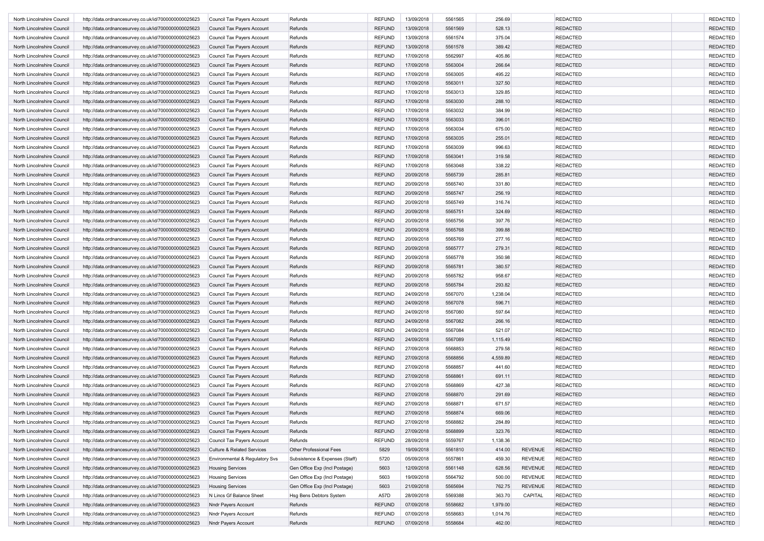| North Lincolnshire Council                               | http://data.ordnancesurvey.co.uk/id/7000000000025623                                                         | Council Tax Payers Account            | Refunds                        | <b>REFUND</b> | 13/09/2018 | 5561565 | 256.69   |                                  | <b>REDACTED</b>                    | <b>REDACTED</b>                    |
|----------------------------------------------------------|--------------------------------------------------------------------------------------------------------------|---------------------------------------|--------------------------------|---------------|------------|---------|----------|----------------------------------|------------------------------------|------------------------------------|
| North Lincolnshire Council                               | http://data.ordnancesurvey.co.uk/id/7000000000025623                                                         | Council Tax Payers Account            | Refunds                        | <b>REFUND</b> | 13/09/2018 | 5561569 | 528.13   |                                  | <b>REDACTED</b>                    | <b>REDACTED</b>                    |
| North Lincolnshire Council                               | http://data.ordnancesurvey.co.uk/id/7000000000025623                                                         | Council Tax Payers Account            | Refunds                        | <b>REFUND</b> | 13/09/2018 | 5561574 | 375.04   |                                  | <b>REDACTED</b>                    | <b>REDACTED</b>                    |
| North Lincolnshire Council                               | http://data.ordnancesurvey.co.uk/id/7000000000025623                                                         | Council Tax Payers Account            | Refunds                        | <b>REFUND</b> | 13/09/2018 | 5561578 | 389.42   |                                  | <b>REDACTED</b>                    | <b>REDACTED</b>                    |
| North Lincolnshire Council                               | http://data.ordnancesurvey.co.uk/id/7000000000025623                                                         | Council Tax Payers Account            | Refunds                        | REFUND        | 17/09/2018 | 5562997 | 405.86   |                                  | <b>REDACTED</b>                    | <b>REDACTED</b>                    |
| North Lincolnshire Council                               | http://data.ordnancesurvey.co.uk/id/7000000000025623                                                         | Council Tax Payers Account            | Refunds                        | <b>REFUND</b> | 17/09/2018 | 5563004 | 266.64   |                                  | <b>REDACTED</b>                    | <b>REDACTED</b>                    |
| North Lincolnshire Council                               | http://data.ordnancesurvey.co.uk/id/7000000000025623                                                         | Council Tax Payers Account            | Refunds                        | <b>REFUND</b> | 17/09/2018 | 5563005 | 495.22   |                                  | <b>REDACTED</b>                    | <b>REDACTED</b>                    |
| North Lincolnshire Council                               | http://data.ordnancesurvey.co.uk/id/7000000000025623                                                         | Council Tax Payers Account            | Refunds                        | <b>REFUND</b> | 17/09/2018 | 5563011 | 327.50   |                                  | <b>REDACTED</b>                    | <b>REDACTED</b>                    |
| North Lincolnshire Council                               | http://data.ordnancesurvey.co.uk/id/7000000000025623                                                         | Council Tax Payers Account            | Refunds                        | <b>REFUND</b> | 17/09/2018 | 5563013 | 329.85   |                                  | <b>REDACTED</b>                    | <b>REDACTED</b>                    |
| North Lincolnshire Council                               | http://data.ordnancesurvey.co.uk/id/7000000000025623                                                         | Council Tax Payers Account            | Refunds                        | <b>REFUND</b> | 17/09/2018 | 5563030 | 288.10   |                                  | <b>REDACTED</b>                    | <b>REDACTED</b>                    |
| North Lincolnshire Council                               | http://data.ordnancesurvey.co.uk/id/7000000000025623                                                         | Council Tax Payers Account            | Refunds                        | <b>REFUND</b> | 17/09/2018 | 5563032 | 384.99   |                                  | <b>REDACTED</b>                    | <b>REDACTED</b>                    |
| North Lincolnshire Council                               | http://data.ordnancesurvey.co.uk/id/7000000000025623                                                         | Council Tax Payers Account            | Refunds                        | <b>REFUND</b> | 17/09/2018 | 5563033 | 396.01   |                                  | <b>REDACTED</b>                    | <b>REDACTED</b>                    |
| North Lincolnshire Council                               | http://data.ordnancesurvey.co.uk/id/7000000000025623                                                         | Council Tax Payers Account            | Refunds                        | <b>REFUND</b> | 17/09/2018 | 5563034 | 675.00   |                                  | <b>REDACTED</b>                    | <b>REDACTED</b>                    |
| North Lincolnshire Council                               | http://data.ordnancesurvey.co.uk/id/7000000000025623                                                         | Council Tax Payers Account            | Refunds                        | <b>REFUND</b> | 17/09/2018 | 5563035 | 255.01   |                                  | <b>REDACTED</b>                    | <b>REDACTED</b>                    |
| North Lincolnshire Council                               | http://data.ordnancesurvey.co.uk/id/7000000000025623                                                         | Council Tax Payers Account            | Refunds                        | <b>REFUND</b> | 17/09/2018 | 5563039 | 996.63   |                                  | <b>REDACTED</b>                    | <b>REDACTED</b>                    |
| North Lincolnshire Council                               |                                                                                                              |                                       | Refunds                        |               | 17/09/2018 | 5563041 | 319.58   |                                  | <b>REDACTED</b>                    | <b>REDACTED</b>                    |
|                                                          | http://data.ordnancesurvey.co.uk/id/7000000000025623                                                         | Council Tax Payers Account            |                                | <b>REFUND</b> |            |         |          |                                  |                                    |                                    |
| North Lincolnshire Council                               | http://data.ordnancesurvey.co.uk/id/7000000000025623                                                         | Council Tax Payers Account            | Refunds                        | <b>REFUND</b> | 17/09/2018 | 5563048 | 338.22   |                                  | <b>REDACTED</b>                    | <b>REDACTED</b>                    |
| North Lincolnshire Council                               | http://data.ordnancesurvey.co.uk/id/7000000000025623                                                         | Council Tax Payers Account            | Refunds                        | <b>REFUND</b> | 20/09/2018 | 5565739 | 285.81   |                                  | <b>REDACTED</b>                    | <b>REDACTED</b>                    |
| North Lincolnshire Council                               | http://data.ordnancesurvey.co.uk/id/7000000000025623                                                         | Council Tax Payers Account            | Refunds                        | <b>REFUND</b> | 20/09/2018 | 5565740 | 331.80   |                                  | <b>REDACTED</b>                    | <b>REDACTED</b>                    |
| North Lincolnshire Council                               | http://data.ordnancesurvey.co.uk/id/7000000000025623                                                         | Council Tax Payers Account            | Refunds                        | <b>REFUND</b> | 20/09/2018 | 5565747 | 256.19   |                                  | <b>REDACTED</b>                    | <b>REDACTED</b>                    |
| North Lincolnshire Council                               | http://data.ordnancesurvey.co.uk/id/7000000000025623                                                         | Council Tax Payers Account            | Refunds                        | <b>REFUND</b> | 20/09/2018 | 5565749 | 316.74   |                                  | <b>REDACTED</b>                    | <b>REDACTED</b>                    |
| North Lincolnshire Council                               | http://data.ordnancesurvey.co.uk/id/7000000000025623                                                         | Council Tax Payers Account            | Refunds                        | <b>REFUND</b> | 20/09/2018 | 5565751 | 324.69   |                                  | <b>REDACTED</b>                    | <b>REDACTED</b>                    |
| North Lincolnshire Council                               | http://data.ordnancesurvey.co.uk/id/7000000000025623                                                         | Council Tax Payers Account            | Refunds                        | REFUND        | 20/09/2018 | 5565756 | 397.76   |                                  | <b>REDACTED</b>                    | <b>REDACTED</b>                    |
| North Lincolnshire Council                               | http://data.ordnancesurvey.co.uk/id/7000000000025623                                                         | Council Tax Payers Account            | Refunds                        | <b>REFUND</b> | 20/09/2018 | 5565768 | 399.88   |                                  | <b>REDACTED</b>                    | <b>REDACTED</b>                    |
| North Lincolnshire Council                               | http://data.ordnancesurvey.co.uk/id/7000000000025623                                                         | Council Tax Payers Account            | Refunds                        | <b>REFUND</b> | 20/09/2018 | 5565769 | 277.16   |                                  | <b>REDACTED</b>                    | <b>REDACTED</b>                    |
| North Lincolnshire Council                               | http://data.ordnancesurvey.co.uk/id/7000000000025623                                                         | Council Tax Payers Account            | Refunds                        | <b>REFUND</b> | 20/09/2018 | 5565777 | 279.31   |                                  | <b>REDACTED</b>                    | <b>REDACTED</b>                    |
| North Lincolnshire Council                               | http://data.ordnancesurvey.co.uk/id/7000000000025623                                                         | Council Tax Payers Account            | Refunds                        | REFUND        | 20/09/2018 | 5565778 | 350.98   |                                  | <b>REDACTED</b>                    | <b>REDACTED</b>                    |
| North Lincolnshire Council                               | http://data.ordnancesurvey.co.uk/id/7000000000025623                                                         | Council Tax Payers Account            | Refunds                        | <b>REFUND</b> | 20/09/2018 | 5565781 | 380.57   |                                  | <b>REDACTED</b>                    | <b>REDACTED</b>                    |
| North Lincolnshire Council                               | http://data.ordnancesurvey.co.uk/id/7000000000025623                                                         | Council Tax Payers Account            | Refunds                        | <b>REFUND</b> | 20/09/2018 | 5565782 | 958.67   |                                  | <b>REDACTED</b>                    | <b>REDACTED</b>                    |
| North Lincolnshire Council                               | http://data.ordnancesurvey.co.uk/id/7000000000025623                                                         | Council Tax Payers Account            | Refunds                        | <b>REFUND</b> | 20/09/2018 | 5565784 | 293.82   |                                  | <b>REDACTED</b>                    | <b>REDACTED</b>                    |
| North Lincolnshire Council                               | http://data.ordnancesurvey.co.uk/id/7000000000025623                                                         | Council Tax Payers Account            | Refunds                        | <b>REFUND</b> | 24/09/2018 | 5567070 | 1,238.04 |                                  | <b>REDACTED</b>                    | <b>REDACTED</b>                    |
| North Lincolnshire Council                               | http://data.ordnancesurvey.co.uk/id/7000000000025623                                                         | Council Tax Payers Account            | Refunds                        | <b>REFUND</b> | 24/09/2018 | 5567078 | 596.71   |                                  | <b>REDACTED</b>                    | <b>REDACTED</b>                    |
| North Lincolnshire Council                               | http://data.ordnancesurvey.co.uk/id/7000000000025623                                                         | Council Tax Payers Account            | Refunds                        | REFUND        | 24/09/2018 | 5567080 | 597.64   |                                  | <b>REDACTED</b>                    | <b>REDACTED</b>                    |
| North Lincolnshire Council                               | http://data.ordnancesurvey.co.uk/id/7000000000025623                                                         | Council Tax Payers Account            | Refunds                        | <b>REFUND</b> | 24/09/2018 | 5567082 | 266.16   |                                  | <b>REDACTED</b>                    | <b>REDACTED</b>                    |
| North Lincolnshire Council                               | http://data.ordnancesurvey.co.uk/id/7000000000025623                                                         | Council Tax Payers Account            | Refunds                        | <b>REFUND</b> | 24/09/2018 | 5567084 | 521.07   |                                  | <b>REDACTED</b>                    | <b>REDACTED</b>                    |
| North Lincolnshire Council                               | http://data.ordnancesurvey.co.uk/id/7000000000025623                                                         | Council Tax Payers Account            | Refunds                        | <b>REFUND</b> | 24/09/2018 | 5567089 | 1,115.49 |                                  | <b>REDACTED</b>                    | <b>REDACTED</b>                    |
| North Lincolnshire Council                               | http://data.ordnancesurvey.co.uk/id/7000000000025623                                                         | Council Tax Payers Account            | Refunds                        | <b>REFUND</b> | 27/09/2018 | 5568853 | 279.58   |                                  | <b>REDACTED</b>                    | <b>REDACTED</b>                    |
| North Lincolnshire Council                               | http://data.ordnancesurvey.co.uk/id/7000000000025623                                                         | Council Tax Payers Account            | Refunds                        | <b>REFUND</b> | 27/09/2018 | 5568856 | 4,559.89 |                                  | <b>REDACTED</b>                    | <b>REDACTED</b>                    |
| North Lincolnshire Council                               | http://data.ordnancesurvey.co.uk/id/7000000000025623                                                         | Council Tax Payers Account            | Refunds                        | <b>REFUND</b> | 27/09/2018 | 5568857 | 441.60   |                                  | <b>REDACTED</b>                    | <b>REDACTED</b>                    |
| North Lincolnshire Council                               | http://data.ordnancesurvey.co.uk/id/7000000000025623                                                         | Council Tax Payers Account            | Refunds                        | <b>REFUND</b> | 27/09/2018 | 5568861 | 691.11   |                                  | <b>REDACTED</b>                    | <b>REDACTED</b>                    |
| North Lincolnshire Council                               | http://data.ordnancesurvey.co.uk/id/7000000000025623                                                         | Council Tax Payers Account            | Refunds                        | REFUND        | 27/09/2018 | 5568869 | 427.38   |                                  | <b>REDACTED</b>                    | <b>REDACTED</b>                    |
| North Lincolnshire Council                               | http://data.ordnancesurvey.co.uk/id/7000000000025623                                                         | Council Tax Payers Account            | Refunds                        | <b>REFUND</b> | 27/09/2018 | 5568870 | 291.69   |                                  | <b>REDACTED</b>                    | <b>REDACTED</b>                    |
| North Lincolnshire Council                               | http://data.ordnancesurvey.co.uk/id/7000000000025623                                                         | Council Tax Payers Account            | Refunds                        | <b>REFUND</b> | 27/09/2018 | 5568871 | 671.57   |                                  | <b>REDACTED</b>                    | <b>REDACTED</b>                    |
| North Lincolnshire Council                               | http://data.ordnancesurvey.co.uk/id/7000000000025623                                                         | Council Tax Payers Account            | Refunds                        | <b>REFUND</b> | 27/09/2018 | 5568874 | 669.06   |                                  | <b>REDACTED</b>                    | <b>REDACTED</b>                    |
| North Lincoinshire Council                               | http://data.ordnancesurvey.co.uk/id/7000000000025623                                                         | Council Tax Payers Account            | Refunds                        | <b>REFUND</b> | 27/09/2018 | 5568882 | 284.89   |                                  | REDACTED                           | REDACTED                           |
| North Lincolnshire Council                               | http://data.ordnancesurvey.co.uk/id/7000000000025623                                                         | Council Tax Payers Account            | Refunds                        | <b>REFUND</b> | 27/09/2018 | 5568899 | 323.76   |                                  | <b>REDACTED</b>                    | <b>REDACTED</b>                    |
| North Lincolnshire Council                               | http://data.ordnancesurvey.co.uk/id/7000000000025623                                                         | Council Tax Payers Account            | Refunds                        | <b>REFUND</b> | 28/09/2018 | 5559767 | 1,138.36 |                                  | <b>REDACTED</b>                    | <b>REDACTED</b>                    |
|                                                          |                                                                                                              |                                       |                                |               |            |         |          |                                  |                                    |                                    |
| North Lincolnshire Council<br>North Lincolnshire Council | http://data.ordnancesurvey.co.uk/id/7000000000025623<br>http://data.ordnancesurvey.co.uk/id/7000000000025623 | <b>Culture &amp; Related Services</b> | Other Professional Fees        | 5829          | 19/09/2018 | 5561810 | 414.00   | <b>REVENUE</b><br><b>REVENUE</b> | <b>REDACTED</b><br><b>REDACTED</b> | <b>REDACTED</b><br><b>REDACTED</b> |
|                                                          |                                                                                                              | Environmental & Regulatory Svs        | Subsistence & Expenses (Staff) | 5720          | 05/09/2018 | 5557861 | 459.30   |                                  |                                    |                                    |
| North Lincolnshire Council                               | http://data.ordnancesurvey.co.uk/id/7000000000025623                                                         | <b>Housing Services</b>               | Gen Office Exp (Incl Postage)  | 5603          | 12/09/2018 | 5561148 | 628.56   | <b>REVENUE</b>                   | <b>REDACTED</b>                    | <b>REDACTED</b>                    |
| North Lincolnshire Council                               | http://data.ordnancesurvey.co.uk/id/7000000000025623                                                         | <b>Housing Services</b>               | Gen Office Exp (Incl Postage)  | 5603          | 19/09/2018 | 5564792 | 500.00   | <b>REVENUE</b>                   | <b>REDACTED</b>                    | <b>REDACTED</b>                    |
| North Lincolnshire Council                               | http://data.ordnancesurvey.co.uk/id/7000000000025623                                                         | <b>Housing Services</b>               | Gen Office Exp (Incl Postage)  | 5603          | 21/09/2018 | 5565694 | 762.75   | <b>REVENUE</b>                   | <b>REDACTED</b>                    | <b>REDACTED</b>                    |
| North Lincolnshire Council                               | http://data.ordnancesurvey.co.uk/id/7000000000025623                                                         | N Lincs Gf Balance Sheet              | Hsg Bens Debtors System        | A57D          | 28/09/2018 | 5569388 | 363.70   | CAPITAL                          | <b>REDACTED</b>                    | <b>REDACTED</b>                    |
| North Lincolnshire Council                               | http://data.ordnancesurvey.co.uk/id/7000000000025623                                                         | <b>Nndr Payers Account</b>            | Refunds                        | <b>REFUND</b> | 07/09/2018 | 5558682 | 1,979.00 |                                  | <b>REDACTED</b>                    | <b>REDACTED</b>                    |
| North Lincolnshire Council                               | http://data.ordnancesurvey.co.uk/id/7000000000025623                                                         | Nndr Payers Account                   | Refunds                        | REFUND        | 07/09/2018 | 5558683 | 1,014.76 |                                  | <b>REDACTED</b>                    | <b>REDACTED</b>                    |
| North Lincolnshire Council                               | http://data.ordnancesurvey.co.uk/id/7000000000025623                                                         | Nndr Payers Account                   | Refunds                        | <b>REFUND</b> | 07/09/2018 | 5558684 | 462.00   |                                  | <b>REDACTED</b>                    | <b>REDACTED</b>                    |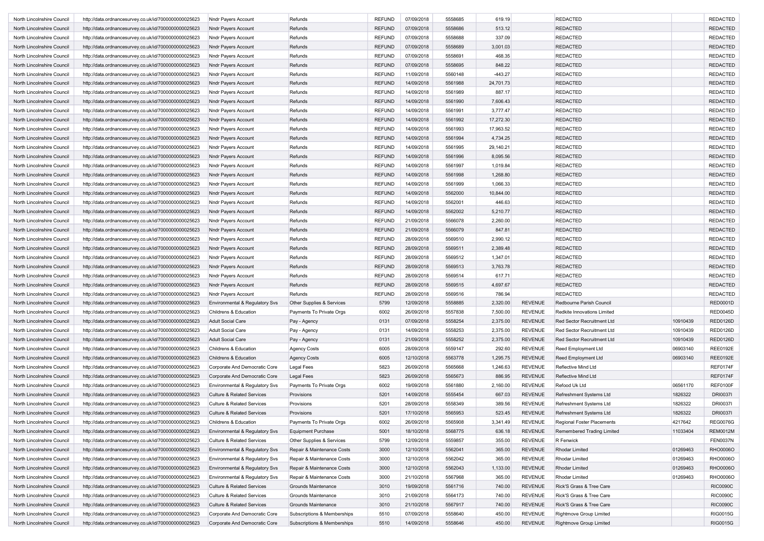| North Lincolnshire Council | http://data.ordnancesurvey.co.uk/id/7000000000025623 | Nndr Payers Account                   | Refunds                     | <b>REFUND</b> | 07/09/2018 | 5558685 | 619.19    |                | <b>REDACTED</b>                   |          | <b>REDACTED</b> |
|----------------------------|------------------------------------------------------|---------------------------------------|-----------------------------|---------------|------------|---------|-----------|----------------|-----------------------------------|----------|-----------------|
| North Lincolnshire Council | http://data.ordnancesurvey.co.uk/id/7000000000025623 | <b>Nndr Payers Account</b>            | Refunds                     | <b>REFUND</b> | 07/09/2018 | 5558686 | 513.12    |                | <b>REDACTED</b>                   |          | <b>REDACTED</b> |
| North Lincolnshire Council | http://data.ordnancesurvey.co.uk/id/7000000000025623 | Nndr Payers Account                   | Refunds                     | <b>REFUND</b> | 07/09/2018 | 5558688 | 337.09    |                | <b>REDACTED</b>                   |          | <b>REDACTED</b> |
| North Lincolnshire Council | http://data.ordnancesurvey.co.uk/id/7000000000025623 | <b>Nndr Payers Account</b>            | Refunds                     | <b>REFUND</b> | 07/09/2018 | 5558689 | 3,001.03  |                | <b>REDACTED</b>                   |          | <b>REDACTED</b> |
| North Lincolnshire Council | http://data.ordnancesurvey.co.uk/id/7000000000025623 | Nndr Payers Account                   | Refunds                     | REFUND        | 07/09/2018 | 5558691 | 468.35    |                | <b>REDACTED</b>                   |          | <b>REDACTED</b> |
| North Lincolnshire Council | http://data.ordnancesurvey.co.uk/id/7000000000025623 | <b>Nndr Payers Account</b>            | Refunds                     | <b>REFUND</b> | 07/09/2018 | 5558695 | 848.22    |                | <b>REDACTED</b>                   |          | <b>REDACTED</b> |
| North Lincolnshire Council | http://data.ordnancesurvey.co.uk/id/7000000000025623 | Nndr Payers Account                   | Refunds                     | <b>REFUND</b> | 11/09/2018 | 5560148 | $-443.27$ |                | <b>REDACTED</b>                   |          | <b>REDACTED</b> |
| North Lincolnshire Council | http://data.ordnancesurvey.co.uk/id/7000000000025623 | <b>Nndr Payers Account</b>            | Refunds                     | <b>REFUND</b> | 14/09/2018 | 5561988 | 24,701.73 |                | <b>REDACTED</b>                   |          | <b>REDACTED</b> |
| North Lincolnshire Council | http://data.ordnancesurvey.co.uk/id/7000000000025623 | Nndr Payers Account                   | Refunds                     | <b>REFUND</b> | 14/09/2018 | 5561989 | 887.17    |                | <b>REDACTED</b>                   |          | <b>REDACTED</b> |
| North Lincolnshire Council | http://data.ordnancesurvey.co.uk/id/7000000000025623 | <b>Nndr Payers Account</b>            | Refunds                     | <b>REFUND</b> | 14/09/2018 | 5561990 | 7,606.43  |                | <b>REDACTED</b>                   |          | <b>REDACTED</b> |
|                            |                                                      |                                       |                             |               | 14/09/2018 |         | 3,777.47  |                |                                   |          | <b>REDACTED</b> |
| North Lincolnshire Council | http://data.ordnancesurvey.co.uk/id/7000000000025623 | Nndr Payers Account                   | Refunds                     | <b>REFUND</b> |            | 5561991 |           |                | <b>REDACTED</b>                   |          |                 |
| North Lincolnshire Council | http://data.ordnancesurvey.co.uk/id/7000000000025623 | <b>Nndr Payers Account</b>            | Refunds                     | <b>REFUND</b> | 14/09/2018 | 5561992 | 17,272.30 |                | <b>REDACTED</b>                   |          | <b>REDACTED</b> |
| North Lincolnshire Council | http://data.ordnancesurvey.co.uk/id/7000000000025623 | Nndr Payers Account                   | Refunds                     | <b>REFUND</b> | 14/09/2018 | 5561993 | 17,963.52 |                | <b>REDACTED</b>                   |          | <b>REDACTED</b> |
| North Lincolnshire Council | http://data.ordnancesurvey.co.uk/id/7000000000025623 | <b>Nndr Payers Account</b>            | Refunds                     | <b>REFUND</b> | 14/09/2018 | 5561994 | 4,734.25  |                | <b>REDACTED</b>                   |          | <b>REDACTED</b> |
| North Lincolnshire Council | http://data.ordnancesurvey.co.uk/id/7000000000025623 | Nndr Payers Account                   | Refunds                     | <b>REFUND</b> | 14/09/2018 | 5561995 | 29,140.21 |                | <b>REDACTED</b>                   |          | <b>REDACTED</b> |
| North Lincolnshire Council | http://data.ordnancesurvey.co.uk/id/7000000000025623 | <b>Nndr Payers Account</b>            | Refunds                     | <b>REFUND</b> | 14/09/2018 | 5561996 | 8,095.56  |                | <b>REDACTED</b>                   |          | <b>REDACTED</b> |
| North Lincolnshire Council | http://data.ordnancesurvey.co.uk/id/7000000000025623 | Nndr Payers Account                   | Refunds                     | REFUND        | 14/09/2018 | 5561997 | 1,019.84  |                | <b>REDACTED</b>                   |          | <b>REDACTED</b> |
| North Lincolnshire Council | http://data.ordnancesurvey.co.uk/id/7000000000025623 | Nndr Payers Account                   | Refunds                     | <b>REFUND</b> | 14/09/2018 | 5561998 | 1,268.80  |                | <b>REDACTED</b>                   |          | <b>REDACTED</b> |
| North Lincolnshire Council | http://data.ordnancesurvey.co.uk/id/7000000000025623 | Nndr Payers Account                   | Refunds                     | <b>REFUND</b> | 14/09/2018 | 5561999 | 1,066.33  |                | <b>REDACTED</b>                   |          | <b>REDACTED</b> |
| North Lincolnshire Council | http://data.ordnancesurvey.co.uk/id/7000000000025623 | <b>Nndr Payers Account</b>            | Refunds                     | <b>REFUND</b> | 14/09/2018 | 5562000 | 10,844.00 |                | <b>REDACTED</b>                   |          | <b>REDACTED</b> |
| North Lincolnshire Council | http://data.ordnancesurvey.co.uk/id/7000000000025623 | Nndr Payers Account                   | Refunds                     | <b>REFUND</b> | 14/09/2018 | 5562001 | 446.63    |                | <b>REDACTED</b>                   |          | <b>REDACTED</b> |
| North Lincolnshire Council | http://data.ordnancesurvey.co.uk/id/7000000000025623 | Nndr Payers Account                   | Refunds                     | <b>REFUND</b> | 14/09/2018 | 5562002 | 5,210.77  |                | <b>REDACTED</b>                   |          | <b>REDACTED</b> |
| North Lincolnshire Council | http://data.ordnancesurvey.co.uk/id/7000000000025623 | Nndr Payers Account                   | Refunds                     | REFUND        | 21/09/2018 | 5566078 | 2,260.00  |                | <b>REDACTED</b>                   |          | <b>REDACTED</b> |
| North Lincolnshire Council | http://data.ordnancesurvey.co.uk/id/7000000000025623 | <b>Nndr Payers Account</b>            | Refunds                     | <b>REFUND</b> | 21/09/2018 | 5566079 | 847.81    |                | <b>REDACTED</b>                   |          | <b>REDACTED</b> |
| North Lincolnshire Council | http://data.ordnancesurvey.co.uk/id/7000000000025623 | Nndr Payers Account                   | Refunds                     | <b>REFUND</b> | 28/09/2018 | 5569510 | 2,990.12  |                | <b>REDACTED</b>                   |          | <b>REDACTED</b> |
| North Lincolnshire Council | http://data.ordnancesurvey.co.uk/id/7000000000025623 | <b>Nndr Payers Account</b>            | Refunds                     | <b>REFUND</b> | 28/09/2018 | 5569511 | 2,389.48  |                | <b>REDACTED</b>                   |          | <b>REDACTED</b> |
| North Lincolnshire Council | http://data.ordnancesurvey.co.uk/id/7000000000025623 | Nndr Payers Account                   | Refunds                     | REFUND        | 28/09/2018 | 5569512 | 1,347.01  |                | <b>REDACTED</b>                   |          | <b>REDACTED</b> |
| North Lincolnshire Council | http://data.ordnancesurvey.co.uk/id/7000000000025623 | Nndr Payers Account                   | Refunds                     | <b>REFUND</b> | 28/09/2018 | 5569513 | 3,763.78  |                | <b>REDACTED</b>                   |          | <b>REDACTED</b> |
| North Lincolnshire Council | http://data.ordnancesurvey.co.uk/id/7000000000025623 | Nndr Payers Account                   | Refunds                     | <b>REFUND</b> | 28/09/2018 | 5569514 | 617.71    |                | <b>REDACTED</b>                   |          | <b>REDACTED</b> |
| North Lincolnshire Council | http://data.ordnancesurvey.co.uk/id/7000000000025623 | Nndr Payers Account                   | Refunds                     | <b>REFUND</b> | 28/09/2018 | 5569515 | 4,697.67  |                | <b>REDACTED</b>                   |          | <b>REDACTED</b> |
| North Lincolnshire Council | http://data.ordnancesurvey.co.uk/id/7000000000025623 | Nndr Payers Account                   | Refunds                     | <b>REFUND</b> | 28/09/2018 | 5569516 | 786.94    |                | <b>REDACTED</b>                   |          | <b>REDACTED</b> |
| North Lincolnshire Council | http://data.ordnancesurvey.co.uk/id/7000000000025623 | Environmental & Regulatory Svs        | Other Supplies & Services   | 5799          | 12/09/2018 | 5558885 | 2,320.00  | <b>REVENUE</b> | Redbourne Parish Council          |          | <b>RED0001D</b> |
|                            |                                                      |                                       |                             |               | 26/09/2018 | 5557838 |           | <b>REVENUE</b> |                                   |          |                 |
| North Lincolnshire Council | http://data.ordnancesurvey.co.uk/id/7000000000025623 | Childrens & Education                 | Payments To Private Orgs    | 6002          |            |         | 7,500.00  |                | Redkite Innovations Limited       |          | <b>RED0045D</b> |
| North Lincolnshire Council | http://data.ordnancesurvey.co.uk/id/7000000000025623 | <b>Adult Social Care</b>              | Pay - Agency                | 0131          | 07/09/2018 | 5558254 | 2,375.00  | <b>REVENUE</b> | <b>Red Sector Recruitment Ltd</b> | 10910439 | <b>RED0126D</b> |
| North Lincolnshire Council | http://data.ordnancesurvey.co.uk/id/7000000000025623 | <b>Adult Social Care</b>              | Pay - Agency                | 0131          | 14/09/2018 | 5558253 | 2,375.00  | <b>REVENUE</b> | Red Sector Recruitment Ltd        | 10910439 | <b>RED0126D</b> |
| North Lincolnshire Council | http://data.ordnancesurvey.co.uk/id/7000000000025623 | <b>Adult Social Care</b>              | Pay - Agency                | 0131          | 21/09/2018 | 5558252 | 2,375.00  | <b>REVENUE</b> | Red Sector Recruitment Ltd        | 10910439 | RED0126D        |
| North Lincolnshire Council | http://data.ordnancesurvey.co.uk/id/7000000000025623 | Childrens & Education                 | <b>Agency Costs</b>         | 6005          | 28/09/2018 | 5559147 | 292.60    | <b>REVENUE</b> | <b>Reed Employment Ltd</b>        | 06903140 | <b>REE0192E</b> |
| North Lincolnshire Council | http://data.ordnancesurvey.co.uk/id/7000000000025623 | Childrens & Education                 | <b>Agency Costs</b>         | 6005          | 12/10/2018 | 5563778 | 1,295.75  | <b>REVENUE</b> | <b>Reed Employment Ltd</b>        | 06903140 | <b>REE0192E</b> |
| North Lincolnshire Council | http://data.ordnancesurvey.co.uk/id/7000000000025623 | Corporate And Democratic Core         | <b>Legal Fees</b>           | 5823          | 26/09/2018 | 5565668 | 1,246.63  | <b>REVENUE</b> | Reflective Mind Ltd               |          | REF0174F        |
| North Lincolnshire Council | http://data.ordnancesurvey.co.uk/id/7000000000025623 | Corporate And Democratic Core         | <b>Legal Fees</b>           | 5823          | 26/09/2018 | 5565673 | 886.95    | <b>REVENUE</b> | Reflective Mind Ltd               |          | <b>REF0174F</b> |
| North Lincolnshire Council | http://data.ordnancesurvey.co.uk/id/7000000000025623 | Environmental & Regulatory Svs        | Payments To Private Orgs    | 6002          | 19/09/2018 | 5561880 | 2,160.00  | <b>REVENUE</b> | Refood Uk Ltd                     | 06561170 | <b>REF0100F</b> |
| North Lincolnshire Council | http://data.ordnancesurvey.co.uk/id/7000000000025623 | <b>Culture &amp; Related Services</b> | Provisions                  | 5201          | 14/09/2018 | 5555454 | 667.03    | <b>REVENUE</b> | Refreshment Systems Ltd           | 1826322  | <b>DRI0037I</b> |
| North Lincolnshire Council | http://data.ordnancesurvey.co.uk/id/7000000000025623 | <b>Culture &amp; Related Services</b> | Provisions                  | 5201          | 28/09/2018 | 5558349 | 389.56    | <b>REVENUE</b> | Refreshment Systems Ltd           | 1826322  | <b>DRI00371</b> |
| North Lincolnshire Council | http://data.ordnancesurvey.co.uk/id/7000000000025623 | <b>Culture &amp; Related Services</b> | Provisions                  | 5201          | 17/10/2018 | 5565953 | 523.45    | <b>REVENUE</b> | Refreshment Systems Ltd           | 1826322  | <b>DRI00371</b> |
| North Lincolnshire Counci  | http://data.ordnancesurvey.co.uk/id/7000000000025623 | Childrens & Education                 | Payments To Private Orgs    | 6002          | 26/09/2018 | 5565908 | 3,341.49  | REVENUE        | Regional Foster Placements        | 4217642  | <b>REG0076G</b> |
| North Lincolnshire Council | http://data.ordnancesurvey.co.uk/id/7000000000025623 | Environmental & Regulatory Svs        | <b>Equipment Purchase</b>   | 5001          | 18/10/2018 | 5568775 | 636.18    | REVENUE        | Remembered Trading Limited        | 11033404 | <b>REM0012M</b> |
| North Lincolnshire Council | http://data.ordnancesurvey.co.uk/id/7000000000025623 | Culture & Related Services            | Other Supplies & Services   | 5799          | 12/09/2018 | 5559857 | 355.00    | <b>REVENUE</b> | R Fenwick                         |          | <b>FEN0037N</b> |
| North Lincolnshire Council | http://data.ordnancesurvey.co.uk/id/7000000000025623 | Environmental & Regulatory Svs        | Repair & Maintenance Costs  | 3000          | 12/10/2018 | 5562041 | 365.00    | <b>REVENUE</b> | Rhodar Limited                    | 01269463 | RHO0006O        |
| North Lincolnshire Council | http://data.ordnancesurvey.co.uk/id/7000000000025623 | Environmental & Regulatory Svs        | Repair & Maintenance Costs  | 3000          | 12/10/2018 | 5562042 | 365.00    | <b>REVENUE</b> | Rhodar Limited                    | 01269463 | RHO0006O        |
| North Lincolnshire Council | http://data.ordnancesurvey.co.uk/id/7000000000025623 | Environmental & Regulatory Svs        | Repair & Maintenance Costs  | 3000          | 12/10/2018 | 5562043 | 1,133.00  | <b>REVENUE</b> | Rhodar Limited                    | 01269463 | RHO0006O        |
| North Lincolnshire Council | http://data.ordnancesurvey.co.uk/id/7000000000025623 | Environmental & Regulatory Svs        | Repair & Maintenance Costs  | 3000          | 21/10/2018 | 5567968 | 365.00    | <b>REVENUE</b> | Rhodar Limited                    | 01269463 | RHO0006O        |
| North Lincolnshire Council | http://data.ordnancesurvey.co.uk/id/7000000000025623 | Culture & Related Services            | Grounds Maintenance         | 3010          | 19/09/2018 | 5561716 | 740.00    | <b>REVENUE</b> | Rick'S Grass & Tree Care          |          | <b>RIC0090C</b> |
| North Lincolnshire Council | http://data.ordnancesurvey.co.uk/id/7000000000025623 | <b>Culture &amp; Related Services</b> | Grounds Maintenance         | 3010          | 21/09/2018 | 5564173 | 740.00    | <b>REVENUE</b> | Rick'S Grass & Tree Care          |          | <b>RIC0090C</b> |
| North Lincolnshire Council | http://data.ordnancesurvey.co.uk/id/7000000000025623 | <b>Culture &amp; Related Services</b> | Grounds Maintenance         |               | 21/10/2018 | 5567917 |           | <b>REVENUE</b> | Rick'S Grass & Tree Care          |          | <b>RIC0090C</b> |
|                            |                                                      |                                       |                             | 3010          |            |         | 740.00    |                |                                   |          |                 |
| North Lincolnshire Council | http://data.ordnancesurvey.co.uk/id/7000000000025623 | Corporate And Democratic Core         | Subscriptions & Memberships | 5510          | 07/09/2018 | 5558640 | 450.00    | <b>REVENUE</b> | <b>Rightmove Group Limited</b>    |          | RIG0015G        |
| North Lincolnshire Council | http://data.ordnancesurvey.co.uk/id/7000000000025623 | Corporate And Democratic Core         | Subscriptions & Memberships | 5510          | 14/09/2018 | 5558646 | 450.00    | <b>REVENUE</b> | Rightmove Group Limited           |          | <b>RIG0015G</b> |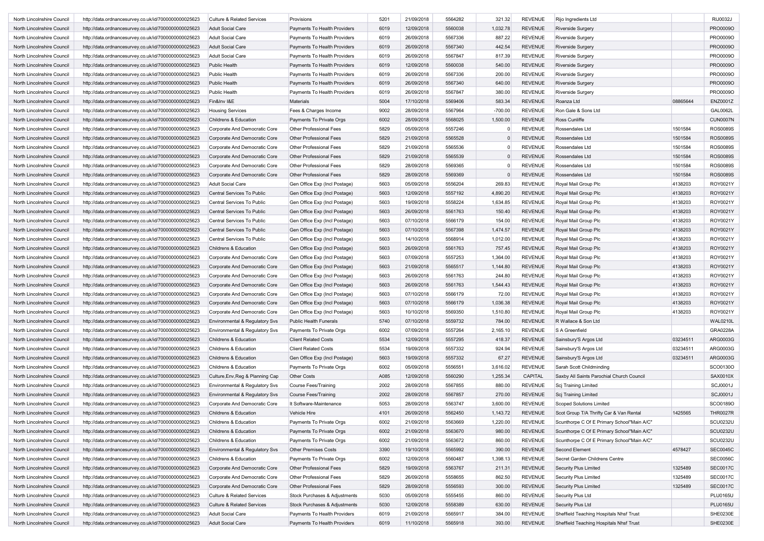| North Lincolnshire Council | http://data.ordnancesurvey.co.uk/id/7000000000025623 | <b>Culture &amp; Related Services</b>     | Provisions                     | 5201 | 21/09/2018 | 5564282 | 321.32      | <b>REVENUE</b> | Rijo Ingredients Ltd                       |          | RIJ0032J        |
|----------------------------|------------------------------------------------------|-------------------------------------------|--------------------------------|------|------------|---------|-------------|----------------|--------------------------------------------|----------|-----------------|
| North Lincolnshire Council | http://data.ordnancesurvey.co.uk/id/7000000000025623 | <b>Adult Social Care</b>                  | Payments To Health Providers   | 6019 | 12/09/2018 | 5560038 | 1,032.78    | <b>REVENUE</b> | Riverside Surgery                          |          | PRO0009O        |
| North Lincolnshire Council | http://data.ordnancesurvey.co.uk/id/7000000000025623 | <b>Adult Social Care</b>                  | Payments To Health Providers   | 6019 | 26/09/2018 | 5567336 | 887.22      | <b>REVENUE</b> | <b>Riverside Surgery</b>                   |          | PRO0009O        |
| North Lincolnshire Council | http://data.ordnancesurvey.co.uk/id/7000000000025623 | <b>Adult Social Care</b>                  | Payments To Health Providers   | 6019 | 26/09/2018 | 5567340 | 442.54      | <b>REVENUE</b> | <b>Riverside Surgery</b>                   |          | PRO0009O        |
| North Lincolnshire Council | http://data.ordnancesurvey.co.uk/id/7000000000025623 | Adult Social Care                         | Payments To Health Providers   | 6019 | 26/09/2018 | 5567847 | 817.39      | <b>REVENUE</b> | Riverside Surgery                          |          | PRO0009O        |
| North Lincolnshire Council | http://data.ordnancesurvey.co.uk/id/7000000000025623 | <b>Public Health</b>                      | Payments To Health Providers   | 6019 | 12/09/2018 | 5560038 | 540.00      | <b>REVENUE</b> | <b>Riverside Surgery</b>                   |          | PRO0009O        |
| North Lincolnshire Council | http://data.ordnancesurvey.co.uk/id/7000000000025623 | Public Health                             | Payments To Health Providers   | 6019 | 26/09/2018 | 5567336 | 200.00      | <b>REVENUE</b> | <b>Riverside Surgery</b>                   |          | PRO0009O        |
| North Lincolnshire Council | http://data.ordnancesurvey.co.uk/id/7000000000025623 | Public Health                             | Payments To Health Providers   | 6019 | 26/09/2018 | 5567340 | 640.00      | <b>REVENUE</b> | Riverside Surgery                          |          | PRO0009O        |
| North Lincolnshire Council | http://data.ordnancesurvey.co.uk/id/7000000000025623 | Public Health                             | Payments To Health Providers   | 6019 | 26/09/2018 | 5567847 | 380.00      | <b>REVENUE</b> | <b>Riverside Surgery</b>                   |          | PRO0009O        |
| North Lincolnshire Council | http://data.ordnancesurvey.co.uk/id/7000000000025623 | Fin&Inv I&E                               | Materials                      | 5004 | 17/10/2018 | 5569406 | 583.34      | <b>REVENUE</b> | Roanza Ltd                                 | 08865644 | ENZ0001Z        |
| North Lincolnshire Council | http://data.ordnancesurvey.co.uk/id/7000000000025623 | <b>Housing Services</b>                   | Fees & Charges Income          | 9002 | 28/09/2018 | 5567964 | $-700.00$   | <b>REVENUE</b> | Ron Gale & Sons Ltd                        |          | <b>GAL0062L</b> |
| North Lincolnshire Council | http://data.ordnancesurvey.co.uk/id/7000000000025623 | Childrens & Education                     | Payments To Private Orgs       | 6002 | 28/09/2018 | 5568025 | 1,500.00    | <b>REVENUE</b> | Ross Cunliffe                              |          | <b>CUN0007N</b> |
| North Lincolnshire Council | http://data.ordnancesurvey.co.uk/id/7000000000025623 | Corporate And Democratic Core             | Other Professional Fees        | 5829 | 05/09/2018 | 5557246 | $\Omega$    | <b>REVENUE</b> | Rossendales Ltd                            | 1501584  | <b>ROS0089S</b> |
| North Lincolnshire Council | http://data.ordnancesurvey.co.uk/id/7000000000025623 | Corporate And Democratic Core             | Other Professional Fees        | 5829 | 21/09/2018 | 5565528 | $\mathbf 0$ | <b>REVENUE</b> | Rossendales Ltd                            | 1501584  | <b>ROS0089S</b> |
| North Lincolnshire Council | http://data.ordnancesurvey.co.uk/id/7000000000025623 | Corporate And Democratic Core             | <b>Other Professional Fees</b> | 5829 | 21/09/2018 | 5565536 | $\Omega$    | <b>REVENUE</b> | Rossendales Ltd                            | 1501584  | <b>ROS0089S</b> |
| North Lincolnshire Council | http://data.ordnancesurvey.co.uk/id/7000000000025623 | Corporate And Democratic Core             | Other Professional Fees        | 5829 | 21/09/2018 | 5565539 | $\Omega$    | <b>REVENUE</b> | Rossendales Ltd                            | 1501584  | <b>ROS0089S</b> |
| North Lincolnshire Council | http://data.ordnancesurvey.co.uk/id/7000000000025623 | Corporate And Democratic Core             | Other Professional Fees        | 5829 | 28/09/2018 | 5569365 | $\Omega$    | <b>REVENUE</b> | Rossendales Ltd                            | 1501584  | <b>ROS0089S</b> |
| North Lincolnshire Council | http://data.ordnancesurvey.co.uk/id/7000000000025623 | Corporate And Democratic Core             | Other Professional Fees        | 5829 | 28/09/2018 | 5569369 |             | <b>REVENUE</b> | Rossendales Ltd                            | 1501584  | <b>ROS0089S</b> |
| North Lincolnshire Council | http://data.ordnancesurvey.co.uk/id/7000000000025623 | Adult Social Care                         | Gen Office Exp (Incl Postage)  | 5603 | 05/09/2018 | 5556204 | 269.83      | <b>REVENUE</b> | Royal Mail Group Plc                       | 4138203  | ROY0021Y        |
| North Lincolnshire Council | http://data.ordnancesurvey.co.uk/id/7000000000025623 | Central Services To Public                | Gen Office Exp (Incl Postage)  | 5603 | 12/09/2018 | 5557192 | 4,890.20    | <b>REVENUE</b> | Royal Mail Group Plc                       | 4138203  | ROY0021Y        |
| North Lincolnshire Council | http://data.ordnancesurvey.co.uk/id/7000000000025623 | Central Services To Public                | Gen Office Exp (Incl Postage)  | 5603 | 19/09/2018 | 5558224 | 1,634.85    | <b>REVENUE</b> | Royal Mail Group Plc                       | 4138203  | ROY0021Y        |
|                            |                                                      |                                           |                                |      | 26/09/2018 | 5561763 |             | <b>REVENUE</b> |                                            | 4138203  |                 |
| North Lincolnshire Council | http://data.ordnancesurvey.co.uk/id/7000000000025623 | Central Services To Public                | Gen Office Exp (Incl Postage)  | 5603 |            |         | 150.40      |                | Royal Mail Group Plc                       |          | ROY0021Y        |
| North Lincolnshire Council | http://data.ordnancesurvey.co.uk/id/7000000000025623 | Central Services To Public                | Gen Office Exp (Incl Postage)  | 5603 | 07/10/2018 | 5566179 | 154.00      | <b>REVENUE</b> | Royal Mail Group Plc                       | 4138203  | ROY0021Y        |
| North Lincolnshire Council | http://data.ordnancesurvey.co.uk/id/7000000000025623 | Central Services To Public                | Gen Office Exp (Incl Postage)  | 5603 | 07/10/2018 | 5567398 | 1,474.57    | <b>REVENUE</b> | Royal Mail Group Plc                       | 4138203  | ROY0021Y        |
| North Lincolnshire Council | http://data.ordnancesurvey.co.uk/id/7000000000025623 | Central Services To Public                | Gen Office Exp (Incl Postage)  | 5603 | 14/10/2018 | 5568914 | 1,012.00    | <b>REVENUE</b> | Royal Mail Group Plc                       | 4138203  | ROY0021Y        |
| North Lincolnshire Council | http://data.ordnancesurvey.co.uk/id/7000000000025623 | <b>Childrens &amp; Education</b>          | Gen Office Exp (Incl Postage)  | 5603 | 26/09/2018 | 5561763 | 757.45      | <b>REVENUE</b> | Royal Mail Group Plc                       | 4138203  | ROY0021Y        |
| North Lincolnshire Council | http://data.ordnancesurvey.co.uk/id/7000000000025623 | Corporate And Democratic Core             | Gen Office Exp (Incl Postage)  | 5603 | 07/09/2018 | 5557253 | 1,364.00    | <b>REVENUE</b> | Royal Mail Group Plc                       | 4138203  | ROY0021Y        |
| North Lincolnshire Council | http://data.ordnancesurvey.co.uk/id/7000000000025623 | Corporate And Democratic Core             | Gen Office Exp (Incl Postage)  | 5603 | 21/09/2018 | 5565517 | 1,144.80    | <b>REVENUE</b> | Royal Mail Group Plc                       | 4138203  | ROY0021Y        |
| North Lincolnshire Council | http://data.ordnancesurvey.co.uk/id/7000000000025623 | Corporate And Democratic Core             | Gen Office Exp (Incl Postage)  | 5603 | 26/09/2018 | 5561763 | 244.80      | <b>REVENUE</b> | Royal Mail Group Plc                       | 4138203  | ROY0021Y        |
| North Lincolnshire Council | http://data.ordnancesurvey.co.uk/id/7000000000025623 | Corporate And Democratic Core             | Gen Office Exp (Incl Postage)  | 5603 | 26/09/2018 | 5561763 | 1,544.43    | <b>REVENUE</b> | Royal Mail Group Plc                       | 4138203  | ROY0021Y        |
| North Lincolnshire Council | http://data.ordnancesurvey.co.uk/id/7000000000025623 | Corporate And Democratic Core             | Gen Office Exp (Incl Postage)  | 5603 | 07/10/2018 | 5566179 | 72.00       | <b>REVENUE</b> | Royal Mail Group Plc                       | 4138203  | ROY0021Y        |
| North Lincolnshire Council | http://data.ordnancesurvey.co.uk/id/7000000000025623 | Corporate And Democratic Core             | Gen Office Exp (Incl Postage)  | 5603 | 07/10/2018 | 5566179 | 1,036.38    | <b>REVENUE</b> | Royal Mail Group Plc                       | 4138203  | ROY0021Y        |
| North Lincolnshire Council | http://data.ordnancesurvey.co.uk/id/7000000000025623 | Corporate And Democratic Core             | Gen Office Exp (Incl Postage)  | 5603 | 10/10/2018 | 5569350 | 1,510.80    | <b>REVENUE</b> | Royal Mail Group Plc                       | 4138203  | ROY0021Y        |
| North Lincolnshire Council | http://data.ordnancesurvey.co.uk/id/7000000000025623 | Environmental & Regulatory Svs            | <b>Public Health Funerals</b>  | 5740 | 07/10/2018 | 5559732 | 784.00      | <b>REVENUE</b> | R Wallace & Son Ltd                        |          | <b>WAL0210L</b> |
| North Lincolnshire Council | http://data.ordnancesurvey.co.uk/id/7000000000025623 | Environmental & Regulatory Svs            | Payments To Private Orgs       | 6002 | 07/09/2018 | 5557264 | 2,165.10    | <b>REVENUE</b> | S A Greenfield                             |          | <b>GRA0228A</b> |
| North Lincolnshire Council | http://data.ordnancesurvey.co.uk/id/7000000000025623 | Childrens & Education                     | <b>Client Related Costs</b>    | 5534 | 12/09/2018 | 5557295 | 418.37      | <b>REVENUE</b> | Sainsbury'S Argos Ltd                      | 03234511 | ARG0003G        |
| North Lincolnshire Council | http://data.ordnancesurvey.co.uk/id/7000000000025623 | Childrens & Education                     | <b>Client Related Costs</b>    | 5534 | 19/09/2018 | 5557332 | 924.94      | <b>REVENUE</b> | Sainsbury'S Argos Ltd                      | 03234511 | ARG0003G        |
| North Lincolnshire Council | http://data.ordnancesurvey.co.uk/id/7000000000025623 | Childrens & Education                     | Gen Office Exp (Incl Postage)  | 5603 | 19/09/2018 | 5557332 | 67.27       | <b>REVENUE</b> | Sainsbury'S Argos Ltd                      | 03234511 | ARG0003G        |
| North Lincolnshire Council | http://data.ordnancesurvey.co.uk/id/7000000000025623 | Childrens & Education                     | Payments To Private Orgs       | 6002 | 05/09/2018 | 5556551 | 3,616.02    | <b>REVENUE</b> | Sarah Scott Childminding                   |          | SCO0130O        |
| North Lincolnshire Council | http://data.ordnancesurvey.co.uk/id/7000000000025623 | Culture, Env, Reg & Planning Cap          | <b>Other Costs</b>             | A085 | 12/09/2018 | 5560290 | 1,255.34    | <b>CAPITAL</b> | Saxby All Saints Parochial Church Council  |          | SAX0010X        |
| North Lincolnshire Council | http://data.ordnancesurvey.co.uk/id/7000000000025623 | Environmental & Regulatory Svs            | Course Fees/Training           | 2002 | 28/09/2018 | 5567855 | 880.00      | <b>REVENUE</b> | Scj Training Limited                       |          | <b>SCJ0001J</b> |
| North Lincolnshire Council | http://data.ordnancesurvey.co.uk/id/7000000000025623 | <b>Environmental &amp; Regulatory Svs</b> | Course Fees/Training           | 2002 | 28/09/2018 | 5567857 | 270.00      | <b>REVENUE</b> | Scj Training Limited                       |          | <b>SCJ0001J</b> |
| North Lincolnshire Council | http://data.ordnancesurvey.co.uk/id/7000000000025623 | Corporate And Democratic Core             | It Software-Maintenance        | 5053 | 28/09/2018 | 5563747 | 3,600.00    | <b>REVENUE</b> | <b>Scoped Solutions Limited</b>            |          | SCO0189O        |
|                            |                                                      |                                           |                                | 4101 | 26/09/2018 | 5562450 |             | <b>REVENUE</b> |                                            | 1425565  | <b>THR0027R</b> |
| North Lincolnshire Council | http://data.ordnancesurvey.co.uk/id/7000000000025623 | Childrens & Education                     | Vehicle Hire                   |      |            |         | 1,143.72    |                | Scot Group T/A Thrifty Car & Van Rental    |          |                 |
| North Lincolnshire Council | http://data.ordnancesurvey.co.uk/id/7000000000025623 | Childrens & Education                     | Payments To Private Orgs       | 6002 | 21/09/2018 | 5563669 | 1,220.00    | REVENUE        | Scunthorpe C Of E Primary School"Main A/C  |          | <b>SCU0232U</b> |
| North Lincolnshire Council | http://data.ordnancesurvey.co.uk/id/7000000000025623 | Childrens & Education                     | Payments To Private Orgs       | 6002 | 21/09/2018 | 5563670 | 980.00      | <b>REVENUE</b> | Scunthorpe C Of E Primary School"Main A/C" |          | <b>SCU0232U</b> |
| North Lincolnshire Council | http://data.ordnancesurvey.co.uk/id/7000000000025623 | Childrens & Education                     | Payments To Private Orgs       | 6002 | 21/09/2018 | 5563672 | 860.00      | <b>REVENUE</b> | Scunthorpe C Of E Primary School"Main A/C" |          | <b>SCU0232U</b> |
| North Lincolnshire Council | http://data.ordnancesurvey.co.uk/id/7000000000025623 | Environmental & Regulatory Svs            | Other Premises Costs           | 3390 | 19/10/2018 | 5565992 | 390.00      | <b>REVENUE</b> | Second Element                             | 4578427  | <b>SEC0045C</b> |
| North Lincolnshire Council | http://data.ordnancesurvey.co.uk/id/7000000000025623 | Childrens & Education                     | Payments To Private Orgs       | 6002 | 12/09/2018 | 5560487 | 1,398.13    | <b>REVENUE</b> | Secret Garden Childrens Centre             |          | <b>SEC0056C</b> |
| North Lincolnshire Council | http://data.ordnancesurvey.co.uk/id/7000000000025623 | Corporate And Democratic Core             | Other Professional Fees        | 5829 | 19/09/2018 | 5563767 | 211.31      | <b>REVENUE</b> | Security Plus Limited                      | 1325489  | <b>SEC0017C</b> |
| North Lincolnshire Council | http://data.ordnancesurvey.co.uk/id/7000000000025623 | Corporate And Democratic Core             | Other Professional Fees        | 5829 | 26/09/2018 | 5558655 | 862.50      | <b>REVENUE</b> | <b>Security Plus Limited</b>               | 1325489  | <b>SEC0017C</b> |
| North Lincolnshire Council | http://data.ordnancesurvey.co.uk/id/7000000000025623 | Corporate And Democratic Core             | Other Professional Fees        | 5829 | 28/09/2018 | 5556593 | 300.00      | <b>REVENUE</b> | Security Plus Limited                      | 1325489  | <b>SEC0017C</b> |
| North Lincolnshire Council | http://data.ordnancesurvey.co.uk/id/7000000000025623 | <b>Culture &amp; Related Services</b>     | Stock Purchases & Adjustments  | 5030 | 05/09/2018 | 5555455 | 860.00      | <b>REVENUE</b> | Security Plus Ltd                          |          | <b>PLU0165U</b> |
| North Lincolnshire Council | http://data.ordnancesurvey.co.uk/id/7000000000025623 | <b>Culture &amp; Related Services</b>     | Stock Purchases & Adjustments  | 5030 | 12/09/2018 | 5558389 | 630.00      | <b>REVENUE</b> | Security Plus Ltd                          |          | <b>PLU0165U</b> |
| North Lincolnshire Council | http://data.ordnancesurvey.co.uk/id/7000000000025623 | <b>Adult Social Care</b>                  | Payments To Health Providers   | 6019 | 21/09/2018 | 5565917 | 384.00      | <b>REVENUE</b> | Sheffield Teaching Hospitals Nhsf Trust    |          | <b>SHE0230E</b> |
| North Lincolnshire Council | http://data.ordnancesurvey.co.uk/id/7000000000025623 | <b>Adult Social Care</b>                  | Payments To Health Providers   | 6019 | 11/10/2018 | 5565918 | 393.00      | <b>REVENUE</b> | Sheffield Teaching Hospitals Nhsf Trust    |          | SHE0230E        |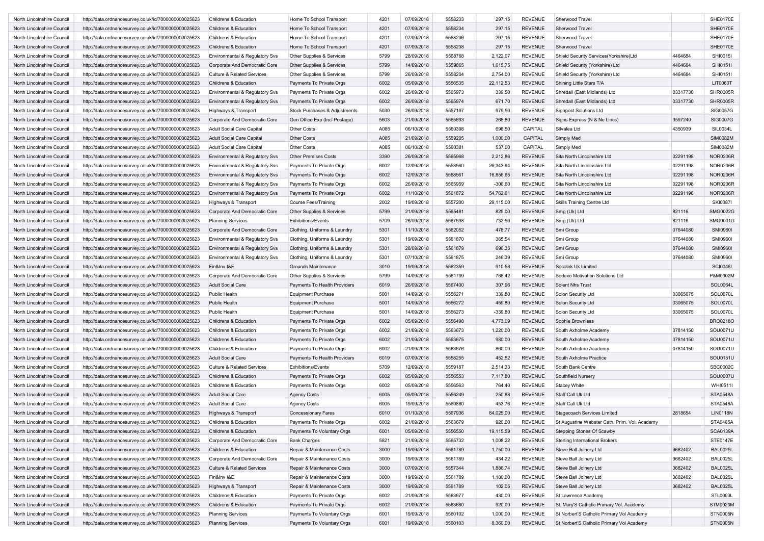| North Lincolnshire Council | http://data.ordnancesurvey.co.uk/id/7000000000025623 | Childrens & Education                 | Home To School Transport      | 4201 | 07/09/2018 | 5558233            | 297.15    | <b>REVENUE</b>            | Sherwood Travel                               |                    | SHE0170E                    |
|----------------------------|------------------------------------------------------|---------------------------------------|-------------------------------|------|------------|--------------------|-----------|---------------------------|-----------------------------------------------|--------------------|-----------------------------|
| North Lincolnshire Council | http://data.ordnancesurvey.co.uk/id/7000000000025623 | Childrens & Education                 | Home To School Transport      | 4201 | 07/09/2018 | 5558234            | 297.15    | <b>REVENUE</b>            | Sherwood Travel                               |                    | <b>SHE0170E</b>             |
| North Lincolnshire Council | http://data.ordnancesurvey.co.uk/id/7000000000025623 | Childrens & Education                 | Home To School Transport      | 4201 | 07/09/2018 | 5558236            | 297.15    | <b>REVENUE</b>            | Sherwood Travel                               |                    | <b>SHE0170E</b>             |
| North Lincolnshire Council | http://data.ordnancesurvey.co.uk/id/7000000000025623 | Childrens & Education                 | Home To School Transport      | 4201 | 07/09/2018 | 5558238            | 297.15    | <b>REVENUE</b>            | Sherwood Travel                               |                    | <b>SHE0170E</b>             |
| North Lincolnshire Council | http://data.ordnancesurvey.co.uk/id/7000000000025623 | Environmental & Regulatory Svs        | Other Supplies & Services     | 5799 | 28/09/2018 | 5568768            | 2,122.07  | <b>REVENUE</b>            | Shield Security Services (Yorkshire)Ltd       | 4464684            | SHI0015I                    |
| North Lincolnshire Council | http://data.ordnancesurvey.co.uk/id/7000000000025623 | Corporate And Democratic Core         | Other Supplies & Services     | 5799 | 14/09/2018 | 5559865            | 1,615.75  | <b>REVENUE</b>            | Shield Security (Yorkshire) Ltd               | 4464684            | SHI0151I                    |
| North Lincolnshire Council | http://data.ordnancesurvey.co.uk/id/7000000000025623 | <b>Culture &amp; Related Services</b> | Other Supplies & Services     | 5799 | 26/09/2018 | 5558204            | 2,754.00  | <b>REVENUE</b>            | Shield Security (Yorkshire) Ltd               | 4464684            | SHI0151I                    |
| North Lincolnshire Council | http://data.ordnancesurvey.co.uk/id/7000000000025623 | Childrens & Education                 | Payments To Private Orgs      | 6002 | 05/09/2018 | 5556535            | 22,112.53 | <b>REVENUE</b>            | Shining Little Stars T/A                      |                    | <b>LIT0060T</b>             |
| North Lincolnshire Council | http://data.ordnancesurvey.co.uk/id/7000000000025623 | Environmental & Regulatory Svs        | Payments To Private Orgs      | 6002 | 26/09/2018 | 5565973            | 339.50    | <b>REVENUE</b>            | Shredall (East Midlands) Ltd                  | 03317730           | SHR0005R                    |
| North Lincolnshire Council | http://data.ordnancesurvey.co.uk/id/7000000000025623 | Environmental & Regulatory Svs        | Payments To Private Orgs      | 6002 | 26/09/2018 | 5565974            | 671.70    | <b>REVENUE</b>            | Shredall (East Midlands) Ltd                  | 03317730           | <b>SHR0005R</b>             |
| North Lincolnshire Council | http://data.ordnancesurvey.co.uk/id/7000000000025623 | Highways & Transport                  | Stock Purchases & Adjustments | 5030 | 26/09/2018 | 5557197            | 979.50    | <b>REVENUE</b>            | <b>Signpost Solutions Ltd</b>                 |                    | SIG0057G                    |
|                            | http://data.ordnancesurvey.co.uk/id/7000000000025623 |                                       |                               |      |            |                    |           |                           |                                               |                    |                             |
| North Lincolnshire Council |                                                      | Corporate And Democratic Core         | Gen Office Exp (Incl Postage) | 5603 | 21/09/2018 | 5565693<br>5560398 | 268.80    | <b>REVENUE</b><br>CAPITAL | Signs Express (N & Ne Lincs)                  | 3597240<br>4350939 | <b>SIG0007G</b><br>SIL0034L |
| North Lincolnshire Council | http://data.ordnancesurvey.co.uk/id/7000000000025623 | Adult Social Care Capital             | Other Costs                   | A085 | 06/10/2018 |                    | 698.50    |                           | Silvalea Ltd                                  |                    |                             |
| North Lincolnshire Council | http://data.ordnancesurvey.co.uk/id/7000000000025623 | <b>Adult Social Care Capital</b>      | Other Costs                   | A085 | 21/09/2018 | 5559205            | 1,000.00  | CAPITAL                   | Simply Med                                    |                    | <b>SIM0082M</b>             |
| North Lincolnshire Council | http://data.ordnancesurvey.co.uk/id/7000000000025623 | Adult Social Care Capital             | <b>Other Costs</b>            | A085 | 06/10/2018 | 5560381            | 537.00    | CAPITAL                   | Simply Med                                    |                    | <b>SIM0082M</b>             |
| North Lincolnshire Council | http://data.ordnancesurvey.co.uk/id/7000000000025623 | Environmental & Regulatory Svs        | <b>Other Premises Costs</b>   | 3390 | 26/09/2018 | 5565968            | 2,212.86  | <b>REVENUE</b>            | Sita North Lincolnshire Ltd                   | 02291198           | <b>NOR0206R</b>             |
| North Lincolnshire Council | http://data.ordnancesurvey.co.uk/id/7000000000025623 | Environmental & Regulatory Svs        | Payments To Private Orgs      | 6002 | 12/09/2018 | 5558560            | 26,343.94 | <b>REVENUE</b>            | Sita North Lincolnshire Ltd                   | 02291198           | <b>NOR0206R</b>             |
| North Lincolnshire Council | http://data.ordnancesurvey.co.uk/id/7000000000025623 | Environmental & Regulatory Svs        | Payments To Private Orgs      | 6002 | 12/09/2018 | 5558561            | 16,856.65 | <b>REVENUE</b>            | Sita North Lincolnshire Ltd                   | 02291198           | <b>NOR0206R</b>             |
| North Lincolnshire Council | http://data.ordnancesurvey.co.uk/id/7000000000025623 | Environmental & Regulatory Svs        | Payments To Private Orgs      | 6002 | 26/09/2018 | 5565959            | $-306.60$ | <b>REVENUE</b>            | Sita North Lincolnshire Ltd                   | 02291198           | <b>NOR0206R</b>             |
| North Lincolnshire Council | http://data.ordnancesurvey.co.uk/id/7000000000025623 | Environmental & Regulatory Svs        | Payments To Private Orgs      | 6002 | 11/10/2018 | 5561872            | 54,762.61 | <b>REVENUE</b>            | Sita North Lincolnshire Ltd                   | 02291198           | <b>NOR0206R</b>             |
| North Lincolnshire Council | http://data.ordnancesurvey.co.uk/id/7000000000025623 | Highways & Transport                  | <b>Course Fees/Training</b>   | 2002 | 19/09/2018 | 5557200            | 29,115.00 | <b>REVENUE</b>            | <b>Skills Training Centre Ltd</b>             |                    | <b>SKI0087I</b>             |
| North Lincolnshire Council | http://data.ordnancesurvey.co.uk/id/7000000000025623 | Corporate And Democratic Core         | Other Supplies & Services     | 5799 | 21/09/2018 | 5565481            | 825.00    | <b>REVENUE</b>            | Smg (Uk) Ltd                                  | 821116             | <b>SMG0022G</b>             |
| North Lincolnshire Council | http://data.ordnancesurvey.co.uk/id/7000000000025623 | <b>Planning Services</b>              | <b>Exhibitions/Events</b>     | 5709 | 26/09/2018 | 5567598            | 732.50    | <b>REVENUE</b>            | Smg (Uk) Ltd                                  | 821116             | SMG0001G                    |
| North Lincolnshire Council | http://data.ordnancesurvey.co.uk/id/7000000000025623 | Corporate And Democratic Core         | Clothing, Uniforms & Laundry  | 5301 | 11/10/2018 | 5562052            | 478.77    | <b>REVENUE</b>            | Smi Group                                     | 07644080           | <b>SMI0960I</b>             |
| North Lincolnshire Council | http://data.ordnancesurvey.co.uk/id/7000000000025623 | Environmental & Regulatory Svs        | Clothing, Uniforms & Laundry  | 5301 | 19/09/2018 | 5561870            | 365.54    | <b>REVENUE</b>            | Smi Group                                     | 07644080           | <b>SMI0960I</b>             |
| North Lincolnshire Council | http://data.ordnancesurvey.co.uk/id/7000000000025623 | Environmental & Regulatory Svs        | Clothing, Uniforms & Laundry  | 5301 | 28/09/2018 | 5561879            | 696.35    | <b>REVENUE</b>            | Smi Group                                     | 07644080           | <b>SMI0960I</b>             |
| North Lincolnshire Council | http://data.ordnancesurvey.co.uk/id/7000000000025623 | Environmental & Regulatory Svs        | Clothing, Uniforms & Laundry  | 5301 | 07/10/2018 | 5561875            | 246.39    | <b>REVENUE</b>            | Smi Group                                     | 07644080           | <b>SMI0960I</b>             |
| North Lincolnshire Council | http://data.ordnancesurvey.co.uk/id/7000000000025623 | Fin&Inv I&E                           | Grounds Maintenance           | 3010 | 19/09/2018 | 5562359            | 910.58    | <b>REVENUE</b>            | Socotek Uk Limited                            |                    | <b>SCI0046I</b>             |
| North Lincolnshire Council | http://data.ordnancesurvey.co.uk/id/7000000000025623 | Corporate And Democratic Core         | Other Supplies & Services     | 5799 | 14/09/2018 | 5561799            | 768.42    | <b>REVENUE</b>            | Sodexo Motivation Solutions Ltd               |                    | P&M0002M                    |
| North Lincolnshire Council | http://data.ordnancesurvey.co.uk/id/7000000000025623 | <b>Adult Social Care</b>              | Payments To Health Providers  | 6019 | 26/09/2018 | 5567400            | 307.96    | <b>REVENUE</b>            | Solent Nhs Trust                              |                    | SOL0064L                    |
| North Lincolnshire Council | http://data.ordnancesurvey.co.uk/id/7000000000025623 | Public Health                         | <b>Equipment Purchase</b>     | 5001 | 14/09/2018 | 5556271            | 339.80    | <b>REVENUE</b>            | Solon Security Ltd                            | 03065075           | SOL0070L                    |
| North Lincolnshire Council | http://data.ordnancesurvey.co.uk/id/7000000000025623 | Public Health                         | <b>Equipment Purchase</b>     | 5001 | 14/09/2018 | 5556272            | 459.80    | <b>REVENUE</b>            | Solon Security Ltd                            | 03065075           | <b>SOL0070L</b>             |
| North Lincolnshire Council | http://data.ordnancesurvey.co.uk/id/7000000000025623 | Public Health                         | <b>Equipment Purchase</b>     | 5001 | 14/09/2018 | 5556273            | $-339.80$ | <b>REVENUE</b>            | Solon Security Ltd                            | 03065075           | <b>SOL0070L</b>             |
| North Lincolnshire Council | http://data.ordnancesurvey.co.uk/id/7000000000025623 | Childrens & Education                 | Payments To Private Orgs      | 6002 | 05/09/2018 | 5556498            | 4,773.09  | <b>REVENUE</b>            | Sophie Brownless                              |                    | BRO0218O                    |
|                            |                                                      |                                       |                               |      | 21/09/2018 | 5563673            |           | <b>REVENUE</b>            |                                               |                    | SOU0071U                    |
| North Lincolnshire Council | http://data.ordnancesurvey.co.uk/id/7000000000025623 | Childrens & Education                 | Payments To Private Orgs      | 6002 |            |                    | 1,220.00  |                           | South Axholme Academy                         | 07814150           |                             |
| North Lincolnshire Council | http://data.ordnancesurvey.co.uk/id/7000000000025623 | Childrens & Education                 | Payments To Private Orgs      | 6002 | 21/09/2018 | 5563675            | 980.00    | <b>REVENUE</b>            | South Axholme Academy                         | 07814150           | SOU0071U                    |
| North Lincolnshire Council | http://data.ordnancesurvey.co.uk/id/7000000000025623 | Childrens & Education                 | Payments To Private Orgs      | 6002 | 21/09/2018 | 5563676            | 860.00    | <b>REVENUE</b>            | South Axholme Academy                         | 07814150           | SOU0071U                    |
| North Lincolnshire Council | http://data.ordnancesurvey.co.uk/id/7000000000025623 | <b>Adult Social Care</b>              | Payments To Health Providers  | 6019 | 07/09/2018 | 5558255            | 452.52    | <b>REVENUE</b>            | South Axholme Practice                        |                    | SOU0151U                    |
| North Lincolnshire Council | http://data.ordnancesurvey.co.uk/id/7000000000025623 | <b>Culture &amp; Related Services</b> | <b>Exhibitions/Events</b>     | 5709 | 12/09/2018 | 5559187            | 2,514.33  | <b>REVENUE</b>            | South Bank Centre                             |                    | SBC0002C                    |
| North Lincolnshire Council | http://data.ordnancesurvey.co.uk/id/7000000000025623 | Childrens & Education                 | Payments To Private Orgs      | 6002 | 05/09/2018 | 5556553            | 7,117.80  | <b>REVENUE</b>            | Southfield Nursery                            |                    | SOU0007U                    |
| North Lincolnshire Council | http://data.ordnancesurvey.co.uk/id/7000000000025623 | Childrens & Education                 | Payments To Private Orgs      | 6002 | 05/09/2018 | 5556563            | 764.40    | <b>REVENUE</b>            | <b>Stacey White</b>                           |                    | WHI0511I                    |
| North Lincolnshire Council | http://data.ordnancesurvey.co.uk/id/7000000000025623 | <b>Adult Social Care</b>              | <b>Agency Costs</b>           | 6005 | 05/09/2018 | 5556249            | 250.88    | <b>REVENUE</b>            | Staff Call Uk Ltd                             |                    | <b>STA0548A</b>             |
| North Lincolnshire Council | http://data.ordnancesurvey.co.uk/id/7000000000025623 | <b>Adult Social Care</b>              | <b>Agency Costs</b>           | 6005 | 19/09/2018 | 5560880            | 453.76    | <b>REVENUE</b>            | Staff Call Uk Ltd                             |                    | <b>STA0548A</b>             |
| North Lincolnshire Council | http://data.ordnancesurvey.co.uk/id/7000000000025623 | Highways & Transport                  | <b>Concessionary Fares</b>    | 6010 | 01/10/2018 | 5567936            | 84,025.00 | <b>REVENUE</b>            | <b>Stagecoach Services Limited</b>            | 2818654            | <b>LIN0118N</b>             |
| North Lincolnshire Council | http://data.ordnancesurvey.co.uk/id/7000000000025623 | Childrens & Education                 | Payments To Private Orgs      | 6002 | 21/09/2018 | 5563679            | 920.00    | <b>REVENUE</b>            | St Augustine Webster Cath. Prim. Vol. Academy |                    | STA0465A                    |
| North Lincolnshire Council | http://data.ordnancesurvey.co.uk/id/7000000000025623 | Childrens & Education                 | Payments To Voluntary Orgs    | 6001 | 05/09/2018 | 5556550            | 19,115.59 | <b>REVENUE</b>            | Stepping Stones Of Scawby                     |                    | <b>SCA0139A</b>             |
| North Lincolnshire Council | http://data.ordnancesurvey.co.uk/id/7000000000025623 | Corporate And Democratic Core         | <b>Bank Charges</b>           | 5821 | 21/09/2018 | 5565732            | 1,008.22  | <b>REVENUE</b>            | Sterling International Brokers                |                    | STE0147E                    |
| North Lincolnshire Council | http://data.ordnancesurvey.co.uk/id/7000000000025623 | Childrens & Education                 | Repair & Maintenance Costs    | 3000 | 19/09/2018 | 5561789            | 1,750.00  | <b>REVENUE</b>            | Steve Ball Joinery Ltd                        | 3682402            | <b>BAL0025L</b>             |
| North Lincolnshire Council | http://data.ordnancesurvey.co.uk/id/7000000000025623 | Corporate And Democratic Core         | Repair & Maintenance Costs    | 3000 | 19/09/2018 | 5561789            | 434.22    | <b>REVENUE</b>            | Steve Ball Joinery Ltd                        | 3682402            | <b>BAL0025L</b>             |
| North Lincolnshire Council | http://data.ordnancesurvey.co.uk/id/7000000000025623 | Culture & Related Services            | Repair & Maintenance Costs    | 3000 | 07/09/2018 | 5557344            | 1,886.74  | <b>REVENUE</b>            | Steve Ball Joinery Ltd                        | 3682402            | <b>BAL0025L</b>             |
| North Lincolnshire Council | http://data.ordnancesurvey.co.uk/id/7000000000025623 | Fin&Inv I&E                           | Repair & Maintenance Costs    | 3000 | 19/09/2018 | 5561789            | 1,180.00  | <b>REVENUE</b>            | Steve Ball Joinery Ltd                        | 3682402            | <b>BAL0025L</b>             |
| North Lincolnshire Council | http://data.ordnancesurvey.co.uk/id/7000000000025623 | Highways & Transport                  | Repair & Maintenance Costs    | 3000 | 19/09/2018 | 5561789            | 102.05    | <b>REVENUE</b>            | Steve Ball Joinery Ltd                        | 3682402            | <b>BAL0025L</b>             |
| North Lincolnshire Council | http://data.ordnancesurvey.co.uk/id/7000000000025623 | Childrens & Education                 | Payments To Private Orgs      | 6002 | 21/09/2018 | 5563677            | 430.00    | <b>REVENUE</b>            | St Lawrence Academy                           |                    | STL0003L                    |
| North Lincolnshire Council | http://data.ordnancesurvey.co.uk/id/7000000000025623 | Childrens & Education                 | Payments To Private Orgs      | 6002 | 21/09/2018 | 5563680            | 920.00    | <b>REVENUE</b>            | St. Mary'S Catholic Primary Vol. Academy      |                    | <b>STM0020M</b>             |
| North Lincolnshire Council | http://data.ordnancesurvey.co.uk/id/7000000000025623 | <b>Planning Services</b>              | Payments To Voluntary Orgs    | 6001 | 19/09/2018 | 5560102            | 1,000.00  | <b>REVENUE</b>            | St Norbert'S Catholic Primary Vol Academy     |                    | <b>STN0005N</b>             |
| North Lincolnshire Council | http://data.ordnancesurvey.co.uk/id/7000000000025623 | <b>Planning Services</b>              | Payments To Voluntary Orgs    | 6001 | 19/09/2018 | 5560103            | 8,360.00  | REVENUE                   | St Norbert'S Catholic Primary Vol Academy     |                    | <b>STN0005N</b>             |
|                            |                                                      |                                       |                               |      |            |                    |           |                           |                                               |                    |                             |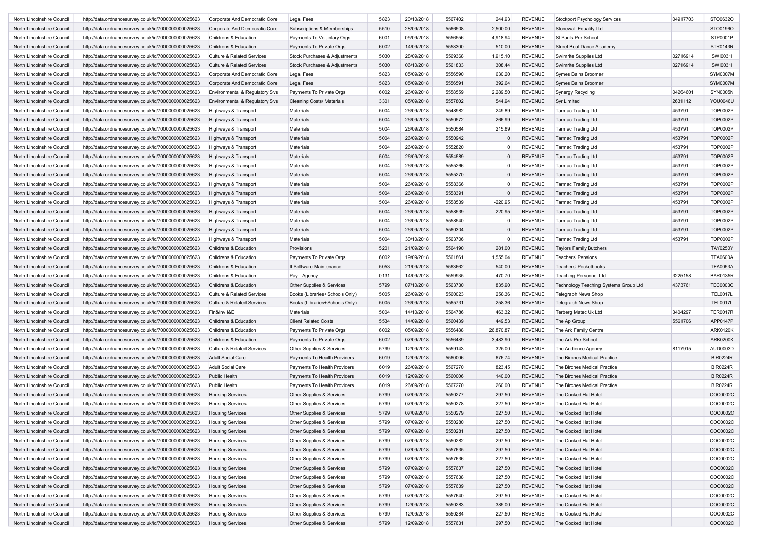| North Lincolnshire Council | http://data.ordnancesurvey.co.uk/id/7000000000025623                                                         | Corporate And Democratic Core         | <b>Legal Fees</b>                | 5823 | 20/10/2018 | 5567402 | 244.93    | <b>REVENUE</b> | <b>Stockport Psychology Services</b>  | 04917703 | STO0632O        |
|----------------------------|--------------------------------------------------------------------------------------------------------------|---------------------------------------|----------------------------------|------|------------|---------|-----------|----------------|---------------------------------------|----------|-----------------|
| North Lincolnshire Council | http://data.ordnancesurvey.co.uk/id/7000000000025623                                                         | Corporate And Democratic Core         | Subscriptions & Memberships      | 5510 | 28/09/2018 | 5566508 | 2,500.00  | <b>REVENUE</b> | <b>Stonewall Equality Ltd</b>         |          | STO0196O        |
| North Lincolnshire Council | http://data.ordnancesurvey.co.uk/id/7000000000025623                                                         | Childrens & Education                 | Payments To Voluntary Orgs       | 6001 | 05/09/2018 | 5556556 | 4,918.94  | <b>REVENUE</b> | St Pauls Pre-School                   |          | STP0001P        |
| North Lincolnshire Council | http://data.ordnancesurvey.co.uk/id/7000000000025623                                                         | Childrens & Education                 | Payments To Private Orgs         | 6002 | 14/09/2018 | 5558300 | 510.00    | <b>REVENUE</b> | Street Beat Dance Academy             |          | STR0143R        |
| North Lincolnshire Council | http://data.ordnancesurvey.co.uk/id/7000000000025623                                                         | <b>Culture &amp; Related Services</b> | Stock Purchases & Adjustments    | 5030 | 28/09/2018 | 5569368 | 1,915.10  | <b>REVENUE</b> | Swimrite Supplies Ltd                 | 02716914 | SW10031I        |
| North Lincolnshire Council | http://data.ordnancesurvey.co.uk/id/7000000000025623                                                         | <b>Culture &amp; Related Services</b> | Stock Purchases & Adjustments    | 5030 | 06/10/2018 | 5561833 | 308.44    | <b>REVENUE</b> | Swimrite Supplies Ltd                 | 02716914 | SW100311        |
| North Lincolnshire Council | http://data.ordnancesurvey.co.uk/id/7000000000025623                                                         | Corporate And Democratic Core         | Legal Fees                       | 5823 | 05/09/2018 | 5556590 | 630.20    | <b>REVENUE</b> | Symes Bains Broomer                   |          | <b>SYM0007M</b> |
| North Lincolnshire Council | http://data.ordnancesurvey.co.uk/id/7000000000025623                                                         | Corporate And Democratic Core         | <b>Legal Fees</b>                | 5823 | 05/09/2018 | 5556591 | 392.64    | <b>REVENUE</b> | Symes Bains Broomer                   |          | <b>SYM0007M</b> |
| North Lincolnshire Council | http://data.ordnancesurvey.co.uk/id/7000000000025623                                                         | Environmental & Regulatory Svs        | Payments To Private Orgs         | 6002 | 26/09/2018 | 5558559 | 2,289.50  | <b>REVENUE</b> | Synergy Recycling                     | 04264601 | SYN0005N        |
| North Lincolnshire Council | http://data.ordnancesurvey.co.uk/id/7000000000025623                                                         | Environmental & Regulatory Svs        | <b>Cleaning Costs/ Materials</b> | 3301 | 05/09/2018 | 5557802 | 544.94    | <b>REVENUE</b> | <b>Syr Limited</b>                    | 2631112  | <b>YOU0046U</b> |
| North Lincolnshire Council | http://data.ordnancesurvey.co.uk/id/7000000000025623                                                         | Highways & Transport                  | Materials                        | 5004 | 26/09/2018 | 5548982 | 249.89    | <b>REVENUE</b> | <b>Tarmac Trading Ltd</b>             | 453791   | TOP0002P        |
| North Lincolnshire Council |                                                                                                              |                                       | Materials                        | 5004 | 26/09/2018 | 5550572 | 266.99    | <b>REVENUE</b> | <b>Tarmac Trading Ltd</b>             | 453791   | TOP0002P        |
| North Lincolnshire Council | http://data.ordnancesurvey.co.uk/id/7000000000025623<br>http://data.ordnancesurvey.co.uk/id/7000000000025623 | Highways & Transport                  | Materials                        | 5004 | 26/09/2018 | 5550584 | 215.69    | <b>REVENUE</b> | <b>Tarmac Trading Ltd</b>             | 453791   | TOP0002P        |
|                            |                                                                                                              | Highways & Transport                  |                                  |      |            |         |           |                |                                       |          |                 |
| North Lincolnshire Council | http://data.ordnancesurvey.co.uk/id/7000000000025623                                                         | Highways & Transport                  | Materials                        | 5004 | 26/09/2018 | 5550942 | 0         | <b>REVENUE</b> | <b>Tarmac Trading Ltd</b>             | 453791   | TOP0002P        |
| North Lincolnshire Council | http://data.ordnancesurvey.co.uk/id/7000000000025623                                                         | Highways & Transport                  | Materials                        | 5004 | 26/09/2018 | 5552820 | n         | <b>REVENUE</b> | <b>Tarmac Trading Ltd</b>             | 453791   | TOP0002P        |
| North Lincolnshire Council | http://data.ordnancesurvey.co.uk/id/7000000000025623                                                         | Highways & Transport                  | <b>Materials</b>                 | 5004 | 26/09/2018 | 5554589 | $\Omega$  | <b>REVENUE</b> | <b>Tarmac Trading Ltd</b>             | 453791   | TOP0002P        |
| North Lincolnshire Council | http://data.ordnancesurvey.co.uk/id/7000000000025623                                                         | Highways & Transport                  | Materials                        | 5004 | 26/09/2018 | 5555266 | $\Omega$  | <b>REVENUE</b> | <b>Tarmac Trading Ltd</b>             | 453791   | TOP0002P        |
| North Lincolnshire Council | http://data.ordnancesurvey.co.uk/id/7000000000025623                                                         | Highways & Transport                  | Materials                        | 5004 | 26/09/2018 | 5555270 | $\Omega$  | <b>REVENUE</b> | <b>Tarmac Trading Ltd</b>             | 453791   | TOP0002P        |
| North Lincolnshire Council | http://data.ordnancesurvey.co.uk/id/7000000000025623                                                         | Highways & Transport                  | Materials                        | 5004 | 26/09/2018 | 5558366 | $\Omega$  | <b>REVENUE</b> | <b>Tarmac Trading Ltd</b>             | 453791   | TOP0002P        |
| North Lincolnshire Council | http://data.ordnancesurvey.co.uk/id/7000000000025623                                                         | Highways & Transport                  | <b>Materials</b>                 | 5004 | 26/09/2018 | 5558391 | $\Omega$  | <b>REVENUE</b> | <b>Tarmac Trading Ltd</b>             | 453791   | TOP0002P        |
| North Lincolnshire Council | http://data.ordnancesurvey.co.uk/id/7000000000025623                                                         | Highways & Transport                  | Materials                        | 5004 | 26/09/2018 | 5558539 | $-220.95$ | <b>REVENUE</b> | Tarmac Trading Ltd                    | 453791   | TOP0002P        |
| North Lincolnshire Council | http://data.ordnancesurvey.co.uk/id/7000000000025623                                                         | Highways & Transport                  | Materials                        | 5004 | 26/09/2018 | 5558539 | 220.95    | <b>REVENUE</b> | <b>Tarmac Trading Ltd</b>             | 453791   | TOP0002P        |
| North Lincolnshire Council | http://data.ordnancesurvey.co.uk/id/7000000000025623                                                         | Highways & Transport                  | <b>Materials</b>                 | 5004 | 26/09/2018 | 5558540 | $\Omega$  | <b>REVENUE</b> | <b>Tarmac Trading Ltd</b>             | 453791   | TOP0002P        |
| North Lincolnshire Council | http://data.ordnancesurvey.co.uk/id/7000000000025623                                                         | Highways & Transport                  | Materials                        | 5004 | 26/09/2018 | 5560304 |           | <b>REVENUE</b> | <b>Tarmac Trading Ltd</b>             | 453791   | <b>TOP0002P</b> |
| North Lincolnshire Council | http://data.ordnancesurvey.co.uk/id/7000000000025623                                                         | Highways & Transport                  | Materials                        | 5004 | 30/10/2018 | 5563706 | 0         | <b>REVENUE</b> | <b>Tarmac Trading Ltd</b>             | 453791   | TOP0002P        |
| North Lincolnshire Council | http://data.ordnancesurvey.co.uk/id/7000000000025623                                                         | Childrens & Education                 | Provisions                       | 5201 | 21/09/2018 | 5564190 | 281.00    | <b>REVENUE</b> | <b>Taylors Family Butchers</b>        |          | <b>TAY0250Y</b> |
| North Lincolnshire Council | http://data.ordnancesurvey.co.uk/id/7000000000025623                                                         | Childrens & Education                 | Payments To Private Orgs         | 6002 | 19/09/2018 | 5561861 | 1,555.04  | <b>REVENUE</b> | <b>Teachers' Pensions</b>             |          | <b>TEA0600A</b> |
| North Lincolnshire Council | http://data.ordnancesurvey.co.uk/id/7000000000025623                                                         | Childrens & Education                 | It Software-Maintenance          | 5053 | 21/09/2018 | 5563662 | 540.00    | <b>REVENUE</b> | <b>Teachers' Pocketbooks</b>          |          | <b>TEA0053A</b> |
| North Lincolnshire Council | http://data.ordnancesurvey.co.uk/id/7000000000025623                                                         | Childrens & Education                 | Pay - Agency                     | 0131 | 14/09/2018 | 5559935 | 470.70    | <b>REVENUE</b> | <b>Teaching Personnel Ltd</b>         | 3225158  | <b>BAR0135R</b> |
| North Lincolnshire Council | http://data.ordnancesurvey.co.uk/id/7000000000025623                                                         | Childrens & Education                 | Other Supplies & Services        | 5799 | 07/10/2018 | 5563730 | 835.90    | <b>REVENUE</b> | Technology Teaching Systems Group Ltd | 4373761  | <b>TEC0003C</b> |
| North Lincolnshire Council | http://data.ordnancesurvey.co.uk/id/7000000000025623                                                         | <b>Culture &amp; Related Services</b> | Books (Libraries+Schools Only)   | 5005 | 26/09/2018 | 5560023 | 258.36    | <b>REVENUE</b> |                                       |          | <b>TEL0017L</b> |
|                            |                                                                                                              |                                       |                                  |      | 26/09/2018 | 5565731 | 258.36    | <b>REVENUE</b> | <b>Telegraph News Shop</b>            |          |                 |
| North Lincolnshire Council | http://data.ordnancesurvey.co.uk/id/7000000000025623                                                         | <b>Culture &amp; Related Services</b> | Books (Libraries+Schools Only)   | 5005 |            |         |           |                | <b>Telegraph News Shop</b>            |          | <b>TEL0017L</b> |
| North Lincolnshire Council | http://data.ordnancesurvey.co.uk/id/7000000000025623                                                         | Fin&Inv I&E                           | Materials                        | 5004 | 14/10/2018 | 5564786 | 463.32    | <b>REVENUE</b> | Terberg Matec Uk Ltd                  | 3404297  | <b>TER0017R</b> |
| North Lincolnshire Council | http://data.ordnancesurvey.co.uk/id/7000000000025623                                                         | Childrens & Education                 | <b>Client Related Costs</b>      | 5534 | 14/09/2018 | 5560439 | 449.53    | <b>REVENUE</b> | The Ap Group                          | 5561706  | APP0147P        |
| North Lincolnshire Council | http://data.ordnancesurvey.co.uk/id/7000000000025623                                                         | Childrens & Education                 | Payments To Private Orgs         | 6002 | 05/09/2018 | 5556488 | 26,870.87 | <b>REVENUE</b> | The Ark Family Centre                 |          | <b>ARK0120K</b> |
| North Lincolnshire Council | http://data.ordnancesurvey.co.uk/id/7000000000025623                                                         | <b>Childrens &amp; Education</b>      | Payments To Private Orgs         | 6002 | 07/09/2018 | 5556489 | 3,483.90  | <b>REVENUE</b> | The Ark Pre-School                    |          | <b>ARK0200K</b> |
| North Lincolnshire Council | http://data.ordnancesurvey.co.uk/id/7000000000025623                                                         | <b>Culture &amp; Related Services</b> | Other Supplies & Services        | 5799 | 12/09/2018 | 5559143 | 325.00    | <b>REVENUE</b> | The Audience Agency                   | 8117915  | AUD0003D        |
| North Lincolnshire Council | http://data.ordnancesurvey.co.uk/id/7000000000025623                                                         | <b>Adult Social Care</b>              | Payments To Health Providers     | 6019 | 12/09/2018 | 5560006 | 676.74    | <b>REVENUE</b> | The Birches Medical Practice          |          | <b>BIR0224R</b> |
| North Lincolnshire Council | http://data.ordnancesurvey.co.uk/id/7000000000025623                                                         | <b>Adult Social Care</b>              | Payments To Health Providers     | 6019 | 26/09/2018 | 5567270 | 823.45    | <b>REVENUE</b> | The Birches Medical Practice          |          | <b>BIR0224R</b> |
| North Lincolnshire Council | http://data.ordnancesurvey.co.uk/id/7000000000025623                                                         | Public Health                         | Payments To Health Providers     | 6019 | 12/09/2018 | 5560006 | 140.00    | <b>REVENUE</b> | The Birches Medical Practice          |          | <b>BIR0224R</b> |
| North Lincolnshire Council | http://data.ordnancesurvey.co.uk/id/7000000000025623                                                         | Public Health                         | Payments To Health Providers     | 6019 | 26/09/2018 | 5567270 | 260.00    | <b>REVENUE</b> | The Birches Medical Practice          |          | <b>BIR0224R</b> |
| North Lincolnshire Council | http://data.ordnancesurvey.co.uk/id/7000000000025623                                                         | <b>Housing Services</b>               | Other Supplies & Services        | 5799 | 07/09/2018 | 5550277 | 297.50    | <b>REVENUE</b> | The Cocked Hat Hotel                  |          | COC0002C        |
| North Lincolnshire Council | http://data.ordnancesurvey.co.uk/id/7000000000025623                                                         | <b>Housing Services</b>               | Other Supplies & Services        | 5799 | 07/09/2018 | 5550278 | 227.50    | <b>REVENUE</b> | The Cocked Hat Hotel                  |          | COC0002C        |
| North Lincolnshire Council | http://data.ordnancesurvey.co.uk/id/7000000000025623                                                         | <b>Housing Services</b>               | Other Supplies & Services        | 5799 | 07/09/2018 | 5550279 | 227.50    | <b>REVENUE</b> | The Cocked Hat Hotel                  |          | COC0002C        |
| North Lincolnshire Council | http://data.ordnancesurvey.co.uk/id/7000000000025623                                                         | <b>Housing Services</b>               | Other Supplies & Services        | 5799 | 07/09/2018 | 5550280 | 227.50    | REVENUE        | The Cocked Hat Hotel                  |          | COC0002C        |
| North Lincolnshire Council | http://data.ordnancesurvey.co.uk/id/7000000000025623                                                         | <b>Housing Services</b>               | Other Supplies & Services        | 5799 | 07/09/2018 | 5550281 | 227.50    | REVENUE        | The Cocked Hat Hotel                  |          | COC0002C        |
| North Lincolnshire Council | http://data.ordnancesurvey.co.uk/id/7000000000025623                                                         | <b>Housing Services</b>               | Other Supplies & Services        | 5799 | 07/09/2018 | 5550282 | 297.50    | <b>REVENUE</b> | The Cocked Hat Hotel                  |          | COC0002C        |
| North Lincolnshire Council | http://data.ordnancesurvey.co.uk/id/7000000000025623                                                         | <b>Housing Services</b>               | Other Supplies & Services        | 5799 | 07/09/2018 | 5557635 | 297.50    | <b>REVENUE</b> | The Cocked Hat Hotel                  |          | COC0002C        |
| North Lincolnshire Council | http://data.ordnancesurvey.co.uk/id/7000000000025623                                                         | <b>Housing Services</b>               | Other Supplies & Services        | 5799 | 07/09/2018 | 5557636 | 227.50    | <b>REVENUE</b> | The Cocked Hat Hotel                  |          | COC0002C        |
| North Lincolnshire Council | http://data.ordnancesurvey.co.uk/id/7000000000025623                                                         | <b>Housing Services</b>               | Other Supplies & Services        | 5799 | 07/09/2018 | 5557637 | 227.50    | <b>REVENUE</b> | The Cocked Hat Hotel                  |          | COC0002C        |
| North Lincolnshire Council | http://data.ordnancesurvey.co.uk/id/7000000000025623                                                         | <b>Housing Services</b>               | Other Supplies & Services        | 5799 | 07/09/2018 | 5557638 | 227.50    | <b>REVENUE</b> | The Cocked Hat Hotel                  |          | COC0002C        |
| North Lincolnshire Council | http://data.ordnancesurvey.co.uk/id/7000000000025623                                                         | <b>Housing Services</b>               | Other Supplies & Services        | 5799 | 07/09/2018 | 5557639 | 227.50    | <b>REVENUE</b> | The Cocked Hat Hotel                  |          | COC0002C        |
|                            |                                                                                                              |                                       |                                  |      |            |         |           |                |                                       |          | COC0002C        |
| North Lincolnshire Council | http://data.ordnancesurvey.co.uk/id/7000000000025623                                                         | <b>Housing Services</b>               | Other Supplies & Services        | 5799 | 07/09/2018 | 5557640 | 297.50    | <b>REVENUE</b> | The Cocked Hat Hotel                  |          |                 |
| North Lincolnshire Council | http://data.ordnancesurvey.co.uk/id/7000000000025623                                                         | <b>Housing Services</b>               | Other Supplies & Services        | 5799 | 12/09/2018 | 5550283 | 385.00    | <b>REVENUE</b> | The Cocked Hat Hotel                  |          | COC0002C        |
| North Lincolnshire Council | http://data.ordnancesurvey.co.uk/id/7000000000025623                                                         | <b>Housing Services</b>               | Other Supplies & Services        | 5799 | 12/09/2018 | 5550284 | 227.50    | <b>REVENUE</b> | The Cocked Hat Hotel                  |          | COC0002C        |
| North Lincolnshire Council | http://data.ordnancesurvey.co.uk/id/7000000000025623                                                         | <b>Housing Services</b>               | Other Supplies & Services        | 5799 | 12/09/2018 | 5557631 | 297.50    | REVENUE        | The Cocked Hat Hotel                  |          | COC0002C        |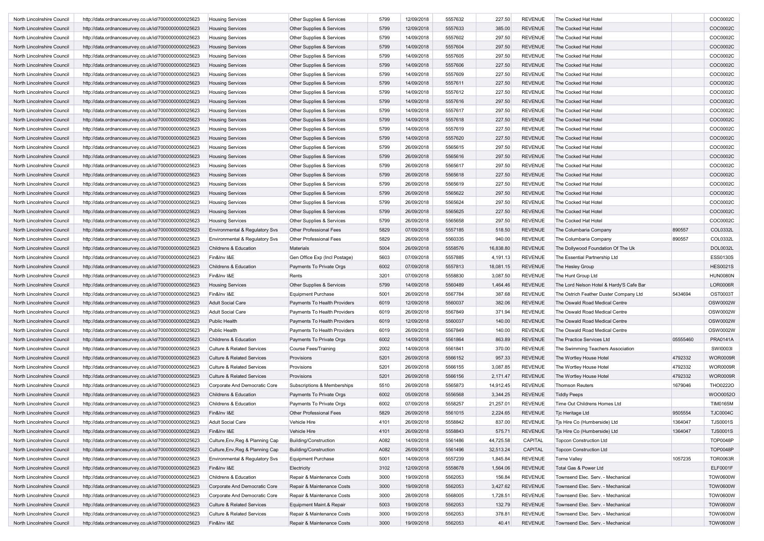| North Lincolnshire Council | http://data.ordnancesurvey.co.uk/id/7000000000025623 | <b>Housing Services</b>               | Other Supplies & Services     | 5799 | 12/09/2018 | 5557632 | 227.50    | <b>REVENUE</b> | The Cocked Hat Hotel                     |          | COC0002C        |
|----------------------------|------------------------------------------------------|---------------------------------------|-------------------------------|------|------------|---------|-----------|----------------|------------------------------------------|----------|-----------------|
| North Lincolnshire Council | http://data.ordnancesurvey.co.uk/id/7000000000025623 | <b>Housing Services</b>               | Other Supplies & Services     | 5799 | 12/09/2018 | 5557633 | 385.00    | <b>REVENUE</b> | The Cocked Hat Hotel                     |          | COC0002C        |
| North Lincolnshire Council | http://data.ordnancesurvey.co.uk/id/7000000000025623 | <b>Housing Services</b>               | Other Supplies & Services     | 5799 | 14/09/2018 | 5557602 | 297.50    | <b>REVENUE</b> | The Cocked Hat Hotel                     |          | COC0002C        |
| North Lincolnshire Council | http://data.ordnancesurvey.co.uk/id/7000000000025623 | <b>Housing Services</b>               | Other Supplies & Services     | 5799 | 14/09/2018 | 5557604 | 297.50    | <b>REVENUE</b> | The Cocked Hat Hotel                     |          | COC0002C        |
| North Lincolnshire Council | http://data.ordnancesurvey.co.uk/id/7000000000025623 | <b>Housing Services</b>               | Other Supplies & Services     | 5799 | 14/09/2018 | 5557605 | 297.50    | <b>REVENUE</b> | The Cocked Hat Hotel                     |          | COC0002C        |
| North Lincolnshire Council | http://data.ordnancesurvey.co.uk/id/7000000000025623 | <b>Housing Services</b>               | Other Supplies & Services     | 5799 | 14/09/2018 | 5557606 | 227.50    | <b>REVENUE</b> | The Cocked Hat Hotel                     |          | COC0002C        |
| North Lincolnshire Council | http://data.ordnancesurvey.co.uk/id/7000000000025623 | Housing Services                      | Other Supplies & Services     | 5799 | 14/09/2018 | 5557609 | 227.50    | <b>REVENUE</b> | The Cocked Hat Hotel                     |          | COC0002C        |
| North Lincolnshire Council | http://data.ordnancesurvey.co.uk/id/7000000000025623 | <b>Housing Services</b>               | Other Supplies & Services     | 5799 | 14/09/2018 | 5557611 | 227.50    | <b>REVENUE</b> | The Cocked Hat Hotel                     |          | COC0002C        |
| North Lincolnshire Council | http://data.ordnancesurvey.co.uk/id/7000000000025623 | <b>Housing Services</b>               | Other Supplies & Services     | 5799 | 14/09/2018 | 5557612 | 227.50    | <b>REVENUE</b> | The Cocked Hat Hotel                     |          | COC0002C        |
| North Lincolnshire Council | http://data.ordnancesurvey.co.uk/id/7000000000025623 | <b>Housing Services</b>               | Other Supplies & Services     | 5799 | 14/09/2018 | 5557616 | 297.50    | <b>REVENUE</b> | The Cocked Hat Hotel                     |          | COC0002C        |
| North Lincolnshire Council | http://data.ordnancesurvey.co.uk/id/7000000000025623 | <b>Housing Services</b>               | Other Supplies & Services     | 5799 | 14/09/2018 | 5557617 | 297.50    | <b>REVENUE</b> | The Cocked Hat Hotel                     |          | COC0002C        |
| North Lincolnshire Council | http://data.ordnancesurvey.co.uk/id/7000000000025623 | <b>Housing Services</b>               | Other Supplies & Services     | 5799 | 14/09/2018 | 5557618 | 227.50    | <b>REVENUE</b> | The Cocked Hat Hotel                     |          | COC0002C        |
| North Lincolnshire Council | http://data.ordnancesurvey.co.uk/id/7000000000025623 | Housing Services                      | Other Supplies & Services     | 5799 | 14/09/2018 | 5557619 | 227.50    | <b>REVENUE</b> | The Cocked Hat Hotel                     |          | COC0002C        |
| North Lincolnshire Council | http://data.ordnancesurvey.co.uk/id/7000000000025623 | <b>Housing Services</b>               | Other Supplies & Services     | 5799 | 14/09/2018 | 5557620 | 227.50    | <b>REVENUE</b> | The Cocked Hat Hotel                     |          | COC0002C        |
| North Lincolnshire Council | http://data.ordnancesurvey.co.uk/id/7000000000025623 | <b>Housing Services</b>               | Other Supplies & Services     | 5799 | 26/09/2018 | 5565615 | 297.50    | <b>REVENUE</b> | The Cocked Hat Hotel                     |          | COC0002C        |
| North Lincolnshire Council | http://data.ordnancesurvey.co.uk/id/7000000000025623 | <b>Housing Services</b>               | Other Supplies & Services     | 5799 | 26/09/2018 | 5565616 | 297.50    | <b>REVENUE</b> | The Cocked Hat Hotel                     |          | COC0002C        |
| North Lincolnshire Council | http://data.ordnancesurvey.co.uk/id/7000000000025623 | <b>Housing Services</b>               | Other Supplies & Services     | 5799 | 26/09/2018 | 5565617 | 297.50    | <b>REVENUE</b> | The Cocked Hat Hotel                     |          | COC0002C        |
| North Lincolnshire Council |                                                      | <b>Housing Services</b>               | Other Supplies & Services     | 5799 | 26/09/2018 | 5565618 | 227.50    | <b>REVENUE</b> | The Cocked Hat Hotel                     |          | COC0002C        |
|                            | http://data.ordnancesurvey.co.uk/id/7000000000025623 |                                       |                               |      | 26/09/2018 | 5565619 |           | <b>REVENUE</b> |                                          |          |                 |
| North Lincolnshire Council | http://data.ordnancesurvey.co.uk/id/7000000000025623 | Housing Services                      | Other Supplies & Services     | 5799 |            |         | 227.50    |                | The Cocked Hat Hotel                     |          | COC0002C        |
| North Lincolnshire Council | http://data.ordnancesurvey.co.uk/id/7000000000025623 | <b>Housing Services</b>               | Other Supplies & Services     | 5799 | 26/09/2018 | 5565622 | 297.50    | <b>REVENUE</b> | The Cocked Hat Hotel                     |          | COC0002C        |
| North Lincolnshire Council | http://data.ordnancesurvey.co.uk/id/7000000000025623 | <b>Housing Services</b>               | Other Supplies & Services     | 5799 | 26/09/2018 | 5565624 | 297.50    | <b>REVENUE</b> | The Cocked Hat Hotel                     |          | COC0002C        |
| North Lincolnshire Council | http://data.ordnancesurvey.co.uk/id/7000000000025623 | <b>Housing Services</b>               | Other Supplies & Services     | 5799 | 26/09/2018 | 5565625 | 227.50    | <b>REVENUE</b> | The Cocked Hat Hotel                     |          | COC0002C        |
| North Lincolnshire Council | http://data.ordnancesurvey.co.uk/id/7000000000025623 | <b>Housing Services</b>               | Other Supplies & Services     | 5799 | 26/09/2018 | 5565658 | 297.50    | <b>REVENUE</b> | The Cocked Hat Hotel                     |          | COC0002C        |
| North Lincolnshire Council | http://data.ordnancesurvey.co.uk/id/7000000000025623 | Environmental & Regulatory Svs        | Other Professional Fees       | 5829 | 07/09/2018 | 5557185 | 518.50    | <b>REVENUE</b> | The Columbaria Company                   | 890557   | COL0332L        |
| North Lincolnshire Council | http://data.ordnancesurvey.co.uk/id/7000000000025623 | Environmental & Regulatory Svs        | Other Professional Fees       | 5829 | 26/09/2018 | 5560335 | 940.00    | <b>REVENUE</b> | The Columbaria Company                   | 890557   | COL0332L        |
| North Lincolnshire Council | http://data.ordnancesurvey.co.uk/id/7000000000025623 | Childrens & Education                 | Materials                     | 5004 | 26/09/2018 | 5558576 | 16,838.80 | <b>REVENUE</b> | The Dollywood Foundation Of The Uk       |          | DOL0032L        |
| North Lincolnshire Council | http://data.ordnancesurvey.co.uk/id/7000000000025623 | Fin&Inv I&E                           | Gen Office Exp (Incl Postage) | 5603 | 07/09/2018 | 5557885 | 4,191.13  | <b>REVENUE</b> | The Essential Partnership Ltd            |          | ESS0130S        |
| North Lincolnshire Council | http://data.ordnancesurvey.co.uk/id/7000000000025623 | Childrens & Education                 | Payments To Private Orgs      | 6002 | 07/09/2018 | 5557813 | 18,081.15 | <b>REVENUE</b> | The Hesley Group                         |          | <b>HES0021S</b> |
| North Lincolnshire Council | http://data.ordnancesurvey.co.uk/id/7000000000025623 | Fin&Inv I&E                           | Rents                         | 3201 | 07/09/2018 | 5558830 | 3,087.50  | <b>REVENUE</b> | The Hunt Group Ltd                       |          | <b>HUN0080N</b> |
| North Lincolnshire Council | http://data.ordnancesurvey.co.uk/id/7000000000025623 | <b>Housing Services</b>               | Other Supplies & Services     | 5799 | 14/09/2018 | 5560489 | 1,464.46  | <b>REVENUE</b> | The Lord Nelson Hotel & Hardy'S Cafe Bar |          | <b>LOR0006R</b> |
| North Lincolnshire Council | http://data.ordnancesurvey.co.uk/id/7000000000025623 | Fin&Inv I&E                           | <b>Equipment Purchase</b>     | 5001 | 26/09/2018 | 5567784 | 387.68    | <b>REVENUE</b> | The Ostrich Feather Duster Company Ltd   | 5434694  | OST0003T        |
| North Lincolnshire Council | http://data.ordnancesurvey.co.uk/id/7000000000025623 | <b>Adult Social Care</b>              | Payments To Health Providers  | 6019 | 12/09/2018 | 5560037 | 382.06    | <b>REVENUE</b> | The Oswald Road Medical Centre           |          | OSW0002W        |
| North Lincolnshire Council | http://data.ordnancesurvey.co.uk/id/7000000000025623 | <b>Adult Social Care</b>              | Payments To Health Providers  | 6019 | 26/09/2018 | 5567849 | 371.94    | <b>REVENUE</b> | The Oswald Road Medical Centre           |          | OSW0002W        |
| North Lincolnshire Council | http://data.ordnancesurvey.co.uk/id/7000000000025623 | Public Health                         | Payments To Health Providers  | 6019 | 12/09/2018 | 5560037 | 140.00    | <b>REVENUE</b> | The Oswald Road Medical Centre           |          | OSW0002W        |
| North Lincolnshire Council | http://data.ordnancesurvey.co.uk/id/7000000000025623 | Public Health                         | Payments To Health Providers  | 6019 | 26/09/2018 | 5567849 | 140.00    | <b>REVENUE</b> | The Oswald Road Medical Centre           |          | OSW0002W        |
| North Lincolnshire Council | http://data.ordnancesurvey.co.uk/id/7000000000025623 | Childrens & Education                 | Payments To Private Orgs      | 6002 | 14/09/2018 | 5561864 | 863.89    | <b>REVENUE</b> | The Practice Services Ltd                | 05555460 | PRA0141A        |
| North Lincolnshire Council | http://data.ordnancesurvey.co.uk/id/7000000000025623 | <b>Culture &amp; Related Services</b> | <b>Course Fees/Training</b>   | 2002 | 14/09/2018 | 5561841 | 370.00    | <b>REVENUE</b> | The Swimming Teachers Association        |          | SW10003I        |
| North Lincolnshire Council | http://data.ordnancesurvey.co.uk/id/7000000000025623 | <b>Culture &amp; Related Services</b> | Provisions                    | 5201 | 26/09/2018 | 5566152 | 957.33    | <b>REVENUE</b> | The Wortley House Hotel                  | 4792332  | WOR0009R        |
| North Lincolnshire Council | http://data.ordnancesurvey.co.uk/id/7000000000025623 | <b>Culture &amp; Related Services</b> | Provisions                    | 5201 | 26/09/2018 | 5566155 | 3,087.85  | <b>REVENUE</b> | The Wortley House Hotel                  | 4792332  | <b>WOR0009R</b> |
| North Lincolnshire Council | http://data.ordnancesurvey.co.uk/id/7000000000025623 | <b>Culture &amp; Related Services</b> | Provisions                    | 5201 | 26/09/2018 | 5566156 | 2,171.47  | <b>REVENUE</b> | The Wortley House Hotel                  | 4792332  | WOR0009R        |
| North Lincolnshire Council | http://data.ordnancesurvey.co.uk/id/7000000000025623 | Corporate And Democratic Core         | Subscriptions & Memberships   | 5510 | 26/09/2018 | 5565873 | 14,912.45 | <b>REVENUE</b> | <b>Thomson Reuters</b>                   | 1679046  | THO0222O        |
| North Lincolnshire Council | http://data.ordnancesurvey.co.uk/id/7000000000025623 | Childrens & Education                 | Payments To Private Orgs      | 6002 | 05/09/2018 | 5556568 | 3,344.25  | <b>REVENUE</b> | <b>Tiddly Peeps</b>                      |          | WOO0052O        |
| North Lincolnshire Council | http://data.ordnancesurvey.co.uk/id/7000000000025623 | Childrens & Education                 | Payments To Private Orgs      | 6002 | 07/09/2018 | 5558257 | 21,257.01 | <b>REVENUE</b> | Time Out Childrens Homes Ltd             |          | <b>TIM0165M</b> |
| North Lincolnshire Council | http://data.ordnancesurvey.co.uk/id/7000000000025623 | Fin&Inv I&E                           | Other Professional Fees       | 5829 | 26/09/2018 | 5561015 | 2,224.65  | <b>REVENUE</b> | Tjc Heritage Ltd                         | 9505554  | <b>TJC0004C</b> |
| North Lincolnshire Council | http://data.ordnancesurvey.co.uk/id/7000000000025623 | Adult Social Care                     | Vehicle Hire                  | 4101 | 26/09/2018 | 5558842 | 837.00    | REVENUE        | Tjs Hire Co (Humberside) Ltd             | 1364047  | TJS0001S        |
| North Lincolnshire Council | http://data.ordnancesurvey.co.uk/id/7000000000025623 | Fin&Inv I&E                           | Vehicle Hire                  | 4101 | 26/09/2018 | 5558843 | 575.71    | <b>REVENUE</b> | Tjs Hire Co (Humberside) Ltd             | 1364047  | <b>TJS0001S</b> |
| North Lincolnshire Council | http://data.ordnancesurvey.co.uk/id/7000000000025623 | Culture, Env, Reg & Planning Cap      | Building/Construction         | A082 | 14/09/2018 | 5561486 | 44,725.58 | CAPITAL        | <b>Topcon Construction Ltd</b>           |          | TOP0048P        |
|                            |                                                      |                                       |                               |      |            |         |           |                |                                          |          |                 |
| North Lincolnshire Council | http://data.ordnancesurvey.co.uk/id/7000000000025623 | Culture, Env, Reg & Planning Cap      | Building/Construction         | A082 | 26/09/2018 | 5561496 | 32,513.24 | CAPITAL        | <b>Topcon Construction Ltd</b>           |          | TOP0048P        |
| North Lincolnshire Council | http://data.ordnancesurvey.co.uk/id/7000000000025623 | Environmental & Regulatory Svs        | <b>Equipment Purchase</b>     | 5001 | 14/09/2018 | 5557239 | 1,845.84  | REVENUE        | Torne Valley                             | 1057235  | <b>TOR0063R</b> |
| North Lincolnshire Council | http://data.ordnancesurvey.co.uk/id/7000000000025623 | Fin&Inv I&E                           | Electricity                   | 3102 | 12/09/2018 | 5558678 | 1,564.06  | <b>REVENUE</b> | Total Gas & Power Ltd                    |          | <b>ELF0001F</b> |
| North Lincolnshire Council | http://data.ordnancesurvey.co.uk/id/7000000000025623 | Childrens & Education                 | Repair & Maintenance Costs    | 3000 | 19/09/2018 | 5562053 | 156.84    | <b>REVENUE</b> | Townsend Elec. Serv. - Mechanical        |          | <b>TOW0600W</b> |
| North Lincolnshire Council | http://data.ordnancesurvey.co.uk/id/7000000000025623 | Corporate And Democratic Core         | Repair & Maintenance Costs    | 3000 | 19/09/2018 | 5562053 | 3,427.62  | <b>REVENUE</b> | Townsend Elec. Serv. - Mechanical        |          | <b>TOW0600W</b> |
| North Lincolnshire Council | http://data.ordnancesurvey.co.uk/id/7000000000025623 | Corporate And Democratic Core         | Repair & Maintenance Costs    | 3000 | 28/09/2018 | 5568005 | 1,728.51  | REVENUE        | Townsend Elec. Serv. - Mechanical        |          | <b>TOW0600W</b> |
| North Lincolnshire Council | http://data.ordnancesurvey.co.uk/id/7000000000025623 | <b>Culture &amp; Related Services</b> | Equipment Maint.& Repair      | 5003 | 19/09/2018 | 5562053 | 132.79    | <b>REVENUE</b> | Townsend Elec. Serv. - Mechanical        |          | <b>TOW0600W</b> |
| North Lincolnshire Council | http://data.ordnancesurvey.co.uk/id/7000000000025623 | Culture & Related Services            | Repair & Maintenance Costs    | 3000 | 19/09/2018 | 5562053 | 378.81    | <b>REVENUE</b> | Townsend Elec. Serv. - Mechanical        |          | <b>TOW0600W</b> |
| North Lincolnshire Council | http://data.ordnancesurvey.co.uk/id/7000000000025623 | Fin&Inv I&E                           | Repair & Maintenance Costs    | 3000 | 19/09/2018 | 5562053 | 40.41     | REVENUE        | Townsend Elec. Serv. - Mechanical        |          | TOW0600W        |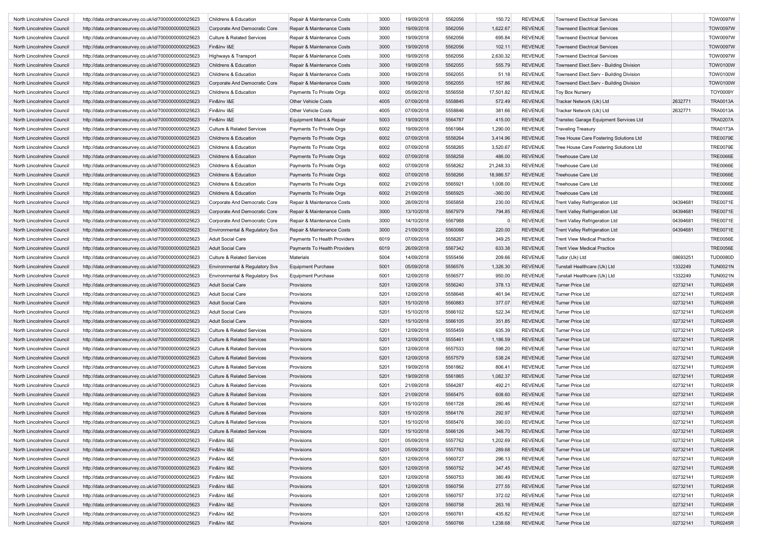| North Lincolnshire Council | http://data.ordnancesurvey.co.uk/id/7000000000025623 | Childrens & Education                 | Repair & Maintenance Costs   | 3000 | 19/09/2018 | 5562056 | 150.72      | <b>REVENUE</b> | <b>Townsend Electrical Services</b><br><b>Townsend Electrical Services</b> |          | <b>TOW0097W</b><br><b>TOW0097W</b> |
|----------------------------|------------------------------------------------------|---------------------------------------|------------------------------|------|------------|---------|-------------|----------------|----------------------------------------------------------------------------|----------|------------------------------------|
| North Lincolnshire Council | http://data.ordnancesurvey.co.uk/id/7000000000025623 | Corporate And Democratic Core         | Repair & Maintenance Costs   | 3000 | 19/09/2018 | 5562056 | 1,622.67    | <b>REVENUE</b> |                                                                            |          |                                    |
| North Lincolnshire Council | http://data.ordnancesurvey.co.uk/id/7000000000025623 | Culture & Related Services            | Repair & Maintenance Costs   | 3000 | 19/09/2018 | 5562056 | 695.84      | <b>REVENUE</b> | <b>Townsend Electrical Services</b>                                        |          | <b>TOW0097W</b>                    |
| North Lincolnshire Council | http://data.ordnancesurvey.co.uk/id/7000000000025623 | Fin&Inv I&E                           | Repair & Maintenance Costs   | 3000 | 19/09/2018 | 5562056 | 102.11      | <b>REVENUE</b> | <b>Townsend Electrical Services</b>                                        |          | <b>TOW0097W</b>                    |
| North Lincolnshire Council | http://data.ordnancesurvey.co.uk/id/7000000000025623 | Highways & Transport                  | Repair & Maintenance Costs   | 3000 | 19/09/2018 | 5562056 | 2,630.32    | <b>REVENUE</b> | <b>Townsend Electrical Services</b>                                        |          | <b>TOW0097W</b>                    |
| North Lincolnshire Council | http://data.ordnancesurvey.co.uk/id/7000000000025623 | Childrens & Education                 | Repair & Maintenance Costs   | 3000 | 19/09/2018 | 5562055 | 555.79      | <b>REVENUE</b> | Townsend Elect.Serv - Building Division                                    |          | <b>TOW0100W</b>                    |
| North Lincolnshire Council | http://data.ordnancesurvey.co.uk/id/7000000000025623 | Childrens & Education                 | Repair & Maintenance Costs   | 3000 | 19/09/2018 | 5562055 | 51.18       | REVENUE        | Townsend Elect.Serv - Building Division                                    |          | <b>TOW0100W</b>                    |
| North Lincolnshire Council | http://data.ordnancesurvey.co.uk/id/7000000000025623 | Corporate And Democratic Core         | Repair & Maintenance Costs   | 3000 | 19/09/2018 | 5562055 | 157.86      | <b>REVENUE</b> | Townsend Elect.Serv - Building Division                                    |          | <b>TOW0100W</b>                    |
| North Lincolnshire Council | http://data.ordnancesurvey.co.uk/id/7000000000025623 | Childrens & Education                 | Payments To Private Orgs     | 6002 | 05/09/2018 | 5556558 | 17,501.82   | <b>REVENUE</b> | <b>Toy Box Nursery</b>                                                     |          | <b>TOY0009Y</b>                    |
| North Lincolnshire Council | http://data.ordnancesurvey.co.uk/id/7000000000025623 | Fin&Inv I&E                           | <b>Other Vehicle Costs</b>   | 4005 | 07/09/2018 | 5558845 | 572.49      | REVENUE        | Tracker Network (Uk) Ltd                                                   | 2632771  | <b>TRA0013A</b>                    |
| North Lincolnshire Council | http://data.ordnancesurvey.co.uk/id/7000000000025623 | Fin&Inv I&E                           | <b>Other Vehicle Costs</b>   | 4005 | 07/09/2018 | 5558846 | 381.66      | <b>REVENUE</b> | Tracker Network (Uk) Ltd                                                   | 2632771  | <b>TRA0013A</b>                    |
| North Lincolnshire Council | http://data.ordnancesurvey.co.uk/id/7000000000025623 | Fin&Inv I&E                           | Equipment Maint.& Repair     | 5003 | 19/09/2018 | 5564787 | 415.00      | <b>REVENUE</b> | Transtec Garage Equipment Services Ltd                                     |          | <b>TRA0207A</b>                    |
| North Lincolnshire Council | http://data.ordnancesurvey.co.uk/id/7000000000025623 | Culture & Related Services            | Payments To Private Orgs     | 6002 | 19/09/2018 | 5561984 | 1,290.00    | <b>REVENUE</b> | <b>Traveling Treasury</b>                                                  |          | <b>TRA0173A</b>                    |
| North Lincolnshire Council | http://data.ordnancesurvey.co.uk/id/7000000000025623 | Childrens & Education                 | Payments To Private Orgs     | 6002 | 07/09/2018 | 5558264 | 3,414.96    | <b>REVENUE</b> | Tree House Care Fostering Solutions Ltd                                    |          | <b>TRE0079E</b>                    |
| North Lincolnshire Council | http://data.ordnancesurvey.co.uk/id/7000000000025623 | Childrens & Education                 | Payments To Private Orgs     | 6002 | 07/09/2018 | 5558265 | 3,520.67    | <b>REVENUE</b> | Tree House Care Fostering Solutions Ltd                                    |          | <b>TRE0079E</b>                    |
| North Lincolnshire Council | http://data.ordnancesurvey.co.uk/id/7000000000025623 | Childrens & Education                 | Payments To Private Orgs     | 6002 | 07/09/2018 | 5558258 | 486.00      | <b>REVENUE</b> | Treehouse Care Ltd                                                         |          | <b>TRE0066E</b>                    |
| North Lincolnshire Council | http://data.ordnancesurvey.co.uk/id/7000000000025623 | Childrens & Education                 | Payments To Private Orgs     | 6002 | 07/09/2018 | 5558262 | 21,248.33   | <b>REVENUE</b> | Treehouse Care Ltd                                                         |          | <b>TRE0066E</b>                    |
| North Lincolnshire Council | http://data.ordnancesurvey.co.uk/id/7000000000025623 | Childrens & Education                 | Payments To Private Orgs     | 6002 | 07/09/2018 | 5558266 | 18,986.57   | <b>REVENUE</b> | Treehouse Care Ltd                                                         |          | <b>TRE0066E</b>                    |
| North Lincolnshire Council | http://data.ordnancesurvey.co.uk/id/7000000000025623 | Childrens & Education                 | Payments To Private Orgs     | 6002 | 21/09/2018 | 5565921 | 1,008.00    | <b>REVENUE</b> | Treehouse Care Ltd                                                         |          | <b>TRE0066E</b>                    |
|                            | http://data.ordnancesurvey.co.uk/id/7000000000025623 | Childrens & Education                 | Payments To Private Orgs     | 6002 | 21/09/2018 | 5565925 | $-360.00$   | <b>REVENUE</b> | Treehouse Care Ltd                                                         |          | <b>TRE0066E</b>                    |
| North Lincolnshire Council |                                                      |                                       |                              |      |            |         |             |                |                                                                            |          |                                    |
| North Lincolnshire Council | http://data.ordnancesurvey.co.uk/id/7000000000025623 | Corporate And Democratic Core         | Repair & Maintenance Costs   | 3000 | 28/09/2018 | 5565858 | 230.00      | <b>REVENUE</b> | <b>Trent Valley Refrigeration Ltd</b>                                      | 04394681 | <b>TRE0071E</b>                    |
| North Lincolnshire Council | http://data.ordnancesurvey.co.uk/id/7000000000025623 | Corporate And Democratic Core         | Repair & Maintenance Costs   | 3000 | 13/10/2018 | 5567979 | 794.85      | <b>REVENUE</b> | <b>Trent Valley Refrigeration Ltd</b>                                      | 04394681 | <b>TRE0071E</b>                    |
| North Lincolnshire Council | http://data.ordnancesurvey.co.uk/id/7000000000025623 | Corporate And Democratic Core         | Repair & Maintenance Costs   | 3000 | 14/10/2018 | 5567988 | $\mathbf 0$ | <b>REVENUE</b> | <b>Trent Valley Refrigeration Ltd</b>                                      | 04394681 | <b>TRE0071E</b>                    |
| North Lincolnshire Council | http://data.ordnancesurvey.co.uk/id/7000000000025623 | Environmental & Regulatory Svs        | Repair & Maintenance Costs   | 3000 | 21/09/2018 | 5560066 | 220.00      | <b>REVENUE</b> | <b>Trent Valley Refrigeration Ltd</b>                                      | 04394681 | <b>TRE0071E</b>                    |
| North Lincolnshire Council | http://data.ordnancesurvey.co.uk/id/7000000000025623 | <b>Adult Social Care</b>              | Payments To Health Providers | 6019 | 07/09/2018 | 5558267 | 349.25      | REVENUE        | <b>Trent View Medical Practice</b>                                         |          | <b>TRE0056E</b>                    |
| North Lincolnshire Council | http://data.ordnancesurvey.co.uk/id/7000000000025623 | <b>Adult Social Care</b>              | Payments To Health Providers | 6019 | 26/09/2018 | 5567342 | 633.38      | <b>REVENUE</b> | <b>Trent View Medical Practice</b>                                         |          | <b>TRE0056E</b>                    |
| North Lincolnshire Council | http://data.ordnancesurvey.co.uk/id/7000000000025623 | <b>Culture &amp; Related Services</b> | <b>Materials</b>             | 5004 | 14/09/2018 | 5555456 | 209.66      | <b>REVENUE</b> | Tudor (Uk) Ltd                                                             | 08693251 | <b>TUD0080D</b>                    |
| North Lincolnshire Council | http://data.ordnancesurvey.co.uk/id/7000000000025623 | Environmental & Regulatory Svs        | Equipment Purchase           | 5001 | 05/09/2018 | 5556576 | 1,326.30    | <b>REVENUE</b> | Tunstall Healthcare (Uk) Ltd                                               | 1332249  | <b>TUN0021N</b>                    |
| North Lincolnshire Council | http://data.ordnancesurvey.co.uk/id/7000000000025623 | Environmental & Regulatory Svs        | <b>Equipment Purchase</b>    | 5001 | 12/09/2018 | 5556577 | 950.00      | REVENUE        | Tunstall Healthcare (Uk) Ltd                                               | 1332249  | <b>TUN0021N</b>                    |
| North Lincolnshire Council | http://data.ordnancesurvey.co.uk/id/7000000000025623 | <b>Adult Social Care</b>              | Provisions                   | 5201 | 12/09/2018 | 5556240 | 378.13      | <b>REVENUE</b> | <b>Turner Price Ltd</b>                                                    | 02732141 | <b>TUR0245R</b>                    |
| North Lincolnshire Council | http://data.ordnancesurvey.co.uk/id/7000000000025623 | <b>Adult Social Care</b>              | Provisions                   | 5201 | 12/09/2018 | 5558648 | 461.94      | <b>REVENUE</b> | <b>Turner Price Ltd</b>                                                    | 02732141 | <b>TUR0245R</b>                    |
| North Lincolnshire Council | http://data.ordnancesurvey.co.uk/id/7000000000025623 | <b>Adult Social Care</b>              | Provisions                   | 5201 | 15/10/2018 | 5560883 | 377.07      | REVENUE        | <b>Turner Price Ltd</b>                                                    | 02732141 | <b>TUR0245R</b>                    |
| North Lincolnshire Council | http://data.ordnancesurvey.co.uk/id/7000000000025623 | <b>Adult Social Care</b>              | Provisions                   | 5201 | 15/10/2018 | 5566102 | 522.34      | <b>REVENUE</b> | <b>Turner Price Ltd</b>                                                    | 02732141 | <b>TUR0245R</b>                    |
| North Lincolnshire Council | http://data.ordnancesurvey.co.uk/id/7000000000025623 | <b>Adult Social Care</b>              | Provisions                   | 5201 | 15/10/2018 | 5566105 | 351.85      | <b>REVENUE</b> | <b>Turner Price Ltd</b>                                                    | 02732141 | <b>TUR0245R</b>                    |
| North Lincolnshire Council | http://data.ordnancesurvey.co.uk/id/7000000000025623 | Culture & Related Services            | Provisions                   | 5201 | 12/09/2018 | 5555459 | 635.39      | <b>REVENUE</b> | <b>Turner Price Ltd</b>                                                    | 02732141 | <b>TUR0245R</b>                    |
| North Lincolnshire Council | http://data.ordnancesurvey.co.uk/id/7000000000025623 | <b>Culture &amp; Related Services</b> | Provisions                   | 5201 | 12/09/2018 | 5555461 | 1,186.59    | REVENUE        | <b>Turner Price Ltd</b>                                                    | 02732141 | <b>TUR0245R</b>                    |
| North Lincolnshire Council | http://data.ordnancesurvey.co.uk/id/7000000000025623 | Culture & Related Services            | Provisions                   | 5201 | 12/09/2018 | 5557533 | 598.20      | <b>REVENUE</b> | <b>Turner Price Ltd</b>                                                    | 02732141 | <b>TUR0245R</b>                    |
| North Lincolnshire Council | http://data.ordnancesurvey.co.uk/id/7000000000025623 | <b>Culture &amp; Related Services</b> | Provisions                   | 5201 | 12/09/2018 | 5557579 | 538.24      | <b>REVENUE</b> | <b>Turner Price Ltd</b>                                                    | 02732141 | <b>TUR0245R</b>                    |
| North Lincolnshire Council | http://data.ordnancesurvey.co.uk/id/7000000000025623 | <b>Culture &amp; Related Services</b> | Provisions                   | 5201 | 19/09/2018 | 5561862 | 806.41      | <b>REVENUE</b> | <b>Turner Price Ltd</b>                                                    | 02732141 | <b>TUR0245R</b>                    |
| North Lincolnshire Council | http://data.ordnancesurvey.co.uk/id/7000000000025623 | <b>Culture &amp; Related Services</b> | Provisions                   | 5201 | 19/09/2018 | 5561865 | 1,082.37    | <b>REVENUE</b> | <b>Turner Price Ltd</b>                                                    | 02732141 | <b>TUR0245R</b>                    |
| North Lincolnshire Council |                                                      |                                       | Provisions                   | 5201 | 21/09/2018 | 5564287 | 492.21      | <b>REVENUE</b> | Turner Price Ltd                                                           | 02732141 | <b>TUR0245R</b>                    |
|                            | http://data.ordnancesurvey.co.uk/id/7000000000025623 | Culture & Related Services            |                              |      |            |         |             |                | <b>Turner Price Ltd</b>                                                    |          |                                    |
| North Lincolnshire Council | http://data.ordnancesurvey.co.uk/id/7000000000025623 | <b>Culture &amp; Related Services</b> | Provisions                   | 5201 | 21/09/2018 | 5565475 | 608.60      | REVENUE        |                                                                            | 02732141 | <b>TUR0245R</b>                    |
| North Lincolnshire Council | http://data.ordnancesurvey.co.uk/id/7000000000025623 | <b>Culture &amp; Related Services</b> | Provisions                   | 5201 | 15/10/2018 | 5561728 | 280.46      | REVENUE        | <b>Turner Price Ltd</b>                                                    | 02732141 | <b>TUR0245R</b>                    |
| North Lincolnshire Council | http://data.ordnancesurvey.co.uk/id/7000000000025623 | <b>Culture &amp; Related Services</b> | Provisions                   | 5201 | 15/10/2018 | 5564176 | 292.97      | <b>REVENUE</b> | Turner Price Ltd                                                           | 02732141 | <b>TUR0245R</b>                    |
| North Lincolnshire Council | http://data.ordnancesurvey.co.uk/id/7000000000025623 |                                       | Provisions                   | 5201 | 15/10/2018 | 5565476 | 390.03      | REVENUE        | Turner Price Ltd                                                           | 02732141 | <b>TUR0245R</b>                    |
| North Lincolnshire Council | http://data.ordnancesurvey.co.uk/id/7000000000025623 | <b>Culture &amp; Related Services</b> | Provisions                   | 5201 | 15/10/2018 | 5566126 | 348.70      | <b>REVENUE</b> | Turner Price Ltd                                                           | 02732141 | <b>TUR0245R</b>                    |
| North Lincolnshire Council | http://data.ordnancesurvey.co.uk/id/7000000000025623 | Fin&Inv I&E                           | Provisions                   | 5201 | 05/09/2018 | 5557762 | 1,202.69    | <b>REVENUE</b> | <b>Turner Price Ltd</b>                                                    | 02732141 | <b>TUR0245R</b>                    |
| North Lincolnshire Council | http://data.ordnancesurvey.co.uk/id/7000000000025623 | Fin&Inv I&E                           | Provisions                   | 5201 | 05/09/2018 | 5557763 | 289.68      | <b>REVENUE</b> | <b>Turner Price Ltd</b>                                                    | 02732141 | <b>TUR0245R</b>                    |
| North Lincolnshire Council | http://data.ordnancesurvey.co.uk/id/7000000000025623 | Fin&Inv I&E                           | Provisions                   | 5201 | 12/09/2018 | 5560727 | 296.13      | <b>REVENUE</b> | Turner Price Ltd                                                           | 02732141 | <b>TUR0245R</b>                    |
| North Lincolnshire Council | http://data.ordnancesurvey.co.uk/id/7000000000025623 | Fin&Inv I&E                           | Provisions                   | 5201 | 12/09/2018 | 5560752 | 347.45      | <b>REVENUE</b> | <b>Turner Price Ltd</b>                                                    | 02732141 | <b>TUR0245R</b>                    |
| North Lincolnshire Council | http://data.ordnancesurvey.co.uk/id/7000000000025623 | Fin&Inv I&E                           | Provisions                   | 5201 | 12/09/2018 | 5560753 | 380.49      | <b>REVENUE</b> | <b>Turner Price Ltd</b>                                                    | 02732141 | <b>TUR0245R</b>                    |
| North Lincolnshire Council | http://data.ordnancesurvey.co.uk/id/7000000000025623 | Fin&Inv I&E                           | Provisions                   | 5201 | 12/09/2018 | 5560756 | 277.55      | <b>REVENUE</b> | <b>Turner Price Ltd</b>                                                    | 02732141 | <b>TUR0245R</b>                    |
| North Lincolnshire Council | http://data.ordnancesurvey.co.uk/id/7000000000025623 | Fin&Inv I&E                           | Provisions                   | 5201 | 12/09/2018 | 5560757 | 372.02      | <b>REVENUE</b> | <b>Turner Price Ltd</b>                                                    | 02732141 | <b>TUR0245R</b>                    |
| North Lincolnshire Council | http://data.ordnancesurvey.co.uk/id/7000000000025623 | Fin&Inv I&E                           | Provisions                   | 5201 | 12/09/2018 | 5560758 | 263.16      | <b>REVENUE</b> | <b>Turner Price Ltd</b>                                                    | 02732141 | <b>TUR0245R</b>                    |
| North Lincolnshire Council | http://data.ordnancesurvey.co.uk/id/7000000000025623 | Fin&Inv I&E                           | Provisions                   | 5201 | 12/09/2018 | 5560761 | 435.82      | <b>REVENUE</b> | <b>Turner Price Ltd</b>                                                    | 02732141 | <b>TUR0245R</b>                    |
| North Lincolnshire Council | http://data.ordnancesurvey.co.uk/id/7000000000025623 | Fin&Inv I&E                           | Provisions                   | 5201 | 12/09/2018 | 5560766 | 1,238.68    | REVENUE        | Turner Price Ltd                                                           | 02732141 | <b>TUR0245R</b>                    |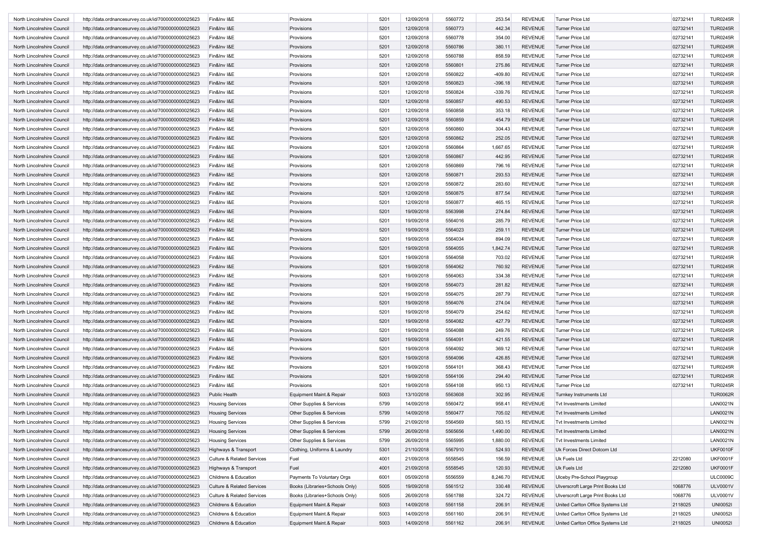| North Lincolnshire Council | http://data.ordnancesurvey.co.uk/id/7000000000025623 | Fin&Inv I&E                           | Provisions                     | 5201 | 12/09/2018 | 5560772 | 253.54    | <b>REVENUE</b> | <b>Turner Price Ltd</b>           | 02732141 | <b>TUR0245R</b> |
|----------------------------|------------------------------------------------------|---------------------------------------|--------------------------------|------|------------|---------|-----------|----------------|-----------------------------------|----------|-----------------|
| North Lincolnshire Council | http://data.ordnancesurvey.co.uk/id/7000000000025623 | Fin&Inv I&E                           | Provisions                     | 5201 | 12/09/2018 | 5560773 | 442.34    | <b>REVENUE</b> | <b>Turner Price Ltd</b>           | 02732141 | <b>TUR0245R</b> |
| North Lincolnshire Council | http://data.ordnancesurvey.co.uk/id/7000000000025623 | Fin&Inv I&E                           | Provisions                     | 5201 | 12/09/2018 | 5560778 | 354.00    | <b>REVENUE</b> | <b>Turner Price Ltd</b>           | 02732141 | <b>TUR0245R</b> |
| North Lincolnshire Council |                                                      | Fin&Inv I&E                           | Provisions                     | 5201 | 12/09/2018 | 5560786 | 380.11    | <b>REVENUE</b> | <b>Turner Price Ltd</b>           | 02732141 | <b>TUR0245R</b> |
|                            | http://data.ordnancesurvey.co.uk/id/7000000000025623 |                                       |                                |      | 12/09/2018 |         |           | <b>REVENUE</b> |                                   |          |                 |
| North Lincolnshire Council | http://data.ordnancesurvey.co.uk/id/7000000000025623 | Fin&Inv I&E                           | Provisions                     | 5201 |            | 5560788 | 858.59    |                | <b>Turner Price Ltd</b>           | 02732141 | <b>TUR0245R</b> |
| North Lincolnshire Council | http://data.ordnancesurvey.co.uk/id/7000000000025623 | Fin&Inv I&E                           | Provisions                     | 5201 | 12/09/2018 | 5560801 | 275.86    | <b>REVENUE</b> | <b>Turner Price Ltd</b>           | 02732141 | <b>TUR0245R</b> |
| North Lincolnshire Council | http://data.ordnancesurvey.co.uk/id/7000000000025623 | Fin&Inv I&E                           | Provisions                     | 5201 | 12/09/2018 | 5560822 | $-409.80$ | <b>REVENUE</b> | <b>Turner Price Ltd</b>           | 02732141 | <b>TUR0245R</b> |
| North Lincolnshire Council | http://data.ordnancesurvey.co.uk/id/7000000000025623 | Fin&Inv I&E                           | Provisions                     | 5201 | 12/09/2018 | 5560823 | $-396.18$ | <b>REVENUE</b> | <b>Turner Price Ltd</b>           | 02732141 | <b>TUR0245R</b> |
| North Lincolnshire Council | http://data.ordnancesurvey.co.uk/id/7000000000025623 | Fin&Inv I&E                           | Provisions                     | 5201 | 12/09/2018 | 5560824 | $-339.76$ | <b>REVENUE</b> | <b>Turner Price Ltd</b>           | 02732141 | <b>TUR0245R</b> |
| North Lincolnshire Council | http://data.ordnancesurvey.co.uk/id/7000000000025623 | Fin&Inv I&E                           | Provisions                     | 5201 | 12/09/2018 | 5560857 | 490.53    | <b>REVENUE</b> | Turner Price Ltd                  | 02732141 | <b>TUR0245R</b> |
| North Lincolnshire Council | http://data.ordnancesurvey.co.uk/id/7000000000025623 | Fin&Inv I&E                           | Provisions                     | 5201 | 12/09/2018 | 5560858 | 353.18    | REVENUE        | <b>Turner Price Ltd</b>           | 02732141 | <b>TUR0245R</b> |
| North Lincolnshire Council | http://data.ordnancesurvey.co.uk/id/7000000000025623 | Fin&Inv I&E                           | Provisions                     | 5201 | 12/09/2018 | 5560859 | 454.79    | <b>REVENUE</b> | <b>Turner Price Ltd</b>           | 02732141 | <b>TUR0245R</b> |
| North Lincolnshire Council | http://data.ordnancesurvey.co.uk/id/7000000000025623 | Fin&Inv I&E                           | Provisions                     | 5201 | 12/09/2018 | 5560860 | 304.43    | <b>REVENUE</b> | <b>Turner Price Ltd</b>           | 02732141 | <b>TUR0245R</b> |
| North Lincolnshire Council | http://data.ordnancesurvey.co.uk/id/7000000000025623 | Fin&Inv I&E                           | Provisions                     | 5201 | 12/09/2018 | 5560862 | 252.05    | <b>REVENUE</b> | <b>Turner Price Ltd</b>           | 02732141 | <b>TUR0245R</b> |
| North Lincolnshire Council | http://data.ordnancesurvey.co.uk/id/7000000000025623 | Fin&Inv I&E                           | Provisions                     | 5201 | 12/09/2018 | 5560864 | 1,667.65  | <b>REVENUE</b> | <b>Turner Price Ltd</b>           | 02732141 | <b>TUR0245R</b> |
| North Lincolnshire Council | http://data.ordnancesurvey.co.uk/id/7000000000025623 | Fin&Inv I&E                           | Provisions                     | 5201 | 12/09/2018 | 5560867 | 442.95    | <b>REVENUE</b> | <b>Turner Price Ltd</b>           | 02732141 | <b>TUR0245R</b> |
| North Lincolnshire Council | http://data.ordnancesurvey.co.uk/id/7000000000025623 | Fin&Inv I&E                           | Provisions                     | 5201 | 12/09/2018 | 5560869 | 796.16    | <b>REVENUE</b> | <b>Turner Price Ltd</b>           | 02732141 | <b>TUR0245R</b> |
| North Lincolnshire Council | http://data.ordnancesurvey.co.uk/id/7000000000025623 | Fin&Inv I&E                           | Provisions                     | 5201 | 12/09/2018 | 5560871 | 293.53    | <b>REVENUE</b> | <b>Turner Price Ltd</b>           | 02732141 | <b>TUR0245R</b> |
| North Lincolnshire Council | http://data.ordnancesurvey.co.uk/id/7000000000025623 | Fin&Inv I&E                           | Provisions                     | 5201 | 12/09/2018 | 5560872 | 283.60    | <b>REVENUE</b> | Turner Price Ltd                  | 02732141 | <b>TUR0245R</b> |
| North Lincolnshire Council | http://data.ordnancesurvey.co.uk/id/7000000000025623 | Fin&Inv I&E                           | Provisions                     | 5201 | 12/09/2018 | 5560875 | 877.54    | <b>REVENUE</b> | Turner Price Ltd                  | 02732141 | <b>TUR0245R</b> |
| North Lincolnshire Council | http://data.ordnancesurvey.co.uk/id/7000000000025623 | Fin&Inv I&E                           | Provisions                     | 5201 | 12/09/2018 | 5560877 | 465.15    | <b>REVENUE</b> | <b>Turner Price Ltd</b>           | 02732141 | <b>TUR0245R</b> |
| North Lincolnshire Council | http://data.ordnancesurvey.co.uk/id/7000000000025623 | Fin&Inv I&E                           | Provisions                     | 5201 | 19/09/2018 | 5563998 | 274.84    | <b>REVENUE</b> | <b>Turner Price Ltd</b>           | 02732141 | <b>TUR0245R</b> |
|                            | http://data.ordnancesurvey.co.uk/id/7000000000025623 |                                       |                                |      | 19/09/2018 | 5564016 |           | <b>REVENUE</b> | <b>Turner Price Ltd</b>           |          |                 |
| North Lincolnshire Council |                                                      | Fin&Inv I&E                           | Provisions                     | 5201 |            |         | 285.79    |                |                                   | 02732141 | <b>TUR0245R</b> |
| North Lincolnshire Council | http://data.ordnancesurvey.co.uk/id/7000000000025623 | Fin&Inv I&E                           | Provisions                     | 5201 | 19/09/2018 | 5564023 | 259.11    | <b>REVENUE</b> | <b>Turner Price Ltd</b>           | 02732141 | <b>TUR0245R</b> |
| North Lincolnshire Council | http://data.ordnancesurvey.co.uk/id/7000000000025623 | Fin&Inv I&E                           | Provisions                     | 5201 | 19/09/2018 | 5564034 | 894.09    | <b>REVENUE</b> | <b>Turner Price Ltd</b>           | 02732141 | <b>TUR0245R</b> |
| North Lincolnshire Council | http://data.ordnancesurvey.co.uk/id/7000000000025623 | Fin&Inv I&E                           | Provisions                     | 5201 | 19/09/2018 | 5564055 | 1,842.74  | <b>REVENUE</b> | <b>Turner Price Ltd</b>           | 02732141 | <b>TUR0245R</b> |
| North Lincolnshire Council | http://data.ordnancesurvey.co.uk/id/7000000000025623 | Fin&Inv I&E                           | Provisions                     | 5201 | 19/09/2018 | 5564058 | 703.02    | <b>REVENUE</b> | <b>Turner Price Ltd</b>           | 02732141 | <b>TUR0245R</b> |
| North Lincolnshire Council | http://data.ordnancesurvey.co.uk/id/7000000000025623 | Fin&Inv I&E                           | Provisions                     | 5201 | 19/09/2018 | 5564062 | 760.92    | <b>REVENUE</b> | <b>Turner Price Ltd</b>           | 02732141 | <b>TUR0245R</b> |
| North Lincolnshire Council | http://data.ordnancesurvey.co.uk/id/7000000000025623 | Fin&Inv I&E                           | Provisions                     | 5201 | 19/09/2018 | 5564063 | 334.38    | <b>REVENUE</b> | <b>Turner Price Ltd</b>           | 02732141 | <b>TUR0245R</b> |
| North Lincolnshire Council | http://data.ordnancesurvey.co.uk/id/7000000000025623 | Fin&Inv I&E                           | Provisions                     | 5201 | 19/09/2018 | 5564073 | 281.82    | <b>REVENUE</b> | <b>Turner Price Ltd</b>           | 02732141 | <b>TUR0245R</b> |
| North Lincolnshire Council | http://data.ordnancesurvey.co.uk/id/7000000000025623 | Fin&Inv I&E                           | Provisions                     | 5201 | 19/09/2018 | 5564075 | 287.79    | <b>REVENUE</b> | <b>Turner Price Ltd</b>           | 02732141 | <b>TUR0245R</b> |
| North Lincolnshire Council | http://data.ordnancesurvey.co.uk/id/7000000000025623 | Fin&Inv I&E                           | Provisions                     | 5201 | 19/09/2018 | 5564076 | 274.04    | <b>REVENUE</b> | <b>Turner Price Ltd</b>           | 02732141 | <b>TUR0245R</b> |
| North Lincolnshire Council | http://data.ordnancesurvey.co.uk/id/7000000000025623 | Fin&Inv I&E                           | Provisions                     | 5201 | 19/09/2018 | 5564079 | 254.62    | <b>REVENUE</b> | <b>Turner Price Ltd</b>           | 02732141 | <b>TUR0245R</b> |
| North Lincolnshire Council | http://data.ordnancesurvey.co.uk/id/7000000000025623 | Fin&Inv I&E                           | Provisions                     | 5201 | 19/09/2018 | 5564082 | 427.79    | <b>REVENUE</b> | <b>Turner Price Ltd</b>           | 02732141 | <b>TUR0245R</b> |
| North Lincolnshire Council | http://data.ordnancesurvey.co.uk/id/7000000000025623 | Fin&Inv I&E                           | Provisions                     | 5201 | 19/09/2018 | 5564088 | 249.76    | <b>REVENUE</b> | <b>Turner Price Ltd</b>           | 02732141 | <b>TUR0245R</b> |
| North Lincolnshire Council | http://data.ordnancesurvey.co.uk/id/7000000000025623 | Fin&Inv I&E                           | Provisions                     | 5201 | 19/09/2018 | 5564091 | 421.55    | <b>REVENUE</b> | <b>Turner Price Ltd</b>           | 02732141 | <b>TUR0245R</b> |
| North Lincolnshire Council | http://data.ordnancesurvey.co.uk/id/7000000000025623 | Fin&Inv I&E                           | Provisions                     | 5201 | 19/09/2018 | 5564092 | 369.12    | <b>REVENUE</b> | <b>Turner Price Ltd</b>           | 02732141 | <b>TUR0245R</b> |
| North Lincolnshire Council | http://data.ordnancesurvey.co.uk/id/7000000000025623 | Fin&Inv I&E                           | Provisions                     | 5201 | 19/09/2018 | 5564096 | 426.85    | <b>REVENUE</b> | <b>Turner Price Ltd</b>           | 02732141 | <b>TUR0245R</b> |
| North Lincolnshire Council | http://data.ordnancesurvey.co.uk/id/7000000000025623 | Fin&Inv I&E                           | Provisions                     | 5201 | 19/09/2018 | 5564101 | 368.43    | <b>REVENUE</b> | Turner Price Ltd                  | 02732141 | <b>TUR0245R</b> |
| North Lincolnshire Council | http://data.ordnancesurvey.co.uk/id/7000000000025623 | Fin&Inv I&E                           | Provisions                     | 5201 | 19/09/2018 | 5564106 | 294.40    | <b>REVENUE</b> | <b>Turner Price Ltd</b>           | 02732141 | <b>TUR0245R</b> |
| North Lincolnshire Council | http://data.ordnancesurvey.co.uk/id/7000000000025623 | Fin&Inv I&E                           | Provisions                     | 5201 | 19/09/2018 | 5564108 | 950.13    | <b>REVENUE</b> | <b>Turner Price Ltd</b>           | 02732141 | <b>TUR0245R</b> |
| North Lincolnshire Council | http://data.ordnancesurvey.co.uk/id/7000000000025623 | Public Health                         | Equipment Maint.& Repair       | 5003 | 13/10/2018 | 5563608 | 302.95    | <b>REVENUE</b> | Turnkey Instruments Ltd           |          | <b>TUR0062R</b> |
|                            |                                                      |                                       |                                |      |            |         |           |                |                                   |          |                 |
| North Lincolnshire Council | http://data.ordnancesurvey.co.uk/id/7000000000025623 | <b>Housing Services</b>               | Other Supplies & Services      | 5799 | 14/09/2018 | 5560472 | 958.41    | REVENUE        | <b>Tvt Investments Limited</b>    |          | <b>LAN0021N</b> |
| North Lincolnshire Council | http://data.ordnancesurvey.co.uk/id/7000000000025623 | <b>Housing Services</b>               | Other Supplies & Services      | 5799 | 14/09/2018 | 5560477 | 705.02    | <b>REVENUE</b> | Tvt Investments Limited           |          | <b>LAN0021N</b> |
| North Lincolnshire Counci  | http://data.ordnancesurvey.co.uk/id/7000000000025623 | Housing Services                      | Other Supplies & Services      | 5799 | 21/09/2018 | 5564569 | 583.15    | REVENUE        | <b>Tvt Investments Limited</b>    |          | LAN0021N        |
| North Lincolnshire Council | http://data.ordnancesurvey.co.uk/id/7000000000025623 | <b>Housing Services</b>               | Other Supplies & Services      | 5799 | 26/09/2018 | 5565656 | 1,490.00  | <b>REVENUE</b> | <b>Tvt Investments Limited</b>    |          | <b>LAN0021N</b> |
| North Lincolnshire Council | http://data.ordnancesurvey.co.uk/id/7000000000025623 | <b>Housing Services</b>               | Other Supplies & Services      | 5799 | 26/09/2018 | 5565995 | 1,880.00  | <b>REVENUE</b> | <b>Tvt Investments Limited</b>    |          | LAN0021N        |
| North Lincolnshire Council | http://data.ordnancesurvey.co.uk/id/7000000000025623 | Highways & Transport                  | Clothing, Uniforms & Laundry   | 5301 | 21/10/2018 | 5567910 | 524.93    | <b>REVENUE</b> | Uk Forces Direct Dotcom Ltd       |          | <b>UKF0010F</b> |
| North Lincolnshire Council | http://data.ordnancesurvey.co.uk/id/7000000000025623 | <b>Culture &amp; Related Services</b> | Fuel                           | 4001 | 21/09/2018 | 5558545 | 156.59    | <b>REVENUE</b> | Uk Fuels Ltd                      | 2212080  | <b>UKF0001F</b> |
| North Lincolnshire Council | http://data.ordnancesurvey.co.uk/id/7000000000025623 | Highways & Transport                  | Fuel                           | 4001 | 21/09/2018 | 5558545 | 120.93    | <b>REVENUE</b> | Uk Fuels Ltd                      | 2212080  | <b>UKF0001F</b> |
| North Lincolnshire Council | http://data.ordnancesurvey.co.uk/id/7000000000025623 | Childrens & Education                 | Payments To Voluntary Orgs     | 6001 | 05/09/2018 | 5556559 | 8,246.70  | <b>REVENUE</b> | Ulceby Pre-School Playgroup       |          | <b>ULC0009C</b> |
| North Lincolnshire Council | http://data.ordnancesurvey.co.uk/id/7000000000025623 | <b>Culture &amp; Related Services</b> | Books (Libraries+Schools Only) | 5005 | 19/09/2018 | 5561512 | 330.48    | <b>REVENUE</b> | Ulverscroft Large Print Books Ltd | 1068776  | ULV0001V        |
| North Lincolnshire Council | http://data.ordnancesurvey.co.uk/id/7000000000025623 | <b>Culture &amp; Related Services</b> | Books (Libraries+Schools Only) | 5005 | 26/09/2018 | 5561788 | 324.72    | <b>REVENUE</b> | Ulverscroft Large Print Books Ltd | 1068776  | <b>ULV0001V</b> |
| North Lincolnshire Council | http://data.ordnancesurvey.co.uk/id/7000000000025623 | Childrens & Education                 | Equipment Maint.& Repair       | 5003 | 14/09/2018 | 5561158 | 206.91    | <b>REVENUE</b> | United Carlton Office Systems Ltd | 2118025  | <b>UNI0052I</b> |
| North Lincolnshire Council | http://data.ordnancesurvey.co.uk/id/7000000000025623 | Childrens & Education                 | Equipment Maint.& Repair       | 5003 | 14/09/2018 | 5561160 | 206.91    | <b>REVENUE</b> | United Carlton Office Systems Ltd | 2118025  | <b>UNI0052I</b> |
| North Lincolnshire Council | http://data.ordnancesurvey.co.uk/id/7000000000025623 | Childrens & Education                 | Equipment Maint.& Repair       | 5003 | 14/09/2018 | 5561162 | 206.91    | <b>REVENUE</b> | United Carlton Office Systems Ltd | 2118025  | <b>UNI0052I</b> |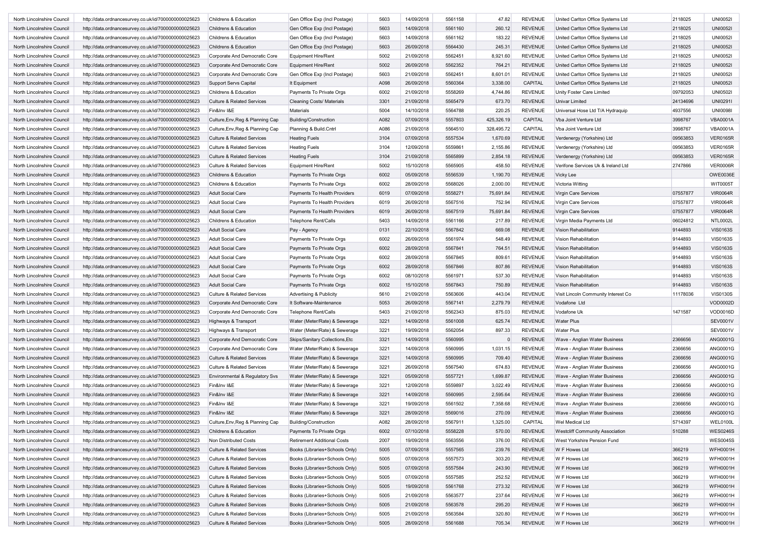| North Lincolnshire Council | http://data.ordnancesurvey.co.uk/id/7000000000025623                                                         | Childrens & Education                 | Gen Office Exp (Incl Postage)      | 5603 | 14/09/2018 | 5561158 | 47.82      | <b>REVENUE</b> | United Carlton Office Systems Ltd      | 2118025  | <b>UNI0052I</b> |
|----------------------------|--------------------------------------------------------------------------------------------------------------|---------------------------------------|------------------------------------|------|------------|---------|------------|----------------|----------------------------------------|----------|-----------------|
| North Lincolnshire Council | http://data.ordnancesurvey.co.uk/id/7000000000025623                                                         | Childrens & Education                 | Gen Office Exp (Incl Postage)      | 5603 | 14/09/2018 | 5561160 | 260.12     | <b>REVENUE</b> | United Carlton Office Systems Ltd      | 2118025  | <b>UNI0052I</b> |
| North Lincolnshire Council | http://data.ordnancesurvey.co.uk/id/7000000000025623                                                         | Childrens & Education                 | Gen Office Exp (Incl Postage)      | 5603 | 14/09/2018 | 5561162 | 183.22     | <b>REVENUE</b> | United Carlton Office Systems Ltd      | 2118025  | <b>UNI0052I</b> |
| North Lincolnshire Council | http://data.ordnancesurvey.co.uk/id/7000000000025623                                                         | Childrens & Education                 | Gen Office Exp (Incl Postage)      | 5603 | 26/09/2018 | 5564430 | 245.31     | <b>REVENUE</b> | United Carlton Office Systems Ltd      | 2118025  | <b>UNI0052I</b> |
| North Lincolnshire Council | http://data.ordnancesurvey.co.uk/id/7000000000025623                                                         | Corporate And Democratic Core         | Equipment Hire/Rent                | 5002 | 21/09/2018 | 5562451 | 8,921.60   | <b>REVENUE</b> | United Carlton Office Systems Ltd      | 2118025  | <b>UNI0052I</b> |
| North Lincolnshire Council | http://data.ordnancesurvey.co.uk/id/7000000000025623                                                         | Corporate And Democratic Core         | Equipment Hire/Rent                | 5002 | 26/09/2018 | 5562352 | 764.21     | <b>REVENUE</b> | United Carlton Office Systems Ltd      | 2118025  | <b>UNI0052I</b> |
| North Lincolnshire Council | http://data.ordnancesurvey.co.uk/id/7000000000025623                                                         | Corporate And Democratic Core         | Gen Office Exp (Incl Postage)      | 5603 | 21/09/2018 | 5562451 | 8,601.01   | <b>REVENUE</b> | United Carlton Office Systems Ltd      | 2118025  | <b>UNI0052I</b> |
| North Lincolnshire Council | http://data.ordnancesurvey.co.uk/id/7000000000025623                                                         | <b>Support Servs Capital</b>          | It Equipment                       | A098 | 26/09/2018 | 5560364 | 3,338.00   | CAPITAL        | United Carlton Office Systems Ltd      | 2118025  | <b>UNI0052I</b> |
| North Lincolnshire Council | http://data.ordnancesurvey.co.uk/id/7000000000025623                                                         | Childrens & Education                 | Payments To Private Orgs           | 6002 | 21/09/2018 | 5558269 | 4,744.86   | <b>REVENUE</b> | Unity Foster Care Limited              | 09792053 | <b>UNI05021</b> |
| North Lincolnshire Council | http://data.ordnancesurvey.co.uk/id/7000000000025623                                                         | <b>Culture &amp; Related Services</b> | <b>Cleaning Costs/ Materials</b>   | 3301 | 21/09/2018 | 5565479 | 673.70     | <b>REVENUE</b> | <b>Univar Limited</b>                  | 24134696 | UNI0291         |
| North Lincolnshire Council | http://data.ordnancesurvey.co.uk/id/7000000000025623                                                         | Fin&Inv I&E                           | <b>Materials</b>                   | 5004 | 14/10/2018 | 5564788 | 220.25     | <b>REVENUE</b> | Universal Hose Ltd T/A Hydraquip       | 4937556  | <b>UNI0098I</b> |
| North Lincolnshire Council | http://data.ordnancesurvey.co.uk/id/7000000000025623                                                         | Culture, Env, Reg & Planning Cap      | Building/Construction              | A082 | 07/09/2018 | 5557803 | 425,326.19 | CAPITAL        | Vba Joint Venture Ltd                  | 3998767  | <b>VBA0001A</b> |
| North Lincolnshire Council | http://data.ordnancesurvey.co.uk/id/7000000000025623                                                         | Culture, Env, Reg & Planning Cap      | Planning & Build.Cntrl             | A086 | 21/09/2018 | 5564510 | 328,495.72 | CAPITAL        | Vba Joint Venture Ltd                  | 3998767  | <b>VBA0001A</b> |
| North Lincolnshire Council | http://data.ordnancesurvey.co.uk/id/7000000000025623                                                         | <b>Culture &amp; Related Services</b> | <b>Heating Fuels</b>               | 3104 | 07/09/2018 | 5557534 | 1,670.69   | <b>REVENUE</b> | Verdenergy (Yorkshire) Ltd             | 09563853 | <b>VER0165R</b> |
| North Lincolnshire Council | http://data.ordnancesurvey.co.uk/id/7000000000025623                                                         | <b>Culture &amp; Related Services</b> | <b>Heating Fuels</b>               | 3104 | 12/09/2018 | 5559861 | 2,155.86   | <b>REVENUE</b> | Verdenergy (Yorkshire) Ltd             | 09563853 | <b>VER0165R</b> |
| North Lincolnshire Council | http://data.ordnancesurvey.co.uk/id/7000000000025623                                                         | <b>Culture &amp; Related Services</b> | <b>Heating Fuels</b>               | 3104 | 21/09/2018 | 5565899 | 2,854.18   | <b>REVENUE</b> | Verdenergy (Yorkshire) Ltd             | 09563853 | <b>VER0165R</b> |
| North Lincolnshire Council | http://data.ordnancesurvey.co.uk/id/7000000000025623                                                         | <b>Culture &amp; Related Services</b> | Equipment Hire/Rent                | 5002 | 15/10/2018 | 5565905 | 458.50     | <b>REVENUE</b> | Verifone Services Uk & Ireland Ltd     | 2747866  | <b>VER0006R</b> |
| North Lincolnshire Council | http://data.ordnancesurvey.co.uk/id/7000000000025623                                                         | <b>Childrens &amp; Education</b>      | Payments To Private Orgs           | 6002 | 05/09/2018 | 5556539 | 1,190.70   | <b>REVENUE</b> | <b>Vicky Lee</b>                       |          | OWE0036E        |
| North Lincolnshire Council | http://data.ordnancesurvey.co.uk/id/7000000000025623                                                         | Childrens & Education                 | Payments To Private Orgs           | 6002 | 28/09/2018 | 5568026 | 2,000.00   | <b>REVENUE</b> | Victoria Witting                       |          | <b>WIT0005T</b> |
| North Lincolnshire Council | http://data.ordnancesurvey.co.uk/id/7000000000025623                                                         | <b>Adult Social Care</b>              | Payments To Health Providers       | 6019 | 07/09/2018 | 5558271 | 75,691.84  | <b>REVENUE</b> | Virgin Care Services                   | 07557877 | <b>VIR0064R</b> |
| North Lincolnshire Council | http://data.ordnancesurvey.co.uk/id/7000000000025623                                                         | <b>Adult Social Care</b>              | Payments To Health Providers       | 6019 | 26/09/2018 | 5567516 | 752.94     | <b>REVENUE</b> | Virgin Care Services                   | 07557877 | <b>VIR0064R</b> |
| North Lincolnshire Council | http://data.ordnancesurvey.co.uk/id/7000000000025623                                                         | <b>Adult Social Care</b>              | Payments To Health Providers       | 6019 | 26/09/2018 | 5567519 | 75,691.84  | <b>REVENUE</b> | Virgin Care Services                   | 07557877 | <b>VIR0064R</b> |
| North Lincolnshire Council | http://data.ordnancesurvey.co.uk/id/7000000000025623                                                         | Childrens & Education                 | <b>Telephone Rent/Calls</b>        | 5403 | 14/09/2018 | 5561166 | 217.89     | <b>REVENUE</b> | Virgin Media Payments Ltd              | 06024812 | <b>NTL0002L</b> |
| North Lincolnshire Council | http://data.ordnancesurvey.co.uk/id/7000000000025623                                                         | <b>Adult Social Care</b>              | Pay - Agency                       | 0131 | 22/10/2018 | 5567842 | 669.08     | <b>REVENUE</b> | Vision Rehabilitation                  | 9144893  | <b>VIS0163S</b> |
| North Lincolnshire Council | http://data.ordnancesurvey.co.uk/id/7000000000025623                                                         | <b>Adult Social Care</b>              | Payments To Private Orgs           | 6002 | 26/09/2018 | 5561974 | 548.49     | <b>REVENUE</b> | Vision Rehabilitation                  | 9144893  | <b>VIS0163S</b> |
|                            |                                                                                                              | <b>Adult Social Care</b>              |                                    | 6002 | 28/09/2018 | 5567841 | 764.51     | <b>REVENUE</b> | Vision Rehabilitation                  | 9144893  | <b>VIS0163S</b> |
| North Lincolnshire Council | http://data.ordnancesurvey.co.uk/id/7000000000025623<br>http://data.ordnancesurvey.co.uk/id/7000000000025623 |                                       | Payments To Private Orgs           |      | 28/09/2018 | 5567845 |            | <b>REVENUE</b> | Vision Rehabilitation                  | 9144893  |                 |
| North Lincolnshire Council |                                                                                                              | <b>Adult Social Care</b>              | Payments To Private Orgs           | 6002 |            |         | 809.61     |                |                                        |          | <b>VIS0163S</b> |
| North Lincolnshire Council | http://data.ordnancesurvey.co.uk/id/7000000000025623                                                         | <b>Adult Social Care</b>              | Payments To Private Orgs           | 6002 | 28/09/2018 | 5567846 | 807.86     | <b>REVENUE</b> | <b>Vision Rehabilitation</b>           | 9144893  | <b>VIS0163S</b> |
| North Lincolnshire Council | http://data.ordnancesurvey.co.uk/id/7000000000025623                                                         | <b>Adult Social Care</b>              | Payments To Private Orgs           | 6002 | 08/10/2018 | 5561971 | 537.30     | <b>REVENUE</b> | Vision Rehabilitation                  | 9144893  | <b>VIS0163S</b> |
| North Lincolnshire Council | http://data.ordnancesurvey.co.uk/id/7000000000025623                                                         | <b>Adult Social Care</b>              | Payments To Private Orgs           | 6002 | 15/10/2018 | 5567843 | 750.89     | <b>REVENUE</b> | Vision Rehabilitation                  | 9144893  | <b>VIS0163S</b> |
| North Lincolnshire Council | http://data.ordnancesurvey.co.uk/id/7000000000025623                                                         | <b>Culture &amp; Related Services</b> | <b>Advertising &amp; Publicity</b> | 5610 | 21/09/2018 | 5563606 | 443.04     | <b>REVENUE</b> | Visit Lincoln Community Interest Co    | 11178036 | <b>VIS0130S</b> |
| North Lincolnshire Council | http://data.ordnancesurvey.co.uk/id/7000000000025623                                                         | Corporate And Democratic Core         | It Software-Maintenance            | 5053 | 26/09/2018 | 5567141 | 2,279.79   | <b>REVENUE</b> | Vodafone Ltd                           |          | VOD0002D        |
| North Lincolnshire Council | http://data.ordnancesurvey.co.uk/id/7000000000025623                                                         | Corporate And Democratic Core         | <b>Telephone Rent/Calls</b>        | 5403 | 21/09/2018 | 5562343 | 875.03     | <b>REVENUE</b> | Vodafone Uk                            | 1471587  | VOD0016D        |
| North Lincolnshire Council | http://data.ordnancesurvey.co.uk/id/7000000000025623                                                         | Highways & Transport                  | Water (Meter/Rate) & Sewerage      | 3221 | 14/09/2018 | 5561008 | 625.74     | <b>REVENUE</b> | <b>Water Plus</b>                      |          | <b>SEV0001V</b> |
| North Lincolnshire Council | http://data.ordnancesurvey.co.uk/id/7000000000025623                                                         | Highways & Transport                  | Water (Meter/Rate) & Sewerage      | 3221 | 19/09/2018 | 5562054 | 897.33     | <b>REVENUE</b> | <b>Water Plus</b>                      |          | SEV0001V        |
| North Lincolnshire Council | http://data.ordnancesurvey.co.uk/id/7000000000025623                                                         | Corporate And Democratic Core         | Skips/Sanitary Collections, Etc    | 3321 | 14/09/2018 | 5560995 | $\Omega$   | <b>REVENUE</b> | Wave - Anglian Water Business          | 2366656  | ANG0001G        |
| North Lincolnshire Council | http://data.ordnancesurvey.co.uk/id/7000000000025623                                                         | Corporate And Democratic Core         | Water (Meter/Rate) & Sewerage      | 3221 | 14/09/2018 | 5560995 | 1,031.15   | <b>REVENUE</b> | Wave - Anglian Water Business          | 2366656  | ANG0001G        |
| North Lincolnshire Council | http://data.ordnancesurvey.co.uk/id/7000000000025623                                                         | <b>Culture &amp; Related Services</b> | Water (Meter/Rate) & Sewerage      | 3221 | 14/09/2018 | 5560995 | 709.40     | <b>REVENUE</b> | Wave - Anglian Water Business          | 2366656  | ANG0001G        |
| North Lincolnshire Council | http://data.ordnancesurvey.co.uk/id/7000000000025623                                                         | <b>Culture &amp; Related Services</b> | Water (Meter/Rate) & Sewerage      | 3221 | 26/09/2018 | 5567540 | 674.83     | <b>REVENUE</b> | Wave - Anglian Water Business          | 2366656  | ANG0001G        |
| North Lincolnshire Council | http://data.ordnancesurvey.co.uk/id/7000000000025623                                                         | Environmental & Regulatory Svs        | Water (Meter/Rate) & Sewerage      | 3221 | 05/09/2018 | 5557721 | 1,699.87   | <b>REVENUE</b> | Wave - Anglian Water Business          | 2366656  | ANG0001G        |
| North Lincolnshire Council | http://data.ordnancesurvey.co.uk/id/7000000000025623                                                         | Fin&Inv I&E                           | Water (Meter/Rate) & Sewerage      | 3221 | 12/09/2018 | 5559897 | 3,022.49   | <b>REVENUE</b> | Wave - Anglian Water Business          | 2366656  | ANG0001G        |
| North Lincolnshire Council | http://data.ordnancesurvey.co.uk/id/7000000000025623                                                         | Fin&Inv I&E                           | Water (Meter/Rate) & Sewerage      | 3221 | 14/09/2018 | 5560995 | 2,595.64   | <b>REVENUE</b> | Wave - Anglian Water Business          | 2366656  | ANG0001G        |
| North Lincolnshire Council | http://data.ordnancesurvey.co.uk/id/7000000000025623                                                         | Fin&Inv I&E                           | Water (Meter/Rate) & Sewerage      | 3221 | 19/09/2018 | 5561502 | 7,358.68   | <b>REVENUE</b> | Wave - Anglian Water Business          | 2366656  | ANG0001G        |
| North Lincolnshire Council | http://data.ordnancesurvey.co.uk/id/7000000000025623                                                         | Fin&Inv I&E                           | Water (Meter/Rate) & Sewerage      | 3221 | 28/09/2018 | 5569016 | 270.09     | <b>REVENUE</b> | Wave - Anglian Water Business          | 2366656  | ANG0001G        |
| North Lincolnshire Council | http://data.ordnancesurvey.co.uk/id/7000000000025623                                                         | Culture, Env, Reg & Planning Cap      | <b>Building/Construction</b>       | A082 | 28/09/2018 | 5567911 | 1,325.00   | CAPITAL        | Wel Medical Ltd                        | 5714397  | WEL0100L        |
| North Lincolnshire Council | http://data.ordnancesurvey.co.uk/id/7000000000025623                                                         | Childrens & Education                 | Payments To Private Orgs           | 6002 | 07/10/2018 | 5558228 | 570.00     | REVENUE        | <b>Westcliff Community Association</b> | 510288   | <b>WES0246S</b> |
| North Lincolnshire Council | http://data.ordnancesurvey.co.uk/id/7000000000025623                                                         | Non Distributed Costs                 | Retirement Additional Costs        | 2007 | 19/09/2018 | 5563556 | 376.00     | <b>REVENUE</b> | West Yorkshire Pension Fund            |          | <b>WES0045S</b> |
| North Lincolnshire Council | http://data.ordnancesurvey.co.uk/id/7000000000025623                                                         | <b>Culture &amp; Related Services</b> | Books (Libraries+Schools Only)     | 5005 | 07/09/2018 | 5557565 | 239.76     | <b>REVENUE</b> | W F Howes Ltd                          | 366219   | <b>WFH0001H</b> |
| North Lincolnshire Council | http://data.ordnancesurvey.co.uk/id/7000000000025623                                                         | <b>Culture &amp; Related Services</b> | Books (Libraries+Schools Only)     | 5005 | 07/09/2018 | 5557573 | 303.20     | <b>REVENUE</b> | W F Howes Ltd                          | 366219   | <b>WFH0001H</b> |
| North Lincolnshire Council | http://data.ordnancesurvey.co.uk/id/7000000000025623                                                         | <b>Culture &amp; Related Services</b> | Books (Libraries+Schools Only)     | 5005 | 07/09/2018 | 5557584 | 243.90     | <b>REVENUE</b> | W F Howes Ltd                          | 366219   | <b>WFH0001H</b> |
| North Lincolnshire Council | http://data.ordnancesurvey.co.uk/id/7000000000025623                                                         | <b>Culture &amp; Related Services</b> | Books (Libraries+Schools Only)     | 5005 | 07/09/2018 | 5557585 | 252.52     | <b>REVENUE</b> | W F Howes Ltd                          | 366219   | <b>WFH0001H</b> |
| North Lincolnshire Council | http://data.ordnancesurvey.co.uk/id/7000000000025623                                                         | <b>Culture &amp; Related Services</b> | Books (Libraries+Schools Only)     | 5005 | 19/09/2018 | 5561768 | 273.32     | <b>REVENUE</b> | W F Howes Ltd                          | 366219   | <b>WFH0001H</b> |
| North Lincolnshire Council | http://data.ordnancesurvey.co.uk/id/7000000000025623                                                         | <b>Culture &amp; Related Services</b> | Books (Libraries+Schools Only)     | 5005 | 21/09/2018 | 5563577 | 237.64     | <b>REVENUE</b> | W F Howes Ltd                          | 366219   | <b>WFH0001H</b> |
|                            | http://data.ordnancesurvey.co.uk/id/7000000000025623                                                         | <b>Culture &amp; Related Services</b> | Books (Libraries+Schools Only)     | 5005 | 21/09/2018 | 5563578 |            | <b>REVENUE</b> | W F Howes Ltd                          | 366219   | WFH0001H        |
| North Lincolnshire Council |                                                                                                              |                                       |                                    |      |            |         | 295.20     |                |                                        |          |                 |
| North Lincolnshire Council | http://data.ordnancesurvey.co.uk/id/7000000000025623                                                         | <b>Culture &amp; Related Services</b> | Books (Libraries+Schools Only)     | 5005 | 21/09/2018 | 5563584 | 320.80     | <b>REVENUE</b> | W F Howes Ltd                          | 366219   | <b>WFH0001H</b> |
| North Lincolnshire Council | http://data.ordnancesurvey.co.uk/id/7000000000025623                                                         | <b>Culture &amp; Related Services</b> | Books (Libraries+Schools Only)     | 5005 | 28/09/2018 | 5561688 | 705.34     | REVENUE        | W F Howes Ltd                          | 366219   | <b>WFH0001H</b> |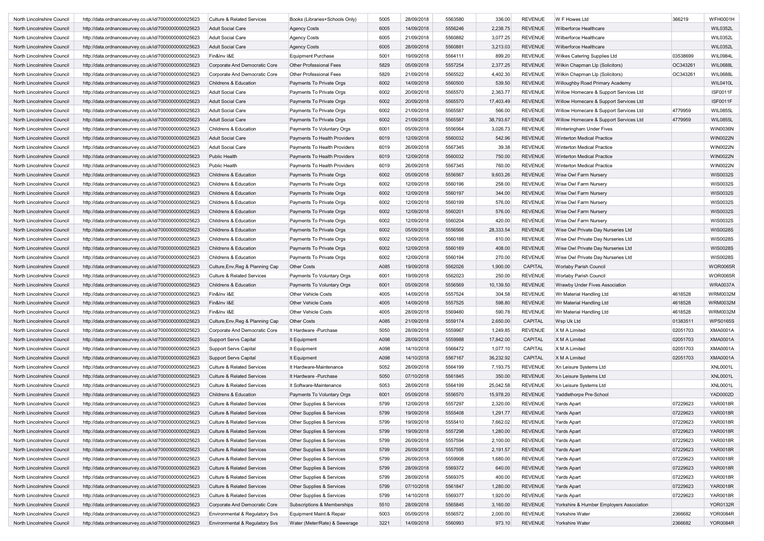| North Lincolnshire Council | http://data.ordnancesurvey.co.uk/id/7000000000025623 | Culture & Related Services            | Books (Libraries+Schools Only)                    | 5005 | 28/09/2018 | 5563580 | 336.00    | <b>REVENUE</b> | W F Howes Ltd                            | 366219   | <b>WFH0001H</b> |
|----------------------------|------------------------------------------------------|---------------------------------------|---------------------------------------------------|------|------------|---------|-----------|----------------|------------------------------------------|----------|-----------------|
| North Lincolnshire Council | http://data.ordnancesurvey.co.uk/id/7000000000025623 | <b>Adult Social Care</b>              | <b>Agency Costs</b>                               | 6005 | 14/09/2018 | 5556246 | 2,238.75  | <b>REVENUE</b> | Wilberforce Healthcare                   |          | WIL0352L        |
| North Lincolnshire Council | http://data.ordnancesurvey.co.uk/id/7000000000025623 | <b>Adult Social Care</b>              | Agency Costs                                      | 6005 | 21/09/2018 | 5560882 | 3,077.25  | <b>REVENUE</b> | Wilberforce Healthcare                   |          | <b>WIL0352L</b> |
| North Lincolnshire Council | http://data.ordnancesurvey.co.uk/id/7000000000025623 | <b>Adult Social Care</b>              | <b>Agency Costs</b>                               | 6005 | 28/09/2018 | 5560881 | 3,213.03  | <b>REVENUE</b> | Wilberforce Healthcare                   |          | WIL0352L        |
| North Lincolnshire Council | http://data.ordnancesurvey.co.uk/id/7000000000025623 | Fin&Inv I&E                           | <b>Equipment Purchase</b>                         | 5001 | 19/09/2018 | 5564111 | 899.20    | <b>REVENUE</b> | Wilkes Catering Supplies Ltd             | 03538699 | WIL0984L        |
| North Lincolnshire Council | http://data.ordnancesurvey.co.uk/id/7000000000025623 | Corporate And Democratic Core         | Other Professional Fees                           | 5829 | 05/09/2018 | 5557254 | 2,377.25  | <b>REVENUE</b> | Wilkin Chapman Llp (Solicitors)          | OC343261 | <b>WIL0688L</b> |
| North Lincolnshire Council | http://data.ordnancesurvey.co.uk/id/7000000000025623 | Corporate And Democratic Core         | Other Professional Fees                           | 5829 | 21/09/2018 | 5565522 | 4,402.30  | <b>REVENUE</b> | Wilkin Chapman Llp (Solicitors)          | OC343261 | <b>WIL0688L</b> |
| North Lincolnshire Council | http://data.ordnancesurvey.co.uk/id/7000000000025623 | Childrens & Education                 | Payments To Private Orgs                          | 6002 | 14/09/2018 | 5560500 | 539.50    | <b>REVENUE</b> | Willoughby Road Primary Academy          |          | <b>WIL0410L</b> |
| North Lincolnshire Council | http://data.ordnancesurvey.co.uk/id/7000000000025623 | <b>Adult Social Care</b>              | Payments To Private Orgs                          | 6002 | 20/09/2018 | 5565570 | 2,363.77  | <b>REVENUE</b> | Willow Homecare & Support Services Ltd   |          | <b>ISF0011F</b> |
| North Lincolnshire Council | http://data.ordnancesurvey.co.uk/id/7000000000025623 | <b>Adult Social Care</b>              | Payments To Private Orgs                          | 6002 | 20/09/2018 | 5565570 | 17,403.49 | <b>REVENUE</b> | Willow Homecare & Support Services Ltd   |          | <b>ISF0011F</b> |
| North Lincolnshire Council | http://data.ordnancesurvey.co.uk/id/7000000000025623 | <b>Adult Social Care</b>              | Payments To Private Orgs                          | 6002 | 21/09/2018 | 5565587 | 566.00    | <b>REVENUE</b> | Willow Homecare & Support Services Ltd   | 4779959  | <b>WIL0855L</b> |
| North Lincolnshire Council | http://data.ordnancesurvey.co.uk/id/7000000000025623 | <b>Adult Social Care</b>              | Payments To Private Orgs                          | 6002 | 21/09/2018 | 5565587 | 38,793.67 | <b>REVENUE</b> | Willow Homecare & Support Services Ltd   | 4779959  | <b>WIL0855L</b> |
| North Lincolnshire Council | http://data.ordnancesurvey.co.uk/id/7000000000025623 | Childrens & Education                 | Payments To Voluntary Orgs                        | 6001 | 05/09/2018 | 5556564 | 3,026.73  | <b>REVENUE</b> | Winteringham Under Fives                 |          | <b>WIN0036N</b> |
| North Lincolnshire Council | http://data.ordnancesurvey.co.uk/id/7000000000025623 | <b>Adult Social Care</b>              | Payments To Health Providers                      | 6019 | 12/09/2018 | 5560032 | 542.96    | <b>REVENUE</b> | <b>Winterton Medical Practice</b>        |          | <b>WIN0022N</b> |
|                            |                                                      |                                       |                                                   | 6019 | 26/09/2018 | 5567345 | 39.38     | <b>REVENUE</b> |                                          |          | WIN0022N        |
| North Lincolnshire Council | http://data.ordnancesurvey.co.uk/id/7000000000025623 | <b>Adult Social Care</b>              | Payments To Health Providers                      |      |            |         |           |                | Winterton Medical Practice               |          |                 |
| North Lincolnshire Council | http://data.ordnancesurvey.co.uk/id/7000000000025623 | Public Health                         | Payments To Health Providers                      | 6019 | 12/09/2018 | 5560032 | 750.00    | <b>REVENUE</b> | <b>Winterton Medical Practice</b>        |          | <b>WIN0022N</b> |
| North Lincolnshire Council | http://data.ordnancesurvey.co.uk/id/7000000000025623 | Public Health                         | Payments To Health Providers                      | 6019 | 26/09/2018 | 5567345 | 760.00    | <b>REVENUE</b> | Winterton Medical Practice               |          | WIN0022N        |
| North Lincolnshire Council | http://data.ordnancesurvey.co.uk/id/7000000000025623 | Childrens & Education                 | Payments To Private Orgs                          | 6002 | 05/09/2018 | 5556567 | 9,603.26  | <b>REVENUE</b> | Wise Owl Farm Nursery                    |          | WIS0032S        |
| North Lincolnshire Council | http://data.ordnancesurvey.co.uk/id/7000000000025623 | Childrens & Education                 | Payments To Private Orgs                          | 6002 | 12/09/2018 | 5560196 | 258.00    | <b>REVENUE</b> | Wise Owl Farm Nursery                    |          | WIS0032S        |
| North Lincolnshire Council | http://data.ordnancesurvey.co.uk/id/7000000000025623 | Childrens & Education                 | Payments To Private Orgs                          | 6002 | 12/09/2018 | 5560197 | 344.00    | <b>REVENUE</b> | Wise Owl Farm Nursery                    |          | WIS0032S        |
| North Lincolnshire Council | http://data.ordnancesurvey.co.uk/id/7000000000025623 | Childrens & Education                 | Payments To Private Orgs                          | 6002 | 12/09/2018 | 5560199 | 576.00    | <b>REVENUE</b> | Wise Owl Farm Nursery                    |          | WIS0032S        |
| North Lincolnshire Council | http://data.ordnancesurvey.co.uk/id/7000000000025623 | Childrens & Education                 | Payments To Private Orgs                          | 6002 | 12/09/2018 | 5560201 | 576.00    | <b>REVENUE</b> | Wise Owl Farm Nursery                    |          | WIS0032S        |
| North Lincolnshire Council | http://data.ordnancesurvey.co.uk/id/7000000000025623 | Childrens & Education                 | Payments To Private Orgs                          | 6002 | 12/09/2018 | 5560204 | 420.00    | <b>REVENUE</b> | Wise Owl Farm Nursery                    |          | WIS0032S        |
| North Lincolnshire Council | http://data.ordnancesurvey.co.uk/id/7000000000025623 | <b>Childrens &amp; Education</b>      | Payments To Private Orgs                          | 6002 | 05/09/2018 | 5556566 | 28,333.54 | <b>REVENUE</b> | Wise Owl Private Dav Nurseries Ltd       |          | <b>WIS0028S</b> |
| North Lincolnshire Council | http://data.ordnancesurvey.co.uk/id/7000000000025623 | Childrens & Education                 | Payments To Private Orgs                          | 6002 | 12/09/2018 | 5560188 | 810.00    | <b>REVENUE</b> | Wise Owl Private Day Nurseries Ltd       |          | WIS0028S        |
| North Lincolnshire Council | http://data.ordnancesurvey.co.uk/id/7000000000025623 | Childrens & Education                 | Payments To Private Orgs                          | 6002 | 12/09/2018 | 5560189 | 408.00    | <b>REVENUE</b> | Wise Owl Private Day Nurseries Ltd       |          | <b>WIS0028S</b> |
| North Lincolnshire Council | http://data.ordnancesurvey.co.uk/id/7000000000025623 | Childrens & Education                 | Payments To Private Orgs                          | 6002 | 12/09/2018 | 5560194 | 270.00    | <b>REVENUE</b> | Wise Owl Private Day Nurseries Ltd       |          | WIS0028S        |
| North Lincolnshire Council | http://data.ordnancesurvey.co.uk/id/7000000000025623 | Culture, Env, Reg & Planning Cap      | Other Costs                                       | A085 | 19/09/2018 | 5562026 | 1,900.00  | CAPITAL        | <b>Worlaby Parish Council</b>            |          | <b>WOR0065R</b> |
| North Lincolnshire Council | http://data.ordnancesurvey.co.uk/id/7000000000025623 | Culture & Related Services            | Payments To Voluntary Orgs                        | 6001 | 19/09/2018 | 5562023 | 250.00    | <b>REVENUE</b> | Worlaby Parish Council                   |          | <b>WOR0065R</b> |
| North Lincolnshire Council | http://data.ordnancesurvey.co.uk/id/7000000000025623 | Childrens & Education                 | Payments To Voluntary Orgs                        | 6001 | 05/09/2018 | 5556569 | 10,139.50 | <b>REVENUE</b> | Wrawby Under Fives Association           |          | <b>WRA0037A</b> |
| North Lincolnshire Council | http://data.ordnancesurvey.co.uk/id/7000000000025623 | Fin&Inv I&E                           | <b>Other Vehicle Costs</b>                        | 4005 | 14/09/2018 | 5557524 | 304.58    | <b>REVENUE</b> | Wr Material Handling Ltd                 | 4618528  | <b>WRM0032M</b> |
| North Lincolnshire Council | http://data.ordnancesurvey.co.uk/id/7000000000025623 | Fin&Inv I&E                           | <b>Other Vehicle Costs</b>                        | 4005 | 14/09/2018 | 5557525 | 598.80    | <b>REVENUE</b> | Wr Material Handling Ltd                 | 4618528  | <b>WRM0032M</b> |
| North Lincolnshire Council | http://data.ordnancesurvey.co.uk/id/7000000000025623 | Fin&Inv I&E                           | Other Vehicle Costs                               | 4005 | 28/09/2018 | 5569480 | 590.78    | <b>REVENUE</b> | Wr Material Handling Ltd                 | 4618528  | <b>WRM0032M</b> |
| North Lincolnshire Council | http://data.ordnancesurvey.co.uk/id/7000000000025623 | Culture, Env, Reg & Planning Cap      | <b>Other Costs</b>                                | A085 | 21/09/2018 | 5559174 | 2,650.00  | <b>CAPITAL</b> | Wsp Uk Ltd                               | 01383511 | <b>WPS0165S</b> |
| North Lincolnshire Council | http://data.ordnancesurvey.co.uk/id/7000000000025623 | Corporate And Democratic Core         | It Hardware -Purchase                             | 5050 | 28/09/2018 | 5559967 | 1,249.85  | <b>REVENUE</b> | X M A Limited                            | 02051703 | <b>XMA0001A</b> |
| North Lincolnshire Council | http://data.ordnancesurvey.co.uk/id/7000000000025623 | <b>Support Servs Capital</b>          | It Equipment                                      | A098 | 28/09/2018 | 5559988 | 17,842.00 | CAPITAL        | X M A Limited                            | 02051703 | <b>XMA0001A</b> |
| North Lincolnshire Council | http://data.ordnancesurvey.co.uk/id/7000000000025623 | <b>Support Servs Capital</b>          | It Equipment                                      | A098 | 14/10/2018 | 5566472 | 1,077.10  | CAPITAL        | X M A Limited                            | 02051703 | <b>XMA0001A</b> |
| North Lincolnshire Council |                                                      |                                       |                                                   | A098 | 14/10/2018 | 5567167 | 36,232.92 | CAPITAL        | X M A Limited                            |          | <b>XMA0001A</b> |
|                            | http://data.ordnancesurvey.co.uk/id/7000000000025623 | <b>Support Servs Capital</b>          | It Equipment                                      | 5052 | 28/09/2018 |         |           | <b>REVENUE</b> |                                          | 02051703 | <b>XNL0001L</b> |
| North Lincolnshire Council | http://data.ordnancesurvey.co.uk/id/7000000000025623 | <b>Culture &amp; Related Services</b> | It Hardware-Maintenance<br>It Hardware - Purchase | 5050 | 07/10/2018 | 5564199 | 7,193.75  | <b>REVENUE</b> | Xn Leisure Systems Ltd                   |          | <b>XNL0001L</b> |
| North Lincolnshire Council | http://data.ordnancesurvey.co.uk/id/7000000000025623 | <b>Culture &amp; Related Services</b> |                                                   |      |            | 5561845 | 350.00    |                | Xn Leisure Systems Ltd                   |          |                 |
| North Lincolnshire Council | http://data.ordnancesurvey.co.uk/id/7000000000025623 | <b>Culture &amp; Related Services</b> | It Software-Maintenance                           | 5053 | 28/09/2018 | 5564199 | 25,042.58 | <b>REVENUE</b> | Xn Leisure Systems Ltd                   |          | <b>XNL0001L</b> |
| North Lincolnshire Council | http://data.ordnancesurvey.co.uk/id/7000000000025623 | Childrens & Education                 | Payments To Voluntary Orgs                        | 6001 | 05/09/2018 | 5556570 | 15,978.20 | <b>REVENUE</b> | Yaddlethorpe Pre-School                  |          | YAD0002D        |
| North Lincolnshire Council | http://data.ordnancesurvey.co.uk/id/7000000000025623 | <b>Culture &amp; Related Services</b> | Other Supplies & Services                         | 5799 | 12/09/2018 | 5557297 | 2,320.00  | <b>REVENUE</b> | Yards Apart                              | 07229623 | <b>YAR0018R</b> |
| North Lincolnshire Council | http://data.ordnancesurvey.co.uk/id/7000000000025623 | <b>Culture &amp; Related Services</b> | Other Supplies & Services                         | 5799 | 19/09/2018 | 5555408 | 1,291.77  | <b>REVENUE</b> | Yards Apart                              | 07229623 | <b>YAR0018R</b> |
| North Lincolnshire Council | http://data.ordnancesurvey.co.uk/id/7000000000025623 | <b>Culture &amp; Related Services</b> | Other Supplies & Services                         | 5799 | 19/09/2018 | 5555410 | 7,662.02  | REVENUE        | Yards Apart                              | 07229623 | <b>YAR0018R</b> |
| North Lincolnshire Council | http://data.ordnancesurvey.co.uk/id/7000000000025623 | <b>Culture &amp; Related Services</b> | Other Supplies & Services                         | 5799 | 19/09/2018 | 5557298 | 1,280.00  | REVENUE        | Yards Apart                              | 07229623 | <b>YAR0018R</b> |
| North Lincolnshire Council | http://data.ordnancesurvey.co.uk/id/7000000000025623 | Culture & Related Services            | Other Supplies & Services                         | 5799 | 26/09/2018 | 5557594 | 2,100.00  | <b>REVENUE</b> | Yards Apart                              | 07229623 | <b>YAR0018R</b> |
| North Lincolnshire Council | http://data.ordnancesurvey.co.uk/id/7000000000025623 | Culture & Related Services            | Other Supplies & Services                         | 5799 | 26/09/2018 | 5557595 | 2,191.57  | <b>REVENUE</b> | Yards Apart                              | 07229623 | <b>YAR0018R</b> |
| North Lincolnshire Council | http://data.ordnancesurvey.co.uk/id/7000000000025623 | <b>Culture &amp; Related Services</b> | Other Supplies & Services                         | 5799 | 26/09/2018 | 5559908 | 1,680.00  | <b>REVENUE</b> | Yards Apart                              | 07229623 | <b>YAR0018R</b> |
| North Lincolnshire Council | http://data.ordnancesurvey.co.uk/id/7000000000025623 | Culture & Related Services            | Other Supplies & Services                         | 5799 | 28/09/2018 | 5569372 | 640.00    | <b>REVENUE</b> | Yards Apart                              | 07229623 | <b>YAR0018R</b> |
| North Lincolnshire Council | http://data.ordnancesurvey.co.uk/id/7000000000025623 | Culture & Related Services            | Other Supplies & Services                         | 5799 | 28/09/2018 | 5569375 | 400.00    | <b>REVENUE</b> | Yards Apart                              | 07229623 | <b>YAR0018R</b> |
| North Lincolnshire Council | http://data.ordnancesurvey.co.uk/id/7000000000025623 | <b>Culture &amp; Related Services</b> | Other Supplies & Services                         | 5799 | 07/10/2018 | 5561847 | 1,280.00  | <b>REVENUE</b> | Yards Apart                              | 07229623 | <b>YAR0018R</b> |
| North Lincolnshire Council | http://data.ordnancesurvey.co.uk/id/7000000000025623 | <b>Culture &amp; Related Services</b> | Other Supplies & Services                         | 5799 | 14/10/2018 | 5569377 | 1,920.00  | <b>REVENUE</b> | Yards Apart                              | 07229623 | <b>YAR0018R</b> |
| North Lincolnshire Council | http://data.ordnancesurvey.co.uk/id/7000000000025623 | Corporate And Democratic Core         | Subscriptions & Memberships                       | 5510 | 28/09/2018 | 5565845 | 3,160.00  | <b>REVENUE</b> | Yorkshire & Humber Employers Association |          | <b>YOR0132R</b> |
| North Lincolnshire Council | http://data.ordnancesurvey.co.uk/id/7000000000025623 | Environmental & Regulatory Svs        | Equipment Maint.& Repair                          | 5003 | 05/09/2018 | 5556572 | 2,000.00  | <b>REVENUE</b> | Yorkshire Water                          | 2366682  | <b>YOR0084R</b> |
| North Lincolnshire Council | http://data.ordnancesurvey.co.uk/id/7000000000025623 | Environmental & Regulatory Svs        | Water (Meter/Rate) & Sewerage                     | 3221 | 14/09/2018 | 5560993 | 973.10    | REVENUE        | Yorkshire Water                          | 2366682  | <b>YOR0084R</b> |